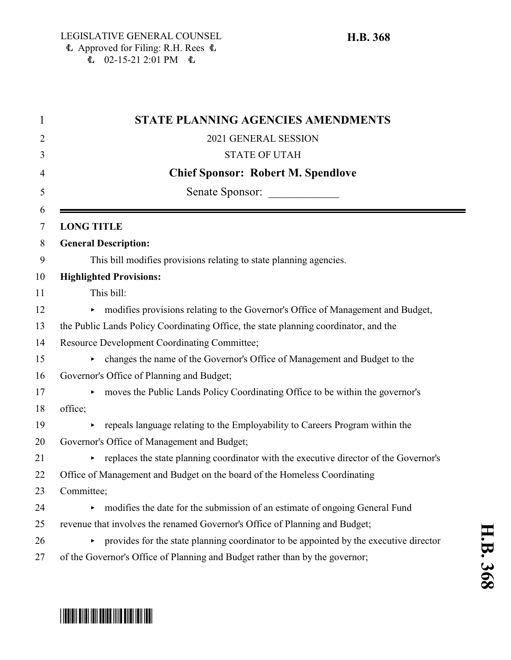| <b>STATE PLANNING AGENCIES AMENDMENTS</b>                                                   |
|---------------------------------------------------------------------------------------------|
| 2021 GENERAL SESSION                                                                        |
| <b>STATE OF UTAH</b>                                                                        |
| <b>Chief Sponsor: Robert M. Spendlove</b>                                                   |
| Senate Sponsor:                                                                             |
| <b>LONG TITLE</b>                                                                           |
| <b>General Description:</b>                                                                 |
| This bill modifies provisions relating to state planning agencies.                          |
| <b>Highlighted Provisions:</b>                                                              |
| This bill:                                                                                  |
| modifies provisions relating to the Governor's Office of Management and Budget,             |
| the Public Lands Policy Coordinating Office, the state planning coordinator, and the        |
| Resource Development Coordinating Committee;                                                |
| changes the name of the Governor's Office of Management and Budget to the                   |
| Governor's Office of Planning and Budget;                                                   |
| moves the Public Lands Policy Coordinating Office to be within the governor's               |
| office;                                                                                     |
| repeals language relating to the Employability to Careers Program within the                |
| Governor's Office of Management and Budget;                                                 |
| replaces the state planning coordinator with the executive director of the Governor's<br>Þ. |
| Office of Management and Budget on the board of the Homeless Coordinating                   |
| Committee;                                                                                  |
| modifies the date for the submission of an estimate of ongoing General Fund<br>►            |
| revenue that involves the renamed Governor's Office of Planning and Budget;                 |
| provides for the state planning coordinator to be appointed by the executive director       |
| of the Governor's Office of Planning and Budget rather than by the governor;                |

# \*HB0368\*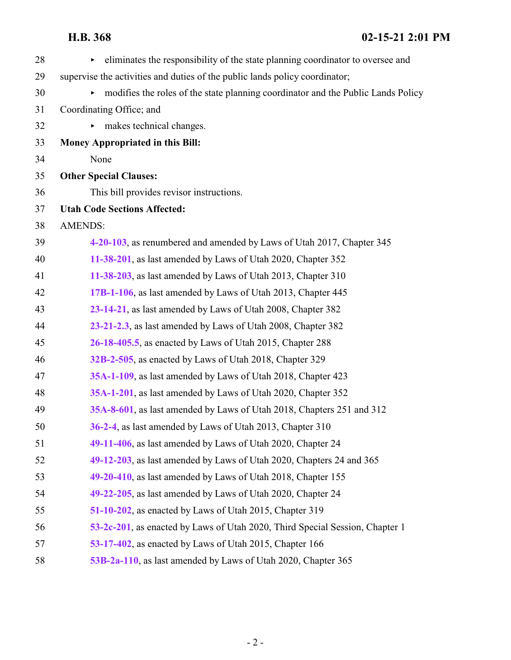| 28 | eliminates the responsibility of the state planning coordinator to oversee and<br>▶ |
|----|-------------------------------------------------------------------------------------|
| 29 | supervise the activities and duties of the public lands policy coordinator;         |
| 30 | modifies the roles of the state planning coordinator and the Public Lands Policy    |
| 31 | Coordinating Office; and                                                            |
| 32 | makes technical changes.<br>Þ.                                                      |
| 33 | <b>Money Appropriated in this Bill:</b>                                             |
| 34 | None                                                                                |
| 35 | <b>Other Special Clauses:</b>                                                       |
| 36 | This bill provides revisor instructions.                                            |
| 37 | <b>Utah Code Sections Affected:</b>                                                 |
| 38 | <b>AMENDS:</b>                                                                      |
| 39 | 4-20-103, as renumbered and amended by Laws of Utah 2017, Chapter 345               |
| 40 | 11-38-201, as last amended by Laws of Utah 2020, Chapter 352                        |
| 41 | 11-38-203, as last amended by Laws of Utah 2013, Chapter 310                        |
| 42 | 17B-1-106, as last amended by Laws of Utah 2013, Chapter 445                        |
| 43 | 23-14-21, as last amended by Laws of Utah 2008, Chapter 382                         |
| 44 | 23-21-2.3, as last amended by Laws of Utah 2008, Chapter 382                        |
| 45 | 26-18-405.5, as enacted by Laws of Utah 2015, Chapter 288                           |
| 46 | 32B-2-505, as enacted by Laws of Utah 2018, Chapter 329                             |
| 47 | 35A-1-109, as last amended by Laws of Utah 2018, Chapter 423                        |
| 48 | 35A-1-201, as last amended by Laws of Utah 2020, Chapter 352                        |
| 49 | 35A-8-601, as last amended by Laws of Utah 2018, Chapters 251 and 312               |
| 50 | 36-2-4, as last amended by Laws of Utah 2013, Chapter 310                           |
| 51 | 49-11-406, as last amended by Laws of Utah 2020, Chapter 24                         |
| 52 | 49-12-203, as last amended by Laws of Utah 2020, Chapters 24 and 365                |
| 53 | 49-20-410, as last amended by Laws of Utah 2018, Chapter 155                        |
| 54 | 49-22-205, as last amended by Laws of Utah 2020, Chapter 24                         |
| 55 | 51-10-202, as enacted by Laws of Utah 2015, Chapter 319                             |
| 56 | 53-2c-201, as enacted by Laws of Utah 2020, Third Special Session, Chapter 1        |
| 57 | 53-17-402, as enacted by Laws of Utah 2015, Chapter 166                             |
| 58 | 53B-2a-110, as last amended by Laws of Utah 2020, Chapter 365                       |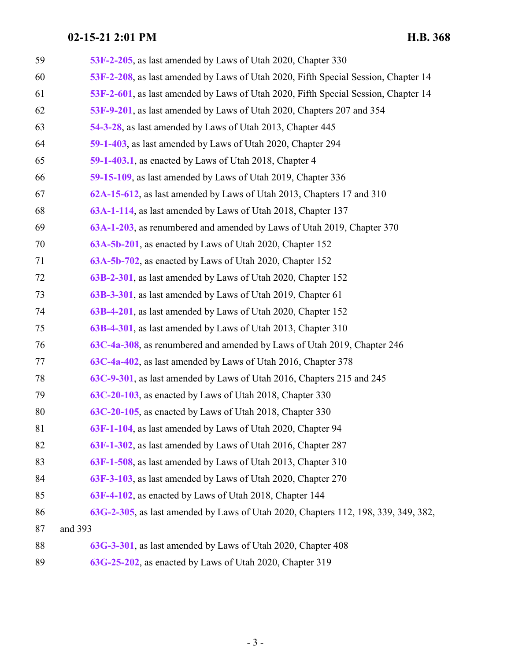| 59 | 53F-2-205, as last amended by Laws of Utah 2020, Chapter 330                       |
|----|------------------------------------------------------------------------------------|
| 60 | 53F-2-208, as last amended by Laws of Utah 2020, Fifth Special Session, Chapter 14 |
| 61 | 53F-2-601, as last amended by Laws of Utah 2020, Fifth Special Session, Chapter 14 |
| 62 | 53F-9-201, as last amended by Laws of Utah 2020, Chapters 207 and 354              |
| 63 | 54-3-28, as last amended by Laws of Utah 2013, Chapter 445                         |
| 64 | 59-1-403, as last amended by Laws of Utah 2020, Chapter 294                        |
| 65 | 59-1-403.1, as enacted by Laws of Utah 2018, Chapter 4                             |
| 66 | 59-15-109, as last amended by Laws of Utah 2019, Chapter 336                       |
| 67 | 62A-15-612, as last amended by Laws of Utah 2013, Chapters 17 and 310              |
| 68 | 63A-1-114, as last amended by Laws of Utah 2018, Chapter 137                       |
| 69 | 63A-1-203, as renumbered and amended by Laws of Utah 2019, Chapter 370             |
| 70 | 63A-5b-201, as enacted by Laws of Utah 2020, Chapter 152                           |
| 71 | 63A-5b-702, as enacted by Laws of Utah 2020, Chapter 152                           |
| 72 | 63B-2-301, as last amended by Laws of Utah 2020, Chapter 152                       |
| 73 | 63B-3-301, as last amended by Laws of Utah 2019, Chapter 61                        |
| 74 | 63B-4-201, as last amended by Laws of Utah 2020, Chapter 152                       |
| 75 | 63B-4-301, as last amended by Laws of Utah 2013, Chapter 310                       |
| 76 | 63C-4a-308, as renumbered and amended by Laws of Utah 2019, Chapter 246            |
| 77 | 63C-4a-402, as last amended by Laws of Utah 2016, Chapter 378                      |
| 78 | 63C-9-301, as last amended by Laws of Utah 2016, Chapters 215 and 245              |
| 79 | 63C-20-103, as enacted by Laws of Utah 2018, Chapter 330                           |
| 80 | 63C-20-105, as enacted by Laws of Utah 2018, Chapter 330                           |
| 81 | 63F-1-104, as last amended by Laws of Utah 2020, Chapter 94                        |
| 82 | 63F-1-302, as last amended by Laws of Utah 2016, Chapter 287                       |
| 83 | 63F-1-508, as last amended by Laws of Utah 2013, Chapter 310                       |
| 84 | 63F-3-103, as last amended by Laws of Utah 2020, Chapter 270                       |
| 85 | 63F-4-102, as enacted by Laws of Utah 2018, Chapter 144                            |
| 86 | 63G-2-305, as last amended by Laws of Utah 2020, Chapters 112, 198, 339, 349, 382, |
| 87 | and 393                                                                            |
| 88 | 63G-3-301, as last amended by Laws of Utah 2020, Chapter 408                       |
| 89 | 63G-25-202, as enacted by Laws of Utah 2020, Chapter 319                           |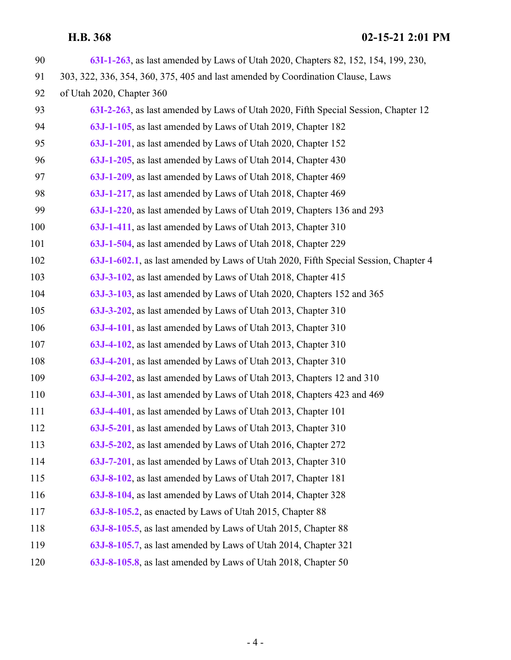| 90  | 63I-1-263, as last amended by Laws of Utah 2020, Chapters 82, 152, 154, 199, 230,   |
|-----|-------------------------------------------------------------------------------------|
| 91  | 303, 322, 336, 354, 360, 375, 405 and last amended by Coordination Clause, Laws     |
| 92  | of Utah 2020, Chapter 360                                                           |
| 93  | 63I-2-263, as last amended by Laws of Utah 2020, Fifth Special Session, Chapter 12  |
| 94  | 63J-1-105, as last amended by Laws of Utah 2019, Chapter 182                        |
| 95  | 63J-1-201, as last amended by Laws of Utah 2020, Chapter 152                        |
| 96  | 63J-1-205, as last amended by Laws of Utah 2014, Chapter 430                        |
| 97  | 63J-1-209, as last amended by Laws of Utah 2018, Chapter 469                        |
| 98  | 63J-1-217, as last amended by Laws of Utah 2018, Chapter 469                        |
| 99  | 63J-1-220, as last amended by Laws of Utah 2019, Chapters 136 and 293               |
| 100 | 63J-1-411, as last amended by Laws of Utah 2013, Chapter 310                        |
| 101 | 63J-1-504, as last amended by Laws of Utah 2018, Chapter 229                        |
| 102 | 63J-1-602.1, as last amended by Laws of Utah 2020, Fifth Special Session, Chapter 4 |
| 103 | 63J-3-102, as last amended by Laws of Utah 2018, Chapter 415                        |
| 104 | 63J-3-103, as last amended by Laws of Utah 2020, Chapters 152 and 365               |
| 105 | 63J-3-202, as last amended by Laws of Utah 2013, Chapter 310                        |
| 106 | 63J-4-101, as last amended by Laws of Utah 2013, Chapter 310                        |
| 107 | 63J-4-102, as last amended by Laws of Utah 2013, Chapter 310                        |
| 108 | 63J-4-201, as last amended by Laws of Utah 2013, Chapter 310                        |
| 109 | 63J-4-202, as last amended by Laws of Utah 2013, Chapters 12 and 310                |
| 110 | 63J-4-301, as last amended by Laws of Utah 2018, Chapters 423 and 469               |
| 111 | 63J-4-401, as last amended by Laws of Utah 2013, Chapter 101                        |
| 112 | 63J-5-201, as last amended by Laws of Utah 2013, Chapter 310                        |
| 113 | 63J-5-202, as last amended by Laws of Utah 2016, Chapter 272                        |
| 114 | 63J-7-201, as last amended by Laws of Utah 2013, Chapter 310                        |
| 115 | 63J-8-102, as last amended by Laws of Utah 2017, Chapter 181                        |
| 116 | 63J-8-104, as last amended by Laws of Utah 2014, Chapter 328                        |
| 117 | 63J-8-105.2, as enacted by Laws of Utah 2015, Chapter 88                            |
| 118 | 63J-8-105.5, as last amended by Laws of Utah 2015, Chapter 88                       |
| 119 | 63J-8-105.7, as last amended by Laws of Utah 2014, Chapter 321                      |
| 120 | 63J-8-105.8, as last amended by Laws of Utah 2018, Chapter 50                       |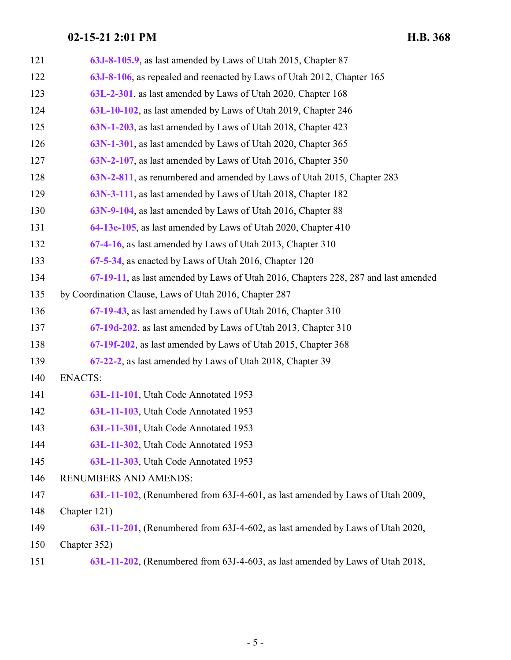- **[63J-8-105.9](#page-207-0)**, as last amended by Laws of Utah 2015, Chapter 87
- **[63J-8-106](#page-213-0)**, as repealed and reenacted by Laws of Utah 2012, Chapter 165
- **[63L-2-301](#page-218-0)**, as last amended by Laws of Utah 2020, Chapter 168
- **[63L-10-102](#page-219-0)**, as last amended by Laws of Utah 2019, Chapter 246
- **[63N-1-203](#page-248-0)**, as last amended by Laws of Utah 2018, Chapter 423
- **[63N-1-301](#page-249-0)**, as last amended by Laws of Utah 2020, Chapter 365
- **[63N-2-107](#page-251-0)**, as last amended by Laws of Utah 2016, Chapter 350
- **[63N-2-811](#page-253-0)**, as renumbered and amended by Laws of Utah 2015, Chapter 283
- **[63N-3-111](#page-253-1)**, as last amended by Laws of Utah 2018, Chapter 182
- **[63N-9-104](#page-254-0)**, as last amended by Laws of Utah 2016, Chapter 88
- **[64-13e-105](#page-255-0)**, as last amended by Laws of Utah 2020, Chapter 410
- **[67-4-16](#page-256-0)**, as last amended by Laws of Utah 2013, Chapter 310
- **[67-5-34](#page-256-1)**, as enacted by Laws of Utah 2016, Chapter 120
- **[67-19-11](#page-257-0)**, as last amended by Laws of Utah 2016, Chapters 228, 287 and last amended
- by Coordination Clause, Laws of Utah 2016, Chapter 287
- **[67-19-43](#page-259-0)**, as last amended by Laws of Utah 2016, Chapter 310
- **[67-19d-202](#page-261-0)**, as last amended by Laws of Utah 2013, Chapter 310
- **[67-19f-202](#page-262-0)**, as last amended by Laws of Utah 2015, Chapter 368
- **[67-22-2](#page-264-0)**, as last amended by Laws of Utah 2018, Chapter 39
- ENACTS:
- **[63L-11-101](#page-220-0)**, Utah Code Annotated 1953
- **[63L-11-103](#page-220-1)**, Utah Code Annotated 1953
- **[63L-11-301](#page-226-0)**, Utah Code Annotated 1953
- **[63L-11-302](#page-228-0)**, Utah Code Annotated 1953
- **[63L-11-303](#page-231-0)**, Utah Code Annotated 1953
- RENUMBERS AND AMENDS:
- **[63L-11-102](#page-220-2)**, (Renumbered from 63J-4-601, as last amended by Laws of Utah 2009,
- Chapter 121)
- **[63L-11-201](#page-221-0)**, (Renumbered from 63J-4-602, as last amended by Laws of Utah 2020,
- Chapter 352)
- **[63L-11-202](#page-221-1)**, (Renumbered from 63J-4-603, as last amended by Laws of Utah 2018,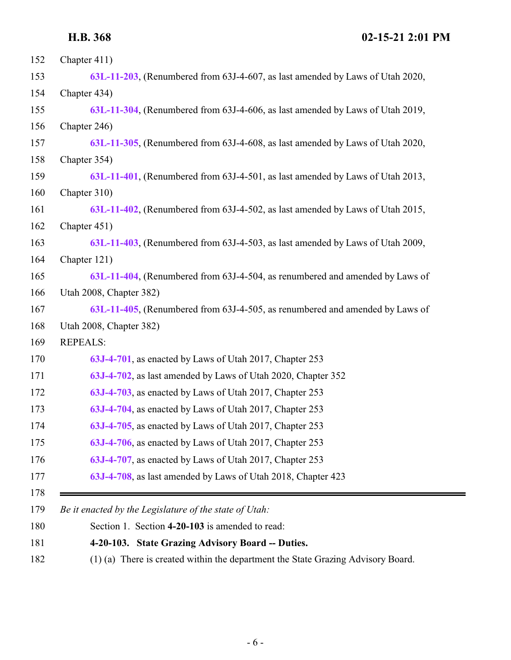| 152        | Chapter 411)                                                                  |
|------------|-------------------------------------------------------------------------------|
| 153        | 63L-11-203, (Renumbered from 63J-4-607, as last amended by Laws of Utah 2020, |
| 154        | Chapter 434)                                                                  |
| 155        | 63L-11-304, (Renumbered from 63J-4-606, as last amended by Laws of Utah 2019, |
| 156        | Chapter 246)                                                                  |
| 157        | 63L-11-305, (Renumbered from 63J-4-608, as last amended by Laws of Utah 2020, |
| 158        | Chapter 354)                                                                  |
| 159        | 63L-11-401, (Renumbered from 63J-4-501, as last amended by Laws of Utah 2013, |
| 160        | Chapter 310)                                                                  |
| 161        | 63L-11-402, (Renumbered from 63J-4-502, as last amended by Laws of Utah 2015, |
| 162        | Chapter 451)                                                                  |
| 163        | 63L-11-403, (Renumbered from 63J-4-503, as last amended by Laws of Utah 2009, |
| 164        | Chapter 121)                                                                  |
| 165        | 63L-11-404, (Renumbered from 63J-4-504, as renumbered and amended by Laws of  |
| 166        | Utah 2008, Chapter 382)                                                       |
| 167        | 63L-11-405, (Renumbered from 63J-4-505, as renumbered and amended by Laws of  |
| 168        | Utah 2008, Chapter 382)                                                       |
| 169        | <b>REPEALS:</b>                                                               |
| 170        | 63J-4-701, as enacted by Laws of Utah 2017, Chapter 253                       |
| 171        | 63J-4-702, as last amended by Laws of Utah 2020, Chapter 352                  |
| 172        | 63J-4-703, as enacted by Laws of Utah 2017, Chapter 253                       |
| 173        | 63J-4-704, as enacted by Laws of Utah 2017, Chapter 253                       |
| 174        | 63J-4-705, as enacted by Laws of Utah 2017, Chapter 253                       |
| 175        | 63J-4-706, as enacted by Laws of Utah 2017, Chapter 253                       |
| 176        | 63J-4-707, as enacted by Laws of Utah 2017, Chapter 253                       |
| 177<br>178 | 63J-4-708, as last amended by Laws of Utah 2018, Chapter 423                  |
| 179        | Be it enacted by the Legislature of the state of Utah:                        |
| 180        | Section 1. Section 4-20-103 is amended to read:                               |
| 181        | 4-20-103. State Grazing Advisory Board -- Duties.                             |

<span id="page-5-0"></span>(1) (a) There is created within the department the State Grazing Advisory Board.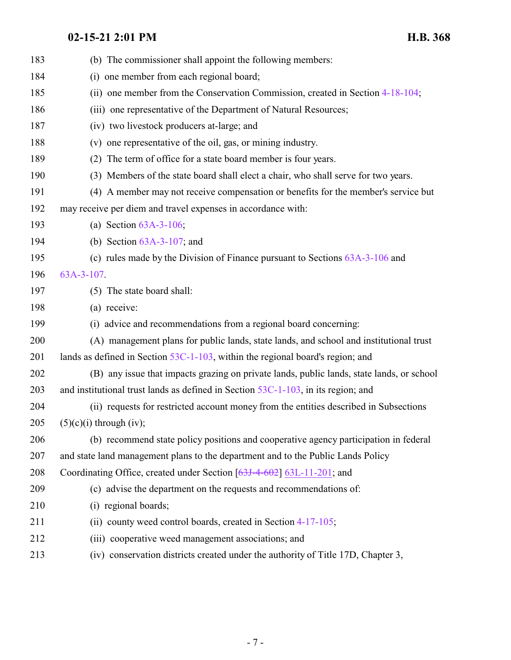| 183 | (b) The commissioner shall appoint the following members:                                 |
|-----|-------------------------------------------------------------------------------------------|
| 184 | (i) one member from each regional board;                                                  |
| 185 | (ii) one member from the Conservation Commission, created in Section 4-18-104;            |
| 186 | (iii) one representative of the Department of Natural Resources;                          |
| 187 | (iv) two livestock producers at-large; and                                                |
| 188 | (v) one representative of the oil, gas, or mining industry.                               |
| 189 | The term of office for a state board member is four years.<br>(2)                         |
| 190 | (3) Members of the state board shall elect a chair, who shall serve for two years.        |
| 191 | (4) A member may not receive compensation or benefits for the member's service but        |
| 192 | may receive per diem and travel expenses in accordance with:                              |
| 193 | (a) Section $63A-3-106$ ;                                                                 |
| 194 | (b) Section $63A-3-107$ ; and                                                             |
| 195 | (c) rules made by the Division of Finance pursuant to Sections $63A-3-106$ and            |
| 196 | $63A-3-107$ .                                                                             |
| 197 | (5) The state board shall:                                                                |
| 198 | (a) receive:                                                                              |
| 199 | (i) advice and recommendations from a regional board concerning:                          |
| 200 | (A) management plans for public lands, state lands, and school and institutional trust    |
| 201 | lands as defined in Section $53C-1-103$ , within the regional board's region; and         |
| 202 | (B) any issue that impacts grazing on private lands, public lands, state lands, or school |
| 203 | and institutional trust lands as defined in Section $53C-1-103$ , in its region; and      |
| 204 | (ii) requests for restricted account money from the entities described in Subsections     |
| 205 | $(5)(c)(i)$ through (iv);                                                                 |
| 206 | (b) recommend state policy positions and cooperative agency participation in federal      |
| 207 | and state land management plans to the department and to the Public Lands Policy          |
| 208 | Coordinating Office, created under Section [63J-4-602] 63L-11-201; and                    |
| 209 | (c) advise the department on the requests and recommendations of:                         |
| 210 | (i) regional boards;                                                                      |
| 211 | (ii) county weed control boards, created in Section 4-17-105;                             |
| 212 | (iii) cooperative weed management associations; and                                       |
| 213 | (iv) conservation districts created under the authority of Title 17D, Chapter 3,          |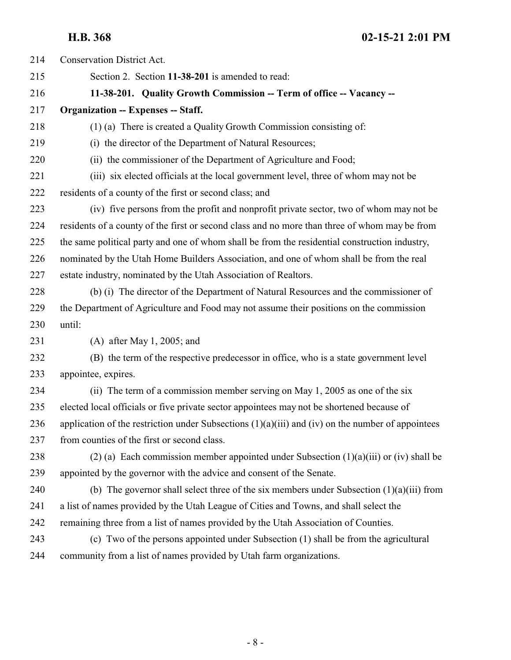<span id="page-7-0"></span>

| 214 | Conservation District Act.                                                                            |
|-----|-------------------------------------------------------------------------------------------------------|
| 215 | Section 2. Section 11-38-201 is amended to read:                                                      |
| 216 | 11-38-201. Quality Growth Commission -- Term of office -- Vacancy --                                  |
| 217 | <b>Organization -- Expenses -- Staff.</b>                                                             |
| 218 | (1) (a) There is created a Quality Growth Commission consisting of:                                   |
| 219 | (i) the director of the Department of Natural Resources;                                              |
| 220 | (ii) the commissioner of the Department of Agriculture and Food;                                      |
| 221 | (iii) six elected officials at the local government level, three of whom may not be                   |
| 222 | residents of a county of the first or second class; and                                               |
| 223 | (iv) five persons from the profit and nonprofit private sector, two of whom may not be                |
| 224 | residents of a county of the first or second class and no more than three of whom may be from         |
| 225 | the same political party and one of whom shall be from the residential construction industry,         |
| 226 | nominated by the Utah Home Builders Association, and one of whom shall be from the real               |
| 227 | estate industry, nominated by the Utah Association of Realtors.                                       |
| 228 | (b) (i) The director of the Department of Natural Resources and the commissioner of                   |
| 229 | the Department of Agriculture and Food may not assume their positions on the commission               |
| 230 | until:                                                                                                |
| 231 | $(A)$ after May 1, 2005; and                                                                          |
| 232 | (B) the term of the respective predecessor in office, who is a state government level                 |
| 233 | appointee, expires.                                                                                   |
| 234 | (ii) The term of a commission member serving on May 1, 2005 as one of the six                         |
| 235 | elected local officials or five private sector appointees may not be shortened because of             |
| 236 | application of the restriction under Subsections $(1)(a)(iii)$ and $(iv)$ on the number of appointees |
| 237 | from counties of the first or second class.                                                           |
| 238 | (2) (a) Each commission member appointed under Subsection $(1)(a)(iii)$ or (iv) shall be              |
| 239 | appointed by the governor with the advice and consent of the Senate.                                  |
| 240 | (b) The governor shall select three of the six members under Subsection $(1)(a)(iii)$ from            |
| 241 | a list of names provided by the Utah League of Cities and Towns, and shall select the                 |
| 242 | remaining three from a list of names provided by the Utah Association of Counties.                    |
| 243 | (c) Two of the persons appointed under Subsection (1) shall be from the agricultural                  |
| 244 | community from a list of names provided by Utah farm organizations.                                   |
|     |                                                                                                       |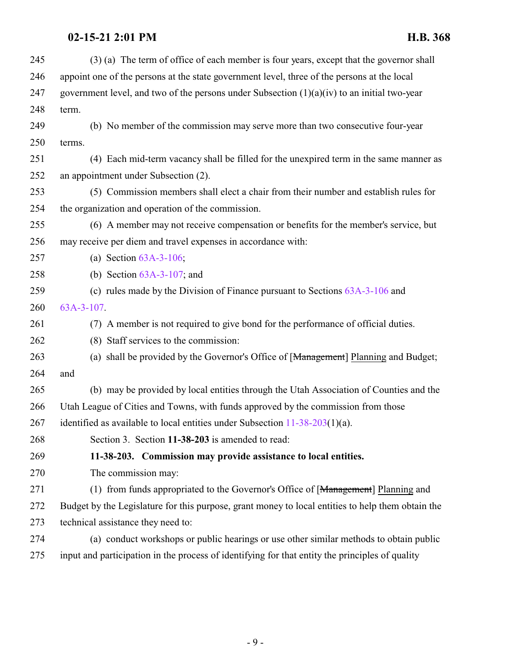<span id="page-8-0"></span>

| 245 | (3) (a) The term of office of each member is four years, except that the governor shall           |
|-----|---------------------------------------------------------------------------------------------------|
| 246 | appoint one of the persons at the state government level, three of the persons at the local       |
| 247 | government level, and two of the persons under Subsection $(1)(a)(iv)$ to an initial two-year     |
| 248 | term.                                                                                             |
| 249 | (b) No member of the commission may serve more than two consecutive four-year                     |
| 250 | terms.                                                                                            |
| 251 | (4) Each mid-term vacancy shall be filled for the unexpired term in the same manner as            |
| 252 | an appointment under Subsection (2).                                                              |
| 253 | (5) Commission members shall elect a chair from their number and establish rules for              |
| 254 | the organization and operation of the commission.                                                 |
| 255 | (6) A member may not receive compensation or benefits for the member's service, but               |
| 256 | may receive per diem and travel expenses in accordance with:                                      |
| 257 | (a) Section $63A-3-106$ ;                                                                         |
| 258 | (b) Section $63A-3-107$ ; and                                                                     |
| 259 | (c) rules made by the Division of Finance pursuant to Sections $63A-3-106$ and                    |
| 260 | $63A-3-107$ .                                                                                     |
| 261 | (7) A member is not required to give bond for the performance of official duties.                 |
| 262 | (8) Staff services to the commission:                                                             |
| 263 | (a) shall be provided by the Governor's Office of [Management] Planning and Budget;               |
| 264 | and                                                                                               |
| 265 | (b) may be provided by local entities through the Utah Association of Counties and the            |
| 266 | Utah League of Cities and Towns, with funds approved by the commission from those                 |
| 267 | identified as available to local entities under Subsection $11-38-203(1)(a)$ .                    |
| 268 | Section 3. Section 11-38-203 is amended to read:                                                  |
| 269 | 11-38-203. Commission may provide assistance to local entities.                                   |
| 270 | The commission may:                                                                               |
| 271 | (1) from funds appropriated to the Governor's Office of [Management] Planning and                 |
| 272 | Budget by the Legislature for this purpose, grant money to local entities to help them obtain the |
| 273 | technical assistance they need to:                                                                |
| 274 | (a) conduct workshops or public hearings or use other similar methods to obtain public            |
| 275 | input and participation in the process of identifying for that entity the principles of quality   |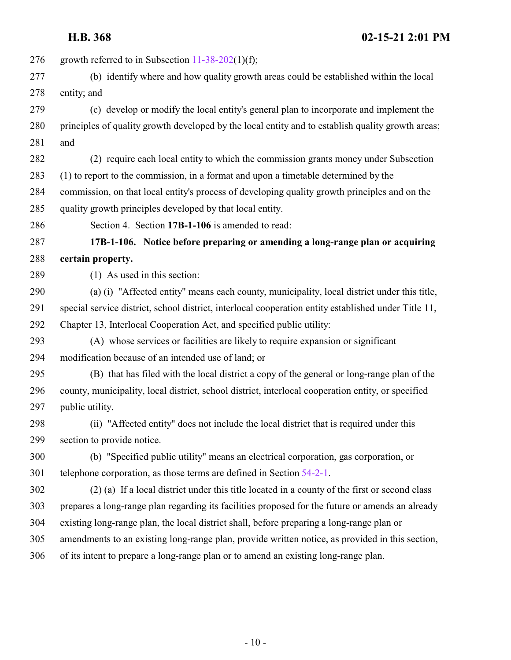<span id="page-9-0"></span>276 growth referred to in Subsection  $11-38-202(1)(f)$ ; (b) identify where and how quality growth areas could be established within the local entity; and (c) develop or modify the local entity's general plan to incorporate and implement the principles of quality growth developed by the local entity and to establish quality growth areas; and (2) require each local entity to which the commission grants money under Subsection (1) to report to the commission, in a format and upon a timetable determined by the commission, on that local entity's process of developing quality growth principles and on the quality growth principles developed by that local entity. Section 4. Section **17B-1-106** is amended to read: **17B-1-106. Notice before preparing or amending a long-range plan or acquiring certain property.** (1) As used in this section: (a) (i) "Affected entity" means each county, municipality, local district under this title, special service district, school district, interlocal cooperation entity established under Title 11, Chapter 13, Interlocal Cooperation Act, and specified public utility: (A) whose services or facilities are likely to require expansion or significant modification because of an intended use of land; or (B) that has filed with the local district a copy of the general or long-range plan of the county, municipality, local district, school district, interlocal cooperation entity, or specified public utility. (ii) "Affected entity" does not include the local district that is required under this section to provide notice. (b) "Specified public utility" means an electrical corporation, gas corporation, or telephone corporation, as those terms are defined in Section [54-2-1](http://le.utah.gov/UtahCode/SectionLookup.jsp?section=54-2-1&session=2021GS). (2) (a) If a local district under this title located in a county of the first or second class prepares a long-range plan regarding its facilities proposed for the future or amends an already existing long-range plan, the local district shall, before preparing a long-range plan or amendments to an existing long-range plan, provide written notice, as provided in this section, of its intent to prepare a long-range plan or to amend an existing long-range plan.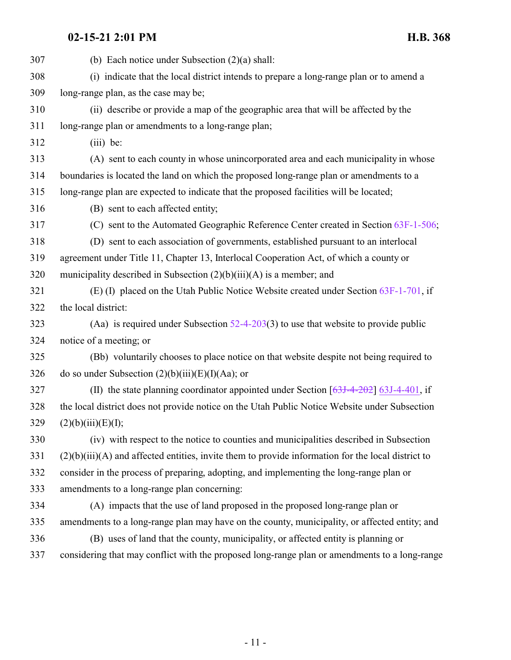| 307 | (b) Each notice under Subsection $(2)(a)$ shall:                                                     |
|-----|------------------------------------------------------------------------------------------------------|
| 308 | (i) indicate that the local district intends to prepare a long-range plan or to amend a              |
| 309 | long-range plan, as the case may be;                                                                 |
| 310 | (ii) describe or provide a map of the geographic area that will be affected by the                   |
| 311 | long-range plan or amendments to a long-range plan;                                                  |
| 312 | $(iii)$ be:                                                                                          |
| 313 | (A) sent to each county in whose unincorporated area and each municipality in whose                  |
| 314 | boundaries is located the land on which the proposed long-range plan or amendments to a              |
| 315 | long-range plan are expected to indicate that the proposed facilities will be located;               |
| 316 | (B) sent to each affected entity;                                                                    |
| 317 | (C) sent to the Automated Geographic Reference Center created in Section 63F-1-506;                  |
| 318 | (D) sent to each association of governments, established pursuant to an interlocal                   |
| 319 | agreement under Title 11, Chapter 13, Interlocal Cooperation Act, of which a county or               |
| 320 | municipality described in Subsection $(2)(b)(iii)(A)$ is a member; and                               |
| 321 | (E) (I) placed on the Utah Public Notice Website created under Section $63F-1-701$ , if              |
| 322 | the local district:                                                                                  |
| 323 | (Aa) is required under Subsection $52-4-203(3)$ to use that website to provide public                |
| 324 | notice of a meeting; or                                                                              |
| 325 | (Bb) voluntarily chooses to place notice on that website despite not being required to               |
| 326 | do so under Subsection $(2)(b)(iii)(E)(I)(Aa)$ ; or                                                  |
| 327 | (II) the state planning coordinator appointed under Section $[63J-4-202]$ 63J-4-401, if              |
| 328 | the local district does not provide notice on the Utah Public Notice Website under Subsection        |
| 329 | (2)(b)(iii)(E)(I);                                                                                   |
| 330 | (iv) with respect to the notice to counties and municipalities described in Subsection               |
| 331 | $(2)(b)(iii)(A)$ and affected entities, invite them to provide information for the local district to |
| 332 | consider in the process of preparing, adopting, and implementing the long-range plan or              |
| 333 | amendments to a long-range plan concerning:                                                          |
| 334 | (A) impacts that the use of land proposed in the proposed long-range plan or                         |
| 335 | amendments to a long-range plan may have on the county, municipality, or affected entity; and        |
| 336 | (B) uses of land that the county, municipality, or affected entity is planning or                    |
| 337 | considering that may conflict with the proposed long-range plan or amendments to a long-range        |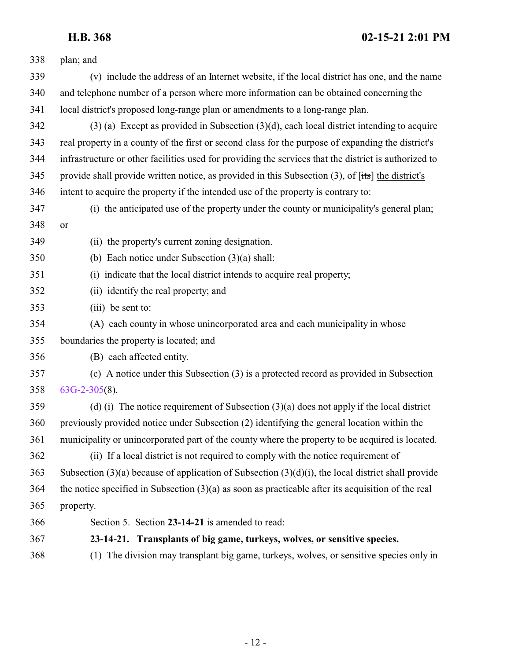<span id="page-11-0"></span>

| 338 | plan; and                                                                                               |
|-----|---------------------------------------------------------------------------------------------------------|
| 339 | (v) include the address of an Internet website, if the local district has one, and the name             |
| 340 | and telephone number of a person where more information can be obtained concerning the                  |
| 341 | local district's proposed long-range plan or amendments to a long-range plan.                           |
| 342 | $(3)$ (a) Except as provided in Subsection $(3)(d)$ , each local district intending to acquire          |
| 343 | real property in a county of the first or second class for the purpose of expanding the district's      |
| 344 | infrastructure or other facilities used for providing the services that the district is authorized to   |
| 345 | provide shall provide written notice, as provided in this Subsection $(3)$ , of $[its]$ the district's  |
| 346 | intent to acquire the property if the intended use of the property is contrary to:                      |
| 347 | (i) the anticipated use of the property under the county or municipality's general plan;                |
| 348 | <b>or</b>                                                                                               |
| 349 | (ii) the property's current zoning designation.                                                         |
| 350 | (b) Each notice under Subsection $(3)(a)$ shall:                                                        |
| 351 | (i) indicate that the local district intends to acquire real property;                                  |
| 352 | (ii) identify the real property; and                                                                    |
| 353 | (iii) be sent to:                                                                                       |
| 354 | (A) each county in whose unincorporated area and each municipality in whose                             |
| 355 | boundaries the property is located; and                                                                 |
| 356 | (B) each affected entity.                                                                               |
| 357 | (c) A notice under this Subsection (3) is a protected record as provided in Subsection                  |
| 358 | $63G-2-305(8)$ .                                                                                        |
| 359 | (d) (i) The notice requirement of Subsection $(3)(a)$ does not apply if the local district              |
| 360 | previously provided notice under Subsection (2) identifying the general location within the             |
| 361 | municipality or unincorporated part of the county where the property to be acquired is located.         |
| 362 | (ii) If a local district is not required to comply with the notice requirement of                       |
| 363 | Subsection $(3)(a)$ because of application of Subsection $(3)(d)(i)$ , the local district shall provide |
| 364 | the notice specified in Subsection $(3)(a)$ as soon as practicable after its acquisition of the real    |
| 365 | property.                                                                                               |
| 366 | Section 5. Section 23-14-21 is amended to read:                                                         |
| 367 | 23-14-21. Transplants of big game, turkeys, wolves, or sensitive species.                               |
| 368 | (1) The division may transplant big game, turkeys, wolves, or sensitive species only in                 |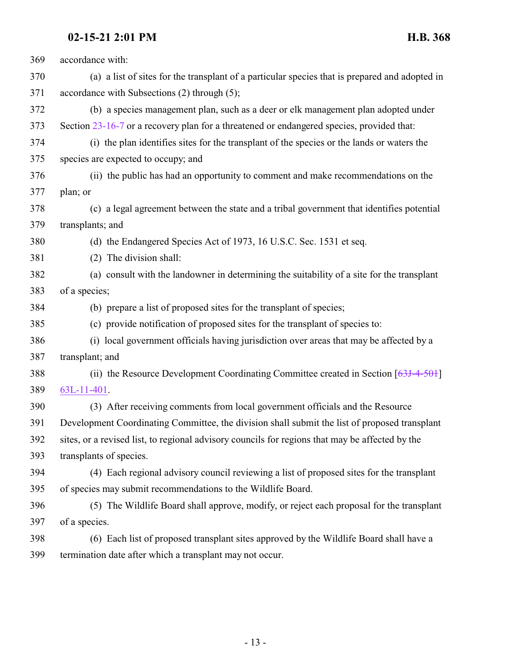| 369 | accordance with:                                                                                |
|-----|-------------------------------------------------------------------------------------------------|
| 370 | (a) a list of sites for the transplant of a particular species that is prepared and adopted in  |
| 371 | accordance with Subsections (2) through (5);                                                    |
| 372 | (b) a species management plan, such as a deer or elk management plan adopted under              |
| 373 | Section 23-16-7 or a recovery plan for a threatened or endangered species, provided that:       |
| 374 | (i) the plan identifies sites for the transplant of the species or the lands or waters the      |
| 375 | species are expected to occupy; and                                                             |
| 376 | (ii) the public has had an opportunity to comment and make recommendations on the               |
| 377 | plan; or                                                                                        |
| 378 | (c) a legal agreement between the state and a tribal government that identifies potential       |
| 379 | transplants; and                                                                                |
| 380 | (d) the Endangered Species Act of 1973, 16 U.S.C. Sec. 1531 et seq.                             |
| 381 | (2) The division shall:                                                                         |
| 382 | (a) consult with the landowner in determining the suitability of a site for the transplant      |
| 383 | of a species;                                                                                   |
| 384 | (b) prepare a list of proposed sites for the transplant of species;                             |
| 385 | (c) provide notification of proposed sites for the transplant of species to:                    |
| 386 | (i) local government officials having jurisdiction over areas that may be affected by a         |
| 387 | transplant; and                                                                                 |
| 388 | (ii) the Resource Development Coordinating Committee created in Section $[63J-4-50+]$           |
| 389 | $63L-11-401$ .                                                                                  |
| 390 | (3) After receiving comments from local government officials and the Resource                   |
| 391 | Development Coordinating Committee, the division shall submit the list of proposed transplant   |
| 392 | sites, or a revised list, to regional advisory councils for regions that may be affected by the |
| 393 | transplants of species.                                                                         |
| 394 | (4) Each regional advisory council reviewing a list of proposed sites for the transplant        |
| 395 | of species may submit recommendations to the Wildlife Board.                                    |
| 396 | (5) The Wildlife Board shall approve, modify, or reject each proposal for the transplant        |
| 397 | of a species.                                                                                   |
| 398 | (6) Each list of proposed transplant sites approved by the Wildlife Board shall have a          |
| 399 | termination date after which a transplant may not occur.                                        |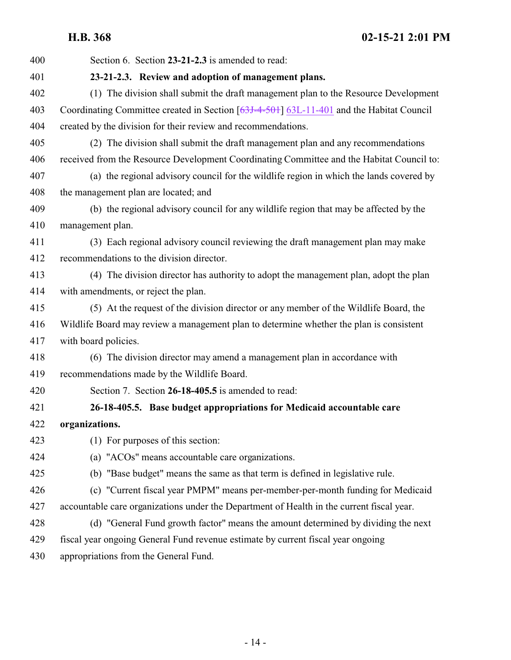<span id="page-13-1"></span><span id="page-13-0"></span>

| 400 | Section 6. Section 23-21-2.3 is amended to read:                                          |
|-----|-------------------------------------------------------------------------------------------|
| 401 | 23-21-2.3. Review and adoption of management plans.                                       |
| 402 | (1) The division shall submit the draft management plan to the Resource Development       |
| 403 | Coordinating Committee created in Section [63J-4-501] 63L-11-401 and the Habitat Council  |
| 404 | created by the division for their review and recommendations.                             |
| 405 | (2) The division shall submit the draft management plan and any recommendations           |
| 406 | received from the Resource Development Coordinating Committee and the Habitat Council to: |
| 407 | (a) the regional advisory council for the wildlife region in which the lands covered by   |
| 408 | the management plan are located; and                                                      |
| 409 | (b) the regional advisory council for any wildlife region that may be affected by the     |
| 410 | management plan.                                                                          |
| 411 | (3) Each regional advisory council reviewing the draft management plan may make           |
| 412 | recommendations to the division director.                                                 |
| 413 | (4) The division director has authority to adopt the management plan, adopt the plan      |
| 414 | with amendments, or reject the plan.                                                      |
| 415 | (5) At the request of the division director or any member of the Wildlife Board, the      |
| 416 | Wildlife Board may review a management plan to determine whether the plan is consistent   |
| 417 | with board policies.                                                                      |
| 418 | (6) The division director may amend a management plan in accordance with                  |
| 419 | recommendations made by the Wildlife Board.                                               |
| 420 | Section 7. Section 26-18-405.5 is amended to read:                                        |
| 421 | 26-18-405.5. Base budget appropriations for Medicaid accountable care                     |
| 422 | organizations.                                                                            |
| 423 | (1) For purposes of this section:                                                         |
| 424 | (a) "ACOs" means accountable care organizations.                                          |
| 425 | (b) "Base budget" means the same as that term is defined in legislative rule.             |
| 426 | (c) "Current fiscal year PMPM" means per-member-per-month funding for Medicaid            |
| 427 | accountable care organizations under the Department of Health in the current fiscal year. |
| 428 | (d) "General Fund growth factor" means the amount determined by dividing the next         |
| 429 | fiscal year ongoing General Fund revenue estimate by current fiscal year ongoing          |
| 430 | appropriations from the General Fund.                                                     |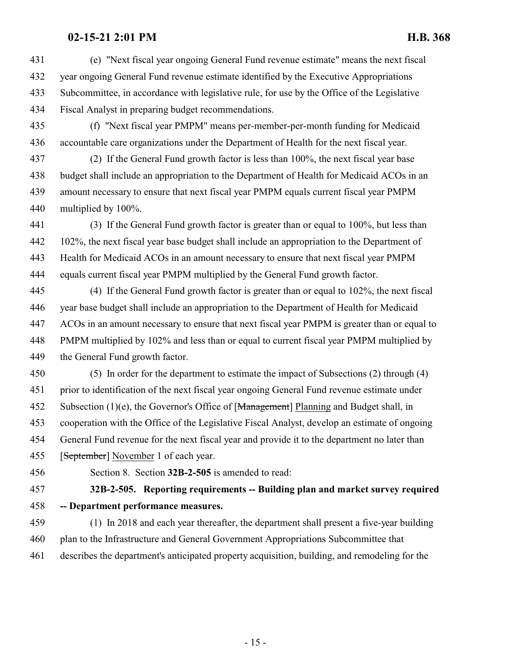(e) "Next fiscal year ongoing General Fund revenue estimate" means the next fiscal year ongoing General Fund revenue estimate identified by the Executive Appropriations Subcommittee, in accordance with legislative rule, for use by the Office of the Legislative Fiscal Analyst in preparing budget recommendations.

 (f) "Next fiscal year PMPM" means per-member-per-month funding for Medicaid accountable care organizations under the Department of Health for the next fiscal year.

 (2) If the General Fund growth factor is less than 100%, the next fiscal year base budget shall include an appropriation to the Department of Health for Medicaid ACOs in an amount necessary to ensure that next fiscal year PMPM equals current fiscal year PMPM multiplied by 100%.

 (3) If the General Fund growth factor is greater than or equal to 100%, but less than 102%, the next fiscal year base budget shall include an appropriation to the Department of Health for Medicaid ACOs in an amount necessary to ensure that next fiscal year PMPM equals current fiscal year PMPM multiplied by the General Fund growth factor.

 (4) If the General Fund growth factor is greater than or equal to 102%, the next fiscal year base budget shall include an appropriation to the Department of Health for Medicaid ACOs in an amount necessary to ensure that next fiscal year PMPM is greater than or equal to PMPM multiplied by 102% and less than or equal to current fiscal year PMPM multiplied by 449 the General Fund growth factor.

 (5) In order for the department to estimate the impact of Subsections (2) through (4) prior to identification of the next fiscal year ongoing General Fund revenue estimate under 452 Subsection (1)(e), the Governor's Office of [Management] Planning and Budget shall, in cooperation with the Office of the Legislative Fiscal Analyst, develop an estimate of ongoing General Fund revenue for the next fiscal year and provide it to the department no later than 455 [September] November 1 of each year.

<span id="page-14-0"></span>Section 8. Section **32B-2-505** is amended to read:

## **32B-2-505. Reporting requirements -- Building plan and market survey required -- Department performance measures.**

 (1) In 2018 and each year thereafter, the department shall present a five-year building plan to the Infrastructure and General Government Appropriations Subcommittee that describes the department's anticipated property acquisition, building, and remodeling for the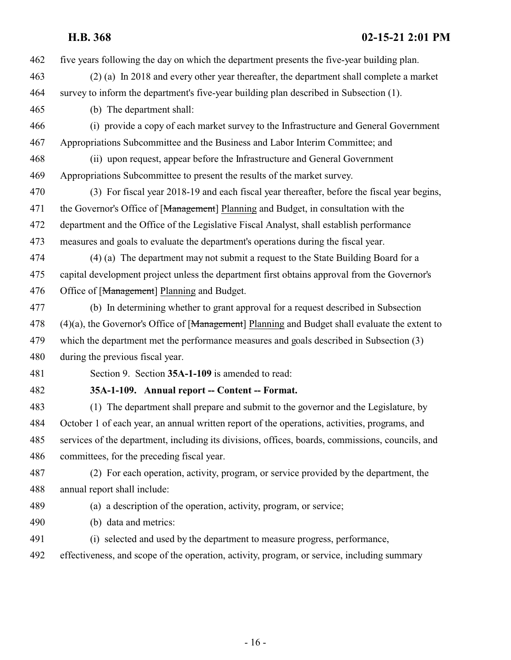five years following the day on which the department presents the five-year building plan.

 (2) (a) In 2018 and every other year thereafter, the department shall complete a market survey to inform the department's five-year building plan described in Subsection (1).

(b) The department shall:

- (i) provide a copy of each market survey to the Infrastructure and General Government Appropriations Subcommittee and the Business and Labor Interim Committee; and
- (ii) upon request, appear before the Infrastructure and General Government Appropriations Subcommittee to present the results of the market survey.
- (3) For fiscal year 2018-19 and each fiscal year thereafter, before the fiscal year begins, 471 the Governor's Office of [Management] Planning and Budget, in consultation with the
- department and the Office of the Legislative Fiscal Analyst, shall establish performance

measures and goals to evaluate the department's operations during the fiscal year.

- (4) (a) The department may not submit a request to the State Building Board for a capital development project unless the department first obtains approval from the Governor's 476 Office of [Management] Planning and Budget.
- (b) In determining whether to grant approval for a request described in Subsection 478 (4)(a), the Governor's Office of  $[Management]$  Planning and Budget shall evaluate the extent to which the department met the performance measures and goals described in Subsection (3) during the previous fiscal year.

Section 9. Section **35A-1-109** is amended to read:

<span id="page-15-0"></span>

**35A-1-109. Annual report -- Content -- Format.**

 (1) The department shall prepare and submit to the governor and the Legislature, by October 1 of each year, an annual written report of the operations, activities, programs, and services of the department, including its divisions, offices, boards, commissions, councils, and committees, for the preceding fiscal year.

- (2) For each operation, activity, program, or service provided by the department, the annual report shall include:
- (a) a description of the operation, activity, program, or service;
- (b) data and metrics:
- (i) selected and used by the department to measure progress, performance,
- effectiveness, and scope of the operation, activity, program, or service, including summary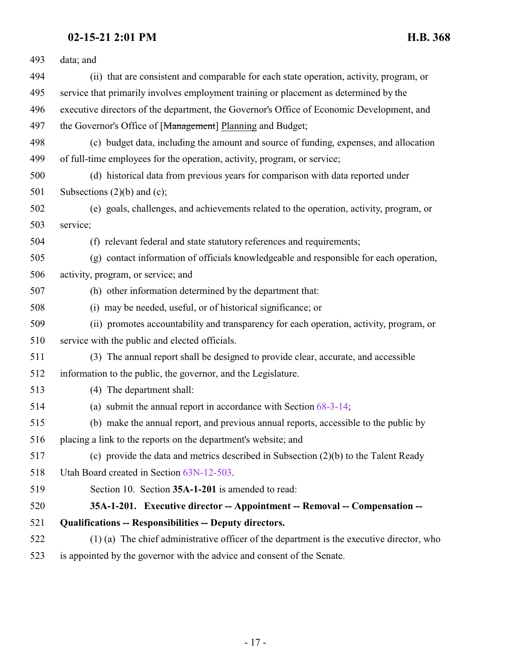<span id="page-16-0"></span>

| 493 | data; and                                                                                 |
|-----|-------------------------------------------------------------------------------------------|
| 494 | (ii) that are consistent and comparable for each state operation, activity, program, or   |
| 495 | service that primarily involves employment training or placement as determined by the     |
| 496 | executive directors of the department, the Governor's Office of Economic Development, and |
| 497 | the Governor's Office of [Management] Planning and Budget;                                |
| 498 | (c) budget data, including the amount and source of funding, expenses, and allocation     |
| 499 | of full-time employees for the operation, activity, program, or service;                  |
| 500 | (d) historical data from previous years for comparison with data reported under           |
| 501 | Subsections $(2)(b)$ and $(c)$ ;                                                          |
| 502 | (e) goals, challenges, and achievements related to the operation, activity, program, or   |
| 503 | service;                                                                                  |
| 504 | (f) relevant federal and state statutory references and requirements;                     |
| 505 | (g) contact information of officials knowledgeable and responsible for each operation,    |
| 506 | activity, program, or service; and                                                        |
| 507 | (h) other information determined by the department that:                                  |
| 508 | (i) may be needed, useful, or of historical significance; or                              |
| 509 | (ii) promotes accountability and transparency for each operation, activity, program, or   |
| 510 | service with the public and elected officials.                                            |
| 511 | (3) The annual report shall be designed to provide clear, accurate, and accessible        |
| 512 | information to the public, the governor, and the Legislature.                             |
| 513 | (4) The department shall:                                                                 |
| 514 | (a) submit the annual report in accordance with Section $68-3-14$ ;                       |
| 515 | (b) make the annual report, and previous annual reports, accessible to the public by      |
| 516 | placing a link to the reports on the department's website; and                            |
| 517 | (c) provide the data and metrics described in Subsection $(2)(b)$ to the Talent Ready     |
| 518 | Utah Board created in Section 63N-12-503.                                                 |
| 519 | Section 10. Section 35A-1-201 is amended to read:                                         |
| 520 | 35A-1-201. Executive director -- Appointment -- Removal -- Compensation --                |
| 521 | <b>Qualifications -- Responsibilities -- Deputy directors.</b>                            |
| 522 | (1) (a) The chief administrative officer of the department is the executive director, who |
| 523 | is appointed by the governor with the advice and consent of the Senate.                   |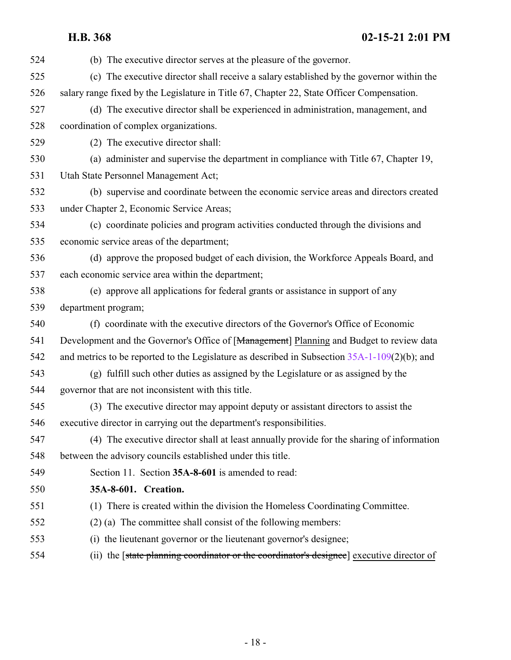<span id="page-17-0"></span>

| 524 | (b) The executive director serves at the pleasure of the governor.                               |
|-----|--------------------------------------------------------------------------------------------------|
| 525 | (c) The executive director shall receive a salary established by the governor within the         |
| 526 | salary range fixed by the Legislature in Title 67, Chapter 22, State Officer Compensation.       |
| 527 | (d) The executive director shall be experienced in administration, management, and               |
| 528 | coordination of complex organizations.                                                           |
| 529 | (2) The executive director shall:                                                                |
| 530 | (a) administer and supervise the department in compliance with Title 67, Chapter 19,             |
| 531 | Utah State Personnel Management Act;                                                             |
| 532 | (b) supervise and coordinate between the economic service areas and directors created            |
| 533 | under Chapter 2, Economic Service Areas;                                                         |
| 534 | (c) coordinate policies and program activities conducted through the divisions and               |
| 535 | economic service areas of the department;                                                        |
| 536 | (d) approve the proposed budget of each division, the Workforce Appeals Board, and               |
| 537 | each economic service area within the department;                                                |
| 538 | (e) approve all applications for federal grants or assistance in support of any                  |
| 539 | department program;                                                                              |
| 540 | (f) coordinate with the executive directors of the Governor's Office of Economic                 |
| 541 | Development and the Governor's Office of [Management] Planning and Budget to review data         |
| 542 | and metrics to be reported to the Legislature as described in Subsection $35A-1-109(2)(b)$ ; and |
| 543 | (g) fulfill such other duties as assigned by the Legislature or as assigned by the               |
| 544 | governor that are not inconsistent with this title.                                              |
| 545 | (3) The executive director may appoint deputy or assistant directors to assist the               |
| 546 | executive director in carrying out the department's responsibilities.                            |
| 547 | (4) The executive director shall at least annually provide for the sharing of information        |
| 548 | between the advisory councils established under this title.                                      |
| 549 | Section 11. Section 35A-8-601 is amended to read:                                                |
| 550 | 35A-8-601. Creation.                                                                             |
| 551 | (1) There is created within the division the Homeless Coordinating Committee.                    |
| 552 | $(2)$ (a) The committee shall consist of the following members:                                  |
| 553 | (i) the lieutenant governor or the lieutenant governor's designee;                               |
| 554 | (ii) the [state planning coordinator or the coordinator's designee] executive director of        |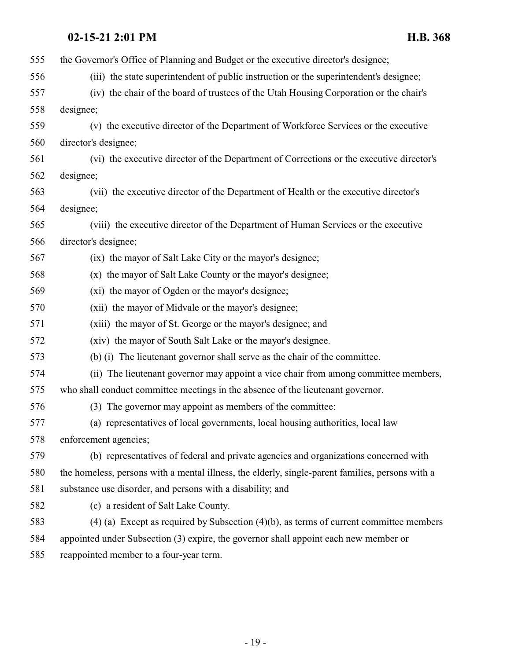| 555 | the Governor's Office of Planning and Budget or the executive director's designee;               |
|-----|--------------------------------------------------------------------------------------------------|
| 556 | (iii) the state superintendent of public instruction or the superintendent's designee;           |
| 557 | (iv) the chair of the board of trustees of the Utah Housing Corporation or the chair's           |
| 558 | designee;                                                                                        |
| 559 | (v) the executive director of the Department of Workforce Services or the executive              |
| 560 | director's designee;                                                                             |
| 561 | (vi) the executive director of the Department of Corrections or the executive director's         |
| 562 | designee;                                                                                        |
| 563 | (vii) the executive director of the Department of Health or the executive director's             |
| 564 | designee;                                                                                        |
| 565 | (viii) the executive director of the Department of Human Services or the executive               |
| 566 | director's designee;                                                                             |
| 567 | (ix) the mayor of Salt Lake City or the mayor's designee;                                        |
| 568 | (x) the mayor of Salt Lake County or the mayor's designee;                                       |
| 569 | (xi) the mayor of Ogden or the mayor's designee;                                                 |
| 570 | (xii) the mayor of Midvale or the mayor's designee;                                              |
| 571 | (xiii) the mayor of St. George or the mayor's designee; and                                      |
| 572 | (xiv) the mayor of South Salt Lake or the mayor's designee.                                      |
| 573 | (b) (i) The lieutenant governor shall serve as the chair of the committee.                       |
| 574 | (ii) The lieutenant governor may appoint a vice chair from among committee members,              |
| 575 | who shall conduct committee meetings in the absence of the lieutenant governor.                  |
| 576 | (3) The governor may appoint as members of the committee:                                        |
| 577 | (a) representatives of local governments, local housing authorities, local law                   |
| 578 | enforcement agencies;                                                                            |
| 579 | (b) representatives of federal and private agencies and organizations concerned with             |
| 580 | the homeless, persons with a mental illness, the elderly, single-parent families, persons with a |
| 581 | substance use disorder, and persons with a disability; and                                       |
| 582 | (c) a resident of Salt Lake County.                                                              |
| 583 | $(4)$ (a) Except as required by Subsection $(4)(b)$ , as terms of current committee members      |
| 584 | appointed under Subsection (3) expire, the governor shall appoint each new member or             |
| 585 | reappointed member to a four-year term.                                                          |
|     |                                                                                                  |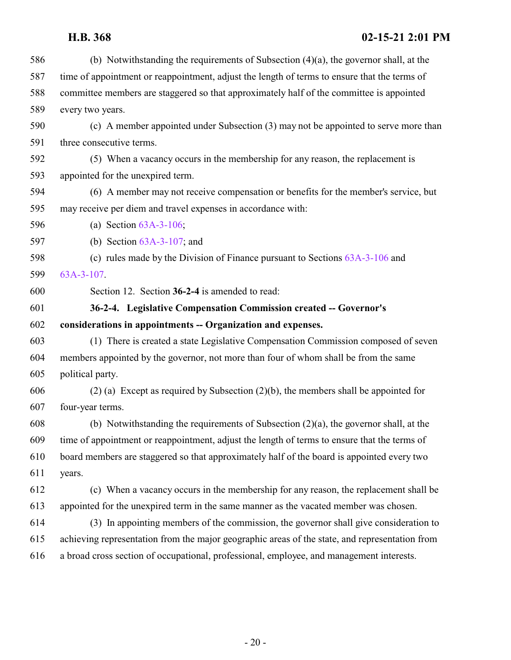<span id="page-19-0"></span>

| 586 | (b) Notwithstanding the requirements of Subsection $(4)(a)$ , the governor shall, at the       |
|-----|------------------------------------------------------------------------------------------------|
| 587 | time of appointment or reappointment, adjust the length of terms to ensure that the terms of   |
| 588 | committee members are staggered so that approximately half of the committee is appointed       |
| 589 | every two years.                                                                               |
| 590 | (c) A member appointed under Subsection (3) may not be appointed to serve more than            |
| 591 | three consecutive terms.                                                                       |
| 592 | (5) When a vacancy occurs in the membership for any reason, the replacement is                 |
| 593 | appointed for the unexpired term.                                                              |
| 594 | (6) A member may not receive compensation or benefits for the member's service, but            |
| 595 | may receive per diem and travel expenses in accordance with:                                   |
| 596 | (a) Section $63A-3-106$ ;                                                                      |
| 597 | (b) Section $63A-3-107$ ; and                                                                  |
| 598 | (c) rules made by the Division of Finance pursuant to Sections $63A-3-106$ and                 |
| 599 | 63A-3-107.                                                                                     |
| 600 | Section 12. Section 36-2-4 is amended to read:                                                 |
| 601 | 36-2-4. Legislative Compensation Commission created -- Governor's                              |
| 602 | considerations in appointments -- Organization and expenses.                                   |
| 603 | (1) There is created a state Legislative Compensation Commission composed of seven             |
| 604 | members appointed by the governor, not more than four of whom shall be from the same           |
| 605 | political party.                                                                               |
| 606 | $(2)$ (a) Except as required by Subsection $(2)(b)$ , the members shall be appointed for       |
| 607 | four-year terms.                                                                               |
| 608 | (b) Notwithstanding the requirements of Subsection $(2)(a)$ , the governor shall, at the       |
| 609 | time of appointment or reappointment, adjust the length of terms to ensure that the terms of   |
| 610 | board members are staggered so that approximately half of the board is appointed every two     |
| 611 | years.                                                                                         |
| 612 | (c) When a vacancy occurs in the membership for any reason, the replacement shall be           |
| 613 | appointed for the unexpired term in the same manner as the vacated member was chosen.          |
| 614 | (3) In appointing members of the commission, the governor shall give consideration to          |
| 615 | achieving representation from the major geographic areas of the state, and representation from |
| 616 | a broad cross section of occupational, professional, employee, and management interests.       |
|     |                                                                                                |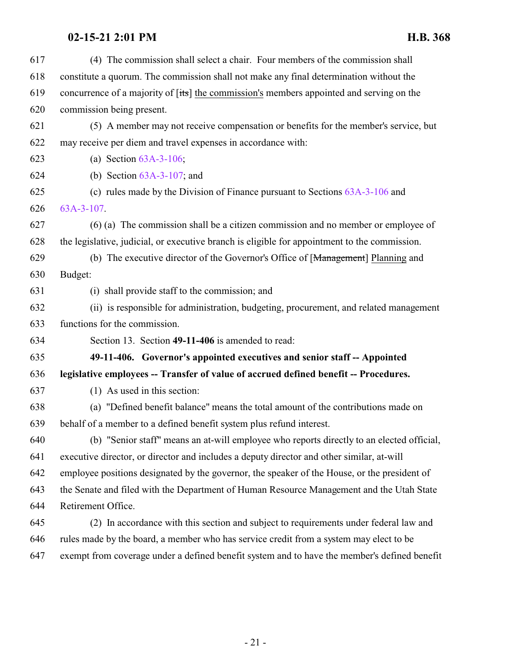<span id="page-20-0"></span>

| 617 | (4) The commission shall select a chair. Four members of the commission shall                 |
|-----|-----------------------------------------------------------------------------------------------|
| 618 | constitute a quorum. The commission shall not make any final determination without the        |
| 619 | concurrence of a majority of [its] the commission's members appointed and serving on the      |
| 620 | commission being present.                                                                     |
| 621 | (5) A member may not receive compensation or benefits for the member's service, but           |
| 622 | may receive per diem and travel expenses in accordance with:                                  |
| 623 | (a) Section $63A-3-106$ ;                                                                     |
| 624 | (b) Section $63A-3-107$ ; and                                                                 |
| 625 | (c) rules made by the Division of Finance pursuant to Sections $63A-3-106$ and                |
| 626 | $63A-3-107$ .                                                                                 |
| 627 | (6) (a) The commission shall be a citizen commission and no member or employee of             |
| 628 | the legislative, judicial, or executive branch is eligible for appointment to the commission. |
| 629 | (b) The executive director of the Governor's Office of [Management] Planning and              |
| 630 | Budget:                                                                                       |
| 631 | (i) shall provide staff to the commission; and                                                |
| 632 | (ii) is responsible for administration, budgeting, procurement, and related management        |
| 633 | functions for the commission.                                                                 |
| 634 | Section 13. Section 49-11-406 is amended to read:                                             |
| 635 | 49-11-406. Governor's appointed executives and senior staff -- Appointed                      |
| 636 | legislative employees -- Transfer of value of accrued defined benefit -- Procedures.          |
| 637 | (1) As used in this section:                                                                  |
| 638 | (a) "Defined benefit balance" means the total amount of the contributions made on             |
| 639 | behalf of a member to a defined benefit system plus refund interest.                          |
| 640 | (b) "Senior staff" means an at-will employee who reports directly to an elected official,     |
| 641 | executive director, or director and includes a deputy director and other similar, at-will     |
| 642 | employee positions designated by the governor, the speaker of the House, or the president of  |
| 643 | the Senate and filed with the Department of Human Resource Management and the Utah State      |
|     |                                                                                               |
| 644 | Retirement Office.                                                                            |
| 645 | (2) In accordance with this section and subject to requirements under federal law and         |
| 646 | rules made by the board, a member who has service credit from a system may elect to be        |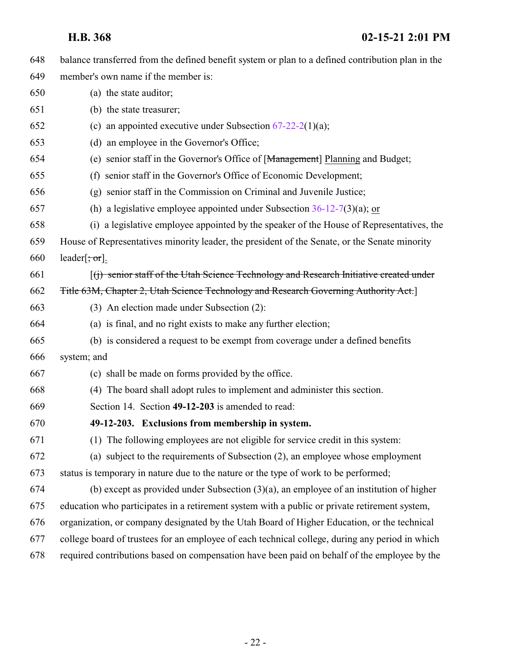<span id="page-21-0"></span>

| 648 | balance transferred from the defined benefit system or plan to a defined contribution plan in the                     |
|-----|-----------------------------------------------------------------------------------------------------------------------|
| 649 | member's own name if the member is:                                                                                   |
| 650 | (a) the state auditor;                                                                                                |
| 651 | (b) the state treasurer;                                                                                              |
| 652 | (c) an appointed executive under Subsection $67-22-2(1)(a)$ ;                                                         |
| 653 | (d) an employee in the Governor's Office;                                                                             |
| 654 | (e) senior staff in the Governor's Office of [Management] Planning and Budget;                                        |
| 655 | (f) senior staff in the Governor's Office of Economic Development;                                                    |
| 656 | (g) senior staff in the Commission on Criminal and Juvenile Justice;                                                  |
| 657 | (h) a legislative employee appointed under Subsection $36-12-7(3)(a)$ ; or                                            |
| 658 | (i) a legislative employee appointed by the speaker of the House of Representatives, the                              |
| 659 | House of Representatives minority leader, the president of the Senate, or the Senate minority                         |
| 660 | $leader[\div \text{or}].$                                                                                             |
| 661 | $\left[\right(\mathfrak{f})\right]$ senior staff of the Utah Science Technology and Research Initiative created under |
| 662 | Title 63M, Chapter 2, Utah Science Technology and Research Governing Authority Act.]                                  |
| 663 | (3) An election made under Subsection (2):                                                                            |
| 664 | (a) is final, and no right exists to make any further election;                                                       |
| 665 | (b) is considered a request to be exempt from coverage under a defined benefits                                       |
| 666 | system; and                                                                                                           |
| 667 | (c) shall be made on forms provided by the office.                                                                    |
| 668 | (4) The board shall adopt rules to implement and administer this section.                                             |
| 669 | Section 14. Section 49-12-203 is amended to read:                                                                     |
| 670 | 49-12-203. Exclusions from membership in system.                                                                      |
| 671 | (1) The following employees are not eligible for service credit in this system:                                       |
| 672 | (a) subject to the requirements of Subsection (2), an employee whose employment                                       |
| 673 | status is temporary in nature due to the nature or the type of work to be performed;                                  |
| 674 | (b) except as provided under Subsection $(3)(a)$ , an employee of an institution of higher                            |
| 675 | education who participates in a retirement system with a public or private retirement system,                         |
| 676 | organization, or company designated by the Utah Board of Higher Education, or the technical                           |
| 677 | college board of trustees for an employee of each technical college, during any period in which                       |
| 678 | required contributions based on compensation have been paid on behalf of the employee by the                          |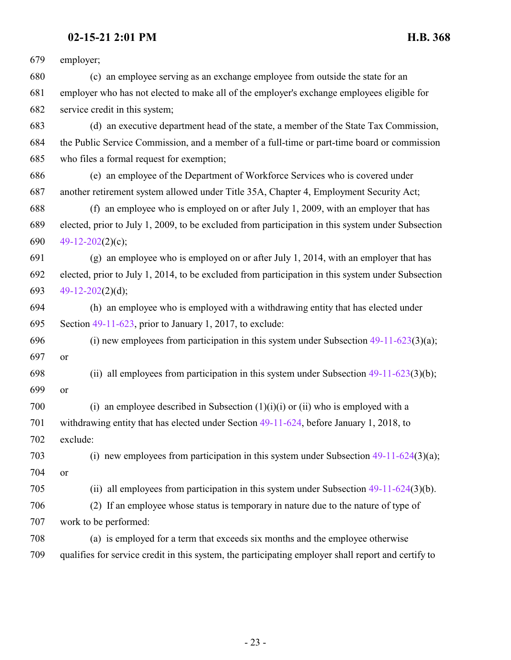| 679 | employer;                                                                                           |
|-----|-----------------------------------------------------------------------------------------------------|
| 680 | (c) an employee serving as an exchange employee from outside the state for an                       |
| 681 | employer who has not elected to make all of the employer's exchange employees eligible for          |
| 682 | service credit in this system;                                                                      |
| 683 | (d) an executive department head of the state, a member of the State Tax Commission,                |
| 684 | the Public Service Commission, and a member of a full-time or part-time board or commission         |
| 685 | who files a formal request for exemption;                                                           |
| 686 | (e) an employee of the Department of Workforce Services who is covered under                        |
| 687 | another retirement system allowed under Title 35A, Chapter 4, Employment Security Act;              |
| 688 | (f) an employee who is employed on or after July 1, 2009, with an employer that has                 |
| 689 | elected, prior to July 1, 2009, to be excluded from participation in this system under Subsection   |
| 690 | 49-12-202(2)(c);                                                                                    |
| 691 | (g) an employee who is employed on or after July 1, 2014, with an employer that has                 |
| 692 | elected, prior to July 1, 2014, to be excluded from participation in this system under Subsection   |
| 693 | $49-12-202(2)(d);$                                                                                  |
| 694 | (h) an employee who is employed with a withdrawing entity that has elected under                    |
| 695 | Section $49-11-623$ , prior to January 1, 2017, to exclude:                                         |
| 696 | (i) new employees from participation in this system under Subsection $49-11-623(3)(a)$ ;            |
| 697 | or                                                                                                  |
| 698 | (ii) all employees from participation in this system under Subsection $49-11-623(3)(b)$ ;           |
| 699 | or                                                                                                  |
| 700 | (i) an employee described in Subsection $(1)(i)(i)$ or $(ii)$ who is employed with a                |
| 701 | withdrawing entity that has elected under Section $49-11-624$ , before January 1, 2018, to          |
| 702 | exclude:                                                                                            |
| 703 | (i) new employees from participation in this system under Subsection $49-11-624(3)(a)$ ;            |
| 704 | or                                                                                                  |
| 705 | (ii) all employees from participation in this system under Subsection $49-11-624(3)(b)$ .           |
| 706 | (2) If an employee whose status is temporary in nature due to the nature of type of                 |
| 707 | work to be performed:                                                                               |
| 708 | (a) is employed for a term that exceeds six months and the employee otherwise                       |
| 709 | qualifies for service credit in this system, the participating employer shall report and certify to |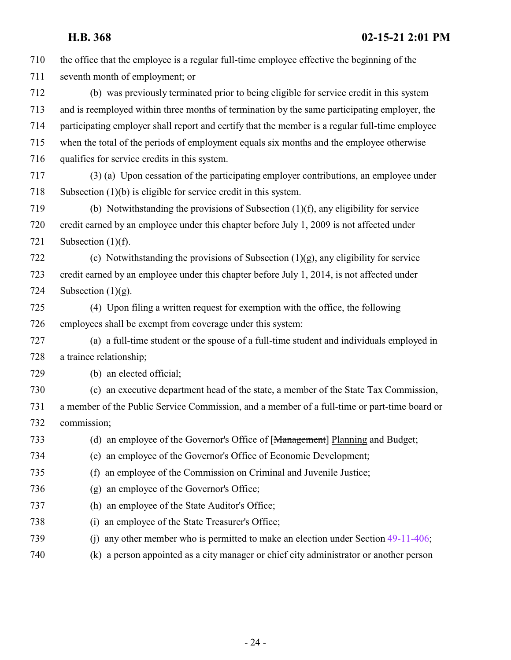| 710 | the office that the employee is a regular full-time employee effective the beginning of the     |
|-----|-------------------------------------------------------------------------------------------------|
| 711 | seventh month of employment; or                                                                 |
| 712 | (b) was previously terminated prior to being eligible for service credit in this system         |
| 713 | and is reemployed within three months of termination by the same participating employer, the    |
| 714 | participating employer shall report and certify that the member is a regular full-time employee |
| 715 | when the total of the periods of employment equals six months and the employee otherwise        |
| 716 | qualifies for service credits in this system.                                                   |
| 717 | (3) (a) Upon cessation of the participating employer contributions, an employee under           |
| 718 | Subsection $(1)(b)$ is eligible for service credit in this system.                              |
| 719 | (b) Notwithstanding the provisions of Subsection $(1)(f)$ , any eligibility for service         |
| 720 | credit earned by an employee under this chapter before July 1, 2009 is not affected under       |
| 721 | Subsection $(1)(f)$ .                                                                           |
| 722 | (c) Notwithstanding the provisions of Subsection $(1)(g)$ , any eligibility for service         |
| 723 | credit earned by an employee under this chapter before July 1, 2014, is not affected under      |
| 724 | Subsection $(1)(g)$ .                                                                           |
| 725 | (4) Upon filing a written request for exemption with the office, the following                  |
| 726 | employees shall be exempt from coverage under this system:                                      |
| 727 | (a) a full-time student or the spouse of a full-time student and individuals employed in        |
| 728 | a trainee relationship;                                                                         |
| 729 | (b) an elected official;                                                                        |
| 730 | (c) an executive department head of the state, a member of the State Tax Commission,            |
| 731 | a member of the Public Service Commission, and a member of a full-time or part-time board or    |
| 732 | commission;                                                                                     |
| 733 | (d) an employee of the Governor's Office of [Management] Planning and Budget;                   |
| 734 | (e) an employee of the Governor's Office of Economic Development;                               |
| 735 | an employee of the Commission on Criminal and Juvenile Justice;<br>(f)                          |
| 736 | (g) an employee of the Governor's Office;                                                       |
| 737 | (h) an employee of the State Auditor's Office;                                                  |
| 738 | (i) an employee of the State Treasurer's Office;                                                |
| 739 | any other member who is permitted to make an election under Section 49-11-406;<br>(i)           |
| 740 | (k) a person appointed as a city manager or chief city administrator or another person          |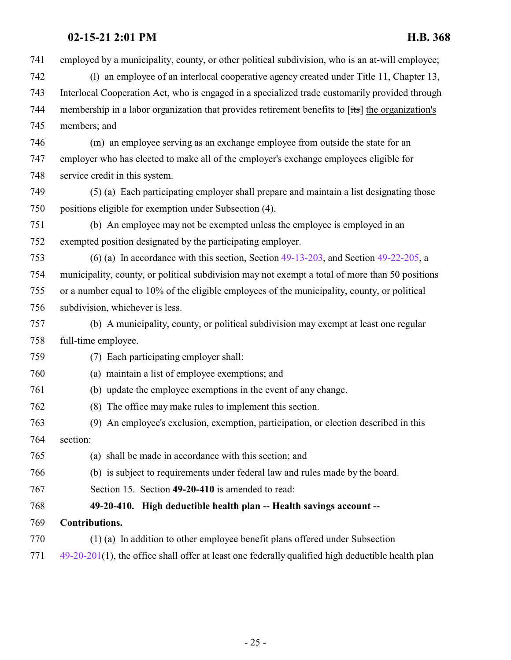employed by a municipality, county, or other political subdivision, who is an at-will employee;

- (l) an employee of an interlocal cooperative agency created under Title 11, Chapter 13, Interlocal Cooperation Act, who is engaged in a specialized trade customarily provided through membership in a labor organization that provides retirement benefits to [its] the organization's members; and
- (m) an employee serving as an exchange employee from outside the state for an employer who has elected to make all of the employer's exchange employees eligible for service credit in this system.
- (5) (a) Each participating employer shall prepare and maintain a list designating those positions eligible for exemption under Subsection (4).
- (b) An employee may not be exempted unless the employee is employed in an exempted position designated by the participating employer.
- (6) (a) In accordance with this section, Section [49-13-203](http://le.utah.gov/UtahCode/SectionLookup.jsp?section=49-13-203&session=2021GS), and Section [49-22-205](#page-26-0), a municipality, county, or political subdivision may not exempt a total of more than 50 positions or a number equal to 10% of the eligible employees of the municipality, county, or political subdivision, whichever is less.
- (b) A municipality, county, or political subdivision may exempt at least one regular full-time employee.
- (7) Each participating employer shall:
- (a) maintain a list of employee exemptions; and
- (b) update the employee exemptions in the event of any change.
- (8) The office may make rules to implement this section.
- (9) An employee's exclusion, exemption, participation, or election described in this section:
- (a) shall be made in accordance with this section; and
- (b) is subject to requirements under federal law and rules made by the board.
- <span id="page-24-0"></span>Section 15. Section **49-20-410** is amended to read:

### **49-20-410. High deductible health plan -- Health savings account --**

- **Contributions.**
- (1) (a) In addition to other employee benefit plans offered under Subsection
- [49-20-201](http://le.utah.gov/UtahCode/SectionLookup.jsp?section=49-20-201&session=2021GS)(1), the office shall offer at least one federally qualified high deductible health plan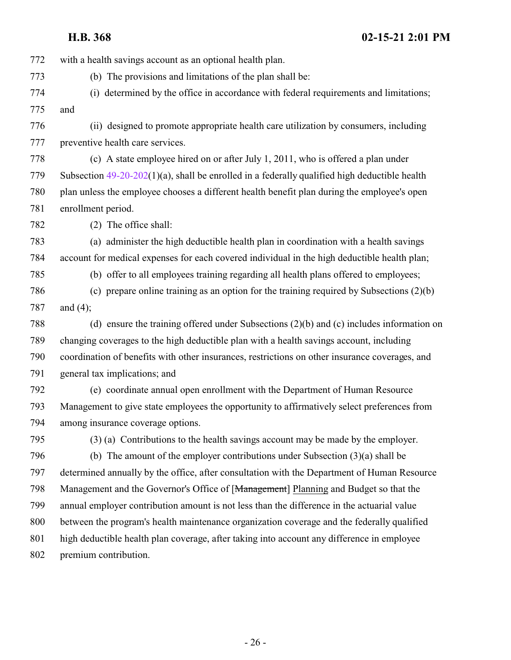with a health savings account as an optional health plan. (b) The provisions and limitations of the plan shall be: (i) determined by the office in accordance with federal requirements and limitations; and (ii) designed to promote appropriate health care utilization by consumers, including preventive health care services. (c) A state employee hired on or after July 1, 2011, who is offered a plan under Subsection [49-20-202](http://le.utah.gov/UtahCode/SectionLookup.jsp?section=49-20-202&session=2021GS)(1)(a), shall be enrolled in a federally qualified high deductible health plan unless the employee chooses a different health benefit plan during the employee's open enrollment period. (2) The office shall: (a) administer the high deductible health plan in coordination with a health savings account for medical expenses for each covered individual in the high deductible health plan; (b) offer to all employees training regarding all health plans offered to employees; (c) prepare online training as an option for the training required by Subsections (2)(b) and (4); (d) ensure the training offered under Subsections (2)(b) and (c) includes information on changing coverages to the high deductible plan with a health savings account, including coordination of benefits with other insurances, restrictions on other insurance coverages, and general tax implications; and (e) coordinate annual open enrollment with the Department of Human Resource Management to give state employees the opportunity to affirmatively select preferences from among insurance coverage options. (3) (a) Contributions to the health savings account may be made by the employer. (b) The amount of the employer contributions under Subsection (3)(a) shall be determined annually by the office, after consultation with the Department of Human Resource Management and the Governor's Office of [Management] Planning and Budget so that the annual employer contribution amount is not less than the difference in the actuarial value between the program's health maintenance organization coverage and the federally qualified high deductible health plan coverage, after taking into account any difference in employee premium contribution.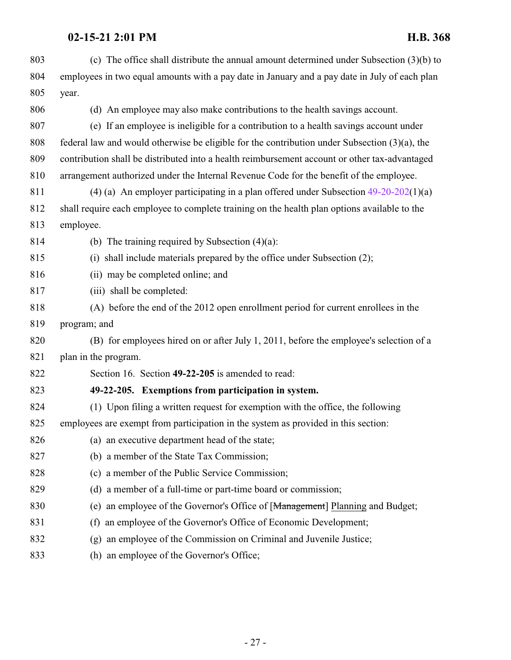<span id="page-26-0"></span>

| 803 | (c) The office shall distribute the annual amount determined under Subsection $(3)(b)$ to        |
|-----|--------------------------------------------------------------------------------------------------|
| 804 | employees in two equal amounts with a pay date in January and a pay date in July of each plan    |
| 805 | year.                                                                                            |
| 806 | (d) An employee may also make contributions to the health savings account.                       |
| 807 | (e) If an employee is ineligible for a contribution to a health savings account under            |
| 808 | federal law and would otherwise be eligible for the contribution under Subsection $(3)(a)$ , the |
| 809 | contribution shall be distributed into a health reimbursement account or other tax-advantaged    |
| 810 | arrangement authorized under the Internal Revenue Code for the benefit of the employee.          |
| 811 | (4) (a) An employer participating in a plan offered under Subsection $49-20-202(1)(a)$           |
| 812 | shall require each employee to complete training on the health plan options available to the     |
| 813 | employee.                                                                                        |
| 814 | (b) The training required by Subsection $(4)(a)$ :                                               |
| 815 | (i) shall include materials prepared by the office under Subsection (2);                         |
| 816 | (ii) may be completed online; and                                                                |
| 817 | (iii) shall be completed:                                                                        |
| 818 | (A) before the end of the 2012 open enrollment period for current enrollees in the               |
| 819 | program; and                                                                                     |
| 820 | (B) for employees hired on or after July 1, 2011, before the employee's selection of a           |
| 821 | plan in the program.                                                                             |
| 822 | Section 16. Section 49-22-205 is amended to read:                                                |
| 823 | 49-22-205. Exemptions from participation in system.                                              |
| 824 | (1) Upon filing a written request for exemption with the office, the following                   |
| 825 | employees are exempt from participation in the system as provided in this section:               |
| 826 | (a) an executive department head of the state;                                                   |
| 827 | (b) a member of the State Tax Commission;                                                        |
| 828 | (c) a member of the Public Service Commission;                                                   |
| 829 | (d) a member of a full-time or part-time board or commission;                                    |
| 830 | (e) an employee of the Governor's Office of [ <del>Management</del> ] Planning and Budget;       |
| 831 | an employee of the Governor's Office of Economic Development;<br>(f)                             |
| 832 | an employee of the Commission on Criminal and Juvenile Justice;<br>(g)                           |
| 833 | (h) an employee of the Governor's Office;                                                        |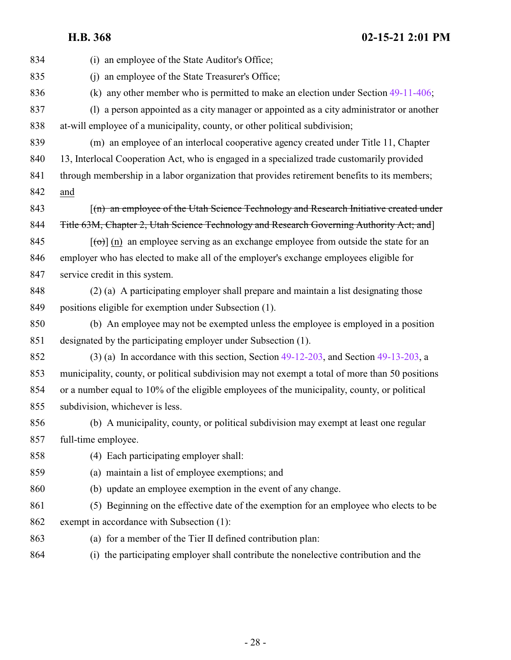| H.B. 368 |  |
|----------|--|
|----------|--|

 (i) an employee of the State Auditor's Office; (j) an employee of the State Treasurer's Office; (k) any other member who is permitted to make an election under Section [49-11-406](#page-20-0); (l) a person appointed as a city manager or appointed as a city administrator or another at-will employee of a municipality, county, or other political subdivision; (m) an employee of an interlocal cooperative agency created under Title 11, Chapter 13, Interlocal Cooperation Act, who is engaged in a specialized trade customarily provided 841 through membership in a labor organization that provides retirement benefits to its members; and 843 [(n) an employee of the Utah Science Technology and Research Initiative created under 844 Fitle 63M, Chapter 2, Utah Science Technology and Research Governing Authority Act; and [1]  $[(\theta)]$  (n) an employee serving as an exchange employee from outside the state for an employer who has elected to make all of the employer's exchange employees eligible for service credit in this system. (2) (a) A participating employer shall prepare and maintain a list designating those positions eligible for exemption under Subsection (1). (b) An employee may not be exempted unless the employee is employed in a position designated by the participating employer under Subsection (1). 852 (3) (a) In accordance with this section, Section  $49-12-203$ , and Section  $49-13-203$ , a municipality, county, or political subdivision may not exempt a total of more than 50 positions or a number equal to 10% of the eligible employees of the municipality, county, or political subdivision, whichever is less. (b) A municipality, county, or political subdivision may exempt at least one regular full-time employee. (4) Each participating employer shall: (a) maintain a list of employee exemptions; and (b) update an employee exemption in the event of any change. (5) Beginning on the effective date of the exemption for an employee who elects to be exempt in accordance with Subsection (1): (a) for a member of the Tier II defined contribution plan: (i) the participating employer shall contribute the nonelective contribution and the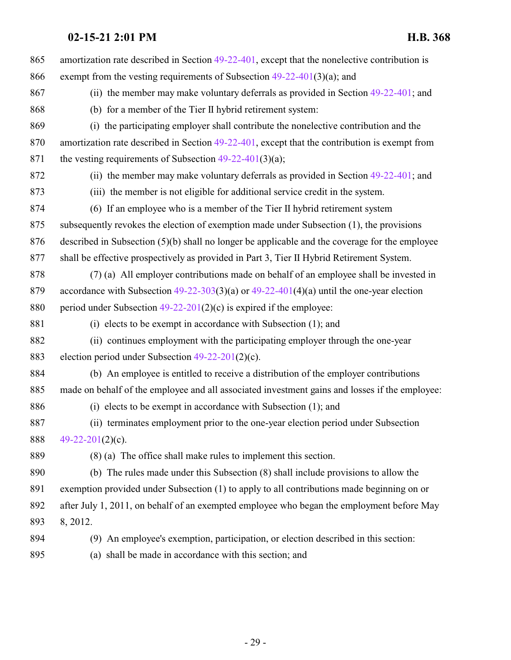| 865 | amortization rate described in Section 49-22-401, except that the nonelective contribution is    |
|-----|--------------------------------------------------------------------------------------------------|
| 866 | exempt from the vesting requirements of Subsection $49-22-401(3)(a)$ ; and                       |
| 867 | (ii) the member may make voluntary deferrals as provided in Section $49-22-401$ ; and            |
| 868 | (b) for a member of the Tier II hybrid retirement system:                                        |
| 869 | (i) the participating employer shall contribute the nonelective contribution and the             |
| 870 | amortization rate described in Section 49-22-401, except that the contribution is exempt from    |
| 871 | the vesting requirements of Subsection $49-22-401(3)(a)$ ;                                       |
| 872 | (ii) the member may make voluntary deferrals as provided in Section $49-22-401$ ; and            |
| 873 | (iii) the member is not eligible for additional service credit in the system.                    |
| 874 | (6) If an employee who is a member of the Tier II hybrid retirement system                       |
| 875 | subsequently revokes the election of exemption made under Subsection (1), the provisions         |
| 876 | described in Subsection $(5)(b)$ shall no longer be applicable and the coverage for the employee |
| 877 | shall be effective prospectively as provided in Part 3, Tier II Hybrid Retirement System.        |
| 878 | (7) (a) All employer contributions made on behalf of an employee shall be invested in            |
| 879 | accordance with Subsection $49-22-303(3)(a)$ or $49-22-401(4)(a)$ until the one-year election    |
| 880 | period under Subsection $49-22-201(2)(c)$ is expired if the employee:                            |
| 881 | (i) elects to be exempt in accordance with Subsection $(1)$ ; and                                |
| 882 | (ii) continues employment with the participating employer through the one-year                   |
| 883 | election period under Subsection $49-22-201(2)(c)$ .                                             |
| 884 | (b) An employee is entitled to receive a distribution of the employer contributions              |
| 885 | made on behalf of the employee and all associated investment gains and losses if the employee:   |
| 886 | (i) elects to be exempt in accordance with Subsection $(1)$ ; and                                |
| 887 | (ii) terminates employment prior to the one-year election period under Subsection                |
| 888 | $49-22-201(2)(c)$ .                                                                              |
| 889 | $(8)$ (a) The office shall make rules to implement this section.                                 |
| 890 | (b) The rules made under this Subsection (8) shall include provisions to allow the               |
| 891 | exemption provided under Subsection (1) to apply to all contributions made beginning on or       |
| 892 | after July 1, 2011, on behalf of an exempted employee who began the employment before May        |
| 893 | 8, 2012.                                                                                         |
| 894 | An employee's exemption, participation, or election described in this section:<br>(9)            |
| 895 | (a) shall be made in accordance with this section; and                                           |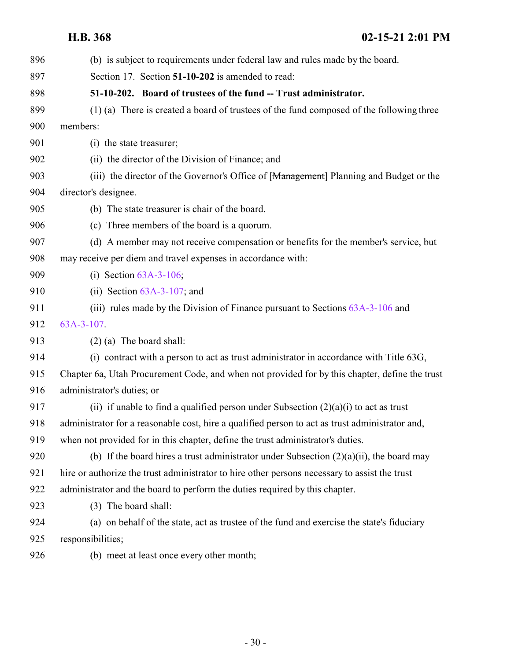<span id="page-29-0"></span>

| 896 | (b) is subject to requirements under federal law and rules made by the board.                  |
|-----|------------------------------------------------------------------------------------------------|
| 897 | Section 17. Section 51-10-202 is amended to read:                                              |
| 898 | 51-10-202. Board of trustees of the fund -- Trust administrator.                               |
| 899 | (1) (a) There is created a board of trustees of the fund composed of the following three       |
| 900 | members:                                                                                       |
| 901 | (i) the state treasurer;                                                                       |
| 902 | (ii) the director of the Division of Finance; and                                              |
| 903 | (iii) the director of the Governor's Office of [Management] Planning and Budget or the         |
| 904 | director's designee.                                                                           |
| 905 | (b) The state treasurer is chair of the board.                                                 |
| 906 | (c) Three members of the board is a quorum.                                                    |
| 907 | (d) A member may not receive compensation or benefits for the member's service, but            |
| 908 | may receive per diem and travel expenses in accordance with:                                   |
| 909 | (i) Section $63A-3-106$ ;                                                                      |
| 910 | (ii) Section $63A-3-107$ ; and                                                                 |
| 911 | (iii) rules made by the Division of Finance pursuant to Sections $63A-3-106$ and               |
| 912 | $63A-3-107$ .                                                                                  |
| 913 | $(2)$ (a) The board shall:                                                                     |
| 914 | (i) contract with a person to act as trust administrator in accordance with Title 63G,         |
| 915 | Chapter 6a, Utah Procurement Code, and when not provided for by this chapter, define the trust |
| 916 | administrator's duties; or                                                                     |
| 917 | (ii) if unable to find a qualified person under Subsection $(2)(a)(i)$ to act as trust         |
| 918 | administrator for a reasonable cost, hire a qualified person to act as trust administrator and |
| 919 | when not provided for in this chapter, define the trust administrator's duties.                |
| 920 | (b) If the board hires a trust administrator under Subsection $(2)(a)(ii)$ , the board may     |
| 921 | hire or authorize the trust administrator to hire other persons necessary to assist the trust  |
| 922 | administrator and the board to perform the duties required by this chapter.                    |
| 923 | (3) The board shall:                                                                           |
| 924 | (a) on behalf of the state, act as trustee of the fund and exercise the state's fiduciary      |
| 925 | responsibilities;                                                                              |
| 926 | (b) meet at least once every other month;                                                      |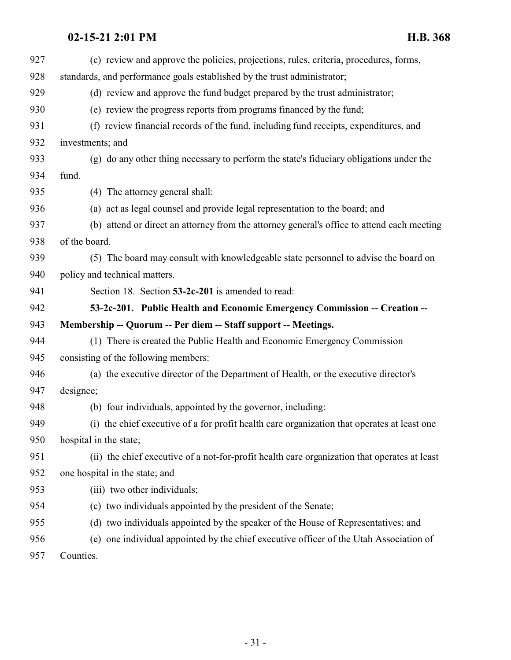<span id="page-30-0"></span>

| 927 | (c) review and approve the policies, projections, rules, criteria, procedures, forms,        |
|-----|----------------------------------------------------------------------------------------------|
| 928 | standards, and performance goals established by the trust administrator;                     |
| 929 | (d) review and approve the fund budget prepared by the trust administrator;                  |
| 930 | (e) review the progress reports from programs financed by the fund;                          |
| 931 | (f) review financial records of the fund, including fund receipts, expenditures, and         |
| 932 | investments; and                                                                             |
| 933 | (g) do any other thing necessary to perform the state's fiduciary obligations under the      |
| 934 | fund.                                                                                        |
| 935 | (4) The attorney general shall:                                                              |
| 936 | (a) act as legal counsel and provide legal representation to the board; and                  |
| 937 | (b) attend or direct an attorney from the attorney general's office to attend each meeting   |
| 938 | of the board.                                                                                |
| 939 | (5) The board may consult with knowledgeable state personnel to advise the board on          |
| 940 | policy and technical matters.                                                                |
| 941 | Section 18. Section 53-2c-201 is amended to read:                                            |
| 942 | 53-2c-201. Public Health and Economic Emergency Commission -- Creation --                    |
| 943 | Membership -- Quorum -- Per diem -- Staff support -- Meetings.                               |
| 944 | (1) There is created the Public Health and Economic Emergency Commission                     |
| 945 | consisting of the following members:                                                         |
| 946 | (a) the executive director of the Department of Health, or the executive director's          |
| 947 | designee;                                                                                    |
| 948 | (b) four individuals, appointed by the governor, including:                                  |
| 949 | (i) the chief executive of a for profit health care organization that operates at least one  |
| 950 | hospital in the state;                                                                       |
| 951 | (ii) the chief executive of a not-for-profit health care organization that operates at least |
| 952 | one hospital in the state; and                                                               |
| 953 | (iii) two other individuals;                                                                 |
| 954 | (c) two individuals appointed by the president of the Senate;                                |
| 955 | (d) two individuals appointed by the speaker of the House of Representatives; and            |
| 956 | (e) one individual appointed by the chief executive officer of the Utah Association of       |
| 957 | Counties.                                                                                    |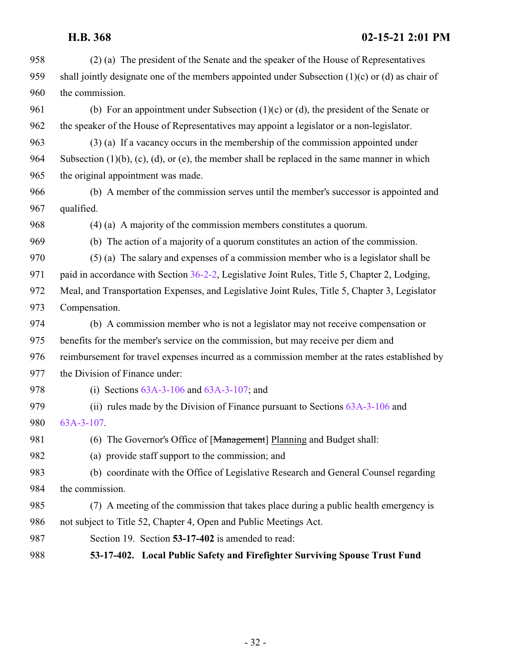<span id="page-31-0"></span> (2) (a) The president of the Senate and the speaker of the House of Representatives shall jointly designate one of the members appointed under Subsection (1)(c) or (d) as chair of the commission. 961 (b) For an appointment under Subsection  $(1)(c)$  or  $(d)$ , the president of the Senate or the speaker of the House of Representatives may appoint a legislator or a non-legislator. (3) (a) If a vacancy occurs in the membership of the commission appointed under Subsection (1)(b), (c), (d), or (e), the member shall be replaced in the same manner in which the original appointment was made. (b) A member of the commission serves until the member's successor is appointed and qualified. (4) (a) A majority of the commission members constitutes a quorum. (b) The action of a majority of a quorum constitutes an action of the commission. (5) (a) The salary and expenses of a commission member who is a legislator shall be 971 paid in accordance with Section [36-2-2](http://le.utah.gov/UtahCode/SectionLookup.jsp?section=36-2-2&session=2021GS), Legislative Joint Rules, Title 5, Chapter 2, Lodging, Meal, and Transportation Expenses, and Legislative Joint Rules, Title 5, Chapter 3, Legislator Compensation. (b) A commission member who is not a legislator may not receive compensation or benefits for the member's service on the commission, but may receive per diem and reimbursement for travel expenses incurred as a commission member at the rates established by the Division of Finance under: (i) Sections [63A-3-106](http://le.utah.gov/UtahCode/SectionLookup.jsp?section=63a-3-106&session=2021GS) and [63A-3-107](http://le.utah.gov/UtahCode/SectionLookup.jsp?section=63a-3-107&session=2021GS); and (ii) rules made by the Division of Finance pursuant to Sections [63A-3-106](http://le.utah.gov/UtahCode/SectionLookup.jsp?section=63a-3-106&session=2021GS) and [63A-3-107](http://le.utah.gov/UtahCode/SectionLookup.jsp?section=63a-3-107&session=2021GS). 981 (6) The Governor's Office of [Management] Planning and Budget shall: (a) provide staff support to the commission; and (b) coordinate with the Office of Legislative Research and General Counsel regarding the commission. (7) A meeting of the commission that takes place during a public health emergency is not subject to Title 52, Chapter 4, Open and Public Meetings Act. Section 19. Section **53-17-402** is amended to read: **53-17-402. Local Public Safety and Firefighter Surviving Spouse Trust Fund**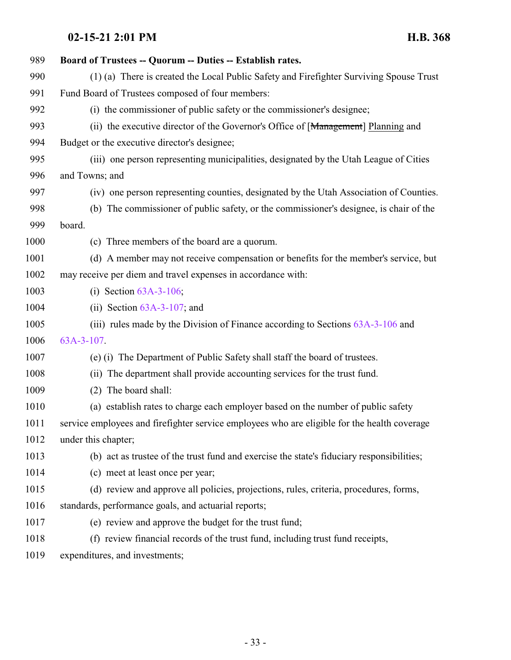| 989  | Board of Trustees -- Quorum -- Duties -- Establish rates.                                    |
|------|----------------------------------------------------------------------------------------------|
| 990  | (1) (a) There is created the Local Public Safety and Firefighter Surviving Spouse Trust      |
| 991  | Fund Board of Trustees composed of four members:                                             |
| 992  | (i) the commissioner of public safety or the commissioner's designee;                        |
| 993  | (ii) the executive director of the Governor's Office of [Management] Planning and            |
| 994  | Budget or the executive director's designee;                                                 |
| 995  | (iii) one person representing municipalities, designated by the Utah League of Cities        |
| 996  | and Towns; and                                                                               |
| 997  | (iv) one person representing counties, designated by the Utah Association of Counties.       |
| 998  | (b) The commissioner of public safety, or the commissioner's designee, is chair of the       |
| 999  | board.                                                                                       |
| 1000 | (c) Three members of the board are a quorum.                                                 |
| 1001 | (d) A member may not receive compensation or benefits for the member's service, but          |
| 1002 | may receive per diem and travel expenses in accordance with:                                 |
| 1003 | (i) Section $63A-3-106$ ;                                                                    |
| 1004 | (ii) Section $63A-3-107$ ; and                                                               |
| 1005 | (iii) rules made by the Division of Finance according to Sections $63A-3-106$ and            |
| 1006 | 63A-3-107.                                                                                   |
| 1007 | (e) (i) The Department of Public Safety shall staff the board of trustees.                   |
| 1008 | (ii) The department shall provide accounting services for the trust fund.                    |
| 1009 | (2) The board shall:                                                                         |
| 1010 | (a) establish rates to charge each employer based on the number of public safety             |
| 1011 | service employees and firefighter service employees who are eligible for the health coverage |
| 1012 | under this chapter;                                                                          |
| 1013 | (b) act as trustee of the trust fund and exercise the state's fiduciary responsibilities;    |
| 1014 | (c) meet at least once per year;                                                             |
| 1015 | (d) review and approve all policies, projections, rules, criteria, procedures, forms,        |
| 1016 | standards, performance goals, and actuarial reports;                                         |
| 1017 | (e) review and approve the budget for the trust fund;                                        |
| 1018 | (f) review financial records of the trust fund, including trust fund receipts,               |
| 1019 | expenditures, and investments;                                                               |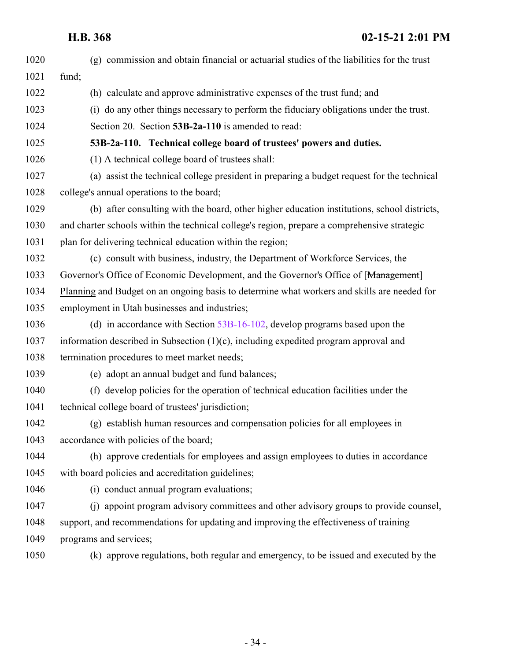<span id="page-33-0"></span>

| 1020 | (g) commission and obtain financial or actuarial studies of the liabilities for the trust    |
|------|----------------------------------------------------------------------------------------------|
| 1021 | fund;                                                                                        |
| 1022 | (h) calculate and approve administrative expenses of the trust fund; and                     |
| 1023 | (i) do any other things necessary to perform the fiduciary obligations under the trust.      |
| 1024 | Section 20. Section 53B-2a-110 is amended to read:                                           |
| 1025 | 53B-2a-110. Technical college board of trustees' powers and duties.                          |
| 1026 | (1) A technical college board of trustees shall:                                             |
| 1027 | (a) assist the technical college president in preparing a budget request for the technical   |
| 1028 | college's annual operations to the board;                                                    |
| 1029 | (b) after consulting with the board, other higher education institutions, school districts,  |
| 1030 | and charter schools within the technical college's region, prepare a comprehensive strategic |
| 1031 | plan for delivering technical education within the region;                                   |
| 1032 | (c) consult with business, industry, the Department of Workforce Services, the               |
| 1033 | Governor's Office of Economic Development, and the Governor's Office of [Management]         |
| 1034 | Planning and Budget on an ongoing basis to determine what workers and skills are needed for  |
| 1035 | employment in Utah businesses and industries;                                                |
| 1036 | (d) in accordance with Section $53B-16-102$ , develop programs based upon the                |
| 1037 | information described in Subsection $(1)(c)$ , including expedited program approval and      |
| 1038 | termination procedures to meet market needs;                                                 |
| 1039 | (e) adopt an annual budget and fund balances;                                                |
| 1040 | (f) develop policies for the operation of technical education facilities under the           |
| 1041 | technical college board of trustees' jurisdiction;                                           |
| 1042 | (g) establish human resources and compensation policies for all employees in                 |
| 1043 | accordance with policies of the board;                                                       |
| 1044 | (h) approve credentials for employees and assign employees to duties in accordance           |
| 1045 | with board policies and accreditation guidelines;                                            |
| 1046 | (i) conduct annual program evaluations;                                                      |
| 1047 | (i) appoint program advisory committees and other advisory groups to provide counsel,        |
| 1048 | support, and recommendations for updating and improving the effectiveness of training        |
| 1049 | programs and services;                                                                       |
| 1050 | (k) approve regulations, both regular and emergency, to be issued and executed by the        |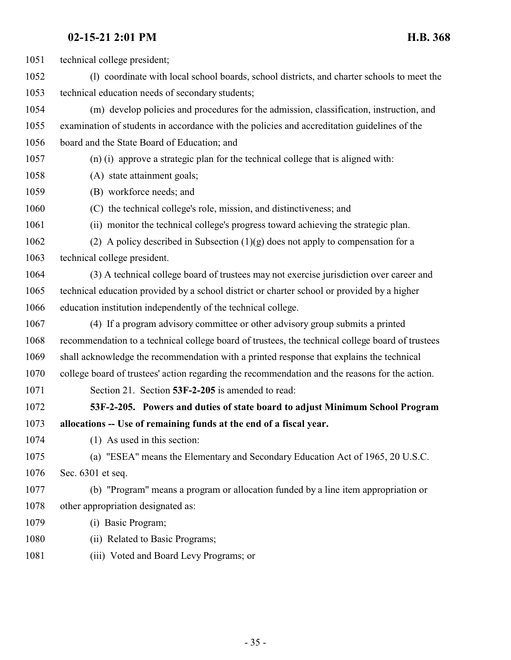<span id="page-34-0"></span> technical college president; (l) coordinate with local school boards, school districts, and charter schools to meet the technical education needs of secondary students; (m) develop policies and procedures for the admission, classification, instruction, and examination of students in accordance with the policies and accreditation guidelines of the board and the State Board of Education; and (n) (i) approve a strategic plan for the technical college that is aligned with: (A) state attainment goals; (B) workforce needs; and (C) the technical college's role, mission, and distinctiveness; and (ii) monitor the technical college's progress toward achieving the strategic plan. 1062 (2) A policy described in Subsection  $(1)(g)$  does not apply to compensation for a technical college president. (3) A technical college board of trustees may not exercise jurisdiction over career and technical education provided by a school district or charter school or provided by a higher education institution independently of the technical college. (4) If a program advisory committee or other advisory group submits a printed recommendation to a technical college board of trustees, the technical college board of trustees shall acknowledge the recommendation with a printed response that explains the technical college board of trustees' action regarding the recommendation and the reasons for the action. Section 21. Section **53F-2-205** is amended to read: **53F-2-205. Powers and duties of state board to adjust Minimum School Program allocations -- Use of remaining funds at the end of a fiscal year.** (1) As used in this section: (a) "ESEA" means the Elementary and Secondary Education Act of 1965, 20 U.S.C. Sec. 6301 et seq. (b) "Program" means a program or allocation funded by a line item appropriation or other appropriation designated as: (i) Basic Program; (ii) Related to Basic Programs; (iii) Voted and Board Levy Programs; or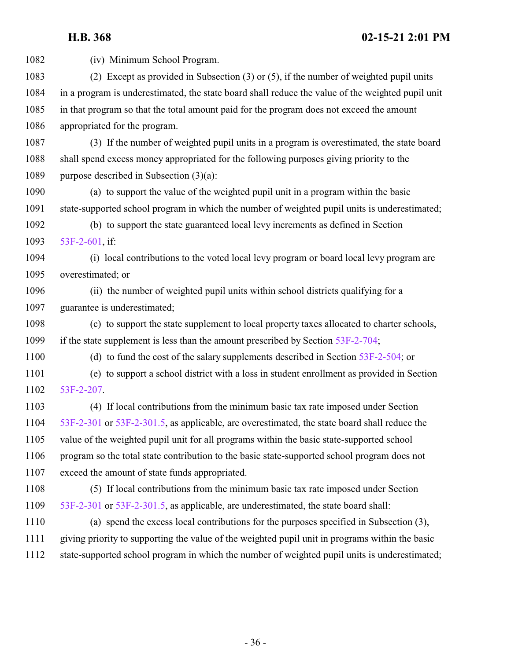(iv) Minimum School Program.

 (2) Except as provided in Subsection (3) or (5), if the number of weighted pupil units in a program is underestimated, the state board shall reduce the value of the weighted pupil unit in that program so that the total amount paid for the program does not exceed the amount appropriated for the program.

 (3) If the number of weighted pupil units in a program is overestimated, the state board shall spend excess money appropriated for the following purposes giving priority to the purpose described in Subsection (3)(a):

 (a) to support the value of the weighted pupil unit in a program within the basic state-supported school program in which the number of weighted pupil units is underestimated;

 (b) to support the state guaranteed local levy increments as defined in Section [53F-2-601](#page-37-0), if:

 (i) local contributions to the voted local levy program or board local levy program are overestimated; or

 (ii) the number of weighted pupil units within school districts qualifying for a guarantee is underestimated;

 (c) to support the state supplement to local property taxes allocated to charter schools, if the state supplement is less than the amount prescribed by Section [53F-2-704](http://le.utah.gov/UtahCode/SectionLookup.jsp?section=53f-2-704&session=2021GS);

1100 (d) to fund the cost of the salary supplements described in Section [53F-2-504](http://le.utah.gov/UtahCode/SectionLookup.jsp?section=53f-2-504&session=2021GS); or

 (e) to support a school district with a loss in student enrollment as provided in Section [53F-2-207](http://le.utah.gov/UtahCode/SectionLookup.jsp?section=53f-2-207&session=2021GS).

 (4) If local contributions from the minimum basic tax rate imposed under Section [53F-2-301](http://le.utah.gov/UtahCode/SectionLookup.jsp?section=53f-2-301&session=2021GS) or [53F-2-301.5](http://le.utah.gov/UtahCode/SectionLookup.jsp?section=53f-2-301.5&session=2021GS), as applicable, are overestimated, the state board shall reduce the value of the weighted pupil unit for all programs within the basic state-supported school program so the total state contribution to the basic state-supported school program does not exceed the amount of state funds appropriated.

 (5) If local contributions from the minimum basic tax rate imposed under Section [53F-2-301](http://le.utah.gov/UtahCode/SectionLookup.jsp?section=53f-2-301&session=2021GS) or [53F-2-301.5](http://le.utah.gov/UtahCode/SectionLookup.jsp?section=53f-2-301.5&session=2021GS), as applicable, are underestimated, the state board shall:

 (a) spend the excess local contributions for the purposes specified in Subsection (3), giving priority to supporting the value of the weighted pupil unit in programs within the basic state-supported school program in which the number of weighted pupil units is underestimated;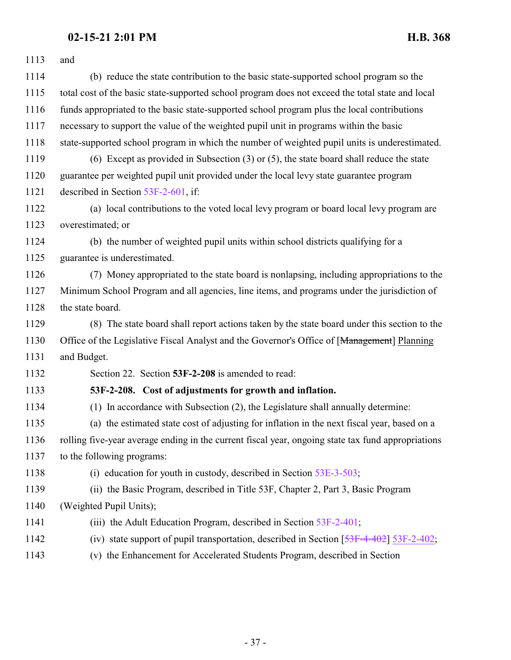| 1113 | and                                                                                                |
|------|----------------------------------------------------------------------------------------------------|
| 1114 | (b) reduce the state contribution to the basic state-supported school program so the               |
| 1115 | total cost of the basic state-supported school program does not exceed the total state and local   |
| 1116 | funds appropriated to the basic state-supported school program plus the local contributions        |
| 1117 | necessary to support the value of the weighted pupil unit in programs within the basic             |
| 1118 | state-supported school program in which the number of weighted pupil units is underestimated.      |
| 1119 | (6) Except as provided in Subsection $(3)$ or $(5)$ , the state board shall reduce the state       |
| 1120 | guarantee per weighted pupil unit provided under the local levy state guarantee program            |
| 1121 | described in Section $53F-2-601$ , if:                                                             |
| 1122 | (a) local contributions to the voted local levy program or board local levy program are            |
| 1123 | overestimated; or                                                                                  |
| 1124 | (b) the number of weighted pupil units within school districts qualifying for a                    |
| 1125 | guarantee is underestimated.                                                                       |
| 1126 | (7) Money appropriated to the state board is nonlapsing, including appropriations to the           |
| 1127 | Minimum School Program and all agencies, line items, and programs under the jurisdiction of        |
| 1128 | the state board.                                                                                   |
| 1129 | (8) The state board shall report actions taken by the state board under this section to the        |
| 1130 | Office of the Legislative Fiscal Analyst and the Governor's Office of [Management] Planning        |
| 1131 | and Budget.                                                                                        |
| 1132 | Section 22. Section 53F-2-208 is amended to read:                                                  |
| 1133 | 53F-2-208. Cost of adjustments for growth and inflation.                                           |
| 1134 | (1) In accordance with Subsection (2), the Legislature shall annually determine:                   |
| 1135 | (a) the estimated state cost of adjusting for inflation in the next fiscal year, based on a        |
| 1136 | rolling five-year average ending in the current fiscal year, ongoing state tax fund appropriations |
| 1137 | to the following programs:                                                                         |
| 1138 | (i) education for youth in custody, described in Section $53E-3-503$ ;                             |
| 1139 | (ii) the Basic Program, described in Title 53F, Chapter 2, Part 3, Basic Program                   |
| 1140 | (Weighted Pupil Units);                                                                            |
| 1141 | (iii) the Adult Education Program, described in Section 53F-2-401;                                 |
| 1142 | (iv) state support of pupil transportation, described in Section $[53F-4-402]$ 53F-2-402;          |
| 1143 | (v) the Enhancement for Accelerated Students Program, described in Section                         |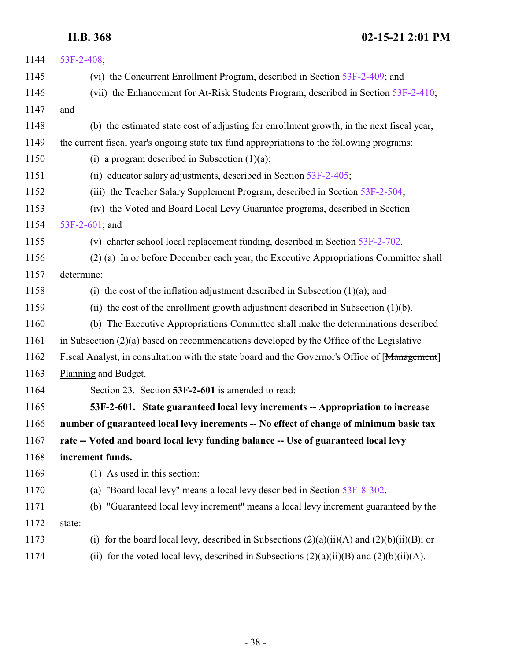<span id="page-37-0"></span>

| 1144 | 53F-2-408;                                                                                         |
|------|----------------------------------------------------------------------------------------------------|
| 1145 | (vi) the Concurrent Enrollment Program, described in Section 53F-2-409; and                        |
| 1146 | (vii) the Enhancement for At-Risk Students Program, described in Section 53F-2-410;                |
| 1147 | and                                                                                                |
| 1148 | (b) the estimated state cost of adjusting for enrollment growth, in the next fiscal year,          |
| 1149 | the current fiscal year's ongoing state tax fund appropriations to the following programs:         |
| 1150 | (i) a program described in Subsection $(1)(a)$ ;                                                   |
| 1151 | (ii) educator salary adjustments, described in Section 53F-2-405;                                  |
| 1152 | (iii) the Teacher Salary Supplement Program, described in Section 53F-2-504;                       |
| 1153 | (iv) the Voted and Board Local Levy Guarantee programs, described in Section                       |
| 1154 | 53F-2-601; and                                                                                     |
| 1155 | (v) charter school local replacement funding, described in Section 53F-2-702.                      |
| 1156 | (2) (a) In or before December each year, the Executive Appropriations Committee shall              |
| 1157 | determine:                                                                                         |
| 1158 | (i) the cost of the inflation adjustment described in Subsection $(1)(a)$ ; and                    |
| 1159 | (ii) the cost of the enrollment growth adjustment described in Subsection $(1)(b)$ .               |
| 1160 | (b) The Executive Appropriations Committee shall make the determinations described                 |
| 1161 | in Subsection $(2)(a)$ based on recommendations developed by the Office of the Legislative         |
| 1162 | Fiscal Analyst, in consultation with the state board and the Governor's Office of [Management]     |
| 1163 | Planning and Budget.                                                                               |
| 1164 | Section 23. Section 53F-2-601 is amended to read:                                                  |
| 1165 | 53F-2-601. State guaranteed local levy increments -- Appropriation to increase                     |
| 1166 | number of guaranteed local levy increments -- No effect of change of minimum basic tax             |
| 1167 | rate -- Voted and board local levy funding balance -- Use of guaranteed local levy                 |
| 1168 | increment funds.                                                                                   |
| 1169 | $(1)$ As used in this section:                                                                     |
| 1170 | (a) "Board local levy" means a local levy described in Section 53F-8-302.                          |
| 1171 | (b) "Guaranteed local levy increment" means a local levy increment guaranteed by the               |
| 1172 | state:                                                                                             |
| 1173 | for the board local levy, described in Subsections $(2)(a)(ii)(A)$ and $(2)(b)(ii)(B)$ ; or<br>(i) |
| 1174 | for the voted local levy, described in Subsections $(2)(a)(ii)(B)$ and $(2)(b)(ii)(A)$ .<br>(ii)   |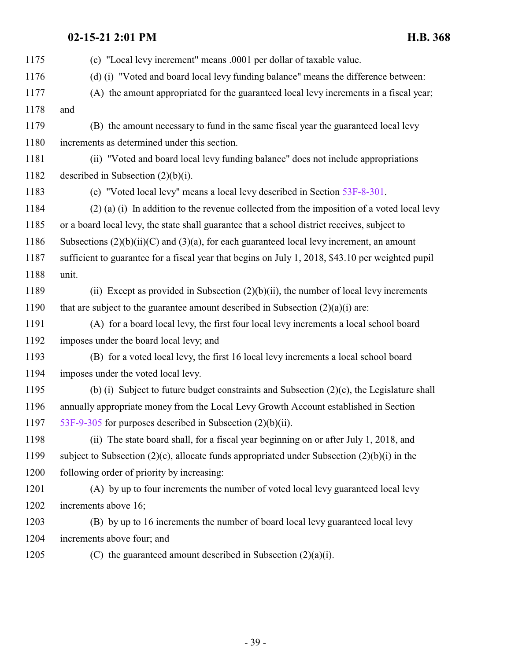| 1175 | (c) "Local levy increment" means .0001 per dollar of taxable value.                               |
|------|---------------------------------------------------------------------------------------------------|
| 1176 | (d) (i) "Voted and board local levy funding balance" means the difference between:                |
| 1177 | (A) the amount appropriated for the guaranteed local levy increments in a fiscal year;            |
| 1178 | and                                                                                               |
| 1179 | (B) the amount necessary to fund in the same fiscal year the guaranteed local levy                |
| 1180 | increments as determined under this section.                                                      |
| 1181 | (ii) "Voted and board local levy funding balance" does not include appropriations                 |
| 1182 | described in Subsection $(2)(b)(i)$ .                                                             |
| 1183 | (e) "Voted local levy" means a local levy described in Section 53F-8-301.                         |
| 1184 | $(2)$ (a) (i) In addition to the revenue collected from the imposition of a voted local levy      |
| 1185 | or a board local levy, the state shall guarantee that a school district receives, subject to      |
| 1186 | Subsections $(2)(b)(ii)(C)$ and $(3)(a)$ , for each guaranteed local levy increment, an amount    |
| 1187 | sufficient to guarantee for a fiscal year that begins on July 1, 2018, \$43.10 per weighted pupil |
| 1188 | unit.                                                                                             |
| 1189 | (ii) Except as provided in Subsection $(2)(b)(ii)$ , the number of local levy increments          |
| 1190 | that are subject to the guarantee amount described in Subsection $(2)(a)(i)$ are:                 |
| 1191 | (A) for a board local levy, the first four local levy increments a local school board             |
| 1192 | imposes under the board local levy; and                                                           |
| 1193 | (B) for a voted local levy, the first 16 local levy increments a local school board               |
| 1194 | imposes under the voted local levy.                                                               |
| 1195 | (b) (i) Subject to future budget constraints and Subsection $(2)(c)$ , the Legislature shall      |
| 1196 | annually appropriate money from the Local Levy Growth Account established in Section              |
| 1197 | 53F-9-305 for purposes described in Subsection $(2)(b)(ii)$ .                                     |
| 1198 | (ii) The state board shall, for a fiscal year beginning on or after July 1, 2018, and             |
| 1199 | subject to Subsection (2)(c), allocate funds appropriated under Subsection (2)(b)(i) in the       |
| 1200 | following order of priority by increasing:                                                        |
| 1201 | (A) by up to four increments the number of voted local levy guaranteed local levy                 |
| 1202 | increments above 16;                                                                              |
| 1203 | (B) by up to 16 increments the number of board local levy guaranteed local levy                   |
| 1204 | increments above four; and                                                                        |
| 1205 | (C) the guaranteed amount described in Subsection $(2)(a)(i)$ .                                   |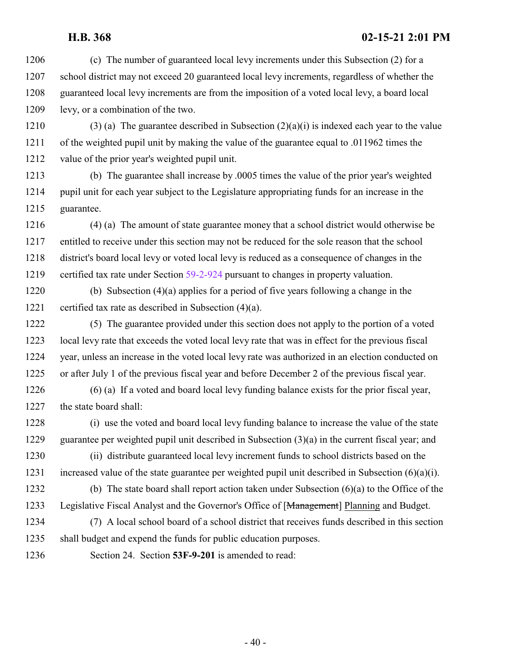(c) The number of guaranteed local levy increments under this Subsection (2) for a school district may not exceed 20 guaranteed local levy increments, regardless of whether the guaranteed local levy increments are from the imposition of a voted local levy, a board local levy, or a combination of the two.

1210 (3) (a) The guarantee described in Subsection  $(2)(a)(i)$  is indexed each year to the value of the weighted pupil unit by making the value of the guarantee equal to .011962 times the value of the prior year's weighted pupil unit.

 (b) The guarantee shall increase by .0005 times the value of the prior year's weighted pupil unit for each year subject to the Legislature appropriating funds for an increase in the guarantee.

 (4) (a) The amount of state guarantee money that a school district would otherwise be entitled to receive under this section may not be reduced for the sole reason that the school district's board local levy or voted local levy is reduced as a consequence of changes in the certified tax rate under Section [59-2-924](http://le.utah.gov/UtahCode/SectionLookup.jsp?section=59-2-924&session=2021GS) pursuant to changes in property valuation.

 (b) Subsection (4)(a) applies for a period of five years following a change in the certified tax rate as described in Subsection (4)(a).

 (5) The guarantee provided under this section does not apply to the portion of a voted local levy rate that exceeds the voted local levy rate that was in effect for the previous fiscal year, unless an increase in the voted local levy rate was authorized in an election conducted on or after July 1 of the previous fiscal year and before December 2 of the previous fiscal year.

 (6) (a) If a voted and board local levy funding balance exists for the prior fiscal year, the state board shall:

 (i) use the voted and board local levy funding balance to increase the value of the state guarantee per weighted pupil unit described in Subsection (3)(a) in the current fiscal year; and

 (ii) distribute guaranteed local levy increment funds to school districts based on the increased value of the state guarantee per weighted pupil unit described in Subsection (6)(a)(i).

 (b) The state board shall report action taken under Subsection (6)(a) to the Office of the 1233 Legislative Fiscal Analyst and the Governor's Office of [Management] Planning and Budget.

 (7) A local school board of a school district that receives funds described in this section shall budget and expend the funds for public education purposes.

Section 24. Section **53F-9-201** is amended to read: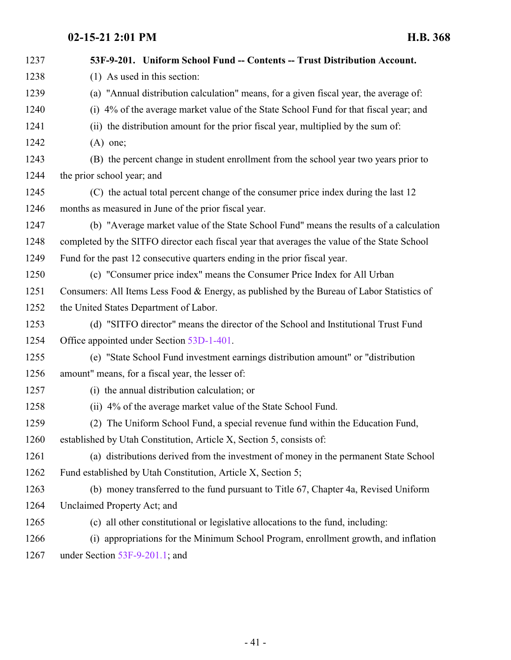| 1237 | 53F-9-201. Uniform School Fund -- Contents -- Trust Distribution Account.                    |
|------|----------------------------------------------------------------------------------------------|
| 1238 | (1) As used in this section:                                                                 |
| 1239 | (a) "Annual distribution calculation" means, for a given fiscal year, the average of:        |
| 1240 | (i) 4% of the average market value of the State School Fund for that fiscal year; and        |
| 1241 | (ii) the distribution amount for the prior fiscal year, multiplied by the sum of:            |
| 1242 | $(A)$ one;                                                                                   |
| 1243 | (B) the percent change in student enrollment from the school year two years prior to         |
| 1244 | the prior school year; and                                                                   |
| 1245 | (C) the actual total percent change of the consumer price index during the last 12           |
| 1246 | months as measured in June of the prior fiscal year.                                         |
| 1247 | (b) "Average market value of the State School Fund" means the results of a calculation       |
| 1248 | completed by the SITFO director each fiscal year that averages the value of the State School |
| 1249 | Fund for the past 12 consecutive quarters ending in the prior fiscal year.                   |
| 1250 | (c) "Consumer price index" means the Consumer Price Index for All Urban                      |
| 1251 | Consumers: All Items Less Food & Energy, as published by the Bureau of Labor Statistics of   |
| 1252 | the United States Department of Labor.                                                       |
| 1253 | (d) "SITFO director" means the director of the School and Institutional Trust Fund           |
| 1254 | Office appointed under Section 53D-1-401.                                                    |
| 1255 | (e) "State School Fund investment earnings distribution amount" or "distribution"            |
| 1256 | amount" means, for a fiscal year, the lesser of:                                             |
| 1257 | (i) the annual distribution calculation; or                                                  |
| 1258 | (ii) 4% of the average market value of the State School Fund.                                |
| 1259 | (2) The Uniform School Fund, a special revenue fund within the Education Fund,               |
| 1260 | established by Utah Constitution, Article X, Section 5, consists of:                         |
| 1261 | (a) distributions derived from the investment of money in the permanent State School         |
| 1262 | Fund established by Utah Constitution, Article X, Section 5;                                 |
| 1263 | (b) money transferred to the fund pursuant to Title 67, Chapter 4a, Revised Uniform          |
| 1264 | Unclaimed Property Act; and                                                                  |
| 1265 | (c) all other constitutional or legislative allocations to the fund, including:              |
| 1266 | (i) appropriations for the Minimum School Program, enrollment growth, and inflation          |
| 1267 | under Section 53F-9-201.1; and                                                               |

- 41 -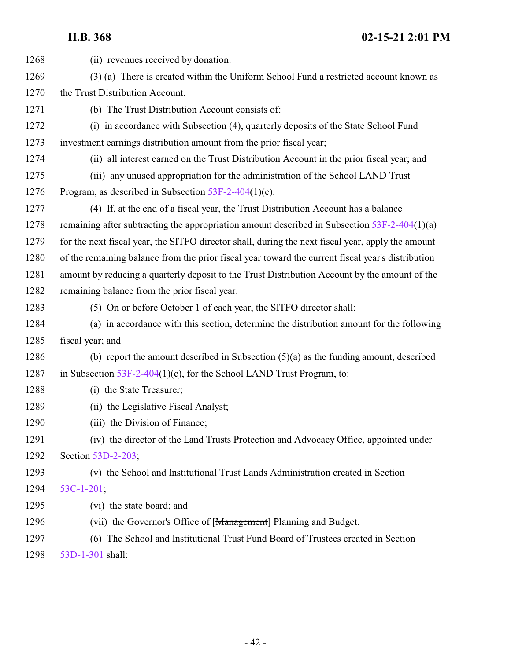| 1268 | (ii) revenues received by donation.                                                               |
|------|---------------------------------------------------------------------------------------------------|
| 1269 | (3) (a) There is created within the Uniform School Fund a restricted account known as             |
| 1270 | the Trust Distribution Account.                                                                   |
| 1271 | (b) The Trust Distribution Account consists of:                                                   |
| 1272 | (i) in accordance with Subsection (4), quarterly deposits of the State School Fund                |
| 1273 | investment earnings distribution amount from the prior fiscal year;                               |
| 1274 | (ii) all interest earned on the Trust Distribution Account in the prior fiscal year; and          |
| 1275 | (iii) any unused appropriation for the administration of the School LAND Trust                    |
| 1276 | Program, as described in Subsection $53F-2-404(1)(c)$ .                                           |
| 1277 | (4) If, at the end of a fiscal year, the Trust Distribution Account has a balance                 |
| 1278 | remaining after subtracting the appropriation amount described in Subsection $53F-2-404(1)(a)$    |
| 1279 | for the next fiscal year, the SITFO director shall, during the next fiscal year, apply the amount |
| 1280 | of the remaining balance from the prior fiscal year toward the current fiscal year's distribution |
| 1281 | amount by reducing a quarterly deposit to the Trust Distribution Account by the amount of the     |
| 1282 | remaining balance from the prior fiscal year.                                                     |
| 1283 | (5) On or before October 1 of each year, the SITFO director shall:                                |
| 1284 | (a) in accordance with this section, determine the distribution amount for the following          |
| 1285 | fiscal year; and                                                                                  |
| 1286 | (b) report the amount described in Subsection $(5)(a)$ as the funding amount, described           |
| 1287 | in Subsection $53F-2-404(1)(c)$ , for the School LAND Trust Program, to:                          |
| 1288 | (i) the State Treasurer;                                                                          |
| 1289 | (ii) the Legislative Fiscal Analyst;                                                              |
| 1290 | (iii) the Division of Finance;                                                                    |
| 1291 | (iv) the director of the Land Trusts Protection and Advocacy Office, appointed under              |
| 1292 | Section 53D-2-203;                                                                                |
| 1293 | (v) the School and Institutional Trust Lands Administration created in Section                    |
| 1294 | 53C-1-201;                                                                                        |
| 1295 | (vi) the state board; and                                                                         |
| 1296 | (vii) the Governor's Office of [Management] Planning and Budget.                                  |
| 1297 | (6) The School and Institutional Trust Fund Board of Trustees created in Section                  |
|      |                                                                                                   |

[53D-1-301](http://le.utah.gov/UtahCode/SectionLookup.jsp?section=53d-1-301&session=2021GS) shall: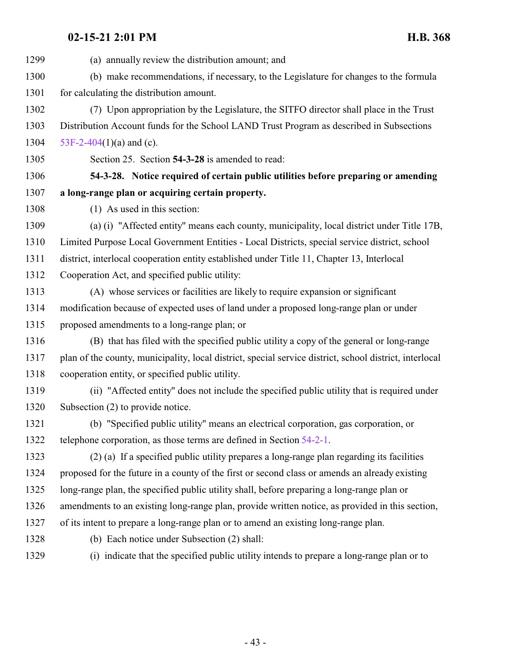(a) annually review the distribution amount; and (b) make recommendations, if necessary, to the Legislature for changes to the formula for calculating the distribution amount. (7) Upon appropriation by the Legislature, the SITFO director shall place in the Trust Distribution Account funds for the School LAND Trust Program as described in Subsections  $53F-2-404(1)(a)$  $53F-2-404(1)(a)$  and (c). Section 25. Section **54-3-28** is amended to read: **54-3-28. Notice required of certain public utilities before preparing or amending a long-range plan or acquiring certain property.** (1) As used in this section: (a) (i) "Affected entity" means each county, municipality, local district under Title 17B, Limited Purpose Local Government Entities - Local Districts, special service district, school district, interlocal cooperation entity established under Title 11, Chapter 13, Interlocal Cooperation Act, and specified public utility: (A) whose services or facilities are likely to require expansion or significant modification because of expected uses of land under a proposed long-range plan or under proposed amendments to a long-range plan; or (B) that has filed with the specified public utility a copy of the general or long-range plan of the county, municipality, local district, special service district, school district, interlocal cooperation entity, or specified public utility. (ii) "Affected entity" does not include the specified public utility that is required under Subsection (2) to provide notice. (b) "Specified public utility" means an electrical corporation, gas corporation, or telephone corporation, as those terms are defined in Section [54-2-1](http://le.utah.gov/UtahCode/SectionLookup.jsp?section=54-2-1&session=2021GS). (2) (a) If a specified public utility prepares a long-range plan regarding its facilities proposed for the future in a county of the first or second class or amends an already existing long-range plan, the specified public utility shall, before preparing a long-range plan or amendments to an existing long-range plan, provide written notice, as provided in this section, of its intent to prepare a long-range plan or to amend an existing long-range plan. (b) Each notice under Subsection (2) shall: (i) indicate that the specified public utility intends to prepare a long-range plan or to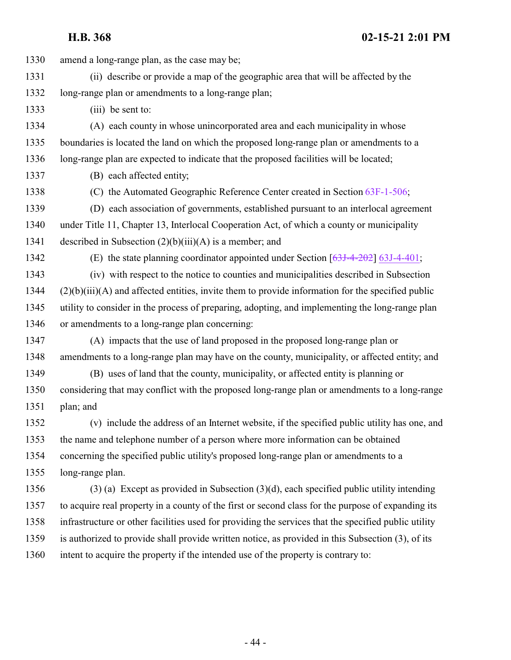amend a long-range plan, as the case may be; (ii) describe or provide a map of the geographic area that will be affected by the long-range plan or amendments to a long-range plan; (iii) be sent to: (A) each county in whose unincorporated area and each municipality in whose boundaries is located the land on which the proposed long-range plan or amendments to a long-range plan are expected to indicate that the proposed facilities will be located; (B) each affected entity; (C) the Automated Geographic Reference Center created in Section [63F-1-506](http://le.utah.gov/UtahCode/SectionLookup.jsp?section=63f-1-506&session=2021GS); (D) each association of governments, established pursuant to an interlocal agreement under Title 11, Chapter 13, Interlocal Cooperation Act, of which a county or municipality 1341 described in Subsection  $(2)(b)(iii)(A)$  is a member; and (E) the state planning coordinator appointed under Section [\[63J-4-202](#page-139-0)] [63J-4-401](#page-140-0); (iv) with respect to the notice to counties and municipalities described in Subsection (2)(b)(iii)(A) and affected entities, invite them to provide information for the specified public utility to consider in the process of preparing, adopting, and implementing the long-range plan or amendments to a long-range plan concerning: (A) impacts that the use of land proposed in the proposed long-range plan or amendments to a long-range plan may have on the county, municipality, or affected entity; and (B) uses of land that the county, municipality, or affected entity is planning or considering that may conflict with the proposed long-range plan or amendments to a long-range plan; and (v) include the address of an Internet website, if the specified public utility has one, and the name and telephone number of a person where more information can be obtained concerning the specified public utility's proposed long-range plan or amendments to a long-range plan. (3) (a) Except as provided in Subsection (3)(d), each specified public utility intending to acquire real property in a county of the first or second class for the purpose of expanding its infrastructure or other facilities used for providing the services that the specified public utility is authorized to provide shall provide written notice, as provided in this Subsection (3), of its intent to acquire the property if the intended use of the property is contrary to: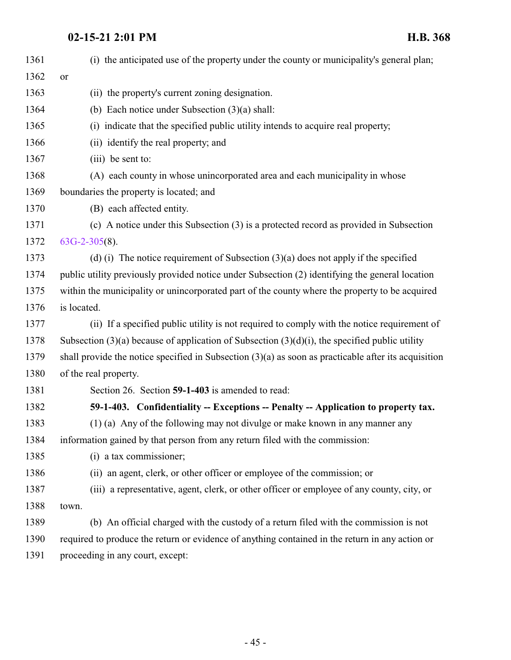<span id="page-44-0"></span>

| 1361 | (i) the anticipated use of the property under the county or municipality's general plan;               |
|------|--------------------------------------------------------------------------------------------------------|
| 1362 | <b>or</b>                                                                                              |
| 1363 | (ii) the property's current zoning designation.                                                        |
| 1364 | (b) Each notice under Subsection $(3)(a)$ shall:                                                       |
| 1365 | (i) indicate that the specified public utility intends to acquire real property;                       |
| 1366 | (ii) identify the real property; and                                                                   |
| 1367 | (iii) be sent to:                                                                                      |
| 1368 | (A) each county in whose unincorporated area and each municipality in whose                            |
| 1369 | boundaries the property is located; and                                                                |
| 1370 | (B) each affected entity.                                                                              |
| 1371 | (c) A notice under this Subsection (3) is a protected record as provided in Subsection                 |
| 1372 | $63G-2-305(8)$ .                                                                                       |
| 1373 | (d) (i) The notice requirement of Subsection $(3)(a)$ does not apply if the specified                  |
| 1374 | public utility previously provided notice under Subsection (2) identifying the general location        |
| 1375 | within the municipality or unincorporated part of the county where the property to be acquired         |
| 1376 | is located.                                                                                            |
| 1377 | (ii) If a specified public utility is not required to comply with the notice requirement of            |
| 1378 | Subsection $(3)(a)$ because of application of Subsection $(3)(d)(i)$ , the specified public utility    |
| 1379 | shall provide the notice specified in Subsection $(3)(a)$ as soon as practicable after its acquisition |
| 1380 | of the real property.                                                                                  |
| 1381 | Section 26. Section 59-1-403 is amended to read:                                                       |
| 1382 | 59-1-403. Confidentiality -- Exceptions -- Penalty -- Application to property tax.                     |
| 1383 | (1) (a) Any of the following may not divulge or make known in any manner any                           |
| 1384 | information gained by that person from any return filed with the commission:                           |
| 1385 | (i) a tax commissioner;                                                                                |
| 1386 | (ii) an agent, clerk, or other officer or employee of the commission; or                               |
| 1387 | (iii) a representative, agent, clerk, or other officer or employee of any county, city, or             |
| 1388 | town.                                                                                                  |
| 1389 | (b) An official charged with the custody of a return filed with the commission is not                  |
| 1390 | required to produce the return or evidence of anything contained in the return in any action or        |
| 1391 | proceeding in any court, except:                                                                       |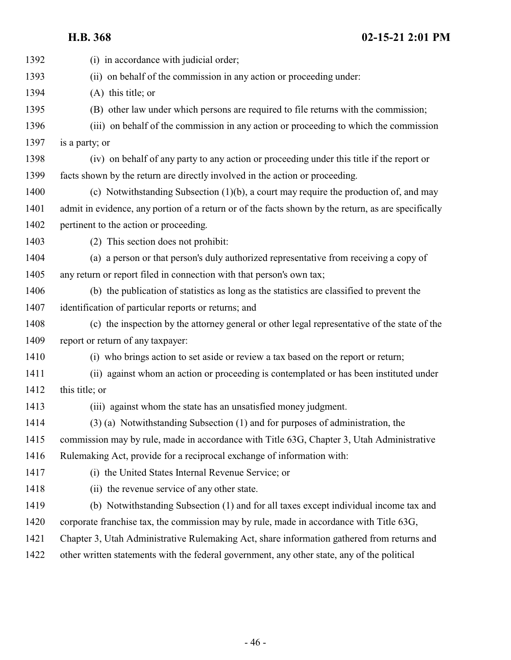| 1392 | (i) in accordance with judicial order;                                                              |
|------|-----------------------------------------------------------------------------------------------------|
| 1393 | (ii) on behalf of the commission in any action or proceeding under:                                 |
| 1394 | $(A)$ this title; or                                                                                |
| 1395 | (B) other law under which persons are required to file returns with the commission;                 |
| 1396 | (iii) on behalf of the commission in any action or proceeding to which the commission               |
| 1397 | is a party; or                                                                                      |
| 1398 | (iv) on behalf of any party to any action or proceeding under this title if the report or           |
| 1399 | facts shown by the return are directly involved in the action or proceeding.                        |
| 1400 | (c) Notwithstanding Subsection $(1)(b)$ , a court may require the production of, and may            |
| 1401 | admit in evidence, any portion of a return or of the facts shown by the return, as are specifically |
| 1402 | pertinent to the action or proceeding.                                                              |
| 1403 | (2) This section does not prohibit:                                                                 |
| 1404 | (a) a person or that person's duly authorized representative from receiving a copy of               |
| 1405 | any return or report filed in connection with that person's own tax;                                |
| 1406 | (b) the publication of statistics as long as the statistics are classified to prevent the           |
| 1407 | identification of particular reports or returns; and                                                |
| 1408 | (c) the inspection by the attorney general or other legal representative of the state of the        |
| 1409 | report or return of any taxpayer:                                                                   |
| 1410 | (i) who brings action to set aside or review a tax based on the report or return;                   |
| 1411 | (ii) against whom an action or proceeding is contemplated or has been instituted under              |
| 1412 | this title; or                                                                                      |
| 1413 | (iii) against whom the state has an unsatisfied money judgment.                                     |
| 1414 | (3) (a) Notwithstanding Subsection (1) and for purposes of administration, the                      |
| 1415 | commission may by rule, made in accordance with Title 63G, Chapter 3, Utah Administrative           |
| 1416 | Rulemaking Act, provide for a reciprocal exchange of information with:                              |
| 1417 | (i) the United States Internal Revenue Service; or                                                  |
| 1418 | (ii) the revenue service of any other state.                                                        |
| 1419 | (b) Notwithstanding Subsection (1) and for all taxes except individual income tax and               |
| 1420 | corporate franchise tax, the commission may by rule, made in accordance with Title 63G,             |
| 1421 | Chapter 3, Utah Administrative Rulemaking Act, share information gathered from returns and          |
| 1422 | other written statements with the federal government, any other state, any of the political         |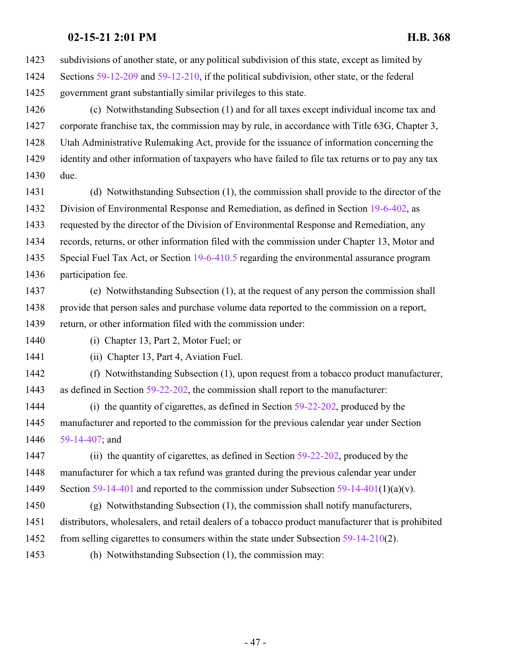subdivisions of another state, or any political subdivision of this state, except as limited by

 Sections [59-12-209](http://le.utah.gov/UtahCode/SectionLookup.jsp?section=59-12-209&session=2021GS) and [59-12-210](http://le.utah.gov/UtahCode/SectionLookup.jsp?section=59-12-210&session=2021GS), if the political subdivision, other state, or the federal government grant substantially similar privileges to this state.

 (c) Notwithstanding Subsection (1) and for all taxes except individual income tax and corporate franchise tax, the commission may by rule, in accordance with Title 63G, Chapter 3, Utah Administrative Rulemaking Act, provide for the issuance of information concerning the identity and other information of taxpayers who have failed to file tax returns or to pay any tax due.

 (d) Notwithstanding Subsection (1), the commission shall provide to the director of the Division of Environmental Response and Remediation, as defined in Section [19-6-402](http://le.utah.gov/UtahCode/SectionLookup.jsp?section=19-6-402&session=2021GS), as requested by the director of the Division of Environmental Response and Remediation, any records, returns, or other information filed with the commission under Chapter 13, Motor and Special Fuel Tax Act, or Section [19-6-410.5](http://le.utah.gov/UtahCode/SectionLookup.jsp?section=19-6-410.5&session=2021GS) regarding the environmental assurance program participation fee.

 (e) Notwithstanding Subsection (1), at the request of any person the commission shall provide that person sales and purchase volume data reported to the commission on a report, return, or other information filed with the commission under:

(i) Chapter 13, Part 2, Motor Fuel; or

(ii) Chapter 13, Part 4, Aviation Fuel.

 (f) Notwithstanding Subsection (1), upon request from a tobacco product manufacturer, as defined in Section [59-22-202](http://le.utah.gov/UtahCode/SectionLookup.jsp?section=59-22-202&session=2021GS), the commission shall report to the manufacturer:

1444 (i) the quantity of cigarettes, as defined in Section [59-22-202](http://le.utah.gov/UtahCode/SectionLookup.jsp?section=59-22-202&session=2021GS), produced by the manufacturer and reported to the commission for the previous calendar year under Section [59-14-407](http://le.utah.gov/UtahCode/SectionLookup.jsp?section=59-14-407&session=2021GS); and

 (ii) the quantity of cigarettes, as defined in Section [59-22-202](http://le.utah.gov/UtahCode/SectionLookup.jsp?section=59-22-202&session=2021GS), produced by the manufacturer for which a tax refund was granted during the previous calendar year under 1449 Section [59-14-401](http://le.utah.gov/UtahCode/SectionLookup.jsp?section=59-14-401&session=2021GS) and reported to the commission under Subsection [59-14-401](http://le.utah.gov/UtahCode/SectionLookup.jsp?section=59-14-401&session=2021GS)(1)(a)(v).

- (g) Notwithstanding Subsection (1), the commission shall notify manufacturers, distributors, wholesalers, and retail dealers of a tobacco product manufacturer that is prohibited 1452 from selling cigarettes to consumers within the state under Subsection [59-14-210](http://le.utah.gov/UtahCode/SectionLookup.jsp?section=59-14-210&session=2021GS)(2).
- (h) Notwithstanding Subsection (1), the commission may: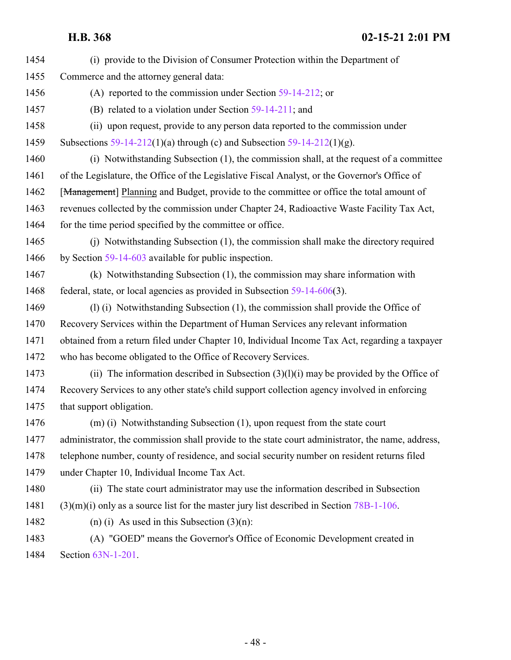| 1454 | (i) provide to the Division of Consumer Protection within the Department of                      |
|------|--------------------------------------------------------------------------------------------------|
| 1455 | Commerce and the attorney general data:                                                          |
| 1456 | (A) reported to the commission under Section $59-14-212$ ; or                                    |
| 1457 | (B) related to a violation under Section $59-14-211$ ; and                                       |
| 1458 | (ii) upon request, provide to any person data reported to the commission under                   |
| 1459 | Subsections $59-14-212(1)(a)$ through (c) and Subsection $59-14-212(1)(g)$ .                     |
| 1460 | (i) Notwithstanding Subsection (1), the commission shall, at the request of a committee          |
| 1461 | of the Legislature, the Office of the Legislative Fiscal Analyst, or the Governor's Office of    |
| 1462 | [Management] Planning and Budget, provide to the committee or office the total amount of         |
| 1463 | revenues collected by the commission under Chapter 24, Radioactive Waste Facility Tax Act,       |
| 1464 | for the time period specified by the committee or office.                                        |
| 1465 | (i) Notwithstanding Subsection (1), the commission shall make the directory required             |
| 1466 | by Section $59-14-603$ available for public inspection.                                          |
| 1467 | (k) Notwithstanding Subsection (1), the commission may share information with                    |
| 1468 | federal, state, or local agencies as provided in Subsection $59-14-606(3)$ .                     |
| 1469 | (1) (i) Notwithstanding Subsection (1), the commission shall provide the Office of               |
| 1470 | Recovery Services within the Department of Human Services any relevant information               |
| 1471 | obtained from a return filed under Chapter 10, Individual Income Tax Act, regarding a taxpayer   |
| 1472 | who has become obligated to the Office of Recovery Services.                                     |
| 1473 | (ii) The information described in Subsection $(3)(1)(i)$ may be provided by the Office of        |
| 1474 | Recovery Services to any other state's child support collection agency involved in enforcing     |
| 1475 | that support obligation.                                                                         |
| 1476 | (m) (i) Notwithstanding Subsection (1), upon request from the state court                        |
| 1477 | administrator, the commission shall provide to the state court administrator, the name, address, |
| 1478 | telephone number, county of residence, and social security number on resident returns filed      |
| 1479 | under Chapter 10, Individual Income Tax Act.                                                     |
| 1480 | (ii) The state court administrator may use the information described in Subsection               |
| 1481 | $(3)(m)(i)$ only as a source list for the master jury list described in Section 78B-1-106.       |
| 1482 | (n) (i) As used in this Subsection $(3)(n)$ :                                                    |
| 1483 | (A) "GOED" means the Governor's Office of Economic Development created in                        |
| 1484 | Section 63N-1-201.                                                                               |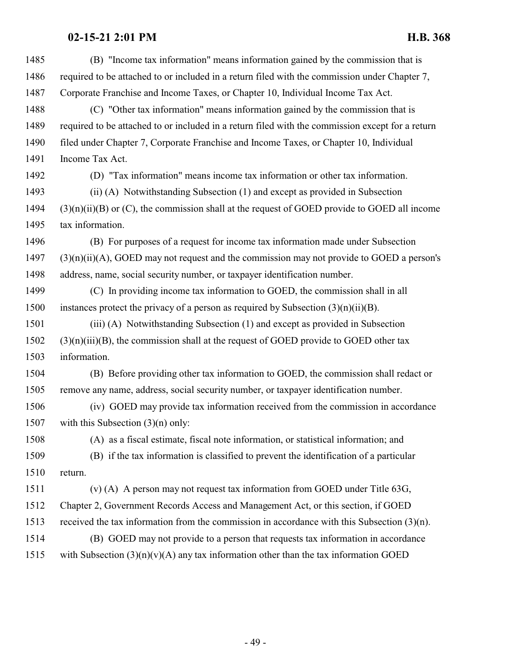| 1485 | (B) "Income tax information" means information gained by the commission that is                   |
|------|---------------------------------------------------------------------------------------------------|
| 1486 | required to be attached to or included in a return filed with the commission under Chapter 7,     |
| 1487 | Corporate Franchise and Income Taxes, or Chapter 10, Individual Income Tax Act.                   |
| 1488 | (C) "Other tax information" means information gained by the commission that is                    |
| 1489 | required to be attached to or included in a return filed with the commission except for a return  |
| 1490 | filed under Chapter 7, Corporate Franchise and Income Taxes, or Chapter 10, Individual            |
| 1491 | Income Tax Act.                                                                                   |
| 1492 | (D) "Tax information" means income tax information or other tax information.                      |
| 1493 | (ii) (A) Notwithstanding Subsection (1) and except as provided in Subsection                      |
| 1494 | $(3)(n)(ii)(B)$ or $(C)$ , the commission shall at the request of GOED provide to GOED all income |
| 1495 | tax information.                                                                                  |
| 1496 | (B) For purposes of a request for income tax information made under Subsection                    |
| 1497 | $(3)(n)(ii)(A)$ , GOED may not request and the commission may not provide to GOED a person's      |
| 1498 | address, name, social security number, or taxpayer identification number.                         |
| 1499 | (C) In providing income tax information to GOED, the commission shall in all                      |
| 1500 | instances protect the privacy of a person as required by Subsection $(3)(n)(ii)(B)$ .             |
| 1501 | (iii) (A) Notwithstanding Subsection (1) and except as provided in Subsection                     |
| 1502 | $(3)(n)(iii)(B)$ , the commission shall at the request of GOED provide to GOED other tax          |
| 1503 | information.                                                                                      |
| 1504 | (B) Before providing other tax information to GOED, the commission shall redact or                |
| 1505 | remove any name, address, social security number, or taxpayer identification number.              |
| 1506 | (iv) GOED may provide tax information received from the commission in accordance                  |
| 1507 | with this Subsection $(3)(n)$ only:                                                               |
| 1508 | (A) as a fiscal estimate, fiscal note information, or statistical information; and                |
| 1509 | (B) if the tax information is classified to prevent the identification of a particular            |
| 1510 | return.                                                                                           |
| 1511 | (v) (A) A person may not request tax information from GOED under Title $63G$ ,                    |
| 1512 | Chapter 2, Government Records Access and Management Act, or this section, if GOED                 |
| 1513 | received the tax information from the commission in accordance with this Subsection $(3)(n)$ .    |
| 1514 | (B) GOED may not provide to a person that requests tax information in accordance                  |
| 1515 | with Subsection $(3)(n)(v)(A)$ any tax information other than the tax information GOED            |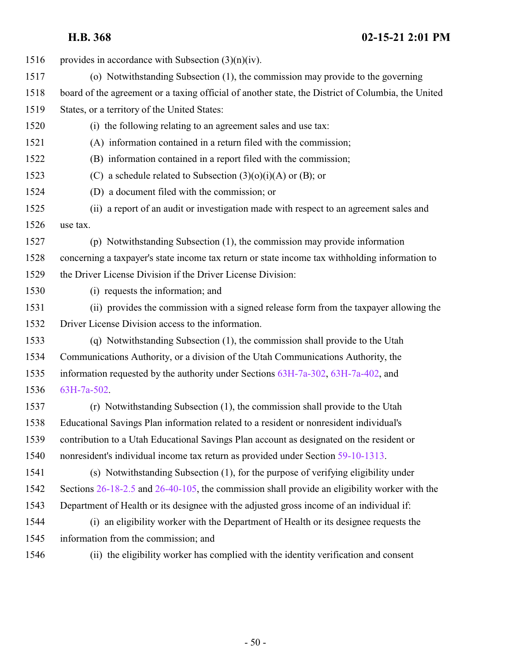1516 provides in accordance with Subsection  $(3)(n)(iv)$ . (o) Notwithstanding Subsection (1), the commission may provide to the governing board of the agreement or a taxing official of another state, the District of Columbia, the United States, or a territory of the United States: (i) the following relating to an agreement sales and use tax: (A) information contained in a return filed with the commission; (B) information contained in a report filed with the commission; 1523 (C) a schedule related to Subsection  $(3)(0)(i)(A)$  or (B); or (D) a document filed with the commission; or (ii) a report of an audit or investigation made with respect to an agreement sales and use tax. (p) Notwithstanding Subsection (1), the commission may provide information concerning a taxpayer's state income tax return or state income tax withholding information to the Driver License Division if the Driver License Division: (i) requests the information; and (ii) provides the commission with a signed release form from the taxpayer allowing the Driver License Division access to the information. (q) Notwithstanding Subsection (1), the commission shall provide to the Utah Communications Authority, or a division of the Utah Communications Authority, the information requested by the authority under Sections [63H-7a-302](http://le.utah.gov/UtahCode/SectionLookup.jsp?section=63h-7a-302&session=2021GS), [63H-7a-402](http://le.utah.gov/UtahCode/SectionLookup.jsp?section=63h-7a-402&session=2021GS), and [63H-7a-502](http://le.utah.gov/UtahCode/SectionLookup.jsp?section=63h-7a-502&session=2021GS). (r) Notwithstanding Subsection (1), the commission shall provide to the Utah Educational Savings Plan information related to a resident or nonresident individual's contribution to a Utah Educational Savings Plan account as designated on the resident or nonresident's individual income tax return as provided under Section [59-10-1313](http://le.utah.gov/UtahCode/SectionLookup.jsp?section=59-10-1313&session=2021GS). (s) Notwithstanding Subsection (1), for the purpose of verifying eligibility under Sections [26-18-2.5](http://le.utah.gov/UtahCode/SectionLookup.jsp?section=26-18-2.5&session=2021GS) and [26-40-105](http://le.utah.gov/UtahCode/SectionLookup.jsp?section=26-40-105&session=2021GS), the commission shall provide an eligibility worker with the Department of Health or its designee with the adjusted gross income of an individual if: (i) an eligibility worker with the Department of Health or its designee requests the information from the commission; and (ii) the eligibility worker has complied with the identity verification and consent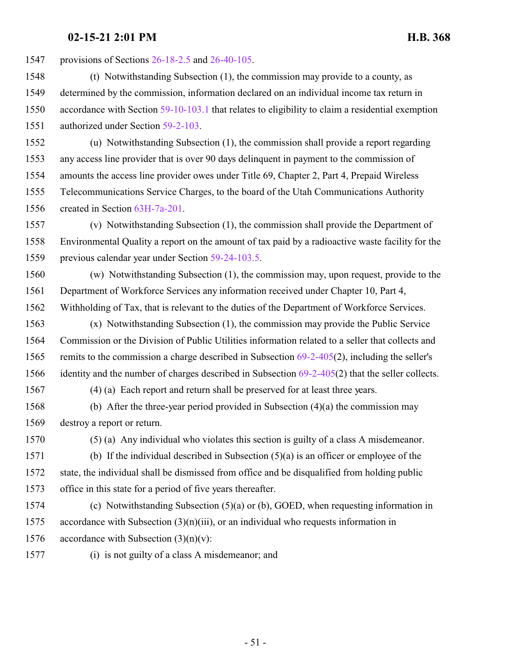provisions of Sections [26-18-2.5](http://le.utah.gov/UtahCode/SectionLookup.jsp?section=26-18-2.5&session=2021GS) and [26-40-105](http://le.utah.gov/UtahCode/SectionLookup.jsp?section=26-40-105&session=2021GS).

- (t) Notwithstanding Subsection (1), the commission may provide to a county, as determined by the commission, information declared on an individual income tax return in accordance with Section [59-10-103.1](http://le.utah.gov/UtahCode/SectionLookup.jsp?section=59-10-103.1&session=2021GS) that relates to eligibility to claim a residential exemption authorized under Section [59-2-103](http://le.utah.gov/UtahCode/SectionLookup.jsp?section=59-2-103&session=2021GS).
- (u) Notwithstanding Subsection (1), the commission shall provide a report regarding any access line provider that is over 90 days delinquent in payment to the commission of amounts the access line provider owes under Title 69, Chapter 2, Part 4, Prepaid Wireless Telecommunications Service Charges, to the board of the Utah Communications Authority created in Section [63H-7a-201](http://le.utah.gov/UtahCode/SectionLookup.jsp?section=63h-7a-201&session=2021GS).
- (v) Notwithstanding Subsection (1), the commission shall provide the Department of Environmental Quality a report on the amount of tax paid by a radioactive waste facility for the previous calendar year under Section [59-24-103.5](http://le.utah.gov/UtahCode/SectionLookup.jsp?section=59-24-103.5&session=2021GS).
- (w) Notwithstanding Subsection (1), the commission may, upon request, provide to the Department of Workforce Services any information received under Chapter 10, Part 4, Withholding of Tax, that is relevant to the duties of the Department of Workforce Services.
- (x) Notwithstanding Subsection (1), the commission may provide the Public Service Commission or the Division of Public Utilities information related to a seller that collects and 1565 remits to the commission a charge described in Subsection [69-2-405](http://le.utah.gov/UtahCode/SectionLookup.jsp?section=69-2-405&session=2021GS)(2), including the seller's 1566 identity and the number of charges described in Subsection [69-2-405](http://le.utah.gov/UtahCode/SectionLookup.jsp?section=69-2-405&session=2021GS)(2) that the seller collects.
- 
- (4) (a) Each report and return shall be preserved for at least three years.
- (b) After the three-year period provided in Subsection (4)(a) the commission may destroy a report or return.
- 

(5) (a) Any individual who violates this section is guilty of a class A misdemeanor.

- (b) If the individual described in Subsection (5)(a) is an officer or employee of the state, the individual shall be dismissed from office and be disqualified from holding public office in this state for a period of five years thereafter.
- (c) Notwithstanding Subsection (5)(a) or (b), GOED, when requesting information in accordance with Subsection (3)(n)(iii), or an individual who requests information in 1576 accordance with Subsection  $(3)(n)(v)$ :
- (i) is not guilty of a class A misdemeanor; and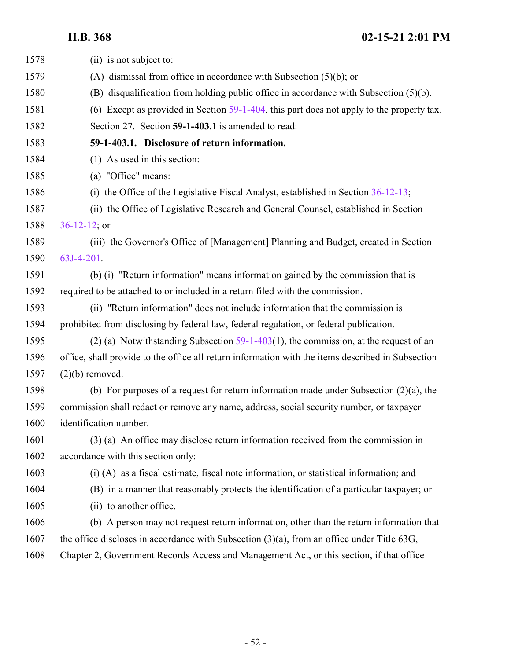| 1578 | (ii) is not subject to:                                                                           |
|------|---------------------------------------------------------------------------------------------------|
| 1579 | (A) dismissal from office in accordance with Subsection $(5)(b)$ ; or                             |
| 1580 | (B) disqualification from holding public office in accordance with Subsection (5)(b).             |
| 1581 | (6) Except as provided in Section $59-1-404$ , this part does not apply to the property tax.      |
| 1582 | Section 27. Section 59-1-403.1 is amended to read:                                                |
| 1583 | 59-1-403.1. Disclosure of return information.                                                     |
| 1584 | (1) As used in this section:                                                                      |
| 1585 | (a) "Office" means:                                                                               |
| 1586 | (i) the Office of the Legislative Fiscal Analyst, established in Section $36-12-13$ ;             |
| 1587 | (ii) the Office of Legislative Research and General Counsel, established in Section               |
| 1588 | $36-12-12$ ; or                                                                                   |
| 1589 | (iii) the Governor's Office of [Management] Planning and Budget, created in Section               |
| 1590 | 63J-4-201.                                                                                        |
| 1591 | (b) (i) "Return information" means information gained by the commission that is                   |
| 1592 | required to be attached to or included in a return filed with the commission.                     |
| 1593 | (ii) "Return information" does not include information that the commission is                     |
| 1594 | prohibited from disclosing by federal law, federal regulation, or federal publication.            |
| 1595 | (2) (a) Notwithstanding Subsection $59-1-403(1)$ , the commission, at the request of an           |
| 1596 | office, shall provide to the office all return information with the items described in Subsection |
| 1597 | $(2)(b)$ removed.                                                                                 |
| 1598 | (b) For purposes of a request for return information made under Subsection $(2)(a)$ , the         |
| 1599 | commission shall redact or remove any name, address, social security number, or taxpayer          |
| 1600 | identification number.                                                                            |
| 1601 | $(3)$ (a) An office may disclose return information received from the commission in               |
| 1602 | accordance with this section only:                                                                |
| 1603 | (i) (A) as a fiscal estimate, fiscal note information, or statistical information; and            |
| 1604 | (B) in a manner that reasonably protects the identification of a particular taxpayer; or          |
| 1605 | (ii) to another office.                                                                           |
| 1606 | (b) A person may not request return information, other than the return information that           |
| 1607 | the office discloses in accordance with Subsection $(3)(a)$ , from an office under Title 63G,     |
| 1608 | Chapter 2, Government Records Access and Management Act, or this section, if that office          |
|      |                                                                                                   |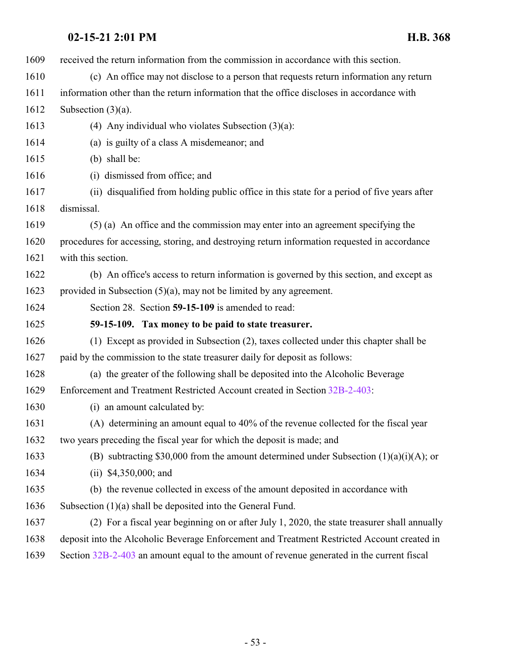| 1609 | received the return information from the commission in accordance with this section.         |
|------|----------------------------------------------------------------------------------------------|
| 1610 | (c) An office may not disclose to a person that requests return information any return       |
| 1611 | information other than the return information that the office discloses in accordance with   |
| 1612 | Subsection $(3)(a)$ .                                                                        |
| 1613 | (4) Any individual who violates Subsection $(3)(a)$ :                                        |
| 1614 | (a) is guilty of a class A misdemeanor; and                                                  |
| 1615 | (b) shall be:                                                                                |
| 1616 | (i) dismissed from office; and                                                               |
| 1617 | (ii) disqualified from holding public office in this state for a period of five years after  |
| 1618 | dismissal.                                                                                   |
| 1619 | (5) (a) An office and the commission may enter into an agreement specifying the              |
| 1620 | procedures for accessing, storing, and destroying return information requested in accordance |
| 1621 | with this section.                                                                           |
| 1622 | (b) An office's access to return information is governed by this section, and except as      |
| 1623 | provided in Subsection $(5)(a)$ , may not be limited by any agreement.                       |
| 1624 | Section 28. Section 59-15-109 is amended to read:                                            |
| 1625 | 59-15-109. Tax money to be paid to state treasurer.                                          |
| 1626 | (1) Except as provided in Subsection (2), taxes collected under this chapter shall be        |
| 1627 | paid by the commission to the state treasurer daily for deposit as follows:                  |
| 1628 | (a) the greater of the following shall be deposited into the Alcoholic Beverage              |
| 1629 | Enforcement and Treatment Restricted Account created in Section 32B-2-403:                   |
| 1630 | (i) an amount calculated by:                                                                 |
| 1631 | (A) determining an amount equal to 40% of the revenue collected for the fiscal year          |
| 1632 | two years preceding the fiscal year for which the deposit is made; and                       |
| 1633 | (B) subtracting \$30,000 from the amount determined under Subsection $(1)(a)(i)(A)$ ; or     |
| 1634 | (ii) $$4,350,000$ ; and                                                                      |
| 1635 | (b) the revenue collected in excess of the amount deposited in accordance with               |
| 1636 | Subsection (1)(a) shall be deposited into the General Fund.                                  |
| 1637 | (2) For a fiscal year beginning on or after July 1, 2020, the state treasurer shall annually |
| 1638 | deposit into the Alcoholic Beverage Enforcement and Treatment Restricted Account created in  |
| 1639 | Section 32B-2-403 an amount equal to the amount of revenue generated in the current fiscal   |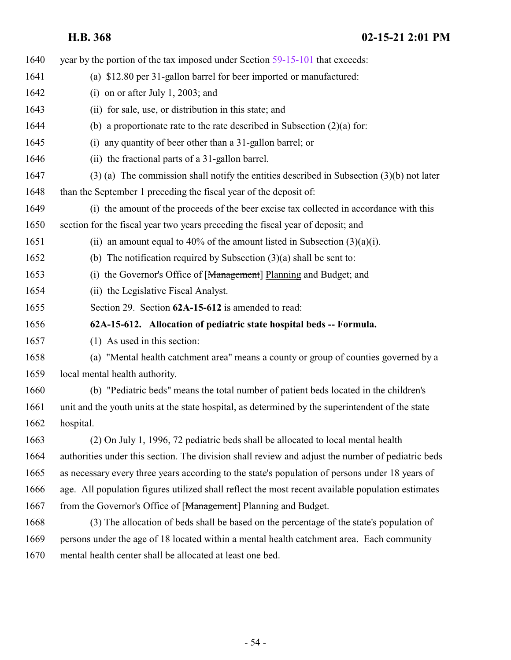| 1640 | year by the portion of the tax imposed under Section 59-15-101 that exceeds:                      |
|------|---------------------------------------------------------------------------------------------------|
| 1641 | (a) \$12.80 per 31-gallon barrel for beer imported or manufactured:                               |
| 1642 | (i) on or after July 1, 2003; and                                                                 |
| 1643 | (ii) for sale, use, or distribution in this state; and                                            |
| 1644 | (b) a proportionate rate to the rate described in Subsection $(2)(a)$ for:                        |
| 1645 | any quantity of beer other than a 31-gallon barrel; or<br>(i)                                     |
| 1646 | (ii) the fractional parts of a 31-gallon barrel.                                                  |
| 1647 | $(3)$ (a) The commission shall notify the entities described in Subsection $(3)(b)$ not later     |
| 1648 | than the September 1 preceding the fiscal year of the deposit of:                                 |
| 1649 | (i) the amount of the proceeds of the beer excise tax collected in accordance with this           |
| 1650 | section for the fiscal year two years preceding the fiscal year of deposit; and                   |
| 1651 | (ii) an amount equal to 40% of the amount listed in Subsection $(3)(a)(i)$ .                      |
| 1652 | (b) The notification required by Subsection $(3)(a)$ shall be sent to:                            |
| 1653 | (i) the Governor's Office of [Management] Planning and Budget; and                                |
| 1654 | (ii) the Legislative Fiscal Analyst.                                                              |
| 1655 | Section 29. Section 62A-15-612 is amended to read:                                                |
| 1656 | 62A-15-612. Allocation of pediatric state hospital beds -- Formula.                               |
| 1657 | (1) As used in this section:                                                                      |
| 1658 | (a) "Mental health catchment area" means a county or group of counties governed by a              |
| 1659 | local mental health authority.                                                                    |
| 1660 | (b) "Pediatric beds" means the total number of patient beds located in the children's             |
| 1661 | unit and the youth units at the state hospital, as determined by the superintendent of the state  |
| 1662 | hospital.                                                                                         |
| 1663 | (2) On July 1, 1996, 72 pediatric beds shall be allocated to local mental health                  |
| 1664 | authorities under this section. The division shall review and adjust the number of pediatric beds |
| 1665 | as necessary every three years according to the state's population of persons under 18 years of   |
| 1666 | age. All population figures utilized shall reflect the most recent available population estimates |
| 1667 | from the Governor's Office of [Management] Planning and Budget.                                   |
| 1668 | (3) The allocation of beds shall be based on the percentage of the state's population of          |
| 1669 | persons under the age of 18 located within a mental health catchment area. Each community         |
| 1670 | mental health center shall be allocated at least one bed.                                         |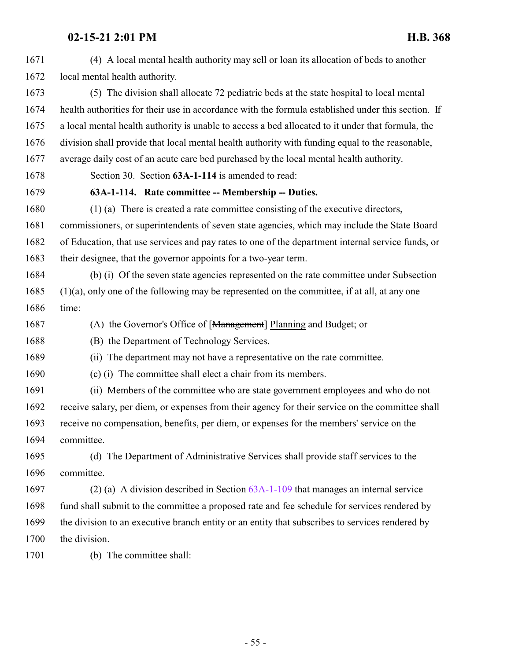| 1671 | (4) A local mental health authority may sell or loan its allocation of beds to another             |
|------|----------------------------------------------------------------------------------------------------|
| 1672 | local mental health authority.                                                                     |
| 1673 | (5) The division shall allocate 72 pediatric beds at the state hospital to local mental            |
| 1674 | health authorities for their use in accordance with the formula established under this section. If |
| 1675 | a local mental health authority is unable to access a bed allocated to it under that formula, the  |
| 1676 | division shall provide that local mental health authority with funding equal to the reasonable,    |
| 1677 | average daily cost of an acute care bed purchased by the local mental health authority.            |
| 1678 | Section 30. Section 63A-1-114 is amended to read:                                                  |
| 1679 | 63A-1-114. Rate committee -- Membership -- Duties.                                                 |
| 1680 | (1) (a) There is created a rate committee consisting of the executive directors,                   |
| 1681 | commissioners, or superintendents of seven state agencies, which may include the State Board       |
| 1682 | of Education, that use services and pay rates to one of the department internal service funds, or  |
| 1683 | their designee, that the governor appoints for a two-year term.                                    |
| 1684 | (b) (i) Of the seven state agencies represented on the rate committee under Subsection             |
| 1685 | $(1)(a)$ , only one of the following may be represented on the committee, if at all, at any one    |
| 1686 | time:                                                                                              |
| 1687 | (A) the Governor's Office of [Management] Planning and Budget; or                                  |
| 1688 | (B) the Department of Technology Services.                                                         |
| 1689 | (ii) The department may not have a representative on the rate committee.                           |
| 1690 | (c) (i) The committee shall elect a chair from its members.                                        |
| 1691 | (ii) Members of the committee who are state government employees and who do not                    |
| 1692 | receive salary, per diem, or expenses from their agency for their service on the committee shall   |
| 1693 | receive no compensation, benefits, per diem, or expenses for the members' service on the           |
| 1694 | committee.                                                                                         |
| 1695 | (d) The Department of Administrative Services shall provide staff services to the                  |
| 1696 | committee.                                                                                         |
| 1697 | (2) (a) A division described in Section $63A-1-109$ that manages an internal service               |
| 1698 | fund shall submit to the committee a proposed rate and fee schedule for services rendered by       |
| 1699 | the division to an executive branch entity or an entity that subscribes to services rendered by    |
| 1700 | the division.                                                                                      |
| 1701 | (b) The committee shall:                                                                           |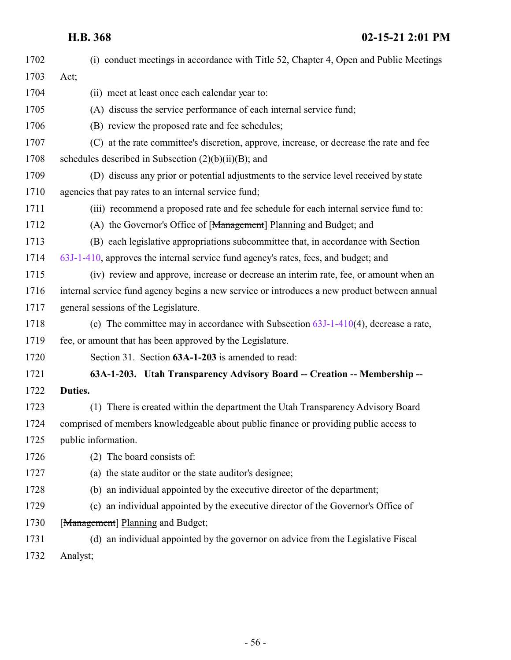| 1702 | (i) conduct meetings in accordance with Title 52, Chapter 4, Open and Public Meetings        |
|------|----------------------------------------------------------------------------------------------|
| 1703 | Act;                                                                                         |
| 1704 | (ii) meet at least once each calendar year to:                                               |
| 1705 | (A) discuss the service performance of each internal service fund;                           |
| 1706 | (B) review the proposed rate and fee schedules;                                              |
| 1707 | (C) at the rate committee's discretion, approve, increase, or decrease the rate and fee      |
| 1708 | schedules described in Subsection $(2)(b)(ii)(B)$ ; and                                      |
| 1709 | (D) discuss any prior or potential adjustments to the service level received by state        |
| 1710 | agencies that pay rates to an internal service fund;                                         |
| 1711 | (iii) recommend a proposed rate and fee schedule for each internal service fund to:          |
| 1712 | (A) the Governor's Office of [Management] Planning and Budget; and                           |
| 1713 | (B) each legislative appropriations subcommittee that, in accordance with Section            |
| 1714 | 63J-1-410, approves the internal service fund agency's rates, fees, and budget; and          |
| 1715 | (iv) review and approve, increase or decrease an interim rate, fee, or amount when an        |
| 1716 | internal service fund agency begins a new service or introduces a new product between annual |
| 1717 | general sessions of the Legislature.                                                         |
| 1718 | (c) The committee may in accordance with Subsection $63J-1-410(4)$ , decrease a rate,        |
| 1719 | fee, or amount that has been approved by the Legislature.                                    |
| 1720 | Section 31. Section 63A-1-203 is amended to read:                                            |
| 1721 | 63A-1-203. Utah Transparency Advisory Board -- Creation -- Membership --                     |
| 1722 | Duties.                                                                                      |
| 1723 | (1) There is created within the department the Utah Transparency Advisory Board              |
| 1724 | comprised of members knowledgeable about public finance or providing public access to        |
| 1725 | public information.                                                                          |
| 1726 | (2) The board consists of:                                                                   |
| 1727 | (a) the state auditor or the state auditor's designee;                                       |
| 1728 | (b) an individual appointed by the executive director of the department;                     |
| 1729 | (c) an individual appointed by the executive director of the Governor's Office of            |
| 1730 | [Management] Planning and Budget;                                                            |
| 1731 | (d) an individual appointed by the governor on advice from the Legislative Fiscal            |
| 1732 | Analyst;                                                                                     |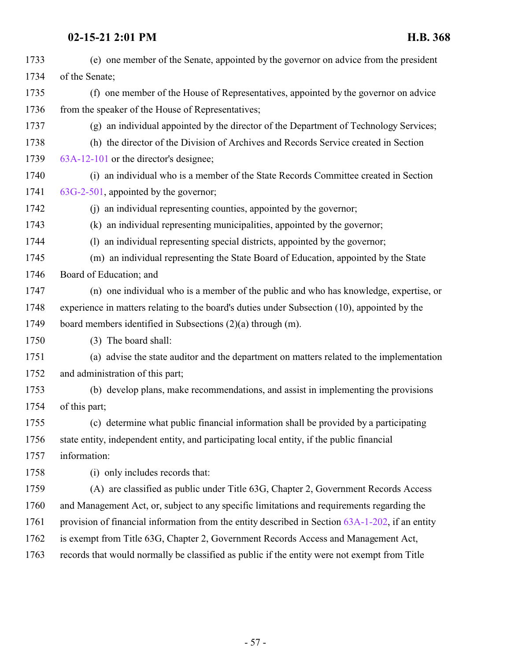| 1733 | (e) one member of the Senate, appointed by the governor on advice from the president            |
|------|-------------------------------------------------------------------------------------------------|
| 1734 | of the Senate;                                                                                  |
| 1735 | (f) one member of the House of Representatives, appointed by the governor on advice             |
| 1736 | from the speaker of the House of Representatives;                                               |
| 1737 | (g) an individual appointed by the director of the Department of Technology Services;           |
| 1738 | (h) the director of the Division of Archives and Records Service created in Section             |
| 1739 | 63A-12-101 or the director's designee;                                                          |
| 1740 | (i) an individual who is a member of the State Records Committee created in Section             |
| 1741 | 63G-2-501, appointed by the governor;                                                           |
| 1742 | (i) an individual representing counties, appointed by the governor;                             |
| 1743 | (k) an individual representing municipalities, appointed by the governor;                       |
| 1744 | (1) an individual representing special districts, appointed by the governor;                    |
| 1745 | (m) an individual representing the State Board of Education, appointed by the State             |
| 1746 | Board of Education; and                                                                         |
| 1747 | (n) one individual who is a member of the public and who has knowledge, expertise, or           |
| 1748 | experience in matters relating to the board's duties under Subsection (10), appointed by the    |
| 1749 | board members identified in Subsections (2)(a) through (m).                                     |
| 1750 | (3) The board shall:                                                                            |
| 1751 | (a) advise the state auditor and the department on matters related to the implementation        |
| 1752 | and administration of this part;                                                                |
| 1753 | (b) develop plans, make recommendations, and assist in implementing the provisions              |
| 1754 | of this part;                                                                                   |
| 1755 | (c) determine what public financial information shall be provided by a participating            |
| 1756 | state entity, independent entity, and participating local entity, if the public financial       |
| 1757 | information:                                                                                    |
| 1758 | (i) only includes records that:                                                                 |
| 1759 | (A) are classified as public under Title 63G, Chapter 2, Government Records Access              |
| 1760 | and Management Act, or, subject to any specific limitations and requirements regarding the      |
| 1761 | provision of financial information from the entity described in Section 63A-1-202, if an entity |
| 1762 | is exempt from Title 63G, Chapter 2, Government Records Access and Management Act,              |
| 1763 | records that would normally be classified as public if the entity were not exempt from Title    |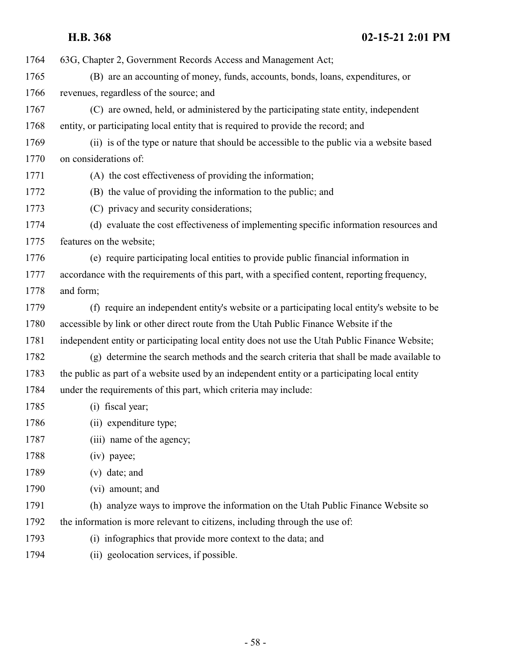**H.B. 368 02-15-21 2:01 PM** 63G, Chapter 2, Government Records Access and Management Act; (B) are an accounting of money, funds, accounts, bonds, loans, expenditures, or revenues, regardless of the source; and (C) are owned, held, or administered by the participating state entity, independent entity, or participating local entity that is required to provide the record; and (ii) is of the type or nature that should be accessible to the public via a website based on considerations of: (A) the cost effectiveness of providing the information; (B) the value of providing the information to the public; and (C) privacy and security considerations; (d) evaluate the cost effectiveness of implementing specific information resources and features on the website; (e) require participating local entities to provide public financial information in accordance with the requirements of this part, with a specified content, reporting frequency, and form; (f) require an independent entity's website or a participating local entity's website to be accessible by link or other direct route from the Utah Public Finance Website if the independent entity or participating local entity does not use the Utah Public Finance Website; (g) determine the search methods and the search criteria that shall be made available to the public as part of a website used by an independent entity or a participating local entity under the requirements of this part, which criteria may include: (i) fiscal year; (ii) expenditure type; 1787 (iii) name of the agency; (iv) payee; (v) date; and (vi) amount; and (h) analyze ways to improve the information on the Utah Public Finance Website so the information is more relevant to citizens, including through the use of: (i) infographics that provide more context to the data; and

(ii) geolocation services, if possible.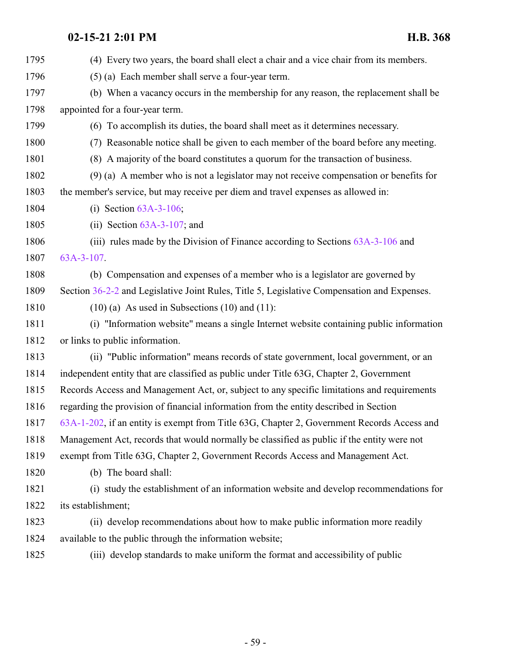| 1795 | (4) Every two years, the board shall elect a chair and a vice chair from its members.       |
|------|---------------------------------------------------------------------------------------------|
| 1796 | (5) (a) Each member shall serve a four-year term.                                           |
| 1797 | (b) When a vacancy occurs in the membership for any reason, the replacement shall be        |
| 1798 | appointed for a four-year term.                                                             |
| 1799 | (6) To accomplish its duties, the board shall meet as it determines necessary.              |
| 1800 | (7) Reasonable notice shall be given to each member of the board before any meeting.        |
| 1801 | (8) A majority of the board constitutes a quorum for the transaction of business.           |
| 1802 | $(9)$ (a) A member who is not a legislator may not receive compensation or benefits for     |
| 1803 | the member's service, but may receive per diem and travel expenses as allowed in:           |
| 1804 | (i) Section $63A-3-106$ ;                                                                   |
| 1805 | (ii) Section $63A-3-107$ ; and                                                              |
| 1806 | (iii) rules made by the Division of Finance according to Sections 63A-3-106 and             |
| 1807 | 63A-3-107.                                                                                  |
| 1808 | (b) Compensation and expenses of a member who is a legislator are governed by               |
| 1809 | Section 36-2-2 and Legislative Joint Rules, Title 5, Legislative Compensation and Expenses. |
| 1810 | $(10)$ (a) As used in Subsections $(10)$ and $(11)$ :                                       |
| 1811 | (i) "Information website" means a single Internet website containing public information     |
| 1812 | or links to public information.                                                             |
| 1813 | (ii) "Public information" means records of state government, local government, or an        |
| 1814 | independent entity that are classified as public under Title 63G, Chapter 2, Government     |
| 1815 | Records Access and Management Act, or, subject to any specific limitations and requirements |
| 1816 | regarding the provision of financial information from the entity described in Section       |
| 1817 | 63A-1-202, if an entity is exempt from Title 63G, Chapter 2, Government Records Access and  |
| 1818 | Management Act, records that would normally be classified as public if the entity were not  |
| 1819 | exempt from Title 63G, Chapter 2, Government Records Access and Management Act.             |
| 1820 | (b) The board shall:                                                                        |
| 1821 | (i) study the establishment of an information website and develop recommendations for       |
| 1822 | its establishment;                                                                          |
| 1823 | (ii) develop recommendations about how to make public information more readily              |
| 1824 | available to the public through the information website;                                    |
| 1825 | (iii) develop standards to make uniform the format and accessibility of public              |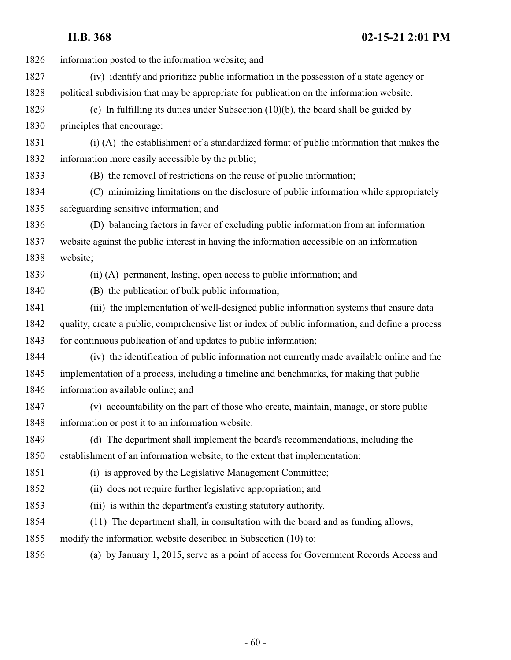| 1826 | information posted to the information website; and                                                |
|------|---------------------------------------------------------------------------------------------------|
| 1827 | (iv) identify and prioritize public information in the possession of a state agency or            |
| 1828 | political subdivision that may be appropriate for publication on the information website.         |
| 1829 | (c) In fulfilling its duties under Subsection $(10)(b)$ , the board shall be guided by            |
| 1830 | principles that encourage:                                                                        |
| 1831 | (i) (A) the establishment of a standardized format of public information that makes the           |
| 1832 | information more easily accessible by the public;                                                 |
| 1833 | (B) the removal of restrictions on the reuse of public information;                               |
| 1834 | (C) minimizing limitations on the disclosure of public information while appropriately            |
| 1835 | safeguarding sensitive information; and                                                           |
| 1836 | (D) balancing factors in favor of excluding public information from an information                |
| 1837 | website against the public interest in having the information accessible on an information        |
| 1838 | website;                                                                                          |
| 1839 | (ii) (A) permanent, lasting, open access to public information; and                               |
| 1840 | (B) the publication of bulk public information;                                                   |
| 1841 | (iii) the implementation of well-designed public information systems that ensure data             |
| 1842 | quality, create a public, comprehensive list or index of public information, and define a process |
| 1843 | for continuous publication of and updates to public information;                                  |
| 1844 | (iv) the identification of public information not currently made available online and the         |
| 1845 | implementation of a process, including a timeline and benchmarks, for making that public          |
| 1846 | information available online; and                                                                 |
| 1847 | (v) accountability on the part of those who create, maintain, manage, or store public             |
| 1848 | information or post it to an information website.                                                 |
| 1849 | (d) The department shall implement the board's recommendations, including the                     |
| 1850 | establishment of an information website, to the extent that implementation:                       |
| 1851 | (i) is approved by the Legislative Management Committee;                                          |
| 1852 | (ii) does not require further legislative appropriation; and                                      |
| 1853 | (iii) is within the department's existing statutory authority.                                    |
| 1854 | (11) The department shall, in consultation with the board and as funding allows,                  |
| 1855 | modify the information website described in Subsection (10) to:                                   |
| 1856 | (a) by January 1, 2015, serve as a point of access for Government Records Access and              |
|      |                                                                                                   |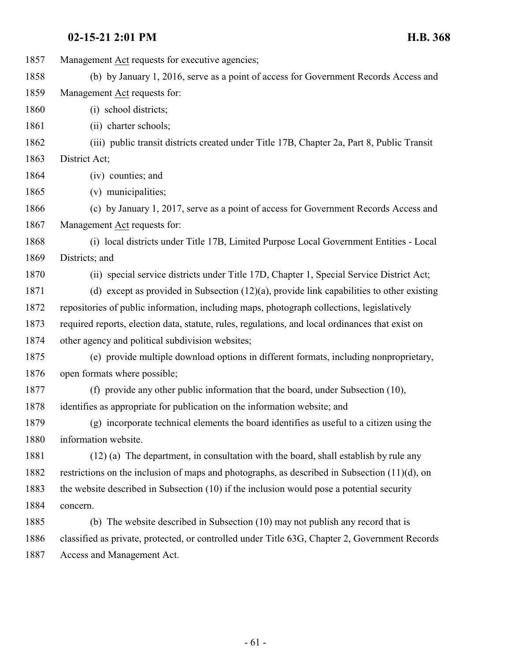Management Act requests for executive agencies; (b) by January 1, 2016, serve as a point of access for Government Records Access and Management Act requests for: 1860 (i) school districts; 1861 (ii) charter schools; (iii) public transit districts created under Title 17B, Chapter 2a, Part 8, Public Transit District Act; (iv) counties; and 1865 (v) municipalities; (c) by January 1, 2017, serve as a point of access for Government Records Access and Management Act requests for: (i) local districts under Title 17B, Limited Purpose Local Government Entities - Local Districts; and (ii) special service districts under Title 17D, Chapter 1, Special Service District Act; (d) except as provided in Subsection (12)(a), provide link capabilities to other existing repositories of public information, including maps, photograph collections, legislatively required reports, election data, statute, rules, regulations, and local ordinances that exist on other agency and political subdivision websites; (e) provide multiple download options in different formats, including nonproprietary, open formats where possible; (f) provide any other public information that the board, under Subsection (10), identifies as appropriate for publication on the information website; and (g) incorporate technical elements the board identifies as useful to a citizen using the information website. (12) (a) The department, in consultation with the board, shall establish by rule any restrictions on the inclusion of maps and photographs, as described in Subsection (11)(d), on the website described in Subsection (10) if the inclusion would pose a potential security concern. (b) The website described in Subsection (10) may not publish any record that is classified as private, protected, or controlled under Title 63G, Chapter 2, Government Records Access and Management Act.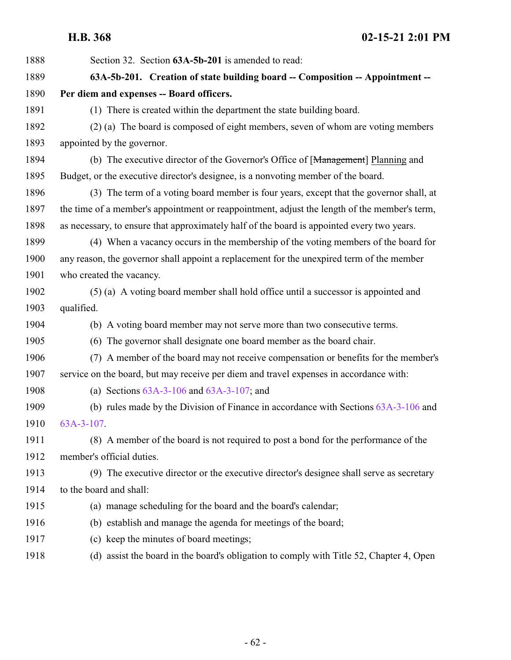| 1888 | Section 32. Section 63A-5b-201 is amended to read:                                           |
|------|----------------------------------------------------------------------------------------------|
| 1889 | 63A-5b-201. Creation of state building board -- Composition -- Appointment --                |
| 1890 | Per diem and expenses -- Board officers.                                                     |
| 1891 | (1) There is created within the department the state building board.                         |
| 1892 | (2) (a) The board is composed of eight members, seven of whom are voting members             |
| 1893 | appointed by the governor.                                                                   |
| 1894 | (b) The executive director of the Governor's Office of [Management] Planning and             |
| 1895 | Budget, or the executive director's designee, is a nonvoting member of the board.            |
| 1896 | (3) The term of a voting board member is four years, except that the governor shall, at      |
| 1897 | the time of a member's appointment or reappointment, adjust the length of the member's term, |
| 1898 | as necessary, to ensure that approximately half of the board is appointed every two years.   |
| 1899 | (4) When a vacancy occurs in the membership of the voting members of the board for           |
| 1900 | any reason, the governor shall appoint a replacement for the unexpired term of the member    |
| 1901 | who created the vacancy.                                                                     |
| 1902 | (5) (a) A voting board member shall hold office until a successor is appointed and           |
| 1903 | qualified.                                                                                   |
| 1904 | (b) A voting board member may not serve more than two consecutive terms.                     |
| 1905 | (6) The governor shall designate one board member as the board chair.                        |
| 1906 | (7) A member of the board may not receive compensation or benefits for the member's          |
| 1907 | service on the board, but may receive per diem and travel expenses in accordance with:       |
| 1908 | (a) Sections $63A-3-106$ and $63A-3-107$ ; and                                               |
| 1909 | (b) rules made by the Division of Finance in accordance with Sections $63A-3-106$ and        |
| 1910 | $63A-3-107$ .                                                                                |
| 1911 | (8) A member of the board is not required to post a bond for the performance of the          |
| 1912 | member's official duties.                                                                    |
| 1913 | (9) The executive director or the executive director's designee shall serve as secretary     |
| 1914 | to the board and shall:                                                                      |
| 1915 | (a) manage scheduling for the board and the board's calendar;                                |
| 1916 | (b) establish and manage the agenda for meetings of the board;                               |
| 1917 | (c) keep the minutes of board meetings;                                                      |
| 1918 | (d) assist the board in the board's obligation to comply with Title 52, Chapter 4, Open      |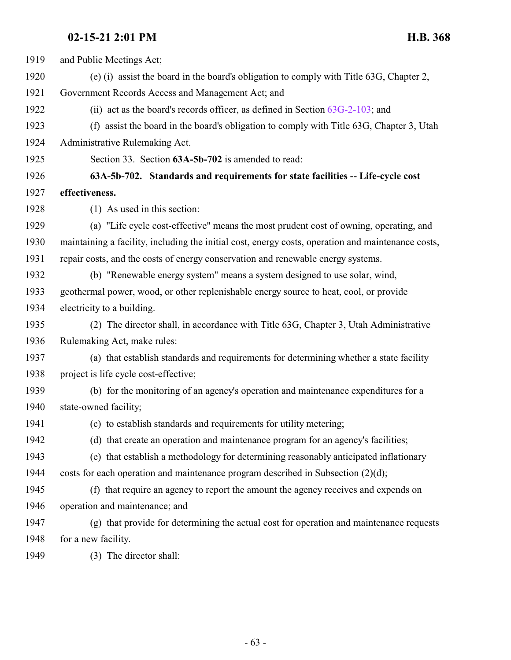| 1919 | and Public Meetings Act;                                                                           |
|------|----------------------------------------------------------------------------------------------------|
| 1920 | (e) (i) assist the board in the board's obligation to comply with Title 63G, Chapter 2,            |
| 1921 | Government Records Access and Management Act; and                                                  |
| 1922 | (ii) act as the board's records officer, as defined in Section $63G-2-103$ ; and                   |
| 1923 | (f) assist the board in the board's obligation to comply with Title 63G, Chapter 3, Utah           |
| 1924 | Administrative Rulemaking Act.                                                                     |
| 1925 | Section 33. Section 63A-5b-702 is amended to read:                                                 |
| 1926 | 63A-5b-702. Standards and requirements for state facilities -- Life-cycle cost                     |
| 1927 | effectiveness.                                                                                     |
| 1928 | (1) As used in this section:                                                                       |
| 1929 | (a) "Life cycle cost-effective" means the most prudent cost of owning, operating, and              |
| 1930 | maintaining a facility, including the initial cost, energy costs, operation and maintenance costs, |
| 1931 | repair costs, and the costs of energy conservation and renewable energy systems.                   |
| 1932 | (b) "Renewable energy system" means a system designed to use solar, wind,                          |
| 1933 | geothermal power, wood, or other replenishable energy source to heat, cool, or provide             |
| 1934 | electricity to a building.                                                                         |
| 1935 | (2) The director shall, in accordance with Title 63G, Chapter 3, Utah Administrative               |
| 1936 | Rulemaking Act, make rules:                                                                        |
| 1937 | (a) that establish standards and requirements for determining whether a state facility             |
| 1938 | project is life cycle cost-effective;                                                              |
| 1939 | (b) for the monitoring of an agency's operation and maintenance expenditures for a                 |
| 1940 | state-owned facility;                                                                              |
| 1941 | (c) to establish standards and requirements for utility metering;                                  |
| 1942 | (d) that create an operation and maintenance program for an agency's facilities;                   |
| 1943 | (e) that establish a methodology for determining reasonably anticipated inflationary               |
| 1944 | costs for each operation and maintenance program described in Subsection $(2)(d)$ ;                |
| 1945 | (f) that require an agency to report the amount the agency receives and expends on                 |
| 1946 | operation and maintenance; and                                                                     |
| 1947 | (g) that provide for determining the actual cost for operation and maintenance requests            |
| 1948 | for a new facility.                                                                                |
| 1949 | (3) The director shall:                                                                            |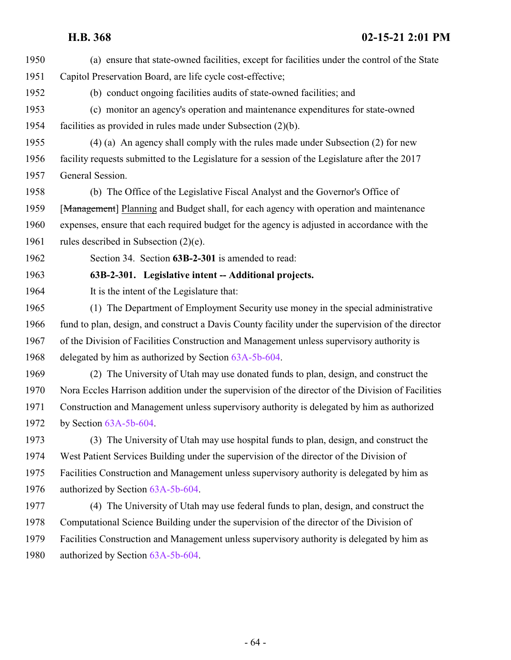(a) ensure that state-owned facilities, except for facilities under the control of the State Capitol Preservation Board, are life cycle cost-effective; (b) conduct ongoing facilities audits of state-owned facilities; and (c) monitor an agency's operation and maintenance expenditures for state-owned facilities as provided in rules made under Subsection (2)(b). (4) (a) An agency shall comply with the rules made under Subsection (2) for new facility requests submitted to the Legislature for a session of the Legislature after the 2017 General Session. (b) The Office of the Legislative Fiscal Analyst and the Governor's Office of 1959 [Management] Planning and Budget shall, for each agency with operation and maintenance expenses, ensure that each required budget for the agency is adjusted in accordance with the 1961 rules described in Subsection  $(2)(e)$ . Section 34. Section **63B-2-301** is amended to read: **63B-2-301. Legislative intent -- Additional projects.** It is the intent of the Legislature that: (1) The Department of Employment Security use money in the special administrative fund to plan, design, and construct a Davis County facility under the supervision of the director of the Division of Facilities Construction and Management unless supervisory authority is delegated by him as authorized by Section [63A-5b-604](http://le.utah.gov/UtahCode/SectionLookup.jsp?section=63a-5b-604&session=2021GS). (2) The University of Utah may use donated funds to plan, design, and construct the Nora Eccles Harrison addition under the supervision of the director of the Division of Facilities Construction and Management unless supervisory authority is delegated by him as authorized by Section [63A-5b-604](http://le.utah.gov/UtahCode/SectionLookup.jsp?section=63a-5b-604&session=2021GS). (3) The University of Utah may use hospital funds to plan, design, and construct the West Patient Services Building under the supervision of the director of the Division of Facilities Construction and Management unless supervisory authority is delegated by him as authorized by Section [63A-5b-604](http://le.utah.gov/UtahCode/SectionLookup.jsp?section=63a-5b-604&session=2021GS). (4) The University of Utah may use federal funds to plan, design, and construct the Computational Science Building under the supervision of the director of the Division of Facilities Construction and Management unless supervisory authority is delegated by him as authorized by Section [63A-5b-604](http://le.utah.gov/UtahCode/SectionLookup.jsp?section=63a-5b-604&session=2021GS).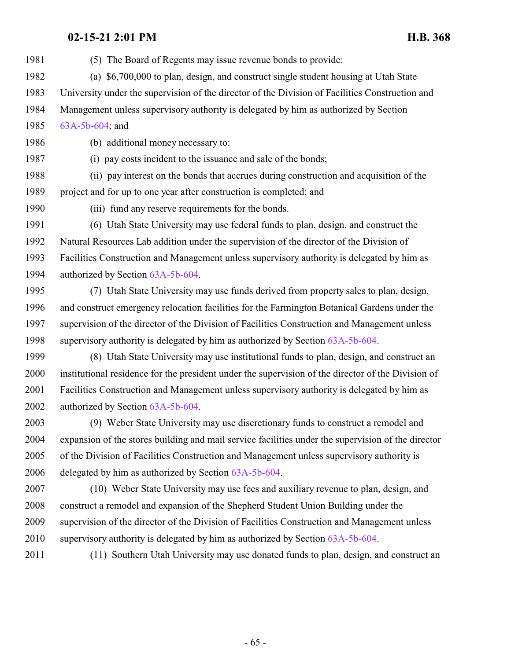(5) The Board of Regents may issue revenue bonds to provide: (a) \$6,700,000 to plan, design, and construct single student housing at Utah State University under the supervision of the director of the Division of Facilities Construction and Management unless supervisory authority is delegated by him as authorized by Section [63A-5b-604](http://le.utah.gov/UtahCode/SectionLookup.jsp?section=63a-5b-604&session=2021GS); and (b) additional money necessary to:

(i) pay costs incident to the issuance and sale of the bonds;

 (ii) pay interest on the bonds that accrues during construction and acquisition of the project and for up to one year after construction is completed; and

(iii) fund any reserve requirements for the bonds.

 (6) Utah State University may use federal funds to plan, design, and construct the Natural Resources Lab addition under the supervision of the director of the Division of Facilities Construction and Management unless supervisory authority is delegated by him as authorized by Section [63A-5b-604](http://le.utah.gov/UtahCode/SectionLookup.jsp?section=63a-5b-604&session=2021GS).

 (7) Utah State University may use funds derived from property sales to plan, design, and construct emergency relocation facilities for the Farmington Botanical Gardens under the supervision of the director of the Division of Facilities Construction and Management unless supervisory authority is delegated by him as authorized by Section [63A-5b-604](http://le.utah.gov/UtahCode/SectionLookup.jsp?section=63a-5b-604&session=2021GS).

 (8) Utah State University may use institutional funds to plan, design, and construct an institutional residence for the president under the supervision of the director of the Division of Facilities Construction and Management unless supervisory authority is delegated by him as authorized by Section [63A-5b-604](http://le.utah.gov/UtahCode/SectionLookup.jsp?section=63a-5b-604&session=2021GS).

 (9) Weber State University may use discretionary funds to construct a remodel and expansion of the stores building and mail service facilities under the supervision of the director of the Division of Facilities Construction and Management unless supervisory authority is delegated by him as authorized by Section [63A-5b-604](http://le.utah.gov/UtahCode/SectionLookup.jsp?section=63a-5b-604&session=2021GS).

 (10) Weber State University may use fees and auxiliary revenue to plan, design, and construct a remodel and expansion of the Shepherd Student Union Building under the supervision of the director of the Division of Facilities Construction and Management unless supervisory authority is delegated by him as authorized by Section [63A-5b-604](http://le.utah.gov/UtahCode/SectionLookup.jsp?section=63a-5b-604&session=2021GS).

(11) Southern Utah University may use donated funds to plan, design, and construct an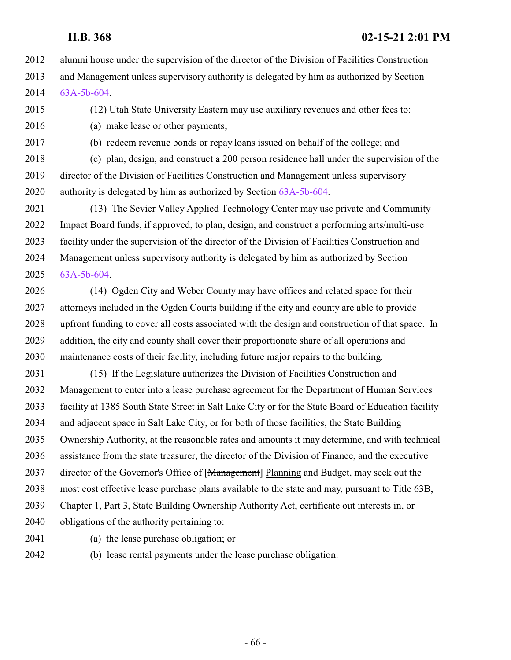- alumni house under the supervision of the director of the Division of Facilities Construction and Management unless supervisory authority is delegated by him as authorized by Section [63A-5b-604](http://le.utah.gov/UtahCode/SectionLookup.jsp?section=63a-5b-604&session=2021GS).
- (12) Utah State University Eastern may use auxiliary revenues and other fees to:
- (a) make lease or other payments;
- (b) redeem revenue bonds or repay loans issued on behalf of the college; and
- (c) plan, design, and construct a 200 person residence hall under the supervision of the director of the Division of Facilities Construction and Management unless supervisory authority is delegated by him as authorized by Section [63A-5b-604](http://le.utah.gov/UtahCode/SectionLookup.jsp?section=63a-5b-604&session=2021GS).
- (13) The Sevier Valley Applied Technology Center may use private and Community Impact Board funds, if approved, to plan, design, and construct a performing arts/multi-use facility under the supervision of the director of the Division of Facilities Construction and Management unless supervisory authority is delegated by him as authorized by Section [63A-5b-604](http://le.utah.gov/UtahCode/SectionLookup.jsp?section=63a-5b-604&session=2021GS).
- (14) Ogden City and Weber County may have offices and related space for their attorneys included in the Ogden Courts building if the city and county are able to provide upfront funding to cover all costs associated with the design and construction of that space. In addition, the city and county shall cover their proportionate share of all operations and maintenance costs of their facility, including future major repairs to the building.
- (15) If the Legislature authorizes the Division of Facilities Construction and Management to enter into a lease purchase agreement for the Department of Human Services facility at 1385 South State Street in Salt Lake City or for the State Board of Education facility and adjacent space in Salt Lake City, or for both of those facilities, the State Building Ownership Authority, at the reasonable rates and amounts it may determine, and with technical assistance from the state treasurer, the director of the Division of Finance, and the executive 2037 director of the Governor's Office of [Management] Planning and Budget, may seek out the most cost effective lease purchase plans available to the state and may, pursuant to Title 63B, Chapter 1, Part 3, State Building Ownership Authority Act, certificate out interests in, or obligations of the authority pertaining to:
- 
- (a) the lease purchase obligation; or
- 
- (b) lease rental payments under the lease purchase obligation.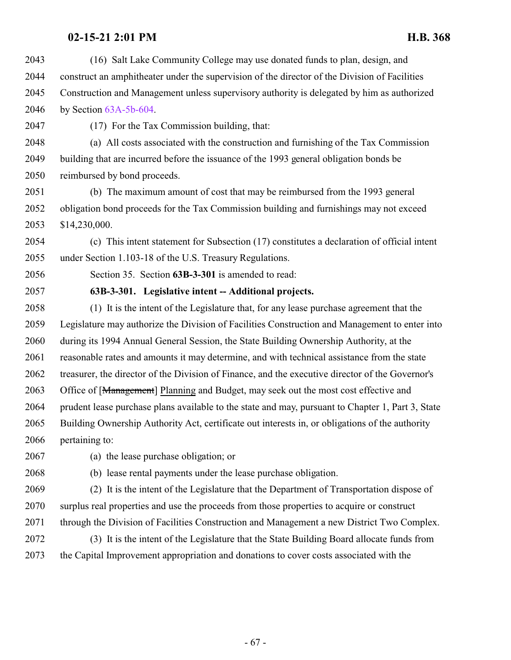| 2043 | (16) Salt Lake Community College may use donated funds to plan, design, and                       |
|------|---------------------------------------------------------------------------------------------------|
| 2044 | construct an amphitheater under the supervision of the director of the Division of Facilities     |
| 2045 | Construction and Management unless supervisory authority is delegated by him as authorized        |
| 2046 | by Section $63A-5b-604$ .                                                                         |
| 2047 | (17) For the Tax Commission building, that:                                                       |
| 2048 | (a) All costs associated with the construction and furnishing of the Tax Commission               |
| 2049 | building that are incurred before the issuance of the 1993 general obligation bonds be            |
| 2050 | reimbursed by bond proceeds.                                                                      |
| 2051 | (b) The maximum amount of cost that may be reimbursed from the 1993 general                       |
| 2052 | obligation bond proceeds for the Tax Commission building and furnishings may not exceed           |
| 2053 | \$14,230,000.                                                                                     |
| 2054 | (c) This intent statement for Subsection (17) constitutes a declaration of official intent        |
| 2055 | under Section 1.103-18 of the U.S. Treasury Regulations.                                          |
| 2056 | Section 35. Section 63B-3-301 is amended to read:                                                 |
| 2057 | 63B-3-301. Legislative intent -- Additional projects.                                             |
| 2058 | (1) It is the intent of the Legislature that, for any lease purchase agreement that the           |
| 2059 | Legislature may authorize the Division of Facilities Construction and Management to enter into    |
| 2060 | during its 1994 Annual General Session, the State Building Ownership Authority, at the            |
| 2061 | reasonable rates and amounts it may determine, and with technical assistance from the state       |
| 2062 | treasurer, the director of the Division of Finance, and the executive director of the Governor's  |
| 2063 | Office of [Management] Planning and Budget, may seek out the most cost effective and              |
| 2064 | prudent lease purchase plans available to the state and may, pursuant to Chapter 1, Part 3, State |
| 2065 | Building Ownership Authority Act, certificate out interests in, or obligations of the authority   |
| 2066 | pertaining to:                                                                                    |
| 2067 | (a) the lease purchase obligation; or                                                             |
| 2068 | (b) lease rental payments under the lease purchase obligation.                                    |
| 2069 | (2) It is the intent of the Legislature that the Department of Transportation dispose of          |
| 2070 | surplus real properties and use the proceeds from those properties to acquire or construct        |
| 2071 | through the Division of Facilities Construction and Management a new District Two Complex.        |
| 2072 | (3) It is the intent of the Legislature that the State Building Board allocate funds from         |
| 2073 | the Capital Improvement appropriation and donations to cover costs associated with the            |
|      |                                                                                                   |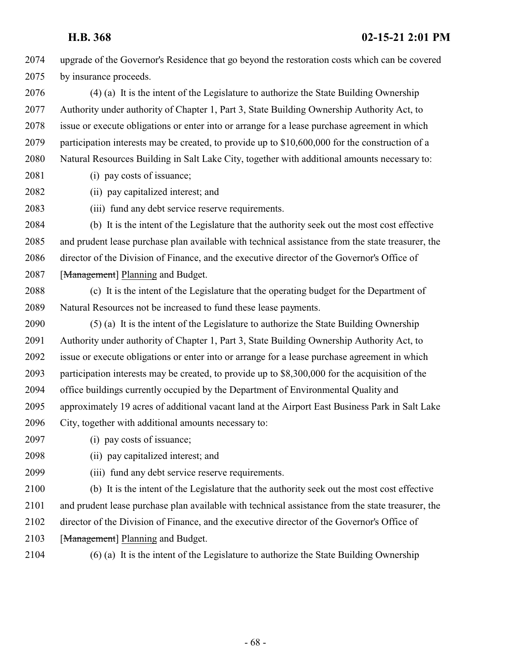upgrade of the Governor's Residence that go beyond the restoration costs which can be covered by insurance proceeds.

 (4) (a) It is the intent of the Legislature to authorize the State Building Ownership Authority under authority of Chapter 1, Part 3, State Building Ownership Authority Act, to issue or execute obligations or enter into or arrange for a lease purchase agreement in which participation interests may be created, to provide up to \$10,600,000 for the construction of a Natural Resources Building in Salt Lake City, together with additional amounts necessary to: (i) pay costs of issuance;

(ii) pay capitalized interest; and

(iii) fund any debt service reserve requirements.

 (b) It is the intent of the Legislature that the authority seek out the most cost effective and prudent lease purchase plan available with technical assistance from the state treasurer, the director of the Division of Finance, and the executive director of the Governor's Office of 2087 [Management] Planning and Budget.

 (c) It is the intent of the Legislature that the operating budget for the Department of Natural Resources not be increased to fund these lease payments.

 (5) (a) It is the intent of the Legislature to authorize the State Building Ownership Authority under authority of Chapter 1, Part 3, State Building Ownership Authority Act, to issue or execute obligations or enter into or arrange for a lease purchase agreement in which participation interests may be created, to provide up to \$8,300,000 for the acquisition of the office buildings currently occupied by the Department of Environmental Quality and approximately 19 acres of additional vacant land at the Airport East Business Park in Salt Lake City, together with additional amounts necessary to:

(i) pay costs of issuance;

(ii) pay capitalized interest; and

(iii) fund any debt service reserve requirements.

 (b) It is the intent of the Legislature that the authority seek out the most cost effective and prudent lease purchase plan available with technical assistance from the state treasurer, the

director of the Division of Finance, and the executive director of the Governor's Office of

2103 [Management] Planning and Budget.

(6) (a) It is the intent of the Legislature to authorize the State Building Ownership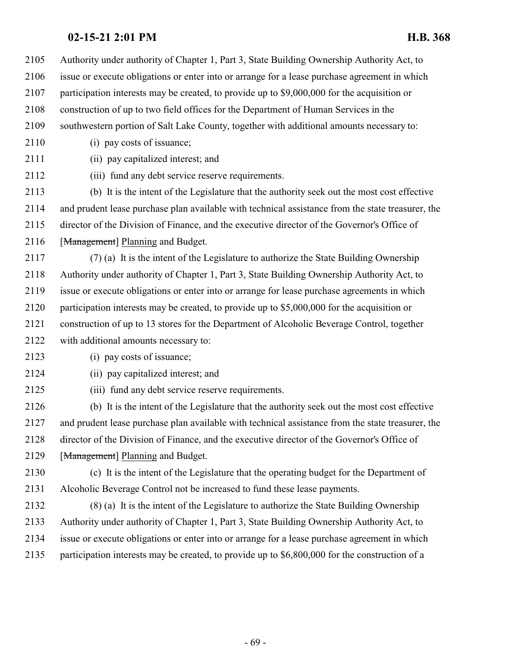Authority under authority of Chapter 1, Part 3, State Building Ownership Authority Act, to

- issue or execute obligations or enter into or arrange for a lease purchase agreement in which
- participation interests may be created, to provide up to \$9,000,000 for the acquisition or
- construction of up to two field offices for the Department of Human Services in the
- southwestern portion of Salt Lake County, together with additional amounts necessary to:
- (i) pay costs of issuance;
- (ii) pay capitalized interest; and
- (iii) fund any debt service reserve requirements.
- (b) It is the intent of the Legislature that the authority seek out the most cost effective and prudent lease purchase plan available with technical assistance from the state treasurer, the director of the Division of Finance, and the executive director of the Governor's Office of 2116 [Management] Planning and Budget.
- (7) (a) It is the intent of the Legislature to authorize the State Building Ownership Authority under authority of Chapter 1, Part 3, State Building Ownership Authority Act, to issue or execute obligations or enter into or arrange for lease purchase agreements in which participation interests may be created, to provide up to \$5,000,000 for the acquisition or construction of up to 13 stores for the Department of Alcoholic Beverage Control, together with additional amounts necessary to:
- (i) pay costs of issuance;
- (ii) pay capitalized interest; and
- (iii) fund any debt service reserve requirements.
- (b) It is the intent of the Legislature that the authority seek out the most cost effective and prudent lease purchase plan available with technical assistance from the state treasurer, the director of the Division of Finance, and the executive director of the Governor's Office of 2129 [Management] Planning and Budget.
- (c) It is the intent of the Legislature that the operating budget for the Department of Alcoholic Beverage Control not be increased to fund these lease payments.
- (8) (a) It is the intent of the Legislature to authorize the State Building Ownership Authority under authority of Chapter 1, Part 3, State Building Ownership Authority Act, to issue or execute obligations or enter into or arrange for a lease purchase agreement in which participation interests may be created, to provide up to \$6,800,000 for the construction of a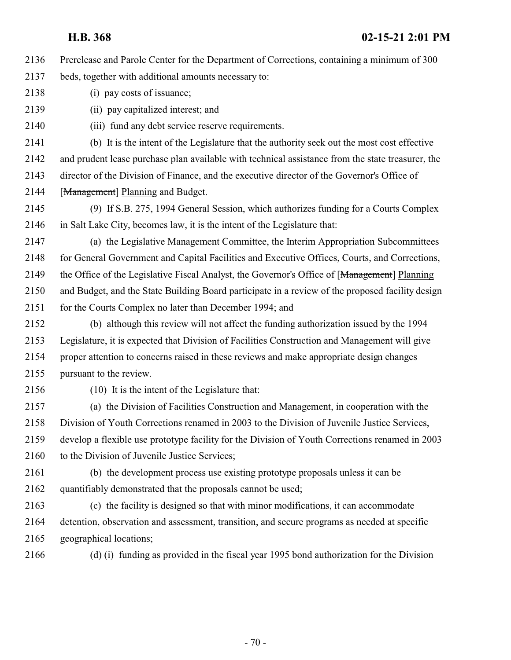- Prerelease and Parole Center for the Department of Corrections, containing a minimum of 300
- beds, together with additional amounts necessary to:
- (i) pay costs of issuance;
- (ii) pay capitalized interest; and
- (iii) fund any debt service reserve requirements.

 (b) It is the intent of the Legislature that the authority seek out the most cost effective and prudent lease purchase plan available with technical assistance from the state treasurer, the director of the Division of Finance, and the executive director of the Governor's Office of 2144 [Management] Planning and Budget.

 (9) If S.B. 275, 1994 General Session, which authorizes funding for a Courts Complex in Salt Lake City, becomes law, it is the intent of the Legislature that:

 (a) the Legislative Management Committee, the Interim Appropriation Subcommittees 2148 for General Government and Capital Facilities and Executive Offices, Courts, and Corrections, 2149 the Office of the Legislative Fiscal Analyst, the Governor's Office of [Management] Planning and Budget, and the State Building Board participate in a review of the proposed facility design 2151 for the Courts Complex no later than December 1994; and

- (b) although this review will not affect the funding authorization issued by the 1994 Legislature, it is expected that Division of Facilities Construction and Management will give proper attention to concerns raised in these reviews and make appropriate design changes pursuant to the review.
- 

(10) It is the intent of the Legislature that:

 (a) the Division of Facilities Construction and Management, in cooperation with the Division of Youth Corrections renamed in 2003 to the Division of Juvenile Justice Services, develop a flexible use prototype facility for the Division of Youth Corrections renamed in 2003 2160 to the Division of Juvenile Justice Services;

 (b) the development process use existing prototype proposals unless it can be quantifiably demonstrated that the proposals cannot be used;

- (c) the facility is designed so that with minor modifications, it can accommodate detention, observation and assessment, transition, and secure programs as needed at specific geographical locations;
- (d) (i) funding as provided in the fiscal year 1995 bond authorization for the Division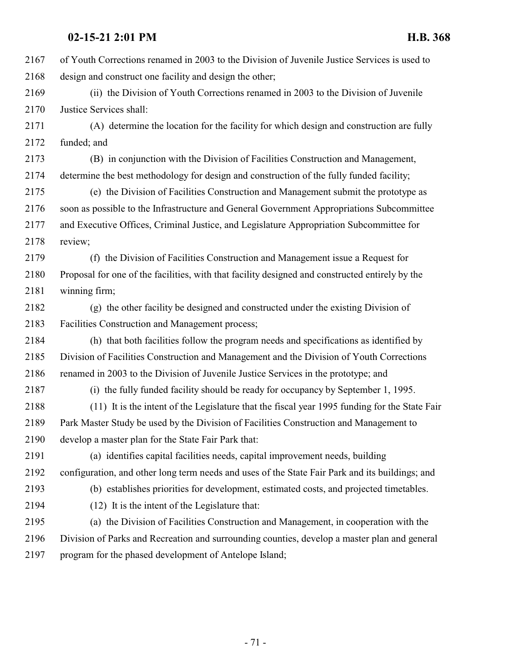| 2167 | of Youth Corrections renamed in 2003 to the Division of Juvenile Justice Services is used to    |
|------|-------------------------------------------------------------------------------------------------|
| 2168 | design and construct one facility and design the other;                                         |
| 2169 | (ii) the Division of Youth Corrections renamed in 2003 to the Division of Juvenile              |
| 2170 | Justice Services shall:                                                                         |
| 2171 | (A) determine the location for the facility for which design and construction are fully         |
| 2172 | funded; and                                                                                     |
| 2173 | (B) in conjunction with the Division of Facilities Construction and Management,                 |
| 2174 | determine the best methodology for design and construction of the fully funded facility;        |
| 2175 | (e) the Division of Facilities Construction and Management submit the prototype as              |
| 2176 | soon as possible to the Infrastructure and General Government Appropriations Subcommittee       |
| 2177 | and Executive Offices, Criminal Justice, and Legislature Appropriation Subcommittee for         |
| 2178 | review;                                                                                         |
| 2179 | (f) the Division of Facilities Construction and Management issue a Request for                  |
| 2180 | Proposal for one of the facilities, with that facility designed and constructed entirely by the |
| 2181 | winning firm;                                                                                   |
| 2182 | (g) the other facility be designed and constructed under the existing Division of               |
| 2183 | Facilities Construction and Management process;                                                 |
| 2184 | (h) that both facilities follow the program needs and specifications as identified by           |
| 2185 | Division of Facilities Construction and Management and the Division of Youth Corrections        |
| 2186 | renamed in 2003 to the Division of Juvenile Justice Services in the prototype; and              |
| 2187 | (i) the fully funded facility should be ready for occupancy by September 1, 1995.               |
| 2188 | (11) It is the intent of the Legislature that the fiscal year 1995 funding for the State Fair   |
| 2189 | Park Master Study be used by the Division of Facilities Construction and Management to          |
| 2190 | develop a master plan for the State Fair Park that:                                             |
| 2191 | (a) identifies capital facilities needs, capital improvement needs, building                    |
| 2192 | configuration, and other long term needs and uses of the State Fair Park and its buildings; and |
| 2193 | (b) establishes priorities for development, estimated costs, and projected timetables.          |
| 2194 | (12) It is the intent of the Legislature that:                                                  |
| 2195 | (a) the Division of Facilities Construction and Management, in cooperation with the             |
| 2196 | Division of Parks and Recreation and surrounding counties, develop a master plan and general    |
| 2197 | program for the phased development of Antelope Island;                                          |
|      |                                                                                                 |
|      |                                                                                                 |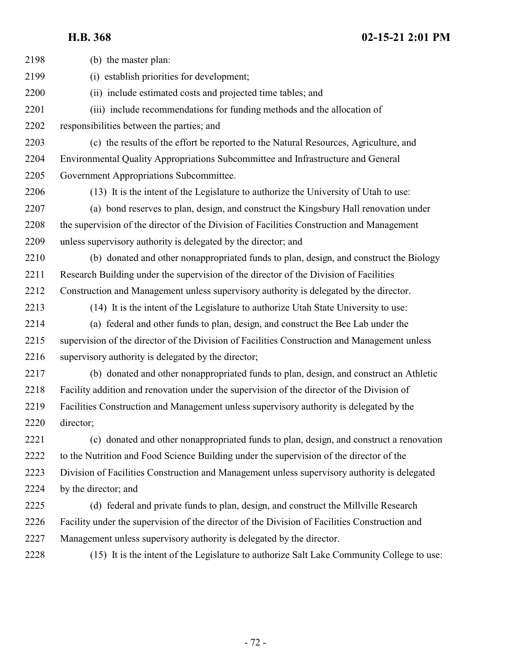| 2198 | (b) the master plan:                                                                          |
|------|-----------------------------------------------------------------------------------------------|
| 2199 | (i) establish priorities for development;                                                     |
| 2200 | (ii) include estimated costs and projected time tables; and                                   |
| 2201 | (iii) include recommendations for funding methods and the allocation of                       |
| 2202 | responsibilities between the parties; and                                                     |
| 2203 | (c) the results of the effort be reported to the Natural Resources, Agriculture, and          |
| 2204 | Environmental Quality Appropriations Subcommittee and Infrastructure and General              |
| 2205 | Government Appropriations Subcommittee.                                                       |
| 2206 | (13) It is the intent of the Legislature to authorize the University of Utah to use:          |
| 2207 | (a) bond reserves to plan, design, and construct the Kingsbury Hall renovation under          |
| 2208 | the supervision of the director of the Division of Facilities Construction and Management     |
| 2209 | unless supervisory authority is delegated by the director; and                                |
| 2210 | (b) donated and other nonappropriated funds to plan, design, and construct the Biology        |
| 2211 | Research Building under the supervision of the director of the Division of Facilities         |
| 2212 | Construction and Management unless supervisory authority is delegated by the director.        |
| 2213 | (14) It is the intent of the Legislature to authorize Utah State University to use:           |
| 2214 | (a) federal and other funds to plan, design, and construct the Bee Lab under the              |
| 2215 | supervision of the director of the Division of Facilities Construction and Management unless  |
| 2216 | supervisory authority is delegated by the director;                                           |
| 2217 | (b) donated and other nonappropriated funds to plan, design, and construct an Athletic        |
| 2218 | Facility addition and renovation under the supervision of the director of the Division of     |
| 2219 | Facilities Construction and Management unless supervisory authority is delegated by the       |
| 2220 | director;                                                                                     |
| 2221 | (c) donated and other nonappropriated funds to plan, design, and construct a renovation       |
| 2222 | to the Nutrition and Food Science Building under the supervision of the director of the       |
| 2223 | Division of Facilities Construction and Management unless supervisory authority is delegated  |
| 2224 | by the director; and                                                                          |
| 2225 | (d) federal and private funds to plan, design, and construct the Millville Research           |
| 2226 | Facility under the supervision of the director of the Division of Facilities Construction and |
| 2227 | Management unless supervisory authority is delegated by the director.                         |
| 2228 | (15) It is the intent of the Legislature to authorize Salt Lake Community College to use:     |
|      |                                                                                               |

- 72 -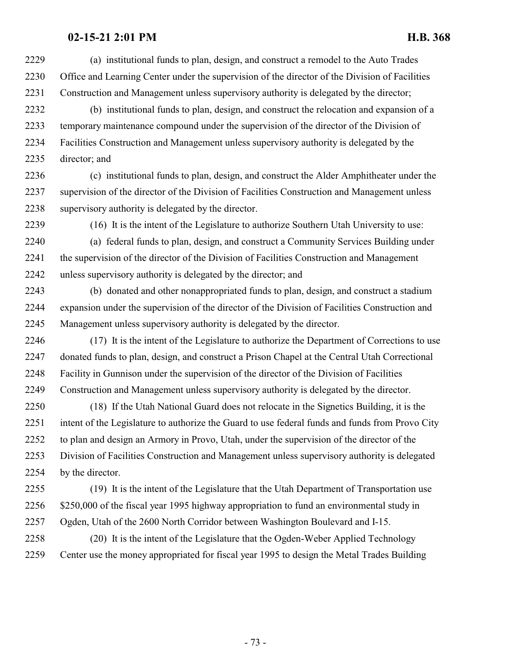- (a) institutional funds to plan, design, and construct a remodel to the Auto Trades Office and Learning Center under the supervision of the director of the Division of Facilities Construction and Management unless supervisory authority is delegated by the director;
- (b) institutional funds to plan, design, and construct the relocation and expansion of a temporary maintenance compound under the supervision of the director of the Division of Facilities Construction and Management unless supervisory authority is delegated by the director; and
- (c) institutional funds to plan, design, and construct the Alder Amphitheater under the supervision of the director of the Division of Facilities Construction and Management unless supervisory authority is delegated by the director.
- 

(16) It is the intent of the Legislature to authorize Southern Utah University to use:

 (a) federal funds to plan, design, and construct a Community Services Building under the supervision of the director of the Division of Facilities Construction and Management unless supervisory authority is delegated by the director; and

 (b) donated and other nonappropriated funds to plan, design, and construct a stadium expansion under the supervision of the director of the Division of Facilities Construction and Management unless supervisory authority is delegated by the director.

 (17) It is the intent of the Legislature to authorize the Department of Corrections to use donated funds to plan, design, and construct a Prison Chapel at the Central Utah Correctional Facility in Gunnison under the supervision of the director of the Division of Facilities Construction and Management unless supervisory authority is delegated by the director.

 (18) If the Utah National Guard does not relocate in the Signetics Building, it is the intent of the Legislature to authorize the Guard to use federal funds and funds from Provo City to plan and design an Armory in Provo, Utah, under the supervision of the director of the Division of Facilities Construction and Management unless supervisory authority is delegated by the director.

 (19) It is the intent of the Legislature that the Utah Department of Transportation use 2256 \$250,000 of the fiscal year 1995 highway appropriation to fund an environmental study in Ogden, Utah of the 2600 North Corridor between Washington Boulevard and I-15.

 (20) It is the intent of the Legislature that the Ogden-Weber Applied Technology Center use the money appropriated for fiscal year 1995 to design the Metal Trades Building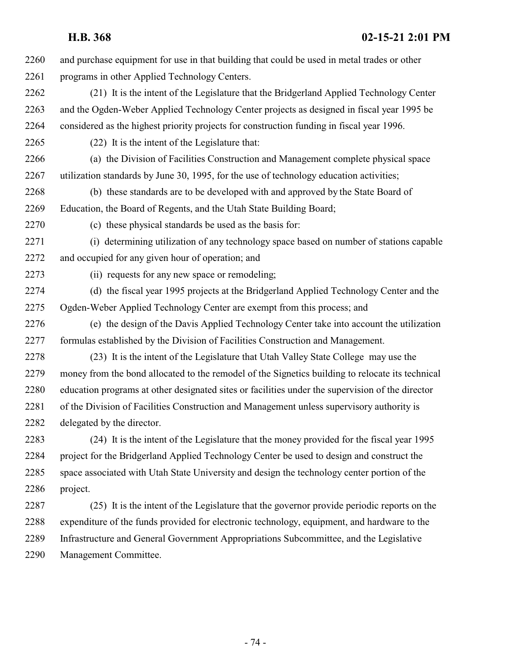| 2260 | and purchase equipment for use in that building that could be used in metal trades or other      |
|------|--------------------------------------------------------------------------------------------------|
| 2261 | programs in other Applied Technology Centers.                                                    |
| 2262 | (21) It is the intent of the Legislature that the Bridgerland Applied Technology Center          |
| 2263 | and the Ogden-Weber Applied Technology Center projects as designed in fiscal year 1995 be        |
| 2264 | considered as the highest priority projects for construction funding in fiscal year 1996.        |
| 2265 | (22) It is the intent of the Legislature that:                                                   |
| 2266 | (a) the Division of Facilities Construction and Management complete physical space               |
| 2267 | utilization standards by June 30, 1995, for the use of technology education activities;          |
| 2268 | (b) these standards are to be developed with and approved by the State Board of                  |
| 2269 | Education, the Board of Regents, and the Utah State Building Board;                              |
| 2270 | (c) these physical standards be used as the basis for:                                           |
| 2271 | (i) determining utilization of any technology space based on number of stations capable          |
| 2272 | and occupied for any given hour of operation; and                                                |
| 2273 | (ii) requests for any new space or remodeling;                                                   |
| 2274 | (d) the fiscal year 1995 projects at the Bridgerland Applied Technology Center and the           |
| 2275 | Ogden-Weber Applied Technology Center are exempt from this process; and                          |
| 2276 | (e) the design of the Davis Applied Technology Center take into account the utilization          |
| 2277 | formulas established by the Division of Facilities Construction and Management.                  |
| 2278 | (23) It is the intent of the Legislature that Utah Valley State College may use the              |
| 2279 | money from the bond allocated to the remodel of the Signetics building to relocate its technical |
| 2280 | education programs at other designated sites or facilities under the supervision of the director |
| 2281 | of the Division of Facilities Construction and Management unless supervisory authority is        |
| 2282 | delegated by the director.                                                                       |
| 2283 | (24) It is the intent of the Legislature that the money provided for the fiscal year 1995        |
| 2284 | project for the Bridgerland Applied Technology Center be used to design and construct the        |
| 2285 | space associated with Utah State University and design the technology center portion of the      |
| 2286 | project.                                                                                         |
| 2287 | (25) It is the intent of the Legislature that the governor provide periodic reports on the       |
| 2288 | expenditure of the funds provided for electronic technology, equipment, and hardware to the      |
| 2289 | Infrastructure and General Government Appropriations Subcommittee, and the Legislative           |
| 2290 | Management Committee.                                                                            |
|      |                                                                                                  |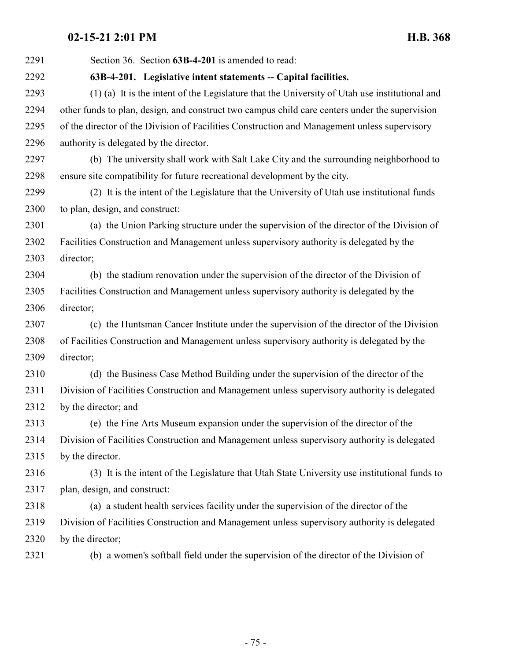| 2291 | Section 36. Section 63B-4-201 is amended to read:                                              |
|------|------------------------------------------------------------------------------------------------|
| 2292 | 63B-4-201. Legislative intent statements -- Capital facilities.                                |
| 2293 | (1) (a) It is the intent of the Legislature that the University of Utah use institutional and  |
| 2294 | other funds to plan, design, and construct two campus child care centers under the supervision |
| 2295 | of the director of the Division of Facilities Construction and Management unless supervisory   |
| 2296 | authority is delegated by the director.                                                        |
| 2297 | (b) The university shall work with Salt Lake City and the surrounding neighborhood to          |
| 2298 | ensure site compatibility for future recreational development by the city.                     |
| 2299 | (2) It is the intent of the Legislature that the University of Utah use institutional funds    |
| 2300 | to plan, design, and construct:                                                                |
| 2301 | (a) the Union Parking structure under the supervision of the director of the Division of       |
| 2302 | Facilities Construction and Management unless supervisory authority is delegated by the        |
| 2303 | director;                                                                                      |
| 2304 | (b) the stadium renovation under the supervision of the director of the Division of            |
| 2305 | Facilities Construction and Management unless supervisory authority is delegated by the        |
| 2306 | director;                                                                                      |
| 2307 | (c) the Huntsman Cancer Institute under the supervision of the director of the Division        |
| 2308 | of Facilities Construction and Management unless supervisory authority is delegated by the     |
| 2309 | director;                                                                                      |
| 2310 | (d) the Business Case Method Building under the supervision of the director of the             |
| 2311 | Division of Facilities Construction and Management unless supervisory authority is delegated   |
| 2312 | by the director; and                                                                           |
| 2313 | (e) the Fine Arts Museum expansion under the supervision of the director of the                |
| 2314 | Division of Facilities Construction and Management unless supervisory authority is delegated   |
| 2315 | by the director.                                                                               |
| 2316 | (3) It is the intent of the Legislature that Utah State University use institutional funds to  |
| 2317 | plan, design, and construct:                                                                   |
| 2318 | (a) a student health services facility under the supervision of the director of the            |
| 2319 | Division of Facilities Construction and Management unless supervisory authority is delegated   |
| 2320 | by the director;                                                                               |
| 2321 | (b) a women's softball field under the supervision of the director of the Division of          |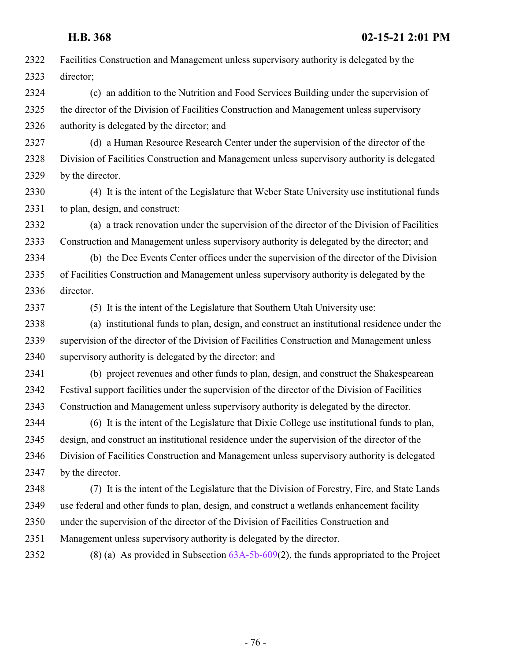| 2322 | Facilities Construction and Management unless supervisory authority is delegated by the         |
|------|-------------------------------------------------------------------------------------------------|
| 2323 | director;                                                                                       |
| 2324 | (c) an addition to the Nutrition and Food Services Building under the supervision of            |
| 2325 | the director of the Division of Facilities Construction and Management unless supervisory       |
| 2326 | authority is delegated by the director; and                                                     |
| 2327 | (d) a Human Resource Research Center under the supervision of the director of the               |
| 2328 | Division of Facilities Construction and Management unless supervisory authority is delegated    |
| 2329 | by the director.                                                                                |
| 2330 | (4) It is the intent of the Legislature that Weber State University use institutional funds     |
| 2331 | to plan, design, and construct:                                                                 |
| 2332 | (a) a track renovation under the supervision of the director of the Division of Facilities      |
| 2333 | Construction and Management unless supervisory authority is delegated by the director; and      |
| 2334 | (b) the Dee Events Center offices under the supervision of the director of the Division         |
| 2335 | of Facilities Construction and Management unless supervisory authority is delegated by the      |
| 2336 | director.                                                                                       |
| 2337 | (5) It is the intent of the Legislature that Southern Utah University use:                      |
| 2338 | (a) institutional funds to plan, design, and construct an institutional residence under the     |
| 2339 | supervision of the director of the Division of Facilities Construction and Management unless    |
| 2340 | supervisory authority is delegated by the director; and                                         |
| 2341 | (b) project revenues and other funds to plan, design, and construct the Shakespearean           |
| 2342 | Festival support facilities under the supervision of the director of the Division of Facilities |
| 2343 | Construction and Management unless supervisory authority is delegated by the director.          |
| 2344 | (6) It is the intent of the Legislature that Dixie College use institutional funds to plan,     |
| 2345 | design, and construct an institutional residence under the supervision of the director of the   |
| 2346 | Division of Facilities Construction and Management unless supervisory authority is delegated    |
| 2347 | by the director.                                                                                |
| 2348 | (7) It is the intent of the Legislature that the Division of Forestry, Fire, and State Lands    |
| 2349 | use federal and other funds to plan, design, and construct a wetlands enhancement facility      |
| 2350 | under the supervision of the director of the Division of Facilities Construction and            |
| 2351 | Management unless supervisory authority is delegated by the director.                           |
| 2352 | $(8)$ (a) As provided in Subsection 63A-5b-609(2), the funds appropriated to the Project        |
|      |                                                                                                 |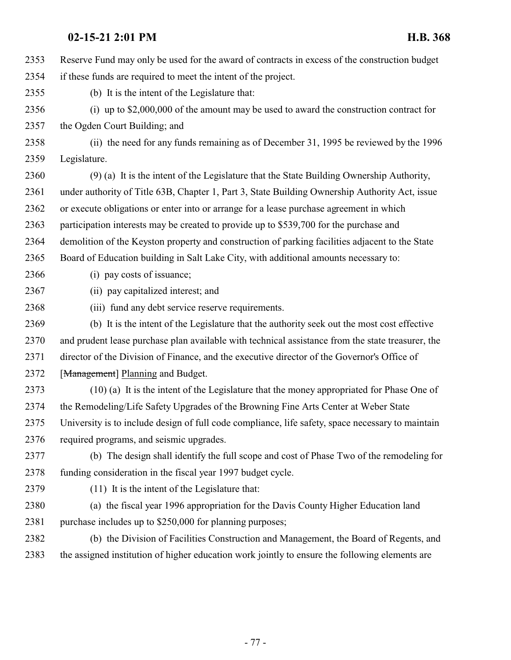Reserve Fund may only be used for the award of contracts in excess of the construction budget if these funds are required to meet the intent of the project. (b) It is the intent of the Legislature that: (i) up to \$2,000,000 of the amount may be used to award the construction contract for the Ogden Court Building; and (ii) the need for any funds remaining as of December 31, 1995 be reviewed by the 1996 Legislature. (9) (a) It is the intent of the Legislature that the State Building Ownership Authority, under authority of Title 63B, Chapter 1, Part 3, State Building Ownership Authority Act, issue or execute obligations or enter into or arrange for a lease purchase agreement in which participation interests may be created to provide up to \$539,700 for the purchase and demolition of the Keyston property and construction of parking facilities adjacent to the State Board of Education building in Salt Lake City, with additional amounts necessary to: (i) pay costs of issuance; (ii) pay capitalized interest; and (iii) fund any debt service reserve requirements. (b) It is the intent of the Legislature that the authority seek out the most cost effective and prudent lease purchase plan available with technical assistance from the state treasurer, the director of the Division of Finance, and the executive director of the Governor's Office of 2372 [Management] Planning and Budget. (10) (a) It is the intent of the Legislature that the money appropriated for Phase One of the Remodeling/Life Safety Upgrades of the Browning Fine Arts Center at Weber State University is to include design of full code compliance, life safety, space necessary to maintain required programs, and seismic upgrades. (b) The design shall identify the full scope and cost of Phase Two of the remodeling for funding consideration in the fiscal year 1997 budget cycle. (11) It is the intent of the Legislature that: (a) the fiscal year 1996 appropriation for the Davis County Higher Education land 2381 purchase includes up to \$250,000 for planning purposes; (b) the Division of Facilities Construction and Management, the Board of Regents, and the assigned institution of higher education work jointly to ensure the following elements are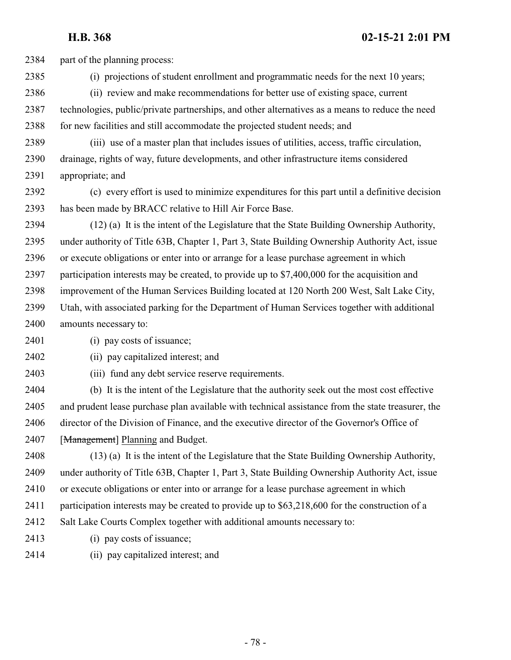part of the planning process:

- (i) projections of student enrollment and programmatic needs for the next 10 years;
- (ii) review and make recommendations for better use of existing space, current technologies, public/private partnerships, and other alternatives as a means to reduce the need for new facilities and still accommodate the projected student needs; and
- (iii) use of a master plan that includes issues of utilities, access, traffic circulation, drainage, rights of way, future developments, and other infrastructure items considered appropriate; and
- (c) every effort is used to minimize expenditures for this part until a definitive decision has been made by BRACC relative to Hill Air Force Base.
- (12) (a) It is the intent of the Legislature that the State Building Ownership Authority, under authority of Title 63B, Chapter 1, Part 3, State Building Ownership Authority Act, issue or execute obligations or enter into or arrange for a lease purchase agreement in which participation interests may be created, to provide up to \$7,400,000 for the acquisition and improvement of the Human Services Building located at 120 North 200 West, Salt Lake City, Utah, with associated parking for the Department of Human Services together with additional amounts necessary to:
- (i) pay costs of issuance;
- (ii) pay capitalized interest; and
- (iii) fund any debt service reserve requirements.
- (b) It is the intent of the Legislature that the authority seek out the most cost effective and prudent lease purchase plan available with technical assistance from the state treasurer, the director of the Division of Finance, and the executive director of the Governor's Office of 2407 [Management] Planning and Budget.
- (13) (a) It is the intent of the Legislature that the State Building Ownership Authority, under authority of Title 63B, Chapter 1, Part 3, State Building Ownership Authority Act, issue or execute obligations or enter into or arrange for a lease purchase agreement in which participation interests may be created to provide up to \$63,218,600 for the construction of a Salt Lake Courts Complex together with additional amounts necessary to:
- (i) pay costs of issuance;
- (ii) pay capitalized interest; and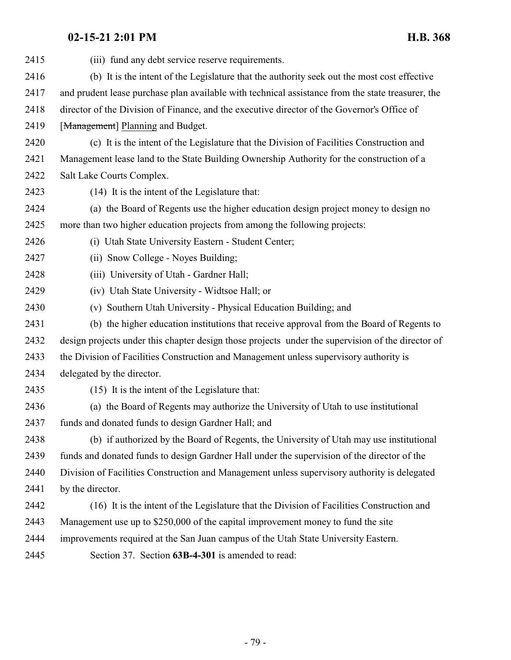| 2415 | (iii) fund any debt service reserve requirements.                                                 |
|------|---------------------------------------------------------------------------------------------------|
| 2416 | (b) It is the intent of the Legislature that the authority seek out the most cost effective       |
| 2417 | and prudent lease purchase plan available with technical assistance from the state treasurer, the |
| 2418 | director of the Division of Finance, and the executive director of the Governor's Office of       |
| 2419 | [Management] Planning and Budget.                                                                 |
| 2420 | (c) It is the intent of the Legislature that the Division of Facilities Construction and          |
| 2421 | Management lease land to the State Building Ownership Authority for the construction of a         |
| 2422 | Salt Lake Courts Complex.                                                                         |
| 2423 | (14) It is the intent of the Legislature that:                                                    |
| 2424 | (a) the Board of Regents use the higher education design project money to design no               |
| 2425 | more than two higher education projects from among the following projects:                        |
| 2426 | (i) Utah State University Eastern - Student Center;                                               |
| 2427 | (ii) Snow College - Noyes Building;                                                               |
| 2428 | (iii) University of Utah - Gardner Hall;                                                          |
| 2429 | (iv) Utah State University - Widtsoe Hall; or                                                     |
| 2430 | (v) Southern Utah University - Physical Education Building; and                                   |
| 2431 | (b) the higher education institutions that receive approval from the Board of Regents to          |
| 2432 | design projects under this chapter design those projects under the supervision of the director of |
| 2433 | the Division of Facilities Construction and Management unless supervisory authority is            |
| 2434 | delegated by the director.                                                                        |
| 2435 | (15) It is the intent of the Legislature that:                                                    |
| 2436 | (a) the Board of Regents may authorize the University of Utah to use institutional                |
| 2437 | funds and donated funds to design Gardner Hall; and                                               |
| 2438 | (b) if authorized by the Board of Regents, the University of Utah may use institutional           |
| 2439 | funds and donated funds to design Gardner Hall under the supervision of the director of the       |
| 2440 | Division of Facilities Construction and Management unless supervisory authority is delegated      |
| 2441 | by the director.                                                                                  |
| 2442 | (16) It is the intent of the Legislature that the Division of Facilities Construction and         |
| 2443 | Management use up to \$250,000 of the capital improvement money to fund the site                  |
| 2444 | improvements required at the San Juan campus of the Utah State University Eastern.                |
| 2445 | Section 37. Section 63B-4-301 is amended to read:                                                 |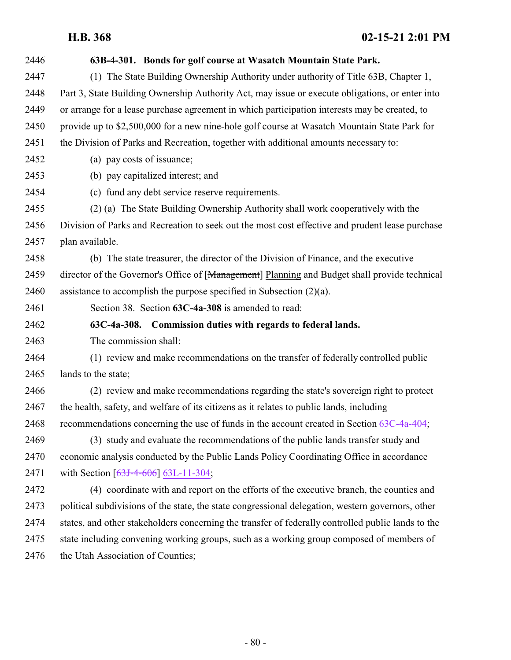| 2446 | 63B-4-301. Bonds for golf course at Wasatch Mountain State Park.                                   |
|------|----------------------------------------------------------------------------------------------------|
| 2447 | (1) The State Building Ownership Authority under authority of Title 63B, Chapter 1,                |
| 2448 | Part 3, State Building Ownership Authority Act, may issue or execute obligations, or enter into    |
| 2449 | or arrange for a lease purchase agreement in which participation interests may be created, to      |
| 2450 | provide up to \$2,500,000 for a new nine-hole golf course at Wasatch Mountain State Park for       |
| 2451 | the Division of Parks and Recreation, together with additional amounts necessary to:               |
| 2452 | (a) pay costs of issuance;                                                                         |
| 2453 | (b) pay capitalized interest; and                                                                  |
| 2454 | (c) fund any debt service reserve requirements.                                                    |
| 2455 | (2) (a) The State Building Ownership Authority shall work cooperatively with the                   |
| 2456 | Division of Parks and Recreation to seek out the most cost effective and prudent lease purchase    |
| 2457 | plan available.                                                                                    |
| 2458 | (b) The state treasurer, the director of the Division of Finance, and the executive                |
| 2459 | director of the Governor's Office of [Management] Planning and Budget shall provide technical      |
| 2460 | assistance to accomplish the purpose specified in Subsection $(2)(a)$ .                            |
| 2461 | Section 38. Section 63C-4a-308 is amended to read:                                                 |
| 2462 | 63C-4a-308. Commission duties with regards to federal lands.                                       |
| 2463 | The commission shall:                                                                              |
| 2464 | (1) review and make recommendations on the transfer of federally controlled public                 |
| 2465 | lands to the state;                                                                                |
| 2466 | (2) review and make recommendations regarding the state's sovereign right to protect               |
| 2467 | the health, safety, and welfare of its citizens as it relates to public lands, including           |
| 2468 | recommendations concerning the use of funds in the account created in Section 63C-4a-404;          |
| 2469 | (3) study and evaluate the recommendations of the public lands transfer study and                  |
| 2470 | economic analysis conducted by the Public Lands Policy Coordinating Office in accordance           |
| 2471 | with Section $[63J-4-606]$ 63L-11-304;                                                             |
| 2472 | (4) coordinate with and report on the efforts of the executive branch, the counties and            |
| 2473 | political subdivisions of the state, the state congressional delegation, western governors, other  |
| 2474 | states, and other stakeholders concerning the transfer of federally controlled public lands to the |
| 2475 | state including convening working groups, such as a working group composed of members of           |
| 2476 | the Utah Association of Counties;                                                                  |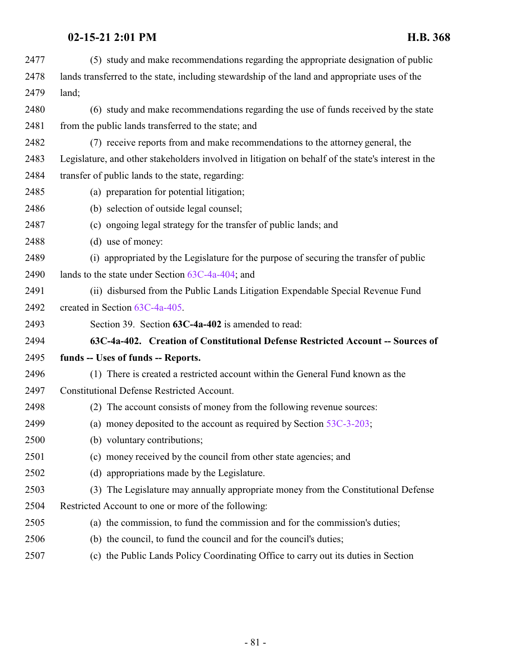| 2477 | (5) study and make recommendations regarding the appropriate designation of public                  |
|------|-----------------------------------------------------------------------------------------------------|
| 2478 | lands transferred to the state, including stewardship of the land and appropriate uses of the       |
| 2479 | land;                                                                                               |
| 2480 | (6) study and make recommendations regarding the use of funds received by the state                 |
| 2481 | from the public lands transferred to the state; and                                                 |
| 2482 | (7) receive reports from and make recommendations to the attorney general, the                      |
| 2483 | Legislature, and other stakeholders involved in litigation on behalf of the state's interest in the |
| 2484 | transfer of public lands to the state, regarding:                                                   |
| 2485 | (a) preparation for potential litigation;                                                           |
| 2486 | (b) selection of outside legal counsel;                                                             |
| 2487 | (c) ongoing legal strategy for the transfer of public lands; and                                    |
| 2488 | (d) use of money:                                                                                   |
| 2489 | (i) appropriated by the Legislature for the purpose of securing the transfer of public              |
| 2490 | lands to the state under Section $63C-4a-404$ ; and                                                 |
| 2491 | (ii) disbursed from the Public Lands Litigation Expendable Special Revenue Fund                     |
| 2492 | created in Section 63C-4a-405.                                                                      |
| 2493 | Section 39. Section 63C-4a-402 is amended to read:                                                  |
| 2494 | 63C-4a-402. Creation of Constitutional Defense Restricted Account -- Sources of                     |
| 2495 | funds -- Uses of funds -- Reports.                                                                  |
| 2496 | (1) There is created a restricted account within the General Fund known as the                      |
| 2497 | <b>Constitutional Defense Restricted Account.</b>                                                   |
| 2498 | (2) The account consists of money from the following revenue sources:                               |
| 2499 | (a) money deposited to the account as required by Section $53C-3-203$ ;                             |
| 2500 | (b) voluntary contributions;                                                                        |
| 2501 | (c) money received by the council from other state agencies; and                                    |
| 2502 | (d) appropriations made by the Legislature.                                                         |
| 2503 | The Legislature may annually appropriate money from the Constitutional Defense<br>(3)               |
| 2504 | Restricted Account to one or more of the following:                                                 |
| 2505 | (a) the commission, to fund the commission and for the commission's duties;                         |
| 2506 | (b) the council, to fund the council and for the council's duties;                                  |
| 2507 | (c) the Public Lands Policy Coordinating Office to carry out its duties in Section                  |
|      |                                                                                                     |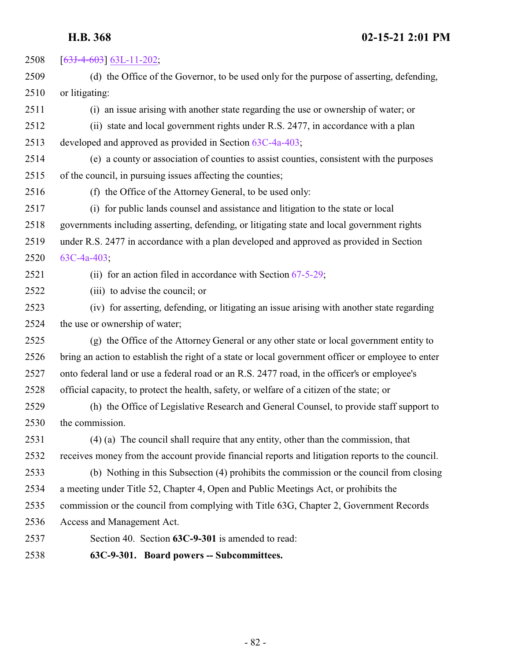| 2508 | $[63J-4-603]$ 63L-11-202;                                                                          |
|------|----------------------------------------------------------------------------------------------------|
| 2509 | (d) the Office of the Governor, to be used only for the purpose of asserting, defending,           |
| 2510 | or litigating:                                                                                     |
| 2511 | (i) an issue arising with another state regarding the use or ownership of water; or                |
| 2512 | (ii) state and local government rights under R.S. 2477, in accordance with a plan                  |
| 2513 | developed and approved as provided in Section 63C-4a-403;                                          |
| 2514 | (e) a county or association of counties to assist counties, consistent with the purposes           |
| 2515 | of the council, in pursuing issues affecting the counties;                                         |
| 2516 | (f) the Office of the Attorney General, to be used only:                                           |
| 2517 | (i) for public lands counsel and assistance and litigation to the state or local                   |
| 2518 | governments including asserting, defending, or litigating state and local government rights        |
| 2519 | under R.S. 2477 in accordance with a plan developed and approved as provided in Section            |
| 2520 | $63C-4a-403$ ;                                                                                     |
| 2521 | (ii) for an action filed in accordance with Section $67-5-29$ ;                                    |
| 2522 | (iii) to advise the council; or                                                                    |
| 2523 | (iv) for asserting, defending, or litigating an issue arising with another state regarding         |
| 2524 | the use or ownership of water;                                                                     |
| 2525 | (g) the Office of the Attorney General or any other state or local government entity to            |
| 2526 | bring an action to establish the right of a state or local government officer or employee to enter |
| 2527 | onto federal land or use a federal road or an R.S. 2477 road, in the officer's or employee's       |
| 2528 | official capacity, to protect the health, safety, or welfare of a citizen of the state; or         |
| 2529 | (h) the Office of Legislative Research and General Counsel, to provide staff support to            |
| 2530 | the commission.                                                                                    |
| 2531 | (4) (a) The council shall require that any entity, other than the commission, that                 |
| 2532 | receives money from the account provide financial reports and litigation reports to the council.   |
| 2533 | (b) Nothing in this Subsection (4) prohibits the commission or the council from closing            |
| 2534 | a meeting under Title 52, Chapter 4, Open and Public Meetings Act, or prohibits the                |
| 2535 | commission or the council from complying with Title 63G, Chapter 2, Government Records             |
| 2536 | Access and Management Act.                                                                         |
| 2537 | Section 40. Section 63C-9-301 is amended to read:                                                  |
| 2538 | 63C-9-301. Board powers -- Subcommittees.                                                          |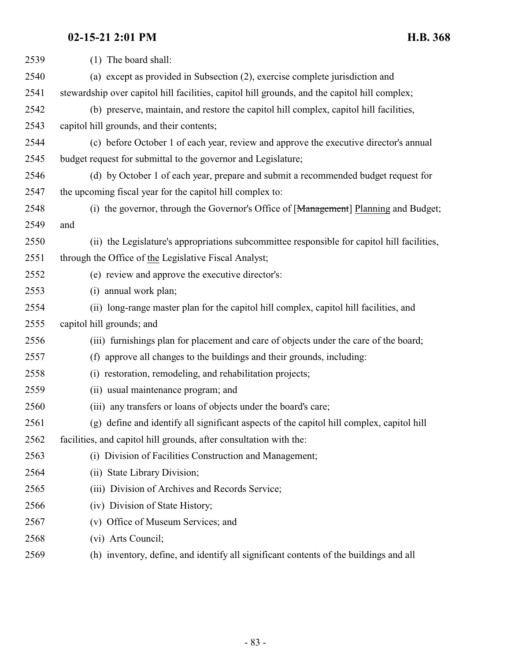| 2539 | (1) The board shall:                                                                          |
|------|-----------------------------------------------------------------------------------------------|
| 2540 | (a) except as provided in Subsection (2), exercise complete jurisdiction and                  |
| 2541 | stewardship over capitol hill facilities, capitol hill grounds, and the capitol hill complex; |
| 2542 | (b) preserve, maintain, and restore the capitol hill complex, capitol hill facilities,        |
| 2543 | capitol hill grounds, and their contents;                                                     |
| 2544 | (c) before October 1 of each year, review and approve the executive director's annual         |
| 2545 | budget request for submittal to the governor and Legislature;                                 |
| 2546 | (d) by October 1 of each year, prepare and submit a recommended budget request for            |
| 2547 | the upcoming fiscal year for the capitol hill complex to:                                     |
| 2548 | (i) the governor, through the Governor's Office of [Management] Planning and Budget;          |
| 2549 | and                                                                                           |
| 2550 | (ii) the Legislature's appropriations subcommittee responsible for capitol hill facilities,   |
| 2551 | through the Office of the Legislative Fiscal Analyst;                                         |
| 2552 | (e) review and approve the executive director's:                                              |
| 2553 | (i) annual work plan;                                                                         |
| 2554 | (ii) long-range master plan for the capitol hill complex, capitol hill facilities, and        |
| 2555 | capitol hill grounds; and                                                                     |
| 2556 | (iii) furnishings plan for placement and care of objects under the care of the board;         |
| 2557 | (f) approve all changes to the buildings and their grounds, including:                        |
| 2558 | restoration, remodeling, and rehabilitation projects;<br>(i)                                  |
| 2559 | (ii) usual maintenance program; and                                                           |
| 2560 | (iii) any transfers or loans of objects under the board's care;                               |
| 2561 | (g) define and identify all significant aspects of the capitol hill complex, capitol hill     |
| 2562 | facilities, and capitol hill grounds, after consultation with the:                            |
| 2563 | (i) Division of Facilities Construction and Management;                                       |
| 2564 | (ii) State Library Division;                                                                  |
| 2565 | (iii) Division of Archives and Records Service;                                               |
| 2566 | (iv) Division of State History;                                                               |
| 2567 | (v) Office of Museum Services; and                                                            |
| 2568 | (vi) Arts Council;                                                                            |
| 2569 | (h) inventory, define, and identify all significant contents of the buildings and all         |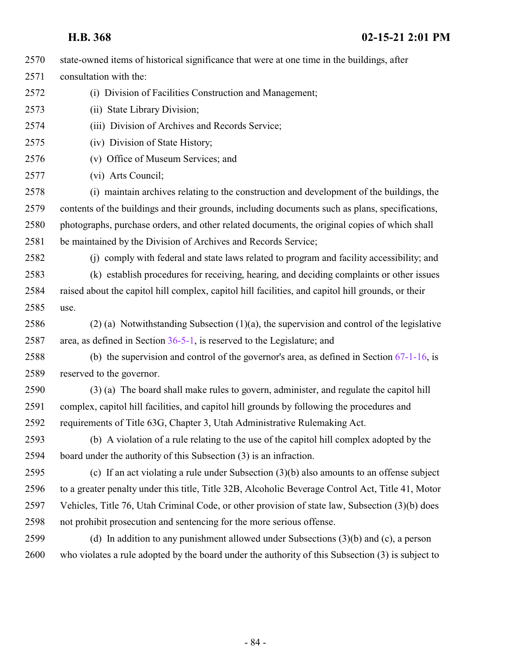**H.B. 368 02-15-21 2:01 PM** state-owned items of historical significance that were at one time in the buildings, after consultation with the: (i) Division of Facilities Construction and Management; (ii) State Library Division; (iii) Division of Archives and Records Service; (iv) Division of State History; (v) Office of Museum Services; and (vi) Arts Council; (i) maintain archives relating to the construction and development of the buildings, the contents of the buildings and their grounds, including documents such as plans, specifications, photographs, purchase orders, and other related documents, the original copies of which shall be maintained by the Division of Archives and Records Service; (j) comply with federal and state laws related to program and facility accessibility; and (k) establish procedures for receiving, hearing, and deciding complaints or other issues raised about the capitol hill complex, capitol hill facilities, and capitol hill grounds, or their use. 2586 (2) (a) Notwithstanding Subsection  $(1)(a)$ , the supervision and control of the legislative area, as defined in Section [36-5-1](http://le.utah.gov/UtahCode/SectionLookup.jsp?section=36-5-1&session=2021GS), is reserved to the Legislature; and 2588 (b) the supervision and control of the governor's area, as defined in Section  $67-1-16$ , is reserved to the governor. (3) (a) The board shall make rules to govern, administer, and regulate the capitol hill complex, capitol hill facilities, and capitol hill grounds by following the procedures and requirements of Title 63G, Chapter 3, Utah Administrative Rulemaking Act. (b) A violation of a rule relating to the use of the capitol hill complex adopted by the board under the authority of this Subsection (3) is an infraction. (c) If an act violating a rule under Subsection (3)(b) also amounts to an offense subject to a greater penalty under this title, Title 32B, Alcoholic Beverage Control Act, Title 41, Motor Vehicles, Title 76, Utah Criminal Code, or other provision of state law, Subsection (3)(b) does not prohibit prosecution and sentencing for the more serious offense. (d) In addition to any punishment allowed under Subsections (3)(b) and (c), a person who violates a rule adopted by the board under the authority of this Subsection (3) is subject to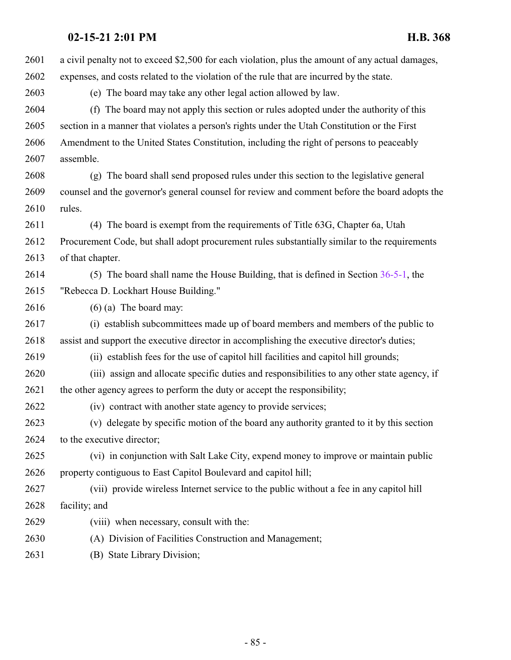| 2602<br>expenses, and costs related to the violation of the rule that are incurred by the state.<br>2603<br>(e) The board may take any other legal action allowed by law.<br>2604<br>The board may not apply this section or rules adopted under the authority of this<br>(f)<br>2605<br>section in a manner that violates a person's rights under the Utah Constitution or the First<br>2606<br>Amendment to the United States Constitution, including the right of persons to peaceably<br>2607<br>assemble.<br>2608<br>(g) The board shall send proposed rules under this section to the legislative general<br>2609<br>rules.<br>2610<br>2611<br>(4) The board is exempt from the requirements of Title 63G, Chapter 6a, Utah<br>2612<br>Procurement Code, but shall adopt procurement rules substantially similar to the requirements<br>2613<br>of that chapter.<br>2614<br>(5) The board shall name the House Building, that is defined in Section $36-5-1$ , the<br>2615<br>"Rebecca D. Lockhart House Building."<br>2616<br>$(6)$ (a) The board may:<br>2617<br>(i) establish subcommittees made up of board members and members of the public to<br>2618<br>assist and support the executive director in accomplishing the executive director's duties;<br>2619<br>(ii) establish fees for the use of capitol hill facilities and capitol hill grounds;<br>2620<br>(iii) assign and allocate specific duties and responsibilities to any other state agency, if<br>2621<br>the other agency agrees to perform the duty or accept the responsibility;<br>2622<br>(iv) contract with another state agency to provide services;<br>2623<br>(v) delegate by specific motion of the board any authority granted to it by this section<br>2624<br>to the executive director;<br>2625<br>(vi) in conjunction with Salt Lake City, expend money to improve or maintain public<br>2626<br>property contiguous to East Capitol Boulevard and capitol hill;<br>2627<br>(vii) provide wireless Internet service to the public without a fee in any capitol hill<br>2628<br>facility; and<br>2629<br>(viii) when necessary, consult with the:<br>2630<br>(A) Division of Facilities Construction and Management;<br>2631 | 2601 | a civil penalty not to exceed \$2,500 for each violation, plus the amount of any actual damages, |
|-----------------------------------------------------------------------------------------------------------------------------------------------------------------------------------------------------------------------------------------------------------------------------------------------------------------------------------------------------------------------------------------------------------------------------------------------------------------------------------------------------------------------------------------------------------------------------------------------------------------------------------------------------------------------------------------------------------------------------------------------------------------------------------------------------------------------------------------------------------------------------------------------------------------------------------------------------------------------------------------------------------------------------------------------------------------------------------------------------------------------------------------------------------------------------------------------------------------------------------------------------------------------------------------------------------------------------------------------------------------------------------------------------------------------------------------------------------------------------------------------------------------------------------------------------------------------------------------------------------------------------------------------------------------------------------------------------------------------------------------------------------------------------------------------------------------------------------------------------------------------------------------------------------------------------------------------------------------------------------------------------------------------------------------------------------------------------------------------------------------------------------------------------------------------------------------------------------------------|------|--------------------------------------------------------------------------------------------------|
|                                                                                                                                                                                                                                                                                                                                                                                                                                                                                                                                                                                                                                                                                                                                                                                                                                                                                                                                                                                                                                                                                                                                                                                                                                                                                                                                                                                                                                                                                                                                                                                                                                                                                                                                                                                                                                                                                                                                                                                                                                                                                                                                                                                                                       |      |                                                                                                  |
|                                                                                                                                                                                                                                                                                                                                                                                                                                                                                                                                                                                                                                                                                                                                                                                                                                                                                                                                                                                                                                                                                                                                                                                                                                                                                                                                                                                                                                                                                                                                                                                                                                                                                                                                                                                                                                                                                                                                                                                                                                                                                                                                                                                                                       |      |                                                                                                  |
|                                                                                                                                                                                                                                                                                                                                                                                                                                                                                                                                                                                                                                                                                                                                                                                                                                                                                                                                                                                                                                                                                                                                                                                                                                                                                                                                                                                                                                                                                                                                                                                                                                                                                                                                                                                                                                                                                                                                                                                                                                                                                                                                                                                                                       |      |                                                                                                  |
|                                                                                                                                                                                                                                                                                                                                                                                                                                                                                                                                                                                                                                                                                                                                                                                                                                                                                                                                                                                                                                                                                                                                                                                                                                                                                                                                                                                                                                                                                                                                                                                                                                                                                                                                                                                                                                                                                                                                                                                                                                                                                                                                                                                                                       |      |                                                                                                  |
|                                                                                                                                                                                                                                                                                                                                                                                                                                                                                                                                                                                                                                                                                                                                                                                                                                                                                                                                                                                                                                                                                                                                                                                                                                                                                                                                                                                                                                                                                                                                                                                                                                                                                                                                                                                                                                                                                                                                                                                                                                                                                                                                                                                                                       |      |                                                                                                  |
|                                                                                                                                                                                                                                                                                                                                                                                                                                                                                                                                                                                                                                                                                                                                                                                                                                                                                                                                                                                                                                                                                                                                                                                                                                                                                                                                                                                                                                                                                                                                                                                                                                                                                                                                                                                                                                                                                                                                                                                                                                                                                                                                                                                                                       |      |                                                                                                  |
|                                                                                                                                                                                                                                                                                                                                                                                                                                                                                                                                                                                                                                                                                                                                                                                                                                                                                                                                                                                                                                                                                                                                                                                                                                                                                                                                                                                                                                                                                                                                                                                                                                                                                                                                                                                                                                                                                                                                                                                                                                                                                                                                                                                                                       |      |                                                                                                  |
|                                                                                                                                                                                                                                                                                                                                                                                                                                                                                                                                                                                                                                                                                                                                                                                                                                                                                                                                                                                                                                                                                                                                                                                                                                                                                                                                                                                                                                                                                                                                                                                                                                                                                                                                                                                                                                                                                                                                                                                                                                                                                                                                                                                                                       |      | counsel and the governor's general counsel for review and comment before the board adopts the    |
|                                                                                                                                                                                                                                                                                                                                                                                                                                                                                                                                                                                                                                                                                                                                                                                                                                                                                                                                                                                                                                                                                                                                                                                                                                                                                                                                                                                                                                                                                                                                                                                                                                                                                                                                                                                                                                                                                                                                                                                                                                                                                                                                                                                                                       |      |                                                                                                  |
|                                                                                                                                                                                                                                                                                                                                                                                                                                                                                                                                                                                                                                                                                                                                                                                                                                                                                                                                                                                                                                                                                                                                                                                                                                                                                                                                                                                                                                                                                                                                                                                                                                                                                                                                                                                                                                                                                                                                                                                                                                                                                                                                                                                                                       |      |                                                                                                  |
|                                                                                                                                                                                                                                                                                                                                                                                                                                                                                                                                                                                                                                                                                                                                                                                                                                                                                                                                                                                                                                                                                                                                                                                                                                                                                                                                                                                                                                                                                                                                                                                                                                                                                                                                                                                                                                                                                                                                                                                                                                                                                                                                                                                                                       |      |                                                                                                  |
|                                                                                                                                                                                                                                                                                                                                                                                                                                                                                                                                                                                                                                                                                                                                                                                                                                                                                                                                                                                                                                                                                                                                                                                                                                                                                                                                                                                                                                                                                                                                                                                                                                                                                                                                                                                                                                                                                                                                                                                                                                                                                                                                                                                                                       |      |                                                                                                  |
|                                                                                                                                                                                                                                                                                                                                                                                                                                                                                                                                                                                                                                                                                                                                                                                                                                                                                                                                                                                                                                                                                                                                                                                                                                                                                                                                                                                                                                                                                                                                                                                                                                                                                                                                                                                                                                                                                                                                                                                                                                                                                                                                                                                                                       |      |                                                                                                  |
|                                                                                                                                                                                                                                                                                                                                                                                                                                                                                                                                                                                                                                                                                                                                                                                                                                                                                                                                                                                                                                                                                                                                                                                                                                                                                                                                                                                                                                                                                                                                                                                                                                                                                                                                                                                                                                                                                                                                                                                                                                                                                                                                                                                                                       |      |                                                                                                  |
|                                                                                                                                                                                                                                                                                                                                                                                                                                                                                                                                                                                                                                                                                                                                                                                                                                                                                                                                                                                                                                                                                                                                                                                                                                                                                                                                                                                                                                                                                                                                                                                                                                                                                                                                                                                                                                                                                                                                                                                                                                                                                                                                                                                                                       |      |                                                                                                  |
|                                                                                                                                                                                                                                                                                                                                                                                                                                                                                                                                                                                                                                                                                                                                                                                                                                                                                                                                                                                                                                                                                                                                                                                                                                                                                                                                                                                                                                                                                                                                                                                                                                                                                                                                                                                                                                                                                                                                                                                                                                                                                                                                                                                                                       |      |                                                                                                  |
|                                                                                                                                                                                                                                                                                                                                                                                                                                                                                                                                                                                                                                                                                                                                                                                                                                                                                                                                                                                                                                                                                                                                                                                                                                                                                                                                                                                                                                                                                                                                                                                                                                                                                                                                                                                                                                                                                                                                                                                                                                                                                                                                                                                                                       |      |                                                                                                  |
|                                                                                                                                                                                                                                                                                                                                                                                                                                                                                                                                                                                                                                                                                                                                                                                                                                                                                                                                                                                                                                                                                                                                                                                                                                                                                                                                                                                                                                                                                                                                                                                                                                                                                                                                                                                                                                                                                                                                                                                                                                                                                                                                                                                                                       |      |                                                                                                  |
|                                                                                                                                                                                                                                                                                                                                                                                                                                                                                                                                                                                                                                                                                                                                                                                                                                                                                                                                                                                                                                                                                                                                                                                                                                                                                                                                                                                                                                                                                                                                                                                                                                                                                                                                                                                                                                                                                                                                                                                                                                                                                                                                                                                                                       |      |                                                                                                  |
|                                                                                                                                                                                                                                                                                                                                                                                                                                                                                                                                                                                                                                                                                                                                                                                                                                                                                                                                                                                                                                                                                                                                                                                                                                                                                                                                                                                                                                                                                                                                                                                                                                                                                                                                                                                                                                                                                                                                                                                                                                                                                                                                                                                                                       |      |                                                                                                  |
|                                                                                                                                                                                                                                                                                                                                                                                                                                                                                                                                                                                                                                                                                                                                                                                                                                                                                                                                                                                                                                                                                                                                                                                                                                                                                                                                                                                                                                                                                                                                                                                                                                                                                                                                                                                                                                                                                                                                                                                                                                                                                                                                                                                                                       |      |                                                                                                  |
|                                                                                                                                                                                                                                                                                                                                                                                                                                                                                                                                                                                                                                                                                                                                                                                                                                                                                                                                                                                                                                                                                                                                                                                                                                                                                                                                                                                                                                                                                                                                                                                                                                                                                                                                                                                                                                                                                                                                                                                                                                                                                                                                                                                                                       |      |                                                                                                  |
|                                                                                                                                                                                                                                                                                                                                                                                                                                                                                                                                                                                                                                                                                                                                                                                                                                                                                                                                                                                                                                                                                                                                                                                                                                                                                                                                                                                                                                                                                                                                                                                                                                                                                                                                                                                                                                                                                                                                                                                                                                                                                                                                                                                                                       |      |                                                                                                  |
|                                                                                                                                                                                                                                                                                                                                                                                                                                                                                                                                                                                                                                                                                                                                                                                                                                                                                                                                                                                                                                                                                                                                                                                                                                                                                                                                                                                                                                                                                                                                                                                                                                                                                                                                                                                                                                                                                                                                                                                                                                                                                                                                                                                                                       |      |                                                                                                  |
|                                                                                                                                                                                                                                                                                                                                                                                                                                                                                                                                                                                                                                                                                                                                                                                                                                                                                                                                                                                                                                                                                                                                                                                                                                                                                                                                                                                                                                                                                                                                                                                                                                                                                                                                                                                                                                                                                                                                                                                                                                                                                                                                                                                                                       |      |                                                                                                  |
|                                                                                                                                                                                                                                                                                                                                                                                                                                                                                                                                                                                                                                                                                                                                                                                                                                                                                                                                                                                                                                                                                                                                                                                                                                                                                                                                                                                                                                                                                                                                                                                                                                                                                                                                                                                                                                                                                                                                                                                                                                                                                                                                                                                                                       |      |                                                                                                  |
|                                                                                                                                                                                                                                                                                                                                                                                                                                                                                                                                                                                                                                                                                                                                                                                                                                                                                                                                                                                                                                                                                                                                                                                                                                                                                                                                                                                                                                                                                                                                                                                                                                                                                                                                                                                                                                                                                                                                                                                                                                                                                                                                                                                                                       |      |                                                                                                  |
|                                                                                                                                                                                                                                                                                                                                                                                                                                                                                                                                                                                                                                                                                                                                                                                                                                                                                                                                                                                                                                                                                                                                                                                                                                                                                                                                                                                                                                                                                                                                                                                                                                                                                                                                                                                                                                                                                                                                                                                                                                                                                                                                                                                                                       |      |                                                                                                  |
|                                                                                                                                                                                                                                                                                                                                                                                                                                                                                                                                                                                                                                                                                                                                                                                                                                                                                                                                                                                                                                                                                                                                                                                                                                                                                                                                                                                                                                                                                                                                                                                                                                                                                                                                                                                                                                                                                                                                                                                                                                                                                                                                                                                                                       |      |                                                                                                  |
|                                                                                                                                                                                                                                                                                                                                                                                                                                                                                                                                                                                                                                                                                                                                                                                                                                                                                                                                                                                                                                                                                                                                                                                                                                                                                                                                                                                                                                                                                                                                                                                                                                                                                                                                                                                                                                                                                                                                                                                                                                                                                                                                                                                                                       |      | (B) State Library Division;                                                                      |

- 85 -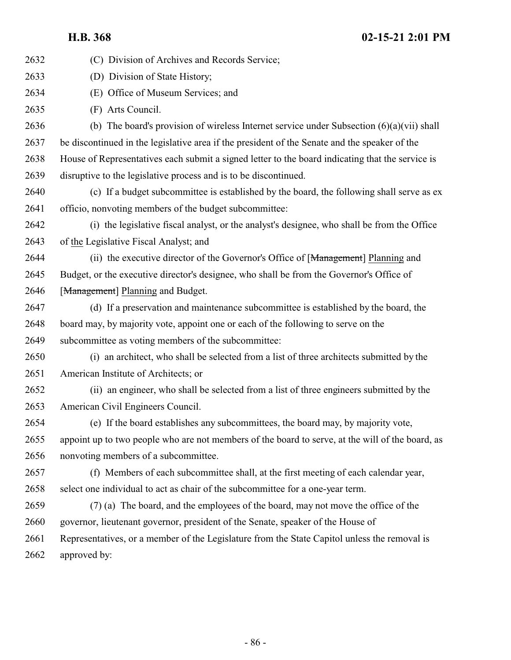| 2632 | (C) Division of Archives and Records Service;                                                    |
|------|--------------------------------------------------------------------------------------------------|
| 2633 | (D) Division of State History;                                                                   |
| 2634 | (E) Office of Museum Services; and                                                               |
| 2635 | (F) Arts Council.                                                                                |
| 2636 | (b) The board's provision of wireless Internet service under Subsection $(6)(a)(vii)$ shall      |
| 2637 | be discontinued in the legislative area if the president of the Senate and the speaker of the    |
| 2638 | House of Representatives each submit a signed letter to the board indicating that the service is |
| 2639 | disruptive to the legislative process and is to be discontinued.                                 |
| 2640 | (c) If a budget subcommittee is established by the board, the following shall serve as ex        |
| 2641 | officio, nonvoting members of the budget subcommittee:                                           |
| 2642 | (i) the legislative fiscal analyst, or the analyst's designee, who shall be from the Office      |
| 2643 | of the Legislative Fiscal Analyst; and                                                           |
| 2644 | (ii) the executive director of the Governor's Office of [Management] Planning and                |
| 2645 | Budget, or the executive director's designee, who shall be from the Governor's Office of         |
| 2646 | [Management] Planning and Budget.                                                                |
| 2647 | (d) If a preservation and maintenance subcommittee is established by the board, the              |
| 2648 | board may, by majority vote, appoint one or each of the following to serve on the                |
| 2649 | subcommittee as voting members of the subcommittee:                                              |
| 2650 | (i) an architect, who shall be selected from a list of three architects submitted by the         |
| 2651 | American Institute of Architects; or                                                             |
| 2652 | (ii) an engineer, who shall be selected from a list of three engineers submitted by the          |
| 2653 | American Civil Engineers Council.                                                                |
| 2654 | (e) If the board establishes any subcommittees, the board may, by majority vote,                 |
| 2655 | appoint up to two people who are not members of the board to serve, at the will of the board, as |
| 2656 | nonvoting members of a subcommittee.                                                             |
| 2657 | (f) Members of each subcommittee shall, at the first meeting of each calendar year,              |
| 2658 | select one individual to act as chair of the subcommittee for a one-year term.                   |
| 2659 | (7) (a) The board, and the employees of the board, may not move the office of the                |
| 2660 | governor, lieutenant governor, president of the Senate, speaker of the House of                  |
| 2661 | Representatives, or a member of the Legislature from the State Capitol unless the removal is     |
| 2662 | approved by:                                                                                     |
|      |                                                                                                  |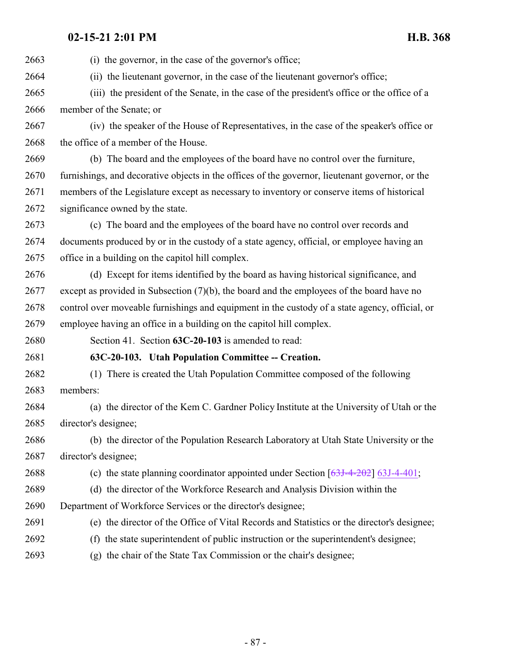| 2663 | (i) the governor, in the case of the governor's office;                                         |
|------|-------------------------------------------------------------------------------------------------|
| 2664 | (ii) the lieutenant governor, in the case of the lieutenant governor's office;                  |
| 2665 |                                                                                                 |
|      | (iii) the president of the Senate, in the case of the president's office or the office of a     |
| 2666 | member of the Senate; or                                                                        |
| 2667 | (iv) the speaker of the House of Representatives, in the case of the speaker's office or        |
| 2668 | the office of a member of the House.                                                            |
| 2669 | (b) The board and the employees of the board have no control over the furniture,                |
| 2670 | furnishings, and decorative objects in the offices of the governor, lieutenant governor, or the |
| 2671 | members of the Legislature except as necessary to inventory or conserve items of historical     |
| 2672 | significance owned by the state.                                                                |
| 2673 | (c) The board and the employees of the board have no control over records and                   |
| 2674 | documents produced by or in the custody of a state agency, official, or employee having an      |
| 2675 | office in a building on the capitol hill complex.                                               |
| 2676 | (d) Except for items identified by the board as having historical significance, and             |
| 2677 | except as provided in Subsection $(7)(b)$ , the board and the employees of the board have no    |
| 2678 | control over moveable furnishings and equipment in the custody of a state agency, official, or  |
| 2679 | employee having an office in a building on the capitol hill complex.                            |
| 2680 | Section 41. Section 63C-20-103 is amended to read:                                              |
| 2681 | 63C-20-103. Utah Population Committee -- Creation.                                              |
| 2682 | (1) There is created the Utah Population Committee composed of the following                    |
| 2683 | members:                                                                                        |
| 2684 | (a) the director of the Kem C. Gardner Policy Institute at the University of Utah or the        |
| 2685 | director's designee;                                                                            |
| 2686 | (b) the director of the Population Research Laboratory at Utah State University or the          |
| 2687 | director's designee;                                                                            |
| 2688 | (c) the state planning coordinator appointed under Section $[63J-4-202]$ 63J-4-401;             |
| 2689 | (d) the director of the Workforce Research and Analysis Division within the                     |
| 2690 | Department of Workforce Services or the director's designee;                                    |
| 2691 | (e) the director of the Office of Vital Records and Statistics or the director's designee;      |
| 2692 | the state superintendent of public instruction or the superintendent's designee;<br>(f)         |
| 2693 | the chair of the State Tax Commission or the chair's designee;<br>(g)                           |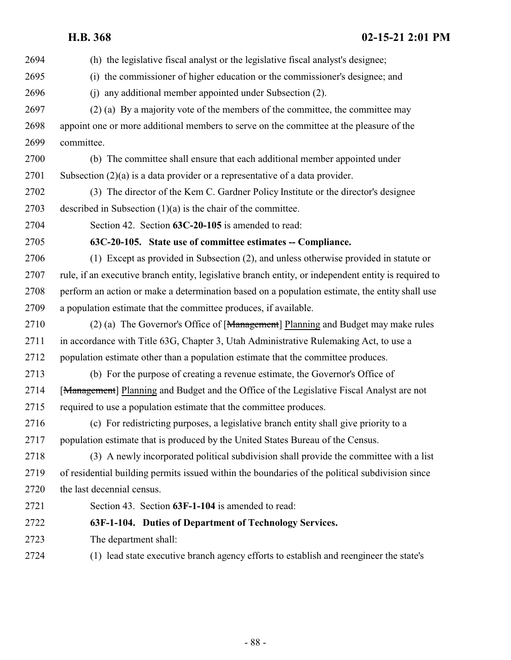(h) the legislative fiscal analyst or the legislative fiscal analyst's designee; (i) the commissioner of higher education or the commissioner's designee; and (j) any additional member appointed under Subsection (2). (2) (a) By a majority vote of the members of the committee, the committee may appoint one or more additional members to serve on the committee at the pleasure of the committee. (b) The committee shall ensure that each additional member appointed under 2701 Subsection  $(2)(a)$  is a data provider or a representative of a data provider. (3) The director of the Kem C. Gardner Policy Institute or the director's designee described in Subsection (1)(a) is the chair of the committee. Section 42. Section **63C-20-105** is amended to read: **63C-20-105. State use of committee estimates -- Compliance.** (1) Except as provided in Subsection (2), and unless otherwise provided in statute or rule, if an executive branch entity, legislative branch entity, or independent entity is required to perform an action or make a determination based on a population estimate, the entity shall use a population estimate that the committee produces, if available. 2710 (2) (a) The Governor's Office of [Management] Planning and Budget may make rules in accordance with Title 63G, Chapter 3, Utah Administrative Rulemaking Act, to use a population estimate other than a population estimate that the committee produces. (b) For the purpose of creating a revenue estimate, the Governor's Office of 2714 [Management] Planning and Budget and the Office of the Legislative Fiscal Analyst are not required to use a population estimate that the committee produces. (c) For redistricting purposes, a legislative branch entity shall give priority to a population estimate that is produced by the United States Bureau of the Census. (3) A newly incorporated political subdivision shall provide the committee with a list of residential building permits issued within the boundaries of the political subdivision since the last decennial census. Section 43. Section **63F-1-104** is amended to read: **63F-1-104. Duties of Department of Technology Services.** The department shall: (1) lead state executive branch agency efforts to establish and reengineer the state's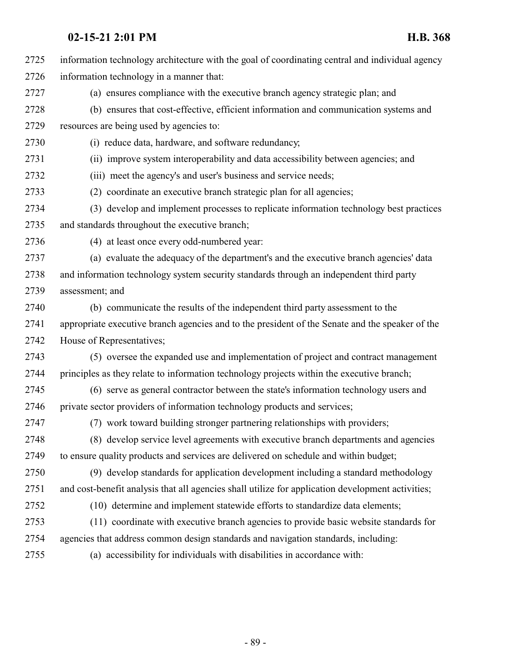information technology architecture with the goal of coordinating central and individual agency information technology in a manner that: (a) ensures compliance with the executive branch agency strategic plan; and (b) ensures that cost-effective, efficient information and communication systems and resources are being used by agencies to: (i) reduce data, hardware, and software redundancy; (ii) improve system interoperability and data accessibility between agencies; and (iii) meet the agency's and user's business and service needs; (2) coordinate an executive branch strategic plan for all agencies; (3) develop and implement processes to replicate information technology best practices and standards throughout the executive branch; (4) at least once every odd-numbered year: (a) evaluate the adequacy of the department's and the executive branch agencies' data and information technology system security standards through an independent third party assessment; and (b) communicate the results of the independent third party assessment to the appropriate executive branch agencies and to the president of the Senate and the speaker of the House of Representatives; (5) oversee the expanded use and implementation of project and contract management principles as they relate to information technology projects within the executive branch; (6) serve as general contractor between the state's information technology users and private sector providers of information technology products and services; (7) work toward building stronger partnering relationships with providers; (8) develop service level agreements with executive branch departments and agencies to ensure quality products and services are delivered on schedule and within budget; (9) develop standards for application development including a standard methodology and cost-benefit analysis that all agencies shall utilize for application development activities; (10) determine and implement statewide efforts to standardize data elements; (11) coordinate with executive branch agencies to provide basic website standards for agencies that address common design standards and navigation standards, including: (a) accessibility for individuals with disabilities in accordance with: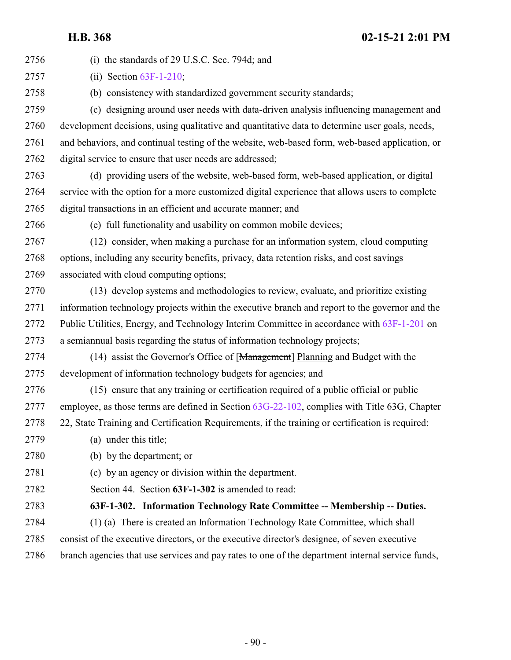| 2756 | (i) the standards of 29 U.S.C. Sec. 794d; and                                                    |
|------|--------------------------------------------------------------------------------------------------|
| 2757 | (ii) Section $63F-1-210$ ;                                                                       |
| 2758 | (b) consistency with standardized government security standards;                                 |
| 2759 | (c) designing around user needs with data-driven analysis influencing management and             |
| 2760 | development decisions, using qualitative and quantitative data to determine user goals, needs,   |
| 2761 | and behaviors, and continual testing of the website, web-based form, web-based application, or   |
| 2762 | digital service to ensure that user needs are addressed;                                         |
| 2763 | (d) providing users of the website, web-based form, web-based application, or digital            |
| 2764 | service with the option for a more customized digital experience that allows users to complete   |
| 2765 | digital transactions in an efficient and accurate manner; and                                    |
| 2766 | (e) full functionality and usability on common mobile devices;                                   |
| 2767 | (12) consider, when making a purchase for an information system, cloud computing                 |
| 2768 | options, including any security benefits, privacy, data retention risks, and cost savings        |
| 2769 | associated with cloud computing options;                                                         |
| 2770 | (13) develop systems and methodologies to review, evaluate, and prioritize existing              |
| 2771 | information technology projects within the executive branch and report to the governor and the   |
| 2772 | Public Utilities, Energy, and Technology Interim Committee in accordance with 63F-1-201 on       |
| 2773 | a semiannual basis regarding the status of information technology projects;                      |
| 2774 | (14) assist the Governor's Office of [Management] Planning and Budget with the                   |
| 2775 | development of information technology budgets for agencies; and                                  |
| 2776 | (15) ensure that any training or certification required of a public official or public           |
| 2777 | employee, as those terms are defined in Section 63G-22-102, complies with Title 63G, Chapter     |
| 2778 | 22, State Training and Certification Requirements, if the training or certification is required: |
| 2779 | (a) under this title;                                                                            |
| 2780 | (b) by the department; or                                                                        |
| 2781 | (c) by an agency or division within the department.                                              |
| 2782 | Section 44. Section 63F-1-302 is amended to read:                                                |
| 2783 | 63F-1-302. Information Technology Rate Committee -- Membership -- Duties.                        |
| 2784 | (1) (a) There is created an Information Technology Rate Committee, which shall                   |
| 2785 | consist of the executive directors, or the executive director's designee, of seven executive     |
| 2786 | branch agencies that use services and pay rates to one of the department internal service funds, |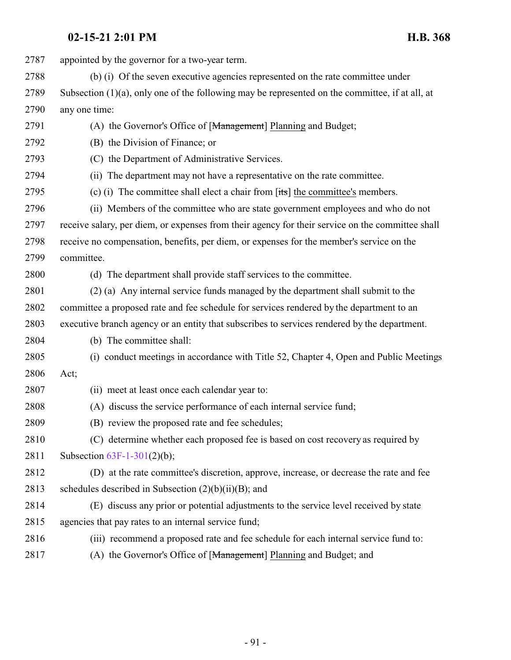| 2787 | appointed by the governor for a two-year term.                                                     |
|------|----------------------------------------------------------------------------------------------------|
| 2788 | (b) (i) Of the seven executive agencies represented on the rate committee under                    |
| 2789 | Subsection $(1)(a)$ , only one of the following may be represented on the committee, if at all, at |
| 2790 | any one time:                                                                                      |
| 2791 | (A) the Governor's Office of [Management] Planning and Budget;                                     |
| 2792 | (B) the Division of Finance; or                                                                    |
| 2793 | (C) the Department of Administrative Services.                                                     |
| 2794 | The department may not have a representative on the rate committee.<br>(ii)                        |
| 2795 | (c) (i) The committee shall elect a chair from $[its]$ the committee's members.                    |
| 2796 | (ii) Members of the committee who are state government employees and who do not                    |
| 2797 | receive salary, per diem, or expenses from their agency for their service on the committee shall   |
| 2798 | receive no compensation, benefits, per diem, or expenses for the member's service on the           |
| 2799 | committee.                                                                                         |
| 2800 | (d) The department shall provide staff services to the committee.                                  |
| 2801 | (2) (a) Any internal service funds managed by the department shall submit to the                   |
| 2802 | committee a proposed rate and fee schedule for services rendered by the department to an           |
| 2803 | executive branch agency or an entity that subscribes to services rendered by the department.       |
| 2804 | (b) The committee shall:                                                                           |
| 2805 | (i) conduct meetings in accordance with Title 52, Chapter 4, Open and Public Meetings              |
| 2806 | Act;                                                                                               |
| 2807 | (ii) meet at least once each calendar year to:                                                     |
| 2808 | (A) discuss the service performance of each internal service fund;                                 |
| 2809 | (B) review the proposed rate and fee schedules;                                                    |
| 2810 | (C) determine whether each proposed fee is based on cost recovery as required by                   |
| 2811 | Subsection 63F-1-301(2)(b);                                                                        |
| 2812 | (D) at the rate committee's discretion, approve, increase, or decrease the rate and fee            |
| 2813 | schedules described in Subsection $(2)(b)(ii)(B)$ ; and                                            |
| 2814 | (E) discuss any prior or potential adjustments to the service level received by state              |
| 2815 | agencies that pay rates to an internal service fund;                                               |
| 2816 | (iii) recommend a proposed rate and fee schedule for each internal service fund to:                |
| 2817 | (A) the Governor's Office of [Management] Planning and Budget; and                                 |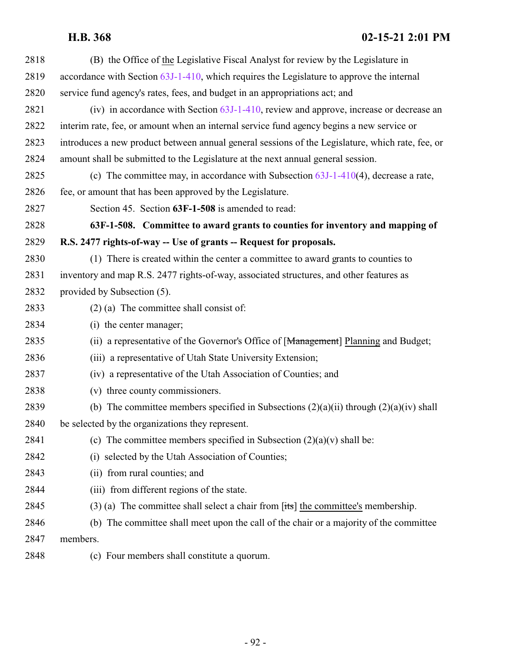| 2818 | (B) the Office of the Legislative Fiscal Analyst for review by the Legislature in                |
|------|--------------------------------------------------------------------------------------------------|
| 2819 | accordance with Section 63J-1-410, which requires the Legislature to approve the internal        |
| 2820 | service fund agency's rates, fees, and budget in an appropriations act; and                      |
| 2821 | (iv) in accordance with Section $63J-1-410$ , review and approve, increase or decrease an        |
| 2822 | interim rate, fee, or amount when an internal service fund agency begins a new service or        |
| 2823 | introduces a new product between annual general sessions of the Legislature, which rate, fee, or |
| 2824 | amount shall be submitted to the Legislature at the next annual general session.                 |
| 2825 | (c) The committee may, in accordance with Subsection $63J-1-410(4)$ , decrease a rate,           |
| 2826 | fee, or amount that has been approved by the Legislature.                                        |
| 2827 | Section 45. Section 63F-1-508 is amended to read:                                                |
| 2828 | 63F-1-508. Committee to award grants to counties for inventory and mapping of                    |
| 2829 | R.S. 2477 rights-of-way -- Use of grants -- Request for proposals.                               |
| 2830 | (1) There is created within the center a committee to award grants to counties to                |
| 2831 | inventory and map R.S. 2477 rights-of-way, associated structures, and other features as          |
| 2832 | provided by Subsection (5).                                                                      |
| 2833 | $(2)$ (a) The committee shall consist of:                                                        |
| 2834 | (i) the center manager;                                                                          |
| 2835 | (ii) a representative of the Governor's Office of [Management] Planning and Budget;              |
| 2836 | (iii) a representative of Utah State University Extension;                                       |
| 2837 | (iv) a representative of the Utah Association of Counties; and                                   |
| 2838 | (v) three county commissioners.                                                                  |
| 2839 | (b) The committee members specified in Subsections $(2)(a)(ii)$ through $(2)(a)(iv)$ shall       |
| 2840 | be selected by the organizations they represent.                                                 |
| 2841 | (c) The committee members specified in Subsection $(2)(a)(v)$ shall be:                          |
| 2842 | selected by the Utah Association of Counties;<br>(i)                                             |
| 2843 | (ii) from rural counties; and                                                                    |
| 2844 | (iii) from different regions of the state.                                                       |
| 2845 | $(3)$ (a) The committee shall select a chair from [its] the committee's membership.              |
| 2846 | The committee shall meet upon the call of the chair or a majority of the committee<br>(b)        |
| 2847 | members.                                                                                         |
| 2848 | (c) Four members shall constitute a quorum.                                                      |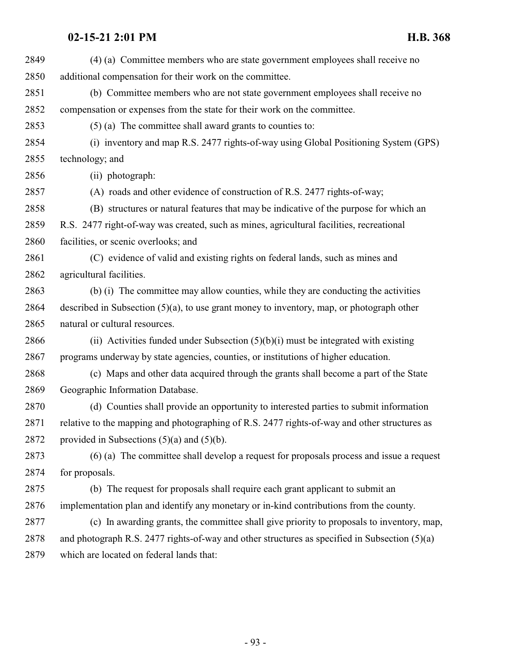| 2849 | (4) (a) Committee members who are state government employees shall receive no                   |
|------|-------------------------------------------------------------------------------------------------|
| 2850 | additional compensation for their work on the committee.                                        |
| 2851 | (b) Committee members who are not state government employees shall receive no                   |
| 2852 | compensation or expenses from the state for their work on the committee.                        |
| 2853 | $(5)$ (a) The committee shall award grants to counties to:                                      |
| 2854 | (i) inventory and map R.S. 2477 rights-of-way using Global Positioning System (GPS)             |
| 2855 | technology; and                                                                                 |
| 2856 | (ii) photograph:                                                                                |
| 2857 | (A) roads and other evidence of construction of R.S. 2477 rights-of-way;                        |
| 2858 | (B) structures or natural features that may be indicative of the purpose for which an           |
| 2859 | R.S. 2477 right-of-way was created, such as mines, agricultural facilities, recreational        |
| 2860 | facilities, or scenic overlooks; and                                                            |
| 2861 | (C) evidence of valid and existing rights on federal lands, such as mines and                   |
| 2862 | agricultural facilities.                                                                        |
| 2863 | (b) (i) The committee may allow counties, while they are conducting the activities              |
| 2864 | described in Subsection $(5)(a)$ , to use grant money to inventory, map, or photograph other    |
| 2865 | natural or cultural resources.                                                                  |
| 2866 | (ii) Activities funded under Subsection $(5)(b)(i)$ must be integrated with existing            |
| 2867 | programs underway by state agencies, counties, or institutions of higher education.             |
| 2868 | (c) Maps and other data acquired through the grants shall become a part of the State            |
| 2869 | Geographic Information Database.                                                                |
| 2870 | (d) Counties shall provide an opportunity to interested parties to submit information           |
| 2871 | relative to the mapping and photographing of R.S. 2477 rights-of-way and other structures as    |
| 2872 | provided in Subsections $(5)(a)$ and $(5)(b)$ .                                                 |
| 2873 | (6) (a) The committee shall develop a request for proposals process and issue a request         |
| 2874 | for proposals.                                                                                  |
| 2875 | (b) The request for proposals shall require each grant applicant to submit an                   |
| 2876 | implementation plan and identify any monetary or in-kind contributions from the county.         |
| 2877 | (c) In awarding grants, the committee shall give priority to proposals to inventory, map,       |
| 2878 | and photograph R.S. 2477 rights-of-way and other structures as specified in Subsection $(5)(a)$ |
| 2879 | which are located on federal lands that:                                                        |
|      |                                                                                                 |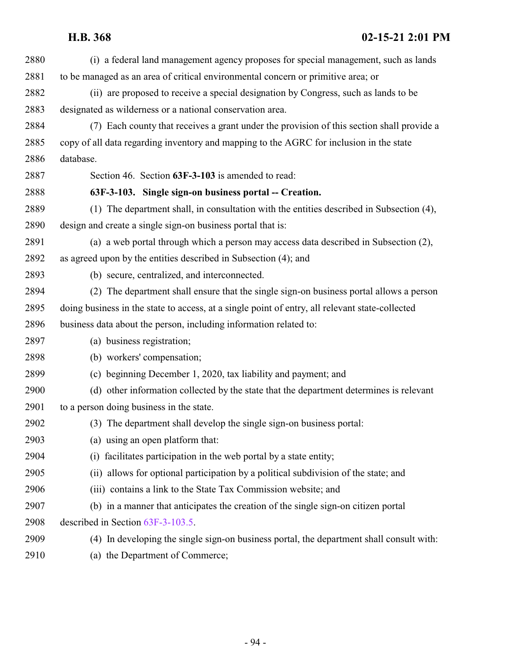| 2880 | (i) a federal land management agency proposes for special management, such as lands             |
|------|-------------------------------------------------------------------------------------------------|
| 2881 | to be managed as an area of critical environmental concern or primitive area; or                |
| 2882 | (ii) are proposed to receive a special designation by Congress, such as lands to be             |
| 2883 | designated as wilderness or a national conservation area.                                       |
| 2884 | (7) Each county that receives a grant under the provision of this section shall provide a       |
| 2885 | copy of all data regarding inventory and mapping to the AGRC for inclusion in the state         |
| 2886 | database.                                                                                       |
| 2887 | Section 46. Section 63F-3-103 is amended to read:                                               |
| 2888 | 63F-3-103. Single sign-on business portal -- Creation.                                          |
| 2889 | (1) The department shall, in consultation with the entities described in Subsection (4),        |
| 2890 | design and create a single sign-on business portal that is:                                     |
| 2891 | (a) a web portal through which a person may access data described in Subsection (2),            |
| 2892 | as agreed upon by the entities described in Subsection (4); and                                 |
| 2893 | (b) secure, centralized, and interconnected.                                                    |
| 2894 | (2) The department shall ensure that the single sign-on business portal allows a person         |
| 2895 | doing business in the state to access, at a single point of entry, all relevant state-collected |
| 2896 | business data about the person, including information related to:                               |
| 2897 | (a) business registration;                                                                      |
| 2898 | (b) workers' compensation;                                                                      |
| 2899 | (c) beginning December 1, 2020, tax liability and payment; and                                  |
| 2900 | (d) other information collected by the state that the department determines is relevant         |
| 2901 | to a person doing business in the state.                                                        |
| 2902 | (3) The department shall develop the single sign-on business portal:                            |
| 2903 | (a) using an open platform that:                                                                |
| 2904 | facilitates participation in the web portal by a state entity;<br>(i)                           |
| 2905 | (ii) allows for optional participation by a political subdivision of the state; and             |
| 2906 | (iii) contains a link to the State Tax Commission website; and                                  |
| 2907 | (b) in a manner that anticipates the creation of the single sign-on citizen portal              |
| 2908 | described in Section 63F-3-103.5.                                                               |
| 2909 | (4) In developing the single sign-on business portal, the department shall consult with:        |
| 2910 | (a) the Department of Commerce;                                                                 |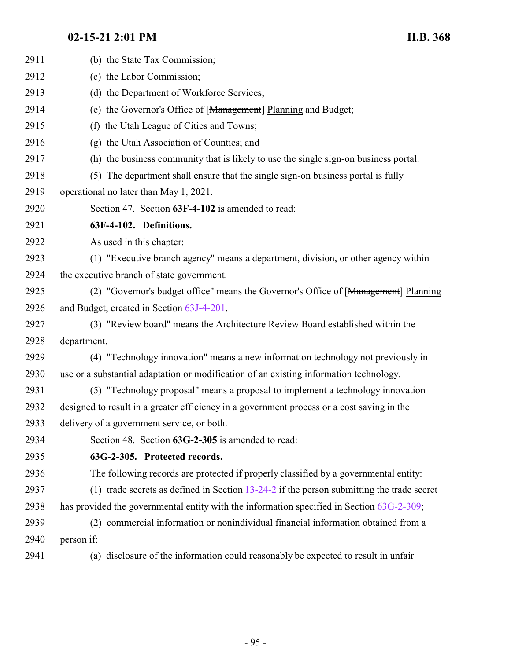| 2911 | (b) the State Tax Commission;                                                               |
|------|---------------------------------------------------------------------------------------------|
| 2912 | (c) the Labor Commission;                                                                   |
| 2913 | (d) the Department of Workforce Services;                                                   |
| 2914 | (e) the Governor's Office of [Management] Planning and Budget;                              |
| 2915 | (f) the Utah League of Cities and Towns;                                                    |
| 2916 | (g) the Utah Association of Counties; and                                                   |
| 2917 | (h) the business community that is likely to use the single sign-on business portal.        |
| 2918 | (5) The department shall ensure that the single sign-on business portal is fully            |
| 2919 | operational no later than May 1, 2021.                                                      |
| 2920 | Section 47. Section 63F-4-102 is amended to read:                                           |
| 2921 | 63F-4-102. Definitions.                                                                     |
| 2922 | As used in this chapter:                                                                    |
| 2923 | (1) "Executive branch agency" means a department, division, or other agency within          |
| 2924 | the executive branch of state government.                                                   |
| 2925 | (2) "Governor's budget office" means the Governor's Office of [Management] Planning         |
| 2926 | and Budget, created in Section 63J-4-201.                                                   |
| 2927 | (3) "Review board" means the Architecture Review Board established within the               |
| 2928 | department.                                                                                 |
| 2929 | (4) "Technology innovation" means a new information technology not previously in            |
| 2930 | use or a substantial adaptation or modification of an existing information technology.      |
| 2931 | (5) "Technology proposal" means a proposal to implement a technology innovation             |
| 2932 | designed to result in a greater efficiency in a government process or a cost saving in the  |
| 2933 | delivery of a government service, or both.                                                  |
| 2934 | Section 48. Section 63G-2-305 is amended to read:                                           |
| 2935 | 63G-2-305. Protected records.                                                               |
| 2936 | The following records are protected if properly classified by a governmental entity:        |
| 2937 | (1) trade secrets as defined in Section $13-24-2$ if the person submitting the trade secret |
| 2938 | has provided the governmental entity with the information specified in Section 63G-2-309;   |
| 2939 | (2) commercial information or nonindividual financial information obtained from a           |
| 2940 | person if:                                                                                  |
| 2941 | (a) disclosure of the information could reasonably be expected to result in unfair          |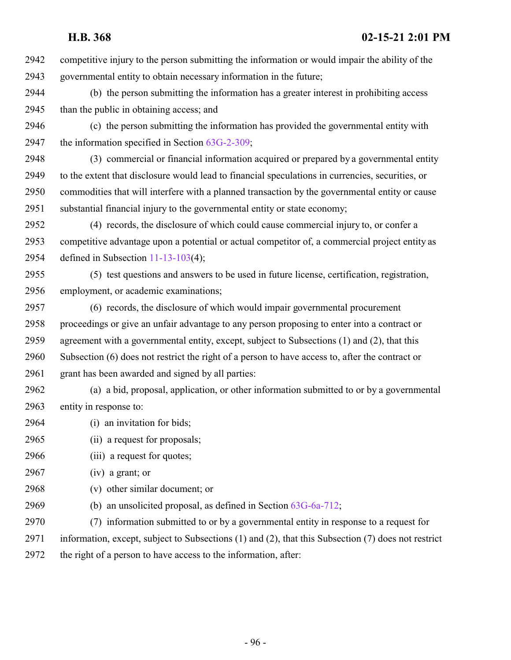competitive injury to the person submitting the information or would impair the ability of the governmental entity to obtain necessary information in the future;

- (b) the person submitting the information has a greater interest in prohibiting access than the public in obtaining access; and
- (c) the person submitting the information has provided the governmental entity with the information specified in Section [63G-2-309](http://le.utah.gov/UtahCode/SectionLookup.jsp?section=63g-2-309&session=2021GS);
- (3) commercial or financial information acquired or prepared by a governmental entity to the extent that disclosure would lead to financial speculations in currencies, securities, or commodities that will interfere with a planned transaction by the governmental entity or cause substantial financial injury to the governmental entity or state economy;
- (4) records, the disclosure of which could cause commercial injury to, or confer a competitive advantage upon a potential or actual competitor of, a commercial project entity as defined in Subsection [11-13-103](http://le.utah.gov/UtahCode/SectionLookup.jsp?section=11-13-103&session=2021GS)(4);
- (5) test questions and answers to be used in future license, certification, registration, employment, or academic examinations;
- (6) records, the disclosure of which would impair governmental procurement proceedings or give an unfair advantage to any person proposing to enter into a contract or agreement with a governmental entity, except, subject to Subsections (1) and (2), that this Subsection (6) does not restrict the right of a person to have access to, after the contract or grant has been awarded and signed by all parties:
- (a) a bid, proposal, application, or other information submitted to or by a governmental entity in response to:
- (i) an invitation for bids;
- (ii) a request for proposals;
- (iii) a request for quotes;
- (iv) a grant; or
- (v) other similar document; or
- (b) an unsolicited proposal, as defined in Section [63G-6a-712](http://le.utah.gov/UtahCode/SectionLookup.jsp?section=63g-6a-712&session=2021GS);
- (7) information submitted to or by a governmental entity in response to a request for
- information, except, subject to Subsections (1) and (2), that this Subsection (7) does not restrict
- the right of a person to have access to the information, after: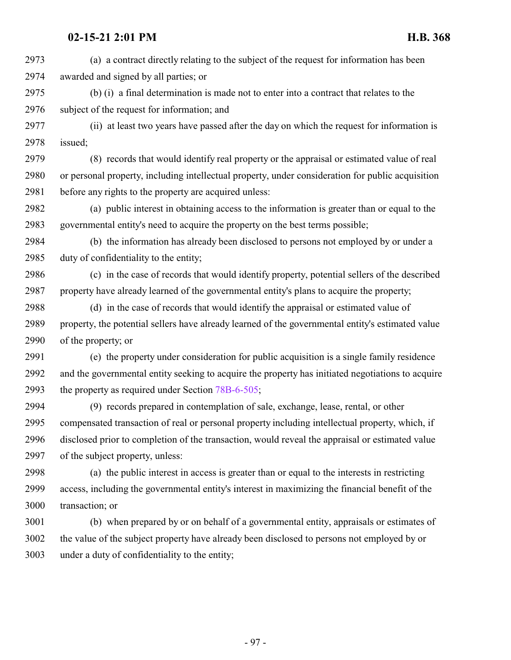(a) a contract directly relating to the subject of the request for information has been awarded and signed by all parties; or

 (b) (i) a final determination is made not to enter into a contract that relates to the subject of the request for information; and

 (ii) at least two years have passed after the day on which the request for information is issued;

 (8) records that would identify real property or the appraisal or estimated value of real or personal property, including intellectual property, under consideration for public acquisition before any rights to the property are acquired unless:

 (a) public interest in obtaining access to the information is greater than or equal to the governmental entity's need to acquire the property on the best terms possible;

 (b) the information has already been disclosed to persons not employed by or under a duty of confidentiality to the entity;

 (c) in the case of records that would identify property, potential sellers of the described property have already learned of the governmental entity's plans to acquire the property;

 (d) in the case of records that would identify the appraisal or estimated value of property, the potential sellers have already learned of the governmental entity's estimated value of the property; or

 (e) the property under consideration for public acquisition is a single family residence and the governmental entity seeking to acquire the property has initiated negotiations to acquire the property as required under Section [78B-6-505](http://le.utah.gov/UtahCode/SectionLookup.jsp?section=78b-6-505&session=2021GS);

 (9) records prepared in contemplation of sale, exchange, lease, rental, or other compensated transaction of real or personal property including intellectual property, which, if disclosed prior to completion of the transaction, would reveal the appraisal or estimated value of the subject property, unless:

 (a) the public interest in access is greater than or equal to the interests in restricting access, including the governmental entity's interest in maximizing the financial benefit of the transaction; or

 (b) when prepared by or on behalf of a governmental entity, appraisals or estimates of the value of the subject property have already been disclosed to persons not employed by or under a duty of confidentiality to the entity;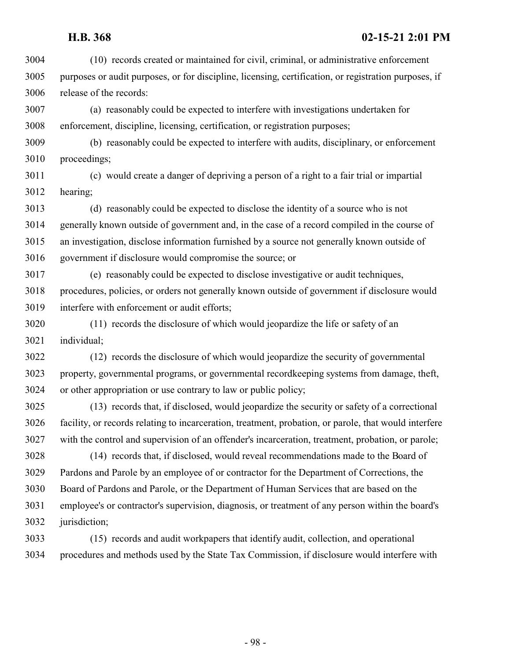(10) records created or maintained for civil, criminal, or administrative enforcement purposes or audit purposes, or for discipline, licensing, certification, or registration purposes, if release of the records:

 (a) reasonably could be expected to interfere with investigations undertaken for enforcement, discipline, licensing, certification, or registration purposes;

 (b) reasonably could be expected to interfere with audits, disciplinary, or enforcement proceedings;

 (c) would create a danger of depriving a person of a right to a fair trial or impartial hearing;

 (d) reasonably could be expected to disclose the identity of a source who is not generally known outside of government and, in the case of a record compiled in the course of an investigation, disclose information furnished by a source not generally known outside of government if disclosure would compromise the source; or

 (e) reasonably could be expected to disclose investigative or audit techniques, procedures, policies, or orders not generally known outside of government if disclosure would interfere with enforcement or audit efforts;

 (11) records the disclosure of which would jeopardize the life or safety of an individual;

 (12) records the disclosure of which would jeopardize the security of governmental property, governmental programs, or governmental recordkeeping systems from damage, theft, or other appropriation or use contrary to law or public policy;

 (13) records that, if disclosed, would jeopardize the security or safety of a correctional facility, or records relating to incarceration, treatment, probation, or parole, that would interfere with the control and supervision of an offender's incarceration, treatment, probation, or parole;

 (14) records that, if disclosed, would reveal recommendations made to the Board of Pardons and Parole by an employee of or contractor for the Department of Corrections, the Board of Pardons and Parole, or the Department of Human Services that are based on the employee's or contractor's supervision, diagnosis, or treatment of any person within the board's jurisdiction;

 (15) records and audit workpapers that identify audit, collection, and operational procedures and methods used by the State Tax Commission, if disclosure would interfere with

- 98 -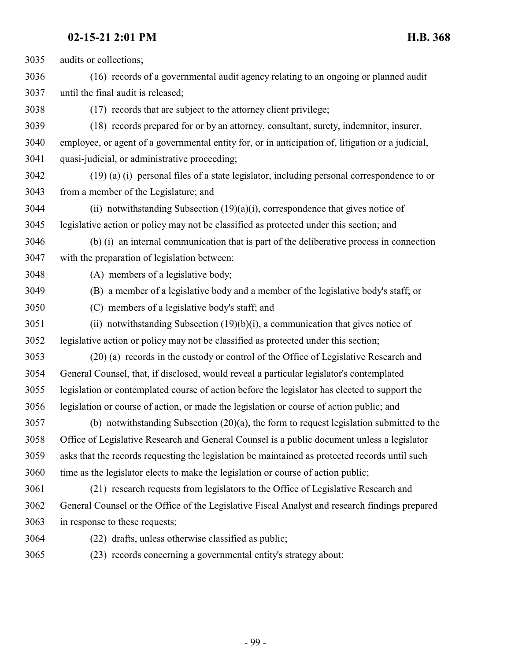| 3035 | audits or collections;                                                                            |
|------|---------------------------------------------------------------------------------------------------|
| 3036 | (16) records of a governmental audit agency relating to an ongoing or planned audit               |
| 3037 | until the final audit is released;                                                                |
| 3038 | (17) records that are subject to the attorney client privilege;                                   |
| 3039 | (18) records prepared for or by an attorney, consultant, surety, indemnitor, insurer,             |
| 3040 | employee, or agent of a governmental entity for, or in anticipation of, litigation or a judicial, |
| 3041 | quasi-judicial, or administrative proceeding;                                                     |
| 3042 | (19) (a) (i) personal files of a state legislator, including personal correspondence to or        |
| 3043 | from a member of the Legislature; and                                                             |
| 3044 | (ii) notwithstanding Subsection $(19)(a)(i)$ , correspondence that gives notice of                |
| 3045 | legislative action or policy may not be classified as protected under this section; and           |
| 3046 | (b) (i) an internal communication that is part of the deliberative process in connection          |
| 3047 | with the preparation of legislation between:                                                      |
| 3048 | (A) members of a legislative body;                                                                |
| 3049 | (B) a member of a legislative body and a member of the legislative body's staff; or               |
| 3050 | (C) members of a legislative body's staff; and                                                    |
| 3051 | (ii) notwithstanding Subsection $(19)(b)(i)$ , a communication that gives notice of               |
| 3052 | legislative action or policy may not be classified as protected under this section;               |
| 3053 | (20) (a) records in the custody or control of the Office of Legislative Research and              |
| 3054 | General Counsel, that, if disclosed, would reveal a particular legislator's contemplated          |
| 3055 | legislation or contemplated course of action before the legislator has elected to support the     |
| 3056 | legislation or course of action, or made the legislation or course of action public; and          |
| 3057 | (b) notwithstanding Subsection $(20)(a)$ , the form to request legislation submitted to the       |
| 3058 | Office of Legislative Research and General Counsel is a public document unless a legislator       |
| 3059 | asks that the records requesting the legislation be maintained as protected records until such    |
| 3060 | time as the legislator elects to make the legislation or course of action public;                 |
| 3061 | (21) research requests from legislators to the Office of Legislative Research and                 |
| 3062 | General Counsel or the Office of the Legislative Fiscal Analyst and research findings prepared    |
| 3063 | in response to these requests;                                                                    |
| 3064 | (22) drafts, unless otherwise classified as public;                                               |
| 3065 | (23) records concerning a governmental entity's strategy about:                                   |
|      |                                                                                                   |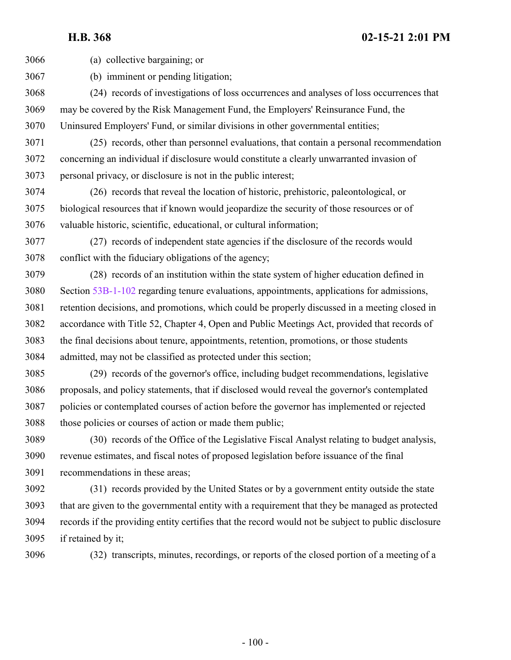(a) collective bargaining; or

(b) imminent or pending litigation;

 (24) records of investigations of loss occurrences and analyses of loss occurrences that may be covered by the Risk Management Fund, the Employers' Reinsurance Fund, the Uninsured Employers' Fund, or similar divisions in other governmental entities;

 (25) records, other than personnel evaluations, that contain a personal recommendation concerning an individual if disclosure would constitute a clearly unwarranted invasion of personal privacy, or disclosure is not in the public interest;

 (26) records that reveal the location of historic, prehistoric, paleontological, or biological resources that if known would jeopardize the security of those resources or of valuable historic, scientific, educational, or cultural information;

 (27) records of independent state agencies if the disclosure of the records would conflict with the fiduciary obligations of the agency;

 (28) records of an institution within the state system of higher education defined in Section [53B-1-102](http://le.utah.gov/UtahCode/SectionLookup.jsp?section=53b-1-102&session=2021GS) regarding tenure evaluations, appointments, applications for admissions, retention decisions, and promotions, which could be properly discussed in a meeting closed in accordance with Title 52, Chapter 4, Open and Public Meetings Act, provided that records of the final decisions about tenure, appointments, retention, promotions, or those students admitted, may not be classified as protected under this section;

 (29) records of the governor's office, including budget recommendations, legislative proposals, and policy statements, that if disclosed would reveal the governor's contemplated policies or contemplated courses of action before the governor has implemented or rejected those policies or courses of action or made them public;

 (30) records of the Office of the Legislative Fiscal Analyst relating to budget analysis, revenue estimates, and fiscal notes of proposed legislation before issuance of the final recommendations in these areas;

 (31) records provided by the United States or by a government entity outside the state that are given to the governmental entity with a requirement that they be managed as protected records if the providing entity certifies that the record would not be subject to public disclosure if retained by it;

(32) transcripts, minutes, recordings, or reports of the closed portion of a meeting of a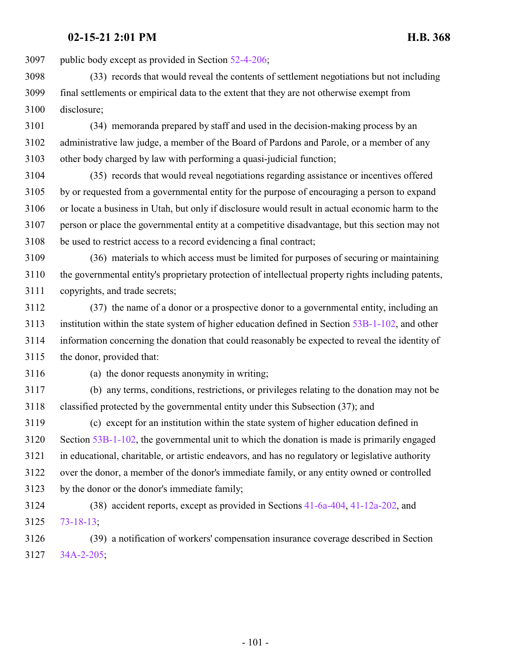public body except as provided in Section [52-4-206](http://le.utah.gov/UtahCode/SectionLookup.jsp?section=52-4-206&session=2021GS);

 (33) records that would reveal the contents of settlement negotiations but not including final settlements or empirical data to the extent that they are not otherwise exempt from disclosure;

 (34) memoranda prepared by staff and used in the decision-making process by an administrative law judge, a member of the Board of Pardons and Parole, or a member of any other body charged by law with performing a quasi-judicial function;

 (35) records that would reveal negotiations regarding assistance or incentives offered by or requested from a governmental entity for the purpose of encouraging a person to expand or locate a business in Utah, but only if disclosure would result in actual economic harm to the person or place the governmental entity at a competitive disadvantage, but this section may not be used to restrict access to a record evidencing a final contract;

 (36) materials to which access must be limited for purposes of securing or maintaining the governmental entity's proprietary protection of intellectual property rights including patents, 3111 copyrights, and trade secrets;

 (37) the name of a donor or a prospective donor to a governmental entity, including an institution within the state system of higher education defined in Section [53B-1-102](http://le.utah.gov/UtahCode/SectionLookup.jsp?section=53b-1-102&session=2021GS), and other information concerning the donation that could reasonably be expected to reveal the identity of the donor, provided that:

(a) the donor requests anonymity in writing;

 (b) any terms, conditions, restrictions, or privileges relating to the donation may not be classified protected by the governmental entity under this Subsection (37); and

 (c) except for an institution within the state system of higher education defined in Section [53B-1-102](http://le.utah.gov/UtahCode/SectionLookup.jsp?section=53b-1-102&session=2021GS), the governmental unit to which the donation is made is primarily engaged in educational, charitable, or artistic endeavors, and has no regulatory or legislative authority over the donor, a member of the donor's immediate family, or any entity owned or controlled by the donor or the donor's immediate family;

 (38) accident reports, except as provided in Sections [41-6a-404](http://le.utah.gov/UtahCode/SectionLookup.jsp?section=41-6a-404&session=2021GS), [41-12a-202](http://le.utah.gov/UtahCode/SectionLookup.jsp?section=41-12a-202&session=2021GS), and [73-18-13](http://le.utah.gov/UtahCode/SectionLookup.jsp?section=73-18-13&session=2021GS);

 (39) a notification of workers' compensation insurance coverage described in Section [34A-2-205](http://le.utah.gov/UtahCode/SectionLookup.jsp?section=34a-2-205&session=2021GS);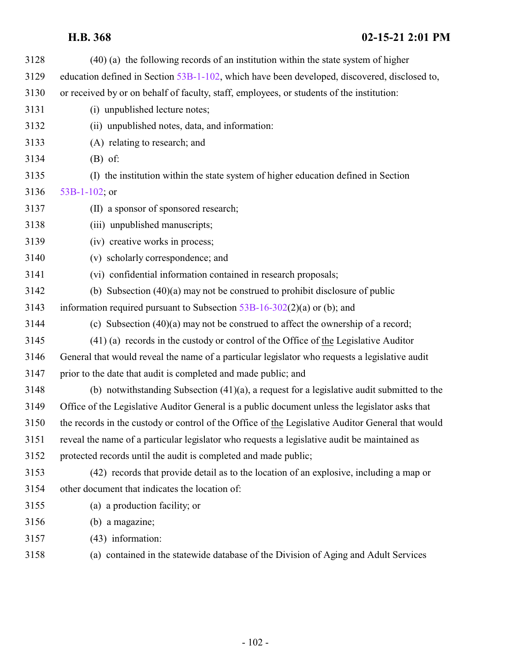| 3128 | (40) (a) the following records of an institution within the state system of higher                |
|------|---------------------------------------------------------------------------------------------------|
| 3129 | education defined in Section 53B-1-102, which have been developed, discovered, disclosed to,      |
| 3130 | or received by or on behalf of faculty, staff, employees, or students of the institution:         |
| 3131 | (i) unpublished lecture notes;                                                                    |
| 3132 | (ii) unpublished notes, data, and information:                                                    |
| 3133 | (A) relating to research; and                                                                     |
| 3134 | $(B)$ of:                                                                                         |
| 3135 | (I) the institution within the state system of higher education defined in Section                |
| 3136 | 53B-1-102; or                                                                                     |
| 3137 | (II) a sponsor of sponsored research;                                                             |
| 3138 | (iii) unpublished manuscripts;                                                                    |
| 3139 | (iv) creative works in process;                                                                   |
| 3140 | (v) scholarly correspondence; and                                                                 |
| 3141 | (vi) confidential information contained in research proposals;                                    |
| 3142 | (b) Subsection $(40)(a)$ may not be construed to prohibit disclosure of public                    |
| 3143 | information required pursuant to Subsection $53B-16-302(2)(a)$ or (b); and                        |
| 3144 | (c) Subsection $(40)(a)$ may not be construed to affect the ownership of a record;                |
| 3145 | (41) (a) records in the custody or control of the Office of the Legislative Auditor               |
| 3146 | General that would reveal the name of a particular legislator who requests a legislative audit    |
| 3147 | prior to the date that audit is completed and made public; and                                    |
| 3148 | (b) notwithstanding Subsection $(41)(a)$ , a request for a legislative audit submitted to the     |
| 3149 | Office of the Legislative Auditor General is a public document unless the legislator asks that    |
| 3150 | the records in the custody or control of the Office of the Legislative Auditor General that would |
| 3151 | reveal the name of a particular legislator who requests a legislative audit be maintained as      |
| 3152 | protected records until the audit is completed and made public;                                   |
| 3153 | (42) records that provide detail as to the location of an explosive, including a map or           |
| 3154 | other document that indicates the location of:                                                    |
| 3155 | (a) a production facility; or                                                                     |
| 3156 | (b) a magazine;                                                                                   |
| 3157 | (43) information:                                                                                 |
| 3158 | (a) contained in the statewide database of the Division of Aging and Adult Services               |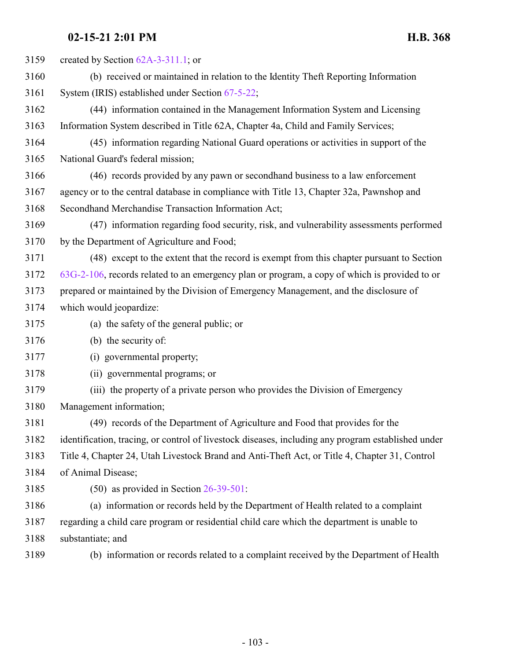| 3159 | created by Section $62A-3-311.1$ ; or                                                              |
|------|----------------------------------------------------------------------------------------------------|
| 3160 | (b) received or maintained in relation to the Identity Theft Reporting Information                 |
| 3161 | System (IRIS) established under Section 67-5-22;                                                   |
| 3162 | (44) information contained in the Management Information System and Licensing                      |
| 3163 | Information System described in Title 62A, Chapter 4a, Child and Family Services;                  |
| 3164 | (45) information regarding National Guard operations or activities in support of the               |
| 3165 | National Guard's federal mission;                                                                  |
| 3166 | (46) records provided by any pawn or second hand business to a law enforcement                     |
| 3167 | agency or to the central database in compliance with Title 13, Chapter 32a, Pawnshop and           |
| 3168 | Secondhand Merchandise Transaction Information Act;                                                |
| 3169 | (47) information regarding food security, risk, and vulnerability assessments performed            |
| 3170 | by the Department of Agriculture and Food;                                                         |
| 3171 | (48) except to the extent that the record is exempt from this chapter pursuant to Section          |
| 3172 | 63G-2-106, records related to an emergency plan or program, a copy of which is provided to or      |
| 3173 | prepared or maintained by the Division of Emergency Management, and the disclosure of              |
| 3174 | which would jeopardize:                                                                            |
| 3175 | (a) the safety of the general public; or                                                           |
| 3176 | (b) the security of:                                                                               |
| 3177 | (i) governmental property;                                                                         |
| 3178 | (ii) governmental programs; or                                                                     |
| 3179 | (iii) the property of a private person who provides the Division of Emergency                      |
| 3180 | Management information;                                                                            |
| 3181 | (49) records of the Department of Agriculture and Food that provides for the                       |
| 3182 | identification, tracing, or control of livestock diseases, including any program established under |
| 3183 | Title 4, Chapter 24, Utah Livestock Brand and Anti-Theft Act, or Title 4, Chapter 31, Control      |
| 3184 | of Animal Disease;                                                                                 |
| 3185 | $(50)$ as provided in Section 26-39-501:                                                           |
| 3186 | (a) information or records held by the Department of Health related to a complaint                 |
| 3187 | regarding a child care program or residential child care which the department is unable to         |
| 3188 | substantiate; and                                                                                  |
| 3189 | (b) information or records related to a complaint received by the Department of Health             |
|      |                                                                                                    |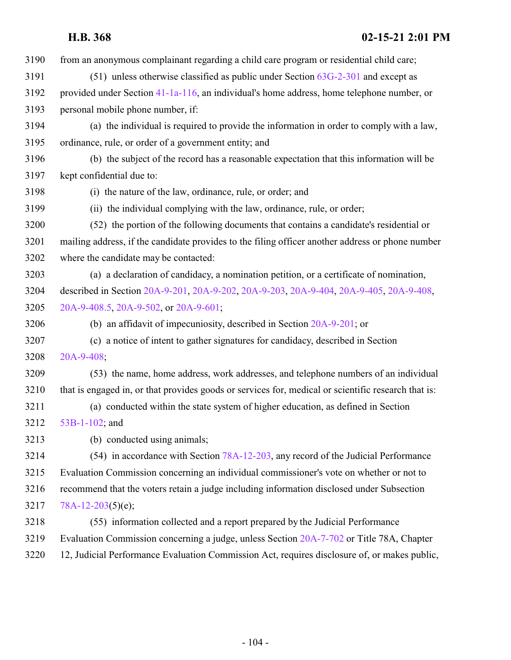| 3190 | from an anonymous complainant regarding a child care program or residential child care;             |
|------|-----------------------------------------------------------------------------------------------------|
| 3191 | $(51)$ unless otherwise classified as public under Section $63G-2-301$ and except as                |
| 3192 | provided under Section 41-1a-116, an individual's home address, home telephone number, or           |
| 3193 | personal mobile phone number, if:                                                                   |
| 3194 | (a) the individual is required to provide the information in order to comply with a law,            |
| 3195 | ordinance, rule, or order of a government entity; and                                               |
| 3196 | (b) the subject of the record has a reasonable expectation that this information will be            |
| 3197 | kept confidential due to:                                                                           |
| 3198 | (i) the nature of the law, ordinance, rule, or order; and                                           |
| 3199 | (ii) the individual complying with the law, ordinance, rule, or order;                              |
| 3200 | (52) the portion of the following documents that contains a candidate's residential or              |
| 3201 | mailing address, if the candidate provides to the filing officer another address or phone number    |
| 3202 | where the candidate may be contacted:                                                               |
| 3203 | (a) a declaration of candidacy, a nomination petition, or a certificate of nomination,              |
| 3204 | described in Section 20A-9-201, 20A-9-202, 20A-9-203, 20A-9-404, 20A-9-405, 20A-9-408,              |
| 3205 | 20A-9-408.5, 20A-9-502, or 20A-9-601;                                                               |
| 3206 | (b) an affidavit of impecuniosity, described in Section 20A-9-201; or                               |
| 3207 | (c) a notice of intent to gather signatures for candidacy, described in Section                     |
| 3208 | 20A-9-408;                                                                                          |
| 3209 | (53) the name, home address, work addresses, and telephone numbers of an individual                 |
| 3210 | that is engaged in, or that provides goods or services for, medical or scientific research that is: |
| 3211 | (a) conducted within the state system of higher education, as defined in Section                    |
| 3212 | 53B-1-102; and                                                                                      |
| 3213 | (b) conducted using animals;                                                                        |
| 3214 | $(54)$ in accordance with Section 78A-12-203, any record of the Judicial Performance                |
| 3215 | Evaluation Commission concerning an individual commissioner's vote on whether or not to             |
| 3216 | recommend that the voters retain a judge including information disclosed under Subsection           |
| 3217 | 78A-12-203(5)(e);                                                                                   |
| 3218 | (55) information collected and a report prepared by the Judicial Performance                        |
| 3219 | Evaluation Commission concerning a judge, unless Section 20A-7-702 or Title 78A, Chapter            |
| 3220 | 12, Judicial Performance Evaluation Commission Act, requires disclosure of, or makes public,        |
|      |                                                                                                     |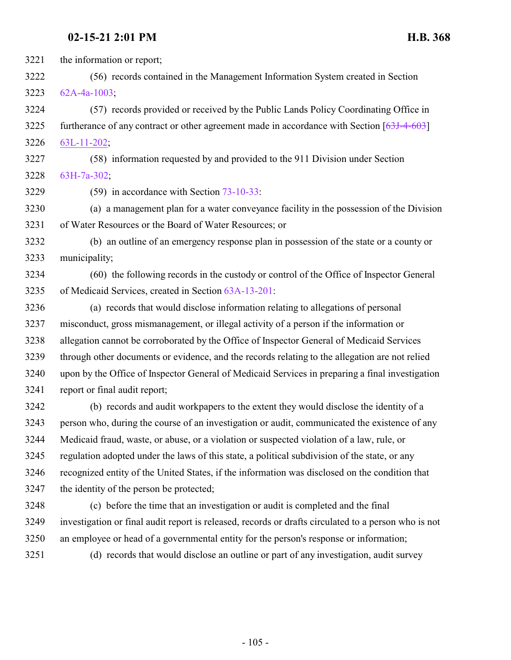the information or report; (56) records contained in the Management Information System created in Section [62A-4a-1003](http://le.utah.gov/UtahCode/SectionLookup.jsp?section=62a-4a-1003&session=2021GS); (57) records provided or received by the Public Lands Policy Coordinating Office in

3225 furtherance of any contract or other agreement made in accordance with Section [\[63J-4-603](http://le.utah.gov/UtahCode/SectionLookup.jsp?section=63j-4-603&session=2021GS)] [63L-11-202](#page-221-0);

 (58) information requested by and provided to the 911 Division under Section [63H-7a-302](http://le.utah.gov/UtahCode/SectionLookup.jsp?section=63h-7a-302&session=2021GS);

(59) in accordance with Section [73-10-33](http://le.utah.gov/UtahCode/SectionLookup.jsp?section=73-10-33&session=2021GS):

 (a) a management plan for a water conveyance facility in the possession of the Division of Water Resources or the Board of Water Resources; or

 (b) an outline of an emergency response plan in possession of the state or a county or municipality;

 (60) the following records in the custody or control of the Office of Inspector General of Medicaid Services, created in Section [63A-13-201](http://le.utah.gov/UtahCode/SectionLookup.jsp?section=63a-13-201&session=2021GS):

 (a) records that would disclose information relating to allegations of personal misconduct, gross mismanagement, or illegal activity of a person if the information or allegation cannot be corroborated by the Office of Inspector General of Medicaid Services through other documents or evidence, and the records relating to the allegation are not relied upon by the Office of Inspector General of Medicaid Services in preparing a final investigation report or final audit report;

 (b) records and audit workpapers to the extent they would disclose the identity of a person who, during the course of an investigation or audit, communicated the existence of any Medicaid fraud, waste, or abuse, or a violation or suspected violation of a law, rule, or regulation adopted under the laws of this state, a political subdivision of the state, or any recognized entity of the United States, if the information was disclosed on the condition that the identity of the person be protected;

 (c) before the time that an investigation or audit is completed and the final investigation or final audit report is released, records or drafts circulated to a person who is not an employee or head of a governmental entity for the person's response or information;

(d) records that would disclose an outline or part of any investigation, audit survey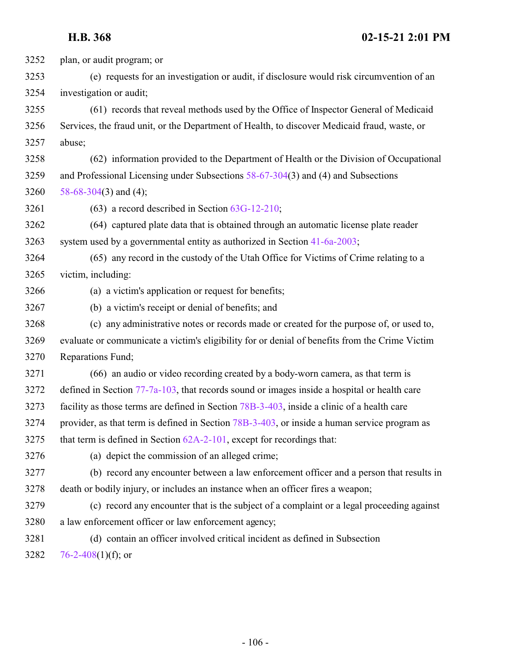plan, or audit program; or (e) requests for an investigation or audit, if disclosure would risk circumvention of an investigation or audit; (61) records that reveal methods used by the Office of Inspector General of Medicaid Services, the fraud unit, or the Department of Health, to discover Medicaid fraud, waste, or abuse; (62) information provided to the Department of Health or the Division of Occupational and Professional Licensing under Subsections [58-67-304](http://le.utah.gov/UtahCode/SectionLookup.jsp?section=58-67-304&session=2021GS)(3) and (4) and Subsections [58-68-304](http://le.utah.gov/UtahCode/SectionLookup.jsp?section=58-68-304&session=2021GS)(3) and (4); (63) a record described in Section [63G-12-210](http://le.utah.gov/UtahCode/SectionLookup.jsp?section=63g-12-210&session=2021GS); (64) captured plate data that is obtained through an automatic license plate reader system used by a governmental entity as authorized in Section [41-6a-2003](http://le.utah.gov/UtahCode/SectionLookup.jsp?section=41-6a-2003&session=2021GS); (65) any record in the custody of the Utah Office for Victims of Crime relating to a victim, including: (a) a victim's application or request for benefits; (b) a victim's receipt or denial of benefits; and (c) any administrative notes or records made or created for the purpose of, or used to, evaluate or communicate a victim's eligibility for or denial of benefits from the Crime Victim Reparations Fund; (66) an audio or video recording created by a body-worn camera, as that term is defined in Section [77-7a-103](http://le.utah.gov/UtahCode/SectionLookup.jsp?section=77-7a-103&session=2021GS), that records sound or images inside a hospital or health care facility as those terms are defined in Section [78B-3-403](http://le.utah.gov/UtahCode/SectionLookup.jsp?section=78b-3-403&session=2021GS), inside a clinic of a health care provider, as that term is defined in Section [78B-3-403](http://le.utah.gov/UtahCode/SectionLookup.jsp?section=78b-3-403&session=2021GS), or inside a human service program as that term is defined in Section [62A-2-101](http://le.utah.gov/UtahCode/SectionLookup.jsp?section=62a-2-101&session=2021GS), except for recordings that: (a) depict the commission of an alleged crime; (b) record any encounter between a law enforcement officer and a person that results in death or bodily injury, or includes an instance when an officer fires a weapon; (c) record any encounter that is the subject of a complaint or a legal proceeding against a law enforcement officer or law enforcement agency; (d) contain an officer involved critical incident as defined in Subsection  $76-2-408(1)(f)$  $76-2-408(1)(f)$ ; or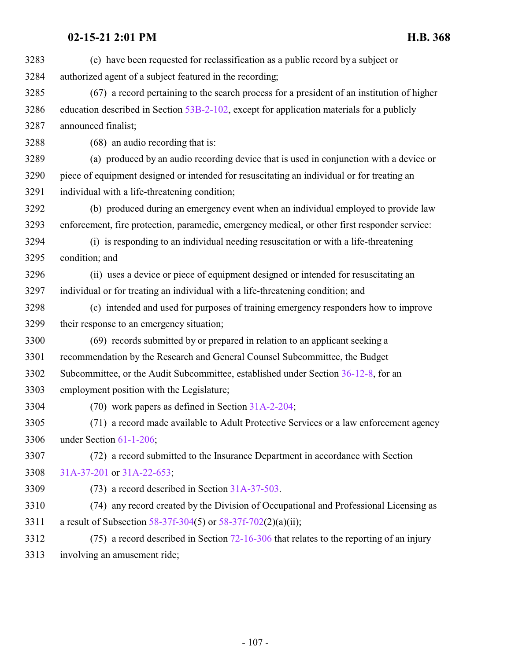| 3283 | (e) have been requested for reclassification as a public record by a subject or               |
|------|-----------------------------------------------------------------------------------------------|
| 3284 | authorized agent of a subject featured in the recording;                                      |
| 3285 | (67) a record pertaining to the search process for a president of an institution of higher    |
| 3286 | education described in Section 53B-2-102, except for application materials for a publicly     |
| 3287 | announced finalist;                                                                           |
| 3288 | (68) an audio recording that is:                                                              |
| 3289 | (a) produced by an audio recording device that is used in conjunction with a device or        |
| 3290 | piece of equipment designed or intended for resuscitating an individual or for treating an    |
| 3291 | individual with a life-threatening condition;                                                 |
| 3292 | (b) produced during an emergency event when an individual employed to provide law             |
| 3293 | enforcement, fire protection, paramedic, emergency medical, or other first responder service: |
| 3294 | (i) is responding to an individual needing resuscitation or with a life-threatening           |
| 3295 | condition; and                                                                                |
| 3296 | (ii) uses a device or piece of equipment designed or intended for resuscitating an            |
| 3297 | individual or for treating an individual with a life-threatening condition; and               |
| 3298 | (c) intended and used for purposes of training emergency responders how to improve            |
| 3299 | their response to an emergency situation;                                                     |
| 3300 | (69) records submitted by or prepared in relation to an applicant seeking a                   |
| 3301 | recommendation by the Research and General Counsel Subcommittee, the Budget                   |
| 3302 | Subcommittee, or the Audit Subcommittee, established under Section 36-12-8, for an            |
| 3303 | employment position with the Legislature;                                                     |
| 3304 | $(70)$ work papers as defined in Section $31A-2-204$ ;                                        |
| 3305 | (71) a record made available to Adult Protective Services or a law enforcement agency         |
| 3306 | under Section 61-1-206;                                                                       |
| 3307 | (72) a record submitted to the Insurance Department in accordance with Section                |
| 3308 | 31A-37-201 or 31A-22-653;                                                                     |
| 3309 | (73) a record described in Section 31A-37-503.                                                |
| 3310 | (74) any record created by the Division of Occupational and Professional Licensing as         |
| 3311 | a result of Subsection 58-37f-304(5) or 58-37f-702(2)(a)(ii);                                 |
| 3312 | $(75)$ a record described in Section 72-16-306 that relates to the reporting of an injury     |
| 3313 | involving an amusement ride;                                                                  |
|      |                                                                                               |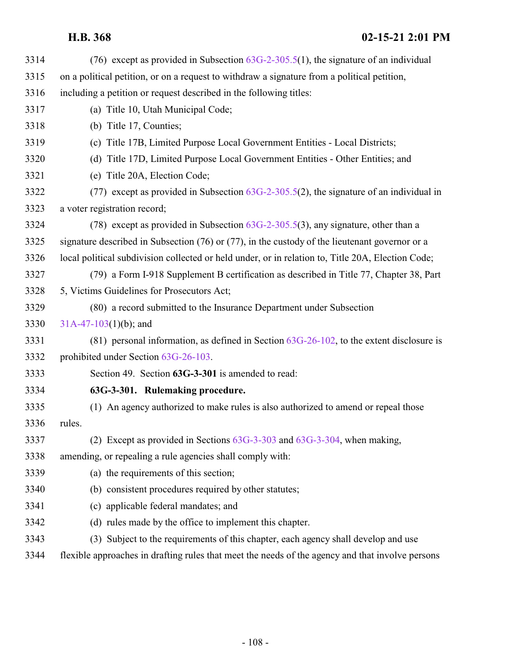| 3314 | (76) except as provided in Subsection $63G-2-305.5(1)$ , the signature of an individual             |
|------|-----------------------------------------------------------------------------------------------------|
| 3315 | on a political petition, or on a request to withdraw a signature from a political petition,         |
| 3316 | including a petition or request described in the following titles:                                  |
| 3317 | (a) Title 10, Utah Municipal Code;                                                                  |
| 3318 | (b) Title 17, Counties;                                                                             |
| 3319 | (c) Title 17B, Limited Purpose Local Government Entities - Local Districts;                         |
| 3320 | (d) Title 17D, Limited Purpose Local Government Entities - Other Entities; and                      |
| 3321 | (e) Title 20A, Election Code;                                                                       |
| 3322 | (77) except as provided in Subsection $63G-2-305.5(2)$ , the signature of an individual in          |
| 3323 | a voter registration record;                                                                        |
| 3324 | (78) except as provided in Subsection $63G-2-305.5(3)$ , any signature, other than a                |
| 3325 | signature described in Subsection $(76)$ or $(77)$ , in the custody of the lieutenant governor or a |
| 3326 | local political subdivision collected or held under, or in relation to, Title 20A, Election Code;   |
| 3327 | (79) a Form I-918 Supplement B certification as described in Title 77, Chapter 38, Part             |
| 3328 | 5, Victims Guidelines for Prosecutors Act;                                                          |
| 3329 | (80) a record submitted to the Insurance Department under Subsection                                |
| 3330 | $31A-47-103(1)(b)$ ; and                                                                            |
| 3331 | $(81)$ personal information, as defined in Section $63G-26-102$ , to the extent disclosure is       |
| 3332 | prohibited under Section 63G-26-103.                                                                |
| 3333 | Section 49. Section 63G-3-301 is amended to read:                                                   |
| 3334 | 63G-3-301. Rulemaking procedure.                                                                    |
| 3335 | (1) An agency authorized to make rules is also authorized to amend or repeal those                  |
| 3336 | rules.                                                                                              |
| 3337 | (2) Except as provided in Sections $63G-3-303$ and $63G-3-304$ , when making,                       |
| 3338 | amending, or repealing a rule agencies shall comply with:                                           |
| 3339 | (a) the requirements of this section;                                                               |
| 3340 | (b) consistent procedures required by other statutes;                                               |
| 3341 | (c) applicable federal mandates; and                                                                |
| 3342 | (d) rules made by the office to implement this chapter.                                             |
| 3343 | (3) Subject to the requirements of this chapter, each agency shall develop and use                  |
| 3344 | flexible approaches in drafting rules that meet the needs of the agency and that involve persons    |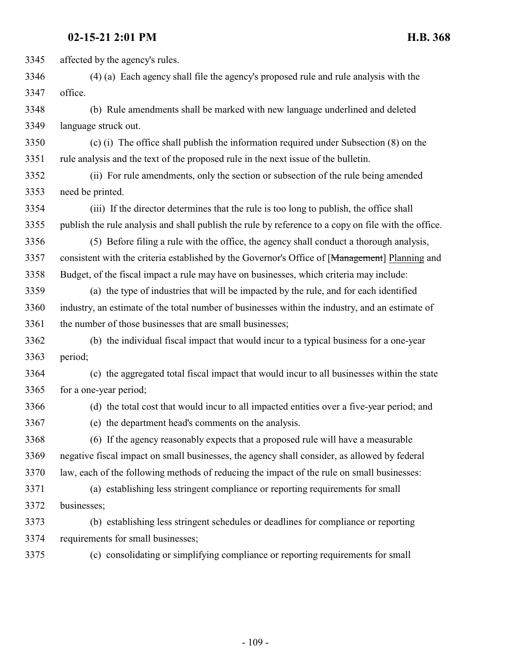| 3345 | affected by the agency's rules.                                                                      |
|------|------------------------------------------------------------------------------------------------------|
| 3346 | (4) (a) Each agency shall file the agency's proposed rule and rule analysis with the                 |
| 3347 | office.                                                                                              |
| 3348 | (b) Rule amendments shall be marked with new language underlined and deleted                         |
| 3349 | language struck out.                                                                                 |
| 3350 | (c) (i) The office shall publish the information required under Subsection (8) on the                |
| 3351 | rule analysis and the text of the proposed rule in the next issue of the bulletin.                   |
| 3352 | (ii) For rule amendments, only the section or subsection of the rule being amended                   |
| 3353 | need be printed.                                                                                     |
| 3354 | (iii) If the director determines that the rule is too long to publish, the office shall              |
| 3355 | publish the rule analysis and shall publish the rule by reference to a copy on file with the office. |
| 3356 | (5) Before filing a rule with the office, the agency shall conduct a thorough analysis,              |
| 3357 | consistent with the criteria established by the Governor's Office of [Management] Planning and       |
| 3358 | Budget, of the fiscal impact a rule may have on businesses, which criteria may include:              |
| 3359 | (a) the type of industries that will be impacted by the rule, and for each identified                |
| 3360 | industry, an estimate of the total number of businesses within the industry, and an estimate of      |
| 3361 | the number of those businesses that are small businesses;                                            |
| 3362 | (b) the individual fiscal impact that would incur to a typical business for a one-year               |
| 3363 | period;                                                                                              |
| 3364 | (c) the aggregated total fiscal impact that would incur to all businesses within the state           |
| 3365 | for a one-year period;                                                                               |
| 3366 | (d) the total cost that would incur to all impacted entities over a five-year period; and            |
| 3367 | (e) the department head's comments on the analysis.                                                  |
| 3368 | (6) If the agency reasonably expects that a proposed rule will have a measurable                     |
| 3369 | negative fiscal impact on small businesses, the agency shall consider, as allowed by federal         |
| 3370 | law, each of the following methods of reducing the impact of the rule on small businesses:           |
| 3371 | (a) establishing less stringent compliance or reporting requirements for small                       |
| 3372 | businesses;                                                                                          |
| 3373 | (b) establishing less stringent schedules or deadlines for compliance or reporting                   |
| 3374 | requirements for small businesses;                                                                   |
| 3375 | (c) consolidating or simplifying compliance or reporting requirements for small                      |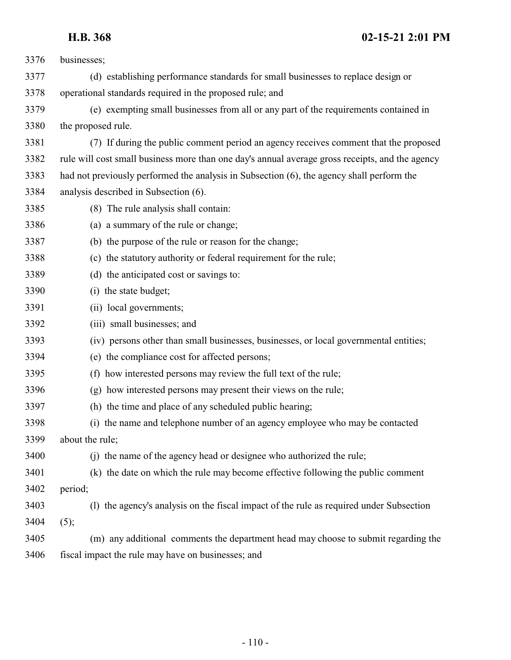| 3376 | businesses;                                                                                     |
|------|-------------------------------------------------------------------------------------------------|
| 3377 | (d) establishing performance standards for small businesses to replace design or                |
| 3378 | operational standards required in the proposed rule; and                                        |
| 3379 | (e) exempting small businesses from all or any part of the requirements contained in            |
| 3380 | the proposed rule.                                                                              |
| 3381 | (7) If during the public comment period an agency receives comment that the proposed            |
| 3382 | rule will cost small business more than one day's annual average gross receipts, and the agency |
| 3383 | had not previously performed the analysis in Subsection (6), the agency shall perform the       |
| 3384 | analysis described in Subsection (6).                                                           |
| 3385 | (8) The rule analysis shall contain:                                                            |
| 3386 | (a) a summary of the rule or change;                                                            |
| 3387 | (b) the purpose of the rule or reason for the change;                                           |
| 3388 | (c) the statutory authority or federal requirement for the rule;                                |
| 3389 | (d) the anticipated cost or savings to:                                                         |
| 3390 | (i) the state budget;                                                                           |
| 3391 | (ii) local governments;                                                                         |
| 3392 | (iii) small businesses; and                                                                     |
| 3393 | (iv) persons other than small businesses, businesses, or local governmental entities;           |
| 3394 | (e) the compliance cost for affected persons;                                                   |
| 3395 | (f) how interested persons may review the full text of the rule;                                |
| 3396 | (g) how interested persons may present their views on the rule;                                 |
| 3397 | (h) the time and place of any scheduled public hearing;                                         |
| 3398 | (i) the name and telephone number of an agency employee who may be contacted                    |
| 3399 | about the rule;                                                                                 |
| 3400 | (i) the name of the agency head or designee who authorized the rule;                            |
| 3401 | (k) the date on which the rule may become effective following the public comment                |
| 3402 | period;                                                                                         |
| 3403 | (1) the agency's analysis on the fiscal impact of the rule as required under Subsection         |
| 3404 | (5);                                                                                            |
| 3405 | (m) any additional comments the department head may choose to submit regarding the              |
| 3406 | fiscal impact the rule may have on businesses; and                                              |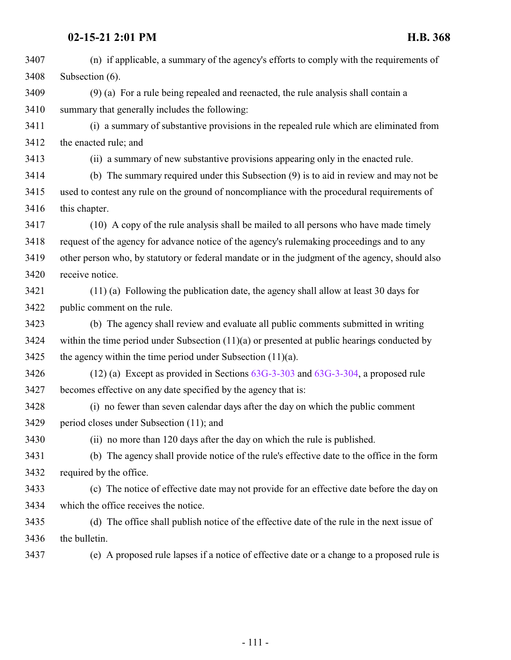| 3407 | (n) if applicable, a summary of the agency's efforts to comply with the requirements of         |
|------|-------------------------------------------------------------------------------------------------|
| 3408 | Subsection (6).                                                                                 |
| 3409 | (9) (a) For a rule being repealed and reenacted, the rule analysis shall contain a              |
| 3410 | summary that generally includes the following:                                                  |
| 3411 | (i) a summary of substantive provisions in the repealed rule which are eliminated from          |
| 3412 | the enacted rule; and                                                                           |
| 3413 | (ii) a summary of new substantive provisions appearing only in the enacted rule.                |
| 3414 | (b) The summary required under this Subsection (9) is to aid in review and may not be           |
| 3415 | used to contest any rule on the ground of noncompliance with the procedural requirements of     |
| 3416 | this chapter.                                                                                   |
| 3417 | (10) A copy of the rule analysis shall be mailed to all persons who have made timely            |
| 3418 | request of the agency for advance notice of the agency's rulemaking proceedings and to any      |
| 3419 | other person who, by statutory or federal mandate or in the judgment of the agency, should also |
| 3420 | receive notice.                                                                                 |
| 3421 | $(11)$ (a) Following the publication date, the agency shall allow at least 30 days for          |
| 3422 | public comment on the rule.                                                                     |
| 3423 | (b) The agency shall review and evaluate all public comments submitted in writing               |
| 3424 | within the time period under Subsection $(11)(a)$ or presented at public hearings conducted by  |
| 3425 | the agency within the time period under Subsection $(11)(a)$ .                                  |
| 3426 | $(12)$ (a) Except as provided in Sections $63G-3-303$ and $63G-3-304$ , a proposed rule         |
| 3427 | becomes effective on any date specified by the agency that is:                                  |
| 3428 | (i) no fewer than seven calendar days after the day on which the public comment                 |
| 3429 | period closes under Subsection (11); and                                                        |
| 3430 | (ii) no more than 120 days after the day on which the rule is published.                        |
| 3431 | (b) The agency shall provide notice of the rule's effective date to the office in the form      |
| 3432 | required by the office.                                                                         |
| 3433 | (c) The notice of effective date may not provide for an effective date before the day on        |
| 3434 | which the office receives the notice.                                                           |
| 3435 | (d) The office shall publish notice of the effective date of the rule in the next issue of      |
| 3436 | the bulletin.                                                                                   |
| 3437 | (e) A proposed rule lapses if a notice of effective date or a change to a proposed rule is      |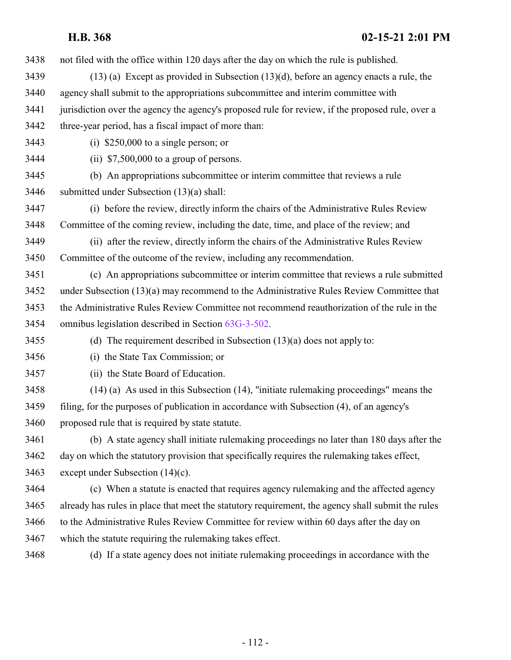not filed with the office within 120 days after the day on which the rule is published.

- 3439 (13) (a) Except as provided in Subsection (13)(d), before an agency enacts a rule, the agency shall submit to the appropriations subcommittee and interim committee with
- jurisdiction over the agency the agency's proposed rule for review, if the proposed rule, over a

three-year period, has a fiscal impact of more than:

- (i) \$250,000 to a single person; or
- (ii) \$7,500,000 to a group of persons.
- (b) An appropriations subcommittee or interim committee that reviews a rule submitted under Subsection (13)(a) shall:
- (i) before the review, directly inform the chairs of the Administrative Rules Review Committee of the coming review, including the date, time, and place of the review; and
- (ii) after the review, directly inform the chairs of the Administrative Rules Review Committee of the outcome of the review, including any recommendation.
- (c) An appropriations subcommittee or interim committee that reviews a rule submitted under Subsection (13)(a) may recommend to the Administrative Rules Review Committee that the Administrative Rules Review Committee not recommend reauthorization of the rule in the omnibus legislation described in Section [63G-3-502](http://le.utah.gov/UtahCode/SectionLookup.jsp?section=63g-3-502&session=2021GS).

(d) The requirement described in Subsection (13)(a) does not apply to:

(i) the State Tax Commission; or

### (ii) the State Board of Education.

- (14) (a) As used in this Subsection (14), "initiate rulemaking proceedings" means the filing, for the purposes of publication in accordance with Subsection (4), of an agency's proposed rule that is required by state statute.
- (b) A state agency shall initiate rulemaking proceedings no later than 180 days after the day on which the statutory provision that specifically requires the rulemaking takes effect, except under Subsection (14)(c).
- (c) When a statute is enacted that requires agency rulemaking and the affected agency already has rules in place that meet the statutory requirement, the agency shall submit the rules to the Administrative Rules Review Committee for review within 60 days after the day on which the statute requiring the rulemaking takes effect.
- 
- (d) If a state agency does not initiate rulemaking proceedings in accordance with the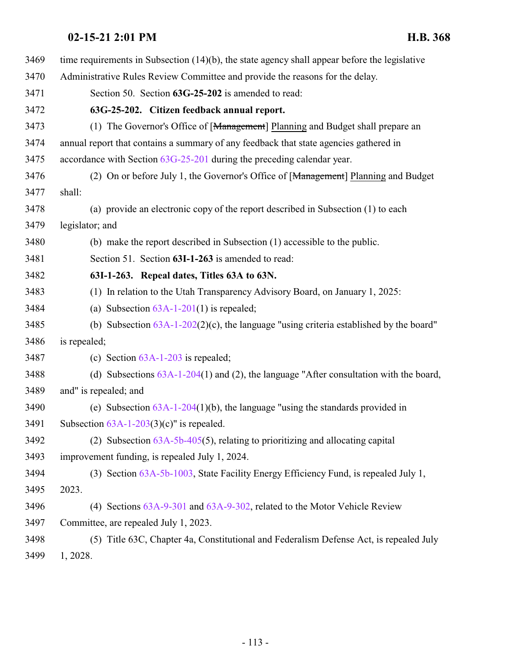| 3469 | time requirements in Subsection $(14)(b)$ , the state agency shall appear before the legislative |
|------|--------------------------------------------------------------------------------------------------|
| 3470 | Administrative Rules Review Committee and provide the reasons for the delay.                     |
| 3471 | Section 50. Section 63G-25-202 is amended to read:                                               |
| 3472 | 63G-25-202. Citizen feedback annual report.                                                      |
| 3473 | (1) The Governor's Office of [Management] Planning and Budget shall prepare an                   |
| 3474 | annual report that contains a summary of any feedback that state agencies gathered in            |
| 3475 | accordance with Section $63G-25-201$ during the preceding calendar year.                         |
| 3476 | (2) On or before July 1, the Governor's Office of [Management] Planning and Budget               |
| 3477 | shall:                                                                                           |
| 3478 | (a) provide an electronic copy of the report described in Subsection (1) to each                 |
| 3479 | legislator; and                                                                                  |
| 3480 | (b) make the report described in Subsection (1) accessible to the public.                        |
| 3481 | Section 51. Section 63I-1-263 is amended to read:                                                |
| 3482 | 63I-1-263. Repeal dates, Titles 63A to 63N.                                                      |
| 3483 | (1) In relation to the Utah Transparency Advisory Board, on January 1, 2025:                     |
| 3484 | (a) Subsection $63A-1-201(1)$ is repealed;                                                       |
| 3485 | (b) Subsection $63A-1-202(2)(c)$ , the language "using criteria established by the board"        |
| 3486 | is repealed;                                                                                     |
| 3487 | (c) Section $63A-1-203$ is repealed;                                                             |
| 3488 | (d) Subsections $63A-1-204(1)$ and (2), the language "After consultation with the board,         |
| 3489 | and" is repealed; and                                                                            |
| 3490 | (e) Subsection $63A-1-204(1)(b)$ , the language "using the standards provided in                 |
| 3491 | Subsection $63A-1-203(3)(c)$ " is repealed.                                                      |
| 3492 | (2) Subsection $63A-5b-405(5)$ , relating to prioritizing and allocating capital                 |
| 3493 | improvement funding, is repealed July 1, 2024.                                                   |
| 3494 | (3) Section 63A-5b-1003, State Facility Energy Efficiency Fund, is repealed July 1,              |
| 3495 | 2023.                                                                                            |
| 3496 | (4) Sections 63A-9-301 and 63A-9-302, related to the Motor Vehicle Review                        |
| 3497 | Committee, are repealed July 1, 2023.                                                            |
| 3498 | (5) Title 63C, Chapter 4a, Constitutional and Federalism Defense Act, is repealed July           |
| 3499 | 1, 2028.                                                                                         |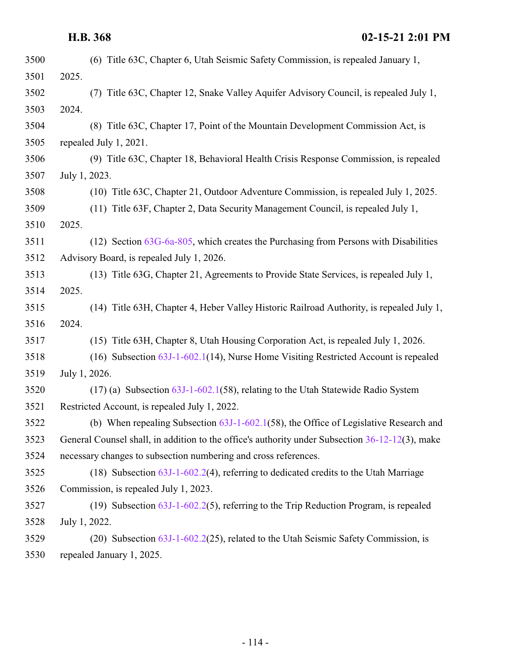| 3500 | (6) Title 63C, Chapter 6, Utah Seismic Safety Commission, is repealed January 1,                |
|------|-------------------------------------------------------------------------------------------------|
| 3501 | 2025.                                                                                           |
| 3502 | Title 63C, Chapter 12, Snake Valley Aquifer Advisory Council, is repealed July 1,<br>(7)        |
| 3503 | 2024.                                                                                           |
| 3504 | (8) Title 63C, Chapter 17, Point of the Mountain Development Commission Act, is                 |
| 3505 | repealed July 1, 2021.                                                                          |
| 3506 | (9) Title 63C, Chapter 18, Behavioral Health Crisis Response Commission, is repealed            |
| 3507 | July 1, 2023.                                                                                   |
| 3508 | (10) Title 63C, Chapter 21, Outdoor Adventure Commission, is repealed July 1, 2025.             |
| 3509 | (11) Title 63F, Chapter 2, Data Security Management Council, is repealed July 1,                |
| 3510 | 2025.                                                                                           |
| 3511 | $(12)$ Section $63G-6a-805$ , which creates the Purchasing from Persons with Disabilities       |
| 3512 | Advisory Board, is repealed July 1, 2026.                                                       |
| 3513 | (13) Title 63G, Chapter 21, Agreements to Provide State Services, is repealed July 1,           |
| 3514 | 2025.                                                                                           |
| 3515 | (14) Title 63H, Chapter 4, Heber Valley Historic Railroad Authority, is repealed July 1,        |
| 3516 | 2024.                                                                                           |
| 3517 | (15) Title 63H, Chapter 8, Utah Housing Corporation Act, is repealed July 1, 2026.              |
| 3518 | $(16)$ Subsection $63J-1-602.1(14)$ , Nurse Home Visiting Restricted Account is repealed        |
| 3519 | July 1, 2026.                                                                                   |
| 3520 | $(17)$ (a) Subsection $63J-1-602.1(58)$ , relating to the Utah Statewide Radio System           |
| 3521 | Restricted Account, is repealed July 1, 2022.                                                   |
| 3522 | (b) When repealing Subsection $63J-1-602.1(58)$ , the Office of Legislative Research and        |
| 3523 | General Counsel shall, in addition to the office's authority under Subsection 36-12-12(3), make |
| 3524 | necessary changes to subsection numbering and cross references.                                 |
| 3525 | (18) Subsection $63J-1-602.2(4)$ , referring to dedicated credits to the Utah Marriage          |
| 3526 | Commission, is repealed July 1, 2023.                                                           |
| 3527 | (19) Subsection $63J-1-602.2(5)$ , referring to the Trip Reduction Program, is repealed         |
| 3528 | July 1, 2022.                                                                                   |
| 3529 | (20) Subsection $63J-1-602.2(25)$ , related to the Utah Seismic Safety Commission, is           |
| 3530 | repealed January 1, 2025.                                                                       |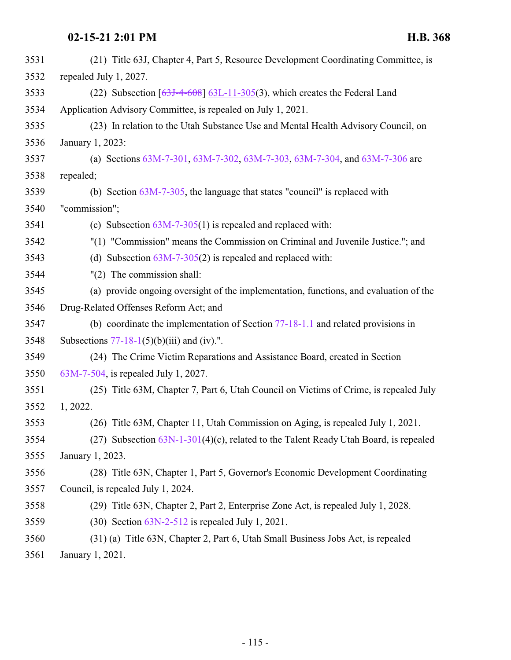| 3531 | (21) Title 63J, Chapter 4, Part 5, Resource Development Coordinating Committee, is      |
|------|-----------------------------------------------------------------------------------------|
| 3532 | repealed July 1, 2027.                                                                  |
| 3533 | (22) Subsection $[63J-4-608]$ 63L-11-305(3), which creates the Federal Land             |
| 3534 | Application Advisory Committee, is repealed on July 1, 2021.                            |
| 3535 | (23) In relation to the Utah Substance Use and Mental Health Advisory Council, on       |
| 3536 | January 1, 2023:                                                                        |
| 3537 | (a) Sections 63M-7-301, 63M-7-302, 63M-7-303, 63M-7-304, and 63M-7-306 are              |
| 3538 | repealed;                                                                               |
| 3539 | (b) Section $63M-7-305$ , the language that states "council" is replaced with           |
| 3540 | "commission";                                                                           |
| 3541 | (c) Subsection $63M-7-305(1)$ is repealed and replaced with:                            |
| 3542 | "(1) "Commission" means the Commission on Criminal and Juvenile Justice."; and          |
| 3543 | (d) Subsection $63M-7-305(2)$ is repealed and replaced with:                            |
| 3544 | $"(2)$ The commission shall:                                                            |
| 3545 | (a) provide ongoing oversight of the implementation, functions, and evaluation of the   |
| 3546 | Drug-Related Offenses Reform Act; and                                                   |
| 3547 | (b) coordinate the implementation of Section $77-18-1.1$ and related provisions in      |
| 3548 | Subsections $77-18-1(5)(b)(iii)$ and (iv).".                                            |
| 3549 | (24) The Crime Victim Reparations and Assistance Board, created in Section              |
| 3550 | 63M-7-504, is repealed July 1, 2027.                                                    |
| 3551 | (25) Title 63M, Chapter 7, Part 6, Utah Council on Victims of Crime, is repealed July   |
| 3552 | 1, 2022.                                                                                |
| 3553 | (26) Title 63M, Chapter 11, Utah Commission on Aging, is repealed July 1, 2021.         |
| 3554 | (27) Subsection $63N-1-301(4)(c)$ , related to the Talent Ready Utah Board, is repealed |
| 3555 | January 1, 2023.                                                                        |
| 3556 | (28) Title 63N, Chapter 1, Part 5, Governor's Economic Development Coordinating         |
| 3557 | Council, is repealed July 1, 2024.                                                      |
| 3558 | (29) Title 63N, Chapter 2, Part 2, Enterprise Zone Act, is repealed July 1, 2028.       |
| 3559 | $(30)$ Section $63N-2-512$ is repealed July 1, 2021.                                    |
| 3560 | (31) (a) Title 63N, Chapter 2, Part 6, Utah Small Business Jobs Act, is repealed        |
| 3561 | January 1, 2021.                                                                        |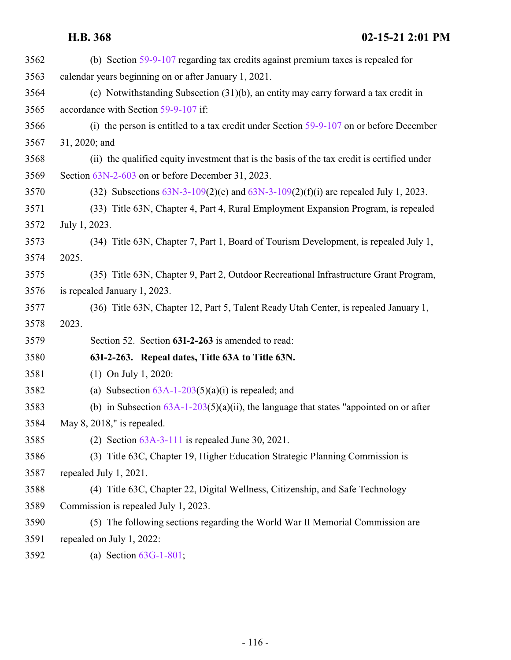| 3562 | (b) Section 59-9-107 regarding tax credits against premium taxes is repealed for            |
|------|---------------------------------------------------------------------------------------------|
| 3563 | calendar years beginning on or after January 1, 2021.                                       |
| 3564 | (c) Notwithstanding Subsection (31)(b), an entity may carry forward a tax credit in         |
| 3565 | accordance with Section 59-9-107 if:                                                        |
| 3566 | (i) the person is entitled to a tax credit under Section $59-9-107$ on or before December   |
| 3567 | 31, 2020; and                                                                               |
| 3568 | (ii) the qualified equity investment that is the basis of the tax credit is certified under |
| 3569 | Section 63N-2-603 on or before December 31, 2023.                                           |
| 3570 | (32) Subsections $63N-3-109(2)$ (e) and $63N-3-109(2)$ (f)(i) are repealed July 1, 2023.    |
| 3571 | (33) Title 63N, Chapter 4, Part 4, Rural Employment Expansion Program, is repealed          |
| 3572 | July 1, 2023.                                                                               |
| 3573 | (34) Title 63N, Chapter 7, Part 1, Board of Tourism Development, is repealed July 1,        |
| 3574 | 2025.                                                                                       |
| 3575 | (35) Title 63N, Chapter 9, Part 2, Outdoor Recreational Infrastructure Grant Program,       |
| 3576 | is repealed January 1, 2023.                                                                |
| 3577 | (36) Title 63N, Chapter 12, Part 5, Talent Ready Utah Center, is repealed January 1,        |
| 3578 | 2023.                                                                                       |
| 3579 | Section 52. Section 63I-2-263 is amended to read:                                           |
| 3580 | 63I-2-263. Repeal dates, Title 63A to Title 63N.                                            |
| 3581 | $(1)$ On July 1, 2020:                                                                      |
| 3582 | (a) Subsection $63A-1-203(5)(a)(i)$ is repealed; and                                        |
| 3583 | (b) in Subsection $63A-1-203(5)(a)(ii)$ , the language that states "appointed on or after   |
| 3584 | May 8, 2018," is repealed.                                                                  |
| 3585 | (2) Section $63A-3-111$ is repealed June 30, 2021.                                          |
| 3586 | (3) Title 63C, Chapter 19, Higher Education Strategic Planning Commission is                |
| 3587 | repealed July 1, 2021.                                                                      |
| 3588 | (4) Title 63C, Chapter 22, Digital Wellness, Citizenship, and Safe Technology               |
| 3589 | Commission is repealed July 1, 2023.                                                        |
| 3590 | (5) The following sections regarding the World War II Memorial Commission are               |
| 3591 | repealed on July 1, 2022:                                                                   |
| 3592 | (a) Section $63G-1-801$ ;                                                                   |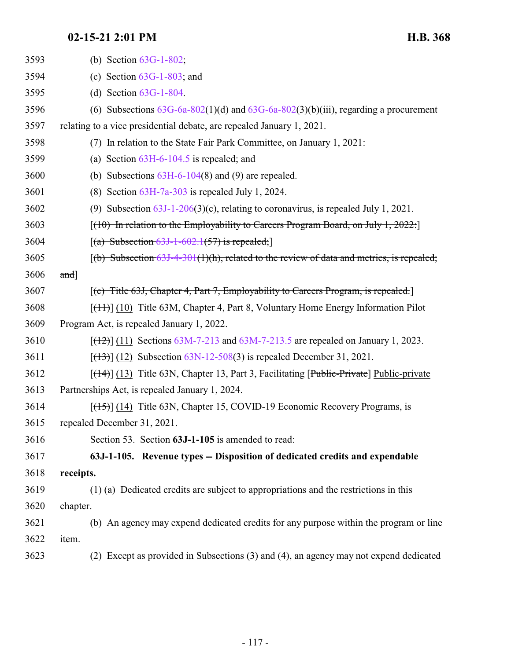| 3593 | (b) Section $63G-1-802$ ;                                                                         |
|------|---------------------------------------------------------------------------------------------------|
| 3594 | (c) Section $63G-1-803$ ; and                                                                     |
| 3595 | (d) Section $63G-1-804$ .                                                                         |
| 3596 | (6) Subsections $63G-6a-802(1)(d)$ and $63G-6a-802(3)(b)(iii)$ , regarding a procurement          |
| 3597 | relating to a vice presidential debate, are repealed January 1, 2021.                             |
| 3598 | (7) In relation to the State Fair Park Committee, on January 1, 2021:                             |
| 3599 | (a) Section $63H-6-104.5$ is repealed; and                                                        |
| 3600 | (b) Subsections $63H-6-104(8)$ and (9) are repealed.                                              |
| 3601 | (8) Section $63H-7a-303$ is repealed July 1, 2024.                                                |
| 3602 | (9) Subsection $63J-1-206(3)(c)$ , relating to coronavirus, is repealed July 1, 2021.             |
| 3603 | $[(10)$ In relation to the Employability to Careers Program Board, on July 1, 2022:               |
| 3604 | $[(a)$ Subsection 63J-1-602.1(57) is repealed;                                                    |
| 3605 | $(6)$ Subsection 63J-4-301(1)(h), related to the review of data and metrics, is repealed;         |
| 3606 | $and$ ]                                                                                           |
| 3607 | $[$ (c) Title 63J, Chapter 4, Part 7, Employability to Careers Program, is repealed.              |
| 3608 | $[$ ( $[$ ++ $]$ ) $]$ (10) Title 63M, Chapter 4, Part 8, Voluntary Home Energy Information Pilot |
| 3609 | Program Act, is repealed January 1, 2022.                                                         |
| 3610 | $[ (12) ] (11)$ Sections 63M-7-213 and 63M-7-213.5 are repealed on January 1, 2023.               |
| 3611 | $[ (13) ]$ (12) Subsection 63N-12-508(3) is repealed December 31, 2021.                           |
| 3612 | $[({}+4)$ ] (13) Title 63N, Chapter 13, Part 3, Facilitating [Public-Private] Public-private      |
| 3613 | Partnerships Act, is repealed January 1, 2024.                                                    |
| 3614 | $[({15})]$ (14) Title 63N, Chapter 15, COVID-19 Economic Recovery Programs, is                    |
| 3615 | repealed December 31, 2021.                                                                       |
| 3616 | Section 53. Section 63J-1-105 is amended to read:                                                 |
| 3617 | 63J-1-105. Revenue types -- Disposition of dedicated credits and expendable                       |
| 3618 | receipts.                                                                                         |
| 3619 | (1) (a) Dedicated credits are subject to appropriations and the restrictions in this              |
| 3620 | chapter.                                                                                          |
| 3621 | (b) An agency may expend dedicated credits for any purpose within the program or line             |
| 3622 | item.                                                                                             |
| 3623 | (2) Except as provided in Subsections (3) and (4), an agency may not expend dedicated             |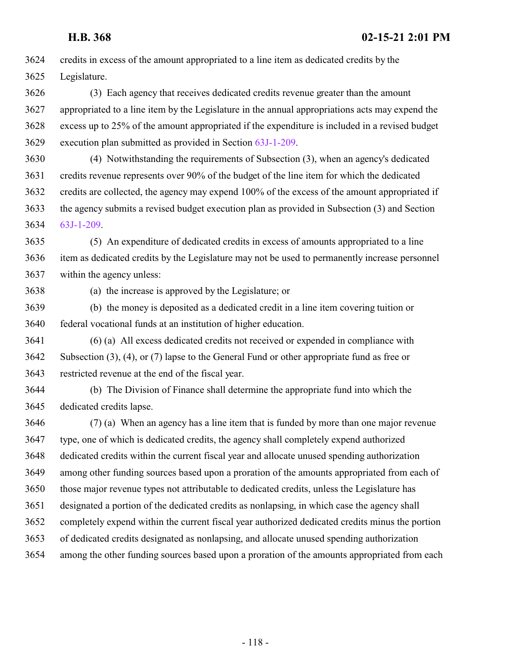credits in excess of the amount appropriated to a line item as dedicated credits by the Legislature.

 (3) Each agency that receives dedicated credits revenue greater than the amount appropriated to a line item by the Legislature in the annual appropriations acts may expend the excess up to 25% of the amount appropriated if the expenditure is included in a revised budget execution plan submitted as provided in Section [63J-1-209](#page-123-0).

 (4) Notwithstanding the requirements of Subsection (3), when an agency's dedicated credits revenue represents over 90% of the budget of the line item for which the dedicated credits are collected, the agency may expend 100% of the excess of the amount appropriated if the agency submits a revised budget execution plan as provided in Subsection (3) and Section [63J-1-209](#page-123-0).

 (5) An expenditure of dedicated credits in excess of amounts appropriated to a line item as dedicated credits by the Legislature may not be used to permanently increase personnel within the agency unless:

(a) the increase is approved by the Legislature; or

 (b) the money is deposited as a dedicated credit in a line item covering tuition or federal vocational funds at an institution of higher education.

 (6) (a) All excess dedicated credits not received or expended in compliance with Subsection (3), (4), or (7) lapse to the General Fund or other appropriate fund as free or restricted revenue at the end of the fiscal year.

 (b) The Division of Finance shall determine the appropriate fund into which the dedicated credits lapse.

 (7) (a) When an agency has a line item that is funded by more than one major revenue type, one of which is dedicated credits, the agency shall completely expend authorized dedicated credits within the current fiscal year and allocate unused spending authorization among other funding sources based upon a proration of the amounts appropriated from each of those major revenue types not attributable to dedicated credits, unless the Legislature has designated a portion of the dedicated credits as nonlapsing, in which case the agency shall completely expend within the current fiscal year authorized dedicated credits minus the portion of dedicated credits designated as nonlapsing, and allocate unused spending authorization among the other funding sources based upon a proration of the amounts appropriated from each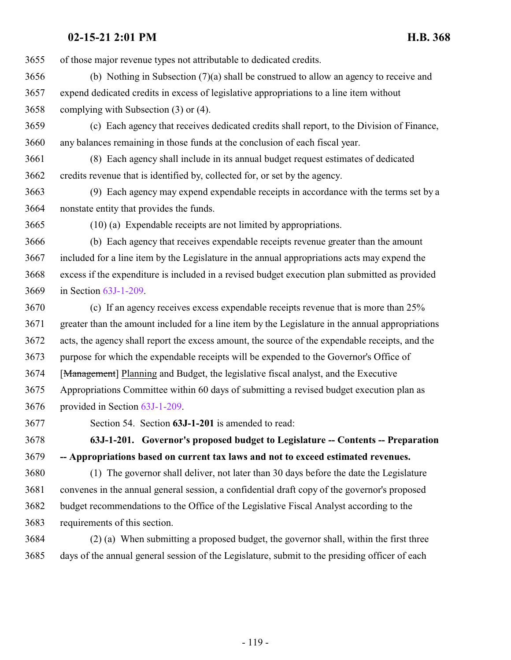of those major revenue types not attributable to dedicated credits.

 (b) Nothing in Subsection (7)(a) shall be construed to allow an agency to receive and expend dedicated credits in excess of legislative appropriations to a line item without complying with Subsection (3) or (4).

 (c) Each agency that receives dedicated credits shall report, to the Division of Finance, any balances remaining in those funds at the conclusion of each fiscal year.

 (8) Each agency shall include in its annual budget request estimates of dedicated credits revenue that is identified by, collected for, or set by the agency.

 (9) Each agency may expend expendable receipts in accordance with the terms set by a nonstate entity that provides the funds.

(10) (a) Expendable receipts are not limited by appropriations.

 (b) Each agency that receives expendable receipts revenue greater than the amount included for a line item by the Legislature in the annual appropriations acts may expend the excess if the expenditure is included in a revised budget execution plan submitted as provided in Section [63J-1-209](#page-123-0).

 (c) If an agency receives excess expendable receipts revenue that is more than 25% greater than the amount included for a line item by the Legislature in the annual appropriations acts, the agency shall report the excess amount, the source of the expendable receipts, and the purpose for which the expendable receipts will be expended to the Governor's Office of [Management] Planning and Budget, the legislative fiscal analyst, and the Executive Appropriations Committee within 60 days of submitting a revised budget execution plan as provided in Section [63J-1-209](#page-123-0).

<span id="page-118-0"></span>

Section 54. Section **63J-1-201** is amended to read:

 **63J-1-201. Governor's proposed budget to Legislature -- Contents -- Preparation -- Appropriations based on current tax laws and not to exceed estimated revenues.**

 (1) The governor shall deliver, not later than 30 days before the date the Legislature convenes in the annual general session, a confidential draft copy of the governor's proposed budget recommendations to the Office of the Legislative Fiscal Analyst according to the requirements of this section.

 (2) (a) When submitting a proposed budget, the governor shall, within the first three days of the annual general session of the Legislature, submit to the presiding officer of each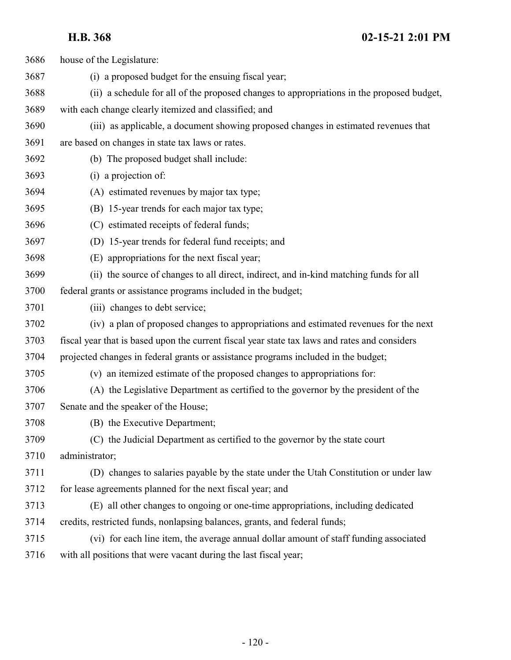| 3686 | house of the Legislature:                                                                     |
|------|-----------------------------------------------------------------------------------------------|
| 3687 | (i) a proposed budget for the ensuing fiscal year;                                            |
| 3688 | (ii) a schedule for all of the proposed changes to appropriations in the proposed budget,     |
| 3689 | with each change clearly itemized and classified; and                                         |
| 3690 | (iii) as applicable, a document showing proposed changes in estimated revenues that           |
| 3691 | are based on changes in state tax laws or rates.                                              |
| 3692 | (b) The proposed budget shall include:                                                        |
| 3693 | (i) a projection of:                                                                          |
| 3694 | (A) estimated revenues by major tax type;                                                     |
| 3695 | (B) 15-year trends for each major tax type;                                                   |
| 3696 | (C) estimated receipts of federal funds;                                                      |
| 3697 | (D) 15-year trends for federal fund receipts; and                                             |
| 3698 | (E) appropriations for the next fiscal year;                                                  |
| 3699 | (ii) the source of changes to all direct, indirect, and in-kind matching funds for all        |
| 3700 | federal grants or assistance programs included in the budget;                                 |
| 3701 | (iii) changes to debt service;                                                                |
| 3702 | (iv) a plan of proposed changes to appropriations and estimated revenues for the next         |
| 3703 | fiscal year that is based upon the current fiscal year state tax laws and rates and considers |
| 3704 | projected changes in federal grants or assistance programs included in the budget;            |
| 3705 | (v) an itemized estimate of the proposed changes to appropriations for:                       |
| 3706 | (A) the Legislative Department as certified to the governor by the president of the           |
| 3707 | Senate and the speaker of the House;                                                          |
| 3708 | (B) the Executive Department;                                                                 |
| 3709 | (C) the Judicial Department as certified to the governor by the state court                   |
| 3710 | administrator;                                                                                |
| 3711 | (D) changes to salaries payable by the state under the Utah Constitution or under law         |
| 3712 | for lease agreements planned for the next fiscal year; and                                    |
| 3713 | (E) all other changes to ongoing or one-time appropriations, including dedicated              |
| 3714 | credits, restricted funds, nonlapsing balances, grants, and federal funds;                    |
| 3715 | (vi) for each line item, the average annual dollar amount of staff funding associated         |
| 3716 | with all positions that were vacant during the last fiscal year;                              |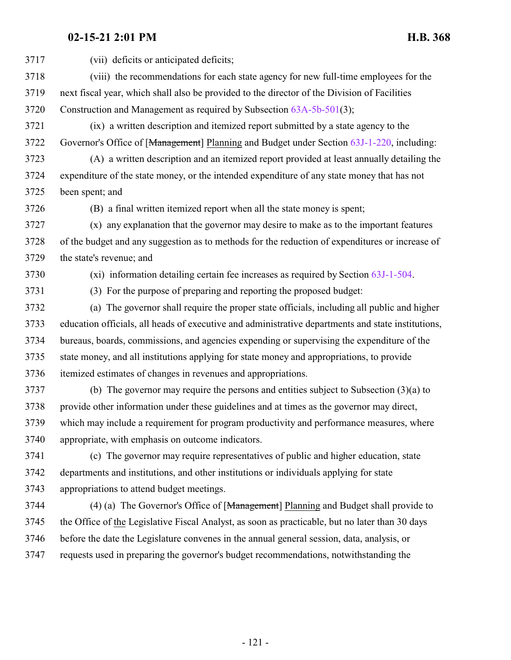| 3717 | (vii) deficits or anticipated deficits;                                                            |
|------|----------------------------------------------------------------------------------------------------|
| 3718 | (viii) the recommendations for each state agency for new full-time employees for the               |
| 3719 | next fiscal year, which shall also be provided to the director of the Division of Facilities       |
| 3720 | Construction and Management as required by Subsection 63A-5b-501(3);                               |
| 3721 | (ix) a written description and itemized report submitted by a state agency to the                  |
| 3722 | Governor's Office of [Management] Planning and Budget under Section 63J-1-220, including:          |
| 3723 | (A) a written description and an itemized report provided at least annually detailing the          |
| 3724 | expenditure of the state money, or the intended expenditure of any state money that has not        |
| 3725 | been spent; and                                                                                    |
| 3726 | (B) a final written itemized report when all the state money is spent;                             |
| 3727 | (x) any explanation that the governor may desire to make as to the important features              |
| 3728 | of the budget and any suggestion as to methods for the reduction of expenditures or increase of    |
| 3729 | the state's revenue; and                                                                           |
| 3730 | (xi) information detailing certain fee increases as required by Section 63J-1-504.                 |
| 3731 | (3) For the purpose of preparing and reporting the proposed budget:                                |
| 3732 | (a) The governor shall require the proper state officials, including all public and higher         |
| 3733 | education officials, all heads of executive and administrative departments and state institutions, |
| 3734 | bureaus, boards, commissions, and agencies expending or supervising the expenditure of the         |
| 3735 | state money, and all institutions applying for state money and appropriations, to provide          |
| 3736 | itemized estimates of changes in revenues and appropriations.                                      |
| 3737 | (b) The governor may require the persons and entities subject to Subsection $(3)(a)$ to            |
| 3738 | provide other information under these guidelines and at times as the governor may direct,          |
| 3739 | which may include a requirement for program productivity and performance measures, where           |
| 3740 | appropriate, with emphasis on outcome indicators.                                                  |
| 3741 | (c) The governor may require representatives of public and higher education, state                 |
| 3742 | departments and institutions, and other institutions or individuals applying for state             |
| 3743 | appropriations to attend budget meetings.                                                          |
| 3744 | $(4)$ (a) The Governor's Office of [Management] Planning and Budget shall provide to               |
| 3745 | the Office of the Legislative Fiscal Analyst, as soon as practicable, but no later than 30 days    |
| 3746 | before the date the Legislature convenes in the annual general session, data, analysis, or         |
| 3747 | requests used in preparing the governor's budget recommendations, notwithstanding the              |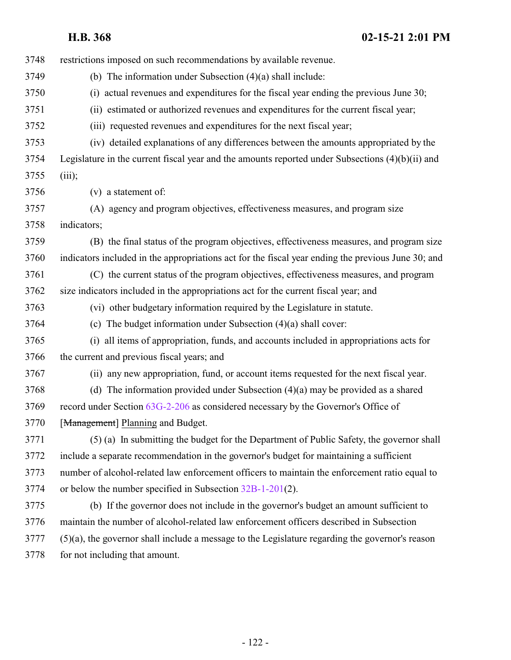| 3748 | restrictions imposed on such recommendations by available revenue.                                 |
|------|----------------------------------------------------------------------------------------------------|
| 3749 | (b) The information under Subsection $(4)(a)$ shall include:                                       |
| 3750 | actual revenues and expenditures for the fiscal year ending the previous June 30;<br>(i)           |
| 3751 | (ii) estimated or authorized revenues and expenditures for the current fiscal year;                |
| 3752 | (iii) requested revenues and expenditures for the next fiscal year;                                |
| 3753 | (iv) detailed explanations of any differences between the amounts appropriated by the              |
| 3754 | Legislature in the current fiscal year and the amounts reported under Subsections $(4)(b)(ii)$ and |
| 3755 | (iii);                                                                                             |
| 3756 | $(v)$ a statement of:                                                                              |
| 3757 | (A) agency and program objectives, effectiveness measures, and program size                        |
| 3758 | indicators;                                                                                        |
| 3759 | (B) the final status of the program objectives, effectiveness measures, and program size           |
| 3760 | indicators included in the appropriations act for the fiscal year ending the previous June 30; and |
| 3761 | (C) the current status of the program objectives, effectiveness measures, and program              |
| 3762 | size indicators included in the appropriations act for the current fiscal year; and                |
| 3763 | (vi) other budgetary information required by the Legislature in statute.                           |
| 3764 | (c) The budget information under Subsection $(4)(a)$ shall cover:                                  |
| 3765 | (i) all items of appropriation, funds, and accounts included in appropriations acts for            |
| 3766 | the current and previous fiscal years; and                                                         |
| 3767 | (ii) any new appropriation, fund, or account items requested for the next fiscal year.             |
| 3768 | (d) The information provided under Subsection $(4)(a)$ may be provided as a shared                 |
| 3769 | record under Section 63G-2-206 as considered necessary by the Governor's Office of                 |
| 3770 | [Management] Planning and Budget.                                                                  |
| 3771 | (5) (a) In submitting the budget for the Department of Public Safety, the governor shall           |
| 3772 | include a separate recommendation in the governor's budget for maintaining a sufficient            |
| 3773 | number of alcohol-related law enforcement officers to maintain the enforcement ratio equal to      |
| 3774 | or below the number specified in Subsection $32B-1-201(2)$ .                                       |
| 3775 | (b) If the governor does not include in the governor's budget an amount sufficient to              |
| 3776 | maintain the number of alcohol-related law enforcement officers described in Subsection            |
| 3777 | $(5)(a)$ , the governor shall include a message to the Legislature regarding the governor's reason |
| 3778 | for not including that amount.                                                                     |
|      |                                                                                                    |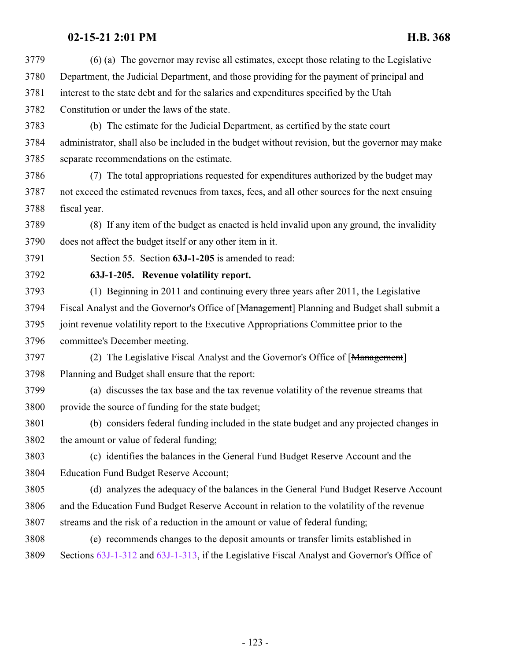| 3779 | (6) (a) The governor may revise all estimates, except those relating to the Legislative         |
|------|-------------------------------------------------------------------------------------------------|
| 3780 | Department, the Judicial Department, and those providing for the payment of principal and       |
| 3781 | interest to the state debt and for the salaries and expenditures specified by the Utah          |
| 3782 | Constitution or under the laws of the state.                                                    |
| 3783 | (b) The estimate for the Judicial Department, as certified by the state court                   |
| 3784 | administrator, shall also be included in the budget without revision, but the governor may make |
| 3785 | separate recommendations on the estimate.                                                       |
| 3786 | (7) The total appropriations requested for expenditures authorized by the budget may            |
| 3787 | not exceed the estimated revenues from taxes, fees, and all other sources for the next ensuing  |
| 3788 | fiscal year.                                                                                    |
| 3789 | (8) If any item of the budget as enacted is held invalid upon any ground, the invalidity        |
| 3790 | does not affect the budget itself or any other item in it.                                      |
| 3791 | Section 55. Section 63J-1-205 is amended to read:                                               |
| 3792 | 63J-1-205. Revenue volatility report.                                                           |
| 3793 | (1) Beginning in 2011 and continuing every three years after 2011, the Legislative              |
| 3794 | Fiscal Analyst and the Governor's Office of [Management] Planning and Budget shall submit a     |
| 3795 | joint revenue volatility report to the Executive Appropriations Committee prior to the          |
| 3796 | committee's December meeting.                                                                   |
| 3797 | (2) The Legislative Fiscal Analyst and the Governor's Office of [Management]                    |
| 3798 | Planning and Budget shall ensure that the report:                                               |
| 3799 | (a) discusses the tax base and the tax revenue volatility of the revenue streams that           |
| 3800 | provide the source of funding for the state budget;                                             |
| 3801 | (b) considers federal funding included in the state budget and any projected changes in         |
| 3802 | the amount or value of federal funding;                                                         |
| 3803 | (c) identifies the balances in the General Fund Budget Reserve Account and the                  |
| 3804 | <b>Education Fund Budget Reserve Account;</b>                                                   |
| 3805 | (d) analyzes the adequacy of the balances in the General Fund Budget Reserve Account            |
| 3806 | and the Education Fund Budget Reserve Account in relation to the volatility of the revenue      |
| 3807 | streams and the risk of a reduction in the amount or value of federal funding;                  |
| 3808 | (e) recommends changes to the deposit amounts or transfer limits established in                 |
| 3809 | Sections 63J-1-312 and 63J-1-313, if the Legislative Fiscal Analyst and Governor's Office of    |
|      |                                                                                                 |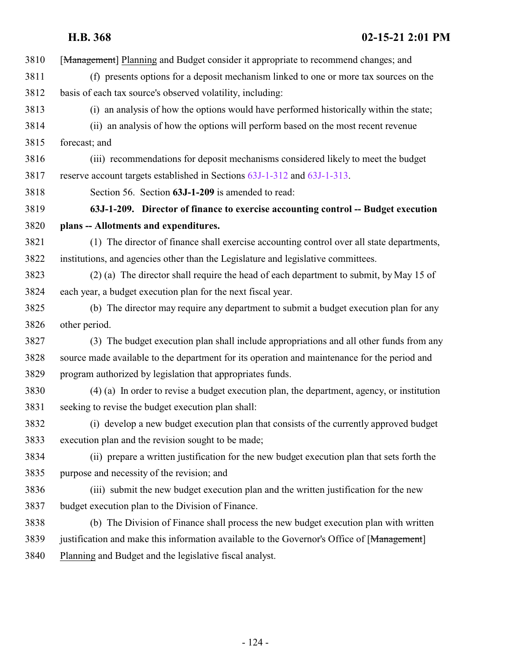<span id="page-123-0"></span>**H.B. 368 02-15-21 2:01 PM** [Management] Planning and Budget consider it appropriate to recommend changes; and (f) presents options for a deposit mechanism linked to one or more tax sources on the basis of each tax source's observed volatility, including: (i) an analysis of how the options would have performed historically within the state; (ii) an analysis of how the options will perform based on the most recent revenue forecast; and (iii) recommendations for deposit mechanisms considered likely to meet the budget reserve account targets established in Sections [63J-1-312](http://le.utah.gov/UtahCode/SectionLookup.jsp?section=63j-1-312&session=2021GS) and [63J-1-313](http://le.utah.gov/UtahCode/SectionLookup.jsp?section=63j-1-313&session=2021GS). Section 56. Section **63J-1-209** is amended to read: **63J-1-209. Director of finance to exercise accounting control -- Budget execution plans -- Allotments and expenditures.** (1) The director of finance shall exercise accounting control over all state departments, institutions, and agencies other than the Legislature and legislative committees. (2) (a) The director shall require the head of each department to submit, by May 15 of each year, a budget execution plan for the next fiscal year. (b) The director may require any department to submit a budget execution plan for any other period. (3) The budget execution plan shall include appropriations and all other funds from any source made available to the department for its operation and maintenance for the period and program authorized by legislation that appropriates funds. (4) (a) In order to revise a budget execution plan, the department, agency, or institution seeking to revise the budget execution plan shall: (i) develop a new budget execution plan that consists of the currently approved budget execution plan and the revision sought to be made; (ii) prepare a written justification for the new budget execution plan that sets forth the purpose and necessity of the revision; and (iii) submit the new budget execution plan and the written justification for the new budget execution plan to the Division of Finance. (b) The Division of Finance shall process the new budget execution plan with written 3839 justification and make this information available to the Governor's Office of [Management] Planning and Budget and the legislative fiscal analyst.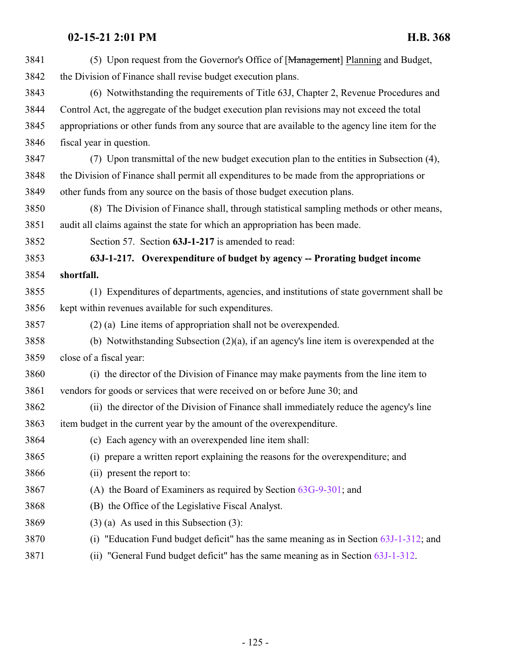| 3841 | (5) Upon request from the Governor's Office of [Management] Planning and Budget,                 |
|------|--------------------------------------------------------------------------------------------------|
| 3842 | the Division of Finance shall revise budget execution plans.                                     |
| 3843 | (6) Notwithstanding the requirements of Title 63J, Chapter 2, Revenue Procedures and             |
| 3844 | Control Act, the aggregate of the budget execution plan revisions may not exceed the total       |
| 3845 | appropriations or other funds from any source that are available to the agency line item for the |
| 3846 | fiscal year in question.                                                                         |
| 3847 | (7) Upon transmittal of the new budget execution plan to the entities in Subsection (4),         |
| 3848 | the Division of Finance shall permit all expenditures to be made from the appropriations or      |
| 3849 | other funds from any source on the basis of those budget execution plans.                        |
| 3850 | (8) The Division of Finance shall, through statistical sampling methods or other means,          |
| 3851 | audit all claims against the state for which an appropriation has been made.                     |
| 3852 | Section 57. Section 63J-1-217 is amended to read:                                                |
| 3853 | 63J-1-217. Overexpenditure of budget by agency -- Prorating budget income                        |
| 3854 | shortfall.                                                                                       |
| 3855 | (1) Expenditures of departments, agencies, and institutions of state government shall be         |
| 3856 | kept within revenues available for such expenditures.                                            |
| 3857 | $(2)$ (a) Line items of appropriation shall not be overexpended.                                 |
| 3858 | (b) Notwithstanding Subsection $(2)(a)$ , if an agency's line item is overexpended at the        |
| 3859 | close of a fiscal year:                                                                          |
| 3860 | (i) the director of the Division of Finance may make payments from the line item to              |
| 3861 | vendors for goods or services that were received on or before June 30; and                       |
| 3862 | (ii) the director of the Division of Finance shall immediately reduce the agency's line          |
| 3863 | item budget in the current year by the amount of the overexpenditure.                            |
| 3864 | (c) Each agency with an overexpended line item shall:                                            |
| 3865 | prepare a written report explaining the reasons for the overexpenditure; and<br>(i)              |
| 3866 | (ii) present the report to:                                                                      |
| 3867 | (A) the Board of Examiners as required by Section $63G-9-301$ ; and                              |
| 3868 | (B) the Office of the Legislative Fiscal Analyst.                                                |
| 3869 | $(3)$ (a) As used in this Subsection (3):                                                        |
| 3870 | "Education Fund budget deficit" has the same meaning as in Section 63J-1-312; and<br>(i)         |
| 3871 | "General Fund budget deficit" has the same meaning as in Section 63J-1-312.<br>(ii)              |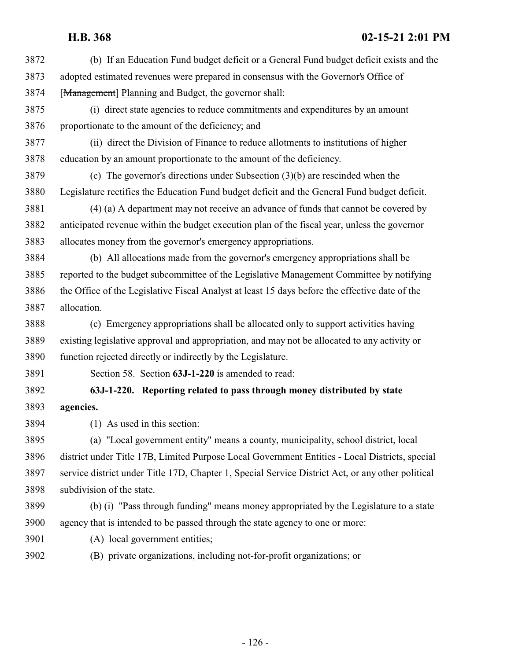- <span id="page-125-0"></span> (b) If an Education Fund budget deficit or a General Fund budget deficit exists and the adopted estimated revenues were prepared in consensus with the Governor's Office of [Management] Planning and Budget, the governor shall: (i) direct state agencies to reduce commitments and expenditures by an amount proportionate to the amount of the deficiency; and (ii) direct the Division of Finance to reduce allotments to institutions of higher education by an amount proportionate to the amount of the deficiency. (c) The governor's directions under Subsection (3)(b) are rescinded when the Legislature rectifies the Education Fund budget deficit and the General Fund budget deficit. (4) (a) A department may not receive an advance of funds that cannot be covered by anticipated revenue within the budget execution plan of the fiscal year, unless the governor allocates money from the governor's emergency appropriations. (b) All allocations made from the governor's emergency appropriations shall be reported to the budget subcommittee of the Legislative Management Committee by notifying the Office of the Legislative Fiscal Analyst at least 15 days before the effective date of the allocation. (c) Emergency appropriations shall be allocated only to support activities having existing legislative approval and appropriation, and may not be allocated to any activity or function rejected directly or indirectly by the Legislature. Section 58. Section **63J-1-220** is amended to read: **63J-1-220. Reporting related to pass through money distributed by state agencies.** (1) As used in this section: (a) "Local government entity" means a county, municipality, school district, local district under Title 17B, Limited Purpose Local Government Entities - Local Districts, special service district under Title 17D, Chapter 1, Special Service District Act, or any other political subdivision of the state. (b) (i) "Pass through funding" means money appropriated by the Legislature to a state agency that is intended to be passed through the state agency to one or more: (A) local government entities;
	- (B) private organizations, including not-for-profit organizations; or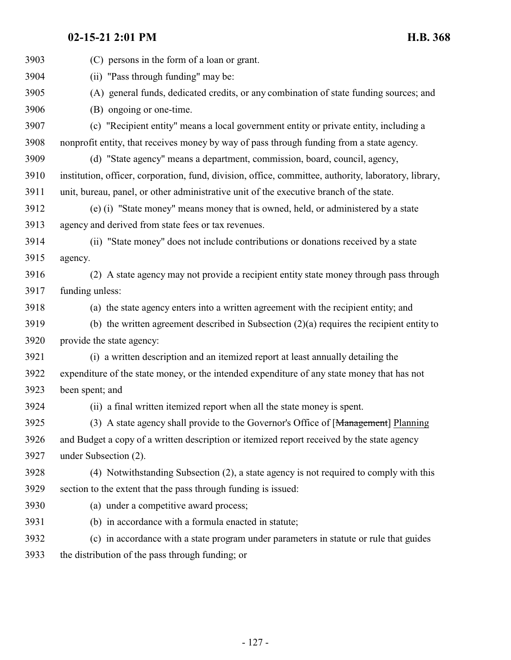| 3903 | (C) persons in the form of a loan or grant.                                                           |
|------|-------------------------------------------------------------------------------------------------------|
| 3904 | (ii) "Pass through funding" may be:                                                                   |
| 3905 | (A) general funds, dedicated credits, or any combination of state funding sources; and                |
| 3906 | (B) ongoing or one-time.                                                                              |
| 3907 | (c) "Recipient entity" means a local government entity or private entity, including a                 |
| 3908 | nonprofit entity, that receives money by way of pass through funding from a state agency.             |
| 3909 | (d) "State agency" means a department, commission, board, council, agency,                            |
| 3910 | institution, officer, corporation, fund, division, office, committee, authority, laboratory, library, |
| 3911 | unit, bureau, panel, or other administrative unit of the executive branch of the state.               |
| 3912 | (e) (i) "State money" means money that is owned, held, or administered by a state                     |
| 3913 | agency and derived from state fees or tax revenues.                                                   |
| 3914 | (ii) "State money" does not include contributions or donations received by a state                    |
| 3915 | agency.                                                                                               |
| 3916 | (2) A state agency may not provide a recipient entity state money through pass through                |
| 3917 | funding unless:                                                                                       |
| 3918 | (a) the state agency enters into a written agreement with the recipient entity; and                   |
| 3919 | (b) the written agreement described in Subsection $(2)(a)$ requires the recipient entity to           |
| 3920 | provide the state agency:                                                                             |
| 3921 | (i) a written description and an itemized report at least annually detailing the                      |
| 3922 | expenditure of the state money, or the intended expenditure of any state money that has not           |
| 3923 | been spent; and                                                                                       |
| 3924 | (ii) a final written itemized report when all the state money is spent.                               |
| 3925 | (3) A state agency shall provide to the Governor's Office of [Management] Planning                    |
| 3926 | and Budget a copy of a written description or itemized report received by the state agency            |
| 3927 | under Subsection (2).                                                                                 |
| 3928 | (4) Notwithstanding Subsection (2), a state agency is not required to comply with this                |
| 3929 | section to the extent that the pass through funding is issued:                                        |
| 3930 | (a) under a competitive award process;                                                                |
| 3931 | (b) in accordance with a formula enacted in statute;                                                  |
| 3932 | (c) in accordance with a state program under parameters in statute or rule that guides                |
| 3933 | the distribution of the pass through funding; or                                                      |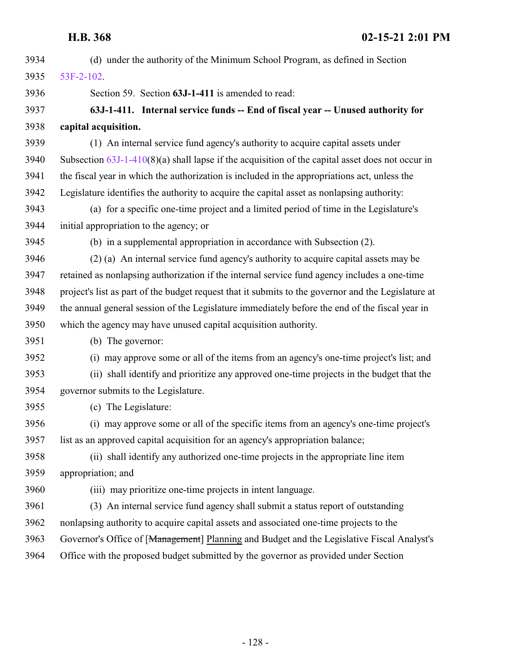| 3934 | (d) under the authority of the Minimum School Program, as defined in Section                        |
|------|-----------------------------------------------------------------------------------------------------|
| 3935 | 53F-2-102.                                                                                          |
| 3936 | Section 59. Section 63J-1-411 is amended to read:                                                   |
| 3937 | 63J-1-411. Internal service funds -- End of fiscal year -- Unused authority for                     |
| 3938 | capital acquisition.                                                                                |
| 3939 | (1) An internal service fund agency's authority to acquire capital assets under                     |
| 3940 | Subsection $63J-1-410(8)(a)$ shall lapse if the acquisition of the capital asset does not occur in  |
| 3941 | the fiscal year in which the authorization is included in the appropriations act, unless the        |
| 3942 | Legislature identifies the authority to acquire the capital asset as nonlapsing authority:          |
| 3943 | (a) for a specific one-time project and a limited period of time in the Legislature's               |
| 3944 | initial appropriation to the agency; or                                                             |
| 3945 | (b) in a supplemental appropriation in accordance with Subsection (2).                              |
| 3946 | (2) (a) An internal service fund agency's authority to acquire capital assets may be                |
| 3947 | retained as nonlapsing authorization if the internal service fund agency includes a one-time        |
| 3948 | project's list as part of the budget request that it submits to the governor and the Legislature at |
| 3949 | the annual general session of the Legislature immediately before the end of the fiscal year in      |
| 3950 | which the agency may have unused capital acquisition authority.                                     |
| 3951 | (b) The governor:                                                                                   |
| 3952 | (i) may approve some or all of the items from an agency's one-time project's list; and              |
| 3953 | (ii) shall identify and prioritize any approved one-time projects in the budget that the            |
| 3954 | governor submits to the Legislature.                                                                |
| 3955 | (c) The Legislature:                                                                                |
| 3956 | (i) may approve some or all of the specific items from an agency's one-time project's               |
| 3957 | list as an approved capital acquisition for an agency's appropriation balance;                      |
| 3958 | (ii) shall identify any authorized one-time projects in the appropriate line item                   |
| 3959 | appropriation; and                                                                                  |
| 3960 | (iii) may prioritize one-time projects in intent language.                                          |
| 3961 | (3) An internal service fund agency shall submit a status report of outstanding                     |
| 3962 | nonlapsing authority to acquire capital assets and associated one-time projects to the              |
| 3963 | Governor's Office of [Management] Planning and Budget and the Legislative Fiscal Analyst's          |
| 3964 | Office with the proposed budget submitted by the governor as provided under Section                 |
|      |                                                                                                     |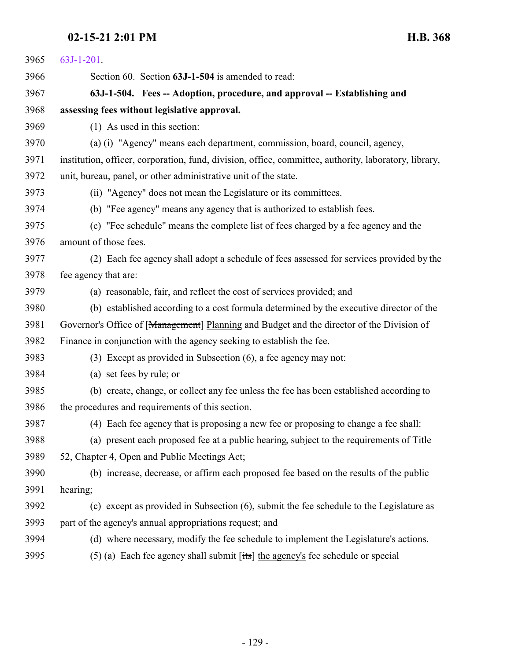<span id="page-128-0"></span>

| 3965 | $63J-1-201$ .                                                                                         |
|------|-------------------------------------------------------------------------------------------------------|
| 3966 | Section 60. Section 63J-1-504 is amended to read:                                                     |
| 3967 | 63J-1-504. Fees -- Adoption, procedure, and approval -- Establishing and                              |
| 3968 | assessing fees without legislative approval.                                                          |
| 3969 | (1) As used in this section:                                                                          |
| 3970 | (a) (i) "Agency" means each department, commission, board, council, agency,                           |
| 3971 | institution, officer, corporation, fund, division, office, committee, authority, laboratory, library, |
| 3972 | unit, bureau, panel, or other administrative unit of the state.                                       |
| 3973 | (ii) "Agency" does not mean the Legislature or its committees.                                        |
| 3974 | (b) "Fee agency" means any agency that is authorized to establish fees.                               |
| 3975 | (c) "Fee schedule" means the complete list of fees charged by a fee agency and the                    |
| 3976 | amount of those fees.                                                                                 |
| 3977 | (2) Each fee agency shall adopt a schedule of fees assessed for services provided by the              |
| 3978 | fee agency that are:                                                                                  |
| 3979 | (a) reasonable, fair, and reflect the cost of services provided; and                                  |
| 3980 | (b) established according to a cost formula determined by the executive director of the               |
| 3981 | Governor's Office of [Management] Planning and Budget and the director of the Division of             |
| 3982 | Finance in conjunction with the agency seeking to establish the fee.                                  |
| 3983 | (3) Except as provided in Subsection (6), a fee agency may not:                                       |
| 3984 | (a) set fees by rule; or                                                                              |
| 3985 | (b) create, change, or collect any fee unless the fee has been established according to               |
| 3986 | the procedures and requirements of this section.                                                      |
| 3987 | (4) Each fee agency that is proposing a new fee or proposing to change a fee shall:                   |
| 3988 | (a) present each proposed fee at a public hearing, subject to the requirements of Title               |
| 3989 | 52, Chapter 4, Open and Public Meetings Act;                                                          |
| 3990 | (b) increase, decrease, or affirm each proposed fee based on the results of the public                |
| 3991 | hearing;                                                                                              |
| 3992 | (c) except as provided in Subsection (6), submit the fee schedule to the Legislature as               |
| 3993 | part of the agency's annual appropriations request; and                                               |
| 3994 | (d) where necessary, modify the fee schedule to implement the Legislature's actions.                  |
| 3995 | (5) (a) Each fee agency shall submit $[tts]$ the agency's fee schedule or special                     |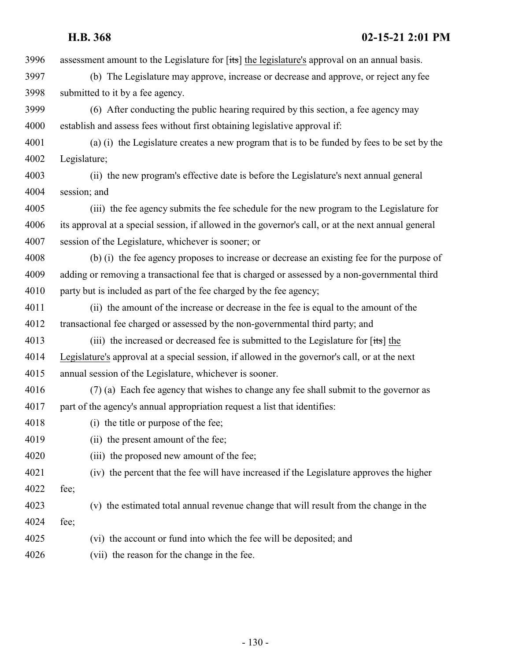3996 assessment amount to the Legislature for [its] the legislature's approval on an annual basis.

- (b) The Legislature may approve, increase or decrease and approve, or reject any fee submitted to it by a fee agency.
- (6) After conducting the public hearing required by this section, a fee agency may establish and assess fees without first obtaining legislative approval if:
- (a) (i) the Legislature creates a new program that is to be funded by fees to be set by the Legislature;
- (ii) the new program's effective date is before the Legislature's next annual general session; and
- (iii) the fee agency submits the fee schedule for the new program to the Legislature for its approval at a special session, if allowed in the governor's call, or at the next annual general session of the Legislature, whichever is sooner; or
- (b) (i) the fee agency proposes to increase or decrease an existing fee for the purpose of adding or removing a transactional fee that is charged or assessed by a non-governmental third party but is included as part of the fee charged by the fee agency;
- (ii) the amount of the increase or decrease in the fee is equal to the amount of the transactional fee charged or assessed by the non-governmental third party; and
- 4013 (iii) the increased or decreased fee is submitted to the Legislature for [its] the Legislature's approval at a special session, if allowed in the governor's call, or at the next annual session of the Legislature, whichever is sooner.
- (7) (a) Each fee agency that wishes to change any fee shall submit to the governor as part of the agency's annual appropriation request a list that identifies:
- (i) the title or purpose of the fee;
- (ii) the present amount of the fee;
- (iii) the proposed new amount of the fee;
- (iv) the percent that the fee will have increased if the Legislature approves the higher
- fee;
- (v) the estimated total annual revenue change that will result from the change in the
- fee;
- (vi) the account or fund into which the fee will be deposited; and
- (vii) the reason for the change in the fee.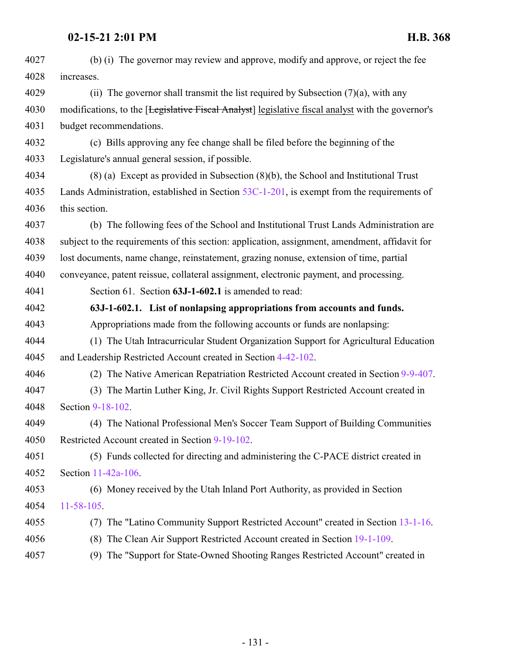<span id="page-130-0"></span>

| 4027 | (b) (i) The governor may review and approve, modify and approve, or reject the fee                |
|------|---------------------------------------------------------------------------------------------------|
| 4028 | increases.                                                                                        |
| 4029 | (ii) The governor shall transmit the list required by Subsection $(7)(a)$ , with any              |
| 4030 | modifications, to the [Legislative Fiscal Analyst] legislative fiscal analyst with the governor's |
| 4031 | budget recommendations.                                                                           |
| 4032 | (c) Bills approving any fee change shall be filed before the beginning of the                     |
| 4033 | Legislature's annual general session, if possible.                                                |
| 4034 | $(8)$ (a) Except as provided in Subsection $(8)(b)$ , the School and Institutional Trust          |
| 4035 | Lands Administration, established in Section $53C-1-201$ , is exempt from the requirements of     |
| 4036 | this section.                                                                                     |
| 4037 | (b) The following fees of the School and Institutional Trust Lands Administration are             |
| 4038 | subject to the requirements of this section: application, assignment, amendment, affidavit for    |
| 4039 | lost documents, name change, reinstatement, grazing nonuse, extension of time, partial            |
| 4040 | conveyance, patent reissue, collateral assignment, electronic payment, and processing.            |
| 4041 | Section 61. Section 63J-1-602.1 is amended to read:                                               |
| 4042 | 63J-1-602.1. List of nonlapsing appropriations from accounts and funds.                           |
| 4043 | Appropriations made from the following accounts or funds are nonlapsing:                          |
| 4044 | (1) The Utah Intracurricular Student Organization Support for Agricultural Education              |
| 4045 | and Leadership Restricted Account created in Section 4-42-102.                                    |
| 4046 | (2) The Native American Repatriation Restricted Account created in Section 9-9-407.               |
| 4047 | (3) The Martin Luther King, Jr. Civil Rights Support Restricted Account created in                |
| 4048 | Section 9-18-102.                                                                                 |
| 4049 | (4) The National Professional Men's Soccer Team Support of Building Communities                   |
| 4050 | Restricted Account created in Section 9-19-102.                                                   |
| 4051 | (5) Funds collected for directing and administering the C-PACE district created in                |
| 4052 | Section 11-42a-106.                                                                               |
| 4053 | (6) Money received by the Utah Inland Port Authority, as provided in Section                      |
| 4054 | $11 - 58 - 105$ .                                                                                 |
| 4055 | The "Latino Community Support Restricted Account" created in Section 13-1-16.<br>(7)              |
| 4056 | The Clean Air Support Restricted Account created in Section 19-1-109.<br>(8)                      |
| 4057 | (9) The "Support for State-Owned Shooting Ranges Restricted Account" created in                   |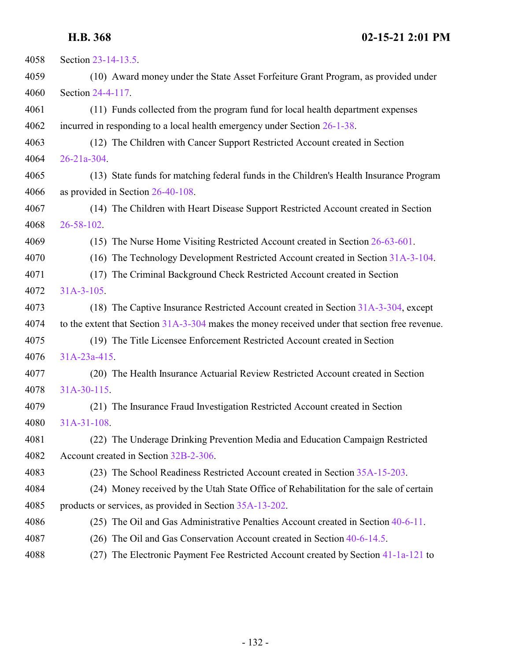| 4058 | Section 23-14-13.5.                                                                            |
|------|------------------------------------------------------------------------------------------------|
| 4059 | (10) Award money under the State Asset Forfeiture Grant Program, as provided under             |
| 4060 | Section 24-4-117.                                                                              |
| 4061 | (11) Funds collected from the program fund for local health department expenses                |
| 4062 | incurred in responding to a local health emergency under Section $26-1-38$ .                   |
| 4063 | (12) The Children with Cancer Support Restricted Account created in Section                    |
| 4064 | $26 - 21a - 304$                                                                               |
| 4065 | (13) State funds for matching federal funds in the Children's Health Insurance Program         |
| 4066 | as provided in Section 26-40-108.                                                              |
| 4067 | (14) The Children with Heart Disease Support Restricted Account created in Section             |
| 4068 | $26 - 58 - 102$ .                                                                              |
| 4069 | (15) The Nurse Home Visiting Restricted Account created in Section 26-63-601.                  |
| 4070 | (16) The Technology Development Restricted Account created in Section 31A-3-104.               |
| 4071 | (17) The Criminal Background Check Restricted Account created in Section                       |
| 4072 | $31A-3-105$ .                                                                                  |
| 4073 | (18) The Captive Insurance Restricted Account created in Section 31A-3-304, except             |
| 4074 | to the extent that Section 31A-3-304 makes the money received under that section free revenue. |
| 4075 | (19) The Title Licensee Enforcement Restricted Account created in Section                      |
| 4076 | 31A-23a-415.                                                                                   |
| 4077 | (20) The Health Insurance Actuarial Review Restricted Account created in Section               |
| 4078 | $31A-30-115$ .                                                                                 |
| 4079 | (21) The Insurance Fraud Investigation Restricted Account created in Section                   |
| 4080 | $31A-31-108$ .                                                                                 |
| 4081 | (22) The Underage Drinking Prevention Media and Education Campaign Restricted                  |
| 4082 | Account created in Section 32B-2-306.                                                          |
| 4083 | (23) The School Readiness Restricted Account created in Section 35A-15-203.                    |
| 4084 | (24) Money received by the Utah State Office of Rehabilitation for the sale of certain         |
| 4085 | products or services, as provided in Section 35A-13-202.                                       |
| 4086 | (25) The Oil and Gas Administrative Penalties Account created in Section 40-6-11.              |
| 4087 | $(26)$ The Oil and Gas Conservation Account created in Section 40-6-14.5.                      |
| 4088 | (27) The Electronic Payment Fee Restricted Account created by Section 41-1a-121 to             |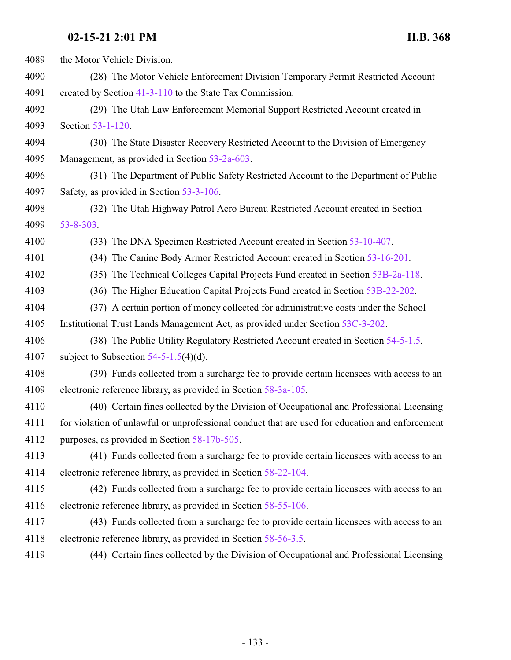| 4089 | the Motor Vehicle Division.                                                                     |
|------|-------------------------------------------------------------------------------------------------|
| 4090 | (28) The Motor Vehicle Enforcement Division Temporary Permit Restricted Account                 |
| 4091 | created by Section 41-3-110 to the State Tax Commission.                                        |
| 4092 | (29) The Utah Law Enforcement Memorial Support Restricted Account created in                    |
| 4093 | Section 53-1-120.                                                                               |
| 4094 | (30) The State Disaster Recovery Restricted Account to the Division of Emergency                |
| 4095 | Management, as provided in Section 53-2a-603.                                                   |
| 4096 | (31) The Department of Public Safety Restricted Account to the Department of Public             |
| 4097 | Safety, as provided in Section 53-3-106.                                                        |
| 4098 | (32) The Utah Highway Patrol Aero Bureau Restricted Account created in Section                  |
| 4099 | $53 - 8 - 303$ .                                                                                |
| 4100 | (33) The DNA Specimen Restricted Account created in Section 53-10-407.                          |
| 4101 | (34) The Canine Body Armor Restricted Account created in Section 53-16-201.                     |
| 4102 | (35) The Technical Colleges Capital Projects Fund created in Section 53B-2a-118.                |
| 4103 | (36) The Higher Education Capital Projects Fund created in Section 53B-22-202.                  |
| 4104 | (37) A certain portion of money collected for administrative costs under the School             |
| 4105 | Institutional Trust Lands Management Act, as provided under Section 53C-3-202.                  |
| 4106 | (38) The Public Utility Regulatory Restricted Account created in Section 54-5-1.5,              |
| 4107 | subject to Subsection $54-5-1.5(4)(d)$ .                                                        |
| 4108 | (39) Funds collected from a surcharge fee to provide certain licensees with access to an        |
| 4109 | electronic reference library, as provided in Section 58-3a-105.                                 |
| 4110 | (40) Certain fines collected by the Division of Occupational and Professional Licensing         |
| 4111 | for violation of unlawful or unprofessional conduct that are used for education and enforcement |
| 4112 | purposes, as provided in Section 58-17b-505.                                                    |
| 4113 | (41) Funds collected from a surcharge fee to provide certain licensees with access to an        |
| 4114 | electronic reference library, as provided in Section 58-22-104.                                 |
| 4115 | (42) Funds collected from a surcharge fee to provide certain licensees with access to an        |
| 4116 | electronic reference library, as provided in Section 58-55-106.                                 |
| 4117 | (43) Funds collected from a surcharge fee to provide certain licensees with access to an        |
| 4118 | electronic reference library, as provided in Section 58-56-3.5.                                 |
| 4119 | (44) Certain fines collected by the Division of Occupational and Professional Licensing         |
|      |                                                                                                 |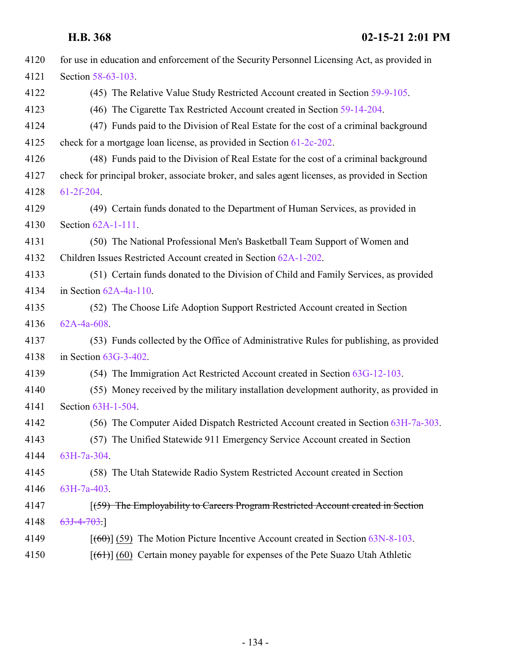| 4120 | for use in education and enforcement of the Security Personnel Licensing Act, as provided in   |
|------|------------------------------------------------------------------------------------------------|
| 4121 | Section 58-63-103.                                                                             |
| 4122 | (45) The Relative Value Study Restricted Account created in Section 59-9-105.                  |
| 4123 | (46) The Cigarette Tax Restricted Account created in Section 59-14-204.                        |
| 4124 | (47) Funds paid to the Division of Real Estate for the cost of a criminal background           |
| 4125 | check for a mortgage loan license, as provided in Section 61-2c-202.                           |
| 4126 | (48) Funds paid to the Division of Real Estate for the cost of a criminal background           |
| 4127 | check for principal broker, associate broker, and sales agent licenses, as provided in Section |
| 4128 | $61-2f-204$ .                                                                                  |
| 4129 | (49) Certain funds donated to the Department of Human Services, as provided in                 |
| 4130 | Section 62A-1-111.                                                                             |
| 4131 | (50) The National Professional Men's Basketball Team Support of Women and                      |
| 4132 | Children Issues Restricted Account created in Section 62A-1-202.                               |
| 4133 | (51) Certain funds donated to the Division of Child and Family Services, as provided           |
| 4134 | in Section $62A-4a-110$ .                                                                      |
| 4135 | (52) The Choose Life Adoption Support Restricted Account created in Section                    |
| 4136 | $62A-4a-608$ .                                                                                 |
| 4137 | (53) Funds collected by the Office of Administrative Rules for publishing, as provided         |
| 4138 | in Section $63G-3-402$ .                                                                       |
| 4139 | (54) The Immigration Act Restricted Account created in Section 63G-12-103.                     |
| 4140 | (55) Money received by the military installation development authority, as provided in         |
| 4141 | Section 63H-1-504.                                                                             |
| 4142 | (56) The Computer Aided Dispatch Restricted Account created in Section 63H-7a-303.             |
| 4143 | (57) The Unified Statewide 911 Emergency Service Account created in Section                    |
| 4144 | 63H-7a-304                                                                                     |
| 4145 | (58) The Utah Statewide Radio System Restricted Account created in Section                     |
| 4146 | 63H-7a-403.                                                                                    |
| 4147 | (59) The Employability to Careers Program Restricted Account created in Section                |
| 4148 | $63J-4-703.$                                                                                   |
| 4149 | $[$ (60)] (59) The Motion Picture Incentive Account created in Section 63N-8-103.              |
| 4150 | $[ (61) ] (60)$ Certain money payable for expenses of the Pete Suazo Utah Athletic             |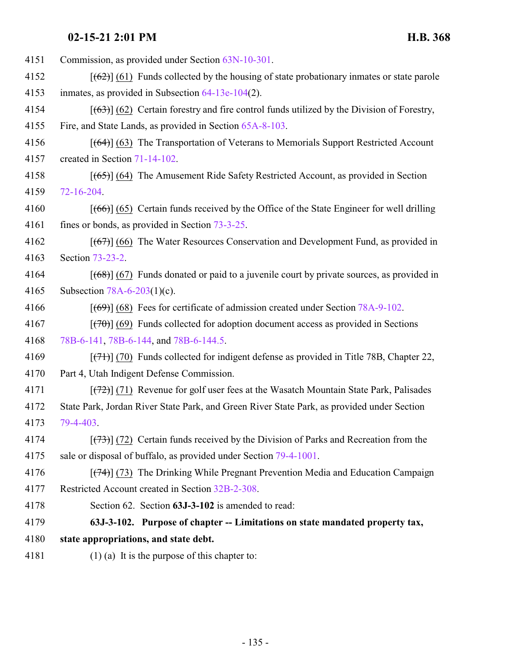| 4151 | Commission, as provided under Section 63N-10-301.                                             |
|------|-----------------------------------------------------------------------------------------------|
| 4152 | $[62]$ (61) Funds collected by the housing of state probationary inmates or state parole      |
| 4153 | inmates, as provided in Subsection $64-13e-104(2)$ .                                          |
| 4154 | $[ (63) ]$ (62) Certain forestry and fire control funds utilized by the Division of Forestry, |
| 4155 | Fire, and State Lands, as provided in Section 65A-8-103.                                      |
| 4156 | $[$ (64)] (63) The Transportation of Veterans to Memorials Support Restricted Account         |
| 4157 | created in Section 71-14-102.                                                                 |
| 4158 | $[ (65) ]$ (64) The Amusement Ride Safety Restricted Account, as provided in Section          |
| 4159 | 72-16-204.                                                                                    |
| 4160 | $[ (66) ] (65)$ Certain funds received by the Office of the State Engineer for well drilling  |
| 4161 | fines or bonds, as provided in Section 73-3-25.                                               |
| 4162 | $[ (67) ]$ (66) The Water Resources Conservation and Development Fund, as provided in         |
| 4163 | Section 73-23-2.                                                                              |
| 4164 | $[ (68) ] (67)$ Funds donated or paid to a juvenile court by private sources, as provided in  |
| 4165 | Subsection $78A-6-203(1)(c)$ .                                                                |
| 4166 | $[ (69) ] (68)$ Fees for certificate of admission created under Section 78A-9-102.            |
| 4167 | $[\overline{(70)}]$ (69) Funds collected for adoption document access as provided in Sections |
| 4168 | 78B-6-141, 78B-6-144, and 78B-6-144.5.                                                        |
| 4169 | $[ (71) ]$ (70) Funds collected for indigent defense as provided in Title 78B, Chapter 22,    |
| 4170 | Part 4, Utah Indigent Defense Commission.                                                     |
| 4171 | $[ (72) ]$ (71) Revenue for golf user fees at the Wasatch Mountain State Park, Palisades      |
| 4172 | State Park, Jordan River State Park, and Green River State Park, as provided under Section    |
| 4173 | $79 - 4 - 403$ .                                                                              |
| 4174 | $[ (73) ]$ (72) Certain funds received by the Division of Parks and Recreation from the       |
| 4175 | sale or disposal of buffalo, as provided under Section 79-4-1001.                             |
| 4176 | $[$ (74) (73) The Drinking While Pregnant Prevention Media and Education Campaign             |
| 4177 | Restricted Account created in Section 32B-2-308.                                              |
| 4178 | Section 62. Section 63J-3-102 is amended to read:                                             |
| 4179 | 63J-3-102. Purpose of chapter -- Limitations on state mandated property tax,                  |
| 4180 | state appropriations, and state debt.                                                         |
| 4181 | $(1)$ (a) It is the purpose of this chapter to:                                               |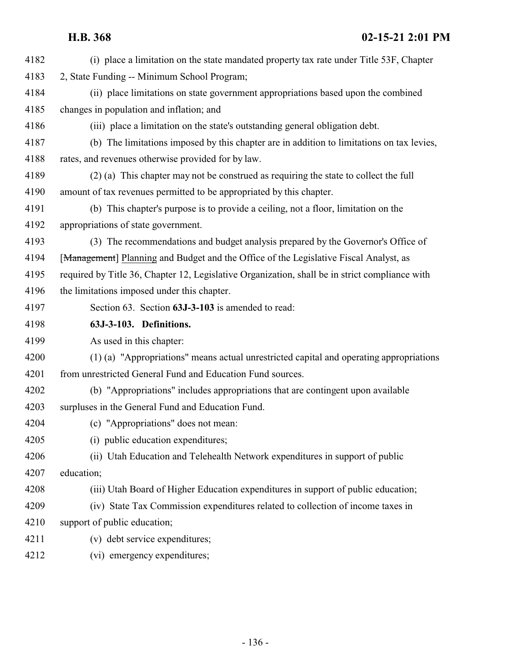| 4182 | (i) place a limitation on the state mandated property tax rate under Title 53F, Chapter        |
|------|------------------------------------------------------------------------------------------------|
| 4183 | 2, State Funding -- Minimum School Program;                                                    |
| 4184 | (ii) place limitations on state government appropriations based upon the combined              |
| 4185 | changes in population and inflation; and                                                       |
| 4186 | (iii) place a limitation on the state's outstanding general obligation debt.                   |
| 4187 | (b) The limitations imposed by this chapter are in addition to limitations on tax levies,      |
| 4188 | rates, and revenues otherwise provided for by law.                                             |
| 4189 | (2) (a) This chapter may not be construed as requiring the state to collect the full           |
| 4190 | amount of tax revenues permitted to be appropriated by this chapter.                           |
| 4191 | (b) This chapter's purpose is to provide a ceiling, not a floor, limitation on the             |
| 4192 | appropriations of state government.                                                            |
| 4193 | (3) The recommendations and budget analysis prepared by the Governor's Office of               |
| 4194 | [Management] Planning and Budget and the Office of the Legislative Fiscal Analyst, as          |
| 4195 | required by Title 36, Chapter 12, Legislative Organization, shall be in strict compliance with |
| 4196 | the limitations imposed under this chapter.                                                    |
| 4197 | Section 63. Section 63J-3-103 is amended to read:                                              |
| 4198 | 63J-3-103. Definitions.                                                                        |
| 4199 | As used in this chapter:                                                                       |
| 4200 | (1) (a) "Appropriations" means actual unrestricted capital and operating appropriations        |
| 4201 | from unrestricted General Fund and Education Fund sources.                                     |
| 4202 | (b) "Appropriations" includes appropriations that are contingent upon available                |
| 4203 | surpluses in the General Fund and Education Fund.                                              |
| 4204 | (c) "Appropriations" does not mean:                                                            |
| 4205 | (i) public education expenditures;                                                             |
| 4206 | (ii) Utah Education and Telehealth Network expenditures in support of public                   |
| 4207 | education;                                                                                     |
| 4208 | (iii) Utah Board of Higher Education expenditures in support of public education;              |
| 4209 | (iv) State Tax Commission expenditures related to collection of income taxes in                |
| 4210 | support of public education;                                                                   |
| 4211 | (v) debt service expenditures;                                                                 |
| 4212 | (vi) emergency expenditures;                                                                   |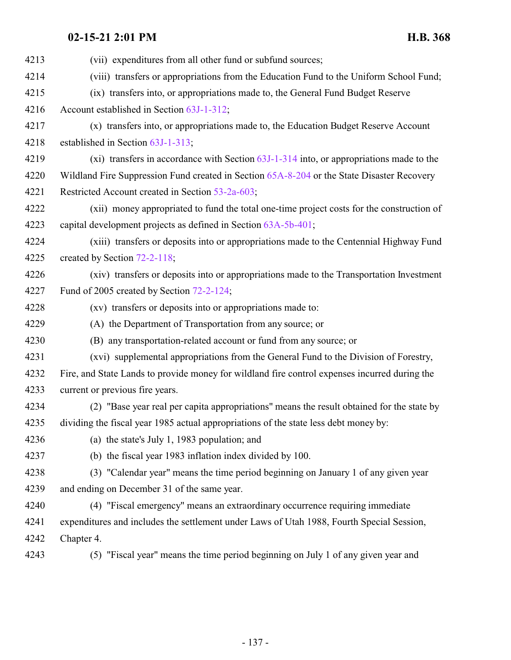| 4213 | (vii) expenditures from all other fund or subfund sources;                                    |
|------|-----------------------------------------------------------------------------------------------|
| 4214 | (viii) transfers or appropriations from the Education Fund to the Uniform School Fund;        |
| 4215 | (ix) transfers into, or appropriations made to, the General Fund Budget Reserve               |
| 4216 | Account established in Section 63J-1-312;                                                     |
| 4217 | (x) transfers into, or appropriations made to, the Education Budget Reserve Account           |
| 4218 | established in Section 63J-1-313;                                                             |
| 4219 | (xi) transfers in accordance with Section $63J-1-314$ into, or appropriations made to the     |
| 4220 | Wildland Fire Suppression Fund created in Section 65A-8-204 or the State Disaster Recovery    |
| 4221 | Restricted Account created in Section 53-2a-603;                                              |
| 4222 | (xii) money appropriated to fund the total one-time project costs for the construction of     |
| 4223 | capital development projects as defined in Section 63A-5b-401;                                |
| 4224 | (xiii) transfers or deposits into or appropriations made to the Centennial Highway Fund       |
| 4225 | created by Section 72-2-118;                                                                  |
| 4226 | (xiv) transfers or deposits into or appropriations made to the Transportation Investment      |
| 4227 | Fund of 2005 created by Section 72-2-124;                                                     |
| 4228 | (xv) transfers or deposits into or appropriations made to:                                    |
| 4229 | (A) the Department of Transportation from any source; or                                      |
| 4230 | (B) any transportation-related account or fund from any source; or                            |
| 4231 | (xvi) supplemental appropriations from the General Fund to the Division of Forestry,          |
| 4232 | Fire, and State Lands to provide money for wildland fire control expenses incurred during the |
| 4233 | current or previous fire years.                                                               |
| 4234 | (2) "Base year real per capita appropriations" means the result obtained for the state by     |
| 4235 | dividing the fiscal year 1985 actual appropriations of the state less debt money by:          |
| 4236 | (a) the state's July 1, 1983 population; and                                                  |
| 4237 | (b) the fiscal year 1983 inflation index divided by 100.                                      |
| 4238 | (3) "Calendar year" means the time period beginning on January 1 of any given year            |
| 4239 | and ending on December 31 of the same year.                                                   |
| 4240 | (4) "Fiscal emergency" means an extraordinary occurrence requiring immediate                  |
| 4241 | expenditures and includes the settlement under Laws of Utah 1988, Fourth Special Session,     |
| 4242 | Chapter 4.                                                                                    |
| 4243 | "Fiscal year" means the time period beginning on July 1 of any given year and<br>(5)          |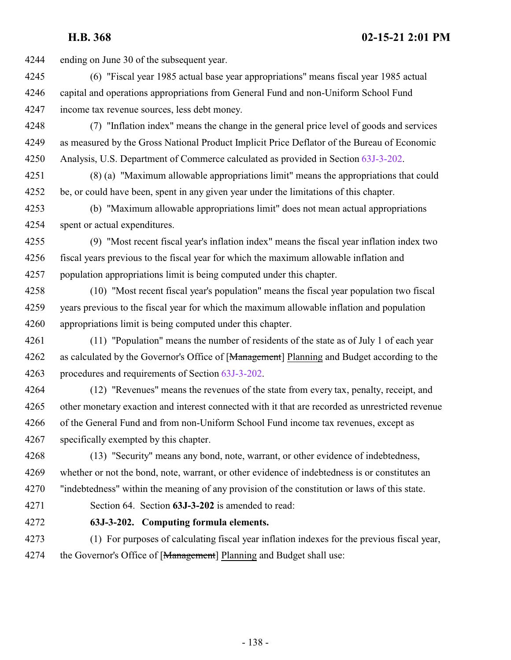ending on June 30 of the subsequent year.

- (6) "Fiscal year 1985 actual base year appropriations" means fiscal year 1985 actual capital and operations appropriations from General Fund and non-Uniform School Fund income tax revenue sources, less debt money.
- (7) "Inflation index" means the change in the general price level of goods and services as measured by the Gross National Product Implicit Price Deflator of the Bureau of Economic Analysis, U.S. Department of Commerce calculated as provided in Section [63J-3-202](#page-137-0).
- (8) (a) "Maximum allowable appropriations limit" means the appropriations that could be, or could have been, spent in any given year under the limitations of this chapter.
- (b) "Maximum allowable appropriations limit" does not mean actual appropriations spent or actual expenditures.
- (9) "Most recent fiscal year's inflation index" means the fiscal year inflation index two fiscal years previous to the fiscal year for which the maximum allowable inflation and population appropriations limit is being computed under this chapter.
- (10) "Most recent fiscal year's population" means the fiscal year population two fiscal years previous to the fiscal year for which the maximum allowable inflation and population appropriations limit is being computed under this chapter.
- (11) "Population" means the number of residents of the state as of July 1 of each year 4262 as calculated by the Governor's Office of [Management] Planning and Budget according to the procedures and requirements of Section [63J-3-202](#page-137-0).
- (12) "Revenues" means the revenues of the state from every tax, penalty, receipt, and other monetary exaction and interest connected with it that are recorded as unrestricted revenue of the General Fund and from non-Uniform School Fund income tax revenues, except as specifically exempted by this chapter.
- (13) "Security" means any bond, note, warrant, or other evidence of indebtedness, whether or not the bond, note, warrant, or other evidence of indebtedness is or constitutes an "indebtedness" within the meaning of any provision of the constitution or laws of this state.
- <span id="page-137-0"></span>
- Section 64. Section **63J-3-202** is amended to read:
- 
- **63J-3-202. Computing formula elements.**
- (1) For purposes of calculating fiscal year inflation indexes for the previous fiscal year, 4274 the Governor's Office of [Management] Planning and Budget shall use: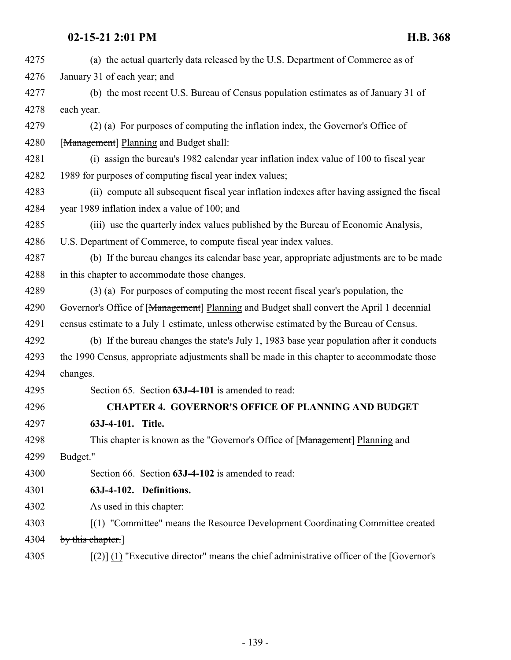| 4275 | (a) the actual quarterly data released by the U.S. Department of Commerce as of                    |
|------|----------------------------------------------------------------------------------------------------|
| 4276 | January 31 of each year; and                                                                       |
| 4277 | (b) the most recent U.S. Bureau of Census population estimates as of January 31 of                 |
| 4278 | each year.                                                                                         |
| 4279 | (2) (a) For purposes of computing the inflation index, the Governor's Office of                    |
| 4280 | [Management] Planning and Budget shall:                                                            |
| 4281 | (i) assign the bureau's 1982 calendar year inflation index value of 100 to fiscal year             |
| 4282 | 1989 for purposes of computing fiscal year index values;                                           |
| 4283 | (ii) compute all subsequent fiscal year inflation indexes after having assigned the fiscal         |
| 4284 | year 1989 inflation index a value of 100; and                                                      |
| 4285 | (iii) use the quarterly index values published by the Bureau of Economic Analysis,                 |
| 4286 | U.S. Department of Commerce, to compute fiscal year index values.                                  |
| 4287 | (b) If the bureau changes its calendar base year, appropriate adjustments are to be made           |
| 4288 | in this chapter to accommodate those changes.                                                      |
| 4289 | (3) (a) For purposes of computing the most recent fiscal year's population, the                    |
| 4290 | Governor's Office of [Management] Planning and Budget shall convert the April 1 decennial          |
| 4291 | census estimate to a July 1 estimate, unless otherwise estimated by the Bureau of Census.          |
| 4292 | (b) If the bureau changes the state's July 1, 1983 base year population after it conducts          |
| 4293 | the 1990 Census, appropriate adjustments shall be made in this chapter to accommodate those        |
| 4294 | changes.                                                                                           |
| 4295 | Section 65. Section 63J-4-101 is amended to read:                                                  |
| 4296 | <b>CHAPTER 4. GOVERNOR'S OFFICE OF PLANNING AND BUDGET</b>                                         |
| 4297 | 63J-4-101. Title.                                                                                  |
| 4298 | This chapter is known as the "Governor's Office of [ <del>Management</del> ] Planning and          |
| 4299 | Budget."                                                                                           |
| 4300 | Section 66. Section 63J-4-102 is amended to read:                                                  |
| 4301 | 63J-4-102. Definitions.                                                                            |
| 4302 | As used in this chapter:                                                                           |
| 4303 | [(1) "Committee" means the Resource Development Coordinating Committee created                     |
| 4304 | by this chapter.                                                                                   |
| 4305 | $[\frac{1}{2}]$ (1) "Executive director" means the chief administrative officer of the [Governor's |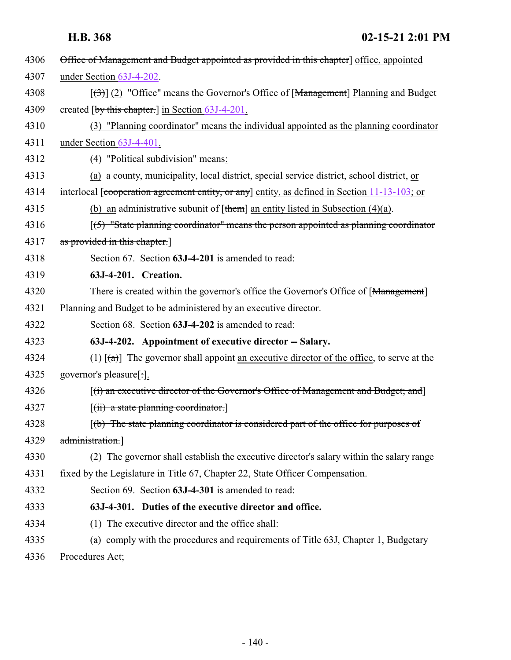<span id="page-139-2"></span><span id="page-139-1"></span><span id="page-139-0"></span>

| 4306 | Office of Management and Budget appointed as provided in this chapter] office, appointed                |
|------|---------------------------------------------------------------------------------------------------------|
| 4307 | under Section 63J-4-202.                                                                                |
| 4308 | $[\langle 3\rangle]$ (2) "Office" means the Governor's Office of [Management] Planning and Budget       |
| 4309 | created [by this chapter.] in Section 63J-4-201.                                                        |
| 4310 | (3) "Planning coordinator" means the individual appointed as the planning coordinator                   |
| 4311 | under Section 63J-4-401.                                                                                |
| 4312 | (4) "Political subdivision" means:                                                                      |
| 4313 | (a) a county, municipality, local district, special service district, school district, or               |
| 4314 | interlocal [cooperation agreement entity, or any] entity, as defined in Section 11-13-103; or           |
| 4315 | (b) an administrative subunit of $[\t{them}]$ an entity listed in Subsection (4)(a).                    |
| 4316 | $(5)$ "State planning coordinator" means the person appointed as planning coordinator                   |
| 4317 | as provided in this chapter.                                                                            |
| 4318 | Section 67. Section 63J-4-201 is amended to read:                                                       |
| 4319 | 63J-4-201. Creation.                                                                                    |
| 4320 | There is created within the governor's office the Governor's Office of [Management]                     |
| 4321 | Planning and Budget to be administered by an executive director.                                        |
| 4322 | Section 68. Section 63J-4-202 is amended to read:                                                       |
| 4323 | 63J-4-202. Appointment of executive director -- Salary.                                                 |
| 4324 | (1) $\lceil (a) \rceil$ The governor shall appoint an executive director of the office, to serve at the |
| 4325 | governor's pleasure[:].                                                                                 |
| 4326 | [(i) an executive director of the Governor's Office of Management and Budget; and]                      |
| 4327 | $[(ii)$ a state planning coordinator.                                                                   |
| 4328 | $[$ (b) The state planning coordinator is considered part of the office for purposes of                 |
| 4329 | administration.                                                                                         |
| 4330 | (2) The governor shall establish the executive director's salary within the salary range                |
| 4331 | fixed by the Legislature in Title 67, Chapter 22, State Officer Compensation.                           |
| 4332 | Section 69. Section 63J-4-301 is amended to read:                                                       |
| 4333 | 63J-4-301. Duties of the executive director and office.                                                 |
| 4334 | (1) The executive director and the office shall:                                                        |
| 4335 | (a) comply with the procedures and requirements of Title 63J, Chapter 1, Budgetary                      |
| 4336 | Procedures Act;                                                                                         |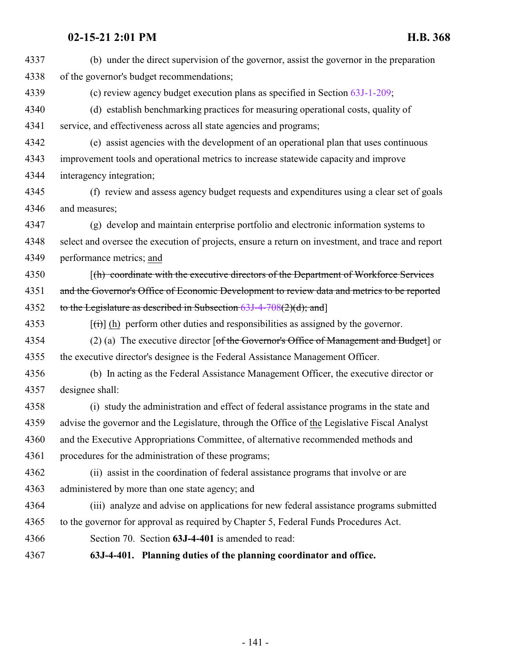<span id="page-140-0"></span>

| 4337 | (b) under the direct supervision of the governor, assist the governor in the preparation          |
|------|---------------------------------------------------------------------------------------------------|
| 4338 | of the governor's budget recommendations;                                                         |
| 4339 | (c) review agency budget execution plans as specified in Section $63J-1-209$ ;                    |
| 4340 | (d) establish benchmarking practices for measuring operational costs, quality of                  |
| 4341 | service, and effectiveness across all state agencies and programs;                                |
| 4342 | (e) assist agencies with the development of an operational plan that uses continuous              |
| 4343 | improvement tools and operational metrics to increase statewide capacity and improve              |
| 4344 | interagency integration;                                                                          |
| 4345 | (f) review and assess agency budget requests and expenditures using a clear set of goals          |
| 4346 | and measures;                                                                                     |
| 4347 | (g) develop and maintain enterprise portfolio and electronic information systems to               |
| 4348 | select and oversee the execution of projects, ensure a return on investment, and trace and report |
| 4349 | performance metrics; and                                                                          |
| 4350 | [(h) coordinate with the executive directors of the Department of Workforce Services              |
| 4351 | and the Governor's Office of Economic Development to review data and metrics to be reported       |
| 4352 | to the Legislature as described in Subsection $63J-4-708(2)(d)$ ; and                             |
| 4353 | $[\vec{t})$ (h) perform other duties and responsibilities as assigned by the governor.            |
| 4354 | (2) (a) The executive director $f$ of the Governor's Office of Management and Budget or           |
| 4355 | the executive director's designee is the Federal Assistance Management Officer.                   |
| 4356 | (b) In acting as the Federal Assistance Management Officer, the executive director or             |
| 4357 | designee shall:                                                                                   |
| 4358 | (i) study the administration and effect of federal assistance programs in the state and           |
| 4359 | advise the governor and the Legislature, through the Office of the Legislative Fiscal Analyst     |
| 4360 | and the Executive Appropriations Committee, of alternative recommended methods and                |
| 4361 | procedures for the administration of these programs;                                              |
| 4362 | (ii) assist in the coordination of federal assistance programs that involve or are                |
| 4363 | administered by more than one state agency; and                                                   |
| 4364 | (iii) analyze and advise on applications for new federal assistance programs submitted            |
| 4365 | to the governor for approval as required by Chapter 5, Federal Funds Procedures Act.              |
| 4366 | Section 70. Section 63J-4-401 is amended to read:                                                 |
| 4367 | 63J-4-401. Planning duties of the planning coordinator and office.                                |
|      |                                                                                                   |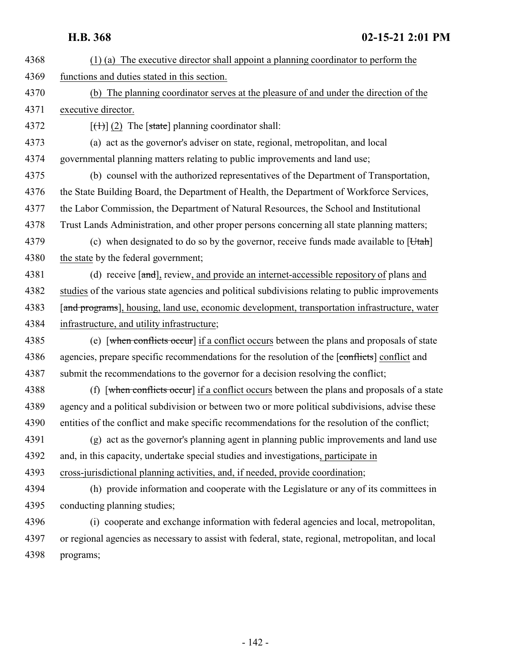(1) (a) The executive director shall appoint a planning coordinator to perform the functions and duties stated in this section. (b) The planning coordinator serves at the pleasure of and under the direction of the executive director.  $\left[\left(\frac{1}{1}\right)\right]$  (2) The [state] planning coordinator shall: (a) act as the governor's adviser on state, regional, metropolitan, and local governmental planning matters relating to public improvements and land use; (b) counsel with the authorized representatives of the Department of Transportation, the State Building Board, the Department of Health, the Department of Workforce Services, the Labor Commission, the Department of Natural Resources, the School and Institutional Trust Lands Administration, and other proper persons concerning all state planning matters; 4379 (c) when designated to do so by the governor, receive funds made available to [Utah] the state by the federal government; 4381 (d) receive [and], review, and provide an internet-accessible repository of plans and studies of the various state agencies and political subdivisions relating to public improvements 4383 [and programs], housing, land use, economic development, transportation infrastructure, water infrastructure, and utility infrastructure; 4385 (e) [when conflicts occur] if a conflict occurs between the plans and proposals of state 4386 agencies, prepare specific recommendations for the resolution of the [conflicts] conflict and submit the recommendations to the governor for a decision resolving the conflict; 4388 (f) when conflicts occur if a conflict occurs between the plans and proposals of a state agency and a political subdivision or between two or more political subdivisions, advise these entities of the conflict and make specific recommendations for the resolution of the conflict; (g) act as the governor's planning agent in planning public improvements and land use and, in this capacity, undertake special studies and investigations, participate in cross-jurisdictional planning activities, and, if needed, provide coordination; (h) provide information and cooperate with the Legislature or any of its committees in conducting planning studies; (i) cooperate and exchange information with federal agencies and local, metropolitan, or regional agencies as necessary to assist with federal, state, regional, metropolitan, and local programs;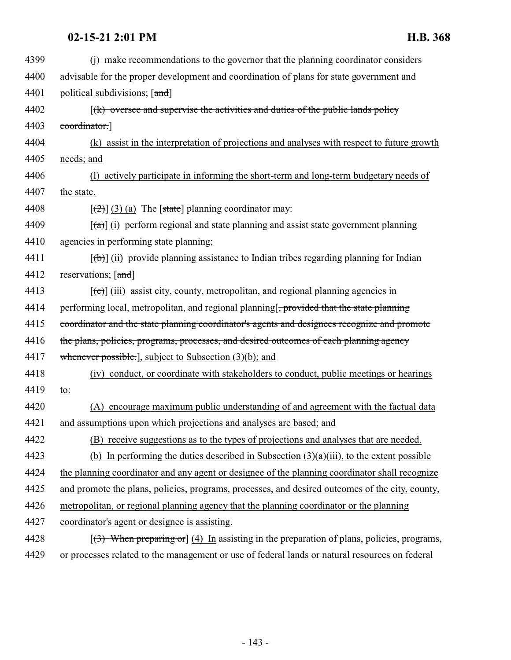| 4399 | (i) make recommendations to the governor that the planning coordinator considers                           |
|------|------------------------------------------------------------------------------------------------------------|
| 4400 | advisable for the proper development and coordination of plans for state government and                    |
| 4401 | political subdivisions; [and]                                                                              |
| 4402 | $(x)$ oversee and supervise the activities and duties of the public lands policy                           |
| 4403 | coordinator.]                                                                                              |
| 4404 | (k) assist in the interpretation of projections and analyses with respect to future growth                 |
| 4405 | needs; and                                                                                                 |
| 4406 | (1) actively participate in informing the short-term and long-term budgetary needs of                      |
| 4407 | the state.                                                                                                 |
| 4408 | $[\frac{1}{2}]$ (3) (a) The [state] planning coordinator may:                                              |
| 4409 | $\left[\frac{1}{2}\right]$ (i) perform regional and state planning and assist state government planning    |
| 4410 | agencies in performing state planning;                                                                     |
| 4411 | $[\langle \theta \rangle]$ (ii) provide planning assistance to Indian tribes regarding planning for Indian |
| 4412 | reservations; [and]                                                                                        |
| 4413 | $[\text{e}]$ (iii) assist city, county, metropolitan, and regional planning agencies in                    |
| 4414 | performing local, metropolitan, and regional planning <del>, provided that the state planning</del>        |
| 4415 | coordinator and the state planning coordinator's agents and designees recognize and promote                |
| 4416 | the plans, policies, programs, processes, and desired outcomes of each planning agency                     |
| 4417 | whenever possible.], subject to Subsection (3)(b); and                                                     |
| 4418 | (iv) conduct, or coordinate with stakeholders to conduct, public meetings or hearings                      |
| 4419 | to:                                                                                                        |
| 4420 | encourage maximum public understanding of and agreement with the factual data<br>(A)                       |
| 4421 | and assumptions upon which projections and analyses are based; and                                         |
| 4422 | (B) receive suggestions as to the types of projections and analyses that are needed.                       |
| 4423 | (b) In performing the duties described in Subsection $(3)(a)(iii)$ , to the extent possible                |
| 4424 | the planning coordinator and any agent or designee of the planning coordinator shall recognize             |
| 4425 | and promote the plans, policies, programs, processes, and desired outcomes of the city, county,            |
| 4426 | metropolitan, or regional planning agency that the planning coordinator or the planning                    |
| 4427 | coordinator's agent or designee is assisting.                                                              |
| 4428 | $(3)$ When preparing or $(4)$ In assisting in the preparation of plans, policies, programs,                |
| 4429 | or processes related to the management or use of federal lands or natural resources on federal             |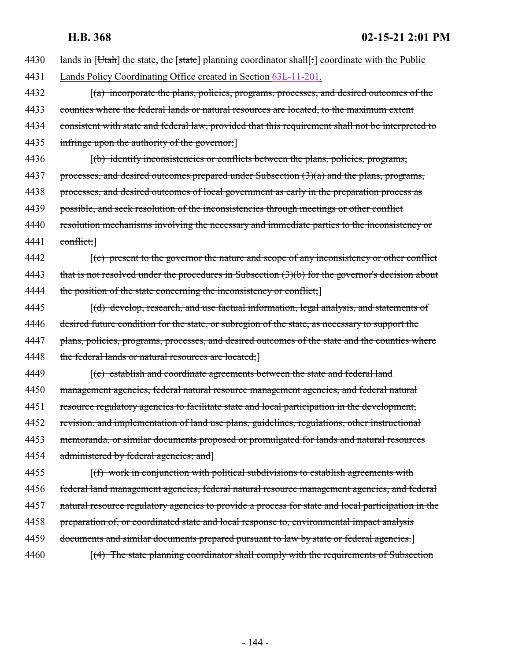| 4430 | lands in $[Utah]$ the state, the $[state]$ planning coordinator shall[:] coordinate with the Public |
|------|-----------------------------------------------------------------------------------------------------|
| 4431 | Lands Policy Coordinating Office created in Section 63L-11-201.                                     |
| 4432 | $[(a)$ incorporate the plans, policies, programs, processes, and desired outcomes of the            |
| 4433 | counties where the federal lands or natural resources are located, to the maximum extent            |
| 4434 | consistent with state and federal law, provided that this requirement shall not be interpreted to   |
| 4435 | infringe upon the authority of the governor;                                                        |
| 4436 | [(b) identify inconsistencies or conflicts between the plans, policies, programs,                   |
| 4437 | processes, and desired outcomes prepared under Subsection $(3)(a)$ and the plans, programs,         |
| 4438 | processes, and desired outcomes of local government as early in the preparation process as          |
| 4439 | possible, and seek resolution of the inconsistencies through meetings or other conflict             |
| 4440 | resolution mechanisms involving the necessary and immediate parties to the inconsistency or         |
| 4441 | conflict;                                                                                           |
| 4442 | $(c)$ present to the governor the nature and scope of any inconsistency or other conflict           |
| 4443 | that is not resolved under the procedures in Subsection $(3)(b)$ for the governor's decision about  |
| 4444 | the position of the state concerning the inconsistency or conflict;]                                |
| 4445 | $\lceil$ (d) develop, research, and use factual information, legal analysis, and statements of      |
| 4446 | desired future condition for the state, or subregion of the state, as necessary to support the      |
| 4447 | plans, policies, programs, processes, and desired outcomes of the state and the counties where      |
| 4448 | the federal lands or natural resources are located;                                                 |
| 4449 | [(e) establish and coordinate agreements between the state and federal land                         |
| 4450 | management agencies, federal natural resource management agencies, and federal natural              |
| 4451 | resource regulatory agencies to facilitate state and local participation in the development,        |
| 4452 | revision, and implementation of land use plans, guidelines, regulations, other instructional        |
| 4453 | memoranda, or similar documents proposed or promulgated for lands and natural resources             |
| 4454 | administered by federal agencies; and                                                               |
| 4455 | $(f)$ work in conjunction with political subdivisions to establish agreements with                  |
| 4456 | federal land management agencies, federal natural resource management agencies, and federal         |
| 4457 | natural resource regulatory agencies to provide a process for state and local participation in the  |
| 4458 | preparation of, or coordinated state and local response to, environmental impact analysis           |
| 4459 | documents and similar documents prepared pursuant to law by state or federal agencies.              |
| 4460 | [(4) The state planning coordinator shall comply with the requirements of Subsection                |
|      |                                                                                                     |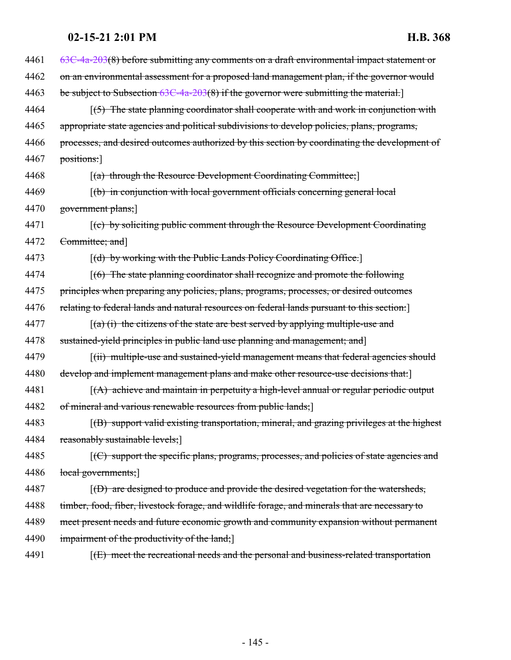| 4461 | $63C-4a-203(8)$ before submitting any comments on a draft environmental impact statement or           |
|------|-------------------------------------------------------------------------------------------------------|
| 4462 | on an environmental assessment for a proposed land management plan, if the governor would             |
| 4463 | be subject to Subsection 63C-4a-203(8) if the governor were submitting the material.                  |
| 4464 | $(5)$ The state planning coordinator shall cooperate with and work in conjunction with                |
| 4465 | appropriate state agencies and political subdivisions to develop policies, plans, programs,           |
| 4466 | processes, and desired outcomes authorized by this section by coordinating the development of         |
| 4467 | positions:                                                                                            |
| 4468 | [(a) through the Resource Development Coordinating Committee;]                                        |
| 4469 | $(6)$ in conjunction with local government officials concerning general local                         |
| 4470 | government plans;]                                                                                    |
| 4471 | [(c) by soliciting public comment through the Resource Development Coordinating                       |
| 4472 | Committee; and                                                                                        |
| 4473 | [(d) by working with the Public Lands Policy Coordinating Office.]                                    |
| 4474 | $(6)$ The state planning coordinator shall recognize and promote the following                        |
| 4475 | principles when preparing any policies, plans, programs, processes, or desired outcomes               |
| 4476 | relating to federal lands and natural resources on federal lands pursuant to this section:            |
| 4477 | $\left[\frac{a}{b}\right]$ (i) the citizens of the state are best served by applying multiple-use and |
| 4478 | sustained-yield principles in public land use planning and management; and                            |
| 4479 | [(ii) multiple-use and sustained-yield management means that federal agencies should                  |
| 4480 | develop and implement management plans and make other resource-use decisions that:                    |
| 4481 | $(A)$ achieve and maintain in perpetuity a high-level annual or regular periodic output               |
| 4482 | of mineral and various renewable resources from public lands;]                                        |
| 4483 | [(B) support valid existing transportation, mineral, and grazing privileges at the highest            |
| 4484 | reasonably sustainable levels;                                                                        |
| 4485 | [(C) support the specific plans, programs, processes, and policies of state agencies and              |
| 4486 | local governments;                                                                                    |
| 4487 | [(D) are designed to produce and provide the desired vegetation for the watersheds,                   |
| 4488 | timber, food, fiber, livestock forage, and wildlife forage, and minerals that are necessary to        |
| 4489 | meet present needs and future economic growth and community expansion without permanent               |
| 4490 | impairment of the productivity of the land;                                                           |
| 4491 | $f(E)$ meet the recreational needs and the personal and business-related transportation               |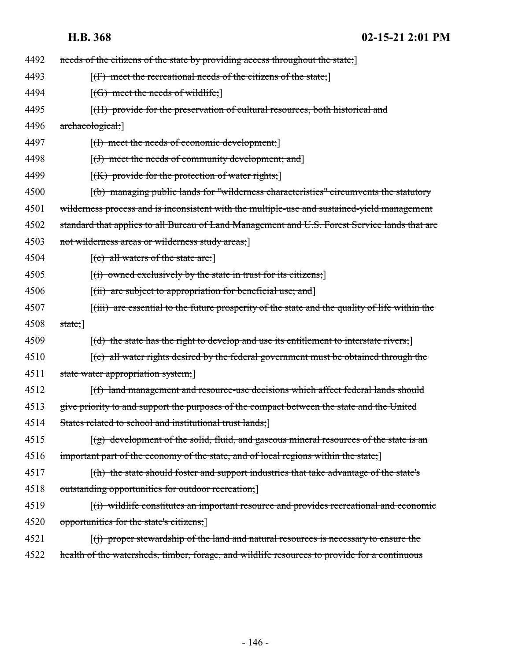| 4492 | needs of the citizens of the state by providing access throughout the state;                                         |
|------|----------------------------------------------------------------------------------------------------------------------|
| 4493 | $[f]$ meet the recreational needs of the citizens of the state;                                                      |
| 4494 | $[(G)$ meet the needs of wildlife;                                                                                   |
| 4495 | [(H) provide for the preservation of cultural resources, both historical and                                         |
| 4496 | archaeological;]                                                                                                     |
| 4497 | $[$ (H) meet the needs of economic development; $]$                                                                  |
| 4498 | $[(J)$ meet the needs of community development; and                                                                  |
| 4499 | $[(K)$ provide for the protection of water rights;                                                                   |
| 4500 | (b) managing public lands for "wilderness characteristics" circumvents the statutory                                 |
| 4501 | wilderness process and is inconsistent with the multiple-use and sustained-yield management                          |
| 4502 | standard that applies to all Bureau of Land Management and U.S. Forest Service lands that are                        |
| 4503 | not wilderness areas or wilderness study areas;                                                                      |
| 4504 | $[$ (c) all waters of the state are:                                                                                 |
| 4505 | $[(i)$ owned exclusively by the state in trust for its citizens;                                                     |
| 4506 | [(ii) are subject to appropriation for beneficial use; and]                                                          |
| 4507 | $\left[\left(i\right)\right]$ are essential to the future prosperity of the state and the quality of life within the |
| 4508 | $state;$ ]                                                                                                           |
| 4509 | $\lceil$ (d) the state has the right to develop and use its entitlement to interstate rivers;                        |
| 4510 | $\mathbf{f}(\mathbf{e})$ all water rights desired by the federal government must be obtained through the             |
| 4511 | state water appropriation system;                                                                                    |
| 4512 | [(f) land management and resource-use decisions which affect federal lands should                                    |
| 4513 | give priority to and support the purposes of the compact between the state and the United                            |
| 4514 | States related to school and institutional trust lands;                                                              |
| 4515 | $\lceil$ (g) development of the solid, fluid, and gaseous mineral resources of the state is an                       |
| 4516 | important part of the economy of the state, and of local regions within the state;                                   |
| 4517 | [(h) the state should foster and support industries that take advantage of the state's                               |
| 4518 | outstanding opportunities for outdoor recreation;                                                                    |
| 4519 | $\lceil$ (i) wildlife constitutes an important resource and provides recreational and economic                       |
| 4520 | opportunities for the state's citizens;                                                                              |
| 4521 | $\lceil$ (j) proper stewardship of the land and natural resources is necessary to ensure the                         |
| 4522 | health of the watersheds, timber, forage, and wildlife resources to provide for a continuous                         |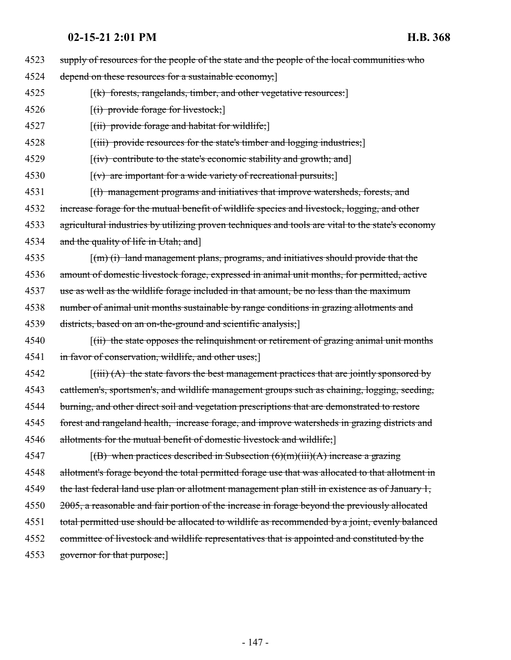| 4523 | supply of resources for the people of the state and the people of the local communities who                                       |
|------|-----------------------------------------------------------------------------------------------------------------------------------|
| 4524 | depend on these resources for a sustainable economy;                                                                              |
| 4525 | $[(k)$ forests, rangelands, timber, and other vegetative resources.                                                               |
| 4526 | $[(i)$ provide forage for livestock;                                                                                              |
| 4527 | $[(ii)$ provide forage and habitat for wildlife;                                                                                  |
| 4528 | [(iii) provide resources for the state's timber and logging industries;]                                                          |
| 4529 | $[(iv)$ contribute to the state's economic stability and growth; and                                                              |
| 4530 | $\left[\left(v\right)\right]$ are important for a wide variety of recreational pursuits;                                          |
| 4531 | [(1) management programs and initiatives that improve watersheds, forests, and                                                    |
| 4532 | increase forage for the mutual benefit of wildlife species and livestock, logging, and other                                      |
| 4533 | agricultural industries by utilizing proven techniques and tools are vital to the state's economy                                 |
| 4534 | and the quality of life in Utah; and                                                                                              |
| 4535 | $\lceil$ (m) (i) land management plans, programs, and initiatives should provide that the                                         |
| 4536 | amount of domestic livestock forage, expressed in animal unit months, for permitted, active                                       |
| 4537 | use as well as the wildlife forage included in that amount, be no less than the maximum                                           |
| 4538 | number of animal unit months sustainable by range conditions in grazing allotments and                                            |
| 4539 | districts, based on an on-the-ground and scientific analysis;                                                                     |
| 4540 | $(iii)$ the state opposes the relinquishment or retirement of grazing animal unit months                                          |
| 4541 | in favor of conservation, wildlife, and other uses;                                                                               |
| 4542 | $\left[\left(\text{iii}\right)\left(A\right)\right]$ the state favors the best management practices that are jointly sponsored by |
| 4543 | eattlemen's, sportsmen's, and wildlife management groups such as chaining, logging, seeding,                                      |
| 4544 | burning, and other direct soil and vegetation prescriptions that are demonstrated to restore                                      |
| 4545 | forest and rangeland health, increase forage, and improve watersheds in grazing districts and                                     |
| 4546 | allotments for the mutual benefit of domestic livestock and wildlife;                                                             |
| 4547 | $[(B)$ when practices described in Subsection $(6)(m)(iii)(A)$ increase a grazing                                                 |
| 4548 | allotment's forage beyond the total permitted forage use that was allocated to that allotment in                                  |
| 4549 | the last federal land use plan or allotment management plan still in existence as of January 1,                                   |
| 4550 | 2005, a reasonable and fair portion of the increase in forage beyond the previously allocated                                     |
| 4551 | total permitted use should be allocated to wildlife as recommended by a joint, evenly balanced                                    |
| 4552 | committee of livestock and wildlife representatives that is appointed and constituted by the                                      |
| 4553 | governor for that purpose;                                                                                                        |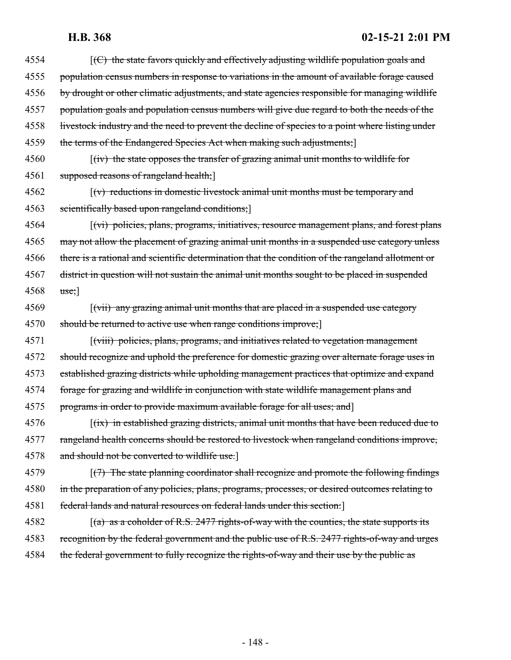$4554$  [(C) the state favors quickly and effectively adjusting wildlife population goals and 4555 population census numbers in response to variations in the amount of available forage caused 4556 by drought or other climatic adjustments, and state agencies responsible for managing wildlife 4557 population goals and population census numbers will give due regard to both the needs of the 4558 livestock industry and the need to prevent the decline of species to a point where listing under 4559 the terms of the Endangered Species Act when making such adjustments; 4560 [(iv) the state opposes the transfer of grazing animal unit months to wildlife for 4561 supposed reasons of rangeland health;  $4562$  [(v) reductions in domestic livestock animal unit months must be temporary and 4563 scientifically based upon rangeland conditions;] 4564 [(vi) policies, plans, programs, initiatives, resource management plans, and forest plans 4565 may not allow the placement of grazing animal unit months in a suspended use category unless 4566 there is a rational and scientific determination that the condition of the rangeland allotment or 4567 district in question will not sustain the animal unit months sought to be placed in suspended 4568 use;] 4569 [(vii) any grazing animal unit months that are placed in a suspended use category 4570 should be returned to active use when range conditions improve; 4571 [(viii) policies, plans, programs, and initiatives related to vegetation management 4572 should recognize and uphold the preference for domestic grazing over alternate forage uses in 4573 established grazing districts while upholding management practices that optimize and expand 4574 forage for grazing and wildlife in conjunction with state wildlife management plans and 4575 programs in order to provide maximum available forage for all uses; and] 4576 [(ix) in established grazing districts, animal unit months that have been reduced due to 4577 rangeland health concerns should be restored to livestock when rangeland conditions improve, 4578 and should not be converted to wildlife use. 4579 [(7) The state planning coordinator shall recognize and promote the following findings 4580 in the preparation of any policies, plans, programs, processes, or desired outcomes relating to 4581 federal lands and natural resources on federal lands under this section:] 4582  $(a)$  as a coholder of R.S. 2477 rights-of-way with the counties, the state supports its 4583 recognition by the federal government and the public use of R.S. 2477 rights-of-way and urges 4584 the federal government to fully recognize the rights-of-way and their use by the public as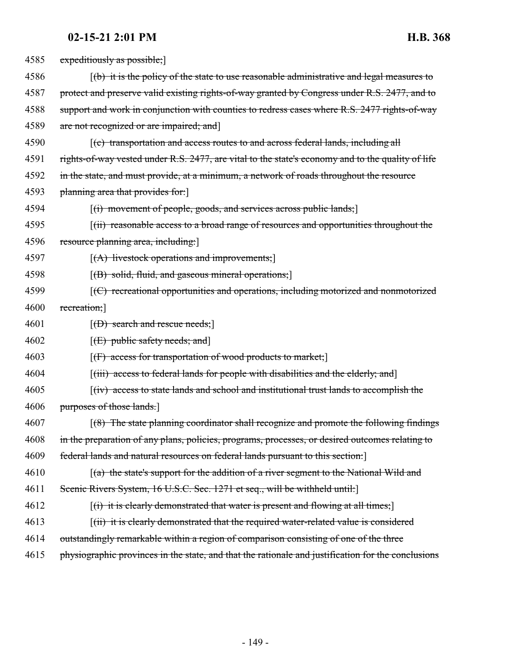| 4585 | expeditiously as possible;                                                                                       |
|------|------------------------------------------------------------------------------------------------------------------|
| 4586 | $(t)$ it is the policy of the state to use reasonable administrative and legal measures to                       |
| 4587 | protect and preserve valid existing rights-of-way granted by Congress under R.S. 2477, and to                    |
| 4588 | support and work in conjunction with counties to redress cases where R.S. 2477 rights-of-way                     |
| 4589 | are not recognized or are impaired; and                                                                          |
| 4590 | $(c)$ transportation and access routes to and across federal lands, including all                                |
| 4591 | rights-of-way vested under R.S. 2477, are vital to the state's economy and to the quality of life                |
| 4592 | in the state, and must provide, at a minimum, a network of roads throughout the resource                         |
| 4593 | planning area that provides for.                                                                                 |
| 4594 | $[(i)$ movement of people, goods, and services across public lands;                                              |
| 4595 | $f(ii)$ reasonable access to a broad range of resources and opportunities throughout the                         |
| 4596 | resource planning area, including:                                                                               |
| 4597 | [(A) livestock operations and improvements;]                                                                     |
| 4598 | $[(B)$ solid, fluid, and gaseous mineral operations;                                                             |
| 4599 | $\left[\left(\frac{C}{C}\right)$ recreational opportunities and operations, including motorized and nonmotorized |
| 4600 | recreation;                                                                                                      |
| 4601 | [ <del>(D) search and rescue needs;</del> ]                                                                      |
| 4602 | $[ (E)$ public safety needs; and                                                                                 |
| 4603 | $[f]$ access for transportation of wood products to market;                                                      |
| 4604 | [(iii) access to federal lands for people with disabilities and the elderly; and]                                |
| 4605 | $f(iv)$ access to state lands and school and institutional trust lands to accomplish the                         |
| 4606 | purposes of those lands.                                                                                         |
| 4607 | $(8)$ The state planning coordinator shall recognize and promote the following findings                          |
| 4608 | in the preparation of any plans, policies, programs, processes, or desired outcomes relating to                  |
| 4609 | federal lands and natural resources on federal lands pursuant to this section:                                   |
| 4610 | $\lceil$ (a) the state's support for the addition of a river segment to the National Wild and                    |
| 4611 | Scenic Rivers System, 16 U.S.C. Sec. 1271 et seq., will be withheld until:                                       |
| 4612 | $\left[\right(\mathbf{i})$ it is clearly demonstrated that water is present and flowing at all times;            |
| 4613 | [(ii) it is clearly demonstrated that the required water-related value is considered                             |
| 4614 | outstandingly remarkable within a region of comparison consisting of one of the three                            |
| 4615 | physiographic provinces in the state, and that the rationale and justification for the conclusions               |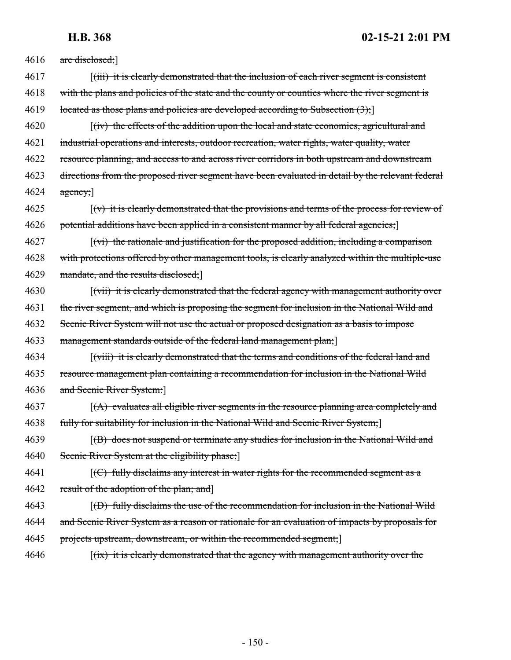| 4616 | are disclosed;                                                                                                       |
|------|----------------------------------------------------------------------------------------------------------------------|
| 4617 | $\left[\frac{1}{111}\right]$ it is clearly demonstrated that the inclusion of each river segment is consistent       |
| 4618 | with the plans and policies of the state and the county or counties where the river segment is                       |
| 4619 | located as those plans and policies are developed according to Subsection $(3)$ ;                                    |
| 4620 | $\left[\frac{div}{dv}\right]$ the effects of the addition upon the local and state economies, agricultural and       |
| 4621 | industrial operations and interests, outdoor recreation, water rights, water quality, water                          |
| 4622 | resource planning, and access to and across river corridors in both upstream and downstream                          |
| 4623 | directions from the proposed river segment have been evaluated in detail by the relevant federal                     |
| 4624 | $\frac{agency}{.}$                                                                                                   |
| 4625 | $\lceil (v)$ it is clearly demonstrated that the provisions and terms of the process for review of                   |
| 4626 | potential additions have been applied in a consistent manner by all federal agencies;                                |
| 4627 | [(vi) the rationale and justification for the proposed addition, including a comparison                              |
| 4628 | with protections offered by other management tools, is clearly analyzed within the multiple-use                      |
| 4629 | mandate, and the results disclosed;                                                                                  |
| 4630 | $\lceil$ (vii) it is clearly demonstrated that the federal agency with management authority over                     |
| 4631 | the river segment, and which is proposing the segment for inclusion in the National Wild and                         |
| 4632 | Scenic River System will not use the actual or proposed designation as a basis to impose                             |
| 4633 | management standards outside of the federal land management plan;                                                    |
| 4634 | (viii) it is clearly demonstrated that the terms and conditions of the federal land and                              |
| 4635 | resource management plan containing a recommendation for inclusion in the National Wild                              |
| 4636 | and Scenic River System:                                                                                             |
| 4637 | $(A)$ evaluates all eligible river segments in the resource planning area completely and                             |
| 4638 | fully for suitability for inclusion in the National Wild and Scenic River System;                                    |
| 4639 | [(B) does not suspend or terminate any studies for inclusion in the National Wild and                                |
| 4640 | Scenic River System at the eligibility phase;                                                                        |
| 4641 | $\left[\left(\frac{C}{C}\right)$ fully disclaims any interest in water rights for the recommended segment as a       |
| 4642 | result of the adoption of the plan; and]                                                                             |
| 4643 | $(4)$ fully disclaims the use of the recommendation for inclusion in the National Wild                               |
| 4644 | and Scenic River System as a reason or rationale for an evaluation of impacts by proposals for                       |
| 4645 | projects upstream, downstream, or within the recommended segment;                                                    |
| 4646 | $\left[\frac{f\{tx\}}{f\{tx\}}\right]$ it is clearly demonstrated that the agency with management authority over the |
|      |                                                                                                                      |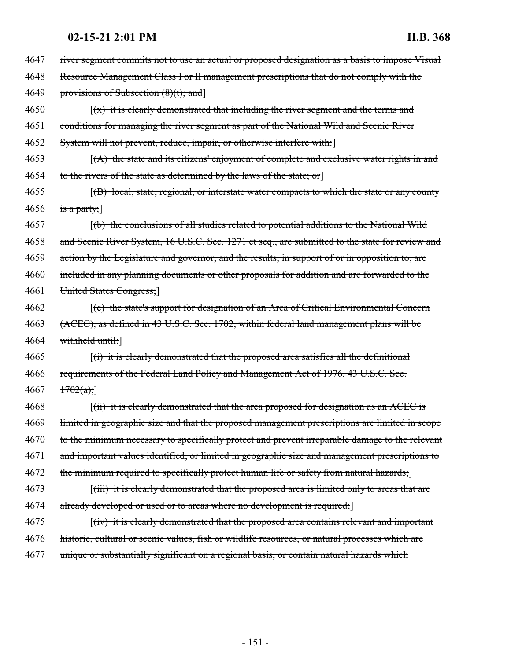| 4647 | river segment commits not to use an actual or proposed designation as a basis to impose Visual              |
|------|-------------------------------------------------------------------------------------------------------------|
| 4648 | Resource Management Class I or II management prescriptions that do not comply with the                      |
| 4649 | provisions of Subsection $(8)(t)$ ; and                                                                     |
| 4650 | $(x)$ it is clearly demonstrated that including the river segment and the terms and                         |
| 4651 | conditions for managing the river segment as part of the National Wild and Scenic River                     |
| 4652 | System will not prevent, reduce, impair, or otherwise interfere with:                                       |
| 4653 | $(A)$ the state and its citizens' enjoyment of complete and exclusive water rights in and                   |
| 4654 | to the rivers of the state as determined by the laws of the state; or                                       |
| 4655 | $f(B)$ local, state, regional, or interstate water compacts to which the state or any county                |
| 4656 | is a party;                                                                                                 |
| 4657 | (b) the conclusions of all studies related to potential additions to the National Wild                      |
| 4658 | and Scenic River System, 16 U.S.C. Sec. 1271 et seq., are submitted to the state for review and             |
| 4659 | action by the Legislature and governor, and the results, in support of or in opposition to, are             |
| 4660 | included in any planning documents or other proposals for addition and are forwarded to the                 |
| 4661 | United States Congress;                                                                                     |
| 4662 | $\mathcal{F}(\mathbf{c})$ the state's support for designation of an Area of Critical Environmental Concern  |
| 4663 | (ACEC), as defined in 43 U.S.C. Sec. 1702, within federal land management plans will be                     |
| 4664 | withheld until:                                                                                             |
| 4665 | $\left[\right(\mathbf{i})$ it is clearly demonstrated that the proposed area satisfies all the definitional |
| 4666 | requirements of the Federal Land Policy and Management Act of 1976, 43 U.S.C. Sec.                          |
| 4667 | 1702(a);                                                                                                    |
| 4668 | $f(ii)$ it is clearly demonstrated that the area proposed for designation as an ACEC is                     |
| 4669 | limited in geographic size and that the proposed management prescriptions are limited in scope              |
| 4670 | to the minimum necessary to specifically protect and prevent irreparable damage to the relevant             |
| 4671 | and important values identified, or limited in geographic size and management prescriptions to              |
| 4672 | the minimum required to specifically protect human life or safety from natural hazards;                     |
| 4673 | [(iii) it is clearly demonstrated that the proposed area is limited only to areas that are                  |
| 4674 | already developed or used or to areas where no development is required;                                     |
| 4675 | $f(iv)$ it is clearly demonstrated that the proposed area contains relevant and important                   |
| 4676 | historic, cultural or scenic values, fish or wildlife resources, or natural processes which are             |
| 4677 | unique or substantially significant on a regional basis, or contain natural hazards which                   |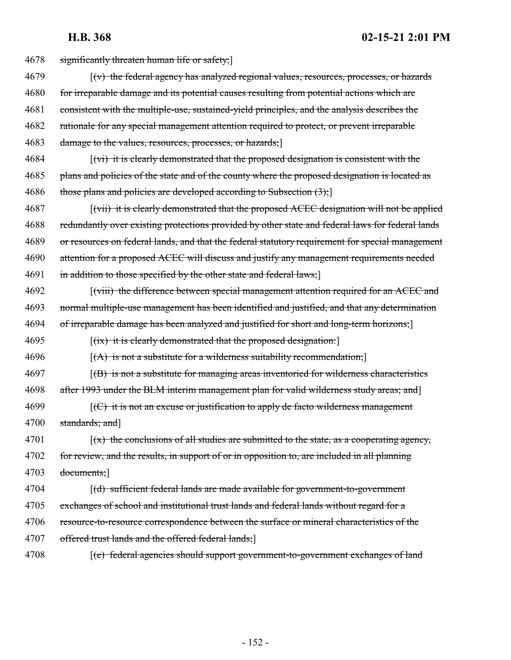| 4678 | significantly threaten human life or safety;]                                                                |
|------|--------------------------------------------------------------------------------------------------------------|
| 4679 | $\lceil(\mathbf{v})\rceil$ the federal agency has analyzed regional values, resources, processes, or hazards |
| 4680 | for irreparable damage and its potential causes resulting from potential actions which are                   |
| 4681 | consistent with the multiple-use, sustained-yield principles, and the analysis describes the                 |
| 4682 | rationale for any special management attention required to protect, or prevent irreparable                   |
| 4683 | damage to the values, resources, processes, or hazards;                                                      |
| 4684 | $\lceil (vi) \rceil$ it is clearly demonstrated that the proposed designation is consistent with the         |
| 4685 | plans and policies of the state and of the county where the proposed designation is located as               |
| 4686 | those plans and policies are developed according to Subsection $(3)$ ;                                       |
| 4687 | [(vii) it is clearly demonstrated that the proposed ACEC designation will not be applied                     |
| 4688 | redundantly over existing protections provided by other state and federal laws for federal lands             |
| 4689 | or resources on federal lands, and that the federal statutory requirement for special management             |
| 4690 | attention for a proposed ACEC will discuss and justify any management requirements needed                    |
| 4691 | in addition to those specified by the other state and federal laws;                                          |
| 4692 | $\lceil$ (viii) the difference between special management attention required for an ACEC and                 |
| 4693 | normal multiple-use management has been identified and justified, and that any determination                 |
| 4694 | of irreparable damage has been analyzed and justified for short and long-term horizons;                      |
| 4695 | $\left[\frac{itx}{itx}\right]$ it is clearly demonstrated that the proposed designation.                     |
| 4696 | $[(A)$ is not a substitute for a wilderness suitability recommendation;                                      |
| 4697 | $f(B)$ is not a substitute for managing areas inventoried for wilderness characteristics                     |
| 4698 | after 1993 under the BLM interim management plan for valid wilderness study areas; and                       |
| 4699 | [(C) it is not an excuse or justification to apply de facto wilderness management                            |
| 4700 | standards; and]                                                                                              |
| 4701 | $(x)$ the conclusions of all studies are submitted to the state, as a cooperating agency,                    |
| 4702 | for review, and the results, in support of or in opposition to, are included in all planning                 |
| 4703 | documents;                                                                                                   |
| 4704 | [(d) sufficient federal lands are made available for government-to-government                                |
| 4705 | exchanges of school and institutional trust lands and federal lands without regard for a                     |
| 4706 | resource-to-resource correspondence between the surface or mineral characteristics of the                    |
| 4707 | offered trust lands and the offered federal lands;                                                           |
| 4708 | [(e) federal agencies should support government-to-government exchanges of land                              |
|      |                                                                                                              |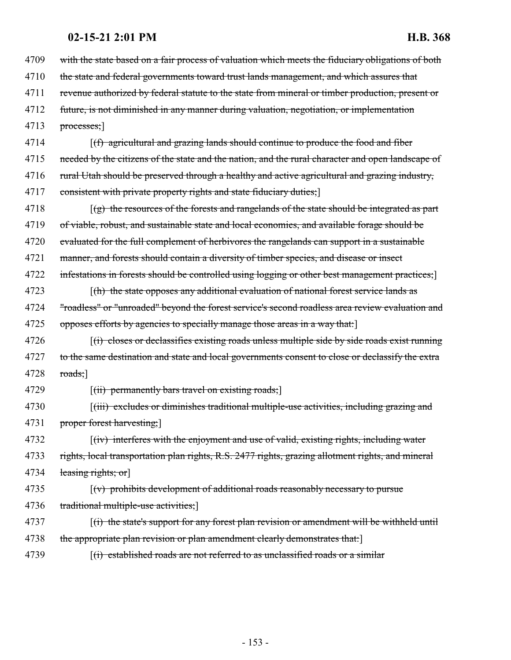| 4709 | with the state based on a fair process of valuation which meets the fiduciary obligations of both      |
|------|--------------------------------------------------------------------------------------------------------|
| 4710 | the state and federal governments toward trust lands management, and which assures that                |
| 4711 | revenue authorized by federal statute to the state from mineral or timber production, present or       |
| 4712 | future, is not diminished in any manner during valuation, negotiation, or implementation               |
| 4713 | processes;                                                                                             |
| 4714 | $(f)$ agricultural and grazing lands should continue to produce the food and fiber                     |
| 4715 | needed by the citizens of the state and the nation, and the rural character and open landscape of      |
| 4716 | rural Utah should be preserved through a healthy and active agricultural and grazing industry,         |
| 4717 | consistent with private property rights and state fiduciary duties;                                    |
| 4718 | $(g)$ the resources of the forests and rangelands of the state should be integrated as part            |
| 4719 | of viable, robust, and sustainable state and local economies, and available forage should be           |
| 4720 | evaluated for the full complement of herbivores the rangelands can support in a sustainable            |
| 4721 | manner, and forests should contain a diversity of timber species, and disease or insect                |
| 4722 | infestations in forests should be controlled using logging or other best management practices;         |
| 4723 | $f(h)$ the state opposes any additional evaluation of national forest service lands as                 |
| 4724 | "roadless" or "unroaded" beyond the forest service's second roadless area review evaluation and        |
| 4725 | opposes efforts by agencies to specially manage those areas in a way that.                             |
| 4726 | $f(t)$ closes or declassifies existing roads unless multiple side by side roads exist running          |
| 4727 | to the same destination and state and local governments consent to close or declassify the extra       |
| 4728 | $\text{roads;}$                                                                                        |
| 4729 | $[(ii)$ permanently bars travel on existing roads;                                                     |
| 4730 | [(iii) excludes or diminishes traditional multiple-use activities, including grazing and               |
| 4731 | proper forest harvesting;]                                                                             |
| 4732 | $f(iv)$ interferes with the enjoyment and use of valid, existing rights, including water               |
| 4733 | rights, local transportation plan rights, R.S. 2477 rights, grazing allotment rights, and mineral      |
| 4734 | leasing rights; or]                                                                                    |
| 4735 | $\left[\left(v\right)$ prohibits development of additional roads reasonably necessary to pursue        |
| 4736 | traditional multiple-use activities;                                                                   |
| 4737 | $\overline{f}(t)$ the state's support for any forest plan revision or amendment will be withheld until |
| 4738 | the appropriate plan revision or plan amendment clearly demonstrates that:                             |
| 4739 | [(i) established roads are not referred to as unclassified roads or a similar                          |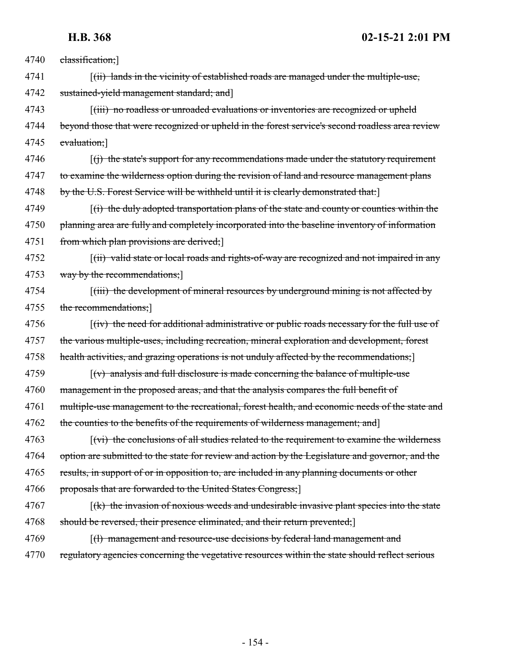| 4740 | classification;]                                                                                                   |
|------|--------------------------------------------------------------------------------------------------------------------|
| 4741 | [(ii) lands in the vicinity of established roads are managed under the multiple-use,                               |
| 4742 | sustained-yield management standard; and]                                                                          |
| 4743 | [(iii) no roadless or unroaded evaluations or inventories are recognized or upheld                                 |
| 4744 | beyond those that were recognized or upheld in the forest service's second roadless area review                    |
| 4745 | evaluation;                                                                                                        |
| 4746 | $(f)$ the state's support for any recommendations made under the statutory requirement                             |
| 4747 | to examine the wilderness option during the revision of land and resource management plans                         |
| 4748 | by the U.S. Forest Service will be withheld until it is clearly demonstrated that:                                 |
| 4749 | $\left[\right(\mathbf{r})$ the duly adopted transportation plans of the state and county or counties within the    |
| 4750 | planning area are fully and completely incorporated into the baseline inventory of information                     |
| 4751 | from which plan provisions are derived;                                                                            |
| 4752 | $f(ii)$ valid state or local roads and rights-of-way are recognized and not impaired in any                        |
| 4753 | way by the recommendations;                                                                                        |
| 4754 | $\left[\left(i\right)\right]$ the development of mineral resources by underground mining is not affected by        |
| 4755 | the recommendations;                                                                                               |
| 4756 | $f(iv)$ the need for additional administrative or public roads necessary for the full use of                       |
| 4757 | the various multiple-uses, including recreation, mineral exploration and development, forest                       |
| 4758 | health activities, and grazing operations is not unduly affected by the recommendations;                           |
| 4759 | $\lceil (v) \rceil$ analysis and full disclosure is made concerning the balance of multiple-use                    |
| 4760 | management in the proposed areas, and that the analysis compares the full benefit of                               |
| 4761 | multiple-use management to the recreational, forest health, and economic needs of the state and                    |
| 4762 | the counties to the benefits of the requirements of wilderness management; and]                                    |
| 4763 | $\left[\frac{v_i}{v_i}\right]$ the conclusions of all studies related to the requirement to examine the wilderness |
| 4764 | option are submitted to the state for review and action by the Legislature and governor, and the                   |
| 4765 | results, in support of or in opposition to, are included in any planning documents or other                        |
| 4766 | proposals that are forwarded to the United States Congress;                                                        |
| 4767 | $f(k)$ the invasion of noxious weeds and undesirable invasive plant species into the state                         |
| 4768 | should be reversed, their presence eliminated, and their return prevented;                                         |
| 4769 | [(1) management and resource-use decisions by federal land management and                                          |
| 4770 | regulatory agencies concerning the vegetative resources within the state should reflect serious                    |
|      |                                                                                                                    |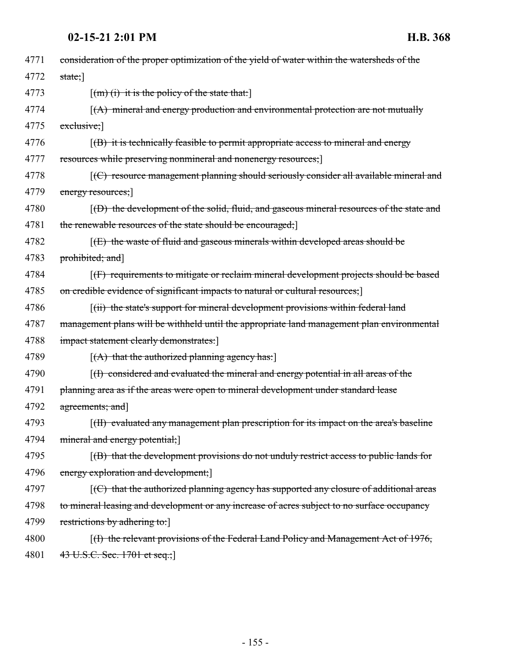| 4771 | consideration of the proper optimization of the yield of water within the watersheds of the                        |
|------|--------------------------------------------------------------------------------------------------------------------|
| 4772 | state;                                                                                                             |
| 4773 | $\left[\left(m\right)\left(i\right)\right]$ it is the policy of the state that:                                    |
| 4774 | $(A)$ mineral and energy production and environmental protection are not mutually                                  |
| 4775 | $ext{extusive}$                                                                                                    |
| 4776 | $f(B)$ it is technically feasible to permit appropriate access to mineral and energy                               |
| 4777 | resources while preserving nonmineral and nonenergy resources;]                                                    |
| 4778 | $\left[\left(\frac{C}{C}\right)$ resource management planning should seriously consider all available mineral and  |
| 4779 | energy resources;                                                                                                  |
| 4780 | $(6)$ the development of the solid, fluid, and gaseous mineral resources of the state and                          |
| 4781 | the renewable resources of the state should be encouraged;                                                         |
| 4782 | $[f(E)$ the waste of fluid and gaseous minerals within developed areas should be                                   |
| 4783 | prohibited; and]                                                                                                   |
| 4784 | [(F) requirements to mitigate or reclaim mineral development projects should be based                              |
| 4785 | on credible evidence of significant impacts to natural or cultural resources;                                      |
| 4786 | [(ii) the state's support for mineral development provisions within federal land                                   |
| 4787 | management plans will be withheld until the appropriate land management plan environmental                         |
| 4788 | impact statement clearly demonstrates:                                                                             |
| 4789 | [(A) that the authorized planning agency has:]                                                                     |
| 4790 | $(f)$ considered and evaluated the mineral and energy potential in all areas of the                                |
| 4791 | planning area as if the areas were open to mineral development under standard lease                                |
| 4792 | agreements; and                                                                                                    |
| 4793 | [(II) evaluated any management plan prescription for its impact on the area's baseline                             |
| 4794 | mineral and energy potential;                                                                                      |
| 4795 | $(6)$ that the development provisions do not unduly restrict access to public lands for                            |
| 4796 | energy exploration and development;                                                                                |
| 4797 | $\left[\left(\frac{C}{C}\right)$ that the authorized planning agency has supported any closure of additional areas |
| 4798 | to mineral leasing and development or any increase of acres subject to no surface occupancy                        |
| 4799 | restrictions by adhering to:                                                                                       |
| 4800 | $(f)$ the relevant provisions of the Federal Land Policy and Management Act of 1976,                               |
| 4801 | 43 U.S.C. Sec. 1701 et seq.;                                                                                       |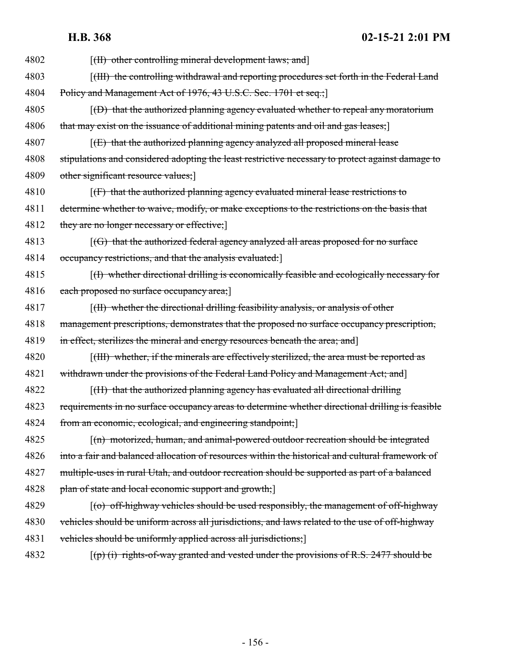| 4802 | $\left[\right(\text{H})\right]$ other controlling mineral development laws; and                               |
|------|---------------------------------------------------------------------------------------------------------------|
| 4803 | [(III) the controlling withdrawal and reporting procedures set forth in the Federal Land                      |
| 4804 | Policy and Management Act of 1976, 43 U.S.C. Sec. 1701 et seq.;                                               |
| 4805 | $(6)$ that the authorized planning agency evaluated whether to repeal any moratorium                          |
| 4806 | that may exist on the issuance of additional mining patents and oil and gas leases;]                          |
| 4807 | $[1]$ that the authorized planning agency analyzed all proposed mineral lease                                 |
| 4808 | stipulations and considered adopting the least restrictive necessary to protect against damage to             |
| 4809 | other significant resource values;                                                                            |
| 4810 | $[f]$ that the authorized planning agency evaluated mineral lease restrictions to                             |
| 4811 | determine whether to waive, modify, or make exceptions to the restrictions on the basis that                  |
| 4812 | they are no longer necessary or effective;                                                                    |
| 4813 | $[(G)$ that the authorized federal agency analyzed all areas proposed for no surface                          |
| 4814 | occupancy restrictions, and that the analysis evaluated:                                                      |
| 4815 | $(f)$ whether directional drilling is economically feasible and ecologically necessary for                    |
| 4816 | each proposed no surface occupancy area;                                                                      |
| 4817 | [(II) whether the directional drilling feasibility analysis, or analysis of other                             |
| 4818 | management prescriptions, demonstrates that the proposed no surface occupancy prescription,                   |
| 4819 | in effect, sterilizes the mineral and energy resources beneath the area; and]                                 |
| 4820 | [(HI) whether, if the minerals are effectively sterilized, the area must be reported as                       |
| 4821 | withdrawn under the provisions of the Federal Land Policy and Management Act; and                             |
| 4822 | $[f(H)$ that the authorized planning agency has evaluated all directional drilling                            |
| 4823 | requirements in no surface occupancy areas to determine whether directional drilling is feasible              |
| 4824 | from an economic, ecological, and engineering standpoint;                                                     |
| 4825 | $\lceil$ (n) motorized, human, and animal-powered outdoor recreation should be integrated                     |
| 4826 | into a fair and balanced allocation of resources within the historical and cultural framework of              |
| 4827 | multiple-uses in rural Utah, and outdoor recreation should be supported as part of a balanced                 |
| 4828 | plan of state and local economic support and growth;]                                                         |
| 4829 | $\left[\text{(\sigma)}\right]$ off-highway vehicles should be used responsibly, the management of off-highway |
| 4830 | vehicles should be uniform across all jurisdictions, and laws related to the use of off-highway               |
| 4831 | vehicles should be uniformly applied across all jurisdictions;                                                |
| 4832 | $\lceil$ (p) (i) rights-of-way granted and vested under the provisions of R.S. 2477 should be                 |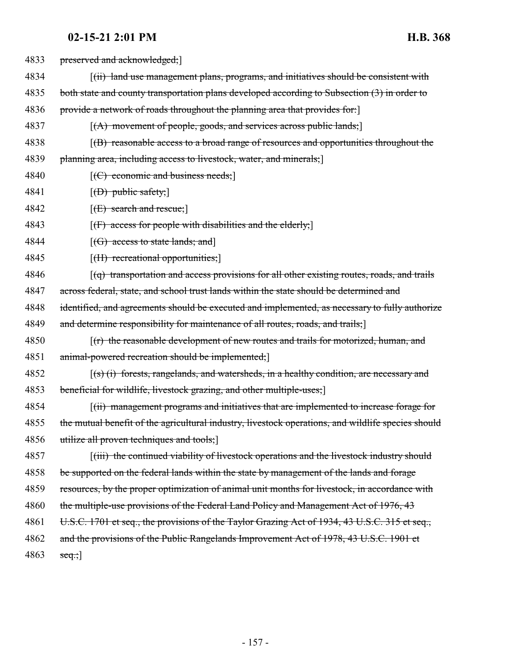| 4833 | preserved and acknowledged;                                                                        |
|------|----------------------------------------------------------------------------------------------------|
| 4834 | [(ii) land use management plans, programs, and initiatives should be consistent with               |
| 4835 | both state and county transportation plans developed according to Subsection (3) in order to       |
| 4836 | provide a network of roads throughout the planning area that provides for.                         |
| 4837 | $[(A)$ movement of people, goods, and services across public lands;                                |
| 4838 | [(B) reasonable access to a broad range of resources and opportunities throughout the              |
| 4839 | planning area, including access to livestock, water, and minerals;                                 |
| 4840 | $[ (C)$ economic and business needs;                                                               |
| 4841 | $[(D)$ public safety;                                                                              |
| 4842 | $[ (E)$ search and rescue;                                                                         |
| 4843 | $[f]$ access for people with disabilities and the elderly;                                         |
| 4844 | $[(G)$ access to state lands; and                                                                  |
| 4845 | $[f(H)$ recreational opportunities;                                                                |
| 4846 | $[(q)$ transportation and access provisions for all other existing routes, roads, and trails       |
| 4847 | across federal, state, and school trust lands within the state should be determined and            |
| 4848 | identified, and agreements should be executed and implemented, as necessary to fully authorize     |
| 4849 | and determine responsibility for maintenance of all routes, roads, and trails;                     |
| 4850 | $(r)$ the reasonable development of new routes and trails for motorized, human, and                |
| 4851 | animal-powered recreation should be implemented;                                                   |
| 4852 | $(s)$ (i) forests, rangelands, and watersheds, in a healthy condition, are necessary and           |
| 4853 | beneficial for wildlife, livestock grazing, and other multiple-uses;                               |
| 4854 | [(ii) management programs and initiatives that are implemented to increase forage for              |
| 4855 | the mutual benefit of the agricultural industry, livestock operations, and wildlife species should |
| 4856 | utilize all proven techniques and tools;                                                           |
| 4857 | [(iii) the continued viability of livestock operations and the livestock industry should           |
| 4858 | be supported on the federal lands within the state by management of the lands and forage           |
| 4859 | resources, by the proper optimization of animal unit months for livestock, in accordance with      |
| 4860 | the multiple-use provisions of the Federal Land Policy and Management Act of 1976, 43              |
| 4861 | U.S.C. 1701 et seq., the provisions of the Taylor Grazing Act of 1934, 43 U.S.C. 315 et seq.,      |
| 4862 | and the provisions of the Public Rangelands Improvement Act of 1978, 43 U.S.C. 1901 et             |
| 4863 | $seq$ ;                                                                                            |
|      |                                                                                                    |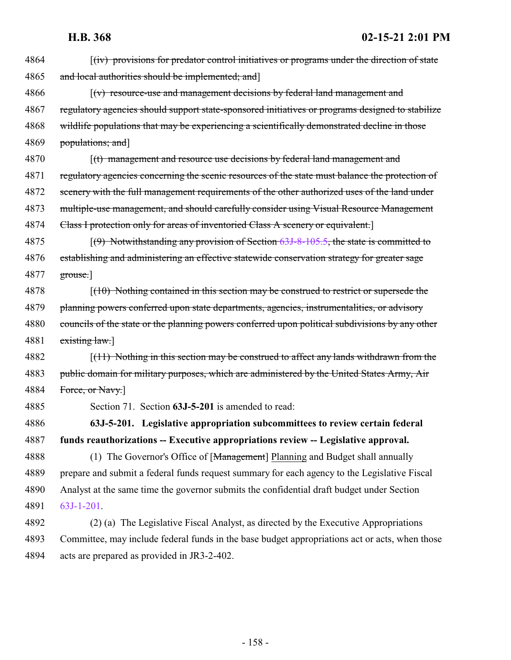| 4864 | [(iv) provisions for predator control initiatives or programs under the direction of state       |
|------|--------------------------------------------------------------------------------------------------|
| 4865 | and local authorities should be implemented; and                                                 |
| 4866 | [(v) resource-use and management decisions by federal land management and                        |
| 4867 | regulatory agencies should support state-sponsored initiatives or programs designed to stabilize |
| 4868 | wildlife populations that may be experiencing a scientifically demonstrated decline in those     |
| 4869 | populations; and]                                                                                |
| 4870 | [(t) management and resource use decisions by federal land management and                        |
| 4871 | regulatory agencies concerning the scenic resources of the state must balance the protection of  |
| 4872 | scenery with the full management requirements of the other authorized uses of the land under     |
| 4873 | multiple-use management, and should carefully consider using Visual Resource Management          |
| 4874 | Class I protection only for areas of inventoried Class A scenery or equivalent.                  |
| 4875 | $(9)$ Notwithstanding any provision of Section 63J-8-105.5, the state is committed to            |
| 4876 | establishing and administering an effective statewide conservation strategy for greater sage     |
| 4877 | grouse.]                                                                                         |
| 4878 | [(10) Nothing contained in this section may be construed to restrict or supersede the            |
| 4879 | planning powers conferred upon state departments, agencies, instrumentalities, or advisory       |
| 4880 | councils of the state or the planning powers conferred upon political subdivisions by any other  |
| 4881 | $\frac{extting law.}{extting}$                                                                   |
| 4882 | $(11)$ Nothing in this section may be construed to affect any lands withdrawn from the           |
| 4883 | public domain for military purposes, which are administered by the United States Army, Air       |
| 4884 | Force, or Navy.]                                                                                 |
| 4885 | Section 71. Section 63J-5-201 is amended to read:                                                |
| 4886 | 63J-5-201. Legislative appropriation subcommittees to review certain federal                     |
| 4887 | funds reauthorizations -- Executive appropriations review -- Legislative approval.               |
| 4888 | (1) The Governor's Office of [Management] Planning and Budget shall annually                     |
| 4889 | prepare and submit a federal funds request summary for each agency to the Legislative Fiscal     |
| 4890 | Analyst at the same time the governor submits the confidential draft budget under Section        |
| 4891 | $63J-1-201$ .                                                                                    |
| 4892 | (2) (a) The Legislative Fiscal Analyst, as directed by the Executive Appropriations              |
| 4893 | Committee, may include federal funds in the base budget appropriations act or acts, when those   |
| 4894 | acts are prepared as provided in JR3-2-402.                                                      |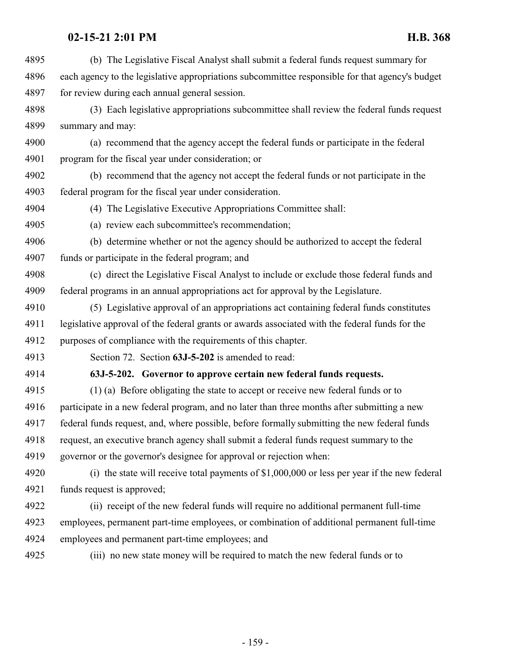| 4895 | (b) The Legislative Fiscal Analyst shall submit a federal funds request summary for             |
|------|-------------------------------------------------------------------------------------------------|
| 4896 | each agency to the legislative appropriations subcommittee responsible for that agency's budget |
| 4897 | for review during each annual general session.                                                  |
| 4898 | (3) Each legislative appropriations subcommittee shall review the federal funds request         |
| 4899 | summary and may:                                                                                |
| 4900 | (a) recommend that the agency accept the federal funds or participate in the federal            |
| 4901 | program for the fiscal year under consideration; or                                             |
| 4902 | (b) recommend that the agency not accept the federal funds or not participate in the            |
| 4903 | federal program for the fiscal year under consideration.                                        |
| 4904 | (4) The Legislative Executive Appropriations Committee shall:                                   |
| 4905 | (a) review each subcommittee's recommendation;                                                  |
| 4906 | (b) determine whether or not the agency should be authorized to accept the federal              |
| 4907 | funds or participate in the federal program; and                                                |
| 4908 | (c) direct the Legislative Fiscal Analyst to include or exclude those federal funds and         |
| 4909 | federal programs in an annual appropriations act for approval by the Legislature.               |
| 4910 | (5) Legislative approval of an appropriations act containing federal funds constitutes          |
| 4911 | legislative approval of the federal grants or awards associated with the federal funds for the  |
| 4912 | purposes of compliance with the requirements of this chapter.                                   |
| 4913 | Section 72. Section 63J-5-202 is amended to read:                                               |
| 4914 | 63J-5-202. Governor to approve certain new federal funds requests.                              |
| 4915 | (1) (a) Before obligating the state to accept or receive new federal funds or to                |
| 4916 | participate in a new federal program, and no later than three months after submitting a new     |
| 4917 | federal funds request, and, where possible, before formally submitting the new federal funds    |
| 4918 | request, an executive branch agency shall submit a federal funds request summary to the         |
| 4919 | governor or the governor's designee for approval or rejection when:                             |
| 4920 | (i) the state will receive total payments of $$1,000,000$ or less per year if the new federal   |
| 4921 | funds request is approved;                                                                      |
| 4922 | (ii) receipt of the new federal funds will require no additional permanent full-time            |
| 4923 | employees, permanent part-time employees, or combination of additional permanent full-time      |
| 4924 | employees and permanent part-time employees; and                                                |
| 4925 | (iii) no new state money will be required to match the new federal funds or to                  |
|      |                                                                                                 |

- 159 -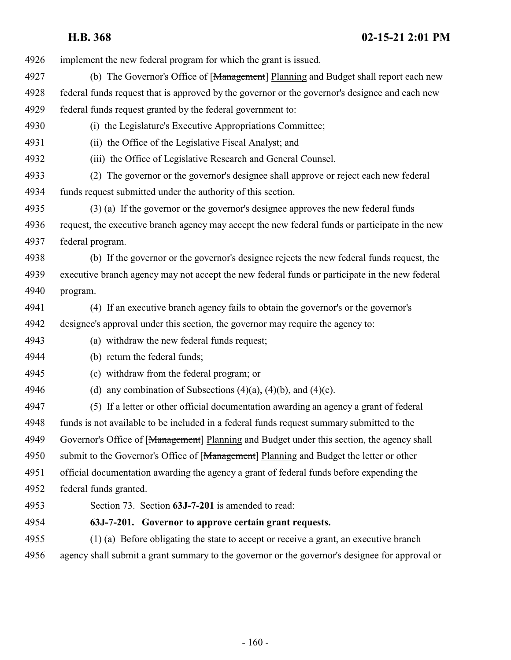| 4926 | implement the new federal program for which the grant is issued.                                |
|------|-------------------------------------------------------------------------------------------------|
| 4927 | (b) The Governor's Office of [Management] Planning and Budget shall report each new             |
| 4928 | federal funds request that is approved by the governor or the governor's designee and each new  |
| 4929 | federal funds request granted by the federal government to:                                     |
| 4930 | (i) the Legislature's Executive Appropriations Committee;                                       |
| 4931 | (ii) the Office of the Legislative Fiscal Analyst; and                                          |
| 4932 | (iii) the Office of Legislative Research and General Counsel.                                   |
| 4933 | (2) The governor or the governor's designee shall approve or reject each new federal            |
| 4934 | funds request submitted under the authority of this section.                                    |
| 4935 | (3) (a) If the governor or the governor's designee approves the new federal funds               |
| 4936 | request, the executive branch agency may accept the new federal funds or participate in the new |
| 4937 | federal program.                                                                                |
| 4938 | (b) If the governor or the governor's designee rejects the new federal funds request, the       |
| 4939 | executive branch agency may not accept the new federal funds or participate in the new federal  |
| 4940 | program.                                                                                        |
| 4941 | (4) If an executive branch agency fails to obtain the governor's or the governor's              |
| 4942 | designee's approval under this section, the governor may require the agency to:                 |
| 4943 | (a) withdraw the new federal funds request;                                                     |
| 4944 | (b) return the federal funds;                                                                   |
| 4945 | (c) withdraw from the federal program; or                                                       |
| 4946 | (d) any combination of Subsections $(4)(a)$ , $(4)(b)$ , and $(4)(c)$ .                         |
| 4947 | (5) If a letter or other official documentation awarding an agency a grant of federal           |
| 4948 | funds is not available to be included in a federal funds request summary submitted to the       |
| 4949 | Governor's Office of [Management] Planning and Budget under this section, the agency shall      |
| 4950 | submit to the Governor's Office of [Management] Planning and Budget the letter or other         |
| 4951 | official documentation awarding the agency a grant of federal funds before expending the        |
| 4952 | federal funds granted.                                                                          |
| 4953 | Section 73. Section 63J-7-201 is amended to read:                                               |
| 4954 | 63J-7-201. Governor to approve certain grant requests.                                          |
| 4955 | (1) (a) Before obligating the state to accept or receive a grant, an executive branch           |
| 4956 | agency shall submit a grant summary to the governor or the governor's designee for approval or  |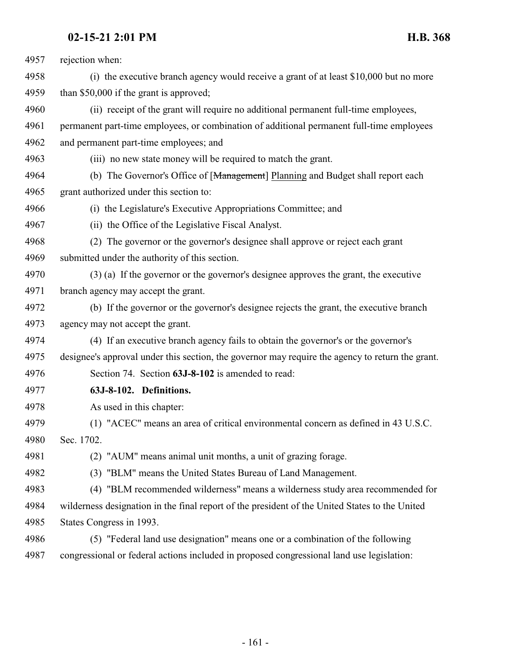| 4957 | rejection when:                                                                                  |
|------|--------------------------------------------------------------------------------------------------|
| 4958 | (i) the executive branch agency would receive a grant of at least \$10,000 but no more           |
| 4959 | than \$50,000 if the grant is approved;                                                          |
| 4960 | (ii) receipt of the grant will require no additional permanent full-time employees,              |
| 4961 | permanent part-time employees, or combination of additional permanent full-time employees        |
| 4962 | and permanent part-time employees; and                                                           |
| 4963 | (iii) no new state money will be required to match the grant.                                    |
| 4964 | (b) The Governor's Office of [Management] Planning and Budget shall report each                  |
| 4965 | grant authorized under this section to:                                                          |
| 4966 | (i) the Legislature's Executive Appropriations Committee; and                                    |
| 4967 | (ii) the Office of the Legislative Fiscal Analyst.                                               |
| 4968 | (2) The governor or the governor's designee shall approve or reject each grant                   |
| 4969 | submitted under the authority of this section.                                                   |
| 4970 | (3) (a) If the governor or the governor's designee approves the grant, the executive             |
| 4971 | branch agency may accept the grant.                                                              |
| 4972 | (b) If the governor or the governor's designee rejects the grant, the executive branch           |
| 4973 | agency may not accept the grant.                                                                 |
| 4974 | (4) If an executive branch agency fails to obtain the governor's or the governor's               |
| 4975 | designee's approval under this section, the governor may require the agency to return the grant. |
| 4976 | Section 74. Section 63J-8-102 is amended to read:                                                |
| 4977 | 63J-8-102. Definitions.                                                                          |
| 4978 | As used in this chapter:                                                                         |
| 4979 | (1) "ACEC" means an area of critical environmental concern as defined in 43 U.S.C.               |
| 4980 | Sec. 1702.                                                                                       |
| 4981 | (2) "AUM" means animal unit months, a unit of grazing forage.                                    |
| 4982 | (3) "BLM" means the United States Bureau of Land Management.                                     |
| 4983 | (4) "BLM recommended wilderness" means a wilderness study area recommended for                   |
| 4984 | wilderness designation in the final report of the president of the United States to the United   |
| 4985 | States Congress in 1993.                                                                         |
| 4986 | (5) "Federal land use designation" means one or a combination of the following                   |
| 4987 | congressional or federal actions included in proposed congressional land use legislation:        |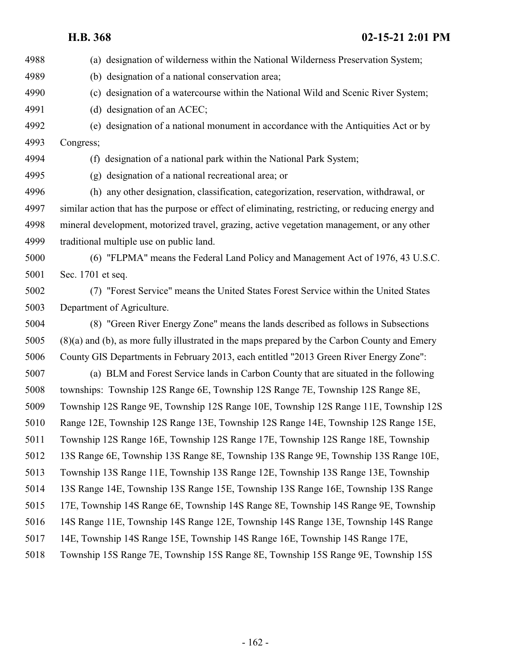| 4988 | (a) designation of wilderness within the National Wilderness Preservation System;                  |
|------|----------------------------------------------------------------------------------------------------|
| 4989 | (b) designation of a national conservation area;                                                   |
| 4990 | (c) designation of a watercourse within the National Wild and Scenic River System;                 |
| 4991 | designation of an ACEC;<br>(d)                                                                     |
| 4992 | (e) designation of a national monument in accordance with the Antiquities Act or by                |
| 4993 | Congress;                                                                                          |
| 4994 | (f) designation of a national park within the National Park System;                                |
| 4995 | designation of a national recreational area; or<br>(g)                                             |
| 4996 | (h) any other designation, classification, categorization, reservation, withdrawal, or             |
| 4997 | similar action that has the purpose or effect of eliminating, restricting, or reducing energy and  |
| 4998 | mineral development, motorized travel, grazing, active vegetation management, or any other         |
| 4999 | traditional multiple use on public land.                                                           |
| 5000 | (6) "FLPMA" means the Federal Land Policy and Management Act of 1976, 43 U.S.C.                    |
| 5001 | Sec. 1701 et seq.                                                                                  |
| 5002 | (7) "Forest Service" means the United States Forest Service within the United States               |
| 5003 | Department of Agriculture.                                                                         |
| 5004 | (8) "Green River Energy Zone" means the lands described as follows in Subsections                  |
| 5005 | $(8)(a)$ and $(b)$ , as more fully illustrated in the maps prepared by the Carbon County and Emery |
| 5006 | County GIS Departments in February 2013, each entitled "2013 Green River Energy Zone":             |
| 5007 | (a) BLM and Forest Service lands in Carbon County that are situated in the following               |
| 5008 | townships: Township 12S Range 6E, Township 12S Range 7E, Township 12S Range 8E,                    |
| 5009 | Township 12S Range 9E, Township 12S Range 10E, Township 12S Range 11E, Township 12S                |
| 5010 | Range 12E, Township 12S Range 13E, Township 12S Range 14E, Township 12S Range 15E.                 |
| 5011 | Township 12S Range 16E, Township 12S Range 17E, Township 12S Range 18E, Township                   |
| 5012 | 13S Range 6E, Township 13S Range 8E, Township 13S Range 9E, Township 13S Range 10E,                |
| 5013 | Township 13S Range 11E, Township 13S Range 12E, Township 13S Range 13E, Township                   |
| 5014 | 13S Range 14E, Township 13S Range 15E, Township 13S Range 16E, Township 13S Range                  |
| 5015 | 17E, Township 14S Range 6E, Township 14S Range 8E, Township 14S Range 9E, Township                 |
| 5016 | 14S Range 11E, Township 14S Range 12E, Township 14S Range 13E, Township 14S Range                  |
| 5017 | 14E, Township 14S Range 15E, Township 14S Range 16E, Township 14S Range 17E,                       |
| 5018 | Township 15S Range 7E, Township 15S Range 8E, Township 15S Range 9E, Township 15S                  |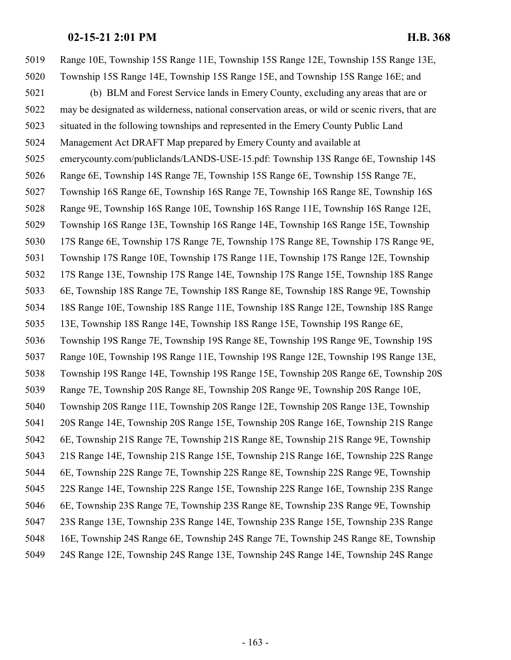Range 10E, Township 15S Range 11E, Township 15S Range 12E, Township 15S Range 13E, Township 15S Range 14E, Township 15S Range 15E, and Township 15S Range 16E; and (b) BLM and Forest Service lands in Emery County, excluding any areas that are or may be designated as wilderness, national conservation areas, or wild or scenic rivers, that are situated in the following townships and represented in the Emery County Public Land Management Act DRAFT Map prepared by Emery County and available at emerycounty.com/publiclands/LANDS-USE-15.pdf: Township 13S Range 6E, Township 14S Range 6E, Township 14S Range 7E, Township 15S Range 6E, Township 15S Range 7E, Township 16S Range 6E, Township 16S Range 7E, Township 16S Range 8E, Township 16S Range 9E, Township 16S Range 10E, Township 16S Range 11E, Township 16S Range 12E, Township 16S Range 13E, Township 16S Range 14E, Township 16S Range 15E, Township 17S Range 6E, Township 17S Range 7E, Township 17S Range 8E, Township 17S Range 9E, Township 17S Range 10E, Township 17S Range 11E, Township 17S Range 12E, Township 17S Range 13E, Township 17S Range 14E, Township 17S Range 15E, Township 18S Range 6E, Township 18S Range 7E, Township 18S Range 8E, Township 18S Range 9E, Township 18S Range 10E, Township 18S Range 11E, Township 18S Range 12E, Township 18S Range 13E, Township 18S Range 14E, Township 18S Range 15E, Township 19S Range 6E, Township 19S Range 7E, Township 19S Range 8E, Township 19S Range 9E, Township 19S Range 10E, Township 19S Range 11E, Township 19S Range 12E, Township 19S Range 13E, Township 19S Range 14E, Township 19S Range 15E, Township 20S Range 6E, Township 20S Range 7E, Township 20S Range 8E, Township 20S Range 9E, Township 20S Range 10E, Township 20S Range 11E, Township 20S Range 12E, Township 20S Range 13E, Township 20S Range 14E, Township 20S Range 15E, Township 20S Range 16E, Township 21S Range 6E, Township 21S Range 7E, Township 21S Range 8E, Township 21S Range 9E, Township 21S Range 14E, Township 21S Range 15E, Township 21S Range 16E, Township 22S Range 6E, Township 22S Range 7E, Township 22S Range 8E, Township 22S Range 9E, Township 22S Range 14E, Township 22S Range 15E, Township 22S Range 16E, Township 23S Range 6E, Township 23S Range 7E, Township 23S Range 8E, Township 23S Range 9E, Township 23S Range 13E, Township 23S Range 14E, Township 23S Range 15E, Township 23S Range 16E, Township 24S Range 6E, Township 24S Range 7E, Township 24S Range 8E, Township 24S Range 12E, Township 24S Range 13E, Township 24S Range 14E, Township 24S Range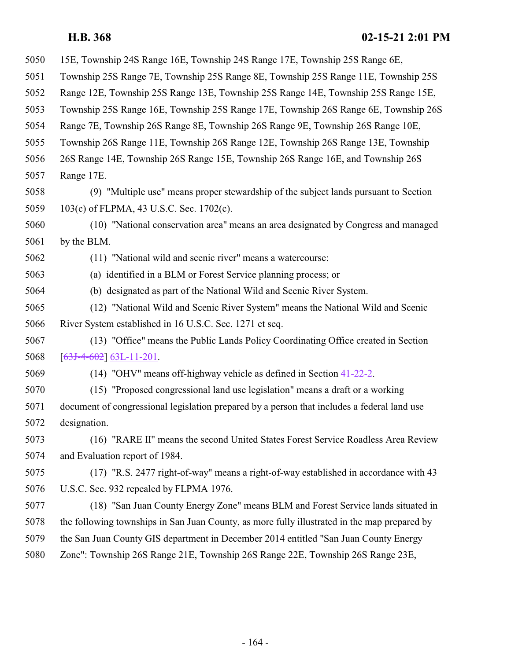| 5050 | 15E, Township 24S Range 16E, Township 24S Range 17E, Township 25S Range 6E,                  |
|------|----------------------------------------------------------------------------------------------|
| 5051 | Township 25S Range 7E, Township 25S Range 8E, Township 25S Range 11E, Township 25S           |
| 5052 | Range 12E, Township 25S Range 13E, Township 25S Range 14E, Township 25S Range 15E,           |
| 5053 | Township 25S Range 16E, Township 25S Range 17E, Township 26S Range 6E, Township 26S          |
| 5054 | Range 7E, Township 26S Range 8E, Township 26S Range 9E, Township 26S Range 10E,              |
| 5055 | Township 26S Range 11E, Township 26S Range 12E, Township 26S Range 13E, Township             |
| 5056 | 26S Range 14E, Township 26S Range 15E, Township 26S Range 16E, and Township 26S              |
| 5057 | Range 17E.                                                                                   |
| 5058 | (9) "Multiple use" means proper stewardship of the subject lands pursuant to Section         |
| 5059 | 103(c) of FLPMA, 43 U.S.C. Sec. 1702(c).                                                     |
| 5060 | (10) "National conservation area" means an area designated by Congress and managed           |
| 5061 | by the BLM.                                                                                  |
| 5062 | (11) "National wild and scenic river" means a watercourse:                                   |
| 5063 | (a) identified in a BLM or Forest Service planning process; or                               |
| 5064 | (b) designated as part of the National Wild and Scenic River System.                         |
| 5065 | (12) "National Wild and Scenic River System" means the National Wild and Scenic              |
| 5066 | River System established in 16 U.S.C. Sec. 1271 et seq.                                      |
| 5067 | (13) "Office" means the Public Lands Policy Coordinating Office created in Section           |
| 5068 | $[63J-4-602]$ 63L-11-201.                                                                    |
| 5069 | $(14)$ "OHV" means off-highway vehicle as defined in Section 41-22-2.                        |
| 5070 | (15) "Proposed congressional land use legislation" means a draft or a working                |
| 5071 | document of congressional legislation prepared by a person that includes a federal land use  |
| 5072 | designation.                                                                                 |
| 5073 | (16) "RARE II" means the second United States Forest Service Roadless Area Review            |
| 5074 | and Evaluation report of 1984.                                                               |
| 5075 | (17) "R.S. 2477 right-of-way" means a right-of-way established in accordance with 43         |
| 5076 | U.S.C. Sec. 932 repealed by FLPMA 1976.                                                      |
| 5077 | (18) "San Juan County Energy Zone" means BLM and Forest Service lands situated in            |
| 5078 | the following townships in San Juan County, as more fully illustrated in the map prepared by |
| 5079 | the San Juan County GIS department in December 2014 entitled "San Juan County Energy         |
| 5080 | Zone": Township 26S Range 21E, Township 26S Range 22E, Township 26S Range 23E,               |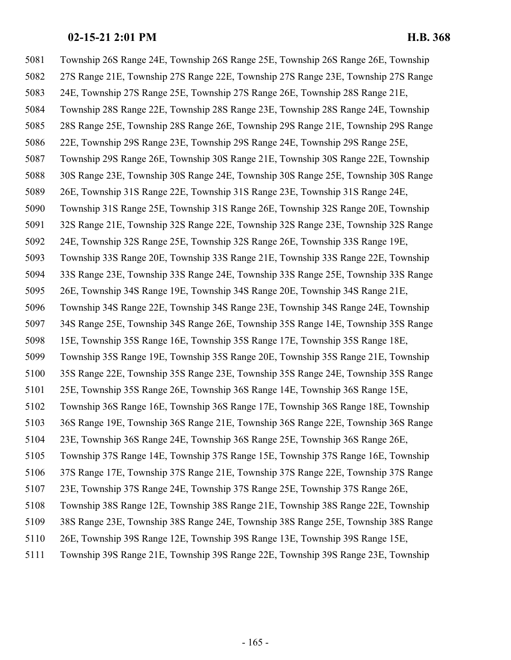Township 26S Range 24E, Township 26S Range 25E, Township 26S Range 26E, Township 27S Range 21E, Township 27S Range 22E, Township 27S Range 23E, Township 27S Range 24E, Township 27S Range 25E, Township 27S Range 26E, Township 28S Range 21E, Township 28S Range 22E, Township 28S Range 23E, Township 28S Range 24E, Township 28S Range 25E, Township 28S Range 26E, Township 29S Range 21E, Township 29S Range 22E, Township 29S Range 23E, Township 29S Range 24E, Township 29S Range 25E, Township 29S Range 26E, Township 30S Range 21E, Township 30S Range 22E, Township 30S Range 23E, Township 30S Range 24E, Township 30S Range 25E, Township 30S Range 26E, Township 31S Range 22E, Township 31S Range 23E, Township 31S Range 24E, Township 31S Range 25E, Township 31S Range 26E, Township 32S Range 20E, Township 32S Range 21E, Township 32S Range 22E, Township 32S Range 23E, Township 32S Range 24E, Township 32S Range 25E, Township 32S Range 26E, Township 33S Range 19E, Township 33S Range 20E, Township 33S Range 21E, Township 33S Range 22E, Township 33S Range 23E, Township 33S Range 24E, Township 33S Range 25E, Township 33S Range 26E, Township 34S Range 19E, Township 34S Range 20E, Township 34S Range 21E, Township 34S Range 22E, Township 34S Range 23E, Township 34S Range 24E, Township 34S Range 25E, Township 34S Range 26E, Township 35S Range 14E, Township 35S Range 15E, Township 35S Range 16E, Township 35S Range 17E, Township 35S Range 18E, Township 35S Range 19E, Township 35S Range 20E, Township 35S Range 21E, Township 35S Range 22E, Township 35S Range 23E, Township 35S Range 24E, Township 35S Range 25E, Township 35S Range 26E, Township 36S Range 14E, Township 36S Range 15E, Township 36S Range 16E, Township 36S Range 17E, Township 36S Range 18E, Township 36S Range 19E, Township 36S Range 21E, Township 36S Range 22E, Township 36S Range 23E, Township 36S Range 24E, Township 36S Range 25E, Township 36S Range 26E, Township 37S Range 14E, Township 37S Range 15E, Township 37S Range 16E, Township 37S Range 17E, Township 37S Range 21E, Township 37S Range 22E, Township 37S Range 23E, Township 37S Range 24E, Township 37S Range 25E, Township 37S Range 26E, Township 38S Range 12E, Township 38S Range 21E, Township 38S Range 22E, Township 38S Range 23E, Township 38S Range 24E, Township 38S Range 25E, Township 38S Range 26E, Township 39S Range 12E, Township 39S Range 13E, Township 39S Range 15E, Township 39S Range 21E, Township 39S Range 22E, Township 39S Range 23E, Township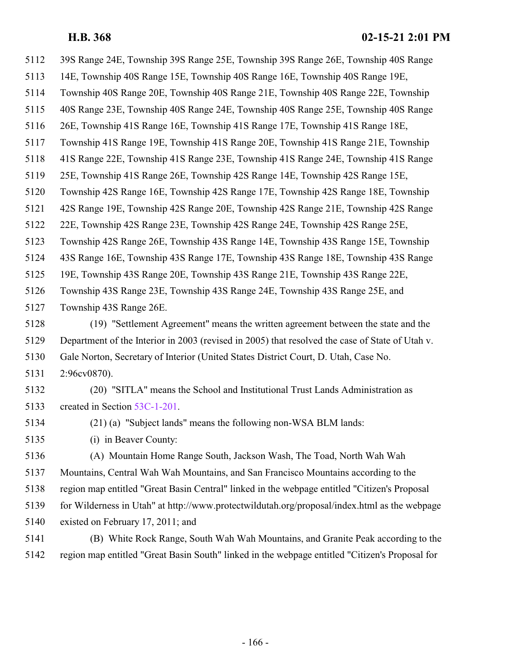| 5112 | 39S Range 24E, Township 39S Range 25E, Township 39S Range 26E, Township 40S Range               |
|------|-------------------------------------------------------------------------------------------------|
| 5113 | 14E, Township 40S Range 15E, Township 40S Range 16E, Township 40S Range 19E,                    |
| 5114 | Township 40S Range 20E, Township 40S Range 21E, Township 40S Range 22E, Township                |
| 5115 | 40S Range 23E, Township 40S Range 24E, Township 40S Range 25E, Township 40S Range               |
| 5116 | 26E, Township 41S Range 16E, Township 41S Range 17E, Township 41S Range 18E,                    |
| 5117 | Township 41S Range 19E, Township 41S Range 20E, Township 41S Range 21E, Township                |
| 5118 | 41S Range 22E, Township 41S Range 23E, Township 41S Range 24E, Township 41S Range               |
| 5119 | 25E, Township 41S Range 26E, Township 42S Range 14E, Township 42S Range 15E,                    |
| 5120 | Township 42S Range 16E, Township 42S Range 17E, Township 42S Range 18E, Township                |
| 5121 | 42S Range 19E, Township 42S Range 20E, Township 42S Range 21E, Township 42S Range               |
| 5122 | 22E, Township 42S Range 23E, Township 42S Range 24E, Township 42S Range 25E,                    |
| 5123 | Township 42S Range 26E, Township 43S Range 14E, Township 43S Range 15E, Township                |
| 5124 | 43S Range 16E, Township 43S Range 17E, Township 43S Range 18E, Township 43S Range               |
| 5125 | 19E, Township 43S Range 20E, Township 43S Range 21E, Township 43S Range 22E,                    |
| 5126 | Township 43S Range 23E, Township 43S Range 24E, Township 43S Range 25E, and                     |
| 5127 | Township 43S Range 26E.                                                                         |
| 5128 | (19) "Settlement Agreement" means the written agreement between the state and the               |
| 5129 | Department of the Interior in 2003 (revised in 2005) that resolved the case of State of Utah v. |
| 5130 | Gale Norton, Secretary of Interior (United States District Court, D. Utah, Case No.             |
| 5131 | 2:96cv0870).                                                                                    |
| 5132 | (20) "SITLA" means the School and Institutional Trust Lands Administration as                   |
| 5133 | created in Section 53C-1-201.                                                                   |
| 5134 | (21) (a) "Subject lands" means the following non-WSA BLM lands:                                 |
| 5135 | (i) in Beaver County:                                                                           |
| 5136 | (A) Mountain Home Range South, Jackson Wash, The Toad, North Wah Wah                            |
| 5137 | Mountains, Central Wah Wah Mountains, and San Francisco Mountains according to the              |
| 5138 | region map entitled "Great Basin Central" linked in the webpage entitled "Citizen's Proposal    |
| 5139 | for Wilderness in Utah" at http://www.protectwildutah.org/proposal/index.html as the webpage    |
| 5140 | existed on February 17, 2011; and                                                               |
| 5141 | (B) White Rock Range, South Wah Wah Mountains, and Granite Peak according to the                |
| 5142 | region map entitled "Great Basin South" linked in the webpage entitled "Citizen's Proposal for  |
|      |                                                                                                 |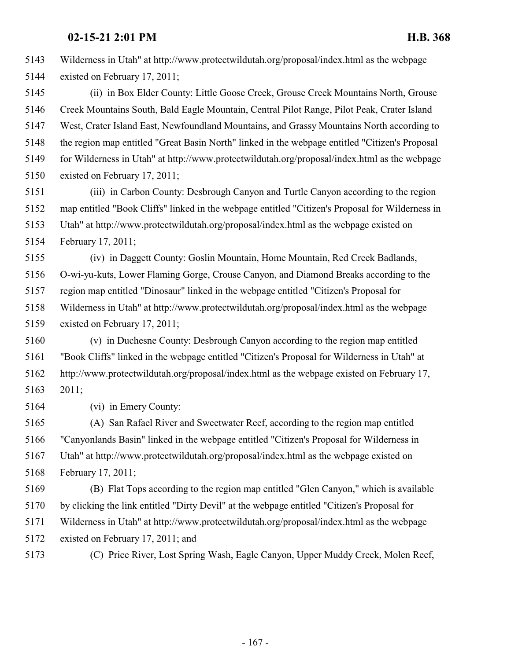Wilderness in Utah" at http://www.protectwildutah.org/proposal/index.html as the webpage existed on February 17, 2011;

 (ii) in Box Elder County: Little Goose Creek, Grouse Creek Mountains North, Grouse Creek Mountains South, Bald Eagle Mountain, Central Pilot Range, Pilot Peak, Crater Island West, Crater Island East, Newfoundland Mountains, and Grassy Mountains North according to the region map entitled "Great Basin North" linked in the webpage entitled "Citizen's Proposal for Wilderness in Utah" at http://www.protectwildutah.org/proposal/index.html as the webpage existed on February 17, 2011;

 (iii) in Carbon County: Desbrough Canyon and Turtle Canyon according to the region map entitled "Book Cliffs" linked in the webpage entitled "Citizen's Proposal for Wilderness in Utah" at http://www.protectwildutah.org/proposal/index.html as the webpage existed on February 17, 2011;

 (iv) in Daggett County: Goslin Mountain, Home Mountain, Red Creek Badlands, O-wi-yu-kuts, Lower Flaming Gorge, Crouse Canyon, and Diamond Breaks according to the region map entitled "Dinosaur" linked in the webpage entitled "Citizen's Proposal for Wilderness in Utah" at http://www.protectwildutah.org/proposal/index.html as the webpage existed on February 17, 2011;

 (v) in Duchesne County: Desbrough Canyon according to the region map entitled "Book Cliffs" linked in the webpage entitled "Citizen's Proposal for Wilderness in Utah" at http://www.protectwildutah.org/proposal/index.html as the webpage existed on February 17, 2011;

(vi) in Emery County:

 (A) San Rafael River and Sweetwater Reef, according to the region map entitled "Canyonlands Basin" linked in the webpage entitled "Citizen's Proposal for Wilderness in Utah" at http://www.protectwildutah.org/proposal/index.html as the webpage existed on February 17, 2011;

 (B) Flat Tops according to the region map entitled "Glen Canyon," which is available by clicking the link entitled "Dirty Devil" at the webpage entitled "Citizen's Proposal for Wilderness in Utah" at http://www.protectwildutah.org/proposal/index.html as the webpage existed on February 17, 2011; and

(C) Price River, Lost Spring Wash, Eagle Canyon, Upper Muddy Creek, Molen Reef,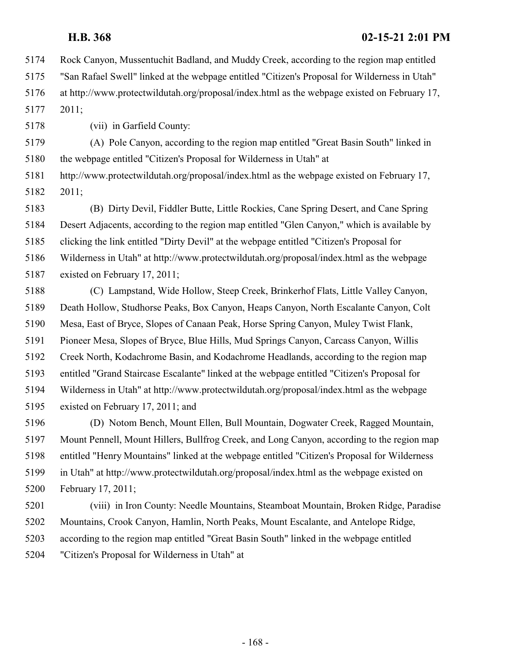Rock Canyon, Mussentuchit Badland, and Muddy Creek, according to the region map entitled "San Rafael Swell" linked at the webpage entitled "Citizen's Proposal for Wilderness in Utah" at http://www.protectwildutah.org/proposal/index.html as the webpage existed on February 17, 2011;

(vii) in Garfield County:

 (A) Pole Canyon, according to the region map entitled "Great Basin South" linked in the webpage entitled "Citizen's Proposal for Wilderness in Utah" at

 http://www.protectwildutah.org/proposal/index.html as the webpage existed on February 17, 2011;

 (B) Dirty Devil, Fiddler Butte, Little Rockies, Cane Spring Desert, and Cane Spring Desert Adjacents, according to the region map entitled "Glen Canyon," which is available by clicking the link entitled "Dirty Devil" at the webpage entitled "Citizen's Proposal for Wilderness in Utah" at http://www.protectwildutah.org/proposal/index.html as the webpage existed on February 17, 2011;

 (C) Lampstand, Wide Hollow, Steep Creek, Brinkerhof Flats, Little Valley Canyon, Death Hollow, Studhorse Peaks, Box Canyon, Heaps Canyon, North Escalante Canyon, Colt Mesa, East of Bryce, Slopes of Canaan Peak, Horse Spring Canyon, Muley Twist Flank, Pioneer Mesa, Slopes of Bryce, Blue Hills, Mud Springs Canyon, Carcass Canyon, Willis Creek North, Kodachrome Basin, and Kodachrome Headlands, according to the region map entitled "Grand Staircase Escalante" linked at the webpage entitled "Citizen's Proposal for Wilderness in Utah" at http://www.protectwildutah.org/proposal/index.html as the webpage existed on February 17, 2011; and

 (D) Notom Bench, Mount Ellen, Bull Mountain, Dogwater Creek, Ragged Mountain, Mount Pennell, Mount Hillers, Bullfrog Creek, and Long Canyon, according to the region map entitled "Henry Mountains" linked at the webpage entitled "Citizen's Proposal for Wilderness in Utah" at http://www.protectwildutah.org/proposal/index.html as the webpage existed on February 17, 2011;

 (viii) in Iron County: Needle Mountains, Steamboat Mountain, Broken Ridge, Paradise Mountains, Crook Canyon, Hamlin, North Peaks, Mount Escalante, and Antelope Ridge, according to the region map entitled "Great Basin South" linked in the webpage entitled "Citizen's Proposal for Wilderness in Utah" at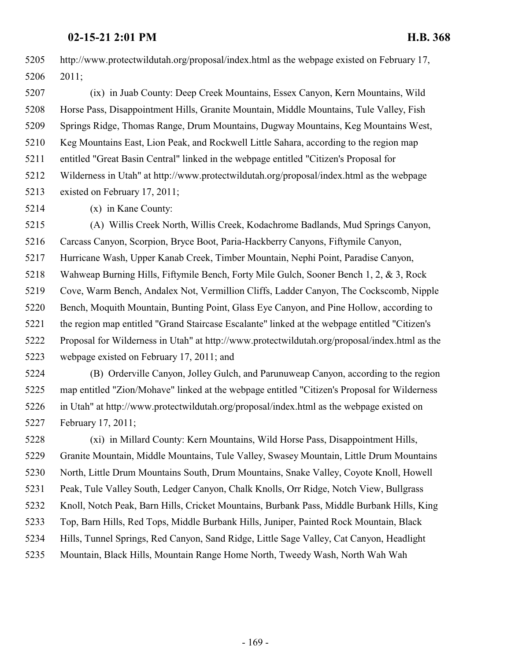http://www.protectwildutah.org/proposal/index.html as the webpage existed on February 17, 2011;

 (ix) in Juab County: Deep Creek Mountains, Essex Canyon, Kern Mountains, Wild Horse Pass, Disappointment Hills, Granite Mountain, Middle Mountains, Tule Valley, Fish Springs Ridge, Thomas Range, Drum Mountains, Dugway Mountains, Keg Mountains West, Keg Mountains East, Lion Peak, and Rockwell Little Sahara, according to the region map entitled "Great Basin Central" linked in the webpage entitled "Citizen's Proposal for Wilderness in Utah" at http://www.protectwildutah.org/proposal/index.html as the webpage existed on February 17, 2011;

(x) in Kane County:

 (A) Willis Creek North, Willis Creek, Kodachrome Badlands, Mud Springs Canyon, Carcass Canyon, Scorpion, Bryce Boot, Paria-Hackberry Canyons, Fiftymile Canyon, Hurricane Wash, Upper Kanab Creek, Timber Mountain, Nephi Point, Paradise Canyon, Wahweap Burning Hills, Fiftymile Bench, Forty Mile Gulch, Sooner Bench 1, 2, & 3, Rock Cove, Warm Bench, Andalex Not, Vermillion Cliffs, Ladder Canyon, The Cockscomb, Nipple Bench, Moquith Mountain, Bunting Point, Glass Eye Canyon, and Pine Hollow, according to the region map entitled "Grand Staircase Escalante" linked at the webpage entitled "Citizen's Proposal for Wilderness in Utah" at http://www.protectwildutah.org/proposal/index.html as the webpage existed on February 17, 2011; and

 (B) Orderville Canyon, Jolley Gulch, and Parunuweap Canyon, according to the region map entitled "Zion/Mohave" linked at the webpage entitled "Citizen's Proposal for Wilderness in Utah" at http://www.protectwildutah.org/proposal/index.html as the webpage existed on February 17, 2011;

 (xi) in Millard County: Kern Mountains, Wild Horse Pass, Disappointment Hills, Granite Mountain, Middle Mountains, Tule Valley, Swasey Mountain, Little Drum Mountains North, Little Drum Mountains South, Drum Mountains, Snake Valley, Coyote Knoll, Howell Peak, Tule Valley South, Ledger Canyon, Chalk Knolls, Orr Ridge, Notch View, Bullgrass Knoll, Notch Peak, Barn Hills, Cricket Mountains, Burbank Pass, Middle Burbank Hills, King Top, Barn Hills, Red Tops, Middle Burbank Hills, Juniper, Painted Rock Mountain, Black Hills, Tunnel Springs, Red Canyon, Sand Ridge, Little Sage Valley, Cat Canyon, Headlight Mountain, Black Hills, Mountain Range Home North, Tweedy Wash, North Wah Wah

- 169 -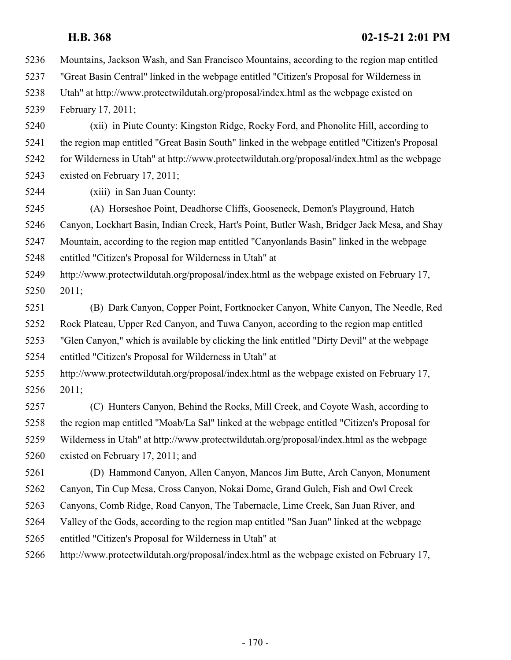Mountains, Jackson Wash, and San Francisco Mountains, according to the region map entitled "Great Basin Central" linked in the webpage entitled "Citizen's Proposal for Wilderness in Utah" at http://www.protectwildutah.org/proposal/index.html as the webpage existed on February 17, 2011; (xii) in Piute County: Kingston Ridge, Rocky Ford, and Phonolite Hill, according to the region map entitled "Great Basin South" linked in the webpage entitled "Citizen's Proposal for Wilderness in Utah" at http://www.protectwildutah.org/proposal/index.html as the webpage existed on February 17, 2011; (xiii) in San Juan County: (A) Horseshoe Point, Deadhorse Cliffs, Gooseneck, Demon's Playground, Hatch Canyon, Lockhart Basin, Indian Creek, Hart's Point, Butler Wash, Bridger Jack Mesa, and Shay Mountain, according to the region map entitled "Canyonlands Basin" linked in the webpage entitled "Citizen's Proposal for Wilderness in Utah" at http://www.protectwildutah.org/proposal/index.html as the webpage existed on February 17, 2011; (B) Dark Canyon, Copper Point, Fortknocker Canyon, White Canyon, The Needle, Red Rock Plateau, Upper Red Canyon, and Tuwa Canyon, according to the region map entitled "Glen Canyon," which is available by clicking the link entitled "Dirty Devil" at the webpage entitled "Citizen's Proposal for Wilderness in Utah" at http://www.protectwildutah.org/proposal/index.html as the webpage existed on February 17, 2011; (C) Hunters Canyon, Behind the Rocks, Mill Creek, and Coyote Wash, according to the region map entitled "Moab/La Sal" linked at the webpage entitled "Citizen's Proposal for Wilderness in Utah" at http://www.protectwildutah.org/proposal/index.html as the webpage existed on February 17, 2011; and (D) Hammond Canyon, Allen Canyon, Mancos Jim Butte, Arch Canyon, Monument Canyon, Tin Cup Mesa, Cross Canyon, Nokai Dome, Grand Gulch, Fish and Owl Creek Canyons, Comb Ridge, Road Canyon, The Tabernacle, Lime Creek, San Juan River, and Valley of the Gods, according to the region map entitled "San Juan" linked at the webpage entitled "Citizen's Proposal for Wilderness in Utah" at http://www.protectwildutah.org/proposal/index.html as the webpage existed on February 17,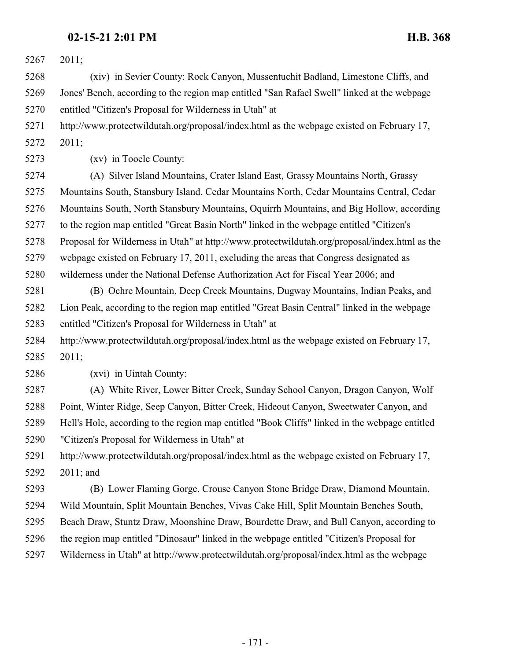2011;

 (xiv) in Sevier County: Rock Canyon, Mussentuchit Badland, Limestone Cliffs, and Jones' Bench, according to the region map entitled "San Rafael Swell" linked at the webpage entitled "Citizen's Proposal for Wilderness in Utah" at

 http://www.protectwildutah.org/proposal/index.html as the webpage existed on February 17, 2011;

(xv) in Tooele County:

 (A) Silver Island Mountains, Crater Island East, Grassy Mountains North, Grassy Mountains South, Stansbury Island, Cedar Mountains North, Cedar Mountains Central, Cedar Mountains South, North Stansbury Mountains, Oquirrh Mountains, and Big Hollow, according to the region map entitled "Great Basin North" linked in the webpage entitled "Citizen's Proposal for Wilderness in Utah" at http://www.protectwildutah.org/proposal/index.html as the webpage existed on February 17, 2011, excluding the areas that Congress designated as wilderness under the National Defense Authorization Act for Fiscal Year 2006; and

 (B) Ochre Mountain, Deep Creek Mountains, Dugway Mountains, Indian Peaks, and Lion Peak, according to the region map entitled "Great Basin Central" linked in the webpage entitled "Citizen's Proposal for Wilderness in Utah" at

 http://www.protectwildutah.org/proposal/index.html as the webpage existed on February 17, 2011;

(xvi) in Uintah County:

 (A) White River, Lower Bitter Creek, Sunday School Canyon, Dragon Canyon, Wolf Point, Winter Ridge, Seep Canyon, Bitter Creek, Hideout Canyon, Sweetwater Canyon, and Hell's Hole, according to the region map entitled "Book Cliffs" linked in the webpage entitled "Citizen's Proposal for Wilderness in Utah" at

 http://www.protectwildutah.org/proposal/index.html as the webpage existed on February 17, 2011; and

 (B) Lower Flaming Gorge, Crouse Canyon Stone Bridge Draw, Diamond Mountain, Wild Mountain, Split Mountain Benches, Vivas Cake Hill, Split Mountain Benches South, Beach Draw, Stuntz Draw, Moonshine Draw, Bourdette Draw, and Bull Canyon, according to the region map entitled "Dinosaur" linked in the webpage entitled "Citizen's Proposal for Wilderness in Utah" at http://www.protectwildutah.org/proposal/index.html as the webpage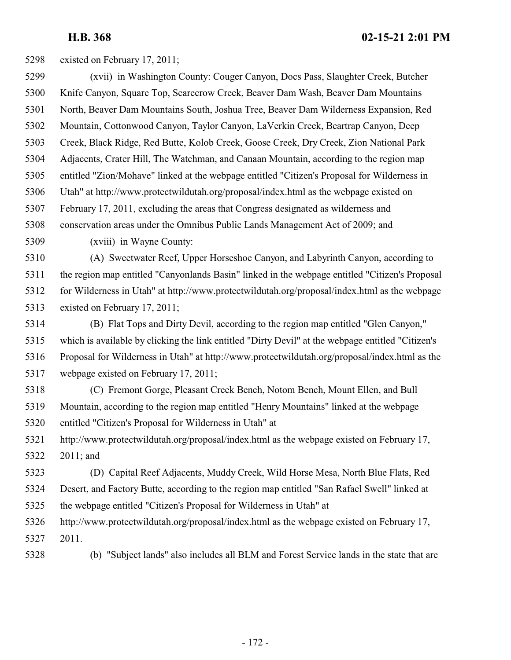existed on February 17, 2011;

 (xvii) in Washington County: Couger Canyon, Docs Pass, Slaughter Creek, Butcher Knife Canyon, Square Top, Scarecrow Creek, Beaver Dam Wash, Beaver Dam Mountains North, Beaver Dam Mountains South, Joshua Tree, Beaver Dam Wilderness Expansion, Red Mountain, Cottonwood Canyon, Taylor Canyon, LaVerkin Creek, Beartrap Canyon, Deep Creek, Black Ridge, Red Butte, Kolob Creek, Goose Creek, Dry Creek, Zion National Park Adjacents, Crater Hill, The Watchman, and Canaan Mountain, according to the region map entitled "Zion/Mohave" linked at the webpage entitled "Citizen's Proposal for Wilderness in Utah" at http://www.protectwildutah.org/proposal/index.html as the webpage existed on February 17, 2011, excluding the areas that Congress designated as wilderness and conservation areas under the Omnibus Public Lands Management Act of 2009; and (xviii) in Wayne County:

 (A) Sweetwater Reef, Upper Horseshoe Canyon, and Labyrinth Canyon, according to the region map entitled "Canyonlands Basin" linked in the webpage entitled "Citizen's Proposal for Wilderness in Utah" at http://www.protectwildutah.org/proposal/index.html as the webpage existed on February 17, 2011;

 (B) Flat Tops and Dirty Devil, according to the region map entitled "Glen Canyon," which is available by clicking the link entitled "Dirty Devil" at the webpage entitled "Citizen's Proposal for Wilderness in Utah" at http://www.protectwildutah.org/proposal/index.html as the webpage existed on February 17, 2011;

 (C) Fremont Gorge, Pleasant Creek Bench, Notom Bench, Mount Ellen, and Bull Mountain, according to the region map entitled "Henry Mountains" linked at the webpage entitled "Citizen's Proposal for Wilderness in Utah" at

 http://www.protectwildutah.org/proposal/index.html as the webpage existed on February 17, 2011; and

 (D) Capital Reef Adjacents, Muddy Creek, Wild Horse Mesa, North Blue Flats, Red Desert, and Factory Butte, according to the region map entitled "San Rafael Swell" linked at the webpage entitled "Citizen's Proposal for Wilderness in Utah" at

- http://www.protectwildutah.org/proposal/index.html as the webpage existed on February 17, 2011.
- (b) "Subject lands" also includes all BLM and Forest Service lands in the state that are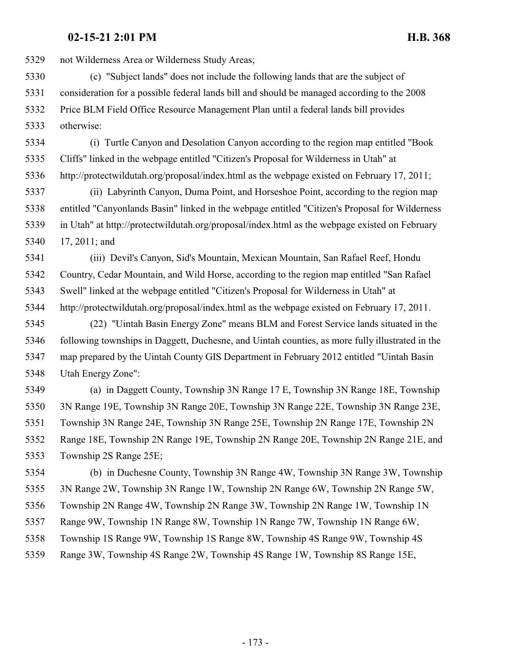not Wilderness Area or Wilderness Study Areas;

 (c) "Subject lands" does not include the following lands that are the subject of consideration for a possible federal lands bill and should be managed according to the 2008 Price BLM Field Office Resource Management Plan until a federal lands bill provides otherwise:

 (i) Turtle Canyon and Desolation Canyon according to the region map entitled "Book Cliffs" linked in the webpage entitled "Citizen's Proposal for Wilderness in Utah" at http://protectwildutah.org/proposal/index.html as the webpage existed on February 17, 2011;

 (ii) Labyrinth Canyon, Duma Point, and Horseshoe Point, according to the region map entitled "Canyonlands Basin" linked in the webpage entitled "Citizen's Proposal for Wilderness in Utah" at http://protectwildutah.org/proposal/index.html as the webpage existed on February 17, 2011; and

 (iii) Devil's Canyon, Sid's Mountain, Mexican Mountain, San Rafael Reef, Hondu Country, Cedar Mountain, and Wild Horse, according to the region map entitled "San Rafael Swell" linked at the webpage entitled "Citizen's Proposal for Wilderness in Utah" at http://protectwildutah.org/proposal/index.html as the webpage existed on February 17, 2011.

 (22) "Uintah Basin Energy Zone" means BLM and Forest Service lands situated in the following townships in Daggett, Duchesne, and Uintah counties, as more fully illustrated in the map prepared by the Uintah County GIS Department in February 2012 entitled "Uintah Basin Utah Energy Zone":

 (a) in Daggett County, Township 3N Range 17 E, Township 3N Range 18E, Township 3N Range 19E, Township 3N Range 20E, Township 3N Range 22E, Township 3N Range 23E, Township 3N Range 24E, Township 3N Range 25E, Township 2N Range 17E, Township 2N Range 18E, Township 2N Range 19E, Township 2N Range 20E, Township 2N Range 21E, and Township 2S Range 25E;

 (b) in Duchesne County, Township 3N Range 4W, Township 3N Range 3W, Township 3N Range 2W, Township 3N Range 1W, Township 2N Range 6W, Township 2N Range 5W, Township 2N Range 4W, Township 2N Range 3W, Township 2N Range 1W, Township 1N Range 9W, Township 1N Range 8W, Township 1N Range 7W, Township 1N Range 6W, Township 1S Range 9W, Township 1S Range 8W, Township 4S Range 9W, Township 4S Range 3W, Township 4S Range 2W, Township 4S Range 1W, Township 8S Range 15E,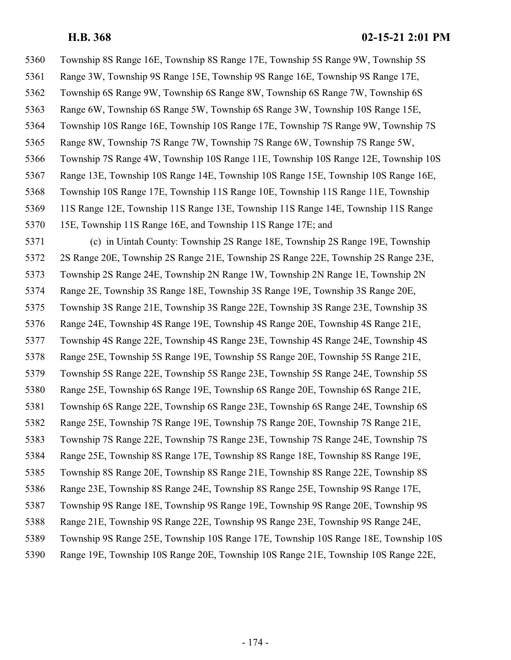Township 8S Range 16E, Township 8S Range 17E, Township 5S Range 9W, Township 5S Range 3W, Township 9S Range 15E, Township 9S Range 16E, Township 9S Range 17E, Township 6S Range 9W, Township 6S Range 8W, Township 6S Range 7W, Township 6S Range 6W, Township 6S Range 5W, Township 6S Range 3W, Township 10S Range 15E, Township 10S Range 16E, Township 10S Range 17E, Township 7S Range 9W, Township 7S Range 8W, Township 7S Range 7W, Township 7S Range 6W, Township 7S Range 5W, Township 7S Range 4W, Township 10S Range 11E, Township 10S Range 12E, Township 10S Range 13E, Township 10S Range 14E, Township 10S Range 15E, Township 10S Range 16E, Township 10S Range 17E, Township 11S Range 10E, Township 11S Range 11E, Township 11S Range 12E, Township 11S Range 13E, Township 11S Range 14E, Township 11S Range 15E, Township 11S Range 16E, and Township 11S Range 17E; and (c) in Uintah County: Township 2S Range 18E, Township 2S Range 19E, Township 2S Range 20E, Township 2S Range 21E, Township 2S Range 22E, Township 2S Range 23E, Township 2S Range 24E, Township 2N Range 1W, Township 2N Range 1E, Township 2N Range 2E, Township 3S Range 18E, Township 3S Range 19E, Township 3S Range 20E, Township 3S Range 21E, Township 3S Range 22E, Township 3S Range 23E, Township 3S Range 24E, Township 4S Range 19E, Township 4S Range 20E, Township 4S Range 21E, Township 4S Range 22E, Township 4S Range 23E, Township 4S Range 24E, Township 4S Range 25E, Township 5S Range 19E, Township 5S Range 20E, Township 5S Range 21E, Township 5S Range 22E, Township 5S Range 23E, Township 5S Range 24E, Township 5S Range 25E, Township 6S Range 19E, Township 6S Range 20E, Township 6S Range 21E, Township 6S Range 22E, Township 6S Range 23E, Township 6S Range 24E, Township 6S Range 25E, Township 7S Range 19E, Township 7S Range 20E, Township 7S Range 21E, Township 7S Range 22E, Township 7S Range 23E, Township 7S Range 24E, Township 7S Range 25E, Township 8S Range 17E, Township 8S Range 18E, Township 8S Range 19E, Township 8S Range 20E, Township 8S Range 21E, Township 8S Range 22E, Township 8S Range 23E, Township 8S Range 24E, Township 8S Range 25E, Township 9S Range 17E, Township 9S Range 18E, Township 9S Range 19E, Township 9S Range 20E, Township 9S Range 21E, Township 9S Range 22E, Township 9S Range 23E, Township 9S Range 24E, Township 9S Range 25E, Township 10S Range 17E, Township 10S Range 18E, Township 10S Range 19E, Township 10S Range 20E, Township 10S Range 21E, Township 10S Range 22E,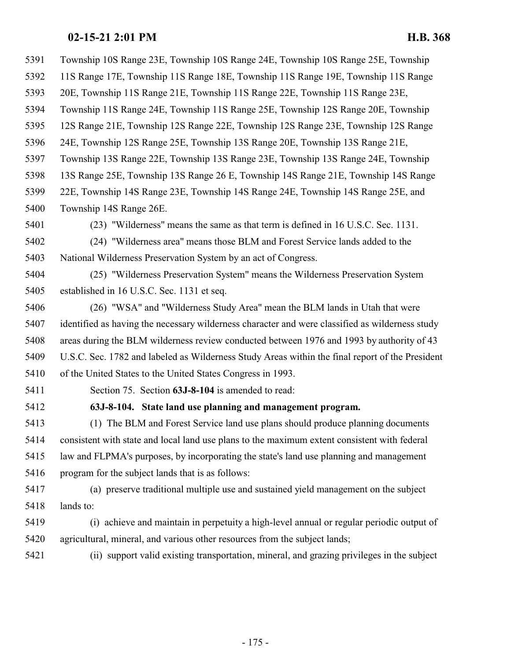Township 10S Range 23E, Township 10S Range 24E, Township 10S Range 25E, Township 11S Range 17E, Township 11S Range 18E, Township 11S Range 19E, Township 11S Range 20E, Township 11S Range 21E, Township 11S Range 22E, Township 11S Range 23E, Township 11S Range 24E, Township 11S Range 25E, Township 12S Range 20E, Township 12S Range 21E, Township 12S Range 22E, Township 12S Range 23E, Township 12S Range 24E, Township 12S Range 25E, Township 13S Range 20E, Township 13S Range 21E, Township 13S Range 22E, Township 13S Range 23E, Township 13S Range 24E, Township 13S Range 25E, Township 13S Range 26 E, Township 14S Range 21E, Township 14S Range 22E, Township 14S Range 23E, Township 14S Range 24E, Township 14S Range 25E, and Township 14S Range 26E. (23) "Wilderness" means the same as that term is defined in 16 U.S.C. Sec. 1131. (24) "Wilderness area" means those BLM and Forest Service lands added to the National Wilderness Preservation System by an act of Congress. (25) "Wilderness Preservation System" means the Wilderness Preservation System established in 16 U.S.C. Sec. 1131 et seq. (26) "WSA" and "Wilderness Study Area" mean the BLM lands in Utah that were identified as having the necessary wilderness character and were classified as wilderness study areas during the BLM wilderness review conducted between 1976 and 1993 by authority of 43 U.S.C. Sec. 1782 and labeled as Wilderness Study Areas within the final report of the President of the United States to the United States Congress in 1993. Section 75. Section **63J-8-104** is amended to read: **63J-8-104. State land use planning and management program.** (1) The BLM and Forest Service land use plans should produce planning documents consistent with state and local land use plans to the maximum extent consistent with federal law and FLPMA's purposes, by incorporating the state's land use planning and management 5416 program for the subject lands that is as follows: (a) preserve traditional multiple use and sustained yield management on the subject lands to: (i) achieve and maintain in perpetuity a high-level annual or regular periodic output of agricultural, mineral, and various other resources from the subject lands; (ii) support valid existing transportation, mineral, and grazing privileges in the subject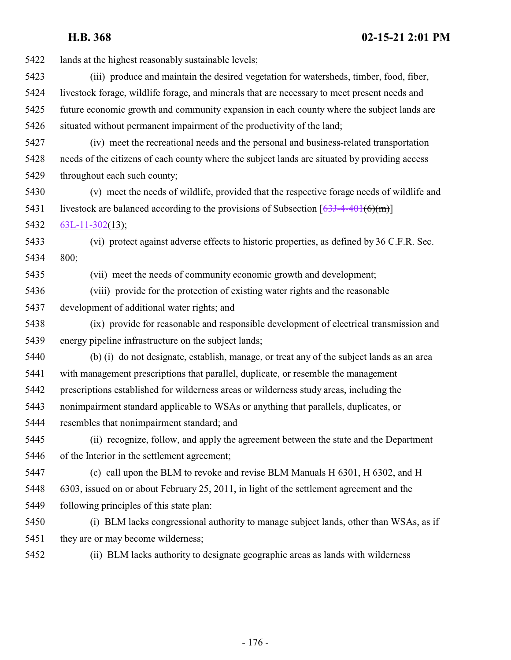| 5422 | lands at the highest reasonably sustainable levels;                                           |
|------|-----------------------------------------------------------------------------------------------|
| 5423 | (iii) produce and maintain the desired vegetation for watersheds, timber, food, fiber,        |
| 5424 | livestock forage, wildlife forage, and minerals that are necessary to meet present needs and  |
| 5425 | future economic growth and community expansion in each county where the subject lands are     |
| 5426 | situated without permanent impairment of the productivity of the land;                        |
| 5427 | (iv) meet the recreational needs and the personal and business-related transportation         |
| 5428 | needs of the citizens of each county where the subject lands are situated by providing access |
| 5429 | throughout each such county;                                                                  |
| 5430 | (v) meet the needs of wildlife, provided that the respective forage needs of wildlife and     |
| 5431 | livestock are balanced according to the provisions of Subsection $[63J-4-401(6)(m)]$          |
| 5432 | $63L-11-302(13);$                                                                             |
| 5433 | (vi) protect against adverse effects to historic properties, as defined by 36 C.F.R. Sec.     |
| 5434 | 800;                                                                                          |
| 5435 | (vii) meet the needs of community economic growth and development;                            |
| 5436 | (viii) provide for the protection of existing water rights and the reasonable                 |
| 5437 | development of additional water rights; and                                                   |
| 5438 | (ix) provide for reasonable and responsible development of electrical transmission and        |
| 5439 | energy pipeline infrastructure on the subject lands;                                          |
| 5440 | (b) (i) do not designate, establish, manage, or treat any of the subject lands as an area     |
| 5441 | with management prescriptions that parallel, duplicate, or resemble the management            |
| 5442 | prescriptions established for wilderness areas or wilderness study areas, including the       |
| 5443 | nonimpairment standard applicable to WSAs or anything that parallels, duplicates, or          |
| 5444 | resembles that nonimpairment standard; and                                                    |
| 5445 | (ii) recognize, follow, and apply the agreement between the state and the Department          |
| 5446 | of the Interior in the settlement agreement;                                                  |
| 5447 | (c) call upon the BLM to revoke and revise BLM Manuals H 6301, H 6302, and H                  |
| 5448 | 6303, issued on or about February 25, 2011, in light of the settlement agreement and the      |
| 5449 | following principles of this state plan:                                                      |
| 5450 | (i) BLM lacks congressional authority to manage subject lands, other than WSAs, as if         |
| 5451 | they are or may become wilderness;                                                            |
| 5452 | (ii) BLM lacks authority to designate geographic areas as lands with wilderness               |
|      |                                                                                               |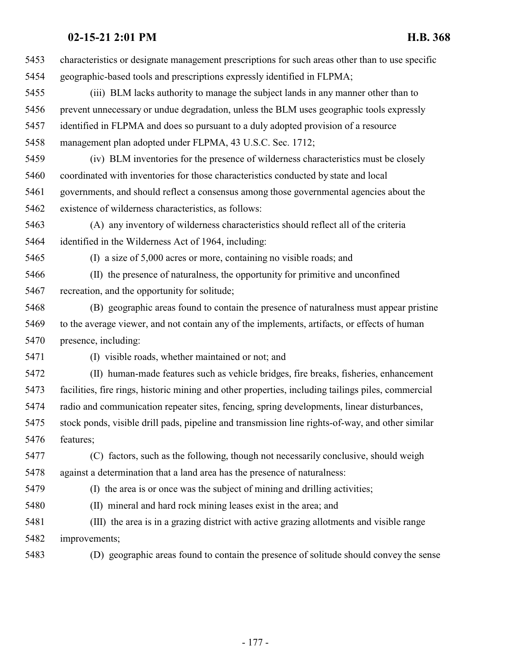| 5453 | characteristics or designate management prescriptions for such areas other than to use specific    |
|------|----------------------------------------------------------------------------------------------------|
| 5454 | geographic-based tools and prescriptions expressly identified in FLPMA;                            |
| 5455 | (iii) BLM lacks authority to manage the subject lands in any manner other than to                  |
| 5456 | prevent unnecessary or undue degradation, unless the BLM uses geographic tools expressly           |
| 5457 | identified in FLPMA and does so pursuant to a duly adopted provision of a resource                 |
| 5458 | management plan adopted under FLPMA, 43 U.S.C. Sec. 1712;                                          |
| 5459 | (iv) BLM inventories for the presence of wilderness characteristics must be closely                |
| 5460 | coordinated with inventories for those characteristics conducted by state and local                |
| 5461 | governments, and should reflect a consensus among those governmental agencies about the            |
| 5462 | existence of wilderness characteristics, as follows:                                               |
| 5463 | (A) any inventory of wilderness characteristics should reflect all of the criteria                 |
| 5464 | identified in the Wilderness Act of 1964, including:                                               |
| 5465 | (I) a size of 5,000 acres or more, containing no visible roads; and                                |
| 5466 | (II) the presence of naturalness, the opportunity for primitive and unconfined                     |
| 5467 | recreation, and the opportunity for solitude;                                                      |
| 5468 | (B) geographic areas found to contain the presence of naturalness must appear pristine             |
| 5469 | to the average viewer, and not contain any of the implements, artifacts, or effects of human       |
| 5470 | presence, including:                                                                               |
| 5471 | (I) visible roads, whether maintained or not; and                                                  |
| 5472 | (II) human-made features such as vehicle bridges, fire breaks, fisheries, enhancement              |
| 5473 | facilities, fire rings, historic mining and other properties, including tailings piles, commercial |
| 5474 | radio and communication repeater sites, fencing, spring developments, linear disturbances,         |
| 5475 | stock ponds, visible drill pads, pipeline and transmission line rights-of-way, and other similar   |
| 5476 | features;                                                                                          |
| 5477 | (C) factors, such as the following, though not necessarily conclusive, should weigh                |
| 5478 | against a determination that a land area has the presence of naturalness:                          |
| 5479 | (I) the area is or once was the subject of mining and drilling activities;                         |
| 5480 | (II) mineral and hard rock mining leases exist in the area; and                                    |
| 5481 | (III) the area is in a grazing district with active grazing allotments and visible range           |
| 5482 | improvements;                                                                                      |
| 5483 | (D) geographic areas found to contain the presence of solitude should convey the sense             |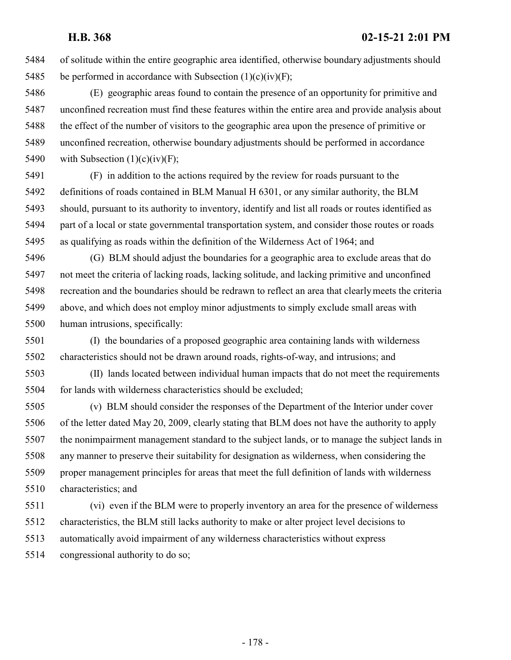of solitude within the entire geographic area identified, otherwise boundary adjustments should 5485 be performed in accordance with Subsection  $(1)(c)(iv)(F)$ ;

 (E) geographic areas found to contain the presence of an opportunity for primitive and unconfined recreation must find these features within the entire area and provide analysis about the effect of the number of visitors to the geographic area upon the presence of primitive or unconfined recreation, otherwise boundary adjustments should be performed in accordance 5490 with Subsection  $(1)(c)(iv)(F)$ ;

 (F) in addition to the actions required by the review for roads pursuant to the definitions of roads contained in BLM Manual H 6301, or any similar authority, the BLM should, pursuant to its authority to inventory, identify and list all roads or routes identified as part of a local or state governmental transportation system, and consider those routes or roads as qualifying as roads within the definition of the Wilderness Act of 1964; and

 (G) BLM should adjust the boundaries for a geographic area to exclude areas that do not meet the criteria of lacking roads, lacking solitude, and lacking primitive and unconfined recreation and the boundaries should be redrawn to reflect an area that clearly meets the criteria above, and which does not employ minor adjustments to simply exclude small areas with human intrusions, specifically:

 (I) the boundaries of a proposed geographic area containing lands with wilderness characteristics should not be drawn around roads, rights-of-way, and intrusions; and

 (II) lands located between individual human impacts that do not meet the requirements for lands with wilderness characteristics should be excluded;

 (v) BLM should consider the responses of the Department of the Interior under cover of the letter dated May 20, 2009, clearly stating that BLM does not have the authority to apply the nonimpairment management standard to the subject lands, or to manage the subject lands in any manner to preserve their suitability for designation as wilderness, when considering the proper management principles for areas that meet the full definition of lands with wilderness characteristics; and

 (vi) even if the BLM were to properly inventory an area for the presence of wilderness characteristics, the BLM still lacks authority to make or alter project level decisions to automatically avoid impairment of any wilderness characteristics without express congressional authority to do so;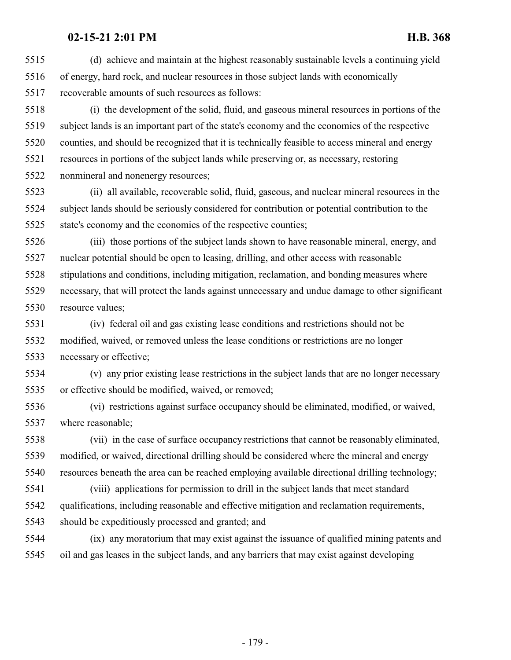(d) achieve and maintain at the highest reasonably sustainable levels a continuing yield of energy, hard rock, and nuclear resources in those subject lands with economically recoverable amounts of such resources as follows:

 (i) the development of the solid, fluid, and gaseous mineral resources in portions of the subject lands is an important part of the state's economy and the economies of the respective counties, and should be recognized that it is technically feasible to access mineral and energy resources in portions of the subject lands while preserving or, as necessary, restoring nonmineral and nonenergy resources;

 (ii) all available, recoverable solid, fluid, gaseous, and nuclear mineral resources in the subject lands should be seriously considered for contribution or potential contribution to the state's economy and the economies of the respective counties;

 (iii) those portions of the subject lands shown to have reasonable mineral, energy, and nuclear potential should be open to leasing, drilling, and other access with reasonable stipulations and conditions, including mitigation, reclamation, and bonding measures where necessary, that will protect the lands against unnecessary and undue damage to other significant resource values;

 (iv) federal oil and gas existing lease conditions and restrictions should not be modified, waived, or removed unless the lease conditions or restrictions are no longer necessary or effective;

 (v) any prior existing lease restrictions in the subject lands that are no longer necessary or effective should be modified, waived, or removed;

 (vi) restrictions against surface occupancy should be eliminated, modified, or waived, where reasonable;

 (vii) in the case of surface occupancy restrictions that cannot be reasonably eliminated, modified, or waived, directional drilling should be considered where the mineral and energy resources beneath the area can be reached employing available directional drilling technology;

 (viii) applications for permission to drill in the subject lands that meet standard qualifications, including reasonable and effective mitigation and reclamation requirements, should be expeditiously processed and granted; and

 (ix) any moratorium that may exist against the issuance of qualified mining patents and oil and gas leases in the subject lands, and any barriers that may exist against developing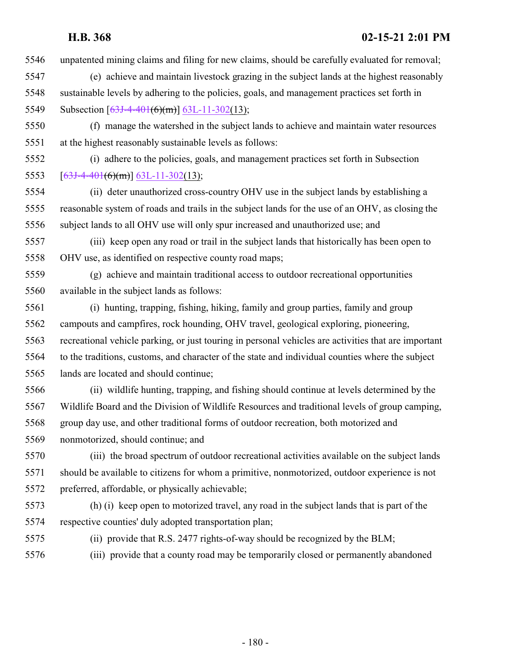unpatented mining claims and filing for new claims, should be carefully evaluated for removal;

- (e) achieve and maintain livestock grazing in the subject lands at the highest reasonably sustainable levels by adhering to the policies, goals, and management practices set forth in 5549 Subsection  $[63J-4-401(6)(m)]$  $[63J-4-401(6)(m)]$  [63L-11-302](#page-228-0)(13);
- (f) manage the watershed in the subject lands to achieve and maintain water resources at the highest reasonably sustainable levels as follows:
- (i) adhere to the policies, goals, and management practices set forth in Subsection 5553  $[63J-4-401(6)(m)]$  $[63J-4-401(6)(m)]$  $[63J-4-401(6)(m)]$  [63L-11-302](#page-228-0)(13);
- (ii) deter unauthorized cross-country OHV use in the subject lands by establishing a reasonable system of roads and trails in the subject lands for the use of an OHV, as closing the subject lands to all OHV use will only spur increased and unauthorized use; and
- (iii) keep open any road or trail in the subject lands that historically has been open to OHV use, as identified on respective county road maps;
- (g) achieve and maintain traditional access to outdoor recreational opportunities available in the subject lands as follows:
- (i) hunting, trapping, fishing, hiking, family and group parties, family and group campouts and campfires, rock hounding, OHV travel, geological exploring, pioneering, recreational vehicle parking, or just touring in personal vehicles are activities that are important to the traditions, customs, and character of the state and individual counties where the subject lands are located and should continue;
- (ii) wildlife hunting, trapping, and fishing should continue at levels determined by the Wildlife Board and the Division of Wildlife Resources and traditional levels of group camping, group day use, and other traditional forms of outdoor recreation, both motorized and nonmotorized, should continue; and
- (iii) the broad spectrum of outdoor recreational activities available on the subject lands should be available to citizens for whom a primitive, nonmotorized, outdoor experience is not preferred, affordable, or physically achievable;
- (h) (i) keep open to motorized travel, any road in the subject lands that is part of the respective counties' duly adopted transportation plan;
- 
- (ii) provide that R.S. 2477 rights-of-way should be recognized by the BLM;
- (iii) provide that a county road may be temporarily closed or permanently abandoned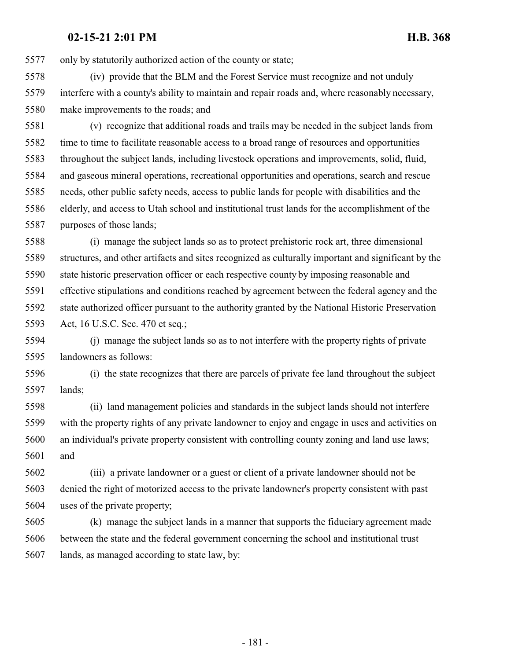only by statutorily authorized action of the county or state;

 (iv) provide that the BLM and the Forest Service must recognize and not unduly interfere with a county's ability to maintain and repair roads and, where reasonably necessary, make improvements to the roads; and

 (v) recognize that additional roads and trails may be needed in the subject lands from time to time to facilitate reasonable access to a broad range of resources and opportunities throughout the subject lands, including livestock operations and improvements, solid, fluid, and gaseous mineral operations, recreational opportunities and operations, search and rescue needs, other public safety needs, access to public lands for people with disabilities and the elderly, and access to Utah school and institutional trust lands for the accomplishment of the purposes of those lands;

 (i) manage the subject lands so as to protect prehistoric rock art, three dimensional structures, and other artifacts and sites recognized as culturally important and significant by the state historic preservation officer or each respective county by imposing reasonable and effective stipulations and conditions reached by agreement between the federal agency and the state authorized officer pursuant to the authority granted by the National Historic Preservation Act, 16 U.S.C. Sec. 470 et seq.;

 (j) manage the subject lands so as to not interfere with the property rights of private landowners as follows:

 (i) the state recognizes that there are parcels of private fee land throughout the subject lands;

 (ii) land management policies and standards in the subject lands should not interfere with the property rights of any private landowner to enjoy and engage in uses and activities on an individual's private property consistent with controlling county zoning and land use laws; and

 (iii) a private landowner or a guest or client of a private landowner should not be denied the right of motorized access to the private landowner's property consistent with past uses of the private property;

 (k) manage the subject lands in a manner that supports the fiduciary agreement made between the state and the federal government concerning the school and institutional trust lands, as managed according to state law, by: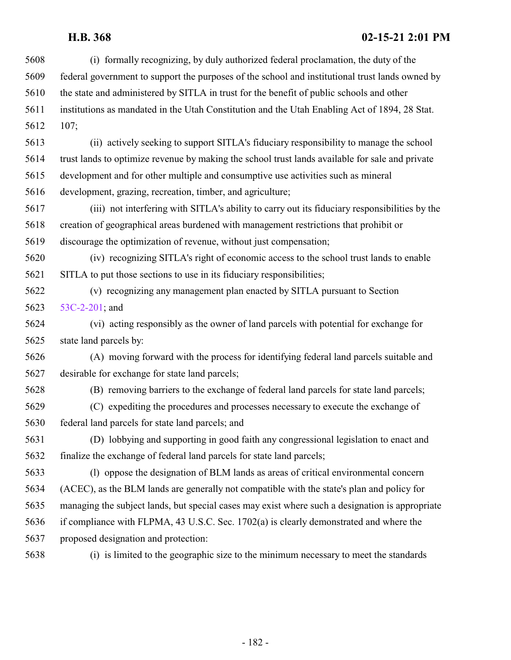| 5608 | (i) formally recognizing, by duly authorized federal proclamation, the duty of the              |
|------|-------------------------------------------------------------------------------------------------|
| 5609 | federal government to support the purposes of the school and institutional trust lands owned by |
| 5610 | the state and administered by SITLA in trust for the benefit of public schools and other        |
| 5611 | institutions as mandated in the Utah Constitution and the Utah Enabling Act of 1894, 28 Stat.   |
| 5612 | 107;                                                                                            |
| 5613 | (ii) actively seeking to support SITLA's fiduciary responsibility to manage the school          |
| 5614 | trust lands to optimize revenue by making the school trust lands available for sale and private |
| 5615 | development and for other multiple and consumptive use activities such as mineral               |
| 5616 | development, grazing, recreation, timber, and agriculture;                                      |
| 5617 | (iii) not interfering with SITLA's ability to carry out its fiduciary responsibilities by the   |
| 5618 | creation of geographical areas burdened with management restrictions that prohibit or           |
| 5619 | discourage the optimization of revenue, without just compensation;                              |
| 5620 | (iv) recognizing SITLA's right of economic access to the school trust lands to enable           |
| 5621 | SITLA to put those sections to use in its fiduciary responsibilities;                           |
| 5622 | (v) recognizing any management plan enacted by SITLA pursuant to Section                        |
| 5623 | 53C-2-201; and                                                                                  |
| 5624 | (vi) acting responsibly as the owner of land parcels with potential for exchange for            |
| 5625 | state land parcels by:                                                                          |
| 5626 | (A) moving forward with the process for identifying federal land parcels suitable and           |
| 5627 | desirable for exchange for state land parcels;                                                  |
| 5628 | (B) removing barriers to the exchange of federal land parcels for state land parcels;           |
| 5629 | (C) expediting the procedures and processes necessary to execute the exchange of                |
| 5630 | federal land parcels for state land parcels; and                                                |
| 5631 | (D) lobbying and supporting in good faith any congressional legislation to enact and            |
| 5632 | finalize the exchange of federal land parcels for state land parcels;                           |
| 5633 | (1) oppose the designation of BLM lands as areas of critical environmental concern              |
| 5634 | (ACEC), as the BLM lands are generally not compatible with the state's plan and policy for      |
| 5635 | managing the subject lands, but special cases may exist where such a designation is appropriate |
| 5636 | if compliance with FLPMA, 43 U.S.C. Sec. 1702(a) is clearly demonstrated and where the          |
| 5637 | proposed designation and protection:                                                            |
| 5638 | (i) is limited to the geographic size to the minimum necessary to meet the standards            |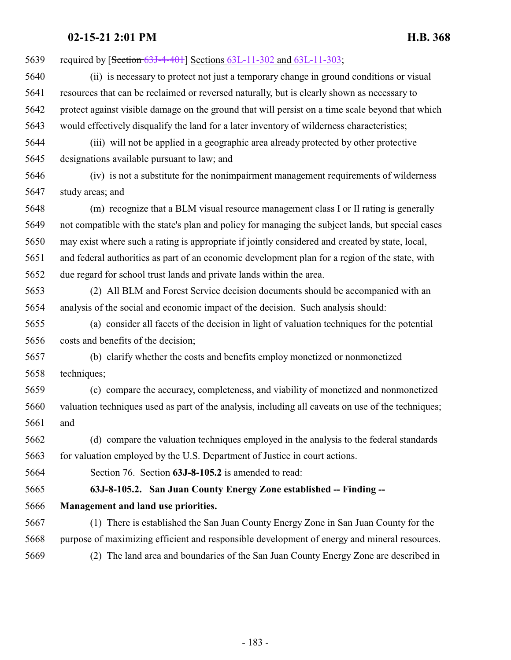| 5639 | required by $[Section 63J-4-401]$ Sections $63L-11-302$ and $63L-11-303$ ;                         |
|------|----------------------------------------------------------------------------------------------------|
| 5640 | (ii) is necessary to protect not just a temporary change in ground conditions or visual            |
| 5641 | resources that can be reclaimed or reversed naturally, but is clearly shown as necessary to        |
| 5642 | protect against visible damage on the ground that will persist on a time scale beyond that which   |
| 5643 | would effectively disqualify the land for a later inventory of wilderness characteristics;         |
| 5644 | (iii) will not be applied in a geographic area already protected by other protective               |
| 5645 | designations available pursuant to law; and                                                        |
| 5646 | (iv) is not a substitute for the nonimpairment management requirements of wilderness               |
| 5647 | study areas; and                                                                                   |
| 5648 | (m) recognize that a BLM visual resource management class I or II rating is generally              |
| 5649 | not compatible with the state's plan and policy for managing the subject lands, but special cases  |
| 5650 | may exist where such a rating is appropriate if jointly considered and created by state, local,    |
| 5651 | and federal authorities as part of an economic development plan for a region of the state, with    |
| 5652 | due regard for school trust lands and private lands within the area.                               |
| 5653 | (2) All BLM and Forest Service decision documents should be accompanied with an                    |
| 5654 | analysis of the social and economic impact of the decision. Such analysis should:                  |
| 5655 | (a) consider all facets of the decision in light of valuation techniques for the potential         |
| 5656 | costs and benefits of the decision;                                                                |
| 5657 | (b) clarify whether the costs and benefits employ monetized or nonmonetized                        |
| 5658 | techniques;                                                                                        |
| 5659 | (c) compare the accuracy, completeness, and viability of monetized and nonmonetized                |
| 5660 | valuation techniques used as part of the analysis, including all caveats on use of the techniques; |
| 5661 | and                                                                                                |
| 5662 | (d) compare the valuation techniques employed in the analysis to the federal standards             |
| 5663 | for valuation employed by the U.S. Department of Justice in court actions.                         |
| 5664 | Section 76. Section 63J-8-105.2 is amended to read:                                                |
| 5665 | 63J-8-105.2. San Juan County Energy Zone established -- Finding --                                 |
| 5666 | Management and land use priorities.                                                                |
| 5667 | (1) There is established the San Juan County Energy Zone in San Juan County for the                |
| 5668 | purpose of maximizing efficient and responsible development of energy and mineral resources.       |
| 5669 | The land area and boundaries of the San Juan County Energy Zone are described in<br>(2)            |
|      |                                                                                                    |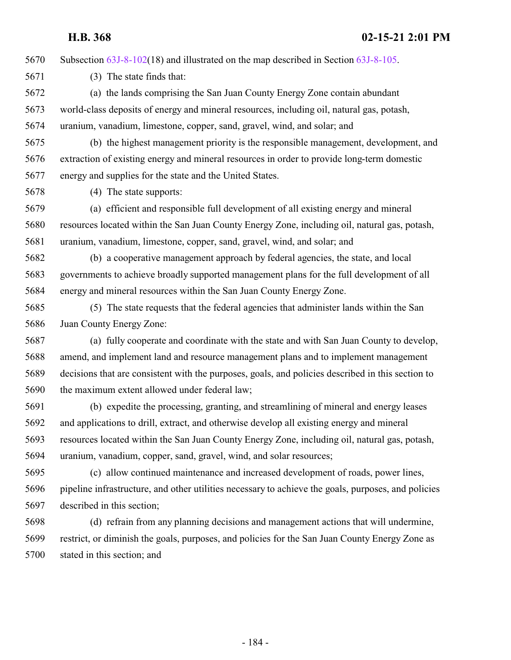Subsection [63J-8-102](#page-160-0)(18) and illustrated on the map described in Section [63J-8-105](http://le.utah.gov/UtahCode/SectionLookup.jsp?section=63j-8-105&session=2021GS).

- (3) The state finds that:
- (a) the lands comprising the San Juan County Energy Zone contain abundant world-class deposits of energy and mineral resources, including oil, natural gas, potash, uranium, vanadium, limestone, copper, sand, gravel, wind, and solar; and
- (b) the highest management priority is the responsible management, development, and extraction of existing energy and mineral resources in order to provide long-term domestic energy and supplies for the state and the United States.
- (4) The state supports:

 (a) efficient and responsible full development of all existing energy and mineral resources located within the San Juan County Energy Zone, including oil, natural gas, potash, uranium, vanadium, limestone, copper, sand, gravel, wind, and solar; and

- (b) a cooperative management approach by federal agencies, the state, and local governments to achieve broadly supported management plans for the full development of all energy and mineral resources within the San Juan County Energy Zone.
- (5) The state requests that the federal agencies that administer lands within the San Juan County Energy Zone:
- (a) fully cooperate and coordinate with the state and with San Juan County to develop, amend, and implement land and resource management plans and to implement management decisions that are consistent with the purposes, goals, and policies described in this section to the maximum extent allowed under federal law;
- (b) expedite the processing, granting, and streamlining of mineral and energy leases and applications to drill, extract, and otherwise develop all existing energy and mineral resources located within the San Juan County Energy Zone, including oil, natural gas, potash, uranium, vanadium, copper, sand, gravel, wind, and solar resources;
- (c) allow continued maintenance and increased development of roads, power lines, pipeline infrastructure, and other utilities necessary to achieve the goals, purposes, and policies described in this section;
- (d) refrain from any planning decisions and management actions that will undermine, restrict, or diminish the goals, purposes, and policies for the San Juan County Energy Zone as stated in this section; and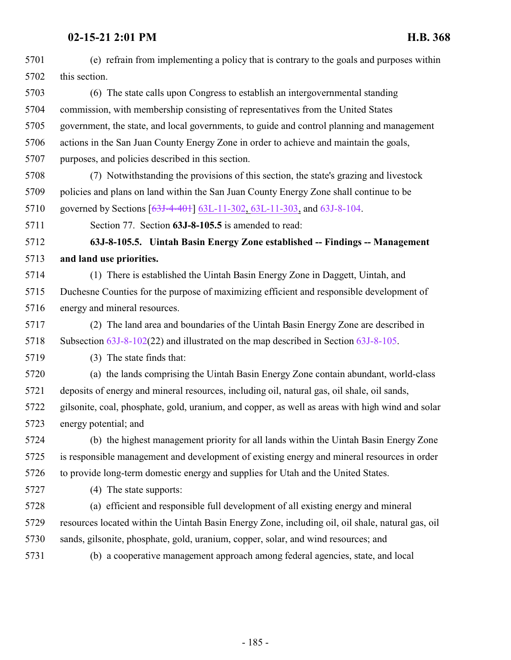| 5701 | (e) refrain from implementing a policy that is contrary to the goals and purposes within          |
|------|---------------------------------------------------------------------------------------------------|
| 5702 | this section.                                                                                     |
| 5703 | (6) The state calls upon Congress to establish an intergovernmental standing                      |
| 5704 | commission, with membership consisting of representatives from the United States                  |
| 5705 | government, the state, and local governments, to guide and control planning and management        |
| 5706 | actions in the San Juan County Energy Zone in order to achieve and maintain the goals,            |
| 5707 | purposes, and policies described in this section.                                                 |
| 5708 | (7) Notwithstanding the provisions of this section, the state's grazing and livestock             |
| 5709 | policies and plans on land within the San Juan County Energy Zone shall continue to be            |
| 5710 | governed by Sections [63J-4-401] 63L-11-302, 63L-11-303, and 63J-8-104.                           |
| 5711 | Section 77. Section 63J-8-105.5 is amended to read:                                               |
| 5712 | 63J-8-105.5. Uintah Basin Energy Zone established -- Findings -- Management                       |
| 5713 | and land use priorities.                                                                          |
| 5714 | (1) There is established the Uintah Basin Energy Zone in Daggett, Uintah, and                     |
| 5715 | Duchesne Counties for the purpose of maximizing efficient and responsible development of          |
| 5716 | energy and mineral resources.                                                                     |
| 5717 | (2) The land area and boundaries of the Uintah Basin Energy Zone are described in                 |
| 5718 | Subsection $63J-8-102(22)$ and illustrated on the map described in Section $63J-8-105$ .          |
| 5719 | (3) The state finds that:                                                                         |
| 5720 | (a) the lands comprising the Uintah Basin Energy Zone contain abundant, world-class               |
| 5721 | deposits of energy and mineral resources, including oil, natural gas, oil shale, oil sands,       |
| 5722 | gilsonite, coal, phosphate, gold, uranium, and copper, as well as areas with high wind and solar  |
| 5723 | energy potential; and                                                                             |
| 5724 | (b) the highest management priority for all lands within the Uintah Basin Energy Zone             |
| 5725 | is responsible management and development of existing energy and mineral resources in order       |
| 5726 | to provide long-term domestic energy and supplies for Utah and the United States.                 |
| 5727 | (4) The state supports:                                                                           |
| 5728 | (a) efficient and responsible full development of all existing energy and mineral                 |
| 5729 | resources located within the Uintah Basin Energy Zone, including oil, oil shale, natural gas, oil |
| 5730 | sands, gilsonite, phosphate, gold, uranium, copper, solar, and wind resources; and                |
| 5731 | (b) a cooperative management approach among federal agencies, state, and local                    |
|      |                                                                                                   |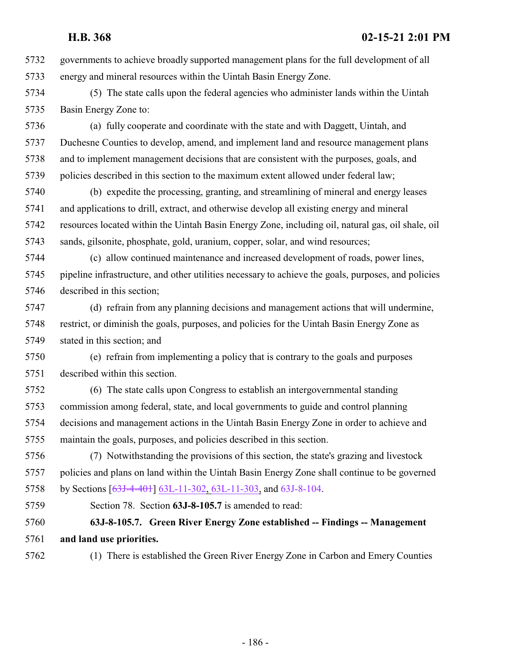governments to achieve broadly supported management plans for the full development of all energy and mineral resources within the Uintah Basin Energy Zone. (5) The state calls upon the federal agencies who administer lands within the Uintah Basin Energy Zone to: (a) fully cooperate and coordinate with the state and with Daggett, Uintah, and

 Duchesne Counties to develop, amend, and implement land and resource management plans and to implement management decisions that are consistent with the purposes, goals, and policies described in this section to the maximum extent allowed under federal law;

 (b) expedite the processing, granting, and streamlining of mineral and energy leases and applications to drill, extract, and otherwise develop all existing energy and mineral resources located within the Uintah Basin Energy Zone, including oil, natural gas, oil shale, oil sands, gilsonite, phosphate, gold, uranium, copper, solar, and wind resources;

 (c) allow continued maintenance and increased development of roads, power lines, pipeline infrastructure, and other utilities necessary to achieve the goals, purposes, and policies described in this section;

 (d) refrain from any planning decisions and management actions that will undermine, restrict, or diminish the goals, purposes, and policies for the Uintah Basin Energy Zone as stated in this section; and

 (e) refrain from implementing a policy that is contrary to the goals and purposes described within this section.

 (6) The state calls upon Congress to establish an intergovernmental standing commission among federal, state, and local governments to guide and control planning decisions and management actions in the Uintah Basin Energy Zone in order to achieve and maintain the goals, purposes, and policies described in this section.

 (7) Notwithstanding the provisions of this section, the state's grazing and livestock policies and plans on land within the Uintah Basin Energy Zone shall continue to be governed 5758 by Sections [\[63J-4-401](#page-140-0)] [63L-11-302](#page-228-0), [63L-11-303](#page-231-0), and [63J-8-104](#page-174-0).

Section 78. Section **63J-8-105.7** is amended to read:

# **63J-8-105.7. Green River Energy Zone established -- Findings -- Management and land use priorities.**

(1) There is established the Green River Energy Zone in Carbon and Emery Counties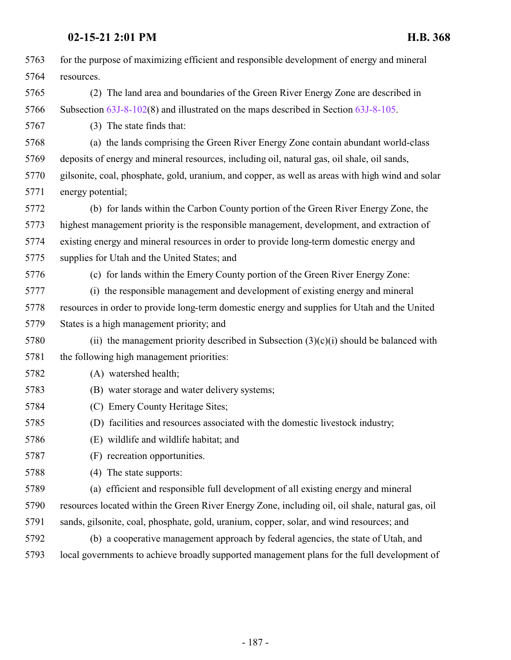| 5763 | for the purpose of maximizing efficient and responsible development of energy and mineral        |
|------|--------------------------------------------------------------------------------------------------|
| 5764 | resources.                                                                                       |
| 5765 | (2) The land area and boundaries of the Green River Energy Zone are described in                 |
| 5766 | Subsection $63J-8-102(8)$ and illustrated on the maps described in Section $63J-8-105$ .         |
| 5767 | (3) The state finds that:                                                                        |
| 5768 | (a) the lands comprising the Green River Energy Zone contain abundant world-class                |
| 5769 | deposits of energy and mineral resources, including oil, natural gas, oil shale, oil sands,      |
| 5770 | gilsonite, coal, phosphate, gold, uranium, and copper, as well as areas with high wind and solar |
| 5771 | energy potential;                                                                                |
| 5772 | (b) for lands within the Carbon County portion of the Green River Energy Zone, the               |
| 5773 | highest management priority is the responsible management, development, and extraction of        |
| 5774 | existing energy and mineral resources in order to provide long-term domestic energy and          |
| 5775 | supplies for Utah and the United States; and                                                     |
| 5776 | (c) for lands within the Emery County portion of the Green River Energy Zone:                    |
| 5777 | (i) the responsible management and development of existing energy and mineral                    |
| 5778 | resources in order to provide long-term domestic energy and supplies for Utah and the United     |
| 5779 | States is a high management priority; and                                                        |
| 5780 | (ii) the management priority described in Subsection $(3)(c)(i)$ should be balanced with         |
| 5781 | the following high management priorities:                                                        |
| 5782 | (A) watershed health;                                                                            |
| 5783 | (B) water storage and water delivery systems;                                                    |
| 5784 | (C) Emery County Heritage Sites;                                                                 |
| 5785 | (D) facilities and resources associated with the domestic livestock industry;                    |
| 5786 | (E) wildlife and wildlife habitat; and                                                           |
| 5787 | (F) recreation opportunities.                                                                    |
| 5788 | The state supports:<br>(4)                                                                       |
| 5789 | (a) efficient and responsible full development of all existing energy and mineral                |
| 5790 | resources located within the Green River Energy Zone, including oil, oil shale, natural gas, oil |
| 5791 | sands, gilsonite, coal, phosphate, gold, uranium, copper, solar, and wind resources; and         |
| 5792 | (b) a cooperative management approach by federal agencies, the state of Utah, and                |
| 5793 | local governments to achieve broadly supported management plans for the full development of      |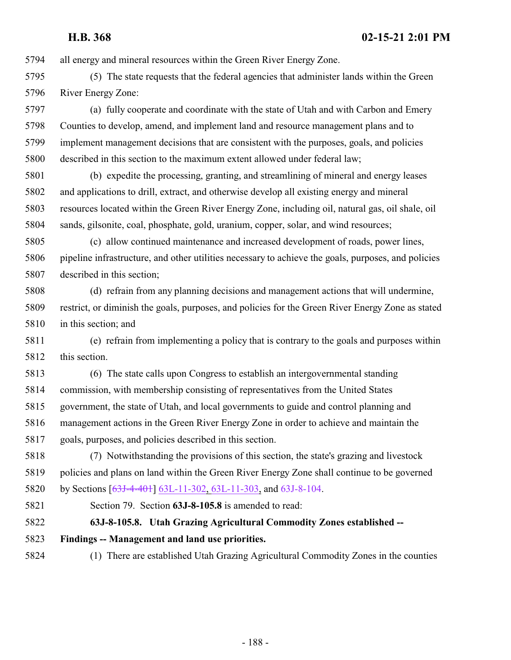all energy and mineral resources within the Green River Energy Zone.

 (5) The state requests that the federal agencies that administer lands within the Green River Energy Zone:

 (a) fully cooperate and coordinate with the state of Utah and with Carbon and Emery Counties to develop, amend, and implement land and resource management plans and to implement management decisions that are consistent with the purposes, goals, and policies described in this section to the maximum extent allowed under federal law;

 (b) expedite the processing, granting, and streamlining of mineral and energy leases and applications to drill, extract, and otherwise develop all existing energy and mineral resources located within the Green River Energy Zone, including oil, natural gas, oil shale, oil sands, gilsonite, coal, phosphate, gold, uranium, copper, solar, and wind resources;

 (c) allow continued maintenance and increased development of roads, power lines, pipeline infrastructure, and other utilities necessary to achieve the goals, purposes, and policies described in this section;

 (d) refrain from any planning decisions and management actions that will undermine, restrict, or diminish the goals, purposes, and policies for the Green River Energy Zone as stated in this section; and

 (e) refrain from implementing a policy that is contrary to the goals and purposes within this section.

 (6) The state calls upon Congress to establish an intergovernmental standing commission, with membership consisting of representatives from the United States government, the state of Utah, and local governments to guide and control planning and management actions in the Green River Energy Zone in order to achieve and maintain the goals, purposes, and policies described in this section.

 (7) Notwithstanding the provisions of this section, the state's grazing and livestock policies and plans on land within the Green River Energy Zone shall continue to be governed 5820 by Sections [\[63J-4-401](#page-140-0)] [63L-11-302](#page-228-0), [63L-11-303](#page-231-0), and [63J-8-104](#page-174-0).

Section 79. Section **63J-8-105.8** is amended to read:

**63J-8-105.8. Utah Grazing Agricultural Commodity Zones established --**

- **Findings -- Management and land use priorities.**
- (1) There are established Utah Grazing Agricultural Commodity Zones in the counties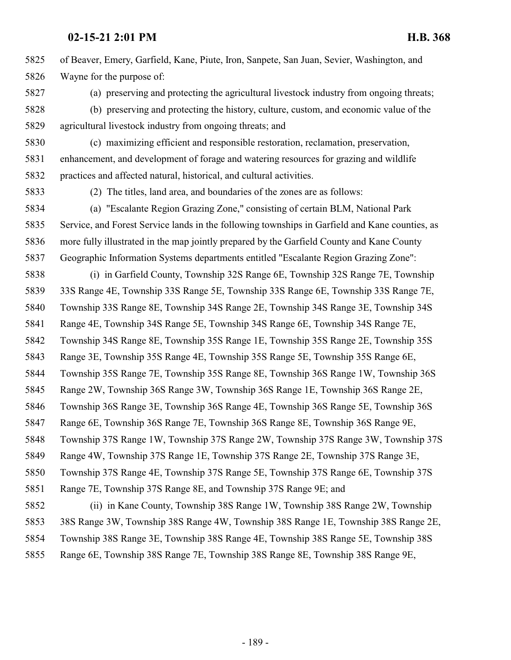of Beaver, Emery, Garfield, Kane, Piute, Iron, Sanpete, San Juan, Sevier, Washington, and Wayne for the purpose of:

(a) preserving and protecting the agricultural livestock industry from ongoing threats;

 (b) preserving and protecting the history, culture, custom, and economic value of the agricultural livestock industry from ongoing threats; and

 (c) maximizing efficient and responsible restoration, reclamation, preservation, enhancement, and development of forage and watering resources for grazing and wildlife practices and affected natural, historical, and cultural activities.

(2) The titles, land area, and boundaries of the zones are as follows:

 (a) "Escalante Region Grazing Zone," consisting of certain BLM, National Park Service, and Forest Service lands in the following townships in Garfield and Kane counties, as more fully illustrated in the map jointly prepared by the Garfield County and Kane County Geographic Information Systems departments entitled "Escalante Region Grazing Zone":

(i) in Garfield County, Township 32S Range 6E, Township 32S Range 7E, Township

33S Range 4E, Township 33S Range 5E, Township 33S Range 6E, Township 33S Range 7E,

Township 33S Range 8E, Township 34S Range 2E, Township 34S Range 3E, Township 34S

Range 4E, Township 34S Range 5E, Township 34S Range 6E, Township 34S Range 7E,

Township 34S Range 8E, Township 35S Range 1E, Township 35S Range 2E, Township 35S

Range 3E, Township 35S Range 4E, Township 35S Range 5E, Township 35S Range 6E,

Township 35S Range 7E, Township 35S Range 8E, Township 36S Range 1W, Township 36S

Range 2W, Township 36S Range 3W, Township 36S Range 1E, Township 36S Range 2E,

Township 36S Range 3E, Township 36S Range 4E, Township 36S Range 5E, Township 36S

Range 6E, Township 36S Range 7E, Township 36S Range 8E, Township 36S Range 9E,

Township 37S Range 1W, Township 37S Range 2W, Township 37S Range 3W, Township 37S

Range 4W, Township 37S Range 1E, Township 37S Range 2E, Township 37S Range 3E,

Township 37S Range 4E, Township 37S Range 5E, Township 37S Range 6E, Township 37S

Range 7E, Township 37S Range 8E, and Township 37S Range 9E; and

 (ii) in Kane County, Township 38S Range 1W, Township 38S Range 2W, Township 38S Range 3W, Township 38S Range 4W, Township 38S Range 1E, Township 38S Range 2E, Township 38S Range 3E, Township 38S Range 4E, Township 38S Range 5E, Township 38S

Range 6E, Township 38S Range 7E, Township 38S Range 8E, Township 38S Range 9E,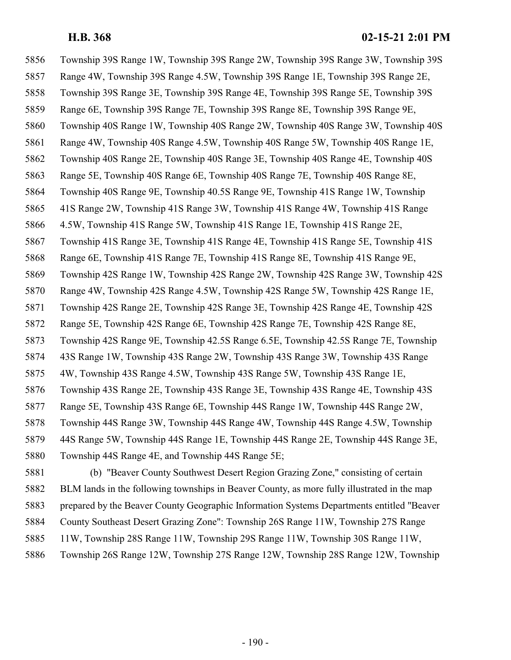Township 39S Range 1W, Township 39S Range 2W, Township 39S Range 3W, Township 39S Range 4W, Township 39S Range 4.5W, Township 39S Range 1E, Township 39S Range 2E, Township 39S Range 3E, Township 39S Range 4E, Township 39S Range 5E, Township 39S Range 6E, Township 39S Range 7E, Township 39S Range 8E, Township 39S Range 9E, Township 40S Range 1W, Township 40S Range 2W, Township 40S Range 3W, Township 40S Range 4W, Township 40S Range 4.5W, Township 40S Range 5W, Township 40S Range 1E, Township 40S Range 2E, Township 40S Range 3E, Township 40S Range 4E, Township 40S Range 5E, Township 40S Range 6E, Township 40S Range 7E, Township 40S Range 8E, Township 40S Range 9E, Township 40.5S Range 9E, Township 41S Range 1W, Township 41S Range 2W, Township 41S Range 3W, Township 41S Range 4W, Township 41S Range 4.5W, Township 41S Range 5W, Township 41S Range 1E, Township 41S Range 2E, Township 41S Range 3E, Township 41S Range 4E, Township 41S Range 5E, Township 41S Range 6E, Township 41S Range 7E, Township 41S Range 8E, Township 41S Range 9E, Township 42S Range 1W, Township 42S Range 2W, Township 42S Range 3W, Township 42S Range 4W, Township 42S Range 4.5W, Township 42S Range 5W, Township 42S Range 1E, Township 42S Range 2E, Township 42S Range 3E, Township 42S Range 4E, Township 42S Range 5E, Township 42S Range 6E, Township 42S Range 7E, Township 42S Range 8E, Township 42S Range 9E, Township 42.5S Range 6.5E, Township 42.5S Range 7E, Township 43S Range 1W, Township 43S Range 2W, Township 43S Range 3W, Township 43S Range 4W, Township 43S Range 4.5W, Township 43S Range 5W, Township 43S Range 1E, Township 43S Range 2E, Township 43S Range 3E, Township 43S Range 4E, Township 43S Range 5E, Township 43S Range 6E, Township 44S Range 1W, Township 44S Range 2W, Township 44S Range 3W, Township 44S Range 4W, Township 44S Range 4.5W, Township 44S Range 5W, Township 44S Range 1E, Township 44S Range 2E, Township 44S Range 3E, Township 44S Range 4E, and Township 44S Range 5E; (b) "Beaver County Southwest Desert Region Grazing Zone," consisting of certain

 BLM lands in the following townships in Beaver County, as more fully illustrated in the map prepared by the Beaver County Geographic Information Systems Departments entitled "Beaver County Southeast Desert Grazing Zone": Township 26S Range 11W, Township 27S Range

- 11W, Township 28S Range 11W, Township 29S Range 11W, Township 30S Range 11W,
- Township 26S Range 12W, Township 27S Range 12W, Township 28S Range 12W, Township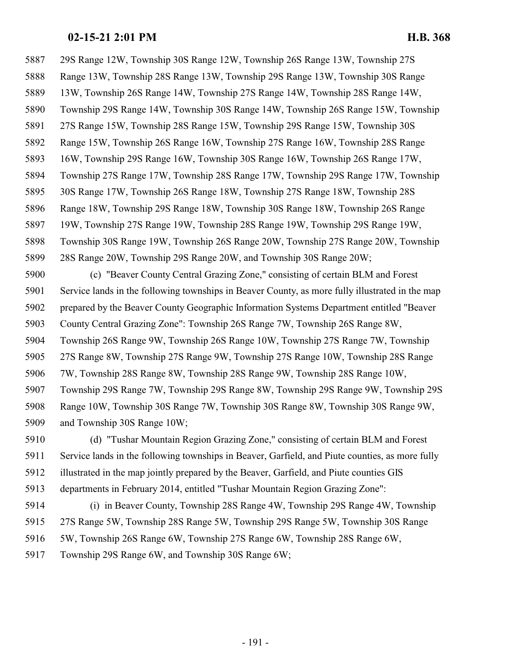29S Range 12W, Township 30S Range 12W, Township 26S Range 13W, Township 27S Range 13W, Township 28S Range 13W, Township 29S Range 13W, Township 30S Range 13W, Township 26S Range 14W, Township 27S Range 14W, Township 28S Range 14W, Township 29S Range 14W, Township 30S Range 14W, Township 26S Range 15W, Township 27S Range 15W, Township 28S Range 15W, Township 29S Range 15W, Township 30S Range 15W, Township 26S Range 16W, Township 27S Range 16W, Township 28S Range 16W, Township 29S Range 16W, Township 30S Range 16W, Township 26S Range 17W, Township 27S Range 17W, Township 28S Range 17W, Township 29S Range 17W, Township 30S Range 17W, Township 26S Range 18W, Township 27S Range 18W, Township 28S Range 18W, Township 29S Range 18W, Township 30S Range 18W, Township 26S Range 19W, Township 27S Range 19W, Township 28S Range 19W, Township 29S Range 19W, Township 30S Range 19W, Township 26S Range 20W, Township 27S Range 20W, Township 28S Range 20W, Township 29S Range 20W, and Township 30S Range 20W; (c) "Beaver County Central Grazing Zone," consisting of certain BLM and Forest Service lands in the following townships in Beaver County, as more fully illustrated in the map prepared by the Beaver County Geographic Information Systems Department entitled "Beaver County Central Grazing Zone": Township 26S Range 7W, Township 26S Range 8W, Township 26S Range 9W, Township 26S Range 10W, Township 27S Range 7W, Township 27S Range 8W, Township 27S Range 9W, Township 27S Range 10W, Township 28S Range 7W, Township 28S Range 8W, Township 28S Range 9W, Township 28S Range 10W, Township 29S Range 7W, Township 29S Range 8W, Township 29S Range 9W, Township 29S Range 10W, Township 30S Range 7W, Township 30S Range 8W, Township 30S Range 9W, and Township 30S Range 10W;

 (d) "Tushar Mountain Region Grazing Zone," consisting of certain BLM and Forest Service lands in the following townships in Beaver, Garfield, and Piute counties, as more fully illustrated in the map jointly prepared by the Beaver, Garfield, and Piute counties GIS departments in February 2014, entitled "Tushar Mountain Region Grazing Zone":

 (i) in Beaver County, Township 28S Range 4W, Township 29S Range 4W, Township 27S Range 5W, Township 28S Range 5W, Township 29S Range 5W, Township 30S Range 5W, Township 26S Range 6W, Township 27S Range 6W, Township 28S Range 6W, Township 29S Range 6W, and Township 30S Range 6W;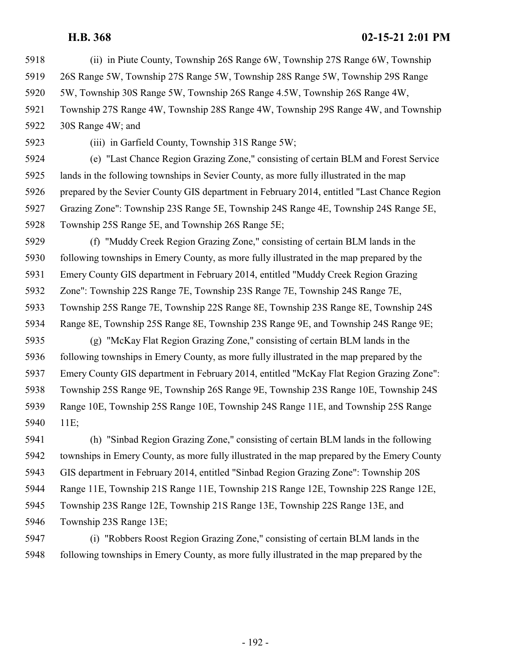- (ii) in Piute County, Township 26S Range 6W, Township 27S Range 6W, Township 26S Range 5W, Township 27S Range 5W, Township 28S Range 5W, Township 29S Range 5W, Township 30S Range 5W, Township 26S Range 4.5W, Township 26S Range 4W, Township 27S Range 4W, Township 28S Range 4W, Township 29S Range 4W, and Township
- 30S Range 4W; and
- 

(iii) in Garfield County, Township 31S Range 5W;

 (e) "Last Chance Region Grazing Zone," consisting of certain BLM and Forest Service lands in the following townships in Sevier County, as more fully illustrated in the map prepared by the Sevier County GIS department in February 2014, entitled "Last Chance Region Grazing Zone": Township 23S Range 5E, Township 24S Range 4E, Township 24S Range 5E, Township 25S Range 5E, and Township 26S Range 5E;

 (f) "Muddy Creek Region Grazing Zone," consisting of certain BLM lands in the following townships in Emery County, as more fully illustrated in the map prepared by the Emery County GIS department in February 2014, entitled "Muddy Creek Region Grazing Zone": Township 22S Range 7E, Township 23S Range 7E, Township 24S Range 7E, Township 25S Range 7E, Township 22S Range 8E, Township 23S Range 8E, Township 24S Range 8E, Township 25S Range 8E, Township 23S Range 9E, and Township 24S Range 9E; (g) "McKay Flat Region Grazing Zone," consisting of certain BLM lands in the following townships in Emery County, as more fully illustrated in the map prepared by the Emery County GIS department in February 2014, entitled "McKay Flat Region Grazing Zone": Township 25S Range 9E, Township 26S Range 9E, Township 23S Range 10E, Township 24S Range 10E, Township 25S Range 10E, Township 24S Range 11E, and Township 25S Range 11E;

 (h) "Sinbad Region Grazing Zone," consisting of certain BLM lands in the following townships in Emery County, as more fully illustrated in the map prepared by the Emery County GIS department in February 2014, entitled "Sinbad Region Grazing Zone": Township 20S Range 11E, Township 21S Range 11E, Township 21S Range 12E, Township 22S Range 12E, Township 23S Range 12E, Township 21S Range 13E, Township 22S Range 13E, and Township 23S Range 13E;

 (i) "Robbers Roost Region Grazing Zone," consisting of certain BLM lands in the following townships in Emery County, as more fully illustrated in the map prepared by the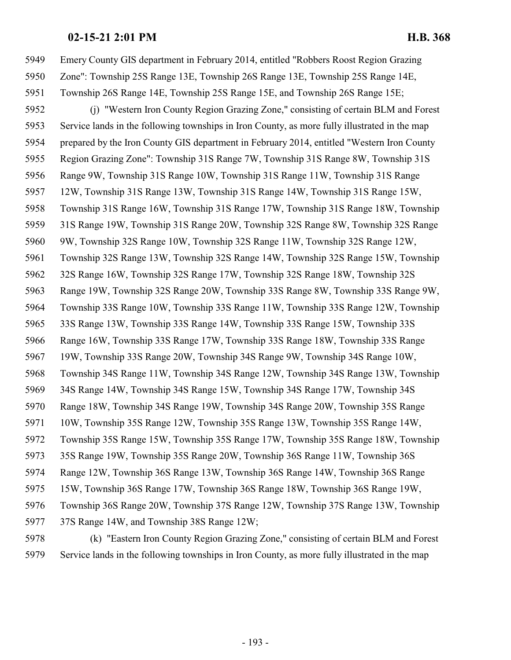Emery County GIS department in February 2014, entitled "Robbers Roost Region Grazing Zone": Township 25S Range 13E, Township 26S Range 13E, Township 25S Range 14E, Township 26S Range 14E, Township 25S Range 15E, and Township 26S Range 15E;

 (j) "Western Iron County Region Grazing Zone," consisting of certain BLM and Forest Service lands in the following townships in Iron County, as more fully illustrated in the map prepared by the Iron County GIS department in February 2014, entitled "Western Iron County Region Grazing Zone": Township 31S Range 7W, Township 31S Range 8W, Township 31S Range 9W, Township 31S Range 10W, Township 31S Range 11W, Township 31S Range 12W, Township 31S Range 13W, Township 31S Range 14W, Township 31S Range 15W, Township 31S Range 16W, Township 31S Range 17W, Township 31S Range 18W, Township 31S Range 19W, Township 31S Range 20W, Township 32S Range 8W, Township 32S Range 9W, Township 32S Range 10W, Township 32S Range 11W, Township 32S Range 12W, Township 32S Range 13W, Township 32S Range 14W, Township 32S Range 15W, Township 32S Range 16W, Township 32S Range 17W, Township 32S Range 18W, Township 32S Range 19W, Township 32S Range 20W, Township 33S Range 8W, Township 33S Range 9W, Township 33S Range 10W, Township 33S Range 11W, Township 33S Range 12W, Township 33S Range 13W, Township 33S Range 14W, Township 33S Range 15W, Township 33S Range 16W, Township 33S Range 17W, Township 33S Range 18W, Township 33S Range 19W, Township 33S Range 20W, Township 34S Range 9W, Township 34S Range 10W, Township 34S Range 11W, Township 34S Range 12W, Township 34S Range 13W, Township 34S Range 14W, Township 34S Range 15W, Township 34S Range 17W, Township 34S Range 18W, Township 34S Range 19W, Township 34S Range 20W, Township 35S Range 10W, Township 35S Range 12W, Township 35S Range 13W, Township 35S Range 14W, Township 35S Range 15W, Township 35S Range 17W, Township 35S Range 18W, Township 35S Range 19W, Township 35S Range 20W, Township 36S Range 11W, Township 36S Range 12W, Township 36S Range 13W, Township 36S Range 14W, Township 36S Range 15W, Township 36S Range 17W, Township 36S Range 18W, Township 36S Range 19W, Township 36S Range 20W, Township 37S Range 12W, Township 37S Range 13W, Township 37S Range 14W, and Township 38S Range 12W;

 (k) "Eastern Iron County Region Grazing Zone," consisting of certain BLM and Forest Service lands in the following townships in Iron County, as more fully illustrated in the map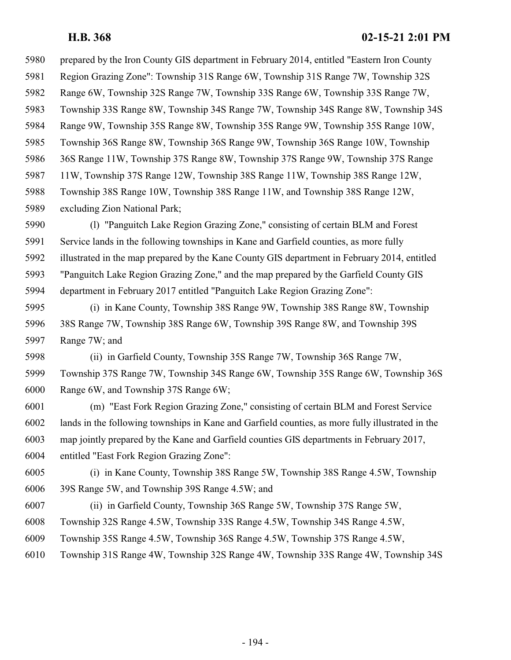prepared by the Iron County GIS department in February 2014, entitled "Eastern Iron County Region Grazing Zone": Township 31S Range 6W, Township 31S Range 7W, Township 32S Range 6W, Township 32S Range 7W, Township 33S Range 6W, Township 33S Range 7W, Township 33S Range 8W, Township 34S Range 7W, Township 34S Range 8W, Township 34S Range 9W, Township 35S Range 8W, Township 35S Range 9W, Township 35S Range 10W, Township 36S Range 8W, Township 36S Range 9W, Township 36S Range 10W, Township 36S Range 11W, Township 37S Range 8W, Township 37S Range 9W, Township 37S Range 11W, Township 37S Range 12W, Township 38S Range 11W, Township 38S Range 12W, Township 38S Range 10W, Township 38S Range 11W, and Township 38S Range 12W, excluding Zion National Park; (l) "Panguitch Lake Region Grazing Zone," consisting of certain BLM and Forest Service lands in the following townships in Kane and Garfield counties, as more fully illustrated in the map prepared by the Kane County GIS department in February 2014, entitled "Panguitch Lake Region Grazing Zone," and the map prepared by the Garfield County GIS

department in February 2017 entitled "Panguitch Lake Region Grazing Zone":

 (i) in Kane County, Township 38S Range 9W, Township 38S Range 8W, Township 38S Range 7W, Township 38S Range 6W, Township 39S Range 8W, and Township 39S Range 7W; and

 (ii) in Garfield County, Township 35S Range 7W, Township 36S Range 7W, Township 37S Range 7W, Township 34S Range 6W, Township 35S Range 6W, Township 36S Range 6W, and Township 37S Range 6W;

 (m) "East Fork Region Grazing Zone," consisting of certain BLM and Forest Service lands in the following townships in Kane and Garfield counties, as more fully illustrated in the map jointly prepared by the Kane and Garfield counties GIS departments in February 2017, entitled "East Fork Region Grazing Zone":

 (i) in Kane County, Township 38S Range 5W, Township 38S Range 4.5W, Township 39S Range 5W, and Township 39S Range 4.5W; and

- (ii) in Garfield County, Township 36S Range 5W, Township 37S Range 5W,
- Township 32S Range 4.5W, Township 33S Range 4.5W, Township 34S Range 4.5W,
- Township 35S Range 4.5W, Township 36S Range 4.5W, Township 37S Range 4.5W,
- Township 31S Range 4W, Township 32S Range 4W, Township 33S Range 4W, Township 34S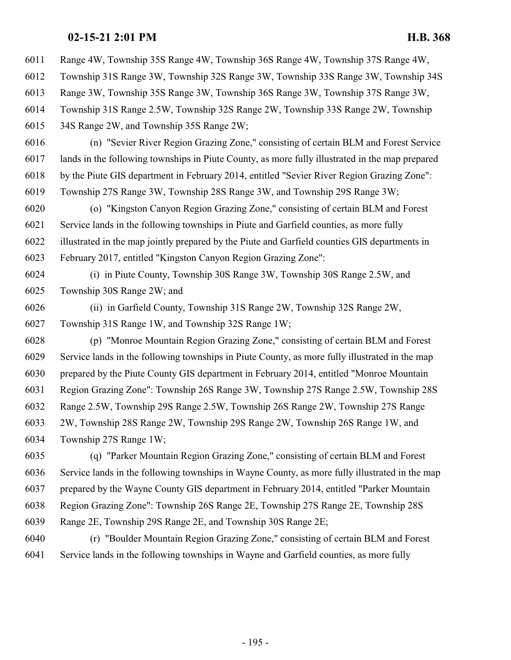Range 4W, Township 35S Range 4W, Township 36S Range 4W, Township 37S Range 4W,

Township 31S Range 3W, Township 32S Range 3W, Township 33S Range 3W, Township 34S

- Range 3W, Township 35S Range 3W, Township 36S Range 3W, Township 37S Range 3W,
- Township 31S Range 2.5W, Township 32S Range 2W, Township 33S Range 2W, Township
- 34S Range 2W, and Township 35S Range 2W;

 (n) "Sevier River Region Grazing Zone," consisting of certain BLM and Forest Service lands in the following townships in Piute County, as more fully illustrated in the map prepared by the Piute GIS department in February 2014, entitled "Sevier River Region Grazing Zone": Township 27S Range 3W, Township 28S Range 3W, and Township 29S Range 3W;

 (o) "Kingston Canyon Region Grazing Zone," consisting of certain BLM and Forest Service lands in the following townships in Piute and Garfield counties, as more fully illustrated in the map jointly prepared by the Piute and Garfield counties GIS departments in February 2017, entitled "Kingston Canyon Region Grazing Zone":

 (i) in Piute County, Township 30S Range 3W, Township 30S Range 2.5W, and Township 30S Range 2W; and

 (ii) in Garfield County, Township 31S Range 2W, Township 32S Range 2W, Township 31S Range 1W, and Township 32S Range 1W;

 (p) "Monroe Mountain Region Grazing Zone," consisting of certain BLM and Forest Service lands in the following townships in Piute County, as more fully illustrated in the map prepared by the Piute County GIS department in February 2014, entitled "Monroe Mountain Region Grazing Zone": Township 26S Range 3W, Township 27S Range 2.5W, Township 28S Range 2.5W, Township 29S Range 2.5W, Township 26S Range 2W, Township 27S Range 2W, Township 28S Range 2W, Township 29S Range 2W, Township 26S Range 1W, and Township 27S Range 1W;

 (q) "Parker Mountain Region Grazing Zone," consisting of certain BLM and Forest Service lands in the following townships in Wayne County, as more fully illustrated in the map prepared by the Wayne County GIS department in February 2014, entitled "Parker Mountain Region Grazing Zone": Township 26S Range 2E, Township 27S Range 2E, Township 28S Range 2E, Township 29S Range 2E, and Township 30S Range 2E;

 (r) "Boulder Mountain Region Grazing Zone," consisting of certain BLM and Forest Service lands in the following townships in Wayne and Garfield counties, as more fully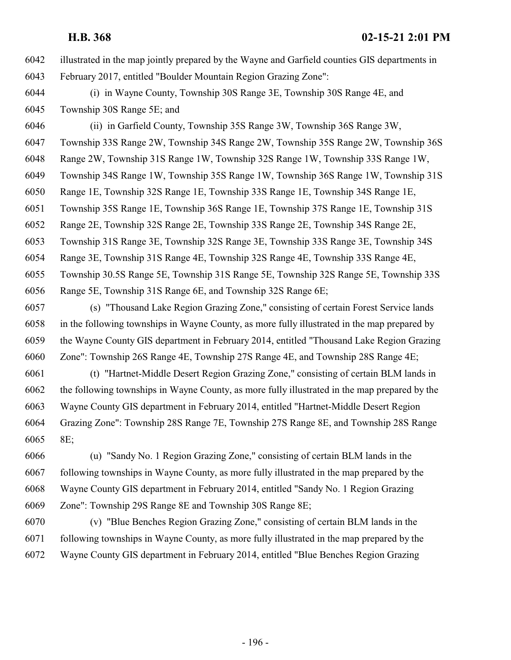illustrated in the map jointly prepared by the Wayne and Garfield counties GIS departments in February 2017, entitled "Boulder Mountain Region Grazing Zone":

 (i) in Wayne County, Township 30S Range 3E, Township 30S Range 4E, and Township 30S Range 5E; and

 (ii) in Garfield County, Township 35S Range 3W, Township 36S Range 3W, Township 33S Range 2W, Township 34S Range 2W, Township 35S Range 2W, Township 36S Range 2W, Township 31S Range 1W, Township 32S Range 1W, Township 33S Range 1W, Township 34S Range 1W, Township 35S Range 1W, Township 36S Range 1W, Township 31S Range 1E, Township 32S Range 1E, Township 33S Range 1E, Township 34S Range 1E, Township 35S Range 1E, Township 36S Range 1E, Township 37S Range 1E, Township 31S Range 2E, Township 32S Range 2E, Township 33S Range 2E, Township 34S Range 2E, Township 31S Range 3E, Township 32S Range 3E, Township 33S Range 3E, Township 34S Range 3E, Township 31S Range 4E, Township 32S Range 4E, Township 33S Range 4E, Township 30.5S Range 5E, Township 31S Range 5E, Township 32S Range 5E, Township 33S Range 5E, Township 31S Range 6E, and Township 32S Range 6E;

 (s) "Thousand Lake Region Grazing Zone," consisting of certain Forest Service lands in the following townships in Wayne County, as more fully illustrated in the map prepared by the Wayne County GIS department in February 2014, entitled "Thousand Lake Region Grazing Zone": Township 26S Range 4E, Township 27S Range 4E, and Township 28S Range 4E;

 (t) "Hartnet-Middle Desert Region Grazing Zone," consisting of certain BLM lands in the following townships in Wayne County, as more fully illustrated in the map prepared by the Wayne County GIS department in February 2014, entitled "Hartnet-Middle Desert Region Grazing Zone": Township 28S Range 7E, Township 27S Range 8E, and Township 28S Range 8E;

 (u) "Sandy No. 1 Region Grazing Zone," consisting of certain BLM lands in the following townships in Wayne County, as more fully illustrated in the map prepared by the Wayne County GIS department in February 2014, entitled "Sandy No. 1 Region Grazing Zone": Township 29S Range 8E and Township 30S Range 8E;

 (v) "Blue Benches Region Grazing Zone," consisting of certain BLM lands in the following townships in Wayne County, as more fully illustrated in the map prepared by the Wayne County GIS department in February 2014, entitled "Blue Benches Region Grazing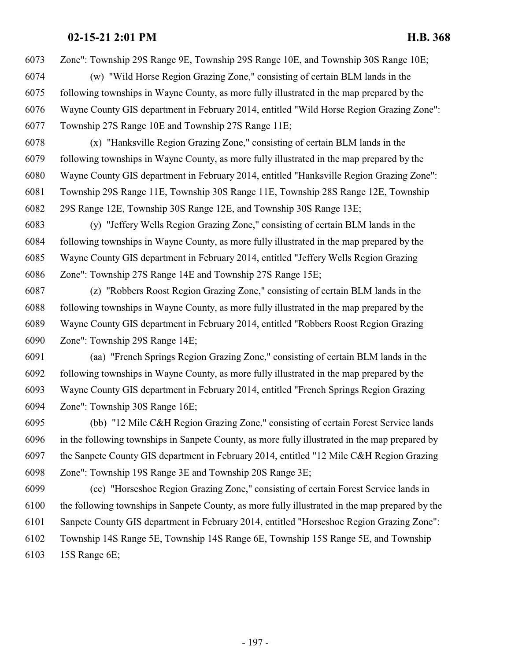Zone": Township 29S Range 9E, Township 29S Range 10E, and Township 30S Range 10E;

- (w) "Wild Horse Region Grazing Zone," consisting of certain BLM lands in the following townships in Wayne County, as more fully illustrated in the map prepared by the Wayne County GIS department in February 2014, entitled "Wild Horse Region Grazing Zone": Township 27S Range 10E and Township 27S Range 11E;
- (x) "Hanksville Region Grazing Zone," consisting of certain BLM lands in the following townships in Wayne County, as more fully illustrated in the map prepared by the Wayne County GIS department in February 2014, entitled "Hanksville Region Grazing Zone": Township 29S Range 11E, Township 30S Range 11E, Township 28S Range 12E, Township 29S Range 12E, Township 30S Range 12E, and Township 30S Range 13E;
- (y) "Jeffery Wells Region Grazing Zone," consisting of certain BLM lands in the following townships in Wayne County, as more fully illustrated in the map prepared by the Wayne County GIS department in February 2014, entitled "Jeffery Wells Region Grazing Zone": Township 27S Range 14E and Township 27S Range 15E;
- (z) "Robbers Roost Region Grazing Zone," consisting of certain BLM lands in the following townships in Wayne County, as more fully illustrated in the map prepared by the Wayne County GIS department in February 2014, entitled "Robbers Roost Region Grazing Zone": Township 29S Range 14E;
- (aa) "French Springs Region Grazing Zone," consisting of certain BLM lands in the following townships in Wayne County, as more fully illustrated in the map prepared by the Wayne County GIS department in February 2014, entitled "French Springs Region Grazing Zone": Township 30S Range 16E;
- (bb) "12 Mile C&H Region Grazing Zone," consisting of certain Forest Service lands in the following townships in Sanpete County, as more fully illustrated in the map prepared by the Sanpete County GIS department in February 2014, entitled "12 Mile C&H Region Grazing Zone": Township 19S Range 3E and Township 20S Range 3E;
- (cc) "Horseshoe Region Grazing Zone," consisting of certain Forest Service lands in the following townships in Sanpete County, as more fully illustrated in the map prepared by the Sanpete County GIS department in February 2014, entitled "Horseshoe Region Grazing Zone": Township 14S Range 5E, Township 14S Range 6E, Township 15S Range 5E, and Township 15S Range 6E;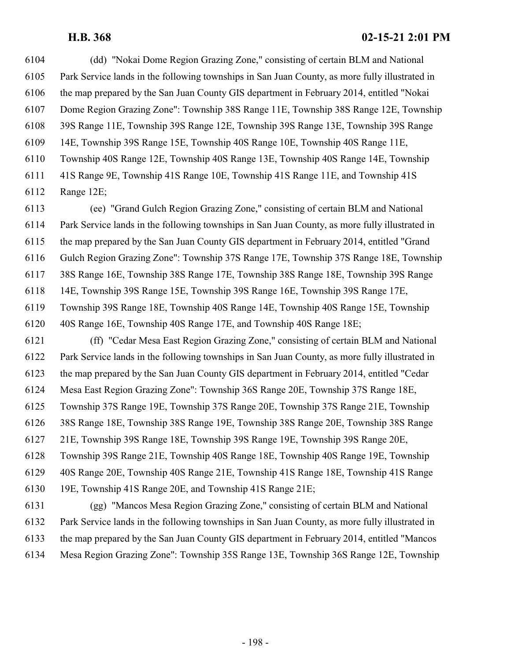(dd) "Nokai Dome Region Grazing Zone," consisting of certain BLM and National Park Service lands in the following townships in San Juan County, as more fully illustrated in the map prepared by the San Juan County GIS department in February 2014, entitled "Nokai Dome Region Grazing Zone": Township 38S Range 11E, Township 38S Range 12E, Township 39S Range 11E, Township 39S Range 12E, Township 39S Range 13E, Township 39S Range 14E, Township 39S Range 15E, Township 40S Range 10E, Township 40S Range 11E, Township 40S Range 12E, Township 40S Range 13E, Township 40S Range 14E, Township 41S Range 9E, Township 41S Range 10E, Township 41S Range 11E, and Township 41S Range 12E;

 (ee) "Grand Gulch Region Grazing Zone," consisting of certain BLM and National Park Service lands in the following townships in San Juan County, as more fully illustrated in the map prepared by the San Juan County GIS department in February 2014, entitled "Grand Gulch Region Grazing Zone": Township 37S Range 17E, Township 37S Range 18E, Township 38S Range 16E, Township 38S Range 17E, Township 38S Range 18E, Township 39S Range 14E, Township 39S Range 15E, Township 39S Range 16E, Township 39S Range 17E, Township 39S Range 18E, Township 40S Range 14E, Township 40S Range 15E, Township 40S Range 16E, Township 40S Range 17E, and Township 40S Range 18E; (ff) "Cedar Mesa East Region Grazing Zone," consisting of certain BLM and National Park Service lands in the following townships in San Juan County, as more fully illustrated in the map prepared by the San Juan County GIS department in February 2014, entitled "Cedar Mesa East Region Grazing Zone": Township 36S Range 20E, Township 37S Range 18E, Township 37S Range 19E, Township 37S Range 20E, Township 37S Range 21E, Township 38S Range 18E, Township 38S Range 19E, Township 38S Range 20E, Township 38S Range 21E, Township 39S Range 18E, Township 39S Range 19E, Township 39S Range 20E, Township 39S Range 21E, Township 40S Range 18E, Township 40S Range 19E, Township 40S Range 20E, Township 40S Range 21E, Township 41S Range 18E, Township 41S Range 19E, Township 41S Range 20E, and Township 41S Range 21E;

 (gg) "Mancos Mesa Region Grazing Zone," consisting of certain BLM and National Park Service lands in the following townships in San Juan County, as more fully illustrated in the map prepared by the San Juan County GIS department in February 2014, entitled "Mancos Mesa Region Grazing Zone": Township 35S Range 13E, Township 36S Range 12E, Township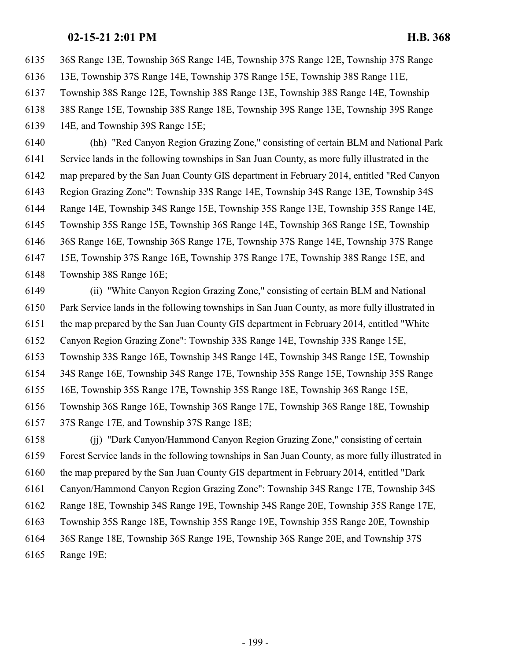36S Range 13E, Township 36S Range 14E, Township 37S Range 12E, Township 37S Range

13E, Township 37S Range 14E, Township 37S Range 15E, Township 38S Range 11E,

Township 38S Range 12E, Township 38S Range 13E, Township 38S Range 14E, Township

38S Range 15E, Township 38S Range 18E, Township 39S Range 13E, Township 39S Range

14E, and Township 39S Range 15E;

 (hh) "Red Canyon Region Grazing Zone," consisting of certain BLM and National Park Service lands in the following townships in San Juan County, as more fully illustrated in the map prepared by the San Juan County GIS department in February 2014, entitled "Red Canyon Region Grazing Zone": Township 33S Range 14E, Township 34S Range 13E, Township 34S Range 14E, Township 34S Range 15E, Township 35S Range 13E, Township 35S Range 14E, Township 35S Range 15E, Township 36S Range 14E, Township 36S Range 15E, Township 36S Range 16E, Township 36S Range 17E, Township 37S Range 14E, Township 37S Range 15E, Township 37S Range 16E, Township 37S Range 17E, Township 38S Range 15E, and Township 38S Range 16E;

 (ii) "White Canyon Region Grazing Zone," consisting of certain BLM and National Park Service lands in the following townships in San Juan County, as more fully illustrated in the map prepared by the San Juan County GIS department in February 2014, entitled "White Canyon Region Grazing Zone": Township 33S Range 14E, Township 33S Range 15E, Township 33S Range 16E, Township 34S Range 14E, Township 34S Range 15E, Township 34S Range 16E, Township 34S Range 17E, Township 35S Range 15E, Township 35S Range 16E, Township 35S Range 17E, Township 35S Range 18E, Township 36S Range 15E, Township 36S Range 16E, Township 36S Range 17E, Township 36S Range 18E, Township 37S Range 17E, and Township 37S Range 18E; (jj) "Dark Canyon/Hammond Canyon Region Grazing Zone," consisting of certain

 Forest Service lands in the following townships in San Juan County, as more fully illustrated in the map prepared by the San Juan County GIS department in February 2014, entitled "Dark Canyon/Hammond Canyon Region Grazing Zone": Township 34S Range 17E, Township 34S Range 18E, Township 34S Range 19E, Township 34S Range 20E, Township 35S Range 17E, Township 35S Range 18E, Township 35S Range 19E, Township 35S Range 20E, Township 36S Range 18E, Township 36S Range 19E, Township 36S Range 20E, and Township 37S Range 19E;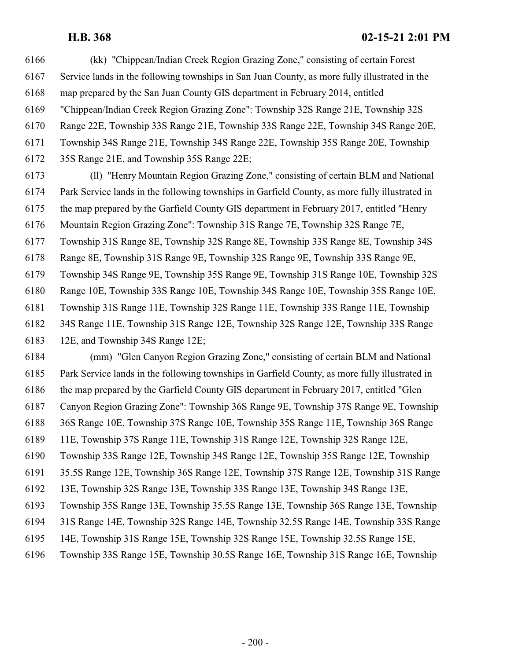| 6166 | (kk) "Chippean/Indian Creek Region Grazing Zone," consisting of certain Forest                 |
|------|------------------------------------------------------------------------------------------------|
| 6167 | Service lands in the following townships in San Juan County, as more fully illustrated in the  |
| 6168 | map prepared by the San Juan County GIS department in February 2014, entitled                  |
| 6169 | "Chippean/Indian Creek Region Grazing Zone": Township 32S Range 21E, Township 32S              |
| 6170 | Range 22E, Township 33S Range 21E, Township 33S Range 22E, Township 34S Range 20E,             |
| 6171 | Township 34S Range 21E, Township 34S Range 22E, Township 35S Range 20E, Township               |
| 6172 | 35S Range 21E, and Township 35S Range 22E;                                                     |
| 6173 | (ll) "Henry Mountain Region Grazing Zone," consisting of certain BLM and National              |
| 6174 | Park Service lands in the following townships in Garfield County, as more fully illustrated in |
| 6175 | the map prepared by the Garfield County GIS department in February 2017, entitled "Henry       |
| 6176 | Mountain Region Grazing Zone": Township 31S Range 7E, Township 32S Range 7E,                   |
| 6177 | Township 31S Range 8E, Township 32S Range 8E, Township 33S Range 8E, Township 34S              |
| 6178 | Range 8E, Township 31S Range 9E, Township 32S Range 9E, Township 33S Range 9E,                 |
| 6179 | Township 34S Range 9E, Township 35S Range 9E, Township 31S Range 10E, Township 32S             |
| 6180 | Range 10E, Township 33S Range 10E, Township 34S Range 10E, Township 35S Range 10E,             |
| 6181 | Township 31S Range 11E, Township 32S Range 11E, Township 33S Range 11E, Township               |
| 6182 | 34S Range 11E, Township 31S Range 12E, Township 32S Range 12E, Township 33S Range              |
| 6183 | 12E, and Township 34S Range 12E;                                                               |
| 6184 | (mm) "Glen Canyon Region Grazing Zone," consisting of certain BLM and National                 |
|      |                                                                                                |

 Park Service lands in the following townships in Garfield County, as more fully illustrated in the map prepared by the Garfield County GIS department in February 2017, entitled "Glen Canyon Region Grazing Zone": Township 36S Range 9E, Township 37S Range 9E, Township 36S Range 10E, Township 37S Range 10E, Township 35S Range 11E, Township 36S Range 11E, Township 37S Range 11E, Township 31S Range 12E, Township 32S Range 12E, Township 33S Range 12E, Township 34S Range 12E, Township 35S Range 12E, Township 35.5S Range 12E, Township 36S Range 12E, Township 37S Range 12E, Township 31S Range 13E, Township 32S Range 13E, Township 33S Range 13E, Township 34S Range 13E, Township 35S Range 13E, Township 35.5S Range 13E, Township 36S Range 13E, Township 31S Range 14E, Township 32S Range 14E, Township 32.5S Range 14E, Township 33S Range 14E, Township 31S Range 15E, Township 32S Range 15E, Township 32.5S Range 15E, Township 33S Range 15E, Township 30.5S Range 16E, Township 31S Range 16E, Township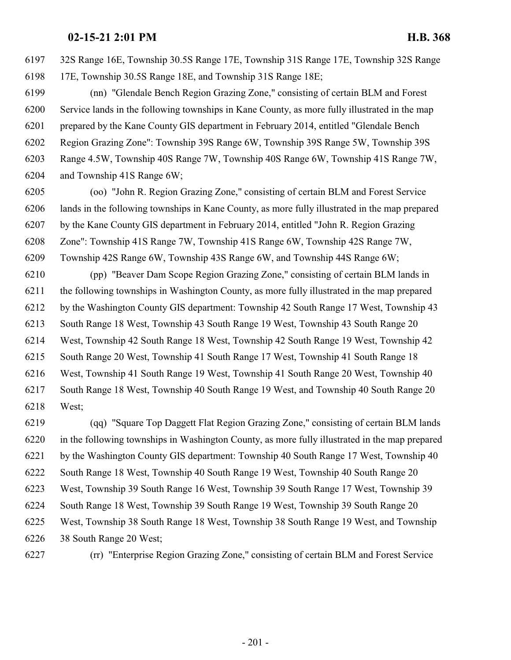32S Range 16E, Township 30.5S Range 17E, Township 31S Range 17E, Township 32S Range 17E, Township 30.5S Range 18E, and Township 31S Range 18E;

- (nn) "Glendale Bench Region Grazing Zone," consisting of certain BLM and Forest Service lands in the following townships in Kane County, as more fully illustrated in the map prepared by the Kane County GIS department in February 2014, entitled "Glendale Bench Region Grazing Zone": Township 39S Range 6W, Township 39S Range 5W, Township 39S Range 4.5W, Township 40S Range 7W, Township 40S Range 6W, Township 41S Range 7W, and Township 41S Range 6W;
- (oo) "John R. Region Grazing Zone," consisting of certain BLM and Forest Service lands in the following townships in Kane County, as more fully illustrated in the map prepared by the Kane County GIS department in February 2014, entitled "John R. Region Grazing Zone": Township 41S Range 7W, Township 41S Range 6W, Township 42S Range 7W, Township 42S Range 6W, Township 43S Range 6W, and Township 44S Range 6W;
- (pp) "Beaver Dam Scope Region Grazing Zone," consisting of certain BLM lands in the following townships in Washington County, as more fully illustrated in the map prepared by the Washington County GIS department: Township 42 South Range 17 West, Township 43 South Range 18 West, Township 43 South Range 19 West, Township 43 South Range 20 West, Township 42 South Range 18 West, Township 42 South Range 19 West, Township 42 South Range 20 West, Township 41 South Range 17 West, Township 41 South Range 18 West, Township 41 South Range 19 West, Township 41 South Range 20 West, Township 40 South Range 18 West, Township 40 South Range 19 West, and Township 40 South Range 20 West;

 (qq) "Square Top Daggett Flat Region Grazing Zone," consisting of certain BLM lands in the following townships in Washington County, as more fully illustrated in the map prepared by the Washington County GIS department: Township 40 South Range 17 West, Township 40 South Range 18 West, Township 40 South Range 19 West, Township 40 South Range 20 West, Township 39 South Range 16 West, Township 39 South Range 17 West, Township 39 South Range 18 West, Township 39 South Range 19 West, Township 39 South Range 20 West, Township 38 South Range 18 West, Township 38 South Range 19 West, and Township 38 South Range 20 West;

(rr) "Enterprise Region Grazing Zone," consisting of certain BLM and Forest Service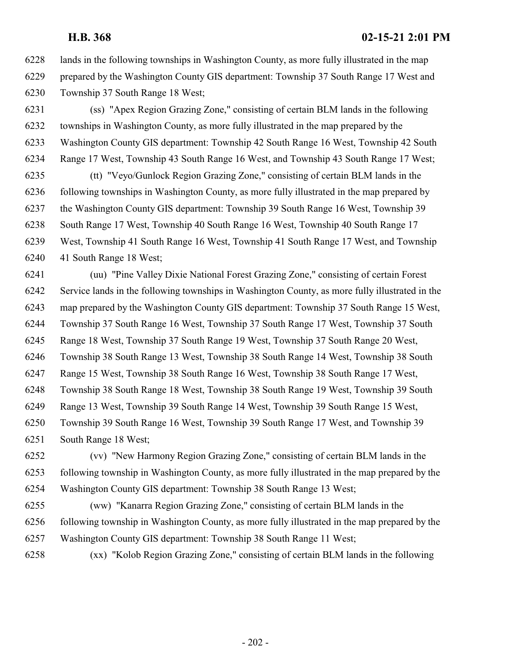lands in the following townships in Washington County, as more fully illustrated in the map prepared by the Washington County GIS department: Township 37 South Range 17 West and Township 37 South Range 18 West;

 (ss) "Apex Region Grazing Zone," consisting of certain BLM lands in the following townships in Washington County, as more fully illustrated in the map prepared by the Washington County GIS department: Township 42 South Range 16 West, Township 42 South Range 17 West, Township 43 South Range 16 West, and Township 43 South Range 17 West; (tt) "Veyo/Gunlock Region Grazing Zone," consisting of certain BLM lands in the following townships in Washington County, as more fully illustrated in the map prepared by the Washington County GIS department: Township 39 South Range 16 West, Township 39 South Range 17 West, Township 40 South Range 16 West, Township 40 South Range 17 West, Township 41 South Range 16 West, Township 41 South Range 17 West, and Township 41 South Range 18 West;

 (uu) "Pine Valley Dixie National Forest Grazing Zone," consisting of certain Forest Service lands in the following townships in Washington County, as more fully illustrated in the map prepared by the Washington County GIS department: Township 37 South Range 15 West, Township 37 South Range 16 West, Township 37 South Range 17 West, Township 37 South Range 18 West, Township 37 South Range 19 West, Township 37 South Range 20 West, Township 38 South Range 13 West, Township 38 South Range 14 West, Township 38 South Range 15 West, Township 38 South Range 16 West, Township 38 South Range 17 West, Township 38 South Range 18 West, Township 38 South Range 19 West, Township 39 South Range 13 West, Township 39 South Range 14 West, Township 39 South Range 15 West, Township 39 South Range 16 West, Township 39 South Range 17 West, and Township 39 South Range 18 West;

 (vv) "New Harmony Region Grazing Zone," consisting of certain BLM lands in the following township in Washington County, as more fully illustrated in the map prepared by the Washington County GIS department: Township 38 South Range 13 West;

 (ww) "Kanarra Region Grazing Zone," consisting of certain BLM lands in the following township in Washington County, as more fully illustrated in the map prepared by the Washington County GIS department: Township 38 South Range 11 West;

(xx) "Kolob Region Grazing Zone," consisting of certain BLM lands in the following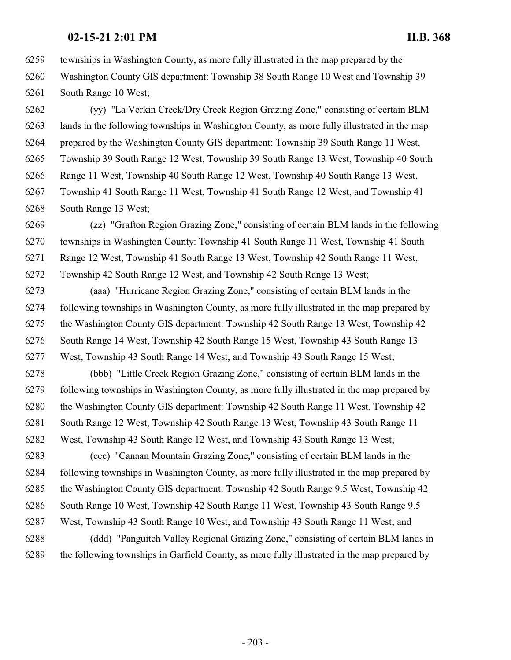townships in Washington County, as more fully illustrated in the map prepared by the Washington County GIS department: Township 38 South Range 10 West and Township 39 South Range 10 West;

 (yy) "La Verkin Creek/Dry Creek Region Grazing Zone," consisting of certain BLM lands in the following townships in Washington County, as more fully illustrated in the map prepared by the Washington County GIS department: Township 39 South Range 11 West, Township 39 South Range 12 West, Township 39 South Range 13 West, Township 40 South Range 11 West, Township 40 South Range 12 West, Township 40 South Range 13 West, Township 41 South Range 11 West, Township 41 South Range 12 West, and Township 41 South Range 13 West;

 (zz) "Grafton Region Grazing Zone," consisting of certain BLM lands in the following townships in Washington County: Township 41 South Range 11 West, Township 41 South Range 12 West, Township 41 South Range 13 West, Township 42 South Range 11 West, Township 42 South Range 12 West, and Township 42 South Range 13 West;

 (aaa) "Hurricane Region Grazing Zone," consisting of certain BLM lands in the following townships in Washington County, as more fully illustrated in the map prepared by the Washington County GIS department: Township 42 South Range 13 West, Township 42 South Range 14 West, Township 42 South Range 15 West, Township 43 South Range 13 West, Township 43 South Range 14 West, and Township 43 South Range 15 West;

 (bbb) "Little Creek Region Grazing Zone," consisting of certain BLM lands in the following townships in Washington County, as more fully illustrated in the map prepared by the Washington County GIS department: Township 42 South Range 11 West, Township 42 South Range 12 West, Township 42 South Range 13 West, Township 43 South Range 11 West, Township 43 South Range 12 West, and Township 43 South Range 13 West;

 (ccc) "Canaan Mountain Grazing Zone," consisting of certain BLM lands in the following townships in Washington County, as more fully illustrated in the map prepared by the Washington County GIS department: Township 42 South Range 9.5 West, Township 42 South Range 10 West, Township 42 South Range 11 West, Township 43 South Range 9.5 West, Township 43 South Range 10 West, and Township 43 South Range 11 West; and (ddd) "Panguitch Valley Regional Grazing Zone," consisting of certain BLM lands in the following townships in Garfield County, as more fully illustrated in the map prepared by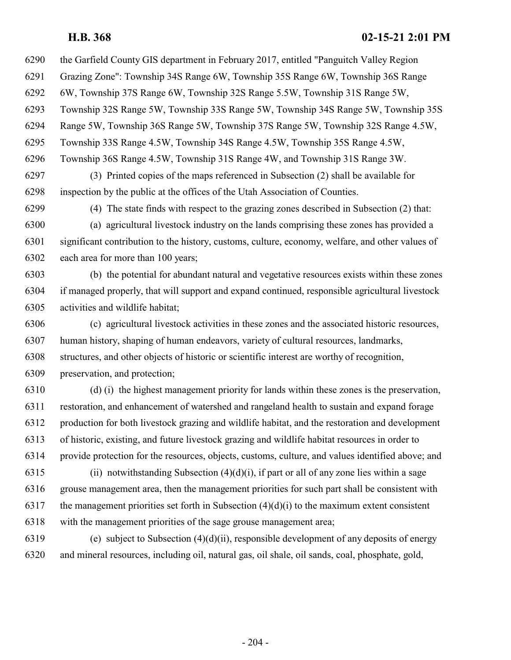the Garfield County GIS department in February 2017, entitled "Panguitch Valley Region Grazing Zone": Township 34S Range 6W, Township 35S Range 6W, Township 36S Range 6W, Township 37S Range 6W, Township 32S Range 5.5W, Township 31S Range 5W, Township 32S Range 5W, Township 33S Range 5W, Township 34S Range 5W, Township 35S Range 5W, Township 36S Range 5W, Township 37S Range 5W, Township 32S Range 4.5W, Township 33S Range 4.5W, Township 34S Range 4.5W, Township 35S Range 4.5W, Township 36S Range 4.5W, Township 31S Range 4W, and Township 31S Range 3W. (3) Printed copies of the maps referenced in Subsection (2) shall be available for inspection by the public at the offices of the Utah Association of Counties. (4) The state finds with respect to the grazing zones described in Subsection (2) that: (a) agricultural livestock industry on the lands comprising these zones has provided a significant contribution to the history, customs, culture, economy, welfare, and other values of

each area for more than 100 years;

 (b) the potential for abundant natural and vegetative resources exists within these zones if managed properly, that will support and expand continued, responsible agricultural livestock activities and wildlife habitat;

 (c) agricultural livestock activities in these zones and the associated historic resources, human history, shaping of human endeavors, variety of cultural resources, landmarks, structures, and other objects of historic or scientific interest are worthy of recognition, preservation, and protection;

 (d) (i) the highest management priority for lands within these zones is the preservation, restoration, and enhancement of watershed and rangeland health to sustain and expand forage production for both livestock grazing and wildlife habitat, and the restoration and development of historic, existing, and future livestock grazing and wildlife habitat resources in order to provide protection for the resources, objects, customs, culture, and values identified above; and 6315 (ii) notwithstanding Subsection  $(4)(d)(i)$ , if part or all of any zone lies within a sage

 grouse management area, then the management priorities for such part shall be consistent with 6317 the management priorities set forth in Subsection  $(4)(d)(i)$  to the maximum extent consistent with the management priorities of the sage grouse management area;

 (e) subject to Subsection (4)(d)(ii), responsible development of any deposits of energy and mineral resources, including oil, natural gas, oil shale, oil sands, coal, phosphate, gold,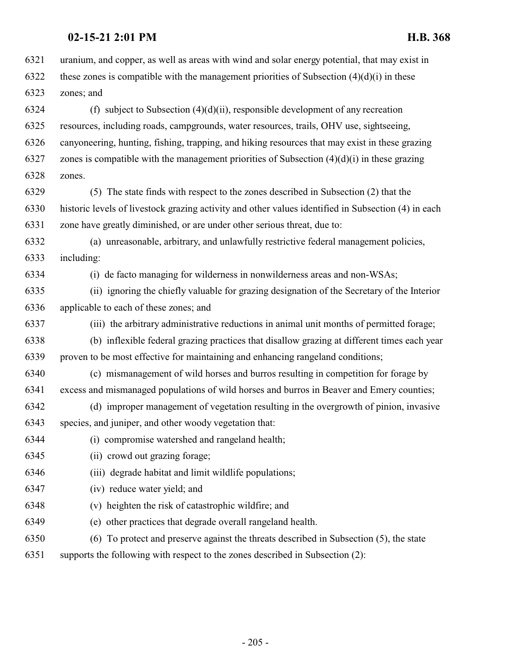uranium, and copper, as well as areas with wind and solar energy potential, that may exist in 6322 these zones is compatible with the management priorities of Subsection  $(4)(d)(i)$  in these zones; and 6324 (f) subject to Subsection  $(4)(d)(ii)$ , responsible development of any recreation resources, including roads, campgrounds, water resources, trails, OHV use, sightseeing, canyoneering, hunting, fishing, trapping, and hiking resources that may exist in these grazing 6327 zones is compatible with the management priorities of Subsection  $(4)(d)(i)$  in these grazing zones. (5) The state finds with respect to the zones described in Subsection (2) that the historic levels of livestock grazing activity and other values identified in Subsection (4) in each zone have greatly diminished, or are under other serious threat, due to: (a) unreasonable, arbitrary, and unlawfully restrictive federal management policies, including: (i) de facto managing for wilderness in nonwilderness areas and non-WSAs; (ii) ignoring the chiefly valuable for grazing designation of the Secretary of the Interior applicable to each of these zones; and (iii) the arbitrary administrative reductions in animal unit months of permitted forage; (b) inflexible federal grazing practices that disallow grazing at different times each year proven to be most effective for maintaining and enhancing rangeland conditions; (c) mismanagement of wild horses and burros resulting in competition for forage by excess and mismanaged populations of wild horses and burros in Beaver and Emery counties; (d) improper management of vegetation resulting in the overgrowth of pinion, invasive species, and juniper, and other woody vegetation that: (i) compromise watershed and rangeland health; (ii) crowd out grazing forage; (iii) degrade habitat and limit wildlife populations; (iv) reduce water yield; and (v) heighten the risk of catastrophic wildfire; and (e) other practices that degrade overall rangeland health. (6) To protect and preserve against the threats described in Subsection (5), the state supports the following with respect to the zones described in Subsection (2):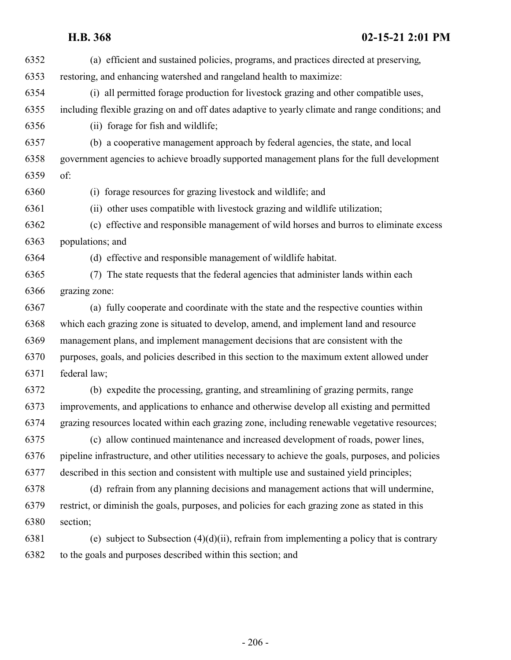| 6352 | (a) efficient and sustained policies, programs, and practices directed at preserving,               |
|------|-----------------------------------------------------------------------------------------------------|
| 6353 | restoring, and enhancing watershed and rangeland health to maximize:                                |
| 6354 | (i) all permitted forage production for livestock grazing and other compatible uses,                |
| 6355 | including flexible grazing on and off dates adaptive to yearly climate and range conditions; and    |
| 6356 | (ii) forage for fish and wildlife;                                                                  |
| 6357 | (b) a cooperative management approach by federal agencies, the state, and local                     |
| 6358 | government agencies to achieve broadly supported management plans for the full development          |
| 6359 | of:                                                                                                 |
| 6360 | (i) forage resources for grazing livestock and wildlife; and                                        |
| 6361 | (ii) other uses compatible with livestock grazing and wildlife utilization;                         |
| 6362 | (c) effective and responsible management of wild horses and burros to eliminate excess              |
| 6363 | populations; and                                                                                    |
| 6364 | (d) effective and responsible management of wildlife habitat.                                       |
| 6365 | (7) The state requests that the federal agencies that administer lands within each                  |
| 6366 | grazing zone:                                                                                       |
| 6367 | (a) fully cooperate and coordinate with the state and the respective counties within                |
| 6368 | which each grazing zone is situated to develop, amend, and implement land and resource              |
| 6369 | management plans, and implement management decisions that are consistent with the                   |
| 6370 | purposes, goals, and policies described in this section to the maximum extent allowed under         |
| 6371 | federal law;                                                                                        |
| 6372 | (b) expedite the processing, granting, and streamlining of grazing permits, range                   |
| 6373 | improvements, and applications to enhance and otherwise develop all existing and permitted          |
| 6374 | grazing resources located within each grazing zone, including renewable vegetative resources;       |
| 6375 | (c) allow continued maintenance and increased development of roads, power lines,                    |
| 6376 | pipeline infrastructure, and other utilities necessary to achieve the goals, purposes, and policies |
| 6377 | described in this section and consistent with multiple use and sustained yield principles;          |
| 6378 | (d) refrain from any planning decisions and management actions that will undermine,                 |
| 6379 | restrict, or diminish the goals, purposes, and policies for each grazing zone as stated in this     |
| 6380 | section;                                                                                            |
| 6381 | (e) subject to Subsection $(4)(d)(ii)$ , refrain from implementing a policy that is contrary        |
| 6382 | to the goals and purposes described within this section; and                                        |
|      |                                                                                                     |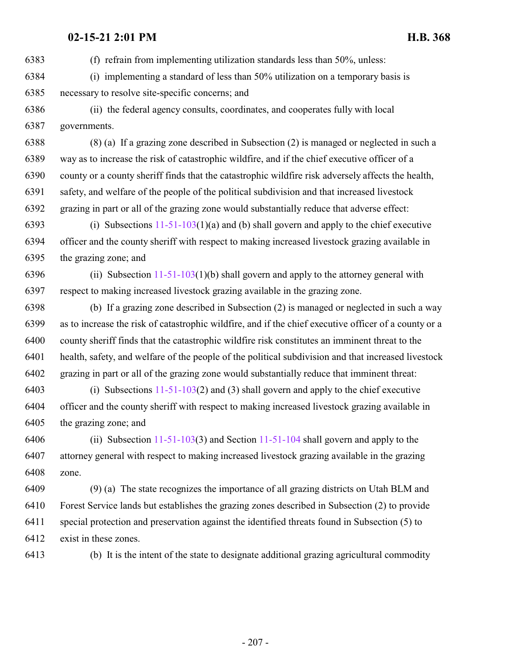(f) refrain from implementing utilization standards less than 50%, unless: (i) implementing a standard of less than 50% utilization on a temporary basis is necessary to resolve site-specific concerns; and

 (ii) the federal agency consults, coordinates, and cooperates fully with local governments.

 (8) (a) If a grazing zone described in Subsection (2) is managed or neglected in such a way as to increase the risk of catastrophic wildfire, and if the chief executive officer of a county or a county sheriff finds that the catastrophic wildfire risk adversely affects the health, safety, and welfare of the people of the political subdivision and that increased livestock grazing in part or all of the grazing zone would substantially reduce that adverse effect:

 (i) Subsections [11-51-103](http://le.utah.gov/UtahCode/SectionLookup.jsp?section=11-51-103&session=2021GS)(1)(a) and (b) shall govern and apply to the chief executive officer and the county sheriff with respect to making increased livestock grazing available in the grazing zone; and

6396 (ii) Subsection  $11-51-103(1)$  (b) shall govern and apply to the attorney general with respect to making increased livestock grazing available in the grazing zone.

 (b) If a grazing zone described in Subsection (2) is managed or neglected in such a way as to increase the risk of catastrophic wildfire, and if the chief executive officer of a county or a county sheriff finds that the catastrophic wildfire risk constitutes an imminent threat to the health, safety, and welfare of the people of the political subdivision and that increased livestock grazing in part or all of the grazing zone would substantially reduce that imminent threat:

 (i) Subsections [11-51-103](http://le.utah.gov/UtahCode/SectionLookup.jsp?section=11-51-103&session=2021GS)(2) and (3) shall govern and apply to the chief executive officer and the county sheriff with respect to making increased livestock grazing available in the grazing zone; and

 (ii) Subsection [11-51-103](http://le.utah.gov/UtahCode/SectionLookup.jsp?section=11-51-103&session=2021GS)(3) and Section [11-51-104](http://le.utah.gov/UtahCode/SectionLookup.jsp?section=11-51-104&session=2021GS) shall govern and apply to the attorney general with respect to making increased livestock grazing available in the grazing zone.

 (9) (a) The state recognizes the importance of all grazing districts on Utah BLM and Forest Service lands but establishes the grazing zones described in Subsection (2) to provide special protection and preservation against the identified threats found in Subsection (5) to exist in these zones.

(b) It is the intent of the state to designate additional grazing agricultural commodity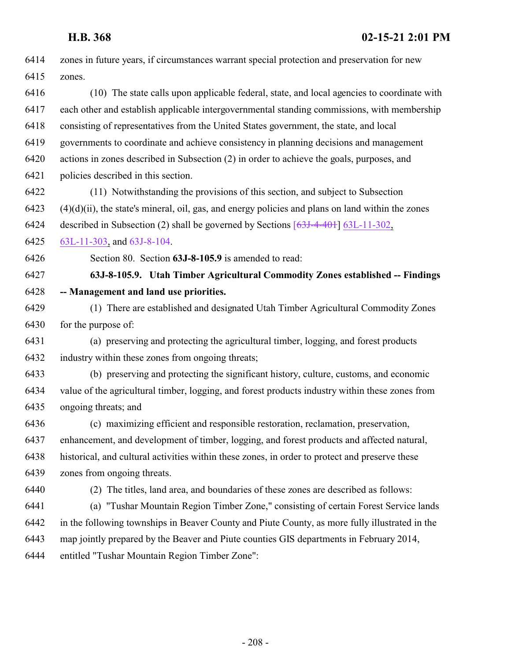| zones in future years, if circumstances warrant special protection and preservation for new<br>(10) The state calls upon applicable federal, state, and local agencies to coordinate with<br>each other and establish applicable intergovernmental standing commissions, with membership<br>consisting of representatives from the United States government, the state, and local<br>governments to coordinate and achieve consistency in planning decisions and management<br>actions in zones described in Subsection (2) in order to achieve the goals, purposes, and<br>policies described in this section.<br>(11) Notwithstanding the provisions of this section, and subject to Subsection<br>$(4)(d)(ii)$ , the state's mineral, oil, gas, and energy policies and plans on land within the zones<br>described in Subsection (2) shall be governed by Sections $[63J-4-40+]$ 63L-11-302,<br>63L-11-303, and 63J-8-104.<br>Section 80. Section 63J-8-105.9 is amended to read:<br>63J-8-105.9. Utah Timber Agricultural Commodity Zones established -- Findings<br>-- Management and land use priorities.<br>(1) There are established and designated Utah Timber Agricultural Commodity Zones<br>for the purpose of: |
|------------------------------------------------------------------------------------------------------------------------------------------------------------------------------------------------------------------------------------------------------------------------------------------------------------------------------------------------------------------------------------------------------------------------------------------------------------------------------------------------------------------------------------------------------------------------------------------------------------------------------------------------------------------------------------------------------------------------------------------------------------------------------------------------------------------------------------------------------------------------------------------------------------------------------------------------------------------------------------------------------------------------------------------------------------------------------------------------------------------------------------------------------------------------------------------------------------------------------|
|                                                                                                                                                                                                                                                                                                                                                                                                                                                                                                                                                                                                                                                                                                                                                                                                                                                                                                                                                                                                                                                                                                                                                                                                                              |
|                                                                                                                                                                                                                                                                                                                                                                                                                                                                                                                                                                                                                                                                                                                                                                                                                                                                                                                                                                                                                                                                                                                                                                                                                              |
|                                                                                                                                                                                                                                                                                                                                                                                                                                                                                                                                                                                                                                                                                                                                                                                                                                                                                                                                                                                                                                                                                                                                                                                                                              |
|                                                                                                                                                                                                                                                                                                                                                                                                                                                                                                                                                                                                                                                                                                                                                                                                                                                                                                                                                                                                                                                                                                                                                                                                                              |
|                                                                                                                                                                                                                                                                                                                                                                                                                                                                                                                                                                                                                                                                                                                                                                                                                                                                                                                                                                                                                                                                                                                                                                                                                              |
|                                                                                                                                                                                                                                                                                                                                                                                                                                                                                                                                                                                                                                                                                                                                                                                                                                                                                                                                                                                                                                                                                                                                                                                                                              |
|                                                                                                                                                                                                                                                                                                                                                                                                                                                                                                                                                                                                                                                                                                                                                                                                                                                                                                                                                                                                                                                                                                                                                                                                                              |
|                                                                                                                                                                                                                                                                                                                                                                                                                                                                                                                                                                                                                                                                                                                                                                                                                                                                                                                                                                                                                                                                                                                                                                                                                              |
|                                                                                                                                                                                                                                                                                                                                                                                                                                                                                                                                                                                                                                                                                                                                                                                                                                                                                                                                                                                                                                                                                                                                                                                                                              |
|                                                                                                                                                                                                                                                                                                                                                                                                                                                                                                                                                                                                                                                                                                                                                                                                                                                                                                                                                                                                                                                                                                                                                                                                                              |
|                                                                                                                                                                                                                                                                                                                                                                                                                                                                                                                                                                                                                                                                                                                                                                                                                                                                                                                                                                                                                                                                                                                                                                                                                              |
|                                                                                                                                                                                                                                                                                                                                                                                                                                                                                                                                                                                                                                                                                                                                                                                                                                                                                                                                                                                                                                                                                                                                                                                                                              |
|                                                                                                                                                                                                                                                                                                                                                                                                                                                                                                                                                                                                                                                                                                                                                                                                                                                                                                                                                                                                                                                                                                                                                                                                                              |
|                                                                                                                                                                                                                                                                                                                                                                                                                                                                                                                                                                                                                                                                                                                                                                                                                                                                                                                                                                                                                                                                                                                                                                                                                              |
|                                                                                                                                                                                                                                                                                                                                                                                                                                                                                                                                                                                                                                                                                                                                                                                                                                                                                                                                                                                                                                                                                                                                                                                                                              |
|                                                                                                                                                                                                                                                                                                                                                                                                                                                                                                                                                                                                                                                                                                                                                                                                                                                                                                                                                                                                                                                                                                                                                                                                                              |
|                                                                                                                                                                                                                                                                                                                                                                                                                                                                                                                                                                                                                                                                                                                                                                                                                                                                                                                                                                                                                                                                                                                                                                                                                              |
| (a) preserving and protecting the agricultural timber, logging, and forest products                                                                                                                                                                                                                                                                                                                                                                                                                                                                                                                                                                                                                                                                                                                                                                                                                                                                                                                                                                                                                                                                                                                                          |
| industry within these zones from ongoing threats;                                                                                                                                                                                                                                                                                                                                                                                                                                                                                                                                                                                                                                                                                                                                                                                                                                                                                                                                                                                                                                                                                                                                                                            |
| (b) preserving and protecting the significant history, culture, customs, and economic                                                                                                                                                                                                                                                                                                                                                                                                                                                                                                                                                                                                                                                                                                                                                                                                                                                                                                                                                                                                                                                                                                                                        |
| value of the agricultural timber, logging, and forest products industry within these zones from                                                                                                                                                                                                                                                                                                                                                                                                                                                                                                                                                                                                                                                                                                                                                                                                                                                                                                                                                                                                                                                                                                                              |
| ongoing threats; and                                                                                                                                                                                                                                                                                                                                                                                                                                                                                                                                                                                                                                                                                                                                                                                                                                                                                                                                                                                                                                                                                                                                                                                                         |
| (c) maximizing efficient and responsible restoration, reclamation, preservation,                                                                                                                                                                                                                                                                                                                                                                                                                                                                                                                                                                                                                                                                                                                                                                                                                                                                                                                                                                                                                                                                                                                                             |
| enhancement, and development of timber, logging, and forest products and affected natural,                                                                                                                                                                                                                                                                                                                                                                                                                                                                                                                                                                                                                                                                                                                                                                                                                                                                                                                                                                                                                                                                                                                                   |
| historical, and cultural activities within these zones, in order to protect and preserve these                                                                                                                                                                                                                                                                                                                                                                                                                                                                                                                                                                                                                                                                                                                                                                                                                                                                                                                                                                                                                                                                                                                               |
| zones from ongoing threats.                                                                                                                                                                                                                                                                                                                                                                                                                                                                                                                                                                                                                                                                                                                                                                                                                                                                                                                                                                                                                                                                                                                                                                                                  |
| (2) The titles, land area, and boundaries of these zones are described as follows:                                                                                                                                                                                                                                                                                                                                                                                                                                                                                                                                                                                                                                                                                                                                                                                                                                                                                                                                                                                                                                                                                                                                           |
| (a) "Tushar Mountain Region Timber Zone," consisting of certain Forest Service lands                                                                                                                                                                                                                                                                                                                                                                                                                                                                                                                                                                                                                                                                                                                                                                                                                                                                                                                                                                                                                                                                                                                                         |
| in the following townships in Beaver County and Piute County, as more fully illustrated in the                                                                                                                                                                                                                                                                                                                                                                                                                                                                                                                                                                                                                                                                                                                                                                                                                                                                                                                                                                                                                                                                                                                               |
| map jointly prepared by the Beaver and Piute counties GIS departments in February 2014,                                                                                                                                                                                                                                                                                                                                                                                                                                                                                                                                                                                                                                                                                                                                                                                                                                                                                                                                                                                                                                                                                                                                      |
| entitled "Tushar Mountain Region Timber Zone":                                                                                                                                                                                                                                                                                                                                                                                                                                                                                                                                                                                                                                                                                                                                                                                                                                                                                                                                                                                                                                                                                                                                                                               |
|                                                                                                                                                                                                                                                                                                                                                                                                                                                                                                                                                                                                                                                                                                                                                                                                                                                                                                                                                                                                                                                                                                                                                                                                                              |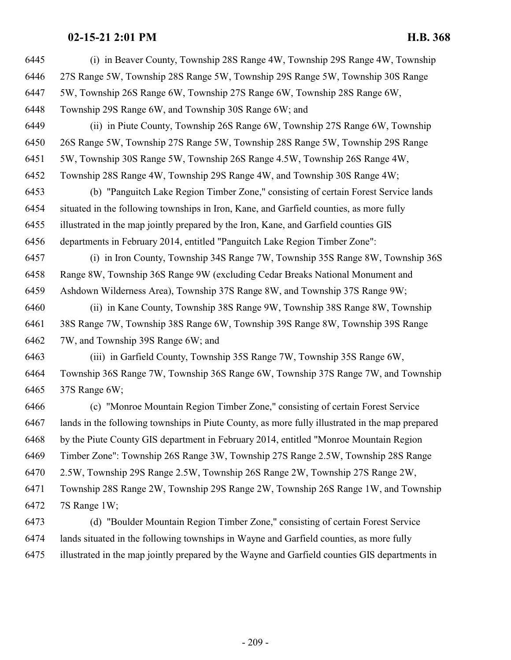| 6445 | (i) in Beaver County, Township 28S Range 4W, Township 29S Range 4W, Township                    |
|------|-------------------------------------------------------------------------------------------------|
| 6446 | 27S Range 5W, Township 28S Range 5W, Township 29S Range 5W, Township 30S Range                  |
| 6447 | 5W, Township 26S Range 6W, Township 27S Range 6W, Township 28S Range 6W,                        |
| 6448 | Township 29S Range 6W, and Township 30S Range 6W; and                                           |
| 6449 | (ii) in Piute County, Township 26S Range 6W, Township 27S Range 6W, Township                    |
| 6450 | 26S Range 5W, Township 27S Range 5W, Township 28S Range 5W, Township 29S Range                  |
| 6451 | 5W, Township 30S Range 5W, Township 26S Range 4.5W, Township 26S Range 4W,                      |
| 6452 | Township 28S Range 4W, Township 29S Range 4W, and Township 30S Range 4W;                        |
| 6453 | (b) "Panguitch Lake Region Timber Zone," consisting of certain Forest Service lands             |
| 6454 | situated in the following townships in Iron, Kane, and Garfield counties, as more fully         |
| 6455 | illustrated in the map jointly prepared by the Iron, Kane, and Garfield counties GIS            |
| 6456 | departments in February 2014, entitled "Panguitch Lake Region Timber Zone":                     |
| 6457 | (i) in Iron County, Township 34S Range 7W, Township 35S Range 8W, Township 36S                  |
| 6458 | Range 8W, Township 36S Range 9W (excluding Cedar Breaks National Monument and                   |
| 6459 | Ashdown Wilderness Area), Township 37S Range 8W, and Township 37S Range 9W;                     |
| 6460 | (ii) in Kane County, Township 38S Range 9W, Township 38S Range 8W, Township                     |
| 6461 | 38S Range 7W, Township 38S Range 6W, Township 39S Range 8W, Township 39S Range                  |
| 6462 | 7W, and Township 39S Range 6W; and                                                              |
| 6463 | (iii) in Garfield County, Township 35S Range 7W, Township 35S Range 6W,                         |
| 6464 | Township 36S Range 7W, Township 36S Range 6W, Township 37S Range 7W, and Township               |
| 6465 | 37S Range 6W;                                                                                   |
| 6466 | (c) "Monroe Mountain Region Timber Zone," consisting of certain Forest Service                  |
| 6467 | lands in the following townships in Piute County, as more fully illustrated in the map prepared |
| 6468 | by the Piute County GIS department in February 2014, entitled "Monroe Mountain Region           |
| 6469 | Timber Zone": Township 26S Range 3W, Township 27S Range 2.5W, Township 28S Range                |
| 6470 | 2.5W, Township 29S Range 2.5W, Township 26S Range 2W, Township 27S Range 2W,                    |
| 6471 | Township 28S Range 2W, Township 29S Range 2W, Township 26S Range 1W, and Township               |
| 6472 | 7S Range 1W;                                                                                    |
| 6473 | (d) "Boulder Mountain Region Timber Zone," consisting of certain Forest Service                 |
| 6474 | lands situated in the following townships in Wayne and Garfield counties, as more fully         |
| 6475 | illustrated in the map jointly prepared by the Wayne and Garfield counties GIS departments in   |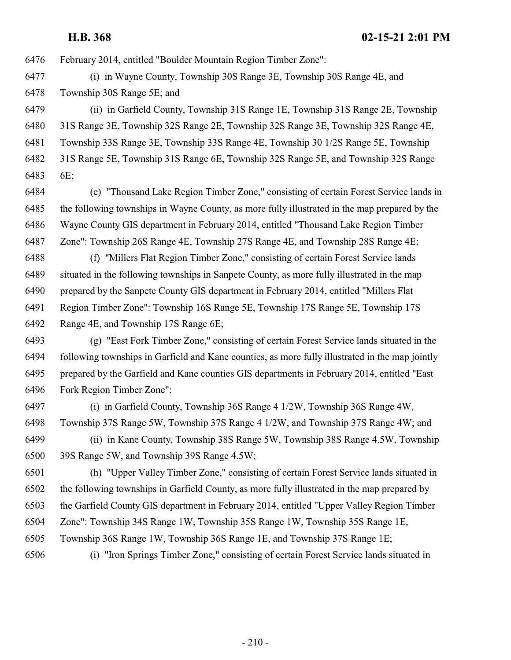February 2014, entitled "Boulder Mountain Region Timber Zone":

- (i) in Wayne County, Township 30S Range 3E, Township 30S Range 4E, and Township 30S Range 5E; and
- (ii) in Garfield County, Township 31S Range 1E, Township 31S Range 2E, Township 31S Range 3E, Township 32S Range 2E, Township 32S Range 3E, Township 32S Range 4E, Township 33S Range 3E, Township 33S Range 4E, Township 30 1/2S Range 5E, Township 31S Range 5E, Township 31S Range 6E, Township 32S Range 5E, and Township 32S Range
- 6E;
- (e) "Thousand Lake Region Timber Zone," consisting of certain Forest Service lands in the following townships in Wayne County, as more fully illustrated in the map prepared by the Wayne County GIS department in February 2014, entitled "Thousand Lake Region Timber Zone": Township 26S Range 4E, Township 27S Range 4E, and Township 28S Range 4E;
- (f) "Millers Flat Region Timber Zone," consisting of certain Forest Service lands situated in the following townships in Sanpete County, as more fully illustrated in the map prepared by the Sanpete County GIS department in February 2014, entitled "Millers Flat Region Timber Zone": Township 16S Range 5E, Township 17S Range 5E, Township 17S Range 4E, and Township 17S Range 6E;
- (g) "East Fork Timber Zone," consisting of certain Forest Service lands situated in the following townships in Garfield and Kane counties, as more fully illustrated in the map jointly prepared by the Garfield and Kane counties GIS departments in February 2014, entitled "East Fork Region Timber Zone":
- (i) in Garfield County, Township 36S Range 4 1/2W, Township 36S Range 4W, Township 37S Range 5W, Township 37S Range 4 1/2W, and Township 37S Range 4W; and (ii) in Kane County, Township 38S Range 5W, Township 38S Range 4.5W, Township 39S Range 5W, and Township 39S Range 4.5W;
- (h) "Upper Valley Timber Zone," consisting of certain Forest Service lands situated in the following townships in Garfield County, as more fully illustrated in the map prepared by the Garfield County GIS department in February 2014, entitled "Upper Valley Region Timber Zone": Township 34S Range 1W, Township 35S Range 1W, Township 35S Range 1E, Township 36S Range 1W, Township 36S Range 1E, and Township 37S Range 1E;
- 

(i) "Iron Springs Timber Zone," consisting of certain Forest Service lands situated in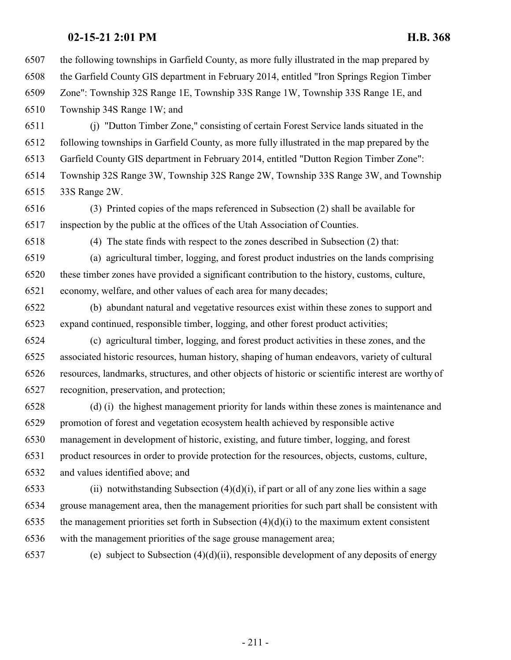the following townships in Garfield County, as more fully illustrated in the map prepared by the Garfield County GIS department in February 2014, entitled "Iron Springs Region Timber Zone": Township 32S Range 1E, Township 33S Range 1W, Township 33S Range 1E, and Township 34S Range 1W; and (j) "Dutton Timber Zone," consisting of certain Forest Service lands situated in the

 following townships in Garfield County, as more fully illustrated in the map prepared by the Garfield County GIS department in February 2014, entitled "Dutton Region Timber Zone": Township 32S Range 3W, Township 32S Range 2W, Township 33S Range 3W, and Township 33S Range 2W.

 (3) Printed copies of the maps referenced in Subsection (2) shall be available for inspection by the public at the offices of the Utah Association of Counties.

(4) The state finds with respect to the zones described in Subsection (2) that:

 (a) agricultural timber, logging, and forest product industries on the lands comprising these timber zones have provided a significant contribution to the history, customs, culture, economy, welfare, and other values of each area for many decades;

 (b) abundant natural and vegetative resources exist within these zones to support and expand continued, responsible timber, logging, and other forest product activities;

 (c) agricultural timber, logging, and forest product activities in these zones, and the associated historic resources, human history, shaping of human endeavors, variety of cultural resources, landmarks, structures, and other objects of historic or scientific interest are worthy of recognition, preservation, and protection;

 (d) (i) the highest management priority for lands within these zones is maintenance and promotion of forest and vegetation ecosystem health achieved by responsible active management in development of historic, existing, and future timber, logging, and forest product resources in order to provide protection for the resources, objects, customs, culture, and values identified above; and

6533 (ii) notwithstanding Subsection  $(4)(d)(i)$ , if part or all of any zone lies within a sage grouse management area, then the management priorities for such part shall be consistent with 6535 the management priorities set forth in Subsection  $(4)(d)(i)$  to the maximum extent consistent with the management priorities of the sage grouse management area;

(e) subject to Subsection (4)(d)(ii), responsible development of any deposits of energy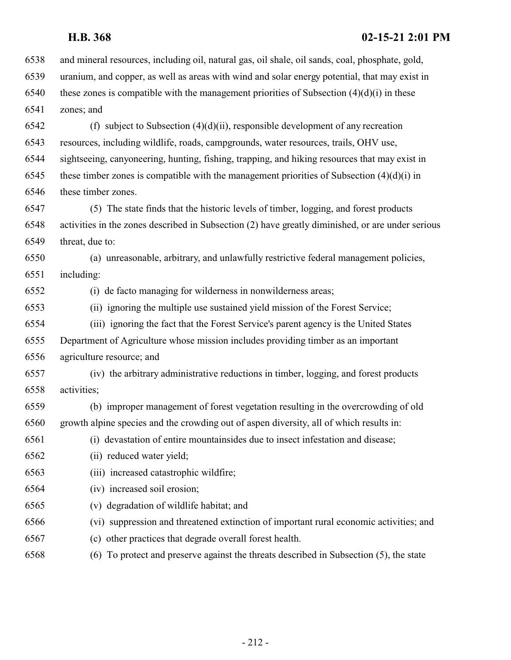and mineral resources, including oil, natural gas, oil shale, oil sands, coal, phosphate, gold, uranium, and copper, as well as areas with wind and solar energy potential, that may exist in 6540 these zones is compatible with the management priorities of Subsection  $(4)(d)(i)$  in these zones; and 6542 (f) subject to Subsection  $(4)(d)(ii)$ , responsible development of any recreation resources, including wildlife, roads, campgrounds, water resources, trails, OHV use, sightseeing, canyoneering, hunting, fishing, trapping, and hiking resources that may exist in 6545 these timber zones is compatible with the management priorities of Subsection  $(4)(d)(i)$  in these timber zones. (5) The state finds that the historic levels of timber, logging, and forest products activities in the zones described in Subsection (2) have greatly diminished, or are under serious threat, due to: (a) unreasonable, arbitrary, and unlawfully restrictive federal management policies, including: (i) de facto managing for wilderness in nonwilderness areas; (ii) ignoring the multiple use sustained yield mission of the Forest Service; (iii) ignoring the fact that the Forest Service's parent agency is the United States Department of Agriculture whose mission includes providing timber as an important agriculture resource; and (iv) the arbitrary administrative reductions in timber, logging, and forest products activities; (b) improper management of forest vegetation resulting in the overcrowding of old growth alpine species and the crowding out of aspen diversity, all of which results in: (i) devastation of entire mountainsides due to insect infestation and disease; (ii) reduced water yield; (iii) increased catastrophic wildfire; (iv) increased soil erosion; (v) degradation of wildlife habitat; and (vi) suppression and threatened extinction of important rural economic activities; and (c) other practices that degrade overall forest health. (6) To protect and preserve against the threats described in Subsection (5), the state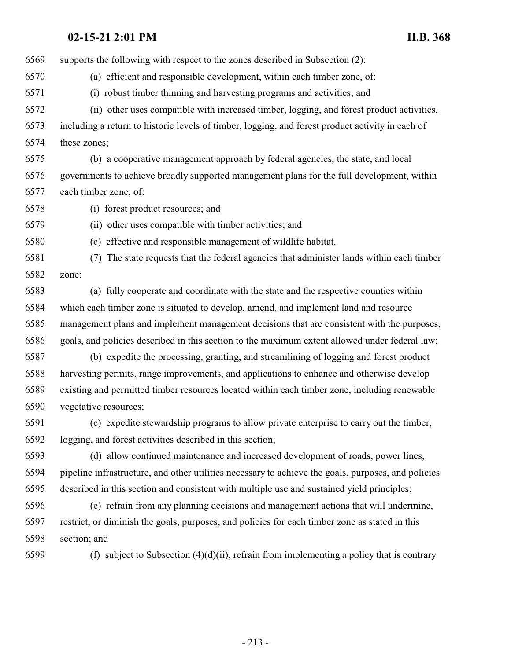**02-15-21 2:01 PM H.B. 368** supports the following with respect to the zones described in Subsection (2): (a) efficient and responsible development, within each timber zone, of: (i) robust timber thinning and harvesting programs and activities; and (ii) other uses compatible with increased timber, logging, and forest product activities, including a return to historic levels of timber, logging, and forest product activity in each of these zones; (b) a cooperative management approach by federal agencies, the state, and local governments to achieve broadly supported management plans for the full development, within each timber zone, of: (i) forest product resources; and (ii) other uses compatible with timber activities; and (c) effective and responsible management of wildlife habitat. (7) The state requests that the federal agencies that administer lands within each timber zone: (a) fully cooperate and coordinate with the state and the respective counties within which each timber zone is situated to develop, amend, and implement land and resource management plans and implement management decisions that are consistent with the purposes, goals, and policies described in this section to the maximum extent allowed under federal law; (b) expedite the processing, granting, and streamlining of logging and forest product harvesting permits, range improvements, and applications to enhance and otherwise develop existing and permitted timber resources located within each timber zone, including renewable vegetative resources; (c) expedite stewardship programs to allow private enterprise to carry out the timber, logging, and forest activities described in this section; (d) allow continued maintenance and increased development of roads, power lines, pipeline infrastructure, and other utilities necessary to achieve the goals, purposes, and policies described in this section and consistent with multiple use and sustained yield principles; (e) refrain from any planning decisions and management actions that will undermine, restrict, or diminish the goals, purposes, and policies for each timber zone as stated in this section; and 6599 (f) subject to Subsection  $(4)(d)(ii)$ , refrain from implementing a policy that is contrary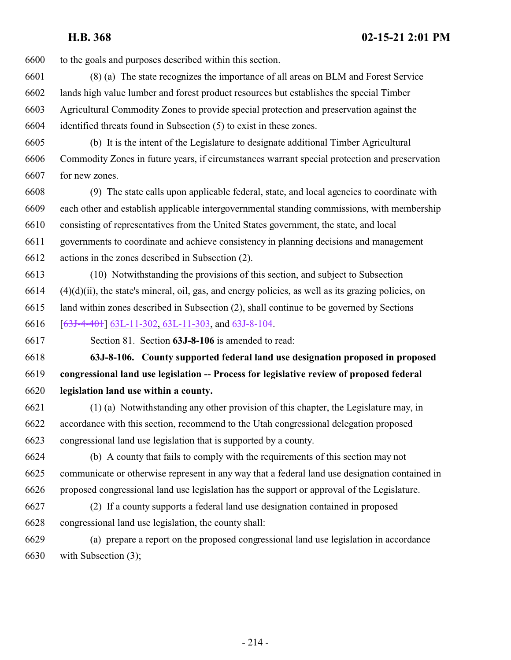to the goals and purposes described within this section.

- (8) (a) The state recognizes the importance of all areas on BLM and Forest Service lands high value lumber and forest product resources but establishes the special Timber Agricultural Commodity Zones to provide special protection and preservation against the identified threats found in Subsection (5) to exist in these zones.
- (b) It is the intent of the Legislature to designate additional Timber Agricultural Commodity Zones in future years, if circumstances warrant special protection and preservation for new zones.
- (9) The state calls upon applicable federal, state, and local agencies to coordinate with each other and establish applicable intergovernmental standing commissions, with membership consisting of representatives from the United States government, the state, and local governments to coordinate and achieve consistency in planning decisions and management actions in the zones described in Subsection (2).
- (10) Notwithstanding the provisions of this section, and subject to Subsection (4)(d)(ii), the state's mineral, oil, gas, and energy policies, as well as its grazing policies, on land within zones described in Subsection (2), shall continue to be governed by Sections
- [[63J-4-401](#page-140-0)] [63L-11-302](#page-228-0), [63L-11-303](#page-231-0), and [63J-8-104](#page-174-0).
- Section 81. Section **63J-8-106** is amended to read:

 **63J-8-106. County supported federal land use designation proposed in proposed congressional land use legislation -- Process for legislative review of proposed federal legislation land use within a county.**

- (1) (a) Notwithstanding any other provision of this chapter, the Legislature may, in accordance with this section, recommend to the Utah congressional delegation proposed congressional land use legislation that is supported by a county.
- (b) A county that fails to comply with the requirements of this section may not communicate or otherwise represent in any way that a federal land use designation contained in proposed congressional land use legislation has the support or approval of the Legislature.
- (2) If a county supports a federal land use designation contained in proposed congressional land use legislation, the county shall:
- (a) prepare a report on the proposed congressional land use legislation in accordance with Subsection (3);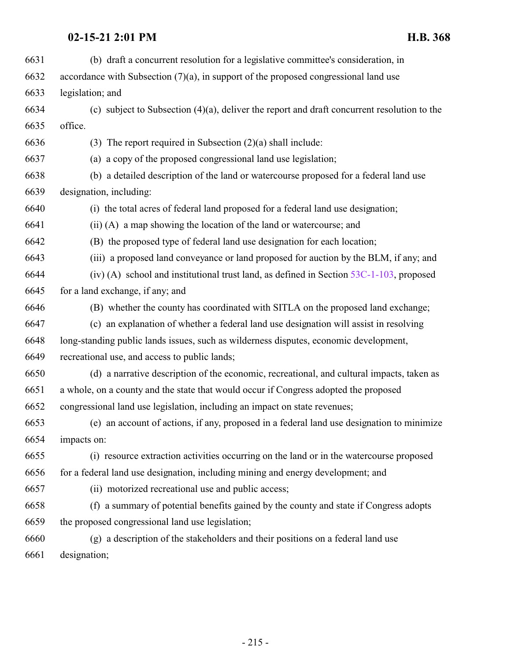| 6631 | (b) draft a concurrent resolution for a legislative committee's consideration, in              |
|------|------------------------------------------------------------------------------------------------|
| 6632 | accordance with Subsection $(7)(a)$ , in support of the proposed congressional land use        |
| 6633 | legislation; and                                                                               |
| 6634 | (c) subject to Subsection $(4)(a)$ , deliver the report and draft concurrent resolution to the |
| 6635 | office.                                                                                        |
| 6636 | (3) The report required in Subsection $(2)(a)$ shall include:                                  |
| 6637 | (a) a copy of the proposed congressional land use legislation;                                 |
| 6638 | (b) a detailed description of the land or watercourse proposed for a federal land use          |
| 6639 | designation, including:                                                                        |
| 6640 | (i) the total acres of federal land proposed for a federal land use designation;               |
| 6641 | (ii) (A) a map showing the location of the land or watercourse; and                            |
| 6642 | (B) the proposed type of federal land use designation for each location;                       |
| 6643 | (iii) a proposed land conveyance or land proposed for auction by the BLM, if any; and          |
| 6644 | (iv) (A) school and institutional trust land, as defined in Section $53C-1-103$ , proposed     |
| 6645 | for a land exchange, if any; and                                                               |
| 6646 | (B) whether the county has coordinated with SITLA on the proposed land exchange;               |
| 6647 | (c) an explanation of whether a federal land use designation will assist in resolving          |
| 6648 | long-standing public lands issues, such as wilderness disputes, economic development,          |
| 6649 | recreational use, and access to public lands;                                                  |
| 6650 | (d) a narrative description of the economic, recreational, and cultural impacts, taken as      |
| 6651 | a whole, on a county and the state that would occur if Congress adopted the proposed           |
| 6652 | congressional land use legislation, including an impact on state revenues;                     |
| 6653 | (e) an account of actions, if any, proposed in a federal land use designation to minimize      |
| 6654 | impacts on:                                                                                    |
| 6655 | (i) resource extraction activities occurring on the land or in the watercourse proposed        |
| 6656 | for a federal land use designation, including mining and energy development; and               |
| 6657 | (ii) motorized recreational use and public access;                                             |
| 6658 | (f) a summary of potential benefits gained by the county and state if Congress adopts          |
| 6659 | the proposed congressional land use legislation;                                               |
| 6660 | (g) a description of the stakeholders and their positions on a federal land use                |
| 6661 | designation;                                                                                   |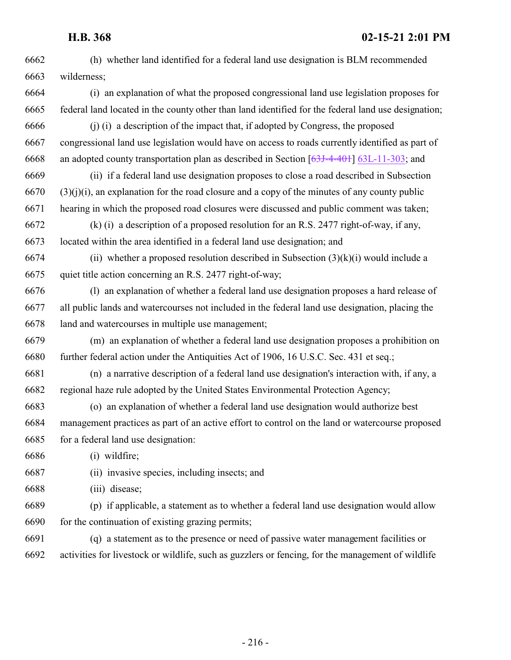| 6662 | (h) whether land identified for a federal land use designation is BLM recommended                   |
|------|-----------------------------------------------------------------------------------------------------|
| 6663 | wilderness;                                                                                         |
| 6664 | (i) an explanation of what the proposed congressional land use legislation proposes for             |
| 6665 | federal land located in the county other than land identified for the federal land use designation; |
| 6666 | (j) (i) a description of the impact that, if adopted by Congress, the proposed                      |
| 6667 | congressional land use legislation would have on access to roads currently identified as part of    |
| 6668 | an adopted county transportation plan as described in Section $[63J-4-40+] 63L-11-303$ ; and        |
| 6669 | (ii) if a federal land use designation proposes to close a road described in Subsection             |
| 6670 | $(3)(j)(i)$ , an explanation for the road closure and a copy of the minutes of any county public    |
| 6671 | hearing in which the proposed road closures were discussed and public comment was taken;            |
| 6672 | $(k)$ (i) a description of a proposed resolution for an R.S. 2477 right-of-way, if any,             |
| 6673 | located within the area identified in a federal land use designation; and                           |
| 6674 | (ii) whether a proposed resolution described in Subsection $(3)(k)(i)$ would include a              |
| 6675 | quiet title action concerning an R.S. 2477 right-of-way;                                            |
| 6676 | (1) an explanation of whether a federal land use designation proposes a hard release of             |
| 6677 | all public lands and watercourses not included in the federal land use designation, placing the     |
| 6678 | land and watercourses in multiple use management;                                                   |
| 6679 | (m) an explanation of whether a federal land use designation proposes a prohibition on              |
| 6680 | further federal action under the Antiquities Act of 1906, 16 U.S.C. Sec. 431 et seq.;               |
| 6681 | (n) a narrative description of a federal land use designation's interaction with, if any, a         |
| 6682 | regional haze rule adopted by the United States Environmental Protection Agency;                    |
| 6683 | (o) an explanation of whether a federal land use designation would authorize best                   |
| 6684 | management practices as part of an active effort to control on the land or watercourse proposed     |
| 6685 | for a federal land use designation:                                                                 |
| 6686 | $(i)$ wildfire;                                                                                     |
| 6687 | (ii) invasive species, including insects; and                                                       |
| 6688 | (iii) disease;                                                                                      |
| 6689 | (p) if applicable, a statement as to whether a federal land use designation would allow             |
| 6690 | for the continuation of existing grazing permits;                                                   |
| 6691 | (q) a statement as to the presence or need of passive water management facilities or                |
| 6692 | activities for livestock or wildlife, such as guzzlers or fencing, for the management of wildlife   |
|      |                                                                                                     |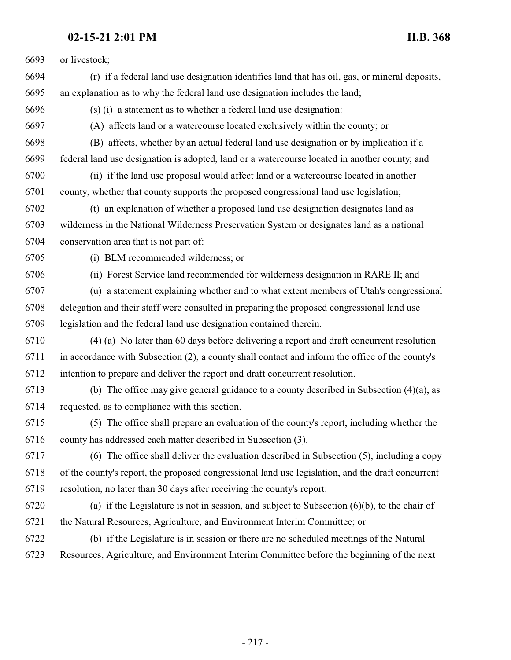| 6693 | or livestock;                                                                                     |
|------|---------------------------------------------------------------------------------------------------|
| 6694 | (r) if a federal land use designation identifies land that has oil, gas, or mineral deposits,     |
| 6695 | an explanation as to why the federal land use designation includes the land;                      |
| 6696 | (s) (i) a statement as to whether a federal land use designation:                                 |
| 6697 | (A) affects land or a watercourse located exclusively within the county; or                       |
| 6698 | (B) affects, whether by an actual federal land use designation or by implication if a             |
| 6699 | federal land use designation is adopted, land or a watercourse located in another county; and     |
| 6700 | (ii) if the land use proposal would affect land or a watercourse located in another               |
| 6701 | county, whether that county supports the proposed congressional land use legislation;             |
| 6702 | (t) an explanation of whether a proposed land use designation designates land as                  |
| 6703 | wilderness in the National Wilderness Preservation System or designates land as a national        |
| 6704 | conservation area that is not part of:                                                            |
| 6705 | (i) BLM recommended wilderness; or                                                                |
| 6706 | (ii) Forest Service land recommended for wilderness designation in RARE II; and                   |
| 6707 | (u) a statement explaining whether and to what extent members of Utah's congressional             |
| 6708 | delegation and their staff were consulted in preparing the proposed congressional land use        |
| 6709 | legislation and the federal land use designation contained therein.                               |
| 6710 | (4) (a) No later than 60 days before delivering a report and draft concurrent resolution          |
| 6711 | in accordance with Subsection (2), a county shall contact and inform the office of the county's   |
| 6712 | intention to prepare and deliver the report and draft concurrent resolution.                      |
| 6713 | (b) The office may give general guidance to a county described in Subsection $(4)(a)$ , as        |
| 6714 | requested, as to compliance with this section.                                                    |
| 6715 | (5) The office shall prepare an evaluation of the county's report, including whether the          |
| 6716 | county has addressed each matter described in Subsection (3).                                     |
| 6717 | (6) The office shall deliver the evaluation described in Subsection $(5)$ , including a copy      |
| 6718 | of the county's report, the proposed congressional land use legislation, and the draft concurrent |
| 6719 | resolution, no later than 30 days after receiving the county's report:                            |
| 6720 | (a) if the Legislature is not in session, and subject to Subsection $(6)(b)$ , to the chair of    |
| 6721 | the Natural Resources, Agriculture, and Environment Interim Committee; or                         |
| 6722 | (b) if the Legislature is in session or there are no scheduled meetings of the Natural            |
| 6723 | Resources, Agriculture, and Environment Interim Committee before the beginning of the next        |
|      |                                                                                                   |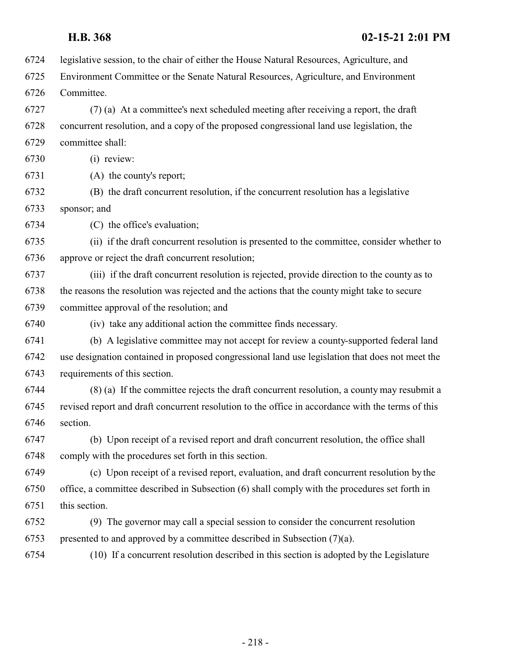|      | H.B. 368<br>02-15-21 2:01 PM                                                                      |
|------|---------------------------------------------------------------------------------------------------|
| 6724 | legislative session, to the chair of either the House Natural Resources, Agriculture, and         |
| 6725 | Environment Committee or the Senate Natural Resources, Agriculture, and Environment               |
| 6726 | Committee.                                                                                        |
| 6727 | (7) (a) At a committee's next scheduled meeting after receiving a report, the draft               |
| 6728 | concurrent resolution, and a copy of the proposed congressional land use legislation, the         |
| 6729 | committee shall:                                                                                  |
| 6730 | (i) review:                                                                                       |
| 6731 | (A) the county's report;                                                                          |
| 6732 | (B) the draft concurrent resolution, if the concurrent resolution has a legislative               |
| 6733 | sponsor; and                                                                                      |
| 6734 | (C) the office's evaluation;                                                                      |
| 6735 | (ii) if the draft concurrent resolution is presented to the committee, consider whether to        |
| 6736 | approve or reject the draft concurrent resolution;                                                |
| 6737 | (iii) if the draft concurrent resolution is rejected, provide direction to the county as to       |
| 6738 | the reasons the resolution was rejected and the actions that the county might take to secure      |
| 6739 | committee approval of the resolution; and                                                         |
| 6740 | (iv) take any additional action the committee finds necessary.                                    |
| 6741 | (b) A legislative committee may not accept for review a county-supported federal land             |
| 6742 | use designation contained in proposed congressional land use legislation that does not meet the   |
| 6743 | requirements of this section.                                                                     |
| 6744 | (8) (a) If the committee rejects the draft concurrent resolution, a county may resubmit a         |
| 6745 | revised report and draft concurrent resolution to the office in accordance with the terms of this |
| 6746 | section.                                                                                          |
| 6747 | (b) Upon receipt of a revised report and draft concurrent resolution, the office shall            |
| 6748 | comply with the procedures set forth in this section.                                             |
| 6749 | (c) Upon receipt of a revised report, evaluation, and draft concurrent resolution by the          |
| 6750 | office, a committee described in Subsection (6) shall comply with the procedures set forth in     |
| 6751 | this section.                                                                                     |
| 6752 | (9) The governor may call a special session to consider the concurrent resolution                 |
| 6753 | presented to and approved by a committee described in Subsection $(7)(a)$ .                       |
| 6754 | (10) If a concurrent resolution described in this section is adopted by the Legislature           |
|      |                                                                                                   |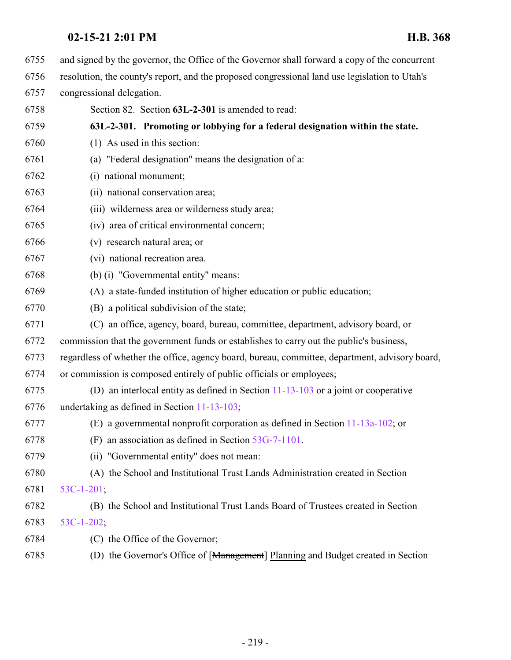- and signed by the governor, the Office of the Governor shall forward a copy of the concurrent
- resolution, the county's report, and the proposed congressional land use legislation to Utah's
- congressional delegation.
- Section 82. Section **63L-2-301** is amended to read:
- **63L-2-301. Promoting or lobbying for a federal designation within the state.**
- (1) As used in this section:
- (a) "Federal designation" means the designation of a:
- (i) national monument;
- (ii) national conservation area;
- (iii) wilderness area or wilderness study area;
- (iv) area of critical environmental concern;
- (v) research natural area; or
- (vi) national recreation area.
- (b) (i) "Governmental entity" means:
- (A) a state-funded institution of higher education or public education;
- (B) a political subdivision of the state;
- (C) an office, agency, board, bureau, committee, department, advisory board, or
- commission that the government funds or establishes to carry out the public's business,
- regardless of whether the office, agency board, bureau, committee, department, advisory board,
- or commission is composed entirely of public officials or employees;
- (D) an interlocal entity as defined in Section [11-13-103](http://le.utah.gov/UtahCode/SectionLookup.jsp?section=11-13-103&session=2021GS) or a joint or cooperative undertaking as defined in Section [11-13-103](http://le.utah.gov/UtahCode/SectionLookup.jsp?section=11-13-103&session=2021GS);
- (E) a governmental nonprofit corporation as defined in Section [11-13a-102](http://le.utah.gov/UtahCode/SectionLookup.jsp?section=11-13a-102&session=2021GS); or
- (F) an association as defined in Section [53G-7-1101](http://le.utah.gov/UtahCode/SectionLookup.jsp?section=53g-7-1101&session=2021GS).
- (ii) "Governmental entity" does not mean:
- (A) the School and Institutional Trust Lands Administration created in Section
- [53C-1-201](http://le.utah.gov/UtahCode/SectionLookup.jsp?section=53c-1-201&session=2021GS);
- (B) the School and Institutional Trust Lands Board of Trustees created in Section
- [53C-1-202](http://le.utah.gov/UtahCode/SectionLookup.jsp?section=53c-1-202&session=2021GS);
- (C) the Office of the Governor;
- (D) the Governor's Office of [Management] Planning and Budget created in Section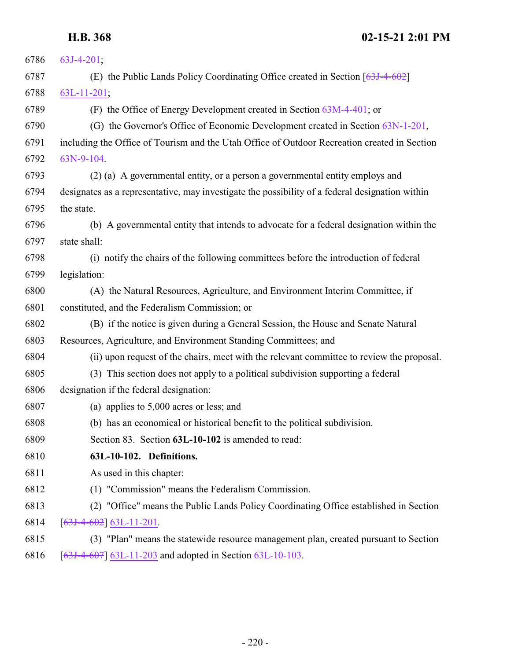| 6786 | $63J-4-201$ ;                                                                                   |
|------|-------------------------------------------------------------------------------------------------|
| 6787 | (E) the Public Lands Policy Coordinating Office created in Section $[63J-4-602]$                |
| 6788 | $63L-11-201$ ;                                                                                  |
| 6789 | (F) the Office of Energy Development created in Section 63M-4-401; or                           |
| 6790 | (G) the Governor's Office of Economic Development created in Section 63N-1-201,                 |
| 6791 | including the Office of Tourism and the Utah Office of Outdoor Recreation created in Section    |
| 6792 | 63N-9-104.                                                                                      |
| 6793 | (2) (a) A governmental entity, or a person a governmental entity employs and                    |
| 6794 | designates as a representative, may investigate the possibility of a federal designation within |
| 6795 | the state.                                                                                      |
| 6796 | (b) A governmental entity that intends to advocate for a federal designation within the         |
| 6797 | state shall:                                                                                    |
| 6798 | (i) notify the chairs of the following committees before the introduction of federal            |
| 6799 | legislation:                                                                                    |
| 6800 | (A) the Natural Resources, Agriculture, and Environment Interim Committee, if                   |
| 6801 | constituted, and the Federalism Commission; or                                                  |
| 6802 | (B) if the notice is given during a General Session, the House and Senate Natural               |
| 6803 | Resources, Agriculture, and Environment Standing Committees; and                                |
| 6804 | (ii) upon request of the chairs, meet with the relevant committee to review the proposal.       |
| 6805 | (3) This section does not apply to a political subdivision supporting a federal                 |
| 6806 | designation if the federal designation:                                                         |
| 6807 | (a) applies to $5,000$ acres or less; and                                                       |
| 6808 | (b) has an economical or historical benefit to the political subdivision.                       |
| 6809 | Section 83. Section 63L-10-102 is amended to read:                                              |
| 6810 | 63L-10-102. Definitions.                                                                        |
| 6811 | As used in this chapter:                                                                        |
| 6812 | (1) "Commission" means the Federalism Commission.                                               |
| 6813 | (2) "Office" means the Public Lands Policy Coordinating Office established in Section           |
| 6814 | $[63J-4-602]$ 63L-11-201.                                                                       |
| 6815 | (3) "Plan" means the statewide resource management plan, created pursuant to Section            |

[[63J-4-607](http://le.utah.gov/UtahCode/SectionLookup.jsp?section=63j-4-607&session=2021GS)] [63L-11-203](#page-224-0) and adopted in Section [63L-10-103](http://le.utah.gov/UtahCode/SectionLookup.jsp?section=63l-10-103&session=2021GS).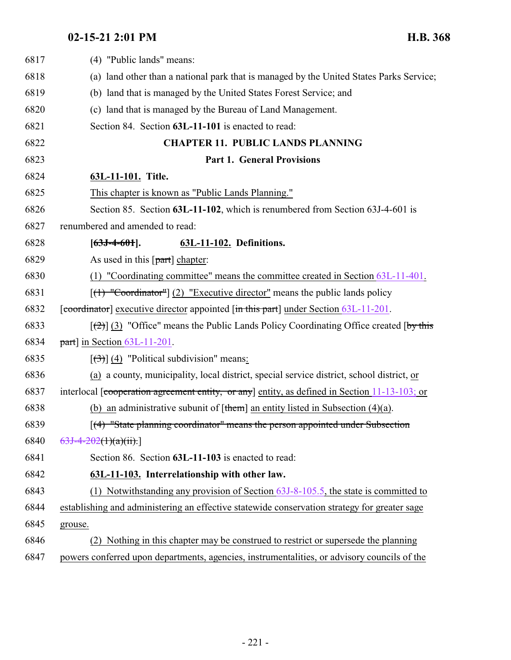| 6817 | (4) "Public lands" means:                                                                       |
|------|-------------------------------------------------------------------------------------------------|
| 6818 | (a) land other than a national park that is managed by the United States Parks Service;         |
| 6819 | (b) land that is managed by the United States Forest Service; and                               |
| 6820 | (c) land that is managed by the Bureau of Land Management.                                      |
| 6821 | Section 84. Section 63L-11-101 is enacted to read:                                              |
| 6822 | <b>CHAPTER 11. PUBLIC LANDS PLANNING</b>                                                        |
| 6823 | <b>Part 1. General Provisions</b>                                                               |
| 6824 | 63L-11-101. Title.                                                                              |
| 6825 | This chapter is known as "Public Lands Planning."                                               |
| 6826 | Section 85. Section 63L-11-102, which is renumbered from Section 63J-4-601 is                   |
| 6827 | renumbered and amended to read:                                                                 |
| 6828 | $[63J-4-601]$ .<br>63L-11-102. Definitions.                                                     |
| 6829 | As used in this $[part]$ chapter:                                                               |
| 6830 | (1) "Coordinating committee" means the committee created in Section $63L-11-401$ .              |
| 6831 | $[(1)$ "Coordinator"] (2) "Executive director" means the public lands policy                    |
| 6832 | [coordinator] executive director appointed [in this part] under Section 63L-11-201.             |
| 6833 | $[\frac{1}{2}]$ (3) "Office" means the Public Lands Policy Coordinating Office created [by this |
| 6834 | $part$ ] in Section 63L-11-201.                                                                 |
| 6835 | $[\left(3\right)]$ (4) "Political subdivision" means:                                           |
| 6836 | (a) a county, municipality, local district, special service district, school district, or       |
| 6837 | interlocal [cooperation agreement entity, or any] entity, as defined in Section 11-13-103; or   |
| 6838 | (b) an administrative subunit of $[\mathbf{them}]$ an entity listed in Subsection (4)(a).       |
| 6839 | [(4) "State planning coordinator" means the person appointed under Subsection                   |
| 6840 | $63J-4-202(1)(a)(ii).$                                                                          |
| 6841 | Section 86. Section 63L-11-103 is enacted to read:                                              |
| 6842 | 63L-11-103. Interrelationship with other law.                                                   |
| 6843 | (1) Notwithstanding any provision of Section $63J-8-105.5$ , the state is committed to          |
| 6844 | establishing and administering an effective statewide conservation strategy for greater sage    |
| 6845 | grouse.                                                                                         |
| 6846 | (2) Nothing in this chapter may be construed to restrict or supersede the planning              |
| 6847 | powers conferred upon departments, agencies, instrumentalities, or advisory councils of the     |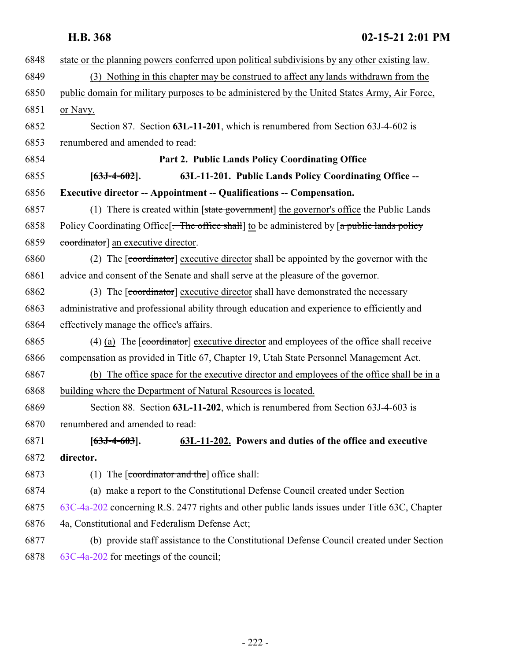<span id="page-221-0"></span>

| 6848 | state or the planning powers conferred upon political subdivisions by any other existing law. |
|------|-----------------------------------------------------------------------------------------------|
| 6849 | (3) Nothing in this chapter may be construed to affect any lands withdrawn from the           |
| 6850 | public domain for military purposes to be administered by the United States Army, Air Force,  |
| 6851 | or Navy.                                                                                      |
| 6852 | Section 87. Section 63L-11-201, which is renumbered from Section 63J-4-602 is                 |
| 6853 | renumbered and amended to read:                                                               |
| 6854 | Part 2. Public Lands Policy Coordinating Office                                               |
| 6855 | 63L-11-201. Public Lands Policy Coordinating Office --<br>$[63J-4-602]$ .                     |
| 6856 | <b>Executive director -- Appointment -- Qualifications -- Compensation.</b>                   |
| 6857 | (1) There is created within [state government] the governor's office the Public Lands         |
| 6858 | Policy Coordinating Office [. The office shall] to be administered by [a public lands policy  |
| 6859 | coordinator] an executive director.                                                           |
| 6860 | (2) The [coordinator] executive director shall be appointed by the governor with the          |
| 6861 | advice and consent of the Senate and shall serve at the pleasure of the governor.             |
| 6862 | (3) The [coordinator] executive director shall have demonstrated the necessary                |
| 6863 | administrative and professional ability through education and experience to efficiently and   |
| 6864 | effectively manage the office's affairs.                                                      |
| 6865 | $(4)$ (a) The [coordinator] executive director and employees of the office shall receive      |
| 6866 | compensation as provided in Title 67, Chapter 19, Utah State Personnel Management Act.        |
| 6867 | (b) The office space for the executive director and employees of the office shall be in a     |
| 6868 | building where the Department of Natural Resources is located.                                |
| 6869 | Section 88. Section 63L-11-202, which is renumbered from Section 63J-4-603 is                 |
| 6870 | renumbered and amended to read:                                                               |
| 6871 | 63L-11-202. Powers and duties of the office and executive<br>$[63J-4-603]$ .                  |
| 6872 | director.                                                                                     |
| 6873 | (1) The $\lceil$ coordinator and the $\lceil$ office shall:                                   |
| 6874 | (a) make a report to the Constitutional Defense Council created under Section                 |
| 6875 | 63C-4a-202 concerning R.S. 2477 rights and other public lands issues under Title 63C, Chapter |
| 6876 | 4a, Constitutional and Federalism Defense Act;                                                |
| 6877 | (b) provide staff assistance to the Constitutional Defense Council created under Section      |
| 6878 | 63C-4a-202 for meetings of the council;                                                       |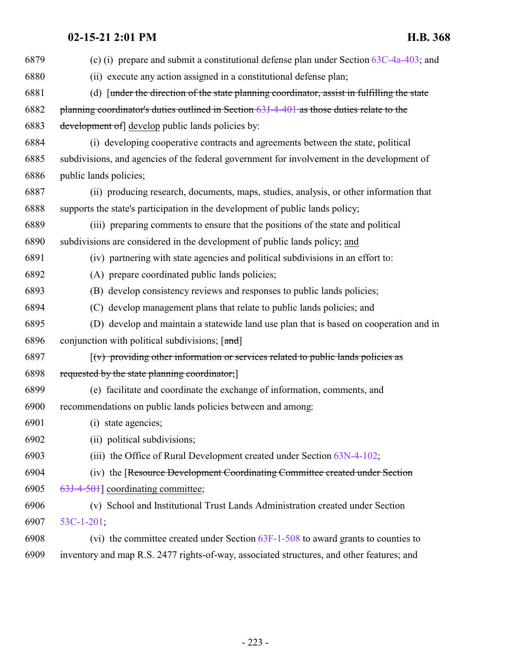| 6879 | (c) (i) prepare and submit a constitutional defense plan under Section $63C-4a-403$ ; and          |
|------|----------------------------------------------------------------------------------------------------|
| 6880 | (ii) execute any action assigned in a constitutional defense plan;                                 |
| 6881 | (d) [under the direction of the state planning coordinator, assist in fulfilling the state         |
| 6882 | planning coordinator's duties outlined in Section 63J-4-401 as those duties relate to the          |
| 6883 | development of develop public lands policies by:                                                   |
| 6884 | (i) developing cooperative contracts and agreements between the state, political                   |
| 6885 | subdivisions, and agencies of the federal government for involvement in the development of         |
| 6886 | public lands policies;                                                                             |
| 6887 | (ii) producing research, documents, maps, studies, analysis, or other information that             |
| 6888 | supports the state's participation in the development of public lands policy;                      |
| 6889 | (iii) preparing comments to ensure that the positions of the state and political                   |
| 6890 | subdivisions are considered in the development of public lands policy; and                         |
| 6891 | (iv) partnering with state agencies and political subdivisions in an effort to:                    |
| 6892 | (A) prepare coordinated public lands policies;                                                     |
| 6893 | (B) develop consistency reviews and responses to public lands policies;                            |
| 6894 | (C) develop management plans that relate to public lands policies; and                             |
| 6895 | (D) develop and maintain a statewide land use plan that is based on cooperation and in             |
| 6896 | conjunction with political subdivisions; [and]                                                     |
| 6897 | $\left[\left(v\right)$ providing other information or services related to public lands policies as |
| 6898 | requested by the state planning coordinator;]                                                      |
| 6899 | (e) facilitate and coordinate the exchange of information, comments, and                           |
| 6900 | recommendations on public lands policies between and among:                                        |
| 6901 | (i) state agencies;                                                                                |
| 6902 | (ii) political subdivisions;                                                                       |
| 6903 | (iii) the Office of Rural Development created under Section 63N-4-102;                             |
| 6904 | (iv) the [Resource Development Coordinating Committee created under Section                        |
| 6905 | 63J-4-501] coordinating committee;                                                                 |
| 6906 | (v) School and Institutional Trust Lands Administration created under Section                      |
| 6907 | $53C-1-201;$                                                                                       |
| 6908 | (vi) the committee created under Section $63F-1-508$ to award grants to counties to                |
| 6909 | inventory and map R.S. 2477 rights-of-way, associated structures, and other features; and          |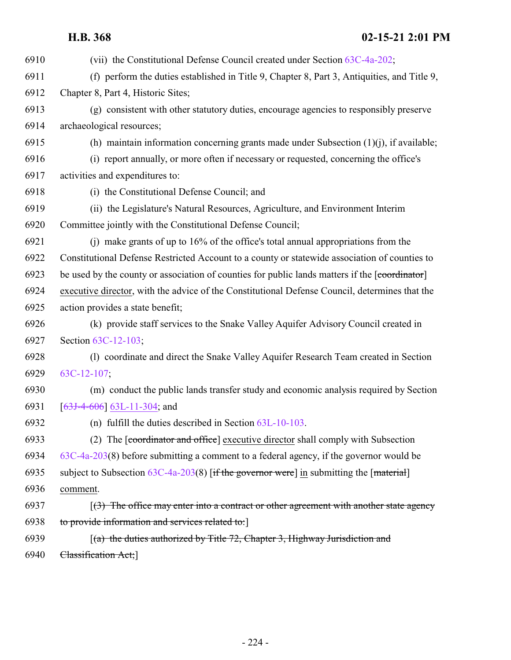| 6910 | (vii) the Constitutional Defense Council created under Section 63C-4a-202;                     |
|------|------------------------------------------------------------------------------------------------|
| 6911 | (f) perform the duties established in Title 9, Chapter 8, Part 3, Antiquities, and Title 9,    |
| 6912 | Chapter 8, Part 4, Historic Sites;                                                             |
| 6913 | (g) consistent with other statutory duties, encourage agencies to responsibly preserve         |
| 6914 | archaeological resources;                                                                      |
| 6915 | (h) maintain information concerning grants made under Subsection $(1)(j)$ , if available;      |
| 6916 | (i) report annually, or more often if necessary or requested, concerning the office's          |
| 6917 | activities and expenditures to:                                                                |
| 6918 | (i) the Constitutional Defense Council; and                                                    |
| 6919 | (ii) the Legislature's Natural Resources, Agriculture, and Environment Interim                 |
| 6920 | Committee jointly with the Constitutional Defense Council;                                     |
| 6921 | (i) make grants of up to 16% of the office's total annual appropriations from the              |
| 6922 | Constitutional Defense Restricted Account to a county or statewide association of counties to  |
| 6923 | be used by the county or association of counties for public lands matters if the [coordinator] |
| 6924 | executive director, with the advice of the Constitutional Defense Council, determines that the |
| 6925 | action provides a state benefit;                                                               |
| 6926 | (k) provide staff services to the Snake Valley Aquifer Advisory Council created in             |
| 6927 | Section 63C-12-103;                                                                            |
| 6928 | (1) coordinate and direct the Snake Valley Aquifer Research Team created in Section            |
| 6929 | $63C-12-107$ ;                                                                                 |
| 6930 | (m) conduct the public lands transfer study and economic analysis required by Section          |
| 6931 | $[63J-4-606]$ 63L-11-304; and                                                                  |
| 6932 | (n) fulfill the duties described in Section $63L-10-103$ .                                     |
| 6933 | (2) The [coordinator and office] executive director shall comply with Subsection               |
| 6934 | $63C-4a-203(8)$ before submitting a comment to a federal agency, if the governor would be      |
| 6935 | subject to Subsection $63C-4a-203(8)$ [if the governor were] in submitting the [material]      |
| 6936 | comment.                                                                                       |
| 6937 | $(3)$ The office may enter into a contract or other agreement with another state agency        |
| 6938 | to provide information and services related to:                                                |
| 6939 | $(a)$ the duties authorized by Title 72, Chapter 3, Highway Jurisdiction and                   |
| 6940 | Classification Act;                                                                            |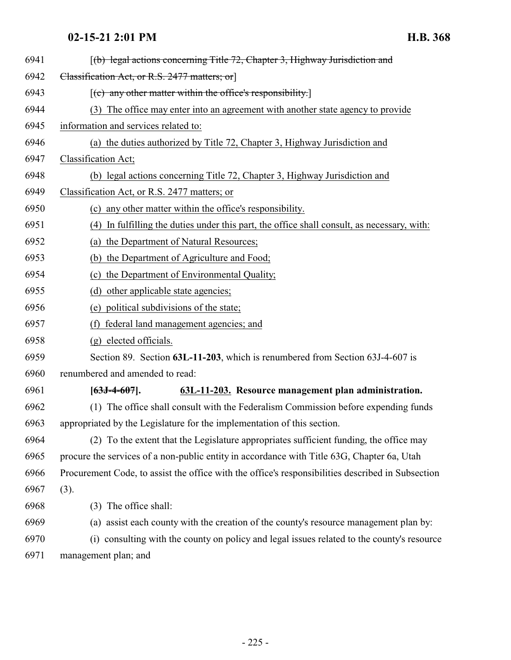<span id="page-224-0"></span>

| 6941 | (b) legal actions concerning Title 72, Chapter 3, Highway Jurisdiction and                        |
|------|---------------------------------------------------------------------------------------------------|
| 6942 | Classification Act, or R.S. 2477 matters; or                                                      |
| 6943 | $[$ (c) any other matter within the office's responsibility.]                                     |
| 6944 | (3) The office may enter into an agreement with another state agency to provide                   |
| 6945 | information and services related to:                                                              |
| 6946 | (a) the duties authorized by Title 72, Chapter 3, Highway Jurisdiction and                        |
| 6947 | Classification Act;                                                                               |
| 6948 | (b) legal actions concerning Title 72, Chapter 3, Highway Jurisdiction and                        |
| 6949 | Classification Act, or R.S. 2477 matters; or                                                      |
| 6950 | (c) any other matter within the office's responsibility.                                          |
| 6951 | (4) In fulfilling the duties under this part, the office shall consult, as necessary, with:       |
| 6952 | (a) the Department of Natural Resources;                                                          |
| 6953 | (b) the Department of Agriculture and Food;                                                       |
| 6954 | (c) the Department of Environmental Quality;                                                      |
| 6955 | (d) other applicable state agencies;                                                              |
| 6956 | (e) political subdivisions of the state;                                                          |
| 6957 | (f)<br>federal land management agencies; and                                                      |
| 6958 | (g) elected officials.                                                                            |
| 6959 | Section 89. Section 63L-11-203, which is renumbered from Section 63J-4-607 is                     |
| 6960 | renumbered and amended to read:                                                                   |
| 6961 | 63L-11-203. Resource management plan administration.<br>$[63J-4-607]$ .                           |
| 6962 | (1) The office shall consult with the Federalism Commission before expending funds                |
| 6963 | appropriated by the Legislature for the implementation of this section.                           |
| 6964 | (2) To the extent that the Legislature appropriates sufficient funding, the office may            |
| 6965 | procure the services of a non-public entity in accordance with Title 63G, Chapter 6a, Utah        |
| 6966 | Procurement Code, to assist the office with the office's responsibilities described in Subsection |
| 6967 | (3).                                                                                              |
| 6968 | (3) The office shall:                                                                             |
| 6969 | (a) assist each county with the creation of the county's resource management plan by:             |
| 6970 | (i) consulting with the county on policy and legal issues related to the county's resource        |
| 6971 | management plan; and                                                                              |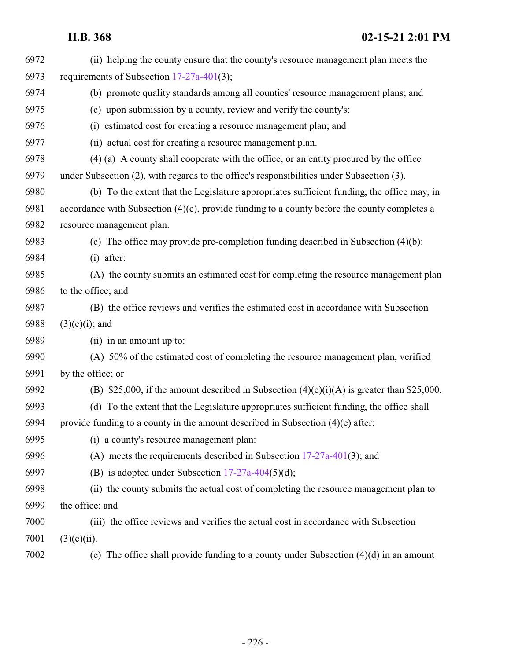| 6972 | (ii) helping the county ensure that the county's resource management plan meets the             |
|------|-------------------------------------------------------------------------------------------------|
| 6973 | requirements of Subsection $17-27a-401(3)$ ;                                                    |
| 6974 | (b) promote quality standards among all counties' resource management plans; and                |
| 6975 | (c) upon submission by a county, review and verify the county's:                                |
| 6976 | (i) estimated cost for creating a resource management plan; and                                 |
| 6977 | (ii) actual cost for creating a resource management plan.                                       |
| 6978 | (4) (a) A county shall cooperate with the office, or an entity procured by the office           |
| 6979 | under Subsection (2), with regards to the office's responsibilities under Subsection (3).       |
| 6980 | (b) To the extent that the Legislature appropriates sufficient funding, the office may, in      |
| 6981 | accordance with Subsection $(4)(c)$ , provide funding to a county before the county completes a |
| 6982 | resource management plan.                                                                       |
| 6983 | (c) The office may provide pre-completion funding described in Subsection (4)(b):               |
| 6984 | $(i)$ after:                                                                                    |
| 6985 | (A) the county submits an estimated cost for completing the resource management plan            |
| 6986 | to the office; and                                                                              |
| 6987 | (B) the office reviews and verifies the estimated cost in accordance with Subsection            |
| 6988 | $(3)(c)(i)$ ; and                                                                               |
| 6989 | (ii) in an amount up to:                                                                        |
| 6990 | (A) 50% of the estimated cost of completing the resource management plan, verified              |
| 6991 | by the office; or                                                                               |
| 6992 | (B) \$25,000, if the amount described in Subsection $(4)(c)(i)(A)$ is greater than \$25,000.    |
| 6993 | (d) To the extent that the Legislature appropriates sufficient funding, the office shall        |
| 6994 | provide funding to a county in the amount described in Subsection $(4)(e)$ after:               |
| 6995 | (i) a county's resource management plan:                                                        |
| 6996 | (A) meets the requirements described in Subsection $17-27a-401(3)$ ; and                        |
| 6997 | (B) is adopted under Subsection $17-27a-404(5)(d)$ ;                                            |
| 6998 | (ii) the county submits the actual cost of completing the resource management plan to           |
| 6999 | the office; and                                                                                 |
| 7000 | (iii) the office reviews and verifies the actual cost in accordance with Subsection             |
| 7001 | $(3)(c)(ii)$ .                                                                                  |
| 7002 | (e) The office shall provide funding to a county under Subsection $(4)(d)$ in an amount         |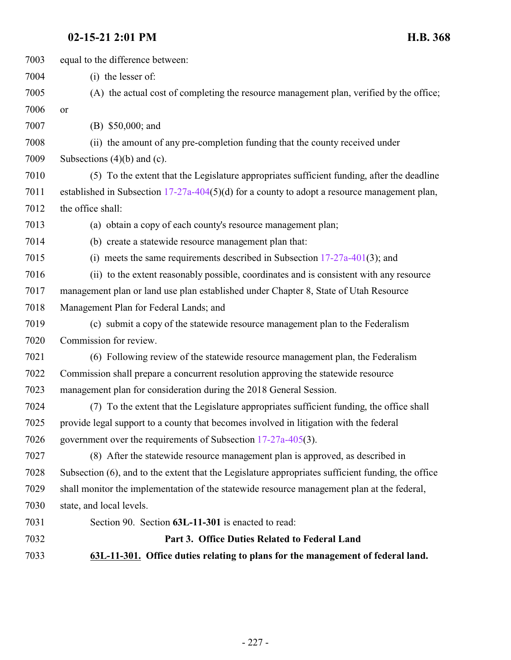<span id="page-226-0"></span>

| 7003 | equal to the difference between:                                                                   |
|------|----------------------------------------------------------------------------------------------------|
| 7004 | (i) the lesser of:                                                                                 |
| 7005 | (A) the actual cost of completing the resource management plan, verified by the office;            |
| 7006 | or                                                                                                 |
| 7007 | (B) \$50,000; and                                                                                  |
| 7008 | (ii) the amount of any pre-completion funding that the county received under                       |
| 7009 | Subsections $(4)(b)$ and $(c)$ .                                                                   |
| 7010 | (5) To the extent that the Legislature appropriates sufficient funding, after the deadline         |
| 7011 | established in Subsection $17-27a-404(5)(d)$ for a county to adopt a resource management plan,     |
| 7012 | the office shall:                                                                                  |
| 7013 | (a) obtain a copy of each county's resource management plan;                                       |
| 7014 | (b) create a statewide resource management plan that:                                              |
| 7015 | (i) meets the same requirements described in Subsection $17-27a-401(3)$ ; and                      |
| 7016 | (ii) to the extent reasonably possible, coordinates and is consistent with any resource            |
| 7017 | management plan or land use plan established under Chapter 8, State of Utah Resource               |
| 7018 | Management Plan for Federal Lands; and                                                             |
| 7019 | (c) submit a copy of the statewide resource management plan to the Federalism                      |
| 7020 | Commission for review.                                                                             |
| 7021 | (6) Following review of the statewide resource management plan, the Federalism                     |
| 7022 | Commission shall prepare a concurrent resolution approving the statewide resource                  |
| 7023 | management plan for consideration during the 2018 General Session.                                 |
| 7024 | (7) To the extent that the Legislature appropriates sufficient funding, the office shall           |
| 7025 | provide legal support to a county that becomes involved in litigation with the federal             |
| 7026 | government over the requirements of Subsection $17-27a-405(3)$ .                                   |
| 7027 | (8) After the statewide resource management plan is approved, as described in                      |
| 7028 | Subsection (6), and to the extent that the Legislature appropriates sufficient funding, the office |
| 7029 | shall monitor the implementation of the statewide resource management plan at the federal,         |
| 7030 | state, and local levels.                                                                           |
| 7031 | Section 90. Section 63L-11-301 is enacted to read:                                                 |
| 7032 | Part 3. Office Duties Related to Federal Land                                                      |
| 7033 | 63L-11-301. Office duties relating to plans for the management of federal land.                    |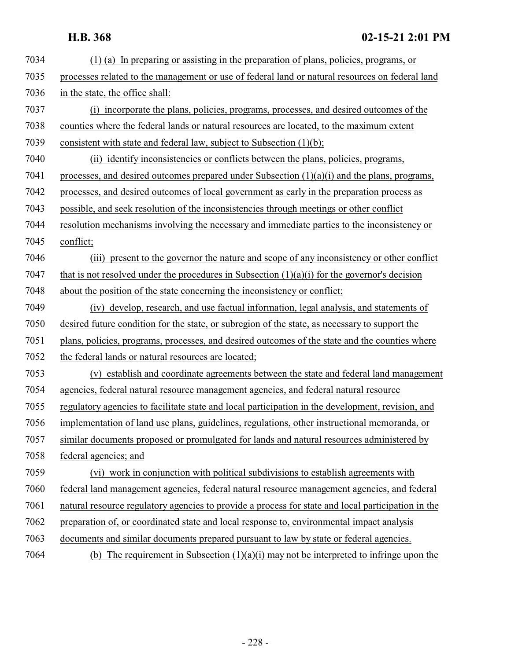| 7034 | $(1)$ (a) In preparing or assisting in the preparation of plans, policies, programs, or            |
|------|----------------------------------------------------------------------------------------------------|
| 7035 | processes related to the management or use of federal land or natural resources on federal land    |
| 7036 | in the state, the office shall:                                                                    |
| 7037 | (i) incorporate the plans, policies, programs, processes, and desired outcomes of the              |
| 7038 | counties where the federal lands or natural resources are located, to the maximum extent           |
| 7039 | consistent with state and federal law, subject to Subsection $(1)(b)$ ;                            |
| 7040 | (ii) identify inconsistencies or conflicts between the plans, policies, programs,                  |
| 7041 | processes, and desired outcomes prepared under Subsection $(1)(a)(i)$ and the plans, programs,     |
| 7042 | processes, and desired outcomes of local government as early in the preparation process as         |
| 7043 | possible, and seek resolution of the inconsistencies through meetings or other conflict            |
| 7044 | resolution mechanisms involving the necessary and immediate parties to the inconsistency or        |
| 7045 | conflict;                                                                                          |
| 7046 | (iii) present to the governor the nature and scope of any inconsistency or other conflict          |
| 7047 | that is not resolved under the procedures in Subsection $(1)(a)(i)$ for the governor's decision    |
| 7048 | about the position of the state concerning the inconsistency or conflict;                          |
| 7049 | (iv) develop, research, and use factual information, legal analysis, and statements of             |
| 7050 | desired future condition for the state, or subregion of the state, as necessary to support the     |
| 7051 | plans, policies, programs, processes, and desired outcomes of the state and the counties where     |
| 7052 | the federal lands or natural resources are located;                                                |
| 7053 | (v) establish and coordinate agreements between the state and federal land management              |
| 7054 | agencies, federal natural resource management agencies, and federal natural resource               |
| 7055 | regulatory agencies to facilitate state and local participation in the development, revision, and  |
| 7056 | implementation of land use plans, guidelines, regulations, other instructional memoranda, or       |
| 7057 | similar documents proposed or promulgated for lands and natural resources administered by          |
| 7058 | federal agencies; and                                                                              |
| 7059 | (vi) work in conjunction with political subdivisions to establish agreements with                  |
| 7060 | federal land management agencies, federal natural resource management agencies, and federal        |
| 7061 | natural resource regulatory agencies to provide a process for state and local participation in the |
| 7062 | preparation of, or coordinated state and local response to, environmental impact analysis          |
| 7063 | documents and similar documents prepared pursuant to law by state or federal agencies.             |
| 7064 | (b) The requirement in Subsection $(1)(a)(i)$ may not be interpreted to infringe upon the          |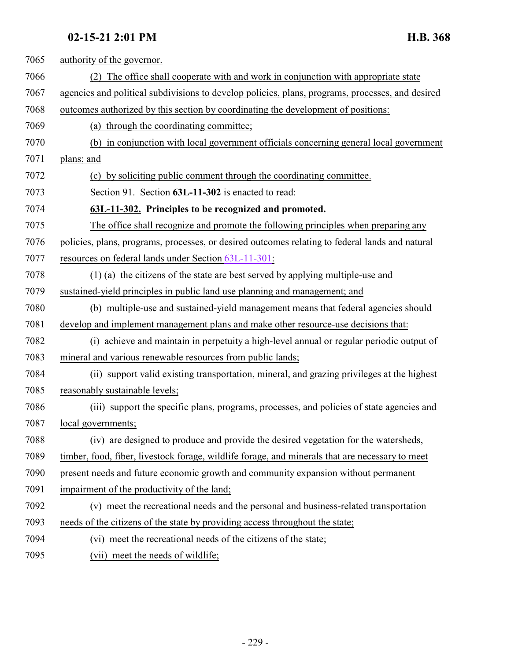| 7065 | authority of the governor.                                                                       |
|------|--------------------------------------------------------------------------------------------------|
| 7066 | (2) The office shall cooperate with and work in conjunction with appropriate state               |
| 7067 | agencies and political subdivisions to develop policies, plans, programs, processes, and desired |
| 7068 | outcomes authorized by this section by coordinating the development of positions:                |
| 7069 | through the coordinating committee;<br>(a)                                                       |
| 7070 | in conjunction with local government officials concerning general local government<br>(b)        |
| 7071 | plans; and                                                                                       |
| 7072 | (c) by soliciting public comment through the coordinating committee.                             |
| 7073 | Section 91. Section 63L-11-302 is enacted to read:                                               |
| 7074 | 63L-11-302. Principles to be recognized and promoted.                                            |
| 7075 | The office shall recognize and promote the following principles when preparing any               |
| 7076 | policies, plans, programs, processes, or desired outcomes relating to federal lands and natural  |
| 7077 | resources on federal lands under Section 63L-11-301:                                             |
| 7078 | (1) (a) the citizens of the state are best served by applying multiple-use and                   |
| 7079 | sustained-yield principles in public land use planning and management; and                       |
| 7080 | (b) multiple-use and sustained-yield management means that federal agencies should               |
| 7081 | develop and implement management plans and make other resource-use decisions that:               |
| 7082 | achieve and maintain in perpetuity a high-level annual or regular periodic output of<br>(i)      |
| 7083 | mineral and various renewable resources from public lands;                                       |
| 7084 | (ii) support valid existing transportation, mineral, and grazing privileges at the highest       |
| 7085 | reasonably sustainable levels;                                                                   |
| 7086 | (iii) support the specific plans, programs, processes, and policies of state agencies and        |
| 7087 | local governments;                                                                               |
| 7088 | (iv) are designed to produce and provide the desired vegetation for the watersheds,              |
| 7089 | timber, food, fiber, livestock forage, wildlife forage, and minerals that are necessary to meet  |
| 7090 | present needs and future economic growth and community expansion without permanent               |
| 7091 | impairment of the productivity of the land;                                                      |
| 7092 | meet the recreational needs and the personal and business-related transportation<br>(v)          |
| 7093 | needs of the citizens of the state by providing access throughout the state;                     |
| 7094 | (vi) meet the recreational needs of the citizens of the state;                                   |
| 7095 | (vii) meet the needs of wildlife;                                                                |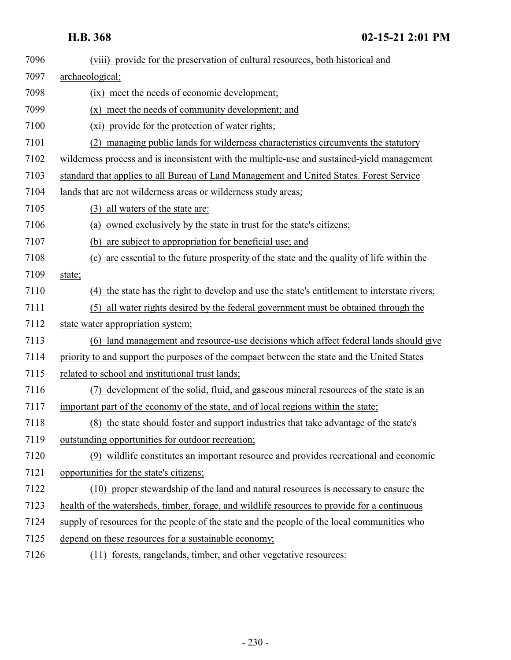| 7096 | (viii) provide for the preservation of cultural resources, both historical and                |
|------|-----------------------------------------------------------------------------------------------|
| 7097 | archaeological;                                                                               |
| 7098 | (ix) meet the needs of economic development;                                                  |
| 7099 | (x) meet the needs of community development; and                                              |
| 7100 | (xi) provide for the protection of water rights;                                              |
| 7101 | managing public lands for wilderness characteristics circumvents the statutory<br>(2)         |
| 7102 | wilderness process and is inconsistent with the multiple-use and sustained-yield management   |
| 7103 | standard that applies to all Bureau of Land Management and United States. Forest Service      |
| 7104 | lands that are not wilderness areas or wilderness study areas;                                |
| 7105 | all waters of the state are:<br>(3)                                                           |
| 7106 | owned exclusively by the state in trust for the state's citizens;<br>(a)                      |
| 7107 | are subject to appropriation for beneficial use; and<br>(b)                                   |
| 7108 | are essential to the future prosperity of the state and the quality of life within the<br>(c) |
| 7109 | state;                                                                                        |
| 7110 | (4) the state has the right to develop and use the state's entitlement to interstate rivers;  |
| 7111 | (5) all water rights desired by the federal government must be obtained through the           |
| 7112 | state water appropriation system;                                                             |
| 7113 | (6) land management and resource-use decisions which affect federal lands should give         |
| 7114 | priority to and support the purposes of the compact between the state and the United States   |
| 7115 | related to school and institutional trust lands;                                              |
| 7116 | development of the solid, fluid, and gaseous mineral resources of the state is an             |
| 7117 | important part of the economy of the state, and of local regions within the state;            |
| 7118 | (8) the state should foster and support industries that take advantage of the state's         |
| 7119 | outstanding opportunities for outdoor recreation;                                             |
| 7120 | (9) wildlife constitutes an important resource and provides recreational and economic         |
| 7121 | opportunities for the state's citizens;                                                       |
| 7122 | (10) proper stewardship of the land and natural resources is necessary to ensure the          |
| 7123 | health of the watersheds, timber, forage, and wildlife resources to provide for a continuous  |
| 7124 | supply of resources for the people of the state and the people of the local communities who   |
| 7125 | depend on these resources for a sustainable economy;                                          |
| 7126 | (11) forests, rangelands, timber, and other vegetative resources:                             |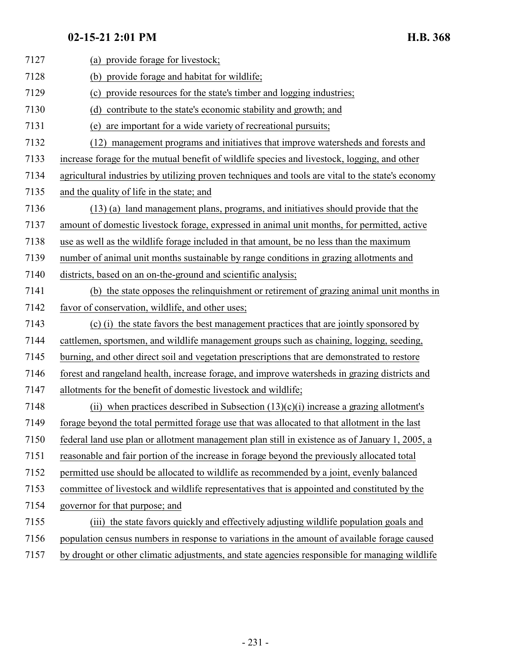| 7127 | (a) provide forage for livestock;                                                                 |
|------|---------------------------------------------------------------------------------------------------|
| 7128 | (b) provide forage and habitat for wildlife;                                                      |
| 7129 | (c) provide resources for the state's timber and logging industries;                              |
| 7130 | contribute to the state's economic stability and growth; and<br>(d)                               |
| 7131 | are important for a wide variety of recreational pursuits;<br>(e)                                 |
| 7132 | management programs and initiatives that improve watersheds and forests and<br>(12)               |
| 7133 | increase forage for the mutual benefit of wildlife species and livestock, logging, and other      |
| 7134 | agricultural industries by utilizing proven techniques and tools are vital to the state's economy |
| 7135 | and the quality of life in the state; and                                                         |
| 7136 | (13) (a) land management plans, programs, and initiatives should provide that the                 |
| 7137 | amount of domestic livestock forage, expressed in animal unit months, for permitted, active       |
| 7138 | use as well as the wildlife forage included in that amount, be no less than the maximum           |
| 7139 | number of animal unit months sustainable by range conditions in grazing allotments and            |
| 7140 | districts, based on an on-the-ground and scientific analysis;                                     |
| 7141 | (b) the state opposes the relinquishment or retirement of grazing animal unit months in           |
| 7142 | favor of conservation, wildlife, and other uses;                                                  |
| 7143 | (c) (i) the state favors the best management practices that are jointly sponsored by              |
| 7144 | cattlemen, sportsmen, and wildlife management groups such as chaining, logging, seeding,          |
| 7145 | burning, and other direct soil and vegetation prescriptions that are demonstrated to restore      |
| 7146 | forest and rangeland health, increase forage, and improve watersheds in grazing districts and     |
| 7147 | allotments for the benefit of domestic livestock and wildlife;                                    |
| 7148 | (ii) when practices described in Subsection $(13)(c)(i)$ increase a grazing allotment's           |
| 7149 | forage beyond the total permitted forage use that was allocated to that allotment in the last     |
| 7150 | federal land use plan or allotment management plan still in existence as of January 1, 2005, a    |
| 7151 | reasonable and fair portion of the increase in forage beyond the previously allocated total       |
| 7152 | permitted use should be allocated to wildlife as recommended by a joint, evenly balanced          |
| 7153 | committee of livestock and wildlife representatives that is appointed and constituted by the      |
| 7154 | governor for that purpose; and                                                                    |
| 7155 | (iii) the state favors quickly and effectively adjusting wildlife population goals and            |
| 7156 | population census numbers in response to variations in the amount of available forage caused      |
| 7157 | by drought or other climatic adjustments, and state agencies responsible for managing wildlife    |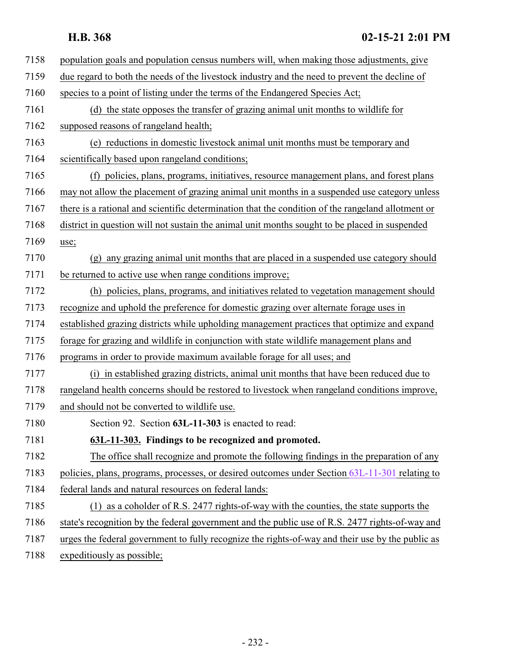| 7158 | population goals and population census numbers will, when making those adjustments, give          |
|------|---------------------------------------------------------------------------------------------------|
| 7159 | due regard to both the needs of the livestock industry and the need to prevent the decline of     |
| 7160 | species to a point of listing under the terms of the Endangered Species Act;                      |
| 7161 | (d) the state opposes the transfer of grazing animal unit months to wildlife for                  |
| 7162 | supposed reasons of rangeland health;                                                             |
| 7163 | (e) reductions in domestic livestock animal unit months must be temporary and                     |
| 7164 | scientifically based upon rangeland conditions;                                                   |
| 7165 | (f) policies, plans, programs, initiatives, resource management plans, and forest plans           |
| 7166 | may not allow the placement of grazing animal unit months in a suspended use category unless      |
| 7167 | there is a rational and scientific determination that the condition of the rangeland allotment or |
| 7168 | district in question will not sustain the animal unit months sought to be placed in suspended     |
| 7169 | use;                                                                                              |
| 7170 | any grazing animal unit months that are placed in a suspended use category should<br>(g)          |
| 7171 | be returned to active use when range conditions improve;                                          |
| 7172 | (h) policies, plans, programs, and initiatives related to vegetation management should            |
| 7173 | recognize and uphold the preference for domestic grazing over alternate forage uses in            |
| 7174 | established grazing districts while upholding management practices that optimize and expand       |
| 7175 | forage for grazing and wildlife in conjunction with state wildlife management plans and           |
| 7176 | programs in order to provide maximum available forage for all uses; and                           |
| 7177 | (i) in established grazing districts, animal unit months that have been reduced due to            |
| 7178 | rangeland health concerns should be restored to livestock when rangeland conditions improve,      |
| 7179 | and should not be converted to wildlife use.                                                      |
| 7180 | Section 92. Section 63L-11-303 is enacted to read:                                                |
| 7181 | 63L-11-303. Findings to be recognized and promoted.                                               |
| 7182 | The office shall recognize and promote the following findings in the preparation of any           |
| 7183 | policies, plans, programs, processes, or desired outcomes under Section 63L-11-301 relating to    |
| 7184 | federal lands and natural resources on federal lands:                                             |
| 7185 | $(1)$ as a coholder of R.S. 2477 rights-of-way with the counties, the state supports the          |
| 7186 | state's recognition by the federal government and the public use of R.S. 2477 rights-of-way and   |
| 7187 | urges the federal government to fully recognize the rights-of-way and their use by the public as  |
| 7188 | expeditiously as possible;                                                                        |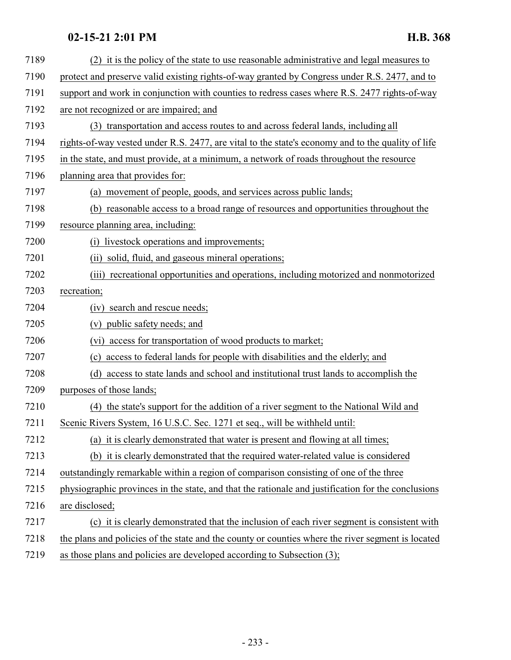| 7189 | (2) it is the policy of the state to use reasonable administrative and legal measures to           |
|------|----------------------------------------------------------------------------------------------------|
| 7190 | protect and preserve valid existing rights-of-way granted by Congress under R.S. 2477, and to      |
| 7191 | support and work in conjunction with counties to redress cases where R.S. 2477 rights-of-way       |
| 7192 | are not recognized or are impaired; and                                                            |
| 7193 | (3) transportation and access routes to and across federal lands, including all                    |
| 7194 | rights-of-way vested under R.S. 2477, are vital to the state's economy and to the quality of life  |
| 7195 | in the state, and must provide, at a minimum, a network of roads throughout the resource           |
| 7196 | planning area that provides for:                                                                   |
| 7197 | (a) movement of people, goods, and services across public lands;                                   |
| 7198 | (b) reasonable access to a broad range of resources and opportunities throughout the               |
| 7199 | resource planning area, including:                                                                 |
| 7200 | livestock operations and improvements;<br>(i)                                                      |
| 7201 | (ii) solid, fluid, and gaseous mineral operations;                                                 |
| 7202 | (iii) recreational opportunities and operations, including motorized and nonmotorized              |
| 7203 | recreation;                                                                                        |
| 7204 | (iv) search and rescue needs;                                                                      |
| 7205 | (v) public safety needs; and                                                                       |
| 7206 | (vi) access for transportation of wood products to market;                                         |
| 7207 | access to federal lands for people with disabilities and the elderly; and<br>(c)                   |
| 7208 | access to state lands and school and institutional trust lands to accomplish the<br>(d)            |
| 7209 | purposes of those lands;                                                                           |
| 7210 | (4) the state's support for the addition of a river segment to the National Wild and               |
| 7211 | Scenic Rivers System, 16 U.S.C. Sec. 1271 et seq., will be withheld until:                         |
| 7212 | (a) it is clearly demonstrated that water is present and flowing at all times;                     |
| 7213 | (b) it is clearly demonstrated that the required water-related value is considered                 |
| 7214 | outstandingly remarkable within a region of comparison consisting of one of the three              |
| 7215 | physiographic provinces in the state, and that the rationale and justification for the conclusions |
| 7216 | are disclosed;                                                                                     |
| 7217 | (c) it is clearly demonstrated that the inclusion of each river segment is consistent with         |
| 7218 | the plans and policies of the state and the county or counties where the river segment is located  |
| 7219 | as those plans and policies are developed according to Subsection (3);                             |
|      |                                                                                                    |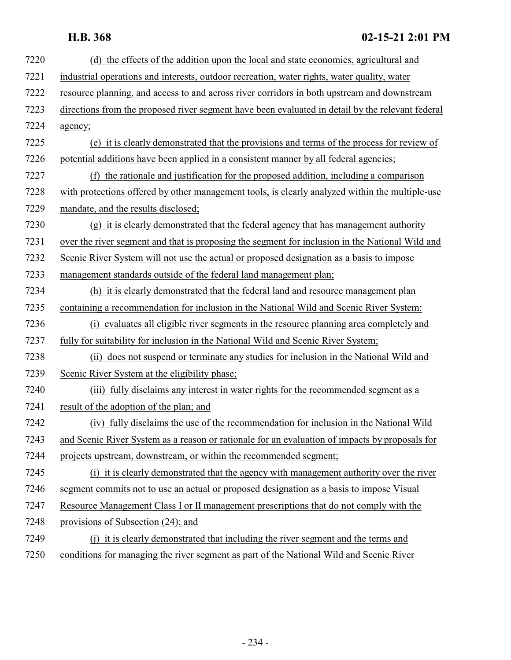| 7220 | (d) the effects of the addition upon the local and state economies, agricultural and             |
|------|--------------------------------------------------------------------------------------------------|
| 7221 | industrial operations and interests, outdoor recreation, water rights, water quality, water      |
| 7222 | resource planning, and access to and across river corridors in both upstream and downstream      |
| 7223 | directions from the proposed river segment have been evaluated in detail by the relevant federal |
| 7224 | agency;                                                                                          |
| 7225 | (e) it is clearly demonstrated that the provisions and terms of the process for review of        |
| 7226 | potential additions have been applied in a consistent manner by all federal agencies;            |
| 7227 | (f) the rationale and justification for the proposed addition, including a comparison            |
| 7228 | with protections offered by other management tools, is clearly analyzed within the multiple-use  |
| 7229 | mandate, and the results disclosed;                                                              |
| 7230 | (g) it is clearly demonstrated that the federal agency that has management authority             |
| 7231 | over the river segment and that is proposing the segment for inclusion in the National Wild and  |
| 7232 | Scenic River System will not use the actual or proposed designation as a basis to impose         |
| 7233 | management standards outside of the federal land management plan;                                |
| 7234 | (h) it is clearly demonstrated that the federal land and resource management plan                |
| 7235 | containing a recommendation for inclusion in the National Wild and Scenic River System:          |
| 7236 | (i) evaluates all eligible river segments in the resource planning area completely and           |
| 7237 | fully for suitability for inclusion in the National Wild and Scenic River System;                |
| 7238 | does not suspend or terminate any studies for inclusion in the National Wild and<br>(ii)         |
| 7239 | Scenic River System at the eligibility phase;                                                    |
| 7240 | (iii) fully disclaims any interest in water rights for the recommended segment as a              |
| 7241 | result of the adoption of the plan; and                                                          |
| 7242 | (iv) fully disclaims the use of the recommendation for inclusion in the National Wild            |
| 7243 | and Scenic River System as a reason or rationale for an evaluation of impacts by proposals for   |
| 7244 | projects upstream, downstream, or within the recommended segment;                                |
| 7245 | (i) it is clearly demonstrated that the agency with management authority over the river          |
| 7246 | segment commits not to use an actual or proposed designation as a basis to impose Visual         |
| 7247 | Resource Management Class I or II management prescriptions that do not comply with the           |
| 7248 | provisions of Subsection (24); and                                                               |
| 7249 | (j) it is clearly demonstrated that including the river segment and the terms and                |
| 7250 | conditions for managing the river segment as part of the National Wild and Scenic River          |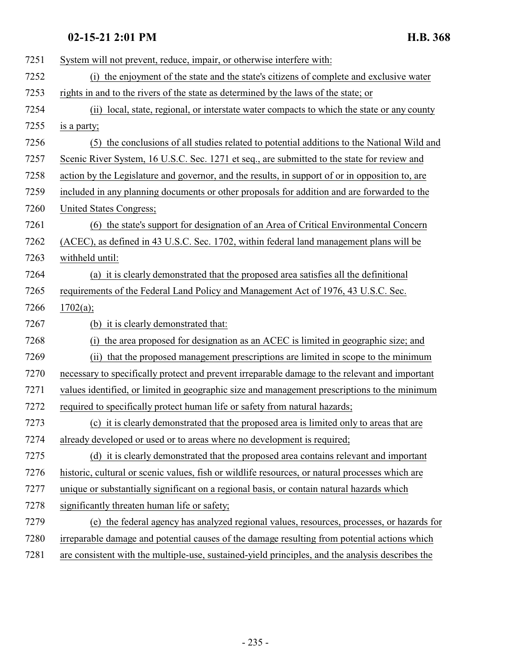| 7251 | System will not prevent, reduce, impair, or otherwise interfere with:                            |
|------|--------------------------------------------------------------------------------------------------|
| 7252 | (i) the enjoyment of the state and the state's citizens of complete and exclusive water          |
| 7253 | rights in and to the rivers of the state as determined by the laws of the state; or              |
| 7254 | (ii) local, state, regional, or interstate water compacts to which the state or any county       |
| 7255 | is a party;                                                                                      |
| 7256 | the conclusions of all studies related to potential additions to the National Wild and<br>(5)    |
| 7257 | Scenic River System, 16 U.S.C. Sec. 1271 et seq., are submitted to the state for review and      |
| 7258 | action by the Legislature and governor, and the results, in support of or in opposition to, are  |
| 7259 | included in any planning documents or other proposals for addition and are forwarded to the      |
| 7260 | <b>United States Congress;</b>                                                                   |
| 7261 | (6) the state's support for designation of an Area of Critical Environmental Concern             |
| 7262 | (ACEC), as defined in 43 U.S.C. Sec. 1702, within federal land management plans will be          |
| 7263 | withheld until:                                                                                  |
| 7264 | (a) it is clearly demonstrated that the proposed area satisfies all the definitional             |
| 7265 | requirements of the Federal Land Policy and Management Act of 1976, 43 U.S.C. Sec.               |
| 7266 | 1702(a);                                                                                         |
| 7267 | (b) it is clearly demonstrated that:                                                             |
| 7268 | the area proposed for designation as an ACEC is limited in geographic size; and<br>(i)           |
| 7269 | that the proposed management prescriptions are limited in scope to the minimum<br>(ii)           |
| 7270 | necessary to specifically protect and prevent irreparable damage to the relevant and important   |
| 7271 | values identified, or limited in geographic size and management prescriptions to the minimum     |
| 7272 | required to specifically protect human life or safety from natural hazards;                      |
| 7273 | (c) it is clearly demonstrated that the proposed area is limited only to areas that are          |
| 7274 | already developed or used or to areas where no development is required;                          |
| 7275 | (d) it is clearly demonstrated that the proposed area contains relevant and important            |
| 7276 | historic, cultural or scenic values, fish or wildlife resources, or natural processes which are  |
| 7277 | unique or substantially significant on a regional basis, or contain natural hazards which        |
| 7278 | significantly threaten human life or safety;                                                     |
| 7279 | (e) the federal agency has analyzed regional values, resources, processes, or hazards for        |
| 7280 | irreparable damage and potential causes of the damage resulting from potential actions which     |
| 7281 | are consistent with the multiple-use, sustained-yield principles, and the analysis describes the |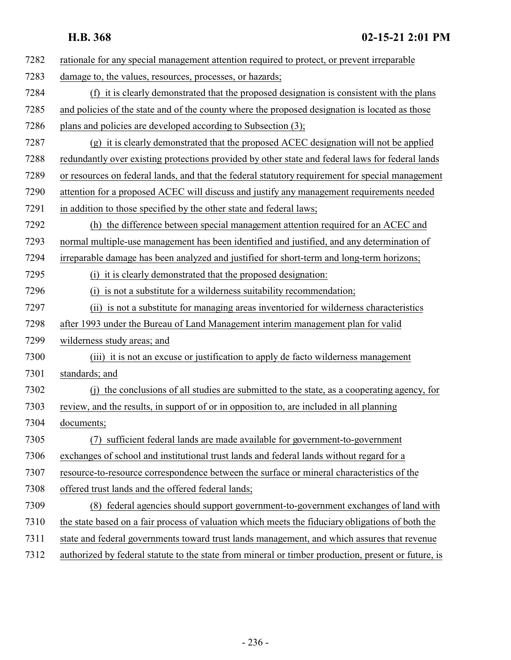| 7282 | rationale for any special management attention required to protect, or prevent irreparable          |
|------|-----------------------------------------------------------------------------------------------------|
| 7283 | damage to, the values, resources, processes, or hazards;                                            |
| 7284 | (f) it is clearly demonstrated that the proposed designation is consistent with the plans           |
| 7285 | and policies of the state and of the county where the proposed designation is located as those      |
| 7286 | plans and policies are developed according to Subsection (3);                                       |
| 7287 | (g) it is clearly demonstrated that the proposed ACEC designation will not be applied               |
| 7288 | redundantly over existing protections provided by other state and federal laws for federal lands    |
| 7289 | or resources on federal lands, and that the federal statutory requirement for special management    |
| 7290 | attention for a proposed ACEC will discuss and justify any management requirements needed           |
| 7291 | in addition to those specified by the other state and federal laws;                                 |
| 7292 | (h) the difference between special management attention required for an ACEC and                    |
| 7293 | normal multiple-use management has been identified and justified, and any determination of          |
| 7294 | irreparable damage has been analyzed and justified for short-term and long-term horizons;           |
| 7295 | (i) it is clearly demonstrated that the proposed designation:                                       |
| 7296 | is not a substitute for a wilderness suitability recommendation;<br>(i)                             |
| 7297 | (ii) is not a substitute for managing areas inventoried for wilderness characteristics              |
| 7298 | after 1993 under the Bureau of Land Management interim management plan for valid                    |
| 7299 | wilderness study areas; and                                                                         |
| 7300 | (iii) it is not an excuse or justification to apply de facto wilderness management                  |
| 7301 | standards; and                                                                                      |
| 7302 | the conclusions of all studies are submitted to the state, as a cooperating agency, for             |
| 7303 | review, and the results, in support of or in opposition to, are included in all planning            |
| 7304 | documents;                                                                                          |
| 7305 | (7)<br>sufficient federal lands are made available for government-to-government                     |
| 7306 | exchanges of school and institutional trust lands and federal lands without regard for a            |
| 7307 | resource-to-resource correspondence between the surface or mineral characteristics of the           |
| 7308 | offered trust lands and the offered federal lands;                                                  |
| 7309 | federal agencies should support government-to-government exchanges of land with<br>(8)              |
| 7310 | the state based on a fair process of valuation which meets the fiduciary obligations of both the    |
| 7311 | state and federal governments toward trust lands management, and which assures that revenue         |
| 7312 | authorized by federal statute to the state from mineral or timber production, present or future, is |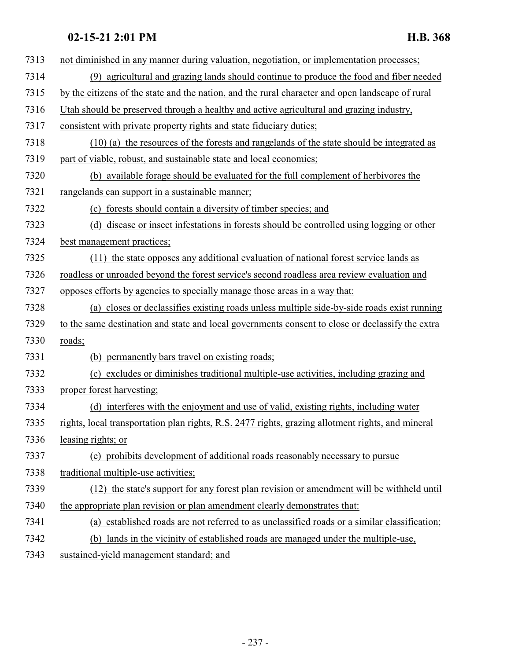| 7313 | not diminished in any manner during valuation, negotiation, or implementation processes;          |
|------|---------------------------------------------------------------------------------------------------|
| 7314 | agricultural and grazing lands should continue to produce the food and fiber needed<br>(9)        |
| 7315 | by the citizens of the state and the nation, and the rural character and open landscape of rural  |
| 7316 | Utah should be preserved through a healthy and active agricultural and grazing industry,          |
| 7317 | consistent with private property rights and state fiduciary duties;                               |
| 7318 | (10) (a) the resources of the forests and rangelands of the state should be integrated as         |
| 7319 | part of viable, robust, and sustainable state and local economies;                                |
| 7320 | (b) available forage should be evaluated for the full complement of herbivores the                |
| 7321 | rangelands can support in a sustainable manner;                                                   |
| 7322 | forests should contain a diversity of timber species; and<br>(c)                                  |
| 7323 | disease or insect infestations in forests should be controlled using logging or other<br>(d)      |
| 7324 | best management practices;                                                                        |
| 7325 | (11) the state opposes any additional evaluation of national forest service lands as              |
| 7326 | roadless or unroaded beyond the forest service's second roadless area review evaluation and       |
| 7327 | opposes efforts by agencies to specially manage those areas in a way that:                        |
| 7328 | (a) closes or declassifies existing roads unless multiple side-by-side roads exist running        |
| 7329 | to the same destination and state and local governments consent to close or declassify the extra  |
| 7330 | roads;                                                                                            |
| 7331 | permanently bars travel on existing roads;<br>(b)                                                 |
| 7332 | (c) excludes or diminishes traditional multiple-use activities, including grazing and             |
| 7333 | proper forest harvesting;                                                                         |
| 7334 | (d) interferes with the enjoyment and use of valid, existing rights, including water              |
| 7335 | rights, local transportation plan rights, R.S. 2477 rights, grazing allotment rights, and mineral |
| 7336 | leasing rights; or                                                                                |
| 7337 | (e) prohibits development of additional roads reasonably necessary to pursue                      |
| 7338 | traditional multiple-use activities;                                                              |
| 7339 | (12) the state's support for any forest plan revision or amendment will be withheld until         |
| 7340 | the appropriate plan revision or plan amendment clearly demonstrates that:                        |
| 7341 | (a) established roads are not referred to as unclassified roads or a similar classification;      |
| 7342 | lands in the vicinity of established roads are managed under the multiple-use,<br>(b)             |
| 7343 | sustained-yield management standard; and                                                          |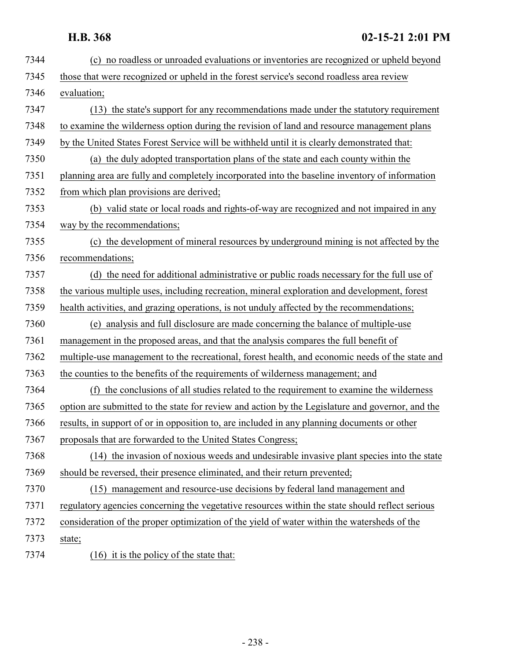| 7344 | (c) no roadless or unroaded evaluations or inventories are recognized or upheld beyond           |
|------|--------------------------------------------------------------------------------------------------|
| 7345 | those that were recognized or upheld in the forest service's second roadless area review         |
| 7346 | evaluation;                                                                                      |
| 7347 | (13) the state's support for any recommendations made under the statutory requirement            |
| 7348 | to examine the wilderness option during the revision of land and resource management plans       |
| 7349 | by the United States Forest Service will be withheld until it is clearly demonstrated that:      |
| 7350 | (a) the duly adopted transportation plans of the state and each county within the                |
| 7351 | planning area are fully and completely incorporated into the baseline inventory of information   |
| 7352 | from which plan provisions are derived;                                                          |
| 7353 | (b) valid state or local roads and rights-of-way are recognized and not impaired in any          |
| 7354 | way by the recommendations;                                                                      |
| 7355 | (c) the development of mineral resources by underground mining is not affected by the            |
| 7356 | recommendations;                                                                                 |
| 7357 | (d) the need for additional administrative or public roads necessary for the full use of         |
| 7358 | the various multiple uses, including recreation, mineral exploration and development, forest     |
| 7359 | health activities, and grazing operations, is not unduly affected by the recommendations;        |
| 7360 | (e) analysis and full disclosure are made concerning the balance of multiple-use                 |
| 7361 | management in the proposed areas, and that the analysis compares the full benefit of             |
| 7362 | multiple-use management to the recreational, forest health, and economic needs of the state and  |
| 7363 | the counties to the benefits of the requirements of wilderness management; and                   |
| 7364 | (f) the conclusions of all studies related to the requirement to examine the wilderness          |
| 7365 | option are submitted to the state for review and action by the Legislature and governor, and the |
| 7366 | results, in support of or in opposition to, are included in any planning documents or other      |
| 7367 | proposals that are forwarded to the United States Congress;                                      |
| 7368 | (14) the invasion of noxious weeds and undesirable invasive plant species into the state         |
| 7369 | should be reversed, their presence eliminated, and their return prevented;                       |
| 7370 | (15) management and resource-use decisions by federal land management and                        |
| 7371 | regulatory agencies concerning the vegetative resources within the state should reflect serious  |
| 7372 | consideration of the proper optimization of the yield of water within the watersheds of the      |
| 7373 | state;                                                                                           |
| 7374 | $(16)$ it is the policy of the state that:                                                       |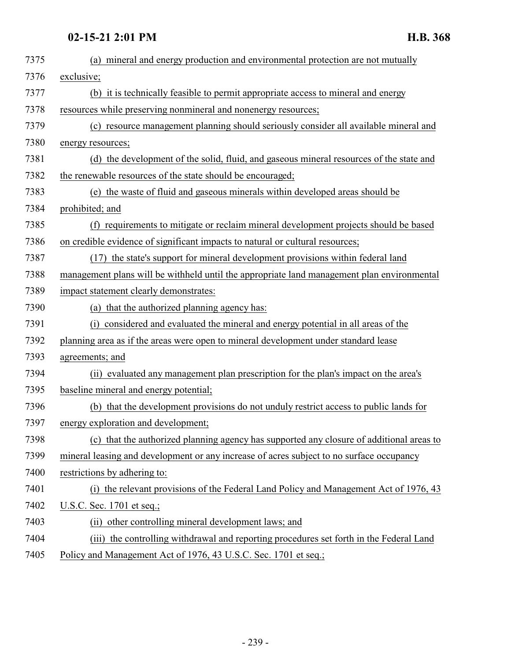| 7375 | (a) mineral and energy production and environmental protection are not mutually            |
|------|--------------------------------------------------------------------------------------------|
| 7376 | exclusive;                                                                                 |
| 7377 | (b) it is technically feasible to permit appropriate access to mineral and energy          |
| 7378 | resources while preserving nonmineral and nonenergy resources;                             |
| 7379 | (c) resource management planning should seriously consider all available mineral and       |
| 7380 | energy resources;                                                                          |
| 7381 | (d) the development of the solid, fluid, and gaseous mineral resources of the state and    |
| 7382 | the renewable resources of the state should be encouraged;                                 |
| 7383 | (e) the waste of fluid and gaseous minerals within developed areas should be               |
| 7384 | prohibited; and                                                                            |
| 7385 | requirements to mitigate or reclaim mineral development projects should be based<br>(f)    |
| 7386 | on credible evidence of significant impacts to natural or cultural resources;              |
| 7387 | (17) the state's support for mineral development provisions within federal land            |
| 7388 | management plans will be withheld until the appropriate land management plan environmental |
| 7389 | impact statement clearly demonstrates:                                                     |
| 7390 | (a) that the authorized planning agency has:                                               |
| 7391 | considered and evaluated the mineral and energy potential in all areas of the<br>(i)       |
| 7392 | planning area as if the areas were open to mineral development under standard lease        |
| 7393 | agreements; and                                                                            |
| 7394 | (ii) evaluated any management plan prescription for the plan's impact on the area's        |
| 7395 | baseline mineral and energy potential;                                                     |
| 7396 | (b) that the development provisions do not unduly restrict access to public lands for      |
| 7397 | energy exploration and development;                                                        |
| 7398 | (c) that the authorized planning agency has supported any closure of additional areas to   |
| 7399 | mineral leasing and development or any increase of acres subject to no surface occupancy   |
| 7400 | restrictions by adhering to:                                                               |
| 7401 | the relevant provisions of the Federal Land Policy and Management Act of 1976, 43<br>(i)   |
| 7402 | U.S.C. Sec. 1701 et seq.;                                                                  |
| 7403 | other controlling mineral development laws; and<br>(ii)                                    |
| 7404 | (iii) the controlling withdrawal and reporting procedures set forth in the Federal Land    |
| 7405 | Policy and Management Act of 1976, 43 U.S.C. Sec. 1701 et seq.;                            |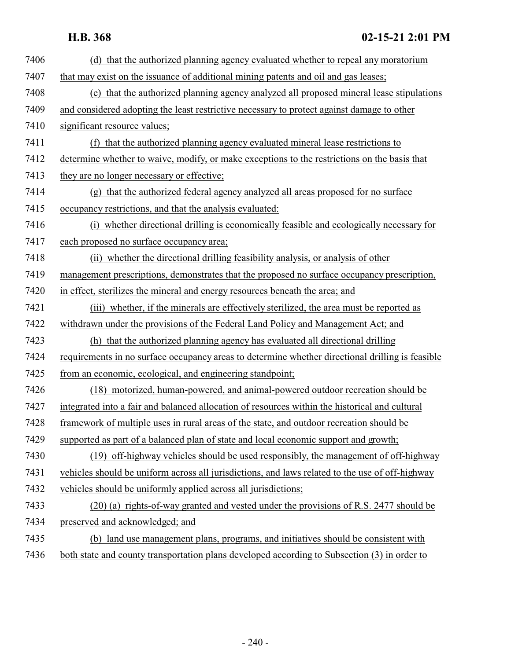| 7406 | (d) that the authorized planning agency evaluated whether to repeal any moratorium               |
|------|--------------------------------------------------------------------------------------------------|
| 7407 | that may exist on the issuance of additional mining patents and oil and gas leases;              |
| 7408 | (e) that the authorized planning agency analyzed all proposed mineral lease stipulations         |
| 7409 | and considered adopting the least restrictive necessary to protect against damage to other       |
| 7410 | significant resource values;                                                                     |
| 7411 | (f) that the authorized planning agency evaluated mineral lease restrictions to                  |
| 7412 | determine whether to waive, modify, or make exceptions to the restrictions on the basis that     |
| 7413 | they are no longer necessary or effective;                                                       |
| 7414 | (g) that the authorized federal agency analyzed all areas proposed for no surface                |
| 7415 | occupancy restrictions, and that the analysis evaluated:                                         |
| 7416 | (i) whether directional drilling is economically feasible and ecologically necessary for         |
| 7417 | each proposed no surface occupancy area;                                                         |
| 7418 | (ii) whether the directional drilling feasibility analysis, or analysis of other                 |
| 7419 | management prescriptions, demonstrates that the proposed no surface occupancy prescription,      |
| 7420 | in effect, sterilizes the mineral and energy resources beneath the area; and                     |
| 7421 | (iii) whether, if the minerals are effectively sterilized, the area must be reported as          |
| 7422 | withdrawn under the provisions of the Federal Land Policy and Management Act; and                |
| 7423 | (h) that the authorized planning agency has evaluated all directional drilling                   |
| 7424 | requirements in no surface occupancy areas to determine whether directional drilling is feasible |
| 7425 | from an economic, ecological, and engineering standpoint;                                        |
| 7426 | (18) motorized, human-powered, and animal-powered outdoor recreation should be                   |
| 7427 | integrated into a fair and balanced allocation of resources within the historical and cultural   |
| 7428 | framework of multiple uses in rural areas of the state, and outdoor recreation should be         |
| 7429 | supported as part of a balanced plan of state and local economic support and growth;             |
| 7430 | (19) off-highway vehicles should be used responsibly, the management of off-highway              |
| 7431 | vehicles should be uniform across all jurisdictions, and laws related to the use of off-highway  |
| 7432 | vehicles should be uniformly applied across all jurisdictions;                                   |
| 7433 | (20) (a) rights-of-way granted and vested under the provisions of R.S. 2477 should be            |
| 7434 | preserved and acknowledged; and                                                                  |
| 7435 | (b) land use management plans, programs, and initiatives should be consistent with               |
| 7436 | both state and county transportation plans developed according to Subsection (3) in order to     |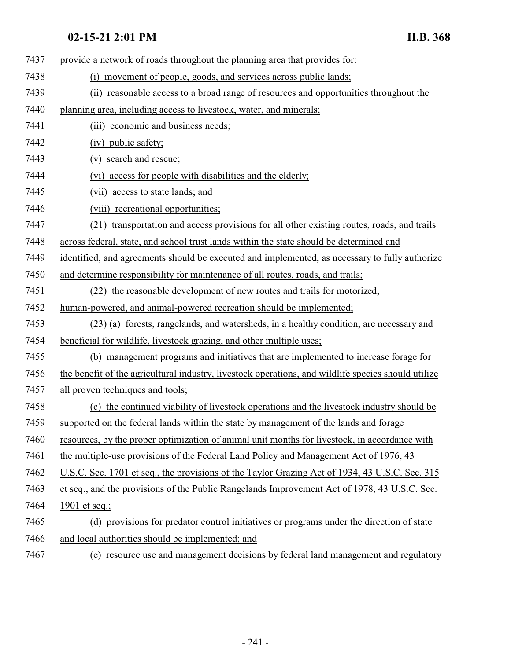| 7437 | provide a network of roads throughout the planning area that provides for:                          |
|------|-----------------------------------------------------------------------------------------------------|
| 7438 | movement of people, goods, and services across public lands;<br>(i)                                 |
| 7439 | (ii) reasonable access to a broad range of resources and opportunities throughout the               |
| 7440 | planning area, including access to livestock, water, and minerals;                                  |
| 7441 | (iii) economic and business needs;                                                                  |
| 7442 | (iv) public safety;                                                                                 |
| 7443 | (v) search and rescue;                                                                              |
| 7444 | (vi) access for people with disabilities and the elderly;                                           |
| 7445 | (vii) access to state lands; and                                                                    |
| 7446 | (viii) recreational opportunities;                                                                  |
| 7447 | (21) transportation and access provisions for all other existing routes, roads, and trails          |
| 7448 | across federal, state, and school trust lands within the state should be determined and             |
| 7449 | identified, and agreements should be executed and implemented, as necessary to fully authorize      |
| 7450 | and determine responsibility for maintenance of all routes, roads, and trails;                      |
| 7451 | (22) the reasonable development of new routes and trails for motorized,                             |
| 7452 | human-powered, and animal-powered recreation should be implemented;                                 |
| 7453 | (23) (a) forests, rangelands, and watersheds, in a healthy condition, are necessary and             |
| 7454 | beneficial for wildlife, livestock grazing, and other multiple uses;                                |
| 7455 | (b) management programs and initiatives that are implemented to increase forage for                 |
| 7456 | the benefit of the agricultural industry, livestock operations, and wildlife species should utilize |
| 7457 | all proven techniques and tools;                                                                    |
| 7458 | (c) the continued viability of livestock operations and the livestock industry should be            |
| 7459 | supported on the federal lands within the state by management of the lands and forage               |
| 7460 | resources, by the proper optimization of animal unit months for livestock, in accordance with       |
| 7461 | the multiple-use provisions of the Federal Land Policy and Management Act of 1976, 43               |
| 7462 | U.S.C. Sec. 1701 et seq., the provisions of the Taylor Grazing Act of 1934, 43 U.S.C. Sec. 315      |
| 7463 | et seq., and the provisions of the Public Rangelands Improvement Act of 1978, 43 U.S.C. Sec.        |
| 7464 | 1901 et seq.;                                                                                       |
| 7465 | (d) provisions for predator control initiatives or programs under the direction of state            |
| 7466 | and local authorities should be implemented; and                                                    |
| 7467 | (e) resource use and management decisions by federal land management and regulatory                 |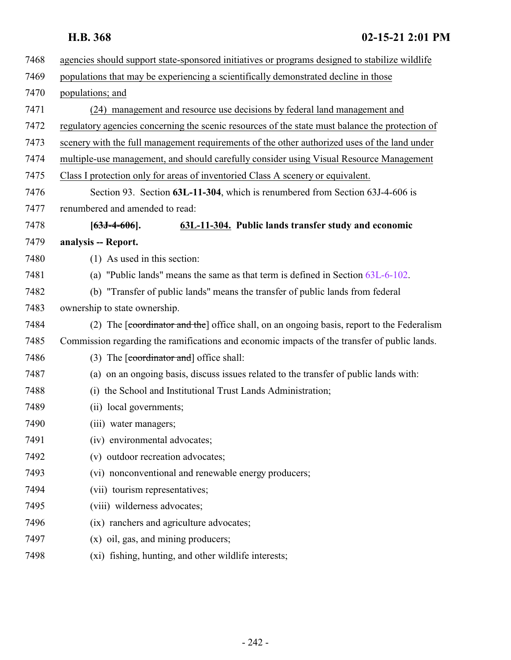<span id="page-241-0"></span>

| 7468 | agencies should support state-sponsored initiatives or programs designed to stabilize wildlife  |
|------|-------------------------------------------------------------------------------------------------|
| 7469 | populations that may be experiencing a scientifically demonstrated decline in those             |
| 7470 | populations; and                                                                                |
| 7471 | (24) management and resource use decisions by federal land management and                       |
| 7472 | regulatory agencies concerning the scenic resources of the state must balance the protection of |
| 7473 | scenery with the full management requirements of the other authorized uses of the land under    |
| 7474 | multiple-use management, and should carefully consider using Visual Resource Management         |
| 7475 | Class I protection only for areas of inventoried Class A scenery or equivalent.                 |
| 7476 | Section 93. Section 63L-11-304, which is renumbered from Section 63J-4-606 is                   |
| 7477 | renumbered and amended to read:                                                                 |
| 7478 | 63L-11-304. Public lands transfer study and economic<br>$[63J-4-606]$ .                         |
| 7479 | analysis -- Report.                                                                             |
| 7480 | $(1)$ As used in this section:                                                                  |
| 7481 | (a) "Public lands" means the same as that term is defined in Section 63L-6-102.                 |
| 7482 | (b) "Transfer of public lands" means the transfer of public lands from federal                  |
| 7483 | ownership to state ownership.                                                                   |
| 7484 | (2) The [coordinator and the] office shall, on an ongoing basis, report to the Federalism       |
| 7485 | Commission regarding the ramifications and economic impacts of the transfer of public lands.    |
| 7486 | The [coordinator and] office shall:<br>(3)                                                      |
| 7487 | (a) on an ongoing basis, discuss issues related to the transfer of public lands with:           |
| 7488 | the School and Institutional Trust Lands Administration;<br>(i)                                 |
| 7489 | (ii) local governments;                                                                         |
| 7490 | (iii) water managers;                                                                           |
| 7491 | (iv) environmental advocates;                                                                   |
| 7492 | (v) outdoor recreation advocates;                                                               |
| 7493 | (vi) nonconventional and renewable energy producers;                                            |
| 7494 | (vii) tourism representatives;                                                                  |
| 7495 | (viii) wilderness advocates;                                                                    |
| 7496 | (ix) ranchers and agriculture advocates;                                                        |
| 7497 | (x) oil, gas, and mining producers;                                                             |
| 7498 | (xi) fishing, hunting, and other wildlife interests;                                            |
|      |                                                                                                 |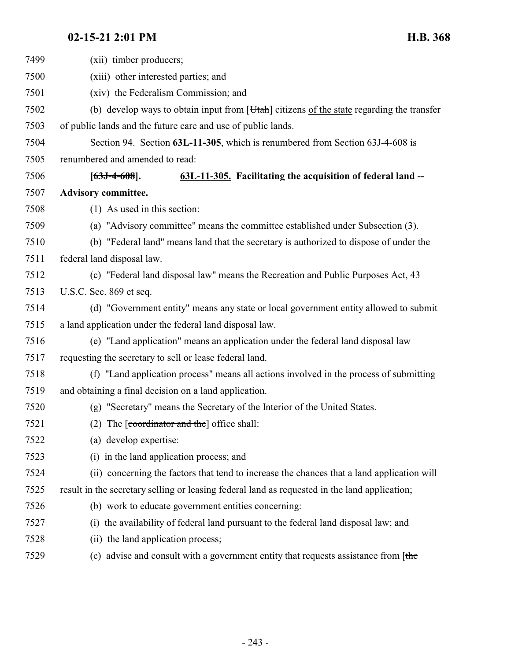| 7499 | (xii) timber producers;                                                                            |
|------|----------------------------------------------------------------------------------------------------|
| 7500 | (xiii) other interested parties; and                                                               |
| 7501 | (xiv) the Federalism Commission; and                                                               |
| 7502 | (b) develop ways to obtain input from [ <i>Utah</i> ] citizens of the state regarding the transfer |
| 7503 | of public lands and the future care and use of public lands.                                       |
| 7504 | Section 94. Section 63L-11-305, which is renumbered from Section 63J-4-608 is                      |
| 7505 | renumbered and amended to read:                                                                    |
| 7506 | 63L-11-305. Facilitating the acquisition of federal land --<br>$[63J-4-608]$ .                     |
| 7507 | <b>Advisory committee.</b>                                                                         |
| 7508 | $(1)$ As used in this section:                                                                     |
| 7509 | (a) "Advisory committee" means the committee established under Subsection (3).                     |
| 7510 | (b) "Federal land" means land that the secretary is authorized to dispose of under the             |
| 7511 | federal land disposal law.                                                                         |
| 7512 | (c) "Federal land disposal law" means the Recreation and Public Purposes Act, 43                   |
| 7513 | U.S.C. Sec. 869 et seq.                                                                            |
| 7514 | (d) "Government entity" means any state or local government entity allowed to submit               |
| 7515 | a land application under the federal land disposal law.                                            |
| 7516 | (e) "Land application" means an application under the federal land disposal law                    |
| 7517 | requesting the secretary to sell or lease federal land.                                            |
| 7518 | (f) "Land application process" means all actions involved in the process of submitting             |
| 7519 | and obtaining a final decision on a land application.                                              |
| 7520 | (g) "Secretary" means the Secretary of the Interior of the United States.                          |
| 7521 | (2) The $\lceil$ coordinator and the $\lceil$ office shall:                                        |
| 7522 | (a) develop expertise:                                                                             |
| 7523 | (i) in the land application process; and                                                           |
| 7524 | (ii) concerning the factors that tend to increase the chances that a land application will         |
| 7525 | result in the secretary selling or leasing federal land as requested in the land application;      |
| 7526 | (b) work to educate government entities concerning:                                                |
| 7527 | (i) the availability of federal land pursuant to the federal land disposal law; and                |
| 7528 | (ii) the land application process;                                                                 |
| 7529 | (c) advise and consult with a government entity that requests assistance from $[$ the              |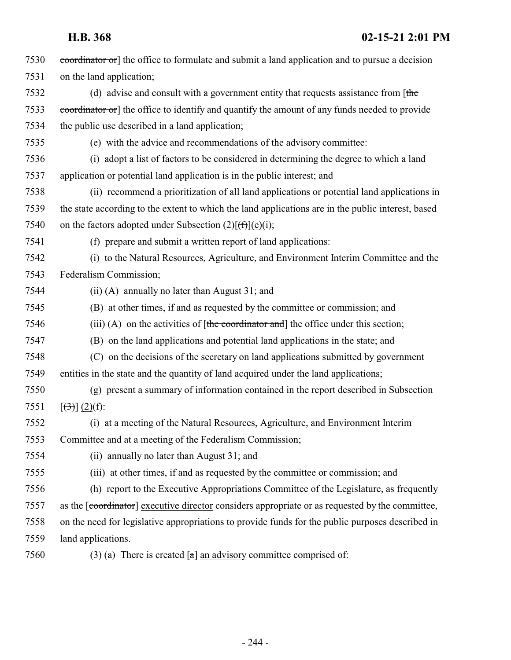| 7530 | coordinator or] the office to formulate and submit a land application and to pursue a decision     |
|------|----------------------------------------------------------------------------------------------------|
| 7531 | on the land application;                                                                           |
| 7532 | (d) advise and consult with a government entity that requests assistance from [the                 |
| 7533 | coordinator or] the office to identify and quantify the amount of any funds needed to provide      |
| 7534 | the public use described in a land application;                                                    |
| 7535 | (e) with the advice and recommendations of the advisory committee:                                 |
| 7536 | (i) adopt a list of factors to be considered in determining the degree to which a land             |
| 7537 | application or potential land application is in the public interest; and                           |
| 7538 | (ii) recommend a prioritization of all land applications or potential land applications in         |
| 7539 | the state according to the extent to which the land applications are in the public interest, based |
| 7540 | on the factors adopted under Subsection $(2)[(f)](e)(i);$                                          |
| 7541 | (f) prepare and submit a written report of land applications:                                      |
| 7542 | (i) to the Natural Resources, Agriculture, and Environment Interim Committee and the               |
| 7543 | Federalism Commission;                                                                             |
| 7544 | $(ii)$ (A) annually no later than August 31; and                                                   |
| 7545 | (B) at other times, if and as requested by the committee or commission; and                        |
| 7546 | (iii) (A) on the activities of $[\theta$ the coordinator and the office under this section;        |
| 7547 | (B) on the land applications and potential land applications in the state; and                     |
| 7548 | (C) on the decisions of the secretary on land applications submitted by government                 |
| 7549 | entities in the state and the quantity of land acquired under the land applications;               |
| 7550 | (g) present a summary of information contained in the report described in Subsection               |
| 7551 | $[\left(3\right)] (2)(f)$ :                                                                        |
| 7552 | (i) at a meeting of the Natural Resources, Agriculture, and Environment Interim                    |
| 7553 | Committee and at a meeting of the Federalism Commission;                                           |
| 7554 | (ii) annually no later than August 31; and                                                         |
| 7555 | (iii) at other times, if and as requested by the committee or commission; and                      |
| 7556 | (h) report to the Executive Appropriations Committee of the Legislature, as frequently             |
| 7557 | as the [coordinator] executive director considers appropriate or as requested by the committee,    |
| 7558 | on the need for legislative appropriations to provide funds for the public purposes described in   |
| 7559 | land applications.                                                                                 |
| 7560 | $(3)$ (a) There is created [a] an advisory committee comprised of:                                 |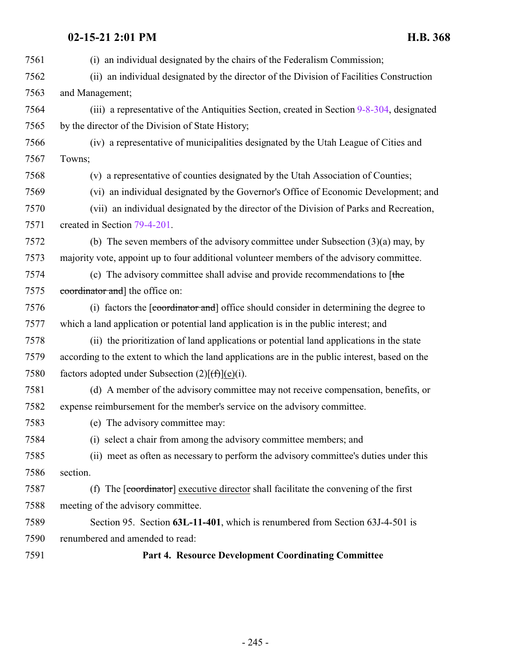<span id="page-244-0"></span>

| 7591 | <b>Part 4. Resource Development Coordinating Committee</b>                                           |
|------|------------------------------------------------------------------------------------------------------|
| 7590 | renumbered and amended to read:                                                                      |
| 7589 | Section 95. Section 63L-11-401, which is renumbered from Section 63J-4-501 is                        |
| 7588 | meeting of the advisory committee.                                                                   |
| 7587 | (f) The $\lceil$ coordinator $\lceil$ executive director shall facilitate the convening of the first |
| 7586 | section.                                                                                             |
| 7585 | (ii) meet as often as necessary to perform the advisory committee's duties under this                |
| 7584 | (i) select a chair from among the advisory committee members; and                                    |
| 7583 | (e) The advisory committee may:                                                                      |
| 7582 | expense reimbursement for the member's service on the advisory committee.                            |
| 7581 | (d) A member of the advisory committee may not receive compensation, benefits, or                    |
| 7580 | factors adopted under Subsection $(2)[(f)(e)(i)]$ .                                                  |
| 7579 | according to the extent to which the land applications are in the public interest, based on the      |
| 7578 | (ii) the prioritization of land applications or potential land applications in the state             |
| 7577 | which a land application or potential land application is in the public interest; and                |
| 7576 | (i) factors the [coordinator and] office should consider in determining the degree to                |
| 7575 | coordinator and the office on:                                                                       |
| 7574 | (c) The advisory committee shall advise and provide recommendations to $f$ the                       |
| 7573 | majority vote, appoint up to four additional volunteer members of the advisory committee.            |
| 7572 | (b) The seven members of the advisory committee under Subsection $(3)(a)$ may, by                    |
| 7571 | created in Section 79-4-201.                                                                         |
| 7570 | (vii) an individual designated by the director of the Division of Parks and Recreation,              |
| 7569 | (vi) an individual designated by the Governor's Office of Economic Development; and                  |
| 7568 | (v) a representative of counties designated by the Utah Association of Counties;                     |
| 7567 | Towns;                                                                                               |
| 7566 | (iv) a representative of municipalities designated by the Utah League of Cities and                  |
| 7565 | by the director of the Division of State History;                                                    |
| 7564 | (iii) a representative of the Antiquities Section, created in Section 9-8-304, designated            |
| 7563 | and Management;                                                                                      |
| 7562 | (ii) an individual designated by the director of the Division of Facilities Construction             |
| 7561 | (i) an individual designated by the chairs of the Federalism Commission;                             |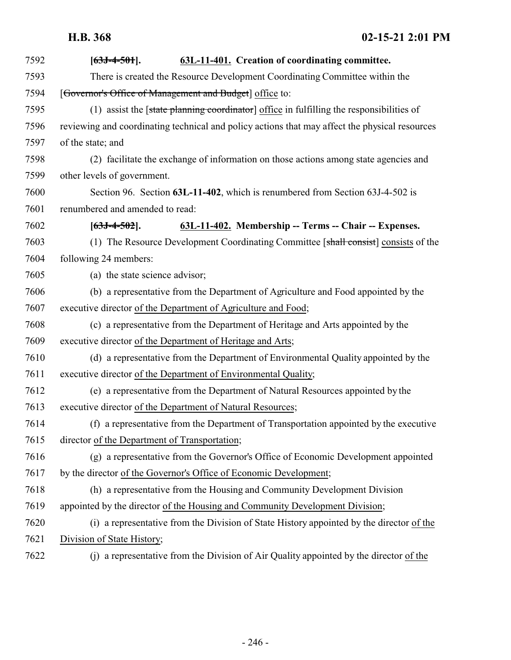| 7592 | $[63J-4-501]$ .                               | 63L-11-401. Creation of coordinating committee.                                                |
|------|-----------------------------------------------|------------------------------------------------------------------------------------------------|
| 7593 |                                               | There is created the Resource Development Coordinating Committee within the                    |
| 7594 |                                               | [Governor's Office of Management and Budget] office to:                                        |
| 7595 |                                               | (1) assist the [state planning coordinator] office in fulfilling the responsibilities of       |
| 7596 |                                               | reviewing and coordinating technical and policy actions that may affect the physical resources |
| 7597 | of the state; and                             |                                                                                                |
| 7598 |                                               | (2) facilitate the exchange of information on those actions among state agencies and           |
| 7599 | other levels of government.                   |                                                                                                |
| 7600 |                                               | Section 96. Section 63L-11-402, which is renumbered from Section 63J-4-502 is                  |
| 7601 | renumbered and amended to read:               |                                                                                                |
| 7602 | $[63J-4-502]$ .                               | 63L-11-402. Membership -- Terms -- Chair -- Expenses.                                          |
| 7603 |                                               | (1) The Resource Development Coordinating Committee [shall consist] consists of the            |
| 7604 | following 24 members:                         |                                                                                                |
| 7605 | (a) the state science advisor;                |                                                                                                |
| 7606 |                                               | (b) a representative from the Department of Agriculture and Food appointed by the              |
| 7607 |                                               | executive director of the Department of Agriculture and Food;                                  |
| 7608 |                                               | (c) a representative from the Department of Heritage and Arts appointed by the                 |
| 7609 |                                               | executive director of the Department of Heritage and Arts;                                     |
| 7610 |                                               | (d) a representative from the Department of Environmental Quality appointed by the             |
| 7611 |                                               | executive director of the Department of Environmental Quality;                                 |
| 7612 |                                               | (e) a representative from the Department of Natural Resources appointed by the                 |
| 7613 |                                               | executive director of the Department of Natural Resources;                                     |
| 7614 |                                               | (f) a representative from the Department of Transportation appointed by the executive          |
| 7615 | director of the Department of Transportation; |                                                                                                |
| 7616 |                                               | (g) a representative from the Governor's Office of Economic Development appointed              |
| 7617 |                                               | by the director of the Governor's Office of Economic Development;                              |
| 7618 |                                               | (h) a representative from the Housing and Community Development Division                       |
| 7619 |                                               | appointed by the director of the Housing and Community Development Division;                   |
| 7620 |                                               | (i) a representative from the Division of State History appointed by the director of the       |
| 7621 | Division of State History;                    |                                                                                                |
| 7622 |                                               | (j) a representative from the Division of Air Quality appointed by the director of the         |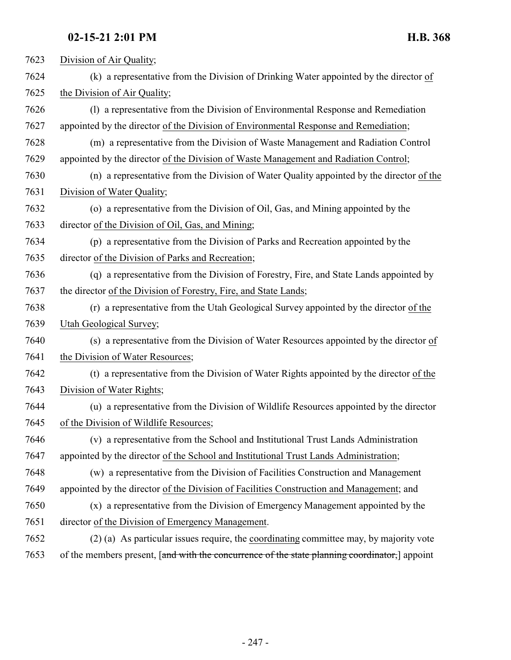Division of Air Quality; (k) a representative from the Division of Drinking Water appointed by the director of the Division of Air Quality; (l) a representative from the Division of Environmental Response and Remediation appointed by the director of the Division of Environmental Response and Remediation; (m) a representative from the Division of Waste Management and Radiation Control appointed by the director of the Division of Waste Management and Radiation Control; (n) a representative from the Division of Water Quality appointed by the director of the 7631 Division of Water Quality; (o) a representative from the Division of Oil, Gas, and Mining appointed by the director of the Division of Oil, Gas, and Mining; (p) a representative from the Division of Parks and Recreation appointed by the director of the Division of Parks and Recreation; (q) a representative from the Division of Forestry, Fire, and State Lands appointed by the director of the Division of Forestry, Fire, and State Lands; (r) a representative from the Utah Geological Survey appointed by the director of the Utah Geological Survey; (s) a representative from the Division of Water Resources appointed by the director of 7641 the Division of Water Resources; (t) a representative from the Division of Water Rights appointed by the director of the Division of Water Rights; (u) a representative from the Division of Wildlife Resources appointed by the director of the Division of Wildlife Resources; (v) a representative from the School and Institutional Trust Lands Administration appointed by the director of the School and Institutional Trust Lands Administration; (w) a representative from the Division of Facilities Construction and Management appointed by the director of the Division of Facilities Construction and Management; and (x) a representative from the Division of Emergency Management appointed by the director of the Division of Emergency Management. (2) (a) As particular issues require, the coordinating committee may, by majority vote of the members present, [and with the concurrence of the state planning coordinator,] appoint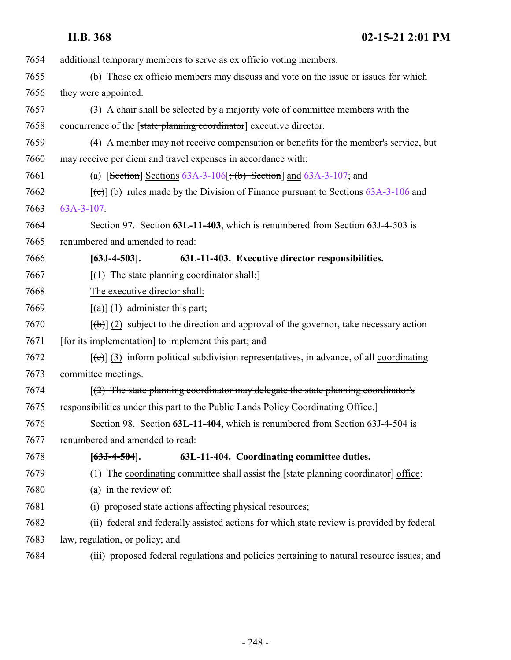| 7654 | additional temporary members to serve as ex officio voting members.                                  |
|------|------------------------------------------------------------------------------------------------------|
| 7655 | (b) Those ex officio members may discuss and vote on the issue or issues for which                   |
| 7656 | they were appointed.                                                                                 |
| 7657 | (3) A chair shall be selected by a majority vote of committee members with the                       |
| 7658 | concurrence of the [state planning coordinator] executive director.                                  |
| 7659 | (4) A member may not receive compensation or benefits for the member's service, but                  |
| 7660 | may receive per diem and travel expenses in accordance with:                                         |
| 7661 | (a) [Section] Sections $63A-3-106$ ; (b) Section] and $63A-3-107$ ; and                              |
| 7662 | $[\text{(\texttt{c})}]$ (b) rules made by the Division of Finance pursuant to Sections 63A-3-106 and |
| 7663 | 63A-3-107.                                                                                           |
| 7664 | Section 97. Section 63L-11-403, which is renumbered from Section 63J-4-503 is                        |
| 7665 | renumbered and amended to read:                                                                      |
| 7666 | 63L-11-403. Executive director responsibilities.<br>$[63J-4-503]$ .                                  |
| 7667 | $[(1)$ The state planning coordinator shall:                                                         |
| 7668 | The executive director shall:                                                                        |
| 7669 | $\left[\frac{a}{a}\right]$ (1) administer this part;                                                 |
| 7670 | $[\phi]$ (2) subject to the direction and approval of the governor, take necessary action            |
| 7671 | [for its implementation] to implement this part; and                                                 |
| 7672 | $[\text{(-c)}]$ (3) inform political subdivision representatives, in advance, of all coordinating    |
| 7673 | committee meetings.                                                                                  |
| 7674 | $(2)$ The state planning coordinator may delegate the state planning coordinator's                   |
| 7675 | responsibilities under this part to the Public Lands Policy Coordinating Office.]                    |
| 7676 | Section 98. Section 63L-11-404, which is renumbered from Section 63J-4-504 is                        |
| 7677 | renumbered and amended to read:                                                                      |
| 7678 | 63L-11-404. Coordinating committee duties.<br>$[63J-4-504]$ .                                        |
| 7679 | (1) The coordinating committee shall assist the $[state\$ planning coordinator office:               |
| 7680 | (a) in the review of:                                                                                |
| 7681 | (i) proposed state actions affecting physical resources;                                             |
| 7682 | (ii) federal and federally assisted actions for which state review is provided by federal            |
| 7683 | law, regulation, or policy; and                                                                      |
|      |                                                                                                      |

(iii) proposed federal regulations and policies pertaining to natural resource issues; and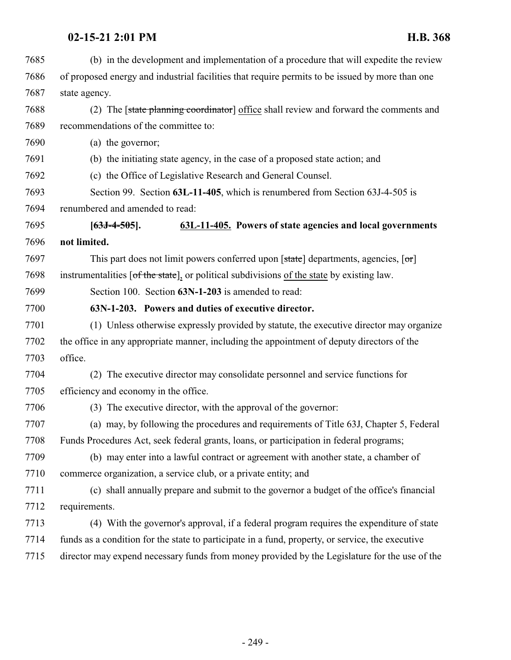| 7685 | (b) in the development and implementation of a procedure that will expedite the review           |
|------|--------------------------------------------------------------------------------------------------|
| 7686 | of proposed energy and industrial facilities that require permits to be issued by more than one  |
| 7687 | state agency.                                                                                    |
| 7688 | (2) The [state planning coordinator] office shall review and forward the comments and            |
| 7689 | recommendations of the committee to:                                                             |
| 7690 | (a) the governor;                                                                                |
| 7691 | (b) the initiating state agency, in the case of a proposed state action; and                     |
| 7692 | (c) the Office of Legislative Research and General Counsel.                                      |
| 7693 | Section 99. Section 63L-11-405, which is renumbered from Section 63J-4-505 is                    |
| 7694 | renumbered and amended to read:                                                                  |
| 7695 | 63L-11-405. Powers of state agencies and local governments<br>$[63J-4-505]$ .                    |
| 7696 | not limited.                                                                                     |
| 7697 | This part does not limit powers conferred upon [state] departments, agencies, $[\sigma r]$       |
| 7698 | instrumentalities [of the state], or political subdivisions of the state by existing law.        |
| 7699 | Section 100. Section 63N-1-203 is amended to read:                                               |
| 7700 | 63N-1-203. Powers and duties of executive director.                                              |
| 7701 | (1) Unless otherwise expressly provided by statute, the executive director may organize          |
| 7702 | the office in any appropriate manner, including the appointment of deputy directors of the       |
| 7703 | office.                                                                                          |
| 7704 | (2) The executive director may consolidate personnel and service functions for                   |
| 7705 | efficiency and economy in the office.                                                            |
| 7706 | (3) The executive director, with the approval of the governor:                                   |
| 7707 | (a) may, by following the procedures and requirements of Title 63J, Chapter 5, Federal           |
| 7708 | Funds Procedures Act, seek federal grants, loans, or participation in federal programs;          |
| 7709 | (b) may enter into a lawful contract or agreement with another state, a chamber of               |
| 7710 | commerce organization, a service club, or a private entity; and                                  |
| 7711 | (c) shall annually prepare and submit to the governor a budget of the office's financial         |
| 7712 | requirements.                                                                                    |
| 7713 | (4) With the governor's approval, if a federal program requires the expenditure of state         |
| 7714 | funds as a condition for the state to participate in a fund, property, or service, the executive |
| 7715 | director may expend necessary funds from money provided by the Legislature for the use of the    |
|      |                                                                                                  |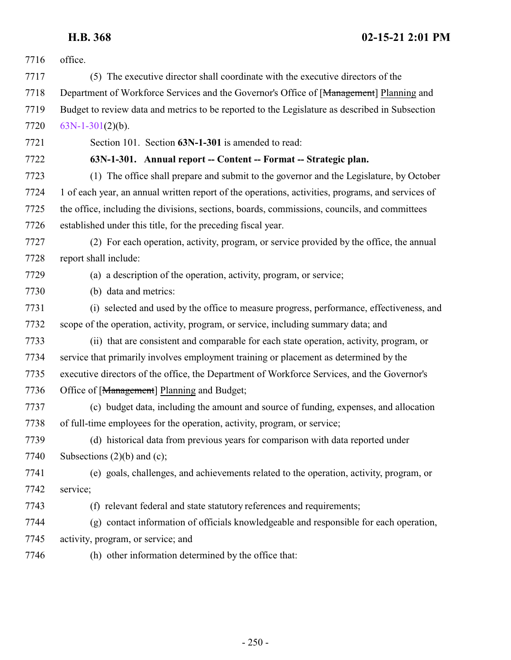<span id="page-249-0"></span>

| 7716 | office.                                                                                           |
|------|---------------------------------------------------------------------------------------------------|
| 7717 | (5) The executive director shall coordinate with the executive directors of the                   |
| 7718 | Department of Workforce Services and the Governor's Office of [Management] Planning and           |
| 7719 | Budget to review data and metrics to be reported to the Legislature as described in Subsection    |
| 7720 | $63N-1-301(2)(b)$ .                                                                               |
| 7721 | Section 101. Section 63N-1-301 is amended to read:                                                |
| 7722 | 63N-1-301. Annual report -- Content -- Format -- Strategic plan.                                  |
| 7723 | (1) The office shall prepare and submit to the governor and the Legislature, by October           |
| 7724 | 1 of each year, an annual written report of the operations, activities, programs, and services of |
| 7725 | the office, including the divisions, sections, boards, commissions, councils, and committees      |
| 7726 | established under this title, for the preceding fiscal year.                                      |
| 7727 | (2) For each operation, activity, program, or service provided by the office, the annual          |
| 7728 | report shall include:                                                                             |
| 7729 | (a) a description of the operation, activity, program, or service;                                |
| 7730 | (b) data and metrics:                                                                             |
| 7731 | (i) selected and used by the office to measure progress, performance, effectiveness, and          |
| 7732 | scope of the operation, activity, program, or service, including summary data; and                |
| 7733 | (ii) that are consistent and comparable for each state operation, activity, program, or           |
| 7734 | service that primarily involves employment training or placement as determined by the             |
| 7735 | executive directors of the office, the Department of Workforce Services, and the Governor's       |
| 7736 | Office of [Management] Planning and Budget;                                                       |
| 7737 | (c) budget data, including the amount and source of funding, expenses, and allocation             |
| 7738 | of full-time employees for the operation, activity, program, or service;                          |
| 7739 | (d) historical data from previous years for comparison with data reported under                   |
| 7740 | Subsections $(2)(b)$ and $(c)$ ;                                                                  |
| 7741 | (e) goals, challenges, and achievements related to the operation, activity, program, or           |
| 7742 | service;                                                                                          |
| 7743 | (f) relevant federal and state statutory references and requirements;                             |
| 7744 | (g) contact information of officials knowledgeable and responsible for each operation,            |
| 7745 | activity, program, or service; and                                                                |
| 7746 | (h) other information determined by the office that:                                              |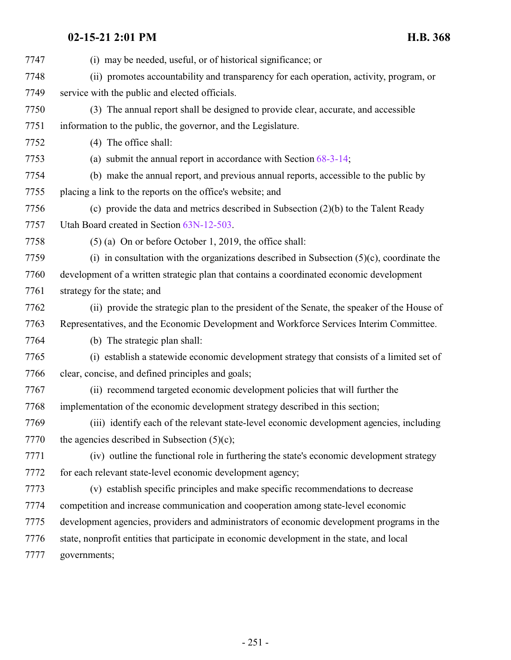| 7747 | (i) may be needed, useful, or of historical significance; or                                 |
|------|----------------------------------------------------------------------------------------------|
| 7748 | (ii) promotes accountability and transparency for each operation, activity, program, or      |
| 7749 | service with the public and elected officials.                                               |
| 7750 | (3) The annual report shall be designed to provide clear, accurate, and accessible           |
| 7751 | information to the public, the governor, and the Legislature.                                |
| 7752 | (4) The office shall:                                                                        |
| 7753 | (a) submit the annual report in accordance with Section $68-3-14$ ;                          |
| 7754 | (b) make the annual report, and previous annual reports, accessible to the public by         |
| 7755 | placing a link to the reports on the office's website; and                                   |
| 7756 | (c) provide the data and metrics described in Subsection $(2)(b)$ to the Talent Ready        |
| 7757 | Utah Board created in Section 63N-12-503.                                                    |
| 7758 | $(5)$ (a) On or before October 1, 2019, the office shall:                                    |
| 7759 | (i) in consultation with the organizations described in Subsection $(5)(c)$ , coordinate the |
| 7760 | development of a written strategic plan that contains a coordinated economic development     |
| 7761 | strategy for the state; and                                                                  |
| 7762 | (ii) provide the strategic plan to the president of the Senate, the speaker of the House of  |
| 7763 | Representatives, and the Economic Development and Workforce Services Interim Committee.      |
| 7764 | (b) The strategic plan shall:                                                                |
| 7765 | (i) establish a statewide economic development strategy that consists of a limited set of    |
| 7766 | clear, concise, and defined principles and goals;                                            |
| 7767 | (ii) recommend targeted economic development policies that will further the                  |
| 7768 | implementation of the economic development strategy described in this section;               |
| 7769 | (iii) identify each of the relevant state-level economic development agencies, including     |
| 7770 | the agencies described in Subsection $(5)(c)$ ;                                              |
| 7771 | (iv) outline the functional role in furthering the state's economic development strategy     |
| 7772 | for each relevant state-level economic development agency;                                   |
| 7773 | (v) establish specific principles and make specific recommendations to decrease              |
| 7774 | competition and increase communication and cooperation among state-level economic            |
| 7775 | development agencies, providers and administrators of economic development programs in the   |
| 7776 | state, nonprofit entities that participate in economic development in the state, and local   |
| 7777 | governments;                                                                                 |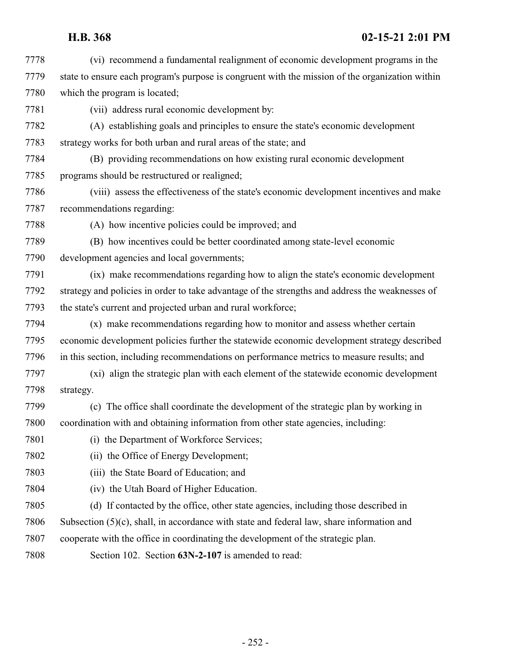(vi) recommend a fundamental realignment of economic development programs in the state to ensure each program's purpose is congruent with the mission of the organization within which the program is located; (vii) address rural economic development by: (A) establishing goals and principles to ensure the state's economic development strategy works for both urban and rural areas of the state; and (B) providing recommendations on how existing rural economic development programs should be restructured or realigned; (viii) assess the effectiveness of the state's economic development incentives and make recommendations regarding: (A) how incentive policies could be improved; and (B) how incentives could be better coordinated among state-level economic development agencies and local governments; (ix) make recommendations regarding how to align the state's economic development strategy and policies in order to take advantage of the strengths and address the weaknesses of the state's current and projected urban and rural workforce; (x) make recommendations regarding how to monitor and assess whether certain economic development policies further the statewide economic development strategy described in this section, including recommendations on performance metrics to measure results; and (xi) align the strategic plan with each element of the statewide economic development strategy. (c) The office shall coordinate the development of the strategic plan by working in coordination with and obtaining information from other state agencies, including: (i) the Department of Workforce Services; (ii) the Office of Energy Development; (iii) the State Board of Education; and (iv) the Utah Board of Higher Education. (d) If contacted by the office, other state agencies, including those described in Subsection (5)(c), shall, in accordance with state and federal law, share information and cooperate with the office in coordinating the development of the strategic plan. Section 102. Section **63N-2-107** is amended to read: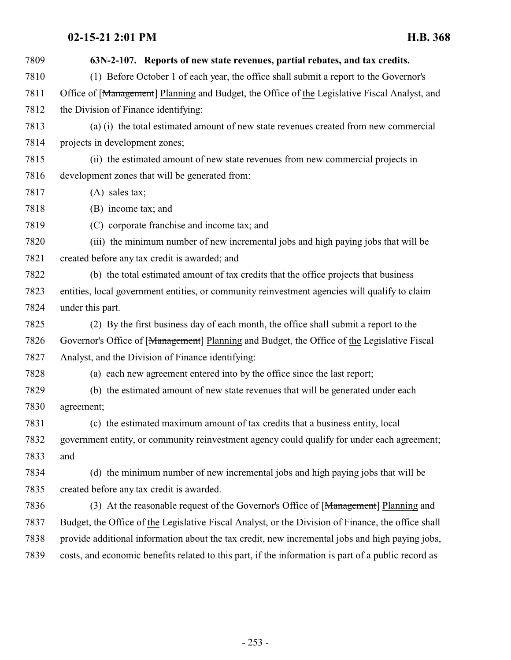| 7809 | 63N-2-107. Reports of new state revenues, partial rebates, and tax credits.                         |
|------|-----------------------------------------------------------------------------------------------------|
| 7810 | (1) Before October 1 of each year, the office shall submit a report to the Governor's               |
| 7811 | Office of [Management] Planning and Budget, the Office of the Legislative Fiscal Analyst, and       |
| 7812 | the Division of Finance identifying:                                                                |
| 7813 | (a) (i) the total estimated amount of new state revenues created from new commercial                |
| 7814 | projects in development zones;                                                                      |
| 7815 | (ii) the estimated amount of new state revenues from new commercial projects in                     |
| 7816 | development zones that will be generated from:                                                      |
| 7817 | $(A)$ sales tax;                                                                                    |
| 7818 | (B) income tax; and                                                                                 |
| 7819 | (C) corporate franchise and income tax; and                                                         |
| 7820 | (iii) the minimum number of new incremental jobs and high paying jobs that will be                  |
| 7821 | created before any tax credit is awarded; and                                                       |
| 7822 | (b) the total estimated amount of tax credits that the office projects that business                |
| 7823 | entities, local government entities, or community reinvestment agencies will qualify to claim       |
| 7824 | under this part.                                                                                    |
| 7825 | (2) By the first business day of each month, the office shall submit a report to the                |
| 7826 | Governor's Office of [Management] Planning and Budget, the Office of the Legislative Fiscal         |
| 7827 | Analyst, and the Division of Finance identifying:                                                   |
| 7828 | (a) each new agreement entered into by the office since the last report;                            |
| 7829 | (b) the estimated amount of new state revenues that will be generated under each                    |
| 7830 | agreement;                                                                                          |
| 7831 | (c) the estimated maximum amount of tax credits that a business entity, local                       |
| 7832 | government entity, or community reinvestment agency could qualify for under each agreement;         |
| 7833 | and                                                                                                 |
| 7834 | (d) the minimum number of new incremental jobs and high paying jobs that will be                    |
| 7835 | created before any tax credit is awarded.                                                           |
| 7836 | (3) At the reasonable request of the Governor's Office of [Management] Planning and                 |
| 7837 | Budget, the Office of the Legislative Fiscal Analyst, or the Division of Finance, the office shall  |
| 7838 | provide additional information about the tax credit, new incremental jobs and high paying jobs,     |
| 7839 | costs, and economic benefits related to this part, if the information is part of a public record as |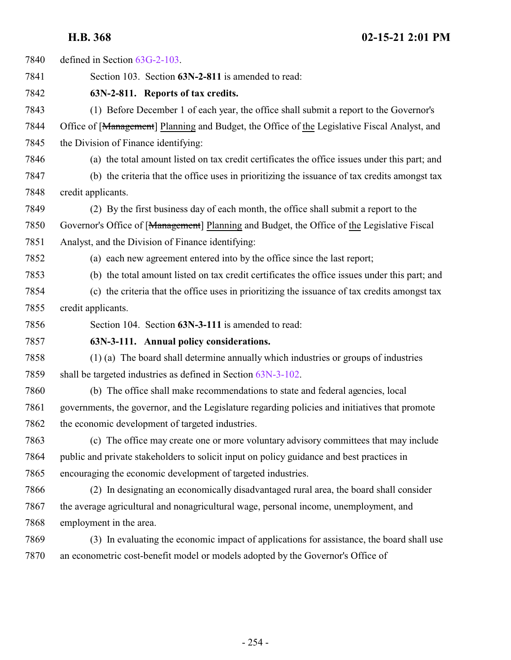| 7840 | defined in Section $63G-2-103$ .                                                               |
|------|------------------------------------------------------------------------------------------------|
| 7841 | Section 103. Section 63N-2-811 is amended to read:                                             |
| 7842 | 63N-2-811. Reports of tax credits.                                                             |
| 7843 | (1) Before December 1 of each year, the office shall submit a report to the Governor's         |
| 7844 | Office of [Management] Planning and Budget, the Office of the Legislative Fiscal Analyst, and  |
| 7845 | the Division of Finance identifying:                                                           |
| 7846 | (a) the total amount listed on tax credit certificates the office issues under this part; and  |
| 7847 | (b) the criteria that the office uses in prioritizing the issuance of tax credits amongst tax  |
| 7848 | credit applicants.                                                                             |
| 7849 | (2) By the first business day of each month, the office shall submit a report to the           |
| 7850 | Governor's Office of [Management] Planning and Budget, the Office of the Legislative Fiscal    |
| 7851 | Analyst, and the Division of Finance identifying:                                              |
| 7852 | (a) each new agreement entered into by the office since the last report;                       |
| 7853 | (b) the total amount listed on tax credit certificates the office issues under this part; and  |
| 7854 | (c) the criteria that the office uses in prioritizing the issuance of tax credits amongst tax  |
| 7855 | credit applicants.                                                                             |
| 7856 | Section 104. Section 63N-3-111 is amended to read:                                             |
| 7857 | 63N-3-111. Annual policy considerations.                                                       |
| 7858 | (1) (a) The board shall determine annually which industries or groups of industries            |
| 7859 | shall be targeted industries as defined in Section 63N-3-102.                                  |
| 7860 | (b) The office shall make recommendations to state and federal agencies, local                 |
| 7861 | governments, the governor, and the Legislature regarding policies and initiatives that promote |
| 7862 | the economic development of targeted industries.                                               |
| 7863 | (c) The office may create one or more voluntary advisory committees that may include           |
| 7864 | public and private stakeholders to solicit input on policy guidance and best practices in      |
| 7865 | encouraging the economic development of targeted industries.                                   |
| 7866 | (2) In designating an economically disadvantaged rural area, the board shall consider          |
| 7867 | the average agricultural and nonagricultural wage, personal income, unemployment, and          |
| 7868 | employment in the area.                                                                        |
| 7869 | (3) In evaluating the economic impact of applications for assistance, the board shall use      |
| 7870 | an econometric cost-benefit model or models adopted by the Governor's Office of                |
|      |                                                                                                |
|      |                                                                                                |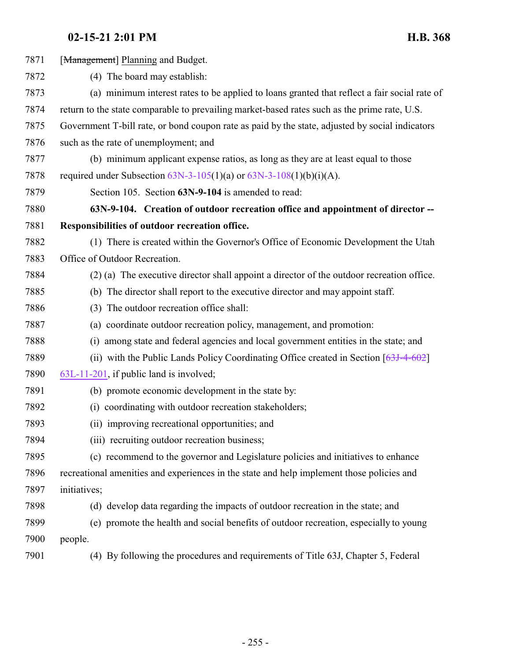| 7871 | [Management] Planning and Budget.                                                               |
|------|-------------------------------------------------------------------------------------------------|
| 7872 | (4) The board may establish:                                                                    |
| 7873 | (a) minimum interest rates to be applied to loans granted that reflect a fair social rate of    |
| 7874 | return to the state comparable to prevailing market-based rates such as the prime rate, U.S.    |
| 7875 | Government T-bill rate, or bond coupon rate as paid by the state, adjusted by social indicators |
| 7876 | such as the rate of unemployment; and                                                           |
| 7877 | (b) minimum applicant expense ratios, as long as they are at least equal to those               |
| 7878 | required under Subsection $63N-3-105(1)(a)$ or $63N-3-108(1)(b)(i)(A)$ .                        |
| 7879 | Section 105. Section 63N-9-104 is amended to read:                                              |
| 7880 | 63N-9-104. Creation of outdoor recreation office and appointment of director --                 |
| 7881 | Responsibilities of outdoor recreation office.                                                  |
| 7882 | (1) There is created within the Governor's Office of Economic Development the Utah              |
| 7883 | Office of Outdoor Recreation.                                                                   |
| 7884 | (2) (a) The executive director shall appoint a director of the outdoor recreation office.       |
| 7885 | (b) The director shall report to the executive director and may appoint staff.                  |
| 7886 | (3) The outdoor recreation office shall:                                                        |
| 7887 | (a) coordinate outdoor recreation policy, management, and promotion:                            |
| 7888 | among state and federal agencies and local government entities in the state; and<br>(i)         |
| 7889 | (ii) with the Public Lands Policy Coordinating Office created in Section $[63J-4-602]$          |
| 7890 | 63L-11-201, if public land is involved;                                                         |
| 7891 | (b) promote economic development in the state by:                                               |
| 7892 | (i) coordinating with outdoor recreation stakeholders;                                          |
| 7893 | (ii) improving recreational opportunities; and                                                  |
| 7894 | (iii) recruiting outdoor recreation business;                                                   |
| 7895 | (c) recommend to the governor and Legislature policies and initiatives to enhance               |
| 7896 | recreational amenities and experiences in the state and help implement those policies and       |
| 7897 | initiatives;                                                                                    |
| 7898 | (d) develop data regarding the impacts of outdoor recreation in the state; and                  |
| 7899 | (e) promote the health and social benefits of outdoor recreation, especially to young           |
| 7900 | people.                                                                                         |
| 7901 | (4) By following the procedures and requirements of Title 63J, Chapter 5, Federal               |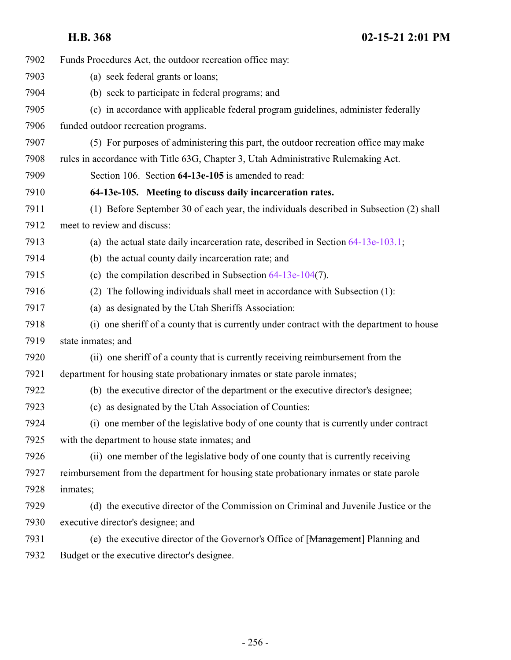| 7902 | Funds Procedures Act, the outdoor recreation office may:                                  |
|------|-------------------------------------------------------------------------------------------|
| 7903 | (a) seek federal grants or loans;                                                         |
| 7904 | (b) seek to participate in federal programs; and                                          |
| 7905 | (c) in accordance with applicable federal program guidelines, administer federally        |
| 7906 | funded outdoor recreation programs.                                                       |
| 7907 | (5) For purposes of administering this part, the outdoor recreation office may make       |
| 7908 | rules in accordance with Title 63G, Chapter 3, Utah Administrative Rulemaking Act.        |
| 7909 | Section 106. Section 64-13e-105 is amended to read:                                       |
| 7910 | 64-13e-105. Meeting to discuss daily incarceration rates.                                 |
| 7911 | (1) Before September 30 of each year, the individuals described in Subsection (2) shall   |
| 7912 | meet to review and discuss:                                                               |
| 7913 | (a) the actual state daily incarceration rate, described in Section $64-13e-103.1$ ;      |
| 7914 | (b) the actual county daily incarceration rate; and                                       |
| 7915 | (c) the compilation described in Subsection $64-13e-104(7)$ .                             |
| 7916 | The following individuals shall meet in accordance with Subsection (1):<br>(2)            |
| 7917 | (a) as designated by the Utah Sheriffs Association:                                       |
| 7918 | (i) one sheriff of a county that is currently under contract with the department to house |
| 7919 | state inmates; and                                                                        |
| 7920 | (ii) one sheriff of a county that is currently receiving reimbursement from the           |
| 7921 | department for housing state probationary inmates or state parole inmates;                |
| 7922 | (b) the executive director of the department or the executive director's designee;        |
| 7923 | (c) as designated by the Utah Association of Counties:                                    |
| 7924 | (i) one member of the legislative body of one county that is currently under contract     |
| 7925 | with the department to house state inmates; and                                           |
| 7926 | (ii) one member of the legislative body of one county that is currently receiving         |
| 7927 | reimbursement from the department for housing state probationary inmates or state parole  |
| 7928 | inmates;                                                                                  |
| 7929 | (d) the executive director of the Commission on Criminal and Juvenile Justice or the      |
| 7930 | executive director's designee; and                                                        |
| 7931 | (e) the executive director of the Governor's Office of [Management] Planning and          |
| 7932 | Budget or the executive director's designee.                                              |
|      |                                                                                           |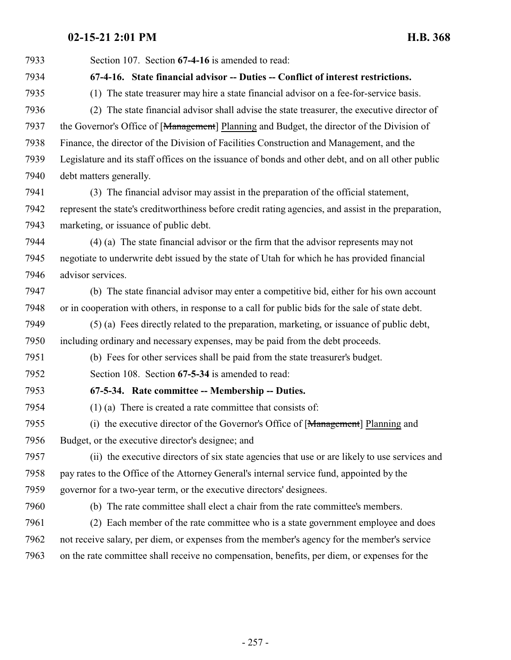Section 107. Section **67-4-16** is amended to read: **67-4-16. State financial advisor -- Duties -- Conflict of interest restrictions.** (1) The state treasurer may hire a state financial advisor on a fee-for-service basis. (2) The state financial advisor shall advise the state treasurer, the executive director of 7937 the Governor's Office of [Management] Planning and Budget, the director of the Division of Finance, the director of the Division of Facilities Construction and Management, and the Legislature and its staff offices on the issuance of bonds and other debt, and on all other public debt matters generally. (3) The financial advisor may assist in the preparation of the official statement, represent the state's creditworthiness before credit rating agencies, and assist in the preparation, marketing, or issuance of public debt. (4) (a) The state financial advisor or the firm that the advisor represents may not negotiate to underwrite debt issued by the state of Utah for which he has provided financial advisor services. (b) The state financial advisor may enter a competitive bid, either for his own account or in cooperation with others, in response to a call for public bids for the sale of state debt. (5) (a) Fees directly related to the preparation, marketing, or issuance of public debt, including ordinary and necessary expenses, may be paid from the debt proceeds. (b) Fees for other services shall be paid from the state treasurer's budget. Section 108. Section **67-5-34** is amended to read: **67-5-34. Rate committee -- Membership -- Duties.** (1) (a) There is created a rate committee that consists of: (i) the executive director of the Governor's Office of [Management] Planning and Budget, or the executive director's designee; and (ii) the executive directors of six state agencies that use or are likely to use services and pay rates to the Office of the Attorney General's internal service fund, appointed by the governor for a two-year term, or the executive directors' designees. (b) The rate committee shall elect a chair from the rate committee's members. (2) Each member of the rate committee who is a state government employee and does not receive salary, per diem, or expenses from the member's agency for the member's service on the rate committee shall receive no compensation, benefits, per diem, or expenses for the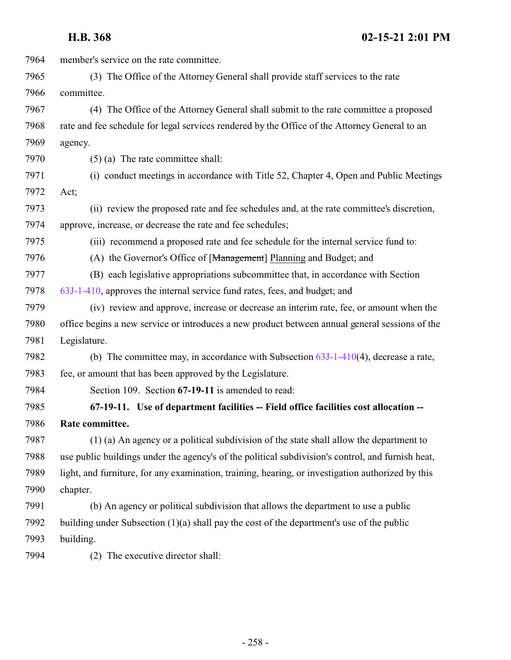member's service on the rate committee. (3) The Office of the Attorney General shall provide staff services to the rate committee. (4) The Office of the Attorney General shall submit to the rate committee a proposed rate and fee schedule for legal services rendered by the Office of the Attorney General to an agency. (5) (a) The rate committee shall: (i) conduct meetings in accordance with Title 52, Chapter 4, Open and Public Meetings Act; (ii) review the proposed rate and fee schedules and, at the rate committee's discretion, approve, increase, or decrease the rate and fee schedules; (iii) recommend a proposed rate and fee schedule for the internal service fund to: (A) the Governor's Office of [Management] Planning and Budget; and (B) each legislative appropriations subcommittee that, in accordance with Section [63J-1-410](http://le.utah.gov/UtahCode/SectionLookup.jsp?section=63j-1-410&session=2021GS), approves the internal service fund rates, fees, and budget; and (iv) review and approve, increase or decrease an interim rate, fee, or amount when the office begins a new service or introduces a new product between annual general sessions of the Legislature. 7982 (b) The committee may, in accordance with Subsection  $63J-1-410(4)$ , decrease a rate, fee, or amount that has been approved by the Legislature. Section 109. Section **67-19-11** is amended to read: **67-19-11. Use of department facilities -- Field office facilities cost allocation -- Rate committee.** (1) (a) An agency or a political subdivision of the state shall allow the department to use public buildings under the agency's of the political subdivision's control, and furnish heat, light, and furniture, for any examination, training, hearing, or investigation authorized by this chapter. (b) An agency or political subdivision that allows the department to use a public building under Subsection (1)(a) shall pay the cost of the department's use of the public building. (2) The executive director shall: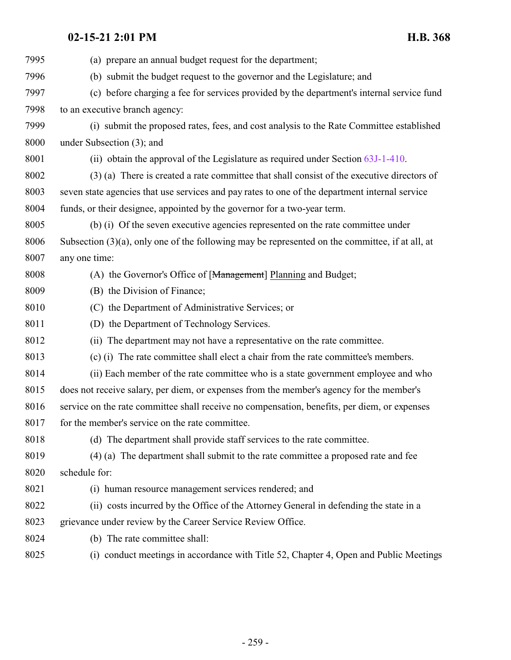| 7995 | (a) prepare an annual budget request for the department;                                           |
|------|----------------------------------------------------------------------------------------------------|
| 7996 | (b) submit the budget request to the governor and the Legislature; and                             |
| 7997 | (c) before charging a fee for services provided by the department's internal service fund          |
| 7998 | to an executive branch agency:                                                                     |
| 7999 | (i) submit the proposed rates, fees, and cost analysis to the Rate Committee established           |
| 8000 | under Subsection (3); and                                                                          |
| 8001 | (ii) obtain the approval of the Legislature as required under Section 63J-1-410.                   |
| 8002 | (3) (a) There is created a rate committee that shall consist of the executive directors of         |
| 8003 | seven state agencies that use services and pay rates to one of the department internal service     |
| 8004 | funds, or their designee, appointed by the governor for a two-year term.                           |
| 8005 | (b) (i) Of the seven executive agencies represented on the rate committee under                    |
| 8006 | Subsection $(3)(a)$ , only one of the following may be represented on the committee, if at all, at |
| 8007 | any one time:                                                                                      |
| 8008 | (A) the Governor's Office of [Management] Planning and Budget;                                     |
| 8009 | (B) the Division of Finance;                                                                       |
| 8010 | (C) the Department of Administrative Services; or                                                  |
| 8011 | (D) the Department of Technology Services.                                                         |
| 8012 | (ii) The department may not have a representative on the rate committee.                           |
| 8013 | (c) (i) The rate committee shall elect a chair from the rate committee's members.                  |
| 8014 | (ii) Each member of the rate committee who is a state government employee and who                  |
| 8015 | does not receive salary, per diem, or expenses from the member's agency for the member's           |
| 8016 | service on the rate committee shall receive no compensation, benefits, per diem, or expenses       |
| 8017 | for the member's service on the rate committee.                                                    |
| 8018 | (d) The department shall provide staff services to the rate committee.                             |
| 8019 | (4) (a) The department shall submit to the rate committee a proposed rate and fee                  |
| 8020 | schedule for:                                                                                      |
| 8021 | (i) human resource management services rendered; and                                               |
| 8022 | (ii) costs incurred by the Office of the Attorney General in defending the state in a              |
| 8023 | grievance under review by the Career Service Review Office.                                        |
| 8024 | (b) The rate committee shall:                                                                      |
| 8025 | conduct meetings in accordance with Title 52, Chapter 4, Open and Public Meetings<br>(i)           |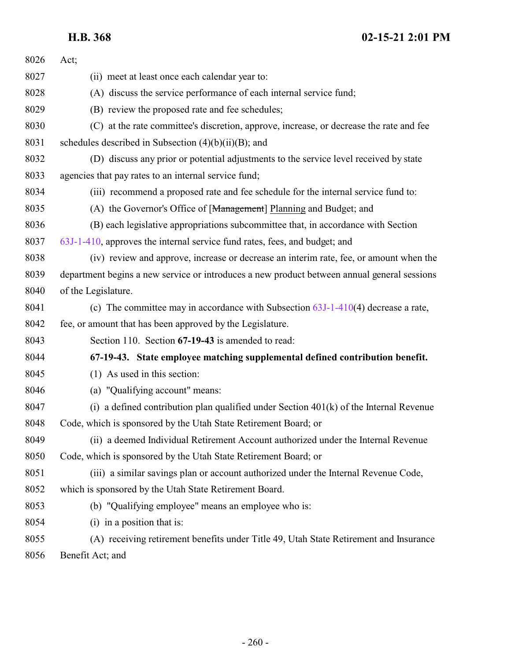| 8026 | Act;                                                                                        |
|------|---------------------------------------------------------------------------------------------|
| 8027 | (ii) meet at least once each calendar year to:                                              |
| 8028 | (A) discuss the service performance of each internal service fund;                          |
| 8029 | (B) review the proposed rate and fee schedules;                                             |
| 8030 | (C) at the rate committee's discretion, approve, increase, or decrease the rate and fee     |
| 8031 | schedules described in Subsection $(4)(b)(ii)(B)$ ; and                                     |
| 8032 | (D) discuss any prior or potential adjustments to the service level received by state       |
| 8033 | agencies that pay rates to an internal service fund;                                        |
| 8034 | (iii) recommend a proposed rate and fee schedule for the internal service fund to:          |
| 8035 | (A) the Governor's Office of [Management] Planning and Budget; and                          |
| 8036 | (B) each legislative appropriations subcommittee that, in accordance with Section           |
| 8037 | 63J-1-410, approves the internal service fund rates, fees, and budget; and                  |
| 8038 | (iv) review and approve, increase or decrease an interim rate, fee, or amount when the      |
| 8039 | department begins a new service or introduces a new product between annual general sessions |
| 8040 | of the Legislature.                                                                         |
| 8041 | (c) The committee may in accordance with Subsection $63J-1-410(4)$ decrease a rate,         |
| 8042 | fee, or amount that has been approved by the Legislature.                                   |
| 8043 | Section 110. Section 67-19-43 is amended to read:                                           |
| 8044 | 67-19-43. State employee matching supplemental defined contribution benefit.                |
| 8045 | (1) As used in this section:                                                                |
| 8046 | (a) "Qualifying account" means:                                                             |
| 8047 | (i) a defined contribution plan qualified under Section $401(k)$ of the Internal Revenue    |
| 8048 | Code, which is sponsored by the Utah State Retirement Board; or                             |
| 8049 | (ii) a deemed Individual Retirement Account authorized under the Internal Revenue           |
| 8050 | Code, which is sponsored by the Utah State Retirement Board; or                             |
| 8051 | (iii) a similar savings plan or account authorized under the Internal Revenue Code,         |
| 8052 | which is sponsored by the Utah State Retirement Board.                                      |
| 8053 | (b) "Qualifying employee" means an employee who is:                                         |
| 8054 | $(i)$ in a position that is:                                                                |
| 8055 | (A) receiving retirement benefits under Title 49, Utah State Retirement and Insurance       |
| 8056 | Benefit Act; and                                                                            |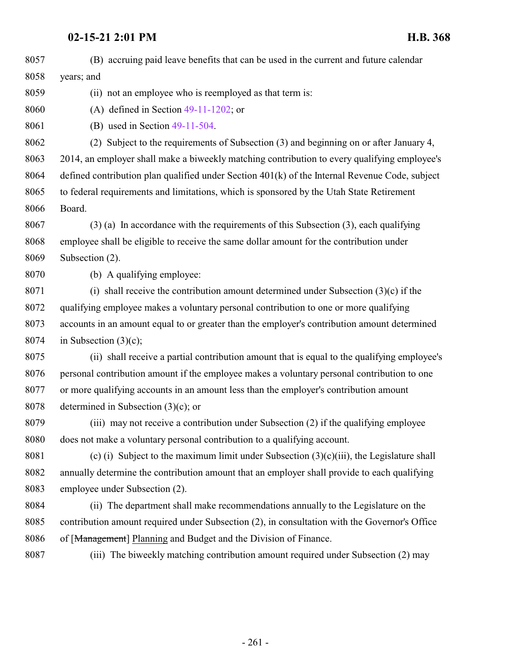(B) accruing paid leave benefits that can be used in the current and future calendar years; and (ii) not an employee who is reemployed as that term is: (A) defined in Section [49-11-1202](http://le.utah.gov/UtahCode/SectionLookup.jsp?section=49-11-1202&session=2021GS); or (B) used in Section [49-11-504](http://le.utah.gov/UtahCode/SectionLookup.jsp?section=49-11-504&session=2021GS). (2) Subject to the requirements of Subsection (3) and beginning on or after January 4, 2014, an employer shall make a biweekly matching contribution to every qualifying employee's defined contribution plan qualified under Section 401(k) of the Internal Revenue Code, subject to federal requirements and limitations, which is sponsored by the Utah State Retirement Board. (3) (a) In accordance with the requirements of this Subsection (3), each qualifying employee shall be eligible to receive the same dollar amount for the contribution under Subsection (2). (b) A qualifying employee: (i) shall receive the contribution amount determined under Subsection (3)(c) if the qualifying employee makes a voluntary personal contribution to one or more qualifying accounts in an amount equal to or greater than the employer's contribution amount determined 8074 in Subsection  $(3)(c)$ ; (ii) shall receive a partial contribution amount that is equal to the qualifying employee's personal contribution amount if the employee makes a voluntary personal contribution to one or more qualifying accounts in an amount less than the employer's contribution amount determined in Subsection (3)(c); or (iii) may not receive a contribution under Subsection (2) if the qualifying employee does not make a voluntary personal contribution to a qualifying account. 8081 (c) (i) Subject to the maximum limit under Subsection  $(3)(c)(iii)$ , the Legislature shall annually determine the contribution amount that an employer shall provide to each qualifying employee under Subsection (2). (ii) The department shall make recommendations annually to the Legislature on the contribution amount required under Subsection (2), in consultation with the Governor's Office of [Management] Planning and Budget and the Division of Finance. (iii) The biweekly matching contribution amount required under Subsection (2) may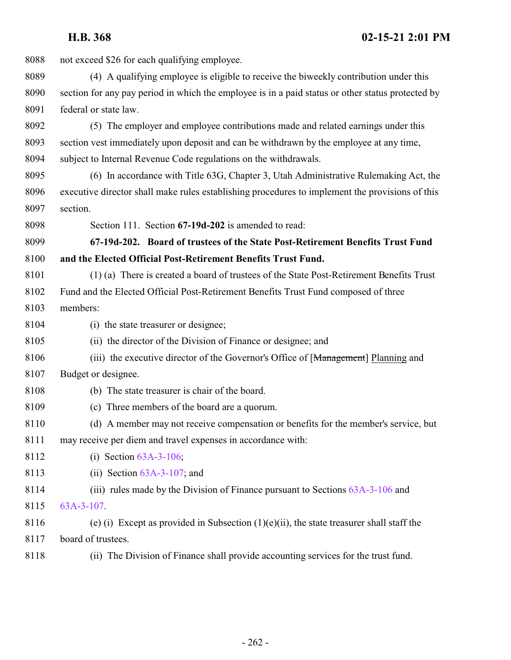| 8088 | not exceed \$26 for each qualifying employee.                                                     |
|------|---------------------------------------------------------------------------------------------------|
| 8089 | (4) A qualifying employee is eligible to receive the biweekly contribution under this             |
| 8090 | section for any pay period in which the employee is in a paid status or other status protected by |
| 8091 | federal or state law.                                                                             |
| 8092 | (5) The employer and employee contributions made and related earnings under this                  |
| 8093 | section vest immediately upon deposit and can be withdrawn by the employee at any time,           |
| 8094 | subject to Internal Revenue Code regulations on the withdrawals.                                  |
| 8095 | (6) In accordance with Title 63G, Chapter 3, Utah Administrative Rulemaking Act, the              |
| 8096 | executive director shall make rules establishing procedures to implement the provisions of this   |
| 8097 | section.                                                                                          |
| 8098 | Section 111. Section 67-19d-202 is amended to read:                                               |
| 8099 | 67-19d-202. Board of trustees of the State Post-Retirement Benefits Trust Fund                    |
| 8100 | and the Elected Official Post-Retirement Benefits Trust Fund.                                     |
| 8101 | (1) (a) There is created a board of trustees of the State Post-Retirement Benefits Trust          |
| 8102 | Fund and the Elected Official Post-Retirement Benefits Trust Fund composed of three               |
| 8103 | members:                                                                                          |
| 8104 | (i) the state treasurer or designee;                                                              |
| 8105 | (ii) the director of the Division of Finance or designee; and                                     |
| 8106 | (iii) the executive director of the Governor's Office of [Management] Planning and                |
| 8107 | Budget or designee.                                                                               |
| 8108 | (b) The state treasurer is chair of the board.                                                    |
| 8109 | (c) Three members of the board are a quorum.                                                      |
| 8110 | (d) A member may not receive compensation or benefits for the member's service, but               |
| 8111 | may receive per diem and travel expenses in accordance with:                                      |
| 8112 | (i) Section $63A-3-106$ ;                                                                         |
| 8113 | (ii) Section $63A-3-107$ ; and                                                                    |
| 8114 | (iii) rules made by the Division of Finance pursuant to Sections $63A-3-106$ and                  |
| 8115 | $63A-3-107$ .                                                                                     |
| 8116 | (e) (i) Except as provided in Subsection $(1)(e)(ii)$ , the state treasurer shall staff the       |
| 8117 | board of trustees.                                                                                |
| 8118 | (ii) The Division of Finance shall provide accounting services for the trust fund.                |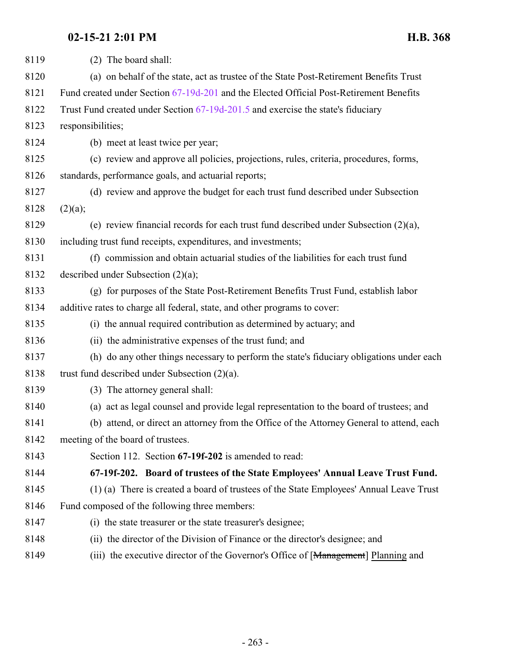| 8119 | (2) The board shall:                                                                      |
|------|-------------------------------------------------------------------------------------------|
| 8120 | (a) on behalf of the state, act as trustee of the State Post-Retirement Benefits Trust    |
| 8121 | Fund created under Section 67-19d-201 and the Elected Official Post-Retirement Benefits   |
| 8122 | Trust Fund created under Section 67-19d-201.5 and exercise the state's fiduciary          |
| 8123 | responsibilities;                                                                         |
| 8124 | (b) meet at least twice per year;                                                         |
| 8125 | (c) review and approve all policies, projections, rules, criteria, procedures, forms,     |
| 8126 | standards, performance goals, and actuarial reports;                                      |
| 8127 | (d) review and approve the budget for each trust fund described under Subsection          |
| 8128 | (2)(a);                                                                                   |
| 8129 | (e) review financial records for each trust fund described under Subsection $(2)(a)$ ,    |
| 8130 | including trust fund receipts, expenditures, and investments;                             |
| 8131 | (f) commission and obtain actuarial studies of the liabilities for each trust fund        |
| 8132 | described under Subsection $(2)(a)$ ;                                                     |
| 8133 | (g) for purposes of the State Post-Retirement Benefits Trust Fund, establish labor        |
| 8134 | additive rates to charge all federal, state, and other programs to cover:                 |
| 8135 | (i) the annual required contribution as determined by actuary; and                        |
| 8136 | (ii) the administrative expenses of the trust fund; and                                   |
| 8137 | (h) do any other things necessary to perform the state's fiduciary obligations under each |
| 8138 | trust fund described under Subsection $(2)(a)$ .                                          |
| 8139 | (3) The attorney general shall:                                                           |
| 8140 | (a) act as legal counsel and provide legal representation to the board of trustees; and   |
| 8141 | (b) attend, or direct an attorney from the Office of the Attorney General to attend, each |
| 8142 | meeting of the board of trustees.                                                         |
| 8143 | Section 112. Section 67-19f-202 is amended to read:                                       |
| 8144 | 67-19f-202. Board of trustees of the State Employees' Annual Leave Trust Fund.            |
| 8145 | (1) (a) There is created a board of trustees of the State Employees' Annual Leave Trust   |
| 8146 | Fund composed of the following three members:                                             |
| 8147 | (i) the state treasurer or the state treasurer's designee;                                |
| 8148 | (ii) the director of the Division of Finance or the director's designee; and              |
| 8149 | (iii) the executive director of the Governor's Office of [Management] Planning and        |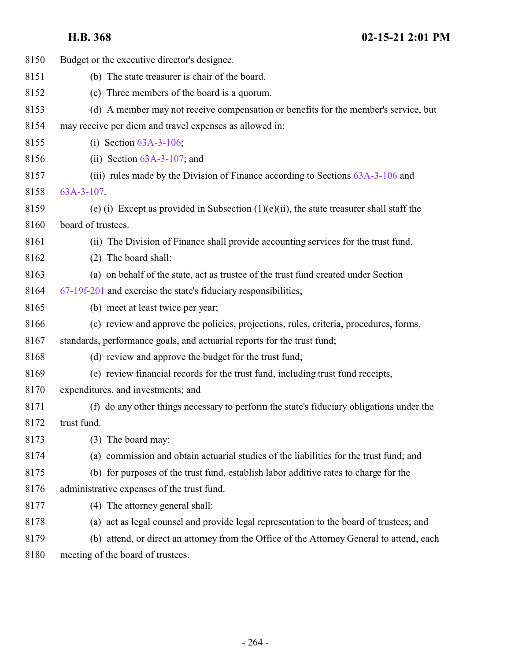| 8150 | Budget or the executive director's designee.                                                |
|------|---------------------------------------------------------------------------------------------|
| 8151 | (b) The state treasurer is chair of the board.                                              |
| 8152 | (c) Three members of the board is a quorum.                                                 |
| 8153 | (d) A member may not receive compensation or benefits for the member's service, but         |
| 8154 | may receive per diem and travel expenses as allowed in:                                     |
| 8155 | (i) Section $63A-3-106$ ;                                                                   |
| 8156 | (ii) Section $63A-3-107$ ; and                                                              |
| 8157 | (iii) rules made by the Division of Finance according to Sections $63A-3-106$ and           |
| 8158 | 63A-3-107.                                                                                  |
| 8159 | (e) (i) Except as provided in Subsection $(1)(e)(ii)$ , the state treasurer shall staff the |
| 8160 | board of trustees.                                                                          |
| 8161 | (ii) The Division of Finance shall provide accounting services for the trust fund.          |
| 8162 | (2) The board shall:                                                                        |
| 8163 | (a) on behalf of the state, act as trustee of the trust fund created under Section          |
| 8164 | $67-19f-201$ and exercise the state's fiduciary responsibilities;                           |
| 8165 | (b) meet at least twice per year;                                                           |
| 8166 | (c) review and approve the policies, projections, rules, criteria, procedures, forms,       |
| 8167 | standards, performance goals, and actuarial reports for the trust fund;                     |
| 8168 | (d) review and approve the budget for the trust fund;                                       |
| 8169 | (e) review financial records for the trust fund, including trust fund receipts,             |
| 8170 | expenditures, and investments; and                                                          |
| 8171 | (f) do any other things necessary to perform the state's fiduciary obligations under the    |
| 8172 | trust fund.                                                                                 |
| 8173 | (3) The board may:                                                                          |
| 8174 | (a) commission and obtain actuarial studies of the liabilities for the trust fund; and      |
| 8175 | (b) for purposes of the trust fund, establish labor additive rates to charge for the        |
| 8176 | administrative expenses of the trust fund.                                                  |
| 8177 | (4) The attorney general shall:                                                             |
| 8178 | (a) act as legal counsel and provide legal representation to the board of trustees; and     |
| 8179 | (b) attend, or direct an attorney from the Office of the Attorney General to attend, each   |
| 8180 | meeting of the board of trustees.                                                           |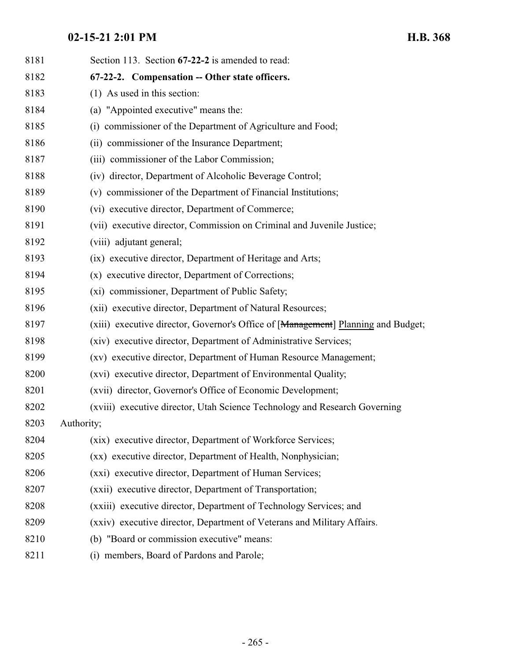| 8181 | Section 113. Section 67-22-2 is amended to read:                                  |
|------|-----------------------------------------------------------------------------------|
| 8182 | 67-22-2. Compensation -- Other state officers.                                    |
| 8183 | $(1)$ As used in this section:                                                    |
| 8184 | (a) "Appointed executive" means the:                                              |
| 8185 | (i) commissioner of the Department of Agriculture and Food;                       |
| 8186 | (ii) commissioner of the Insurance Department;                                    |
| 8187 | (iii) commissioner of the Labor Commission;                                       |
| 8188 | (iv) director, Department of Alcoholic Beverage Control;                          |
| 8189 | (v) commissioner of the Department of Financial Institutions;                     |
| 8190 | (vi) executive director, Department of Commerce;                                  |
| 8191 | (vii) executive director, Commission on Criminal and Juvenile Justice;            |
| 8192 | (viii) adjutant general;                                                          |
| 8193 | (ix) executive director, Department of Heritage and Arts;                         |
| 8194 | (x) executive director, Department of Corrections;                                |
| 8195 | (xi) commissioner, Department of Public Safety;                                   |
| 8196 | (xii) executive director, Department of Natural Resources;                        |
| 8197 | (xiii) executive director, Governor's Office of [Management] Planning and Budget; |
| 8198 | (xiv) executive director, Department of Administrative Services;                  |
| 8199 | (xv) executive director, Department of Human Resource Management;                 |
| 8200 | (xvi) executive director, Department of Environmental Quality;                    |
| 8201 | (xvii) director, Governor's Office of Economic Development;                       |
| 8202 | (xviii) executive director, Utah Science Technology and Research Governing        |
| 8203 | Authority;                                                                        |
| 8204 | (xix) executive director, Department of Workforce Services;                       |
| 8205 | (xx) executive director, Department of Health, Nonphysician;                      |
| 8206 | (xxi) executive director, Department of Human Services;                           |
| 8207 | (xxii) executive director, Department of Transportation;                          |
| 8208 | (xxiii) executive director, Department of Technology Services; and                |
| 8209 | (xxiv) executive director, Department of Veterans and Military Affairs.           |
| 8210 | (b) "Board or commission executive" means:                                        |
| 8211 | (i) members, Board of Pardons and Parole;                                         |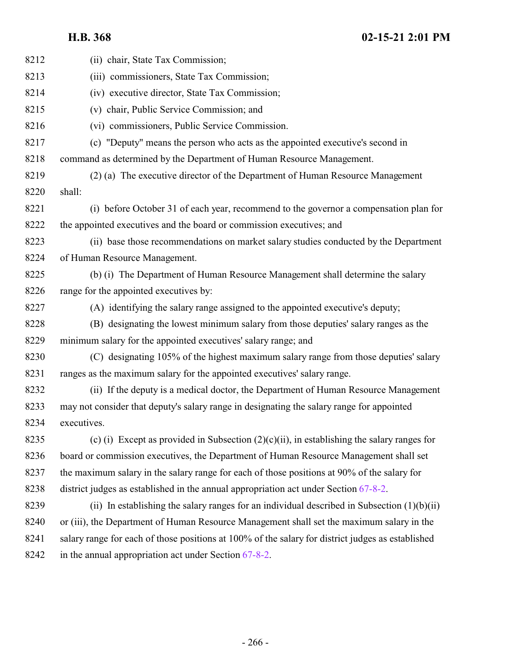| 8212 | (ii) chair, State Tax Commission;                                                                 |
|------|---------------------------------------------------------------------------------------------------|
| 8213 | (iii) commissioners, State Tax Commission;                                                        |
| 8214 | (iv) executive director, State Tax Commission;                                                    |
| 8215 | (v) chair, Public Service Commission; and                                                         |
| 8216 | (vi) commissioners, Public Service Commission.                                                    |
| 8217 | (c) "Deputy" means the person who acts as the appointed executive's second in                     |
| 8218 | command as determined by the Department of Human Resource Management.                             |
| 8219 | (2) (a) The executive director of the Department of Human Resource Management                     |
| 8220 | shall:                                                                                            |
| 8221 | (i) before October 31 of each year, recommend to the governor a compensation plan for             |
| 8222 | the appointed executives and the board or commission executives; and                              |
| 8223 | (ii) base those recommendations on market salary studies conducted by the Department              |
| 8224 | of Human Resource Management.                                                                     |
| 8225 | (b) (i) The Department of Human Resource Management shall determine the salary                    |
| 8226 | range for the appointed executives by:                                                            |
| 8227 | (A) identifying the salary range assigned to the appointed executive's deputy;                    |
| 8228 | (B) designating the lowest minimum salary from those deputies' salary ranges as the               |
| 8229 | minimum salary for the appointed executives' salary range; and                                    |
| 8230 | (C) designating 105% of the highest maximum salary range from those deputies' salary              |
| 8231 | ranges as the maximum salary for the appointed executives' salary range.                          |
| 8232 | (ii) If the deputy is a medical doctor, the Department of Human Resource Management               |
| 8233 | may not consider that deputy's salary range in designating the salary range for appointed         |
| 8234 | executives.                                                                                       |
| 8235 | (c) (i) Except as provided in Subsection $(2)(c)(ii)$ , in establishing the salary ranges for     |
| 8236 | board or commission executives, the Department of Human Resource Management shall set             |
| 8237 | the maximum salary in the salary range for each of those positions at 90% of the salary for       |
| 8238 | district judges as established in the annual appropriation act under Section 67-8-2.              |
| 8239 | (ii) In establishing the salary ranges for an individual described in Subsection $(1)(b)(ii)$     |
| 8240 | or (iii), the Department of Human Resource Management shall set the maximum salary in the         |
| 8241 | salary range for each of those positions at 100% of the salary for district judges as established |
| 8242 | in the annual appropriation act under Section $67-8-2$ .                                          |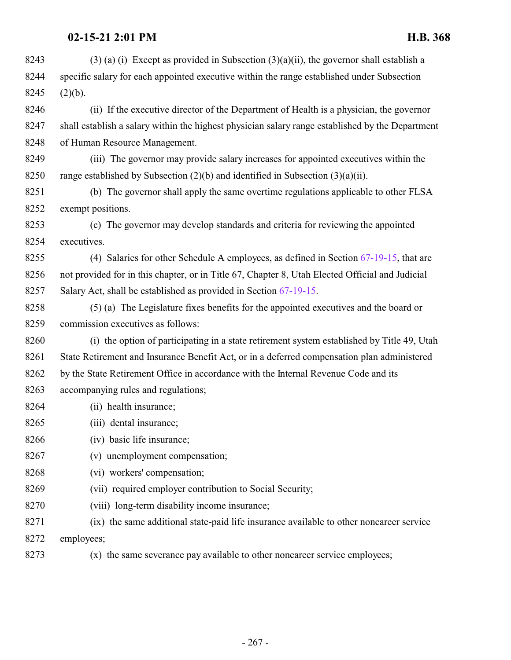| 8243 | $(3)$ (a) (i) Except as provided in Subsection $(3)(a)(ii)$ , the governor shall establish a     |
|------|--------------------------------------------------------------------------------------------------|
| 8244 | specific salary for each appointed executive within the range established under Subsection       |
| 8245 | (2)(b).                                                                                          |
| 8246 | (ii) If the executive director of the Department of Health is a physician, the governor          |
| 8247 | shall establish a salary within the highest physician salary range established by the Department |
| 8248 | of Human Resource Management.                                                                    |
| 8249 | (iii) The governor may provide salary increases for appointed executives within the              |
| 8250 | range established by Subsection $(2)(b)$ and identified in Subsection $(3)(a)(ii)$ .             |
| 8251 | (b) The governor shall apply the same overtime regulations applicable to other FLSA              |
| 8252 | exempt positions.                                                                                |
| 8253 | (c) The governor may develop standards and criteria for reviewing the appointed                  |
| 8254 | executives.                                                                                      |
| 8255 | (4) Salaries for other Schedule A employees, as defined in Section $67-19-15$ , that are         |
| 8256 | not provided for in this chapter, or in Title 67, Chapter 8, Utah Elected Official and Judicial  |
| 8257 | Salary Act, shall be established as provided in Section 67-19-15.                                |
| 8258 | (5) (a) The Legislature fixes benefits for the appointed executives and the board or             |
| 8259 | commission executives as follows:                                                                |
| 8260 | (i) the option of participating in a state retirement system established by Title 49, Utah       |
| 8261 | State Retirement and Insurance Benefit Act, or in a deferred compensation plan administered      |
| 8262 | by the State Retirement Office in accordance with the Internal Revenue Code and its              |
| 8263 | accompanying rules and regulations;                                                              |
| 8264 | (ii) health insurance;                                                                           |
| 8265 | (iii) dental insurance;                                                                          |
| 8266 | (iv) basic life insurance;                                                                       |
| 8267 | (v) unemployment compensation;                                                                   |
| 8268 | (vi) workers' compensation;                                                                      |
| 8269 | (vii) required employer contribution to Social Security;                                         |
| 8270 | (viii) long-term disability income insurance;                                                    |
| 8271 | (ix) the same additional state-paid life insurance available to other noncareer service          |
| 8272 | employees;                                                                                       |
| 8273 | (x) the same severance pay available to other noncareer service employees;                       |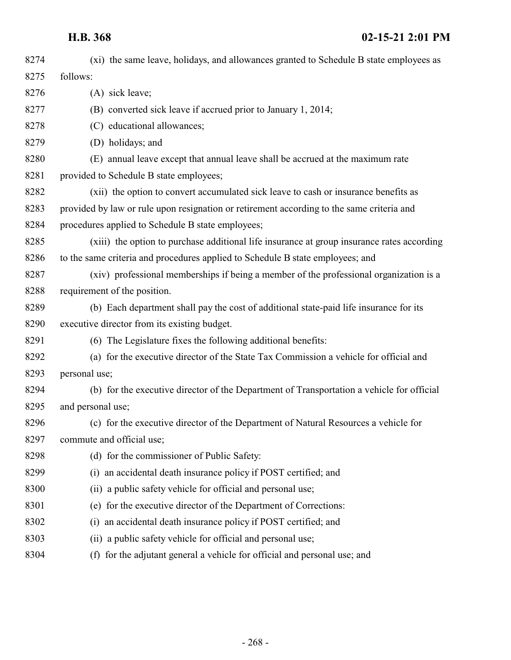| 8274 | (xi) the same leave, holidays, and allowances granted to Schedule B state employees as     |
|------|--------------------------------------------------------------------------------------------|
| 8275 | follows:                                                                                   |
| 8276 | (A) sick leave;                                                                            |
| 8277 | (B) converted sick leave if accrued prior to January 1, 2014;                              |
| 8278 | (C) educational allowances;                                                                |
| 8279 | (D) holidays; and                                                                          |
| 8280 | (E) annual leave except that annual leave shall be accrued at the maximum rate             |
| 8281 | provided to Schedule B state employees;                                                    |
| 8282 | (xii) the option to convert accumulated sick leave to cash or insurance benefits as        |
| 8283 | provided by law or rule upon resignation or retirement according to the same criteria and  |
| 8284 | procedures applied to Schedule B state employees;                                          |
| 8285 | (xiii) the option to purchase additional life insurance at group insurance rates according |
| 8286 | to the same criteria and procedures applied to Schedule B state employees; and             |
| 8287 | (xiv) professional memberships if being a member of the professional organization is a     |
| 8288 | requirement of the position.                                                               |
| 8289 | (b) Each department shall pay the cost of additional state-paid life insurance for its     |
| 8290 | executive director from its existing budget.                                               |
| 8291 | (6) The Legislature fixes the following additional benefits:                               |
| 8292 | (a) for the executive director of the State Tax Commission a vehicle for official and      |
| 8293 | personal use;                                                                              |
| 8294 | (b) for the executive director of the Department of Transportation a vehicle for official  |
| 8295 | and personal use;                                                                          |
| 8296 | (c) for the executive director of the Department of Natural Resources a vehicle for        |
| 8297 | commute and official use;                                                                  |
| 8298 | (d) for the commissioner of Public Safety:                                                 |
| 8299 | (i) an accidental death insurance policy if POST certified; and                            |
| 8300 | (ii) a public safety vehicle for official and personal use;                                |
| 8301 | (e) for the executive director of the Department of Corrections:                           |
| 8302 | an accidental death insurance policy if POST certified; and<br>(i)                         |
| 8303 | (ii) a public safety vehicle for official and personal use;                                |
| 8304 | (f) for the adjutant general a vehicle for official and personal use; and                  |